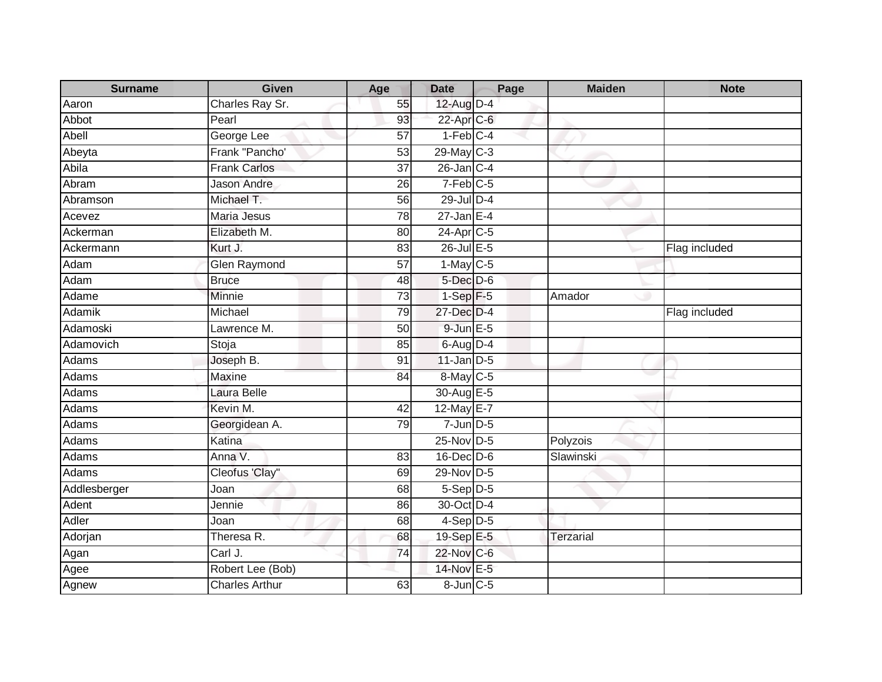| <b>Surname</b> | <b>Given</b>          | Age             | <b>Date</b>            | Page | <b>Maiden</b>    | <b>Note</b>   |
|----------------|-----------------------|-----------------|------------------------|------|------------------|---------------|
| Aaron          | Charles Ray Sr.       | 55              | 12-Aug D-4             |      |                  |               |
| Abbot          | Pearl                 | 93              | 22-Apr C-6             |      |                  |               |
| Abell          | George Lee            | 57              | $1-Feb$ <sub>C-4</sub> |      |                  |               |
| Abeyta         | Frank "Pancho"        | 53              | 29-May C-3             |      |                  |               |
| Abila          | <b>Frank Carlos</b>   | 37              | 26-Jan C-4             |      |                  |               |
| Abram          | <b>Jason Andre</b>    | 26              | $7-Feb$ C-5            |      |                  |               |
| Abramson       | Michael T.            | 56              | 29-Jul D-4             |      |                  |               |
| Acevez         | <b>Maria Jesus</b>    | $\overline{78}$ | $27 - Jan \t\t\tE-4$   |      |                  |               |
| Ackerman       | Elizabeth M.          | 80              | 24-Apr C-5             |      |                  |               |
| Ackermann      | Kurt J.               | 83              | 26-Jul E-5             |      |                  | Flag included |
| Adam           | <b>Glen Raymond</b>   | 57              | $1-May$ C-5            |      |                  |               |
| Adam           | <b>Bruce</b>          | 48              | 5-Dec D-6              |      |                  |               |
| Adame          | Minnie                | 73              | $1-Sep$ F-5            |      | Amador           |               |
| Adamik         | Michael               | 79              | 27-Dec D-4             |      |                  | Flag included |
| Adamoski       | Lawrence M.           | 50              | $9$ -Jun $E$ -5        |      |                  |               |
| Adamovich      | Stoja                 | 85              | $6-Aug$ D-4            |      |                  |               |
| Adams          | Joseph B.             | 91              | $11$ -Jan $D-5$        |      |                  |               |
| Adams          | Maxine                | 84              | 8-May C-5              |      |                  |               |
| Adams          | Laura Belle           |                 | 30-Aug E-5             |      |                  |               |
| Adams          | Kevin M.              | 42              | 12-May E-7             |      |                  |               |
| Adams          | Georgidean A.         | 79              | $7 - Jun$ $D-5$        |      |                  |               |
| Adams          | Katina                |                 | 25-Nov D-5             |      | Polyzois         |               |
| Adams          | Anna V.               | 83              | $16$ -Dec $D$ -6       |      | Slawinski        |               |
| Adams          | Cleofus 'Clay"        | 69              | 29-Nov D-5             |      |                  |               |
| Addlesberger   | Joan                  | 68              | $5-$ Sep $D-5$         |      |                  |               |
| Adent          | Jennie                | 86              | 30-Oct D-4             |      |                  |               |
| Adler          | Joan                  | 68              | $4-Sep$ D-5            |      |                  |               |
| Adorjan        | Theresa R.            | 68              | 19-Sep E-5             |      | <b>Terzarial</b> |               |
| Agan           | Carl J.               | 74              | 22-Nov C-6             |      |                  |               |
| Agee           | Robert Lee (Bob)      |                 | 14-Nov E-5             |      |                  |               |
| Agnew          | <b>Charles Arthur</b> | 63              | 8-Jun C-5              |      |                  |               |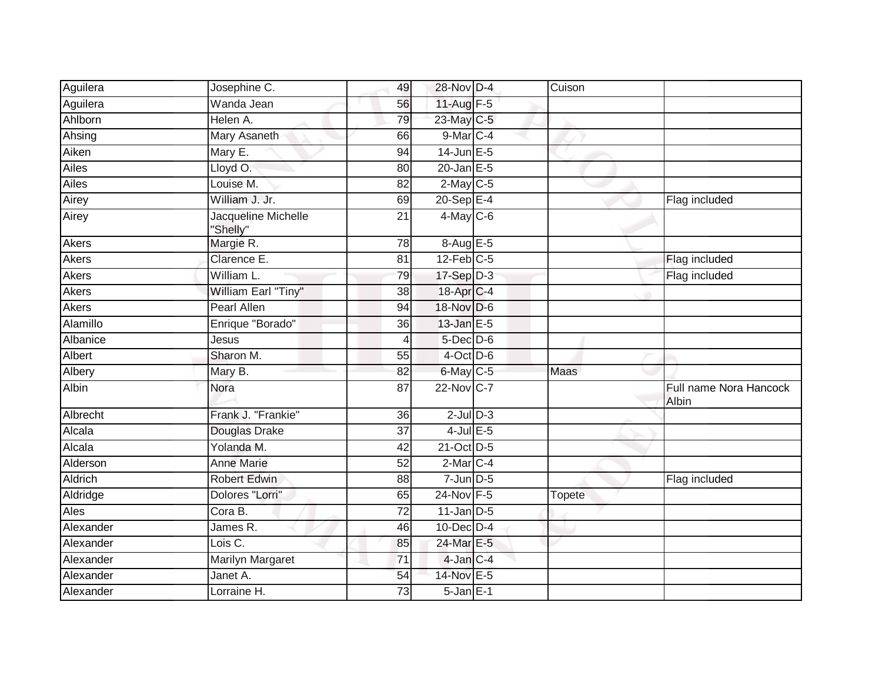| Aguilera     | Josephine C.                    | 49              | 28-Nov D-4             | Cuison |                                 |
|--------------|---------------------------------|-----------------|------------------------|--------|---------------------------------|
| Aguilera     | Wanda Jean                      | 56              | 11-Aug F-5             |        |                                 |
| Ahlborn      | Helen A.                        | 79              | 23-May C-5             |        |                                 |
| Ahsing       | Mary Asaneth                    | 66              | 9-Mar C-4              |        |                                 |
| Aiken        | Mary E.                         | $\overline{94}$ | $14$ -Jun $E - 5$      |        |                                 |
| Ailes        | Lloyd O.                        | 80              | $20$ -Jan $E-5$        |        |                                 |
| Ailes        | Louise M.                       | 82              | $2$ -May C-5           |        |                                 |
| Airey        | William J. Jr.                  | 69              | $20-Sep$ E-4           |        | Flag included                   |
| Airey        | Jacqueline Michelle<br>'Shelly" | 21              | $4$ -May C-6           |        |                                 |
| Akers        | Margie R.                       | 78              | $8-Aug$ $E-5$          |        |                                 |
| Akers        | Clarence E.                     | 81              | $12$ -Feb $C-5$        |        | Flag included                   |
| <b>Akers</b> | William L.                      | 79              | $17-Sep$ D-3           |        | Flag included                   |
| <b>Akers</b> | William Earl "Tiny"             | 38              | 18-Apr C-4             |        |                                 |
| Akers        | <b>Pearl Allen</b>              | 94              | 18-Nov D-6             |        |                                 |
| Alamillo     | Enrique "Borado"                | 36              | 13-Jan E-5             |        |                                 |
| Albanice     | Jesus                           | 4               | $5$ -Dec $D$ -6        |        |                                 |
| Albert       | Sharon M.                       | 55              | $4$ -Oct D-6           |        |                                 |
| Albery       | Mary B.                         | 82              | 6-May C-5              | Maas   |                                 |
| Albin        | Nora                            | 87              | 22-Nov C-7             |        | Full name Nora Hancock<br>Albin |
| Albrecht     | Frank J. "Frankie"              | 36              | $2$ -Jul $D-3$         |        |                                 |
| Alcala       | Douglas Drake                   | $\overline{37}$ | $4$ -Jul $E$ -5        |        |                                 |
| Alcala       | Yolanda M.                      | 42              | 21-Oct D-5             |        |                                 |
| Alderson     | <b>Anne Marie</b>               | 52              | $2-Mar$ <sub>C-4</sub> |        |                                 |
| Aldrich      | <b>Robert Edwin</b>             | 88              | $7$ -Jun $D-5$         |        | Flag included                   |
| Aldridge     | Dolores "Lorri"                 | 65              | 24-Nov F-5             | Topete |                                 |
| Ales         | Cora B.                         | $\overline{72}$ | $11$ -Jan D-5          |        |                                 |
| Alexander    | James R.                        | 46              | 10-Dec D-4             |        |                                 |
| Alexander    | Lois C.                         | 85              | 24-Mar E-5             |        |                                 |
| Alexander    | <b>Marilyn Margaret</b>         | $\overline{71}$ | 4-Jan C-4              |        |                                 |
| Alexander    | Janet A.                        | 54              | 14-Nov E-5             |        |                                 |
| Alexander    | Lorraine H.                     | 73              | $5$ -Jan $E-1$         |        |                                 |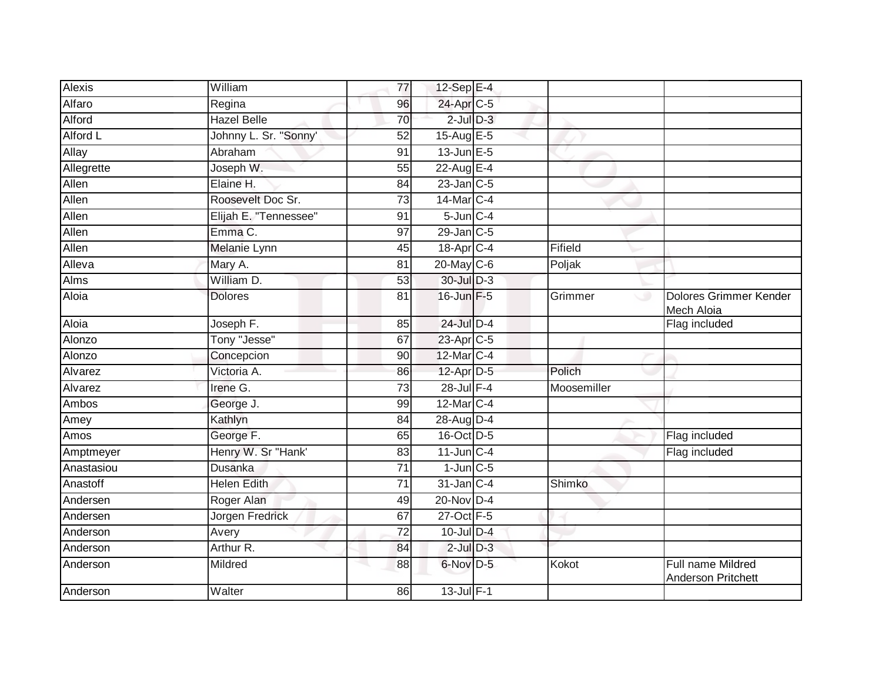| <b>Alexis</b> | William               | 77              | 12-Sep $E-4$          |             |                                                |
|---------------|-----------------------|-----------------|-----------------------|-------------|------------------------------------------------|
| Alfaro        | Regina                | 96              | 24-Apr C-5            |             |                                                |
| Alford        | <b>Hazel Belle</b>    | 70              | $2$ -Jul $D-3$        |             |                                                |
| Alford L      | Johnny L. Sr. "Sonny' | 52              | 15-Aug $E-5$          |             |                                                |
| Allay         | Abraham               | 91              | $13$ -Jun $E - 5$     |             |                                                |
| Allegrette    | Joseph W.             | 55              | 22-Aug E-4            |             |                                                |
| Allen         | Elaine H.             | 84              | $23$ -Jan $C-5$       |             |                                                |
| Allen         | Roosevelt Doc Sr.     | 73              | 14-Mar C-4            |             |                                                |
| Allen         | Elijah E. "Tennessee" | 91              | $5$ -Jun $C - 4$      |             |                                                |
| Allen         | Emma C.               | 97              | 29-Jan C-5            |             |                                                |
| Allen         | Melanie Lynn          | 45              | 18-Apr <sub>C-4</sub> | Fifield     |                                                |
| Alleva        | Mary A.               | 81              | 20-May C-6            | Poljak      |                                                |
| Alms          | William D.            | 53              | 30-Jul D-3            |             |                                                |
| Aloia         | <b>Dolores</b>        | 81              | 16-Jun F-5            | Grimmer     | Dolores Grimmer Kender<br>Mech Aloia           |
| Aloia         | Joseph F.             | 85              | 24-Jul D-4            |             | Flag included                                  |
| Alonzo        | Tony "Jesse"          | 67              | 23-Apr C-5            |             |                                                |
| Alonzo        | Concepcion            | 90              | 12-Mar C-4            |             |                                                |
| Alvarez       | Victoria A.           | 86              | 12-Apr D-5            | Polich      |                                                |
| Alvarez       | Irene G.              | $\overline{73}$ | 28-Jul F-4            | Moosemiller |                                                |
| Ambos         | George J.             | 99              | 12-Mar C-4            |             |                                                |
| Amey          | Kathlyn               | 84              | 28-Aug D-4            |             |                                                |
| Amos          | George F.             | 65              | 16-Oct D-5            |             | Flag included                                  |
| Amptmeyer     | Henry W. Sr "Hank'    | 83              | $11$ -Jun $C-4$       |             | Flag included                                  |
| Anastasiou    | Dusanka               | 71              | $1$ -Jun $C$ -5       |             |                                                |
| Anastoff      | <b>Helen Edith</b>    | 71              | 31-Jan C-4            | Shimko      |                                                |
| Andersen      | Roger Alan            | 49              | 20-Nov D-4            |             |                                                |
| Andersen      | Jorgen Fredrick       | 67              | 27-Oct F-5            |             |                                                |
| Anderson      | Avery                 | 72              | 10-Jul D-4            |             |                                                |
| Anderson      | Arthur R.             | 84              | $2$ -Jul $D-3$        |             |                                                |
| Anderson      | Mildred               | 88              | 6-Nov D-5             | Kokot       | <b>Full name Mildred</b><br>Anderson Pritchett |
| Anderson      | Walter                | 86              | $13$ -Jul $F-1$       |             |                                                |
|               |                       |                 |                       |             |                                                |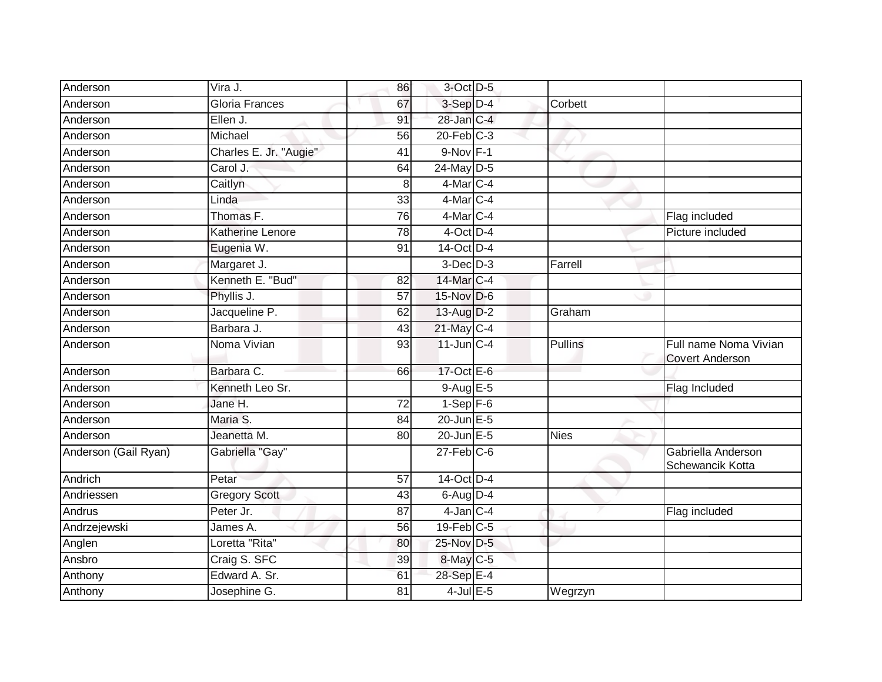| Anderson             | Vira J.                | 86              | $3$ -Oct $D-5$   |                |                                                 |
|----------------------|------------------------|-----------------|------------------|----------------|-------------------------------------------------|
| Anderson             | <b>Gloria Frances</b>  | 67              | 3-Sep D-4        | Corbett        |                                                 |
| Anderson             | Ellen J.               | 91              | 28-Jan C-4       |                |                                                 |
| Anderson             | Michael                | 56              | $20$ -Feb $C-3$  |                |                                                 |
| Anderson             | Charles E. Jr. "Augie" | 41              | $9-Nov$ F-1      |                |                                                 |
| Anderson             | Carol J.               | 64              | 24-May D-5       |                |                                                 |
| Anderson             | Caitlyn                | 8               | 4-Mar C-4        |                |                                                 |
| Anderson             | Linda                  | 33              | $4$ -Mar $ C-4$  |                |                                                 |
| Anderson             | Thomas F.              | 76              | $4$ -Mar $ C-4$  |                | Flag included                                   |
| Anderson             | Katherine Lenore       | 78              | $4$ -Oct D-4     |                | Picture included                                |
| Anderson             | Eugenia W.             | 91              | 14-Oct D-4       |                |                                                 |
| Anderson             | Margaret J.            |                 | $3-Dec$ D-3      | Farrell        |                                                 |
| Anderson             | Kenneth E. "Bud"       | 82              | 14-Mar C-4       |                |                                                 |
| Anderson             | Phyllis J.             | 57              | $15$ -Nov D-6    |                |                                                 |
| Anderson             | Jacqueline P.          | 62              | 13-Aug D-2       | Graham         |                                                 |
| Anderson             | Barbara J.             | 43              | 21-May C-4       |                |                                                 |
| Anderson             | Noma Vivian            | 93              | $11$ -Jun $C-4$  | <b>Pullins</b> | Full name Noma Vivian<br><b>Covert Anderson</b> |
| Anderson             | Barbara C.             | 66              | 17-Oct E-6       |                |                                                 |
| Anderson             | Kenneth Leo Sr.        |                 | $9-Aug$ $E-5$    |                | Flag Included                                   |
| Anderson             | Jane H.                | $\overline{72}$ | $1-Sep$ F-6      |                |                                                 |
| Anderson             | Maria S.               | 84              | 20-Jun E-5       |                |                                                 |
| Anderson             | Jeanetta M.            | 80              | 20-Jun E-5       | <b>Nies</b>    |                                                 |
| Anderson (Gail Ryan) | Gabriella "Gay"        |                 | $27$ -Feb $C$ -6 |                | Gabriella Anderson<br>Schewancik Kotta          |
| Andrich              | Petar                  | 57              | 14-Oct D-4       |                |                                                 |
| Andriessen           | <b>Gregory Scott</b>   | 43              | $6$ -Aug $D-4$   |                |                                                 |
| Andrus               | Peter Jr.              | 87              | $4$ -Jan $C-4$   |                | Flag included                                   |
| Andrzejewski         | James A.               | 56              | $19$ -Feb $C-5$  |                |                                                 |
| Anglen               | Loretta "Rita"         | 80              | 25-Nov D-5       |                |                                                 |
| Ansbro               | Craig S. SFC           | 39              | 8-May C-5        |                |                                                 |
| Anthony              | Edward A. Sr.          | 61              | 28-Sep E-4       |                |                                                 |
| Anthony              | Josephine G.           | 81              | $4$ -Jul $E$ -5  | Wegrzyn        |                                                 |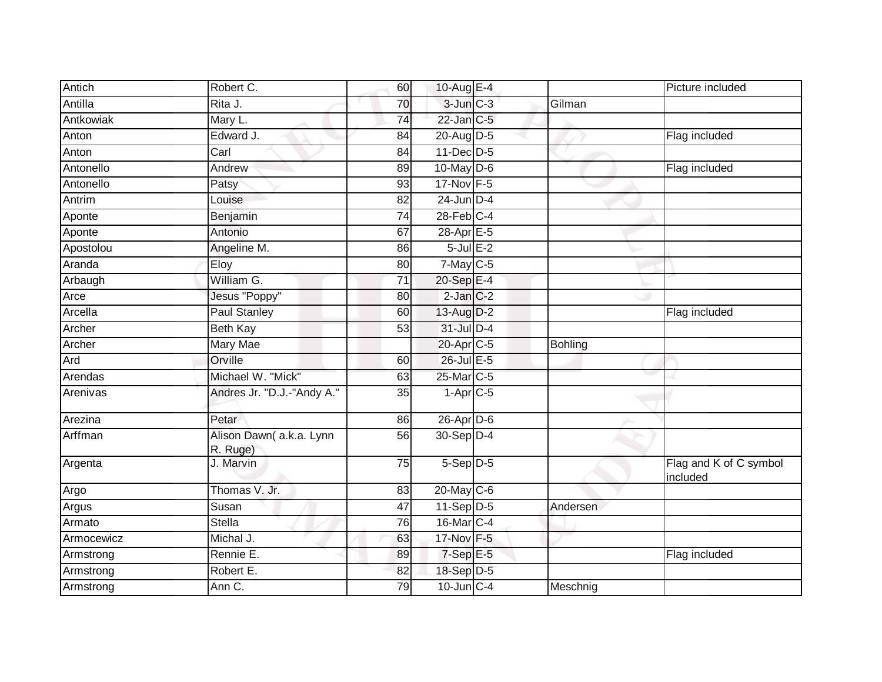| Antich     | Robert C.                           | 60              | 10-Aug E-4      |                | Picture included                   |
|------------|-------------------------------------|-----------------|-----------------|----------------|------------------------------------|
| Antilla    | Rita J.                             | 70              | $3$ -Jun $C-3$  | Gilman         |                                    |
| Antkowiak  | Mary L.                             | $\overline{74}$ | $22$ -Jan $C-5$ |                |                                    |
| Anton      | Edward J.                           | 84              | 20-Aug D-5      |                | Flag included                      |
| Anton      | Carl                                | 84              | 11-Dec D-5      |                |                                    |
| Antonello  | Andrew                              | 89              | 10-May D-6      |                | Flag included                      |
| Antonello  | Patsy                               | 93              | 17-Nov F-5      |                |                                    |
| Antrim     | Louise                              | 82              | $24$ -Jun D-4   |                |                                    |
| Aponte     | Benjamin                            | 74              | $28$ -Feb $C-4$ |                |                                    |
| Aponte     | Antonio                             | 67              | 28-Apr E-5      |                |                                    |
| Apostolou  | Angeline M.                         | 86              | $5$ -Jul $E-2$  |                |                                    |
| Aranda     | Eloy                                | 80              | 7-May C-5       |                |                                    |
| Arbaugh    | William G.                          | 71              | 20-Sep E-4      |                |                                    |
| Arce       | Jesus "Poppy"                       | 80              | $2$ -Jan $C-2$  |                |                                    |
| Arcella    | <b>Paul Stanley</b>                 | 60              | 13-Aug D-2      |                | Flag included                      |
| Archer     | <b>Beth Kay</b>                     | 53              | $31$ -Jul $D-4$ |                |                                    |
| Archer     | <b>Mary Mae</b>                     |                 | 20-Apr C-5      | <b>Bohling</b> |                                    |
| Ard        | Orville                             | 60              | 26-Jul E-5      |                |                                    |
| Arendas    | Michael W. "Mick"                   | 63              | 25-Mar C-5      |                |                                    |
| Arenivas   | Andres Jr. "D.J.-"Andy A."          | 35              | $1-AprC-5$      |                |                                    |
| Arezina    | Petar                               | 86              | 26-Apr D-6      |                |                                    |
| Arffman    | Alison Dawn(a.k.a. Lynn<br>R. Ruge) | 56              | $30-Sep D-4$    |                |                                    |
| Argenta    | J. Marvin                           | 75              | 5-Sep D-5       |                | Flag and K of C symbol<br>included |
| Argo       | Thomas V. Jr.                       | 83              | 20-May C-6      |                |                                    |
| Argus      | Susan                               | 47              | $11-Sep$ D-5    | Andersen       |                                    |
| Armato     | <b>Stella</b>                       | 76              | 16-Mar C-4      |                |                                    |
| Armocewicz | Michal J.                           | 63              | 17-Nov F-5      |                |                                    |
| Armstrong  | Rennie E.                           | 89              | 7-Sep E-5       |                | Flag included                      |
| Armstrong  | Robert E.                           | 82              | 18-Sep D-5      |                |                                    |
| Armstrong  | Ann C.                              | 79              | $10$ -Jun $C-4$ | Meschnig       |                                    |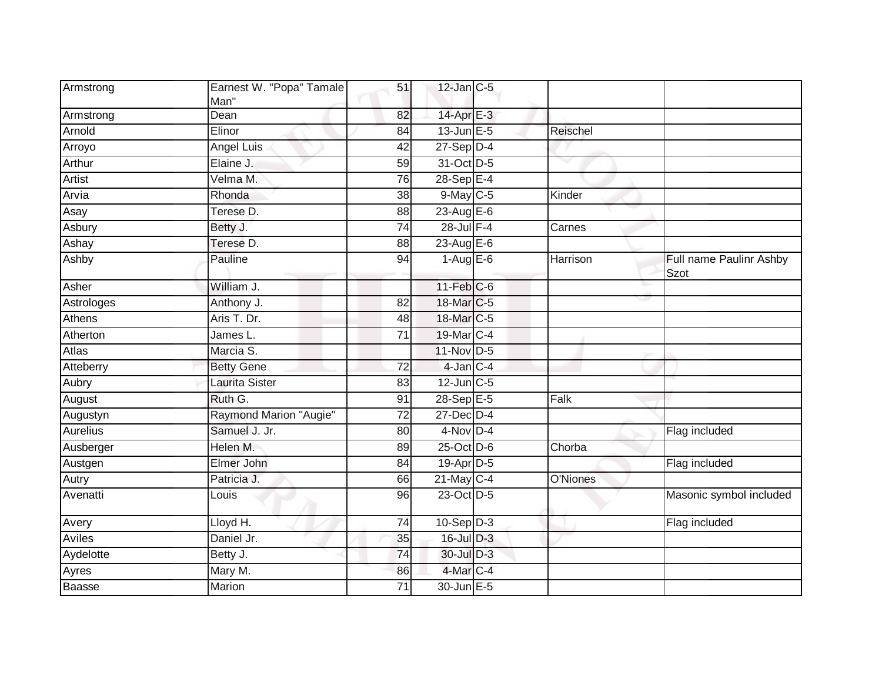| Armstrong     | Earnest W. "Popa" Tamale |                 | $12$ -Jan C-5     |          |                                        |
|---------------|--------------------------|-----------------|-------------------|----------|----------------------------------------|
|               | Man"                     | 51              |                   |          |                                        |
| Armstrong     | Dean                     | 82              | $14$ -Apr $E-3$   |          |                                        |
| Arnold        | Elinor                   | 84              | $13$ -Jun $E - 5$ | Reischel |                                        |
| Arroyo        | Angel Luis               | 42              | $27 - Sep$ $D-4$  |          |                                        |
| Arthur        | Elaine J.                | 59              | 31-Oct D-5        |          |                                        |
| <b>Artist</b> | Velma M.                 | 76              | $28-Sep$ E-4      |          |                                        |
| Arvia         | Rhonda                   | 38              | 9-May C-5         | Kinder   |                                        |
| Asay          | Terese D.                | 88              | 23-Aug E-6        |          |                                        |
| Asbury        | Betty J.                 | 74              | $28$ -Jul $F-4$   | Carnes   |                                        |
| Ashay         | Terese D.                | 88              | 23-Aug $E-6$      |          |                                        |
| Ashby         | Pauline                  | 94              | $1-Aug$ E-6       | Harrison | Full name Paulinr Ashby<br><b>Szot</b> |
| Asher         | William J.               |                 | $11$ -Feb $C$ -6  |          |                                        |
| Astrologes    | Anthony J.               | $\overline{82}$ | 18-Mar C-5        |          |                                        |
| Athens        | Aris T. Dr.              | 48              | 18-Mar C-5        |          |                                        |
| Atherton      | James L.                 | 71              | 19-Mar C-4        |          |                                        |
| Atlas         | Marcia S.                |                 | 11-Nov D-5        |          |                                        |
| Atteberry     | <b>Betty Gene</b>        | 72              | $4$ -Jan $C-4$    |          |                                        |
| Aubry         | <b>Laurita Sister</b>    | 83              | $12$ -Jun $C-5$   |          |                                        |
| August        | Ruth G.                  | 91              | 28-Sep E-5        | Falk     |                                        |
| Augustyn      | Raymond Marion "Augie"   | $\overline{72}$ | $27$ -Dec $D-4$   |          |                                        |
| Aurelius      | Samuel J. Jr.            | 80              | $4-Nov$ D-4       |          | Flag included                          |
| Ausberger     | Helen M.                 | 89              | 25-Oct D-6        | Chorba   |                                        |
| Austgen       | Elmer John               | 84              | 19-Apr D-5        |          | Flag included                          |
| Autry         | Patricia J.              | 66              | 21-May C-4        | O'Niones |                                        |
| Avenatti      | Louis                    | 96              | 23-Oct D-5        |          | Masonic symbol included                |
| Avery         | Lloyd H.                 | 74              | $10-Sep$ D-3      |          | Flag included                          |
| Aviles        | Daniel Jr.               | 35              | $16$ -Jul $D-3$   |          |                                        |
| Aydelotte     | Betty J.                 | 74              | 30-Jul D-3        |          |                                        |
| Ayres         | Mary M.                  | 86              | 4-Mar C-4         |          |                                        |
| Baasse        | Marion                   | 71              | 30-Jun E-5        |          |                                        |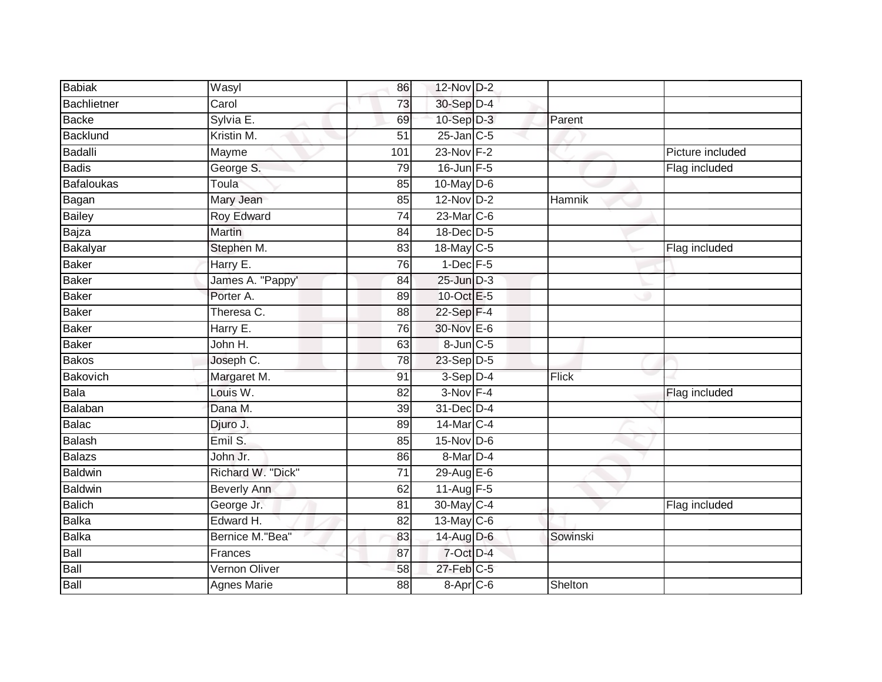| <b>Babiak</b>     | Wasyl              | 86              | $12$ -Nov D-2    |              |                  |
|-------------------|--------------------|-----------------|------------------|--------------|------------------|
| Bachlietner       | Carol              | 73              | 30-Sep D-4       |              |                  |
| <b>Backe</b>      | Sylvia E.          | 69              | $10-Sep$ D-3     | Parent       |                  |
| Backlund          | Kristin M.         | $\overline{51}$ | $25$ -Jan $C$ -5 |              |                  |
| <b>Badalli</b>    | Mayme              | 101             | 23-Nov F-2       |              | Picture included |
| <b>Badis</b>      | George S.          | 79              | 16-Jun F-5       |              | Flag included    |
| <b>Bafaloukas</b> | Toula              | 85              | 10-May D-6       |              |                  |
| Bagan             | Mary Jean          | 85              | $12-Nov$ D-2     | Hamnik       |                  |
| <b>Bailey</b>     | <b>Roy Edward</b>  | $\overline{74}$ | $23$ -Mar $C-6$  |              |                  |
| Bajza             | <b>Martin</b>      | $\overline{84}$ | 18-Dec D-5       |              |                  |
| Bakalyar          | Stephen M.         | $\overline{83}$ | 18-May C-5       |              | Flag included    |
| Baker             | Harry E.           | 76              | $1-Dec$ F-5      |              |                  |
| <b>Baker</b>      | James A. "Pappy'   | 84              | $25$ -Jun $D-3$  |              |                  |
| <b>Baker</b>      | Porter A.          | 89              | 10-Oct E-5       |              |                  |
| Baker             | Theresa C.         | $\overline{88}$ | 22-Sep F-4       |              |                  |
| Baker             | Harry E.           | 76              | 30-Nov E-6       |              |                  |
| Baker             | John H.            | 63              | 8-Jun C-5        |              |                  |
| <b>Bakos</b>      | Joseph C.          | 78              | $23-Sep$ D-5     |              |                  |
| Bakovich          | Margaret M.        | 91              | $3-Sep$ $D-4$    | <b>Flick</b> |                  |
| Bala              | Louis W.           | $\overline{82}$ | $3-Nov$ F-4      |              | Flag included    |
| Balaban           | Dana M.            | 39              | 31-Dec D-4       |              |                  |
| Balac             | Djuro J.           | 89              | 14-Mar C-4       |              |                  |
| Balash            | Emil S.            | 85              | $15$ -Nov D-6    |              |                  |
| <b>Balazs</b>     | John Jr.           | 86              | $8-Mar$ D-4      |              |                  |
| Baldwin           | Richard W. "Dick"  | 71              | 29-Aug E-6       |              |                  |
| <b>Baldwin</b>    | <b>Beverly Ann</b> | 62              | 11-Aug F-5       |              |                  |
| Balich            | George Jr.         | $\overline{81}$ | 30-May C-4       |              | Flag included    |
| Balka             | Edward H.          | 82              | 13-May C-6       |              |                  |
| Balka             | Bernice M."Bea"    | 83              | 14-Aug D-6       | Sowinski     |                  |
| Ball              | Frances            | 87              | 7-Oct D-4        |              |                  |
| Ball              | Vernon Oliver      | 58              | $27$ -Feb $C-5$  |              |                  |
| Ball              | <b>Agnes Marie</b> | 88              | 8-Apr C-6        | Shelton      |                  |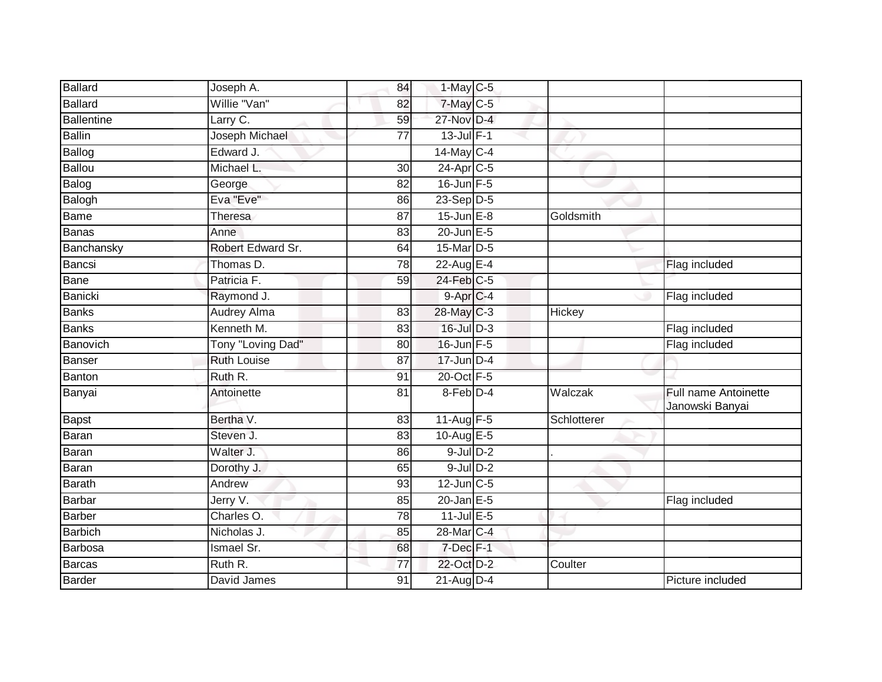| Ballard           | Joseph A.          | 84              | $1$ -May C-5      |               |                                                |
|-------------------|--------------------|-----------------|-------------------|---------------|------------------------------------------------|
| <b>Ballard</b>    | Willie "Van"       | 82              | 7-May C-5         |               |                                                |
| <b>Ballentine</b> | Larry C.           | 59              | 27-Nov D-4        |               |                                                |
| <b>Ballin</b>     | Joseph Michael     | 77              | $13$ -Jul $F-1$   |               |                                                |
| Ballog            | Edward J.          |                 | 14-May C-4        |               |                                                |
| <b>Ballou</b>     | Michael L.         | 30              | 24-Apr C-5        |               |                                                |
| Balog             | George             | 82              | $16$ -Jun $F-5$   |               |                                                |
| Balogh            | Eva "Eve"          | 86              | 23-Sep D-5        |               |                                                |
| Bame              | Theresa            | 87              | $15$ -Jun $E-8$   | Goldsmith     |                                                |
| <b>Banas</b>      | Anne               | 83              | $20$ -Jun $E - 5$ |               |                                                |
| Banchansky        | Robert Edward Sr.  | 64              | 15-Mar D-5        |               |                                                |
| Bancsi            | Thomas D.          | 78              | 22-Aug E-4        |               | Flag included                                  |
| Bane              | Patricia F.        | 59              | $24$ -Feb $C-5$   |               |                                                |
| <b>Banicki</b>    | Raymond J.         |                 | $9 - Apr$ $C-4$   |               | Flag included                                  |
| <b>Banks</b>      | Audrey Alma        | 83              | 28-May C-3        | <b>Hickey</b> |                                                |
| <b>Banks</b>      | Kenneth M.         | $\overline{83}$ | $16$ -Jul $D-3$   |               | Flag included                                  |
| Banovich          | Tony "Loving Dad"  | 80              | $16$ -Jun $F - 5$ |               | Flag included                                  |
| <b>Banser</b>     | <b>Ruth Louise</b> | 87              | $17$ -Jun $D-4$   |               |                                                |
| Banton            | Ruth R.            | 91              | 20-Oct F-5        |               |                                                |
| Banyai            | Antoinette         | 81              | 8-Feb D-4         | Walczak       | <b>Full name Antoinette</b><br>Janowski Banyai |
| <b>Bapst</b>      | Bertha V.          | 83              | 11-Aug F-5        | Schlotterer   |                                                |
| Baran             | Steven J.          | 83              | 10-Aug $E-5$      |               |                                                |
| Baran             | Walter J.          | 86              | $9$ -Jul $D-2$    |               |                                                |
| Baran             | Dorothy J.         | 65              | $9$ -Jul $D-2$    |               |                                                |
| <b>Barath</b>     | Andrew             | 93              | $12$ -Jun $C-5$   |               |                                                |
| <b>Barbar</b>     | Jerry V.           | 85              | $20$ -Jan $E-5$   |               | Flag included                                  |
| <b>Barber</b>     | Charles O.         | 78              | $11$ -Jul E-5     |               |                                                |
| <b>Barbich</b>    | Nicholas J.        | 85              | 28-Mar C-4        |               |                                                |
| Barbosa           | <b>Ismael Sr.</b>  | 68              | 7-Dec F-1         |               |                                                |
| Barcas            | Ruth R.            | 77              | 22-Oct D-2        | Coulter       |                                                |
| Barder            | David James        | 91              | 21-Aug D-4        |               | Picture included                               |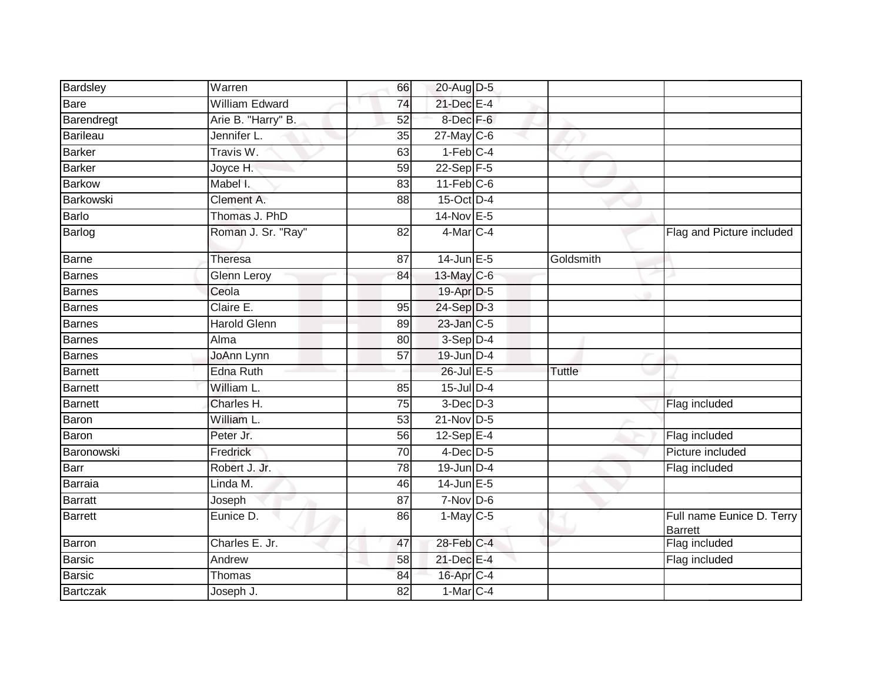| Bardsley        | Warren                | 66              | 20-Aug D-5             |           |                                      |
|-----------------|-----------------------|-----------------|------------------------|-----------|--------------------------------------|
| <b>Bare</b>     | <b>William Edward</b> | 74              | 21-Dec E-4             |           |                                      |
| Barendregt      | Arie B. "Harry" B.    | 52              | 8-Dec F-6              |           |                                      |
| <b>Barileau</b> | Jennifer L.           | 35              | $27$ -May C-6          |           |                                      |
| <b>Barker</b>   | Travis W.             | 63              | $1-Feb$ <sub>C-4</sub> |           |                                      |
| <b>Barker</b>   | Joyce H.              | 59              | $22$ -Sep $F-5$        |           |                                      |
| <b>Barkow</b>   | Mabel I.              | 83              | $11-Feb$ C-6           |           |                                      |
| Barkowski       | Clement A.            | 88              | 15-Oct D-4             |           |                                      |
| Barlo           | Thomas J. PhD         |                 | 14-Nov E-5             |           |                                      |
| Barlog          | Roman J. Sr. "Ray"    | 82              | 4-Mar C-4              |           | Flag and Picture included            |
| <b>Barne</b>    | <b>Theresa</b>        | 87              | $14$ -Jun $E - 5$      | Goldsmith |                                      |
| Barnes          | <b>Glenn Leroy</b>    | 84              | 13-May C-6             |           |                                      |
| <b>Barnes</b>   | Ceola                 |                 | 19-Apr D-5             |           |                                      |
| <b>Barnes</b>   | Claire E.             | 95              | $24-Sep$ D-3           |           |                                      |
| Barnes          | <b>Harold Glenn</b>   | 89              | 23-Jan C-5             |           |                                      |
| <b>Barnes</b>   | Alma                  | 80              | $3-Sep$ D-4            |           |                                      |
| <b>Barnes</b>   | JoAnn Lynn            | 57              | 19-Jun D-4             |           |                                      |
| <b>Barnett</b>  | <b>Edna Ruth</b>      |                 | 26-Jul E-5             | Tuttle    |                                      |
| <b>Barnett</b>  | William L.            | 85              | $15$ -Jul $D-4$        |           |                                      |
| <b>Barnett</b>  | Charles H.            | $\overline{75}$ | $3$ -Dec $D-3$         |           | Flag included                        |
| Baron           | William L.            | 53              | 21-Nov D-5             |           |                                      |
| Baron           | Peter Jr.             | 56              | $12-SepE-4$            |           | Flag included                        |
| Baronowski      | Fredrick              | 70              | $4$ -Dec $D-5$         |           | Picture included                     |
| Barr            | Robert J. Jr.         | 78              | $19$ -Jun $D-4$        |           | Flag included                        |
| <b>Barraia</b>  | Linda M.              | 46              | $14$ -Jun $E-5$        |           |                                      |
| <b>Barratt</b>  | Joseph                | $\overline{87}$ | $7-Nov$ D-6            |           |                                      |
| <b>Barrett</b>  | Eunice D.             | 86              | $1-May$ C-5            |           | Full name Eunice D. Terry<br>Barrett |
| Barron          | Charles E. Jr.        | 47              | 28-Feb C-4             |           | Flag included                        |
| <b>Barsic</b>   | Andrew                | 58              | 21-Dec E-4             |           | Flag included                        |
| <b>Barsic</b>   | Thomas                | 84              | 16-Apr C-4             |           |                                      |
| <b>Bartczak</b> | Joseph J.             | 82              | $1-Mar$ C-4            |           |                                      |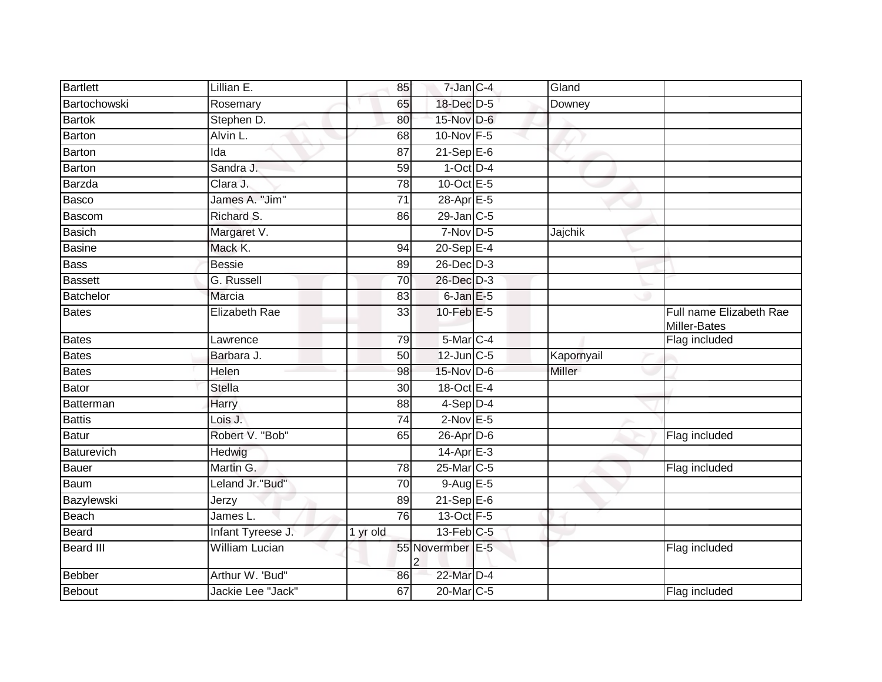| Bartlett          | Lillian E.                    | 85              | $7$ -Jan $C-4$        | Gland         |                                         |
|-------------------|-------------------------------|-----------------|-----------------------|---------------|-----------------------------------------|
| Bartochowski      | Rosemary                      | 65              | 18-Dec D-5            | Downey        |                                         |
| <b>Bartok</b>     | Stephen D.                    | 80              | 15-Nov D-6            |               |                                         |
| Barton            | Alvin L.                      | 68              | 10-Nov F-5            |               |                                         |
| Barton            | Ida                           | $\overline{87}$ | $21-Sep$ E-6          |               |                                         |
| <b>Barton</b>     | Sandra J.                     | 59              | $1-Oct$ D-4           |               |                                         |
| Barzda            | $\overline{\text{Cl}}$ ara J. | 78              | 10-Oct E-5            |               |                                         |
| Basco             | James A. "Jim"                | $\overline{71}$ | 28-Apr E-5            |               |                                         |
| Bascom            | Richard S.                    | 86              | 29-Jan C-5            |               |                                         |
| <b>Basich</b>     | Margaret V.                   |                 | $7-Nov$ D-5           | Jajchik       |                                         |
| <b>Basine</b>     | Mack K.                       | 94              | $20-SepE-4$           |               |                                         |
| <b>Bass</b>       | <b>Bessie</b>                 | 89              | 26-Dec D-3            |               |                                         |
| <b>Bassett</b>    | G. Russell                    | 70              | 26-Dec D-3            |               |                                         |
| <b>Batchelor</b>  | Marcia                        | 83              | $6$ -Jan $E$ -5       |               |                                         |
| <b>Bates</b>      | <b>Elizabeth Rae</b>          | 33              | 10-Feb $E-5$          |               | Full name Elizabeth Rae<br>Miller-Bates |
| <b>Bates</b>      | Lawrence                      | 79              | 5-Mar C-4             |               | Flag included                           |
| <b>Bates</b>      | Barbara J.                    | 50              | 12-Jun C-5            | Kapornyail    |                                         |
| <b>Bates</b>      | Helen                         | 98              | 15-Nov D-6            | <b>Miller</b> |                                         |
| <b>Bator</b>      | <b>Stella</b>                 | 30              | 18-Oct E-4            |               |                                         |
| Batterman         | <b>Harry</b>                  | 88              | $4-Sep$ D-4           |               |                                         |
| <b>Battis</b>     | Lois J.                       | 74              | $2$ -Nov E-5          |               |                                         |
| <b>Batur</b>      | Robert V. "Bob"               | 65              | $26$ -Apr $D$ -6      |               | Flag included                           |
| <b>Baturevich</b> | Hedwig                        |                 | $14-Apr$ E-3          |               |                                         |
| <b>Bauer</b>      | Martin G.                     | 78              | 25-Mar C-5            |               | Flag included                           |
| Baum              | Leland Jr."Bud"               | 70              | 9-Aug E-5             |               |                                         |
| Bazylewski        | Jerzy                         | 89              | $21-Sep$ E-6          |               |                                         |
| Beach             | James L.                      | 76              | 13-Oct F-5            |               |                                         |
| Beard             | Infant Tyreese J.             | 1 yr old        | 13-Feb C-5            |               |                                         |
| Beard III         | William Lucian                |                 | 55 Novermber E-5<br>2 |               | Flag included                           |
| <b>Bebber</b>     | Arthur W. 'Bud"               | 86              | 22-Mar D-4            |               |                                         |
| Bebout            | Jackie Lee "Jack"             | 67              | 20-Mar <sub>C-5</sub> |               | Flag included                           |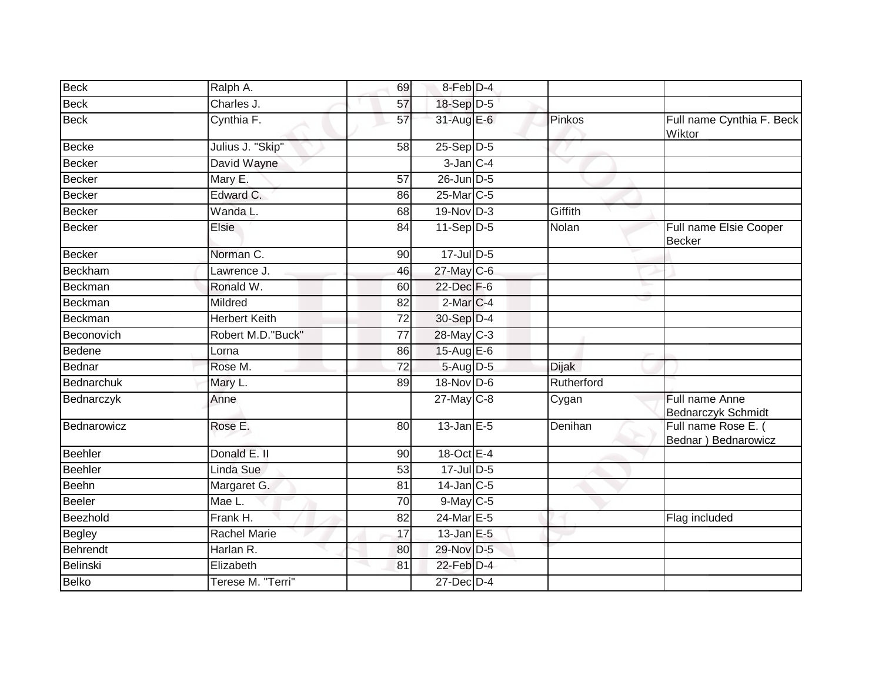| <b>Beck</b>     | Ralph A.             | 69              | 8-Feb D-4                 |            |                                             |
|-----------------|----------------------|-----------------|---------------------------|------------|---------------------------------------------|
| <b>Beck</b>     | Charles J.           | 57              | 18-Sep D-5                |            |                                             |
| <b>Beck</b>     | Cynthia F.           | 57              | 31-Aug E-6                | Pinkos     | Full name Cynthia F. Beck<br>Wiktor         |
| <b>Becke</b>    | Julius J. "Skip"     | 58              | $25 - \overline{Sep D-5}$ |            |                                             |
| <b>Becker</b>   | David Wayne          |                 | $3$ -Jan $C-4$            |            |                                             |
| <b>Becker</b>   | Mary E.              | 57              | $26$ -Jun $D-5$           |            |                                             |
| <b>Becker</b>   | Edward C.            | 86              | 25-Mar C-5                |            |                                             |
| <b>Becker</b>   | Wanda L.             | 68              | 19-Nov D-3                | Giffith    |                                             |
| <b>Becker</b>   | Elsie                | 84              | $11-Sep D-5$              | Nolan      | Full name Elsie Cooper<br><b>Becker</b>     |
| <b>Becker</b>   | Norman C.            | 90              | $17 -$ Jul $D - 5$        |            |                                             |
| <b>Beckham</b>  | Lawrence J.          | 46              | 27-May C-6                |            |                                             |
| Beckman         | Ronald W.            | 60              | 22-Dec F-6                |            |                                             |
| <b>Beckman</b>  | Mildred              | 82              | $2$ -Mar $C-4$            |            |                                             |
| <b>Beckman</b>  | <b>Herbert Keith</b> | 72              | 30-Sep D-4                |            |                                             |
| Beconovich      | Robert M.D. "Buck"   | 77              | $28$ -May C-3             |            |                                             |
| <b>Bedene</b>   | Lorna                | 86              | 15-Aug E-6                |            |                                             |
| Bednar          | Rose M.              | $\overline{72}$ | 5-Aug D-5                 | Dijak      |                                             |
| Bednarchuk      | Mary L.              | 89              | 18-Nov D-6                | Rutherford |                                             |
| Bednarczyk      | Anne                 |                 | $27$ -May C-8             | Cygan      | Full name Anne<br>Bednarczyk Schmidt        |
| Bednarowicz     | Rose E.              | 80              | $13$ -Jan E-5             | Denihan    | Full name Rose E. (<br>Bednar ) Bednarowicz |
| Beehler         | Donald E. II         | 90              | 18-Oct E-4                |            |                                             |
| <b>Beehler</b>  | Linda Sue            | 53              | $17$ -Jul $D-5$           |            |                                             |
| Beehn           | Margaret G.          | 81              | $14$ -Jan $C-5$           |            |                                             |
| <b>Beeler</b>   | Mae L.               | 70              | $9$ -May $C$ -5           |            |                                             |
| Beezhold        | Frank H.             | 82              | 24-Mar E-5                |            | Flag included                               |
| <b>Begley</b>   | <b>Rachel Marie</b>  | 17              | $13$ -Jan E-5             |            |                                             |
| <b>Behrendt</b> | Harlan R.            | 80              | 29-Nov D-5                |            |                                             |
| <b>Belinski</b> | Elizabeth            | 81              | 22-Feb D-4                |            |                                             |
| <b>Belko</b>    | Terese M. "Terri"    |                 | 27-Dec D-4                |            |                                             |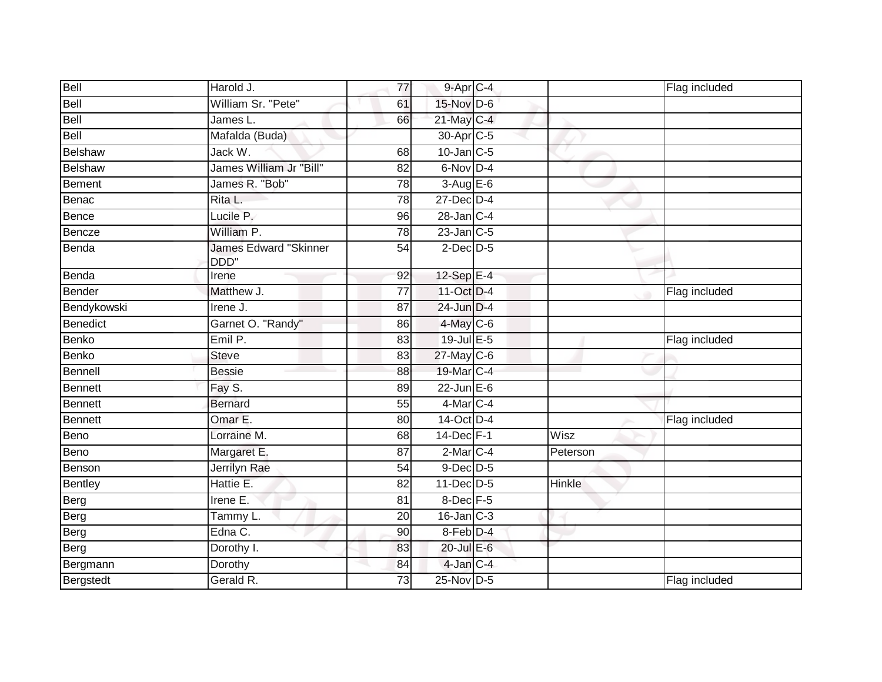| Bell           | Harold J.                     | 77              | 9-Apr C-4              |               | Flag included |
|----------------|-------------------------------|-----------------|------------------------|---------------|---------------|
| Bell           | William Sr. "Pete"            | 61              | 15-Nov D-6             |               |               |
| Bell           | James L.                      | 66              | 21-May C-4             |               |               |
| Bell           | Mafalda (Buda)                |                 | 30-Apr <sub>IC-5</sub> |               |               |
| Belshaw        | Jack W.                       | 68              | $10$ -Jan $C-5$        |               |               |
| Belshaw        | James William Jr "Bill"       | 82              | 6-Nov D-4              |               |               |
| Bement         | James R. "Bob"                | 78              | $3-Aug$ $E-6$          |               |               |
| Benac          | Rita L.                       | 78              | $27$ -Dec $D-4$        |               |               |
| Bence          | Lucile P.                     | 96              | $28$ -Jan $ C-4 $      |               |               |
| Bencze         | William P.                    | 78              | $23$ -Jan $C-5$        |               |               |
| Benda          | James Edward "Skinner<br>DDD" | 54              | $2$ -Dec $D-5$         |               |               |
| Benda          | Irene                         | 92              | 12-Sep E-4             |               |               |
| Bender         | Matthew J.                    | $\overline{77}$ | 11-Oct D-4             |               | Flag included |
| Bendykowski    | Irene J.                      | 87              | 24-Jun D-4             |               |               |
| Benedict       | Garnet O. "Randy"             | 86              | 4-May C-6              |               |               |
| Benko          | Emil P.                       | 83              | 19-Jul E-5             |               | Flag included |
| Benko          | <b>Steve</b>                  | 83              | 27-May C-6             |               |               |
| Bennell        | <b>Bessie</b>                 | 88              | 19-Mar C-4             |               |               |
| Bennett        | Fay S.                        | 89              | 22-Jun E-6             |               |               |
| Bennett        | <b>Bernard</b>                | 55              | 4-Mar C-4              |               |               |
| Bennett        | Omar E.                       | 80              | 14-Oct D-4             |               | Flag included |
| Beno           | Lorraine M.                   | 68              | 14-Dec F-1             | Wisz          |               |
| Beno           | Margaret E.                   | 87              | $2$ -Mar $C-4$         | Peterson      |               |
| Benson         | Jerrilyn Rae                  | 54              | 9-Dec D-5              |               |               |
| <b>Bentley</b> | Hattie E.                     | $\overline{82}$ | $11$ -Dec $D-5$        | <b>Hinkle</b> |               |
| Berg           | Irene E.                      | 81              | 8-Dec F-5              |               |               |
| Berg           | Tammy L.                      | 20              | $16$ -Jan $C-3$        |               |               |
| Berg           | Edna C.                       | 90              | 8-Feb D-4              |               |               |
| Berg           | Dorothy I.                    | 83              | 20-Jul E-6             |               |               |
| Bergmann       | Dorothy                       | 84              | 4-Jan C-4              |               |               |
| Bergstedt      | Gerald R.                     | 73              | 25-Nov D-5             |               | Flag included |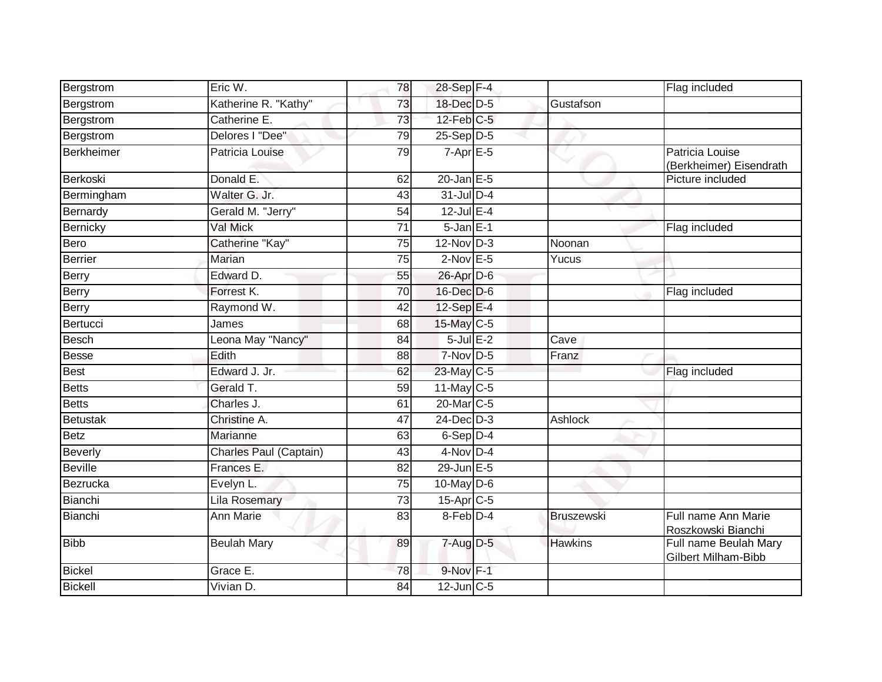| Bergstrom       | Eric W.                | 78              | 28-Sep F-4       |                   | Flag included                                |
|-----------------|------------------------|-----------------|------------------|-------------------|----------------------------------------------|
| Bergstrom       | Katherine R. "Kathy"   | 73              | 18-Dec D-5       | Gustafson         |                                              |
| Bergstrom       | Catherine E.           | 73              | $12$ -Feb $C-5$  |                   |                                              |
| Bergstrom       | Delores I "Dee"        | 79              | 25-Sep D-5       |                   |                                              |
| Berkheimer      | Patricia Louise        | 79              | $7-AprE-5$       |                   | Patricia Louise<br>(Berkheimer) Eisendrath   |
| Berkoski        | Donald E.              | 62              | $20$ -Jan $E-5$  |                   | Picture included                             |
| Bermingham      | Walter G. Jr.          | 43              | $31$ -Jul D-4    |                   |                                              |
| Bernardy        | Gerald M. "Jerry"      | 54              | $12$ -Jul E-4    |                   |                                              |
| Bernicky        | Val Mick               | 71              | $5 - Jan$ E-1    |                   | Flag included                                |
| Bero            | Catherine "Kay"        | 75              | $12$ -Nov $D-3$  | Noonan            |                                              |
| Berrier         | Marian                 | 75              | $2$ -Nov $E - 5$ | Yucus             |                                              |
| <b>Berry</b>    | Edward D.              | 55              | 26-Apr D-6       |                   |                                              |
| Berry           | Forrest K.             | $\overline{70}$ | 16-Dec D-6       |                   | Flag included                                |
| <b>Berry</b>    | Raymond W.             | 42              | $12-SepE-4$      |                   |                                              |
| Bertucci        | James                  | 68              | 15-May C-5       |                   |                                              |
| <b>Besch</b>    | Leona May "Nancy"      | 84              | $5$ -Jul $E-2$   | Cave              |                                              |
| Besse           | Edith                  | 88              | $7-Nov$ D-5      | Franz             |                                              |
| <b>Best</b>     | Edward J. Jr.          | 62              | $23$ -May C-5    |                   | Flag included                                |
| <b>Betts</b>    | Gerald T.              | $\overline{59}$ | 11-May C-5       |                   |                                              |
| <b>Betts</b>    | Charles J.             | 61              | 20-Mar C-5       |                   |                                              |
| <b>Betustak</b> | Christine A.           | 47              | $24$ -Dec $D-3$  | Ashlock           |                                              |
| <b>Betz</b>     | Marianne               | 63              | $6-Sep$ D-4      |                   |                                              |
| <b>Beverly</b>  | Charles Paul (Captain) | 43              | $4$ -Nov D-4     |                   |                                              |
| <b>Beville</b>  | Frances E.             | 82              | 29-Jun E-5       |                   |                                              |
| Bezrucka        | Evelyn L.              | $\overline{75}$ | $10$ -May $D-6$  |                   |                                              |
| Bianchi         | <b>Lila Rosemary</b>   | 73              | $15-AprC-5$      |                   |                                              |
| Bianchi         | <b>Ann Marie</b>       | $\overline{83}$ | $8$ -Feb $D-4$   | <b>Bruszewski</b> | Full name Ann Marie<br>Roszkowski Bianchi    |
| <b>Bibb</b>     | <b>Beulah Mary</b>     | 89              | $7 - Aug$ $D-5$  | <b>Hawkins</b>    | Full name Beulah Mary<br>Gilbert Milham-Bibb |
| <b>Bickel</b>   | Grace E.               | 78              | $9-Nov$ F-1      |                   |                                              |
| <b>Bickell</b>  | Vivian D.              | $\overline{84}$ | $12$ -Jun $C-5$  |                   |                                              |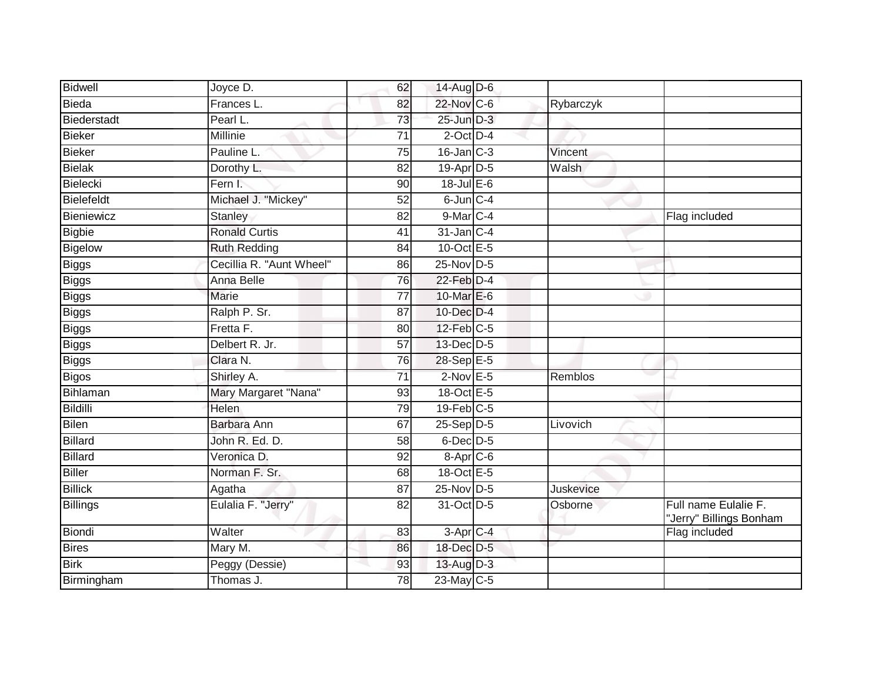| Bidwell         | Joyce D.                 | 62              | 14-Aug D-6             |           |                                                 |
|-----------------|--------------------------|-----------------|------------------------|-----------|-------------------------------------------------|
| Bieda           | Frances L.               | 82              | 22-Nov C-6             | Rybarczyk |                                                 |
| Biederstadt     | Pearl L.                 | 73              | $25$ -Jun $D-3$        |           |                                                 |
| <b>Bieker</b>   | Millinie                 | 71              | $2$ -Oct $D-4$         |           |                                                 |
| Bieker          | Pauline L.               | $\overline{75}$ | $16$ -Jan $C-3$        | Vincent   |                                                 |
| Bielak          | Dorothy L.               | 82              | 19-Apr D-5             | Walsh     |                                                 |
| <b>Bielecki</b> | Fern I.                  | 90              | $18$ -Jul $E$ -6       |           |                                                 |
| Bielefeldt      | Michael J. "Mickey"      | 52              | 6-Jun C-4              |           |                                                 |
| Bieniewicz      | Stanley                  | 82              | 9-Mar C-4              |           | Flag included                                   |
| <b>Bigbie</b>   | <b>Ronald Curtis</b>     | 41              | 31-Jan C-4             |           |                                                 |
| Bigelow         | <b>Ruth Redding</b>      | 84              | 10-Oct $E-5$           |           |                                                 |
| Biggs           | Cecillia R. "Aunt Wheel" | 86              | 25-Nov D-5             |           |                                                 |
| <b>Biggs</b>    | Anna Belle               | 76              | $22$ -Feb $D-4$        |           |                                                 |
| Biggs           | <b>Marie</b>             | $\overline{77}$ | 10-Mar E-6             |           |                                                 |
| <b>Biggs</b>    | Ralph P. Sr.             | 87              | 10-Dec D-4             |           |                                                 |
| Biggs           | Fretta F.                | 80              | $12$ -Feb $C-5$        |           |                                                 |
| Biggs           | Delbert R. Jr.           | $\overline{57}$ | 13-Dec D-5             |           |                                                 |
| <b>Biggs</b>    | Clara N.                 | 76              | 28-Sep E-5             |           |                                                 |
| Bigos           | Shirley A.               | 71              | $2$ -Nov $E - 5$       | Remblos   |                                                 |
| Bihlaman        | Mary Margaret "Nana"     | 93              | 18-Oct E-5             |           |                                                 |
| <b>Bildilli</b> | <b>Helen</b>             | 79              | $19$ -Feb $C-5$        |           |                                                 |
| <b>Bilen</b>    | Barbara Ann              | 67              | $25-Sep$ $D-5$         | Livovich  |                                                 |
| <b>Billard</b>  | John R. Ed. D.           | 58              | $6$ -Dec $D$ -5        |           |                                                 |
| <b>Billard</b>  | Veronica D.              | 92              | 8-Apr C-6              |           |                                                 |
| <b>Biller</b>   | Norman F. Sr.            | 68              | 18-Oct E-5             |           |                                                 |
| <b>Billick</b>  | Agatha                   | 87              | 25-Nov D-5             | Juskevice |                                                 |
| <b>Billings</b> | Eulalia F. "Jerry"       | 82              | 31-Oct D-5             | Osborne   | Full name Eulalie F.<br>"Jerry" Billings Bonham |
| Biondi          | Walter                   | 83              | $3-Apr$ <sub>C-4</sub> |           | Flag included                                   |
| <b>Bires</b>    | Mary M.                  | 86              | 18-Dec D-5             |           |                                                 |
| <b>Birk</b>     | Peggy (Dessie)           | 93              | 13-Aug D-3             |           |                                                 |
| Birmingham      | Thomas J.                | 78              | 23-May C-5             |           |                                                 |
|                 |                          |                 |                        |           |                                                 |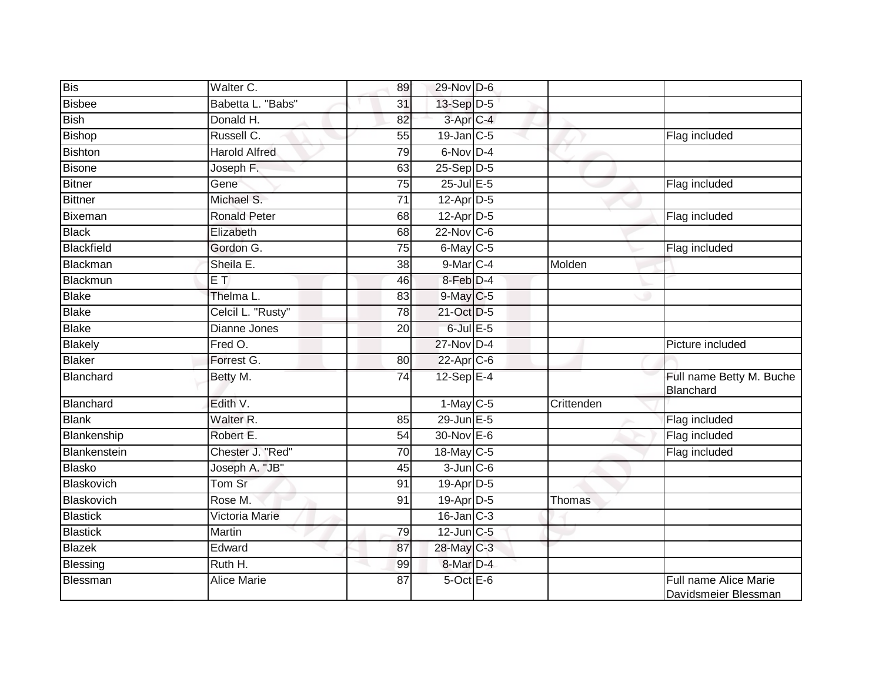| <b>Bis</b>      | Walter C.             | 89              | 29-Nov D-6            |            |                                               |
|-----------------|-----------------------|-----------------|-----------------------|------------|-----------------------------------------------|
| Bisbee          | Babetta L. "Babs"     | 31              | $13-Sep$ D-5          |            |                                               |
| <b>Bish</b>     | Donald H.             | 82              | 3-Apr <sub>IC-4</sub> |            |                                               |
| Bishop          | Russell C.            | 55              | $19$ -Jan C-5         |            | Flag included                                 |
| <b>Bishton</b>  | <b>Harold Alfred</b>  | 79              | 6-Nov D-4             |            |                                               |
| <b>Bisone</b>   | Joseph F.             | 63              | $25-Sep$ $D-5$        |            |                                               |
| Bitner          | Gene                  | 75              | $25$ -Jul E-5         |            | Flag included                                 |
| <b>Bittner</b>  | Michael S.            | 71              | $12$ -Apr $D-5$       |            |                                               |
| Bixeman         | <b>Ronald Peter</b>   | 68              | $12$ -Apr $D-5$       |            | Flag included                                 |
| <b>Black</b>    | Elizabeth             | 68              | $22$ -Nov C-6         |            |                                               |
| Blackfield      | Gordon G.             | 75              | $6$ -May $C$ -5       |            | Flag included                                 |
| Blackman        | Sheila E.             | 38              | $9$ -Mar $C-4$        | Molden     |                                               |
| Blackmun        | $E$ T                 | 46              | 8-Feb D-4             |            |                                               |
| Blake           | Thelma L.             | 83              | $9$ -May $C$ -5       |            |                                               |
| <b>Blake</b>    | Celcil L. "Rusty"     | $\overline{78}$ | 21-Oct D-5            |            |                                               |
| <b>Blake</b>    | Dianne Jones          | 20              | $6$ -Jul $E$ -5       |            |                                               |
| Blakely         | Fred O.               |                 | 27-Nov D-4            |            | Picture included                              |
| <b>Blaker</b>   | Forrest G.            | 80              | $22$ -Apr $C$ -6      |            |                                               |
| Blanchard       | Betty M.              | 74              | 12-Sep E-4            |            | Full name Betty M. Buche<br>Blanchard         |
| Blanchard       | Edith V.              |                 | $1-May$ C-5           | Crittenden |                                               |
| <b>Blank</b>    | Walter R.             | 85              | 29-Jun E-5            |            | Flag included                                 |
| Blankenship     | Robert E.             | 54              | 30-Nov E-6            |            | Flag included                                 |
| Blankenstein    | Chester J. "Red"      | 70              | 18-May C-5            |            | Flag included                                 |
| <b>Blasko</b>   | Joseph A. "JB"        | 45              | $3$ -Jun $C$ -6       |            |                                               |
| Blaskovich      | Tom Sr                | 91              | 19-Apr D-5            |            |                                               |
| Blaskovich      | Rose M.               | 91              | $19$ -Apr $D-5$       | Thomas     |                                               |
| <b>Blastick</b> | <b>Victoria Marie</b> |                 | $16$ -Jan $C-3$       |            |                                               |
| <b>Blastick</b> | Martin                | 79              | 12-Jun C-5            |            |                                               |
| Blazek          | Edward                | 87              | 28-May C-3            |            |                                               |
| Blessing        | Ruth H.               | 99              | 8-Mar D-4             |            |                                               |
| Blessman        | <b>Alice Marie</b>    | 87              | 5-Oct E-6             |            | Full name Alice Marie<br>Davidsmeier Blessman |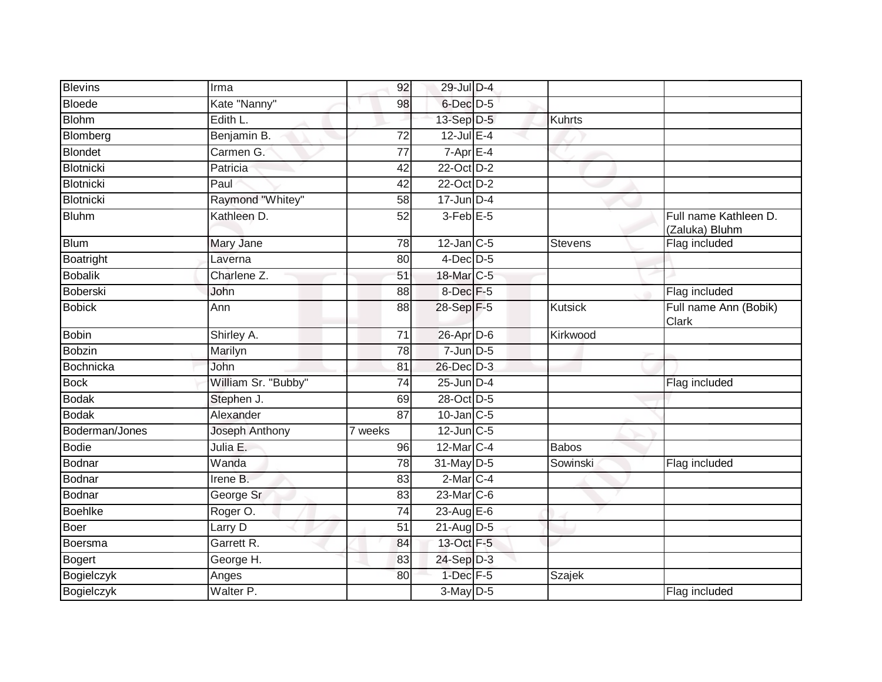| <b>Blevins</b>   | Irma                   | 92              | 29-Jul D-4           |                |                                         |
|------------------|------------------------|-----------------|----------------------|----------------|-----------------------------------------|
| <b>Bloede</b>    | Kate "Nanny"           | 98              | $6$ -Dec $D$ -5      |                |                                         |
| <b>Blohm</b>     | Edith L.               |                 | 13-Sep D-5           | <b>Kuhrts</b>  |                                         |
| Blomberg         | Benjamin B.            | 72              | $12$ -Jul E-4        |                |                                         |
| <b>Blondet</b>   | Carmen G.              | $\overline{77}$ | $7 - AprE - 4$       |                |                                         |
| <b>Blotnicki</b> | Patricia               | 42              | 22-Oct D-2           |                |                                         |
| <b>Blotnicki</b> | Paul                   | 42              | 22-Oct D-2           |                |                                         |
| <b>Blotnicki</b> | Raymond "Whitey"       | 58              | $17$ -Jun D-4        |                |                                         |
| <b>Bluhm</b>     | Kathleen D.            | 52              | 3-Feb <sup>E-5</sup> |                | Full name Kathleen D.<br>(Zaluka) Bluhm |
| <b>Blum</b>      | Mary Jane              | 78              | $12$ -Jan C-5        | <b>Stevens</b> | Flag included                           |
| Boatright        | Laverna                | 80              | $4$ -Dec $D$ -5      |                |                                         |
| <b>Bobalik</b>   | Charlene <sub>Z.</sub> | 51              | 18-Mar C-5           |                |                                         |
| <b>Boberski</b>  | John                   | 88              | 8-Dec <sup>F-5</sup> |                | Flag included                           |
| <b>Bobick</b>    | Ann                    | 88              | 28-Sep F-5           | <b>Kutsick</b> | Full name Ann (Bobik)<br>Clark          |
| <b>Bobin</b>     | Shirley A.             | 71              | $26$ -Apr $D-6$      | Kirkwood       |                                         |
| <b>Bobzin</b>    | Marilyn                | 78              | $7$ -Jun $D-5$       |                |                                         |
| <b>Bochnicka</b> | John                   | 81              | 26-Dec D-3           |                |                                         |
| <b>Bock</b>      | William Sr. "Bubby"    | 74              | $25$ -Jun $D-4$      |                | Flag included                           |
| <b>Bodak</b>     | Stephen J.             | 69              | 28-Oct D-5           |                |                                         |
| <b>Bodak</b>     | Alexander              | $\overline{87}$ | $10$ -Jan $C-5$      |                |                                         |
| Boderman/Jones   | Joseph Anthony         | 7 weeks         | $12$ -Jun $C-5$      |                |                                         |
| <b>Bodie</b>     | Julia E.               | 96              | 12-Mar C-4           | <b>Babos</b>   |                                         |
| Bodnar           | Wanda                  | 78              | 31-May D-5           | Sowinski       | Flag included                           |
| <b>Bodnar</b>    | Irene B.               | 83              | $2-MarC-4$           |                |                                         |
| <b>Bodnar</b>    | George Sr              | 83              | 23-Mar C-6           |                |                                         |
| <b>Boehlke</b>   | Roger O.               | 74              | 23-Aug E-6           |                |                                         |
| <b>Boer</b>      | Larry D                | $\overline{51}$ | 21-Aug D-5           |                |                                         |
| Boersma          | Garrett R.             | 84              | 13-Oct F-5           |                |                                         |
| <b>Bogert</b>    | George H.              | 83              | 24-Sep D-3           |                |                                         |
| Bogielczyk       | Anges                  | 80              | $1$ -Dec $F-5$       | Szajek         |                                         |
| Bogielczyk       | Walter <sub>P.</sub>   |                 | $3$ -May $D-5$       |                | Flag included                           |
|                  |                        |                 |                      |                |                                         |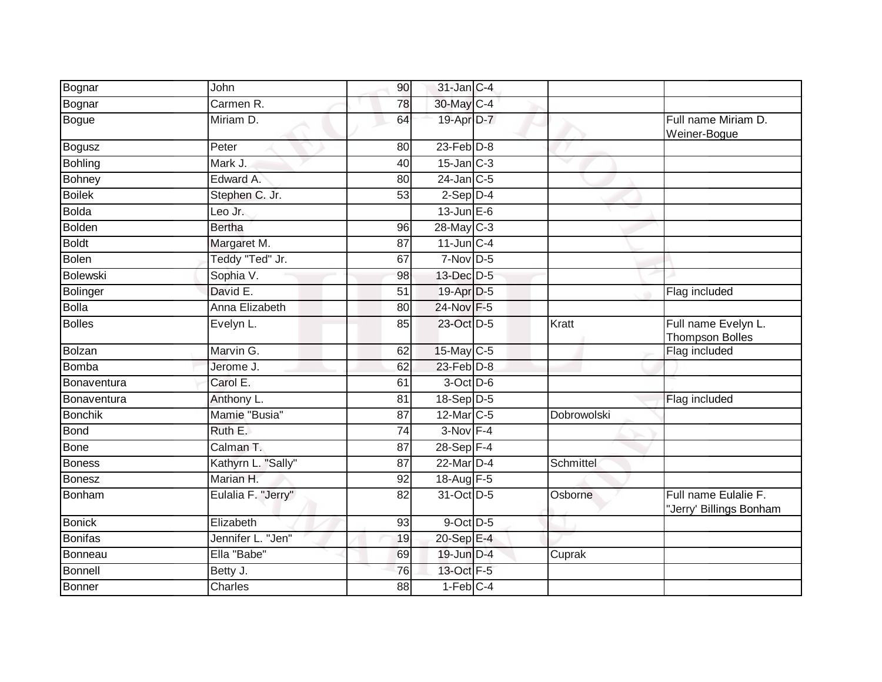| Bognar          | John               | 90              | 31-Jan C-4             |             |                                                 |
|-----------------|--------------------|-----------------|------------------------|-------------|-------------------------------------------------|
| Bognar          | Carmen R.          | 78              | 30-May C-4             |             |                                                 |
| <b>Bogue</b>    | Miriam D.          | 64              | 19-Apr D-7             |             | Full name Miriam D.<br>Weiner-Bogue             |
| <b>Bogusz</b>   | Peter              | 80              | $23$ -Feb $D-8$        |             |                                                 |
| <b>Bohling</b>  | Mark J.            | 40              | $15$ -Jan $C-3$        |             |                                                 |
| Bohney          | Edward A.          | 80              | $24$ -Jan C-5          |             |                                                 |
| <b>Boilek</b>   | Stephen C. Jr.     | 53              | $2-Sep$ $D-4$          |             |                                                 |
| <b>Bolda</b>    | Leo Jr.            |                 | $13$ -Jun $E-6$        |             |                                                 |
| <b>Bolden</b>   | <b>Bertha</b>      | 96              | 28-May C-3             |             |                                                 |
| <b>Boldt</b>    | Margaret M.        | 87              | $11$ -Jun $C-4$        |             |                                                 |
| <b>Bolen</b>    | Teddy "Ted" Jr.    | 67              | $7-Nov$ D-5            |             |                                                 |
| <b>Bolewski</b> | Sophia V.          | 98              | 13-Dec D-5             |             |                                                 |
| Bolinger        | David E.           | $\overline{51}$ | 19-Apr D-5             |             | Flag included                                   |
| <b>Bolla</b>    | Anna Elizabeth     | 80              | 24-Nov F-5             |             |                                                 |
| <b>Bolles</b>   | Evelyn L.          | 85              | 23-Oct D-5             | Kratt       | Full name Evelyn L.<br><b>Thompson Bolles</b>   |
| Bolzan          | Marvin G.          | 62              | $15$ -May C-5          |             | Flag included                                   |
| <b>Bomba</b>    | Jerome J.          | 62              | $23$ -Feb $D-8$        |             |                                                 |
| Bonaventura     | Carol E.           | 61              | 3-Oct D-6              |             |                                                 |
| Bonaventura     | Anthony L.         | 81              | $18-Sep D-5$           |             | Flag included                                   |
| <b>Bonchik</b>  | Mamie "Busia"      | $\overline{87}$ | 12-Mar C-5             | Dobrowolski |                                                 |
| <b>Bond</b>     | Ruth E.            | 74              | $3-Nov$ F-4            |             |                                                 |
| <b>Bone</b>     | Calman T.          | 87              | $28 - Sep$ F-4         |             |                                                 |
| <b>Boness</b>   | Kathyrn L. "Sally" | 87              | 22-Mar D-4             | Schmittel   |                                                 |
| <b>Bonesz</b>   | Marian H.          | 92              | 18-Aug F-5             |             |                                                 |
| Bonham          | Eulalia F. "Jerry" | $\overline{82}$ | 31-Oct D-5             | Osborne     | Full name Eulalie F.<br>"Jerry' Billings Bonham |
| <b>Bonick</b>   | Elizabeth          | 93              | 9-Oct D-5              |             |                                                 |
| <b>Bonifas</b>  | Jennifer L. "Jen"  | 19              | 20-Sep E-4             |             |                                                 |
| Bonneau         | Ella "Babe"        | 69              | 19-Jun D-4             | Cuprak      |                                                 |
| <b>Bonnell</b>  | Betty J.           | 76              | 13-Oct F-5             |             |                                                 |
| <b>Bonner</b>   | <b>Charles</b>     | $\overline{88}$ | $1-Feb$ <sub>C-4</sub> |             |                                                 |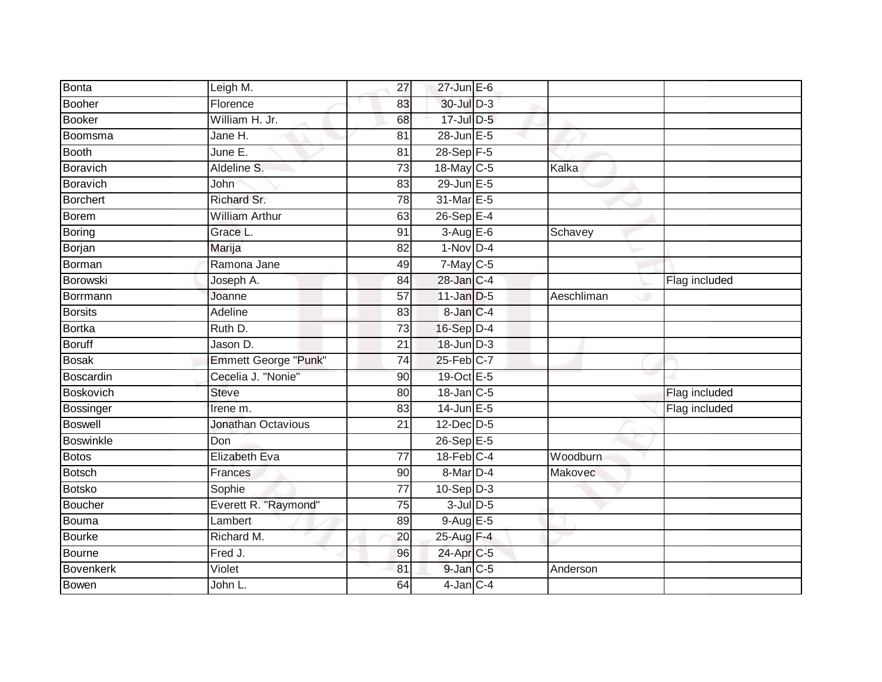| <b>Bonta</b>     | Leigh M.                    | 27              | $27$ -Jun $E-6$      |            |               |
|------------------|-----------------------------|-----------------|----------------------|------------|---------------|
| Booher           | Florence                    | 83              | 30-Jul D-3           |            |               |
| Booker           | William H. Jr.              | 68              | 17-Jul D-5           |            |               |
| Boomsma          | Jane H.                     | 81              | 28-Jun E-5           |            |               |
| <b>Booth</b>     | June E.                     | $\overline{81}$ | 28-Sep F-5           |            |               |
| Boravich         | Aldeline S.                 | 73              | 18-May C-5           | Kalka      |               |
| Boravich         | John                        | 83              | 29-Jun E-5           |            |               |
| Borchert         | Richard Sr.                 | 78              | 31-Mar E-5           |            |               |
| Borem            | <b>William Arthur</b>       | 63              | 26-Sep E-4           |            |               |
| Boring           | Grace L.                    | 91              | $3-Aug$ E-6          | Schavey    |               |
| Borjan           | Marija                      | 82              | $1-Nov$ D-4          |            |               |
| Borman           | Ramona Jane                 | 49              | $7$ -May $C$ -5      |            |               |
| Borowski         | Joseph A.                   | 84              | 28-Jan C-4           |            | Flag included |
| Borrmann         | Joanne                      | 57              | $11$ -Jan D-5        | Aeschliman |               |
| <b>Borsits</b>   | Adeline                     | 83              | 8-Jan C-4            |            |               |
| Bortka           | Ruth D.                     | 73              | $16-Sep$ D-4         |            |               |
| <b>Boruff</b>    | Jason D.                    | $\overline{21}$ | 18-Jun D-3           |            |               |
| <b>Bosak</b>     | <b>Emmett George "Punk"</b> | $\overline{74}$ | 25-Feb C-7           |            |               |
| Boscardin        | Cecelia J. "Nonie"          | 90              | 19-Oct E-5           |            |               |
| <b>Boskovich</b> | <b>Steve</b>                | 80              | 18-Jan C-5           |            | Flag included |
| Bossinger        | Irene m.                    | 83              | $14$ -Jun $E - 5$    |            | Flag included |
| <b>Boswell</b>   | Jonathan Octavious          | $\overline{21}$ | $12$ -Dec $D-5$      |            |               |
| Boswinkle        | Don                         |                 | 26-Sep E-5           |            |               |
| Botos            | <b>Elizabeth Eva</b>        | $\overline{77}$ | $18$ -Feb $C-4$      | Woodburn   |               |
| <b>Botsch</b>    | Frances                     | 90              | 8-Mar <sub>D-4</sub> | Makovec    |               |
| <b>Botsko</b>    | Sophie                      | 77              | $10-Sep$ D-3         |            |               |
| Boucher          | Everett R. "Raymond"        | 75              | $3$ -Jul $D$ -5      |            |               |
| Bouma            | Lambert                     | 89              | $9-AugE-5$           |            |               |
| Bourke           | Richard M.                  | 20              | 25-Aug F-4           |            |               |
| Bourne           | Fred J.                     | 96              | 24-Apr C-5           |            |               |
| Bovenkerk        | Violet                      | 81              | 9-Jan C-5            | Anderson   |               |
| <b>Bowen</b>     | John L.                     | 64              | $4$ -Jan $C$ -4      |            |               |
|                  |                             |                 |                      |            |               |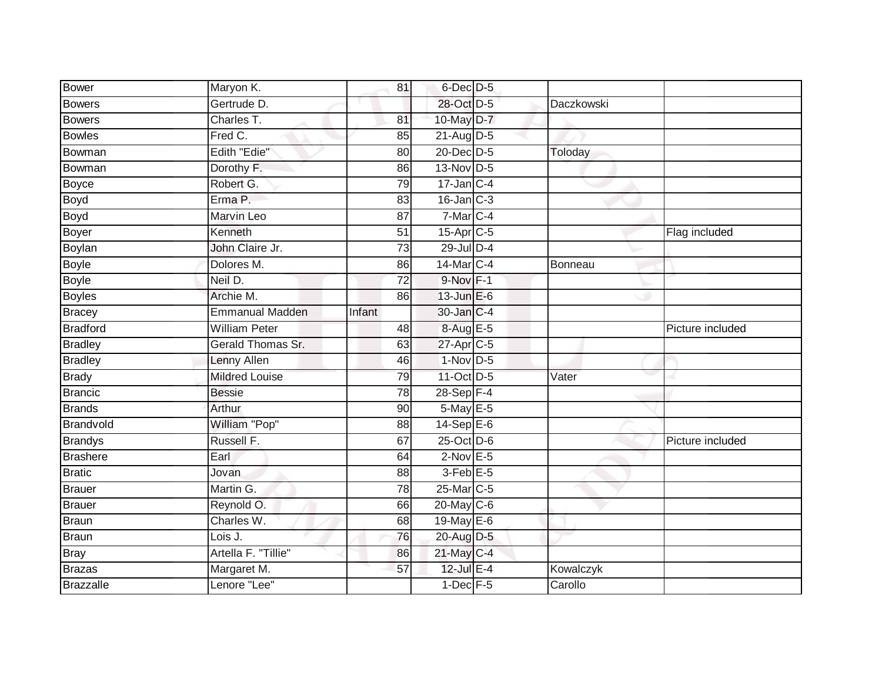| <b>Bower</b>     | Maryon K.              | 81              | $6$ -Dec $D-5$   |            |                  |
|------------------|------------------------|-----------------|------------------|------------|------------------|
| <b>Bowers</b>    | Gertrude D.            |                 | 28-Oct D-5       | Daczkowski |                  |
| <b>Bowers</b>    | Charles T.             | 81              | 10-May D-7       |            |                  |
| <b>Bowles</b>    | Fred C.                | 85              | $21$ -Aug $D-5$  |            |                  |
| Bowman           | Edith "Edie"           | $\overline{80}$ | 20-Dec D-5       | Toloday    |                  |
| Bowman           | Dorothy F.             | 86              | 13-Nov D-5       |            |                  |
| <b>Boyce</b>     | Robert G.              | 79              | $17$ -Jan $ C-4$ |            |                  |
| <b>Boyd</b>      | Erma P.                | 83              | $16$ -Jan $C-3$  |            |                  |
| <b>Boyd</b>      | Marvin Leo             | 87              | $7-Mar$ C-4      |            |                  |
| Boyer            | Kenneth                | $\overline{51}$ | $15$ -Apr $C$ -5 |            | Flag included    |
| Boylan           | John Claire Jr.        | 73              | 29-Jul D-4       |            |                  |
| <b>Boyle</b>     | Dolores M.             | 86              | 14-Mar C-4       | Bonneau    |                  |
| <b>Boyle</b>     | Neil D.                | 72              | $9-Nov$ F-1      |            |                  |
| <b>Boyles</b>    | Archie M.              | 86              | $13$ -Jun $E-6$  |            |                  |
| <b>Bracey</b>    | <b>Emmanual Madden</b> | Infant          | 30-Jan C-4       |            |                  |
| <b>Bradford</b>  | <b>William Peter</b>   | 48              | 8-Aug E-5        |            | Picture included |
| <b>Bradley</b>   | Gerald Thomas Sr.      | 63              | 27-Apr C-5       |            |                  |
| <b>Bradley</b>   | Lenny Allen            | 46              | $1-Nov$ D-5      |            |                  |
| <b>Brady</b>     | <b>Mildred Louise</b>  | 79              | 11-Oct D-5       | Vater      |                  |
| <b>Brancic</b>   | <b>Bessie</b>          | 78              | 28-Sep F-4       |            |                  |
| <b>Brands</b>    | Arthur                 | 90              | 5-May E-5        |            |                  |
| Brandvold        | William "Pop"          | 88              | $14-Sep$ E-6     |            |                  |
| <b>Brandys</b>   | Russell F.             | 67              | 25-Oct D-6       |            | Picture included |
| <b>Brashere</b>  | Earl                   | 64              | $2$ -Nov E-5     |            |                  |
| <b>Bratic</b>    | Jovan                  | 88              | $3$ -Feb $E$ -5  |            |                  |
| <b>Brauer</b>    | Martin G.              | 78              | 25-Mar C-5       |            |                  |
| <b>Brauer</b>    | Reynold O.             | 66              | 20-May C-6       |            |                  |
| <b>Braun</b>     | Charles W.             | 68              | 19-May E-6       |            |                  |
| <b>Braun</b>     | Lois J.                | 76              | 20-Aug D-5       |            |                  |
| <b>Bray</b>      | Artella F. "Tillie"    | 86              | 21-May C-4       |            |                  |
| <b>Brazas</b>    | Margaret M.            | 57              | 12-Jul E-4       | Kowalczyk  |                  |
| <b>Brazzalle</b> | Lenore "Lee"           |                 | $1$ -Dec $F - 5$ | Carollo    |                  |
|                  |                        |                 |                  |            |                  |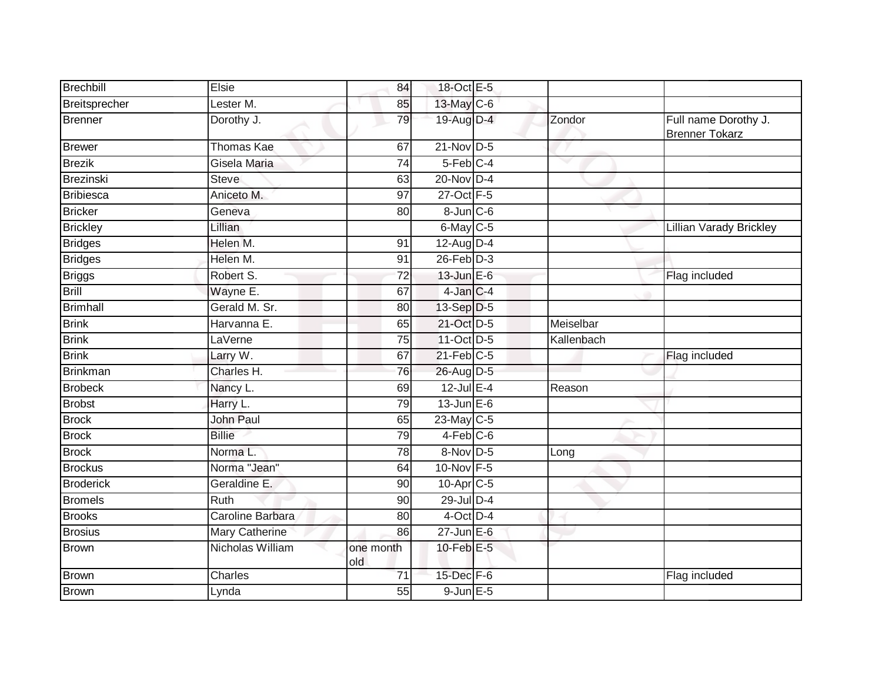| Brechbill        | Elsie             | 84               | 18-Oct E-5             |              |                                               |
|------------------|-------------------|------------------|------------------------|--------------|-----------------------------------------------|
| Breitsprecher    | Lester M.         | 85               | 13-May C-6             |              |                                               |
| Brenner          | Dorothy J.        | 79               | 19-Aug D-4             | Zondor       | Full name Dorothy J.<br><b>Brenner Tokarz</b> |
| <b>Brewer</b>    | <b>Thomas Kae</b> | 67               | $21$ -Nov D-5          |              |                                               |
| <b>Brezik</b>    | Gisela Maria      | $\overline{74}$  | 5-Feb C-4              | $\checkmark$ |                                               |
| <b>Brezinski</b> | Steve             | 63               | 20-Nov D-4             |              |                                               |
| <b>Bribiesca</b> | Aniceto M.        | 97               | 27-Oct F-5             |              |                                               |
| <b>Bricker</b>   | Geneva            | 80               | $8 - Jun$ $C - 6$      |              |                                               |
| <b>Brickley</b>  | Lillian           |                  | $6$ -May $C$ -5        |              | Lillian Varady Brickley                       |
| <b>Bridges</b>   | Helen M.          | 91               | 12-Aug D-4             |              |                                               |
| <b>Bridges</b>   | Helen M.          | 91               | $26$ -Feb $D-3$        |              |                                               |
| <b>Briggs</b>    | Robert S.         | 72               | 13-Jun E-6             |              | Flag included                                 |
| <b>Brill</b>     | Wayne E.          | 67               | 4-Jan C-4              |              |                                               |
| <b>Brimhall</b>  | Gerald M. Sr.     | 80               | 13-Sep D-5             |              |                                               |
| <b>Brink</b>     | Harvanna E.       | 65               | 21-Oct D-5             | Meiselbar    |                                               |
| <b>Brink</b>     | LaVerne           | 75               | 11-Oct D-5             | Kallenbach   |                                               |
| <b>Brink</b>     | Larry W.          | 67               | $21$ -Feb $C-5$        |              | Flag included                                 |
| Brinkman         | Charles H.        | 76               | 26-Aug D-5             |              |                                               |
| <b>Brobeck</b>   | Nancy L.          | 69               | $12$ -Jul E-4          | Reason       |                                               |
| <b>Brobst</b>    | Harry L.          | 79               | $13$ -Jun $E-6$        |              |                                               |
| <b>Brock</b>     | John Paul         | 65               | 23-May C-5             |              |                                               |
| <b>Brock</b>     | <b>Billie</b>     | 79               | $4-Feb$ $C-6$          |              |                                               |
| <b>Brock</b>     | Norma L.          | 78               | 8-Nov D-5              | Long         |                                               |
| <b>Brockus</b>   | Norma "Jean"      | 64               | 10-Nov F-5             |              |                                               |
| <b>Broderick</b> | Geraldine E.      | 90               | 10-Apr <sub>IC-5</sub> |              |                                               |
| <b>Bromels</b>   | Ruth              | 90               | $29$ -Jul $D-4$        |              |                                               |
| <b>Brooks</b>    | Caroline Barbara  | $\overline{80}$  | 4-Oct D-4              |              |                                               |
| <b>Brosius</b>   | Mary Catherine    | 86               | $27$ -Jun $E-6$        |              |                                               |
| <b>Brown</b>     | Nicholas William  | one month<br>old | $10$ -Feb $E - 5$      |              |                                               |
| <b>Brown</b>     | Charles           | $\overline{71}$  | 15-Dec F-6             |              | Flag included                                 |
| <b>Brown</b>     | Lynda             | 55               | $9$ -Jun $E$ -5        |              |                                               |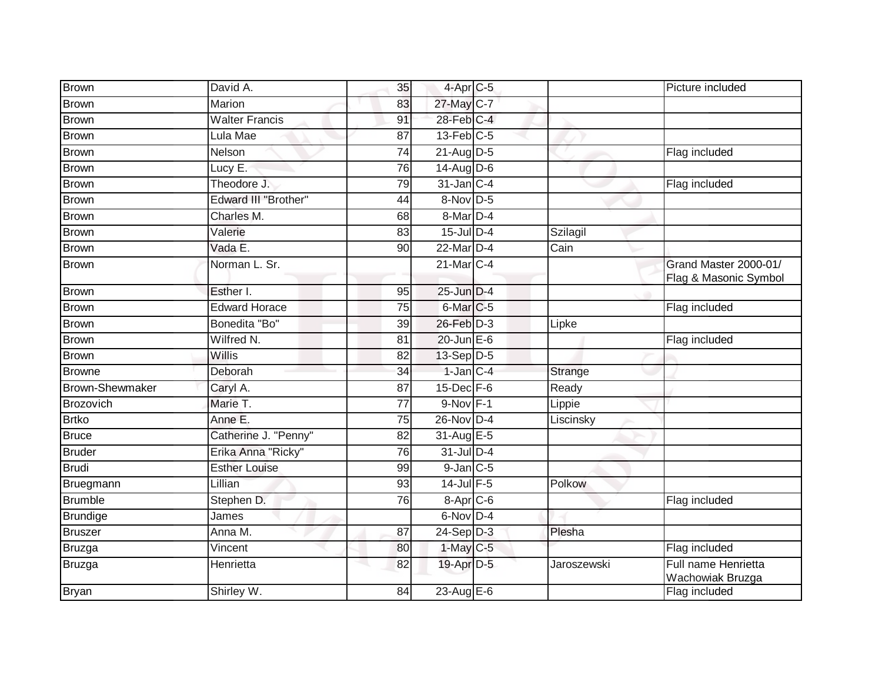| <b>Brown</b>    | David A.                    | 35              | $4$ -Apr $C$ -5        |             | Picture included                               |
|-----------------|-----------------------------|-----------------|------------------------|-------------|------------------------------------------------|
| <b>Brown</b>    | Marion                      | 83              | 27-May C-7             |             |                                                |
| <b>Brown</b>    | <b>Walter Francis</b>       | 91              | $28$ -Feb $C-4$        |             |                                                |
| Brown           | Lula Mae                    | 87              | $13$ -Feb $C-5$        |             |                                                |
| <b>Brown</b>    | Nelson                      | 74              | $21$ -Aug D-5          |             | Flag included                                  |
| <b>Brown</b>    | Lucy E.                     | $\overline{76}$ | 14-Aug D-6             |             |                                                |
| <b>Brown</b>    | Theodore J.                 | 79              | $31$ -Jan $C-4$        |             | Flag included                                  |
| <b>Brown</b>    | <b>Edward III "Brother"</b> | 44              | $8-Nov$ D-5            |             |                                                |
| <b>Brown</b>    | Charles M.                  | 68              | 8-Mar <sub>D-4</sub>   |             |                                                |
| <b>Brown</b>    | Valerie                     | 83              | $15$ -Jul $D-4$        | Szilagil    |                                                |
| Brown           | Vada E.                     | 90              | 22-Mar D-4             | Cain        |                                                |
| <b>Brown</b>    | Norman L. Sr.               |                 | $21$ -Mar $C-4$        |             | Grand Master 2000-01/<br>Flag & Masonic Symbol |
| <b>Brown</b>    | Esther I.                   | 95              | 25-Jun D-4             |             |                                                |
| <b>Brown</b>    | <b>Edward Horace</b>        | 75              | 6-Mar <sub>C-5</sub>   |             | Flag included                                  |
| <b>Brown</b>    | Bonedita "Bo"               | $\overline{39}$ | 26-Feb D-3             | Lipke       |                                                |
| <b>Brown</b>    | Wilfred N.                  | 81              | $20$ -Jun $E-6$        |             | Flag included                                  |
| <b>Brown</b>    | Willis                      | 82              | 13-Sep D-5             |             |                                                |
| <b>Browne</b>   | Deborah                     | 34              | $1$ -Jan $C-4$         | Strange     |                                                |
| Brown-Shewmaker | Caryl A.                    | 87              | $15$ -Dec $F-6$        | Ready       |                                                |
| Brozovich       | Marie T.                    | $\overline{77}$ | $9-Nov$ F-1            | Lippie      |                                                |
| <b>Brtko</b>    | Anne E.                     | 75              | 26-Nov D-4             | Liscinsky   |                                                |
| <b>Bruce</b>    | Catherine J. "Penny"        | 82              | 31-Aug E-5             |             |                                                |
| <b>Bruder</b>   | Erika Anna "Ricky"          | 76              | $31$ -Jul D-4          |             |                                                |
| Brudi           | <b>Esther Louise</b>        | 99              | $9$ -Jan $C$ -5        |             |                                                |
| Bruegmann       | Lillian                     | 93              | 14-Jul F-5             | Polkow      |                                                |
| <b>Brumble</b>  | Stephen D.                  | 76              | $8-Apr$ C-6            |             | Flag included                                  |
| Brundige        | James                       |                 | 6-Nov D-4              |             |                                                |
| Bruszer         | Anna M.                     | 87              | $24-Sep$ D-3           | Plesha      |                                                |
| Bruzga          | Vincent                     | 80              | $1-May$ <sub>C-5</sub> |             | Flag included                                  |
| Bruzga          | Henrietta                   | 82              | 19-Apr D-5             | Jaroszewski | Full name Henrietta<br>Wachowiak Bruzga        |
| <b>Bryan</b>    | Shirley W.                  | 84              | 23-Aug E-6             |             | Flag included                                  |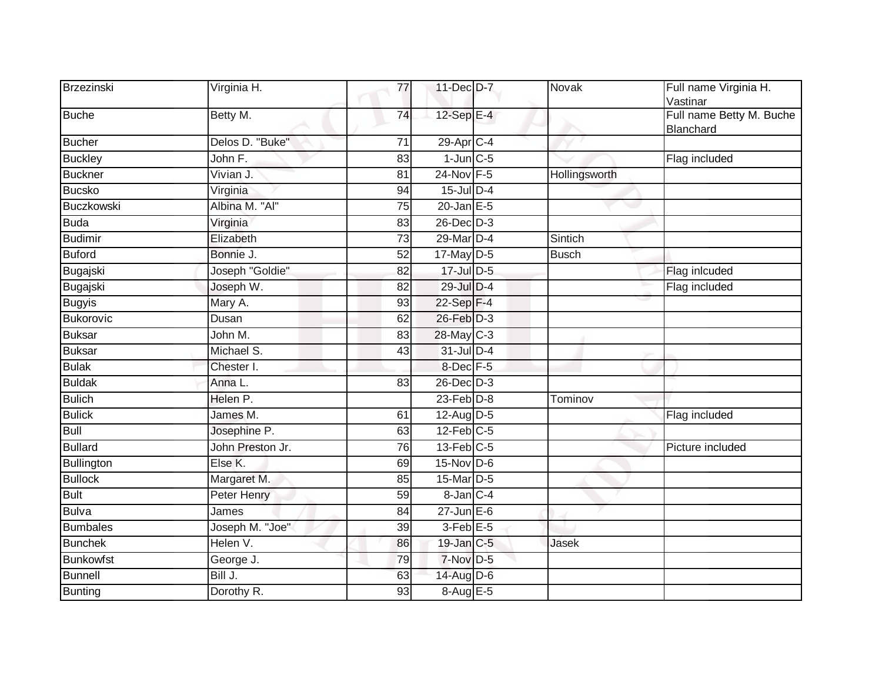| Brzezinski       | Virginia H.      | 77              | 11-Dec D-7      | Novak         | Full name Virginia H.<br>Vastinar     |
|------------------|------------------|-----------------|-----------------|---------------|---------------------------------------|
| <b>Buche</b>     | Betty M.         | 74              | 12-Sep E-4      |               | Full name Betty M. Buche<br>Blanchard |
| <b>Bucher</b>    | Delos D. "Buke"  | $\overline{71}$ | 29-Apr C-4      |               |                                       |
| <b>Buckley</b>   | John F.          | 83              | $1$ -Jun $C$ -5 |               | Flag included                         |
| <b>Buckner</b>   | Vivian J.        | 81              | 24-Nov F-5      | Hollingsworth |                                       |
| <b>Bucsko</b>    | Virginia         | 94              | 15-Jul D-4      |               |                                       |
| Buczkowski       | Albina M. "Al"   | 75              | 20-Jan $E-5$    |               |                                       |
| <b>Buda</b>      | Virginia         | 83              | $26$ -Dec $D-3$ |               |                                       |
| <b>Budimir</b>   | Elizabeth        | 73              | 29-Mar D-4      | Sintich       |                                       |
| <b>Buford</b>    | Bonnie J.        | 52              | $17$ -May $D-5$ | <b>Busch</b>  |                                       |
| Bugajski         | Joseph "Goldie"  | 82              | 17-Jul D-5      |               | Flag inlcuded                         |
| Bugajski         | Joseph W.        | 82              | 29-Jul D-4      |               | Flag included                         |
| <b>Bugyis</b>    | Mary A.          | 93              | 22-Sep F-4      |               |                                       |
| Bukorovic        | Dusan            | 62              | 26-Feb D-3      |               |                                       |
| <b>Buksar</b>    | John M.          | 83              | 28-May C-3      |               |                                       |
| <b>Buksar</b>    | Michael S.       | 43              | 31-Jul D-4      |               |                                       |
| <b>Bulak</b>     | Chester I.       |                 | 8-Dec F-5       |               |                                       |
| <b>Buldak</b>    | Anna L.          | $\overline{83}$ | $26$ -Dec $D-3$ |               |                                       |
| <b>Bulich</b>    | Helen P.         |                 | $23$ -Feb $D-8$ | Tominov       |                                       |
| <b>Bulick</b>    | James M.         | 61              | 12-Aug D-5      |               | Flag included                         |
| <b>Bull</b>      | Josephine P.     | 63              | $12$ -Feb $C-5$ |               |                                       |
| <b>Bullard</b>   | John Preston Jr. | 76              | $13$ -Feb $C-5$ |               | Picture included                      |
| Bullington       | Else K.          | 69              | $15-Nov$ D-6    |               |                                       |
| <b>Bullock</b>   | Margaret M.      | 85              | 15-Mar D-5      |               |                                       |
| <b>Bult</b>      | Peter Henry      | 59              | 8-Jan C-4       |               |                                       |
| <b>Bulva</b>     | James            | 84              | $27$ -Jun $E-6$ |               |                                       |
| <b>Bumbales</b>  | Joseph M. "Joe"  | 39              | $3$ -Feb $E$ -5 |               |                                       |
| <b>Bunchek</b>   | Helen V.         | 86              | $19$ -Jan $C-5$ | Jasek         |                                       |
| <b>Bunkowfst</b> | George J.        | 79              | $7-Nov$ D-5     |               |                                       |
| <b>Bunnell</b>   | Bill J.          | 63              | 14-Aug D-6      |               |                                       |
| <b>Bunting</b>   | Dorothy R.       | 93              | 8-Aug E-5       |               |                                       |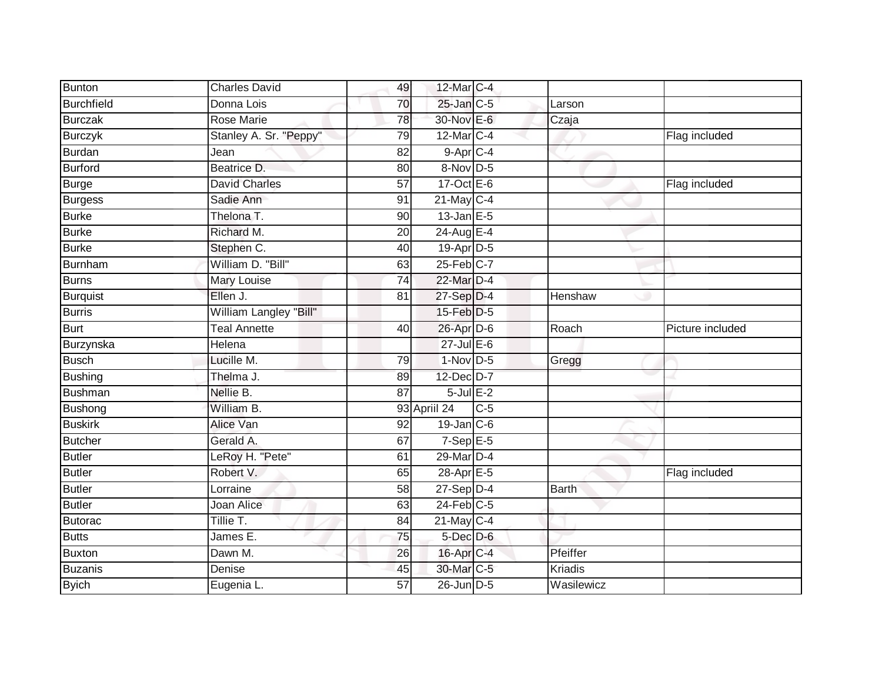| Bunton            | <b>Charles David</b>                    | 12-Mar C-4<br>49       |       |                |                  |
|-------------------|-----------------------------------------|------------------------|-------|----------------|------------------|
| <b>Burchfield</b> | Donna Lois                              | $25$ -Jan $C$ -5<br>70 |       | Larson         |                  |
| <b>Burczak</b>    | <b>Rose Marie</b>                       | 30-Nov E-6<br>78       |       | Czaja          |                  |
| <b>Burczyk</b>    | Stanley A. Sr. "Peppy"<br>79            | 12-Mar C-4             |       |                | Flag included    |
| <b>Burdan</b>     | $\overline{82}$<br>Jean                 | 9-Apr C-4              |       |                |                  |
| Burford           | Beatrice D.<br>80                       | 8-Nov D-5              |       |                |                  |
| Burge             | $\overline{57}$<br><b>David Charles</b> | $17-Oct$ E-6           |       |                | Flag included    |
| Burgess           | Sadie Ann<br>91                         | $21$ -May C-4          |       |                |                  |
| <b>Burke</b>      | Thelona T.<br>90                        | $13$ -Jan E-5          |       |                |                  |
| <b>Burke</b>      | Richard M.<br>20                        | 24-Aug E-4             |       |                |                  |
| <b>Burke</b>      | Stephen C.<br>40                        | 19-Apr D-5             |       |                |                  |
| Burnham           | William D. "Bill"                       | 25-Feb C-7<br>63       |       |                |                  |
| <b>Burns</b>      | 74<br>Mary Louise                       | 22-Mar D-4             |       |                |                  |
| <b>Burquist</b>   | Ellen J.<br>81                          | $27-Sep$ D-4           |       | Henshaw        |                  |
| <b>Burris</b>     | William Langley "Bill"                  | $15$ -Feb $D-5$        |       |                |                  |
| Burt              | <b>Teal Annette</b><br>40               | 26-Apr D-6             |       | Roach          | Picture included |
| Burzynska         | Helena                                  | $27$ -Jul E-6          |       |                |                  |
| <b>Busch</b>      | Lucille M.<br>79                        | $1-Nov$ D-5            |       | Gregg          |                  |
| <b>Bushing</b>    | Thelma J.<br>89                         | 12-Dec D-7             |       |                |                  |
| Bushman           | Nellie B.<br>$\overline{87}$            | $5$ -Jul $E-2$         |       |                |                  |
| Bushong           | William B.                              | 93 Apriil 24           | $C-5$ |                |                  |
| <b>Buskirk</b>    | Alice Van<br>92                         | $19$ -Jan $C$ -6       |       |                |                  |
| Butcher           | Gerald A.<br>67                         | $7-SepE-5$             |       |                |                  |
| Butler            | LeRoy H. "Pete"<br>61                   | 29-Mar D-4             |       |                |                  |
| Butler            | Robert V.                               | 28-Apr E-5<br>65       |       |                | Flag included    |
| <b>Butler</b>     | Lorraine<br>58                          | $27-Sep$ D-4           |       | <b>Barth</b>   |                  |
| <b>Butler</b>     | Joan Alice                              | $24$ -Feb $C-5$<br>63  |       |                |                  |
| Butorac           | Tillie T.<br>84                         | $21$ -May C-4          |       |                |                  |
| <b>Butts</b>      | James E.                                | 5-Dec D-6<br>75        |       |                |                  |
| Buxton            | Dawn M.<br>26                           | 16-Apr C-4             |       | Pfeiffer       |                  |
| <b>Buzanis</b>    | Denise                                  | 30-Mar C-5<br>45       |       | <b>Kriadis</b> |                  |
| <b>Byich</b>      | Eugenia L.<br>$\overline{57}$           | 26-Jun D-5             |       | Wasilewicz     |                  |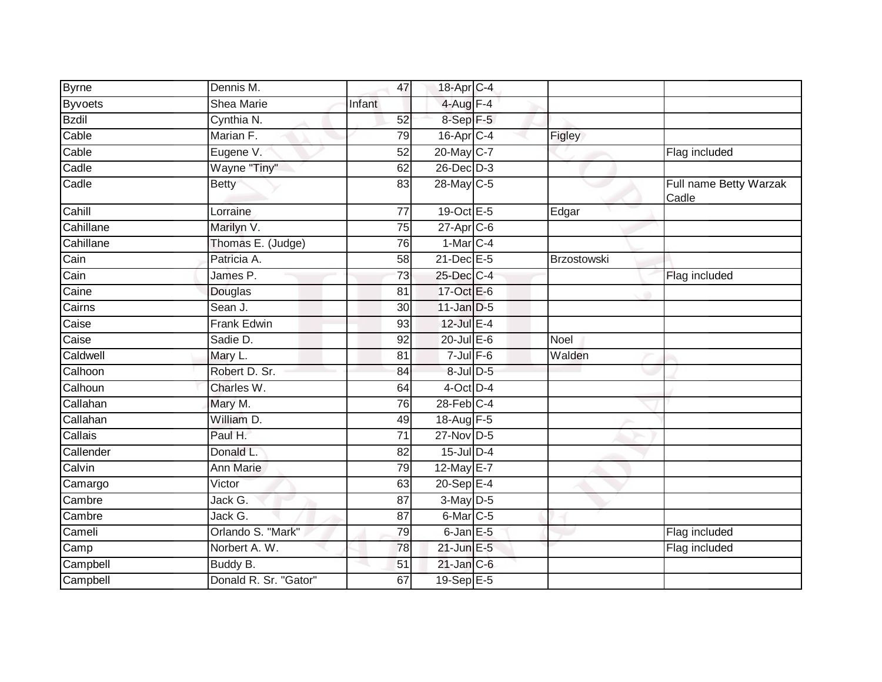| <b>Byrne</b>              | Dennis M.             | 47              | 18-Apr C-4             |                      |                                 |
|---------------------------|-----------------------|-----------------|------------------------|----------------------|---------------------------------|
| <b>Byvoets</b>            | <b>Shea Marie</b>     | Infant          | $4$ -Aug $F-4$         |                      |                                 |
| <b>Bzdil</b>              | Cynthia N.            | 52              | 8-Sep F-5              |                      |                                 |
| Cable                     | Marian F.             | 79              | $16$ -Apr $C$ -4       | Figley               |                                 |
| Cable                     | Eugene V.             | $\overline{52}$ | 20-May C-7             |                      | Flag included                   |
| $\overline{\text{Cadle}}$ | Wayne "Tiny"          | 62              | $26$ -Dec $D-3$        |                      |                                 |
| Cadle                     | <b>Betty</b>          | 83              | 28-May C-5             |                      | Full name Betty Warzak<br>Cadle |
| Cahill                    | Lorraine              | $\overline{77}$ | 19-Oct E-5             | Edgar                |                                 |
| Cahillane                 | Marilyn V.            | 75              | 27-Apr C-6             |                      |                                 |
| Cahillane                 | Thomas E. (Judge)     | 76              | $1-Mar$ <sub>C-4</sub> |                      |                                 |
| Cain                      | Patricia A.           | 58              | 21-Dec E-5             | Brzostowski          |                                 |
| Cain                      | James P.              | 73              | 25-Dec C-4             |                      | Flag included                   |
| Caine                     | Douglas               | 81              | 17-Oct E-6             |                      |                                 |
| Cairns                    | Sean J.               | 30              | $11$ -Jan D-5          |                      |                                 |
| Caise                     | <b>Frank Edwin</b>    | 93              | 12-Jul E-4             |                      |                                 |
| Caise                     | Sadie D.              | 92              | $20$ -Jul $E$ -6       | <b>Noel</b>          |                                 |
| Caldwell                  | Mary L.               | 81              | $7$ -Jul $F-6$         | $\overline{W}$ alden |                                 |
| Calhoon                   | Robert D. Sr.         | 84              | 8-Jul D-5              |                      |                                 |
| Calhoun                   | Charles W.            | 64              | $4$ -Oct $D-4$         |                      |                                 |
| Callahan                  | Mary M.               | 76              | $28$ -Feb $C-4$        |                      |                                 |
| Callahan                  | William D.            | 49              | 18-Aug F-5             |                      |                                 |
| Callais                   | Paul H.               | 71              | $27$ -Nov D-5          |                      |                                 |
| Callender                 | Donald L.             | 82              | $15$ -Jul $D-4$        |                      |                                 |
| Calvin                    | Ann Marie             | 79              | 12-May E-7             |                      |                                 |
| Camargo                   | Victor                | 63              | $20-Sep$ E-4           |                      |                                 |
| Cambre                    | Jack G.               | 87              | 3-May D-5              |                      |                                 |
| Cambre                    | Jack G.               | 87              | $6$ -Mar $C$ -5        |                      |                                 |
| Cameli                    | Orlando S. "Mark"     | 79              | $6$ -Jan $E$ -5        |                      | Flag included                   |
| Camp                      | Norbert A. W.         | 78              | $21$ -Jun $E-5$        |                      | Flag included                   |
| Campbell                  | Buddy B.              | 51              | $21$ -Jan $C-6$        |                      |                                 |
| Campbell                  | Donald R. Sr. "Gator" | 67              | 19-Sep E-5             |                      |                                 |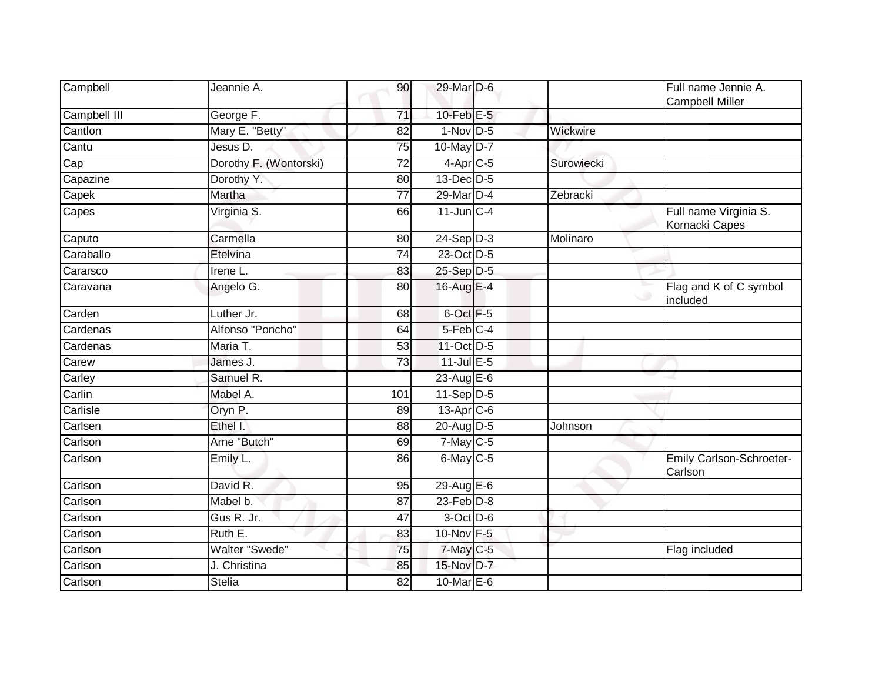| Campbell     | Jeannie A.             | 90              | 29-Mar D-6      |            | Full name Jennie A.<br><b>Campbell Miller</b> |
|--------------|------------------------|-----------------|-----------------|------------|-----------------------------------------------|
| Campbell III | George F.              | 71              | $10$ -Feb $E-5$ |            |                                               |
| Cantlon      | Mary E. "Betty"        | 82              | $1-Nov$ D-5     | Wickwire   |                                               |
| Cantu        | Jesus D.               | $\overline{75}$ | 10-May D-7      |            |                                               |
| Cap          | Dorothy F. (Wontorski) | 72              | $4$ -Apr $C$ -5 | Surowiecki |                                               |
| Capazine     | Dorothy Y.             | 80              | $13$ -Dec $D-5$ |            |                                               |
| Capek        | Martha                 | 77              | 29-Mar D-4      | Zebracki   |                                               |
| Capes        | Virginia S.            | 66              | 11-Jun C-4      |            | Full name Virginia S.<br>Kornacki Capes       |
| Caputo       | Carmella               | 80              | $24-Sep$ D-3    | Molinaro   |                                               |
| Caraballo    | Etelvina               | 74              | 23-Oct D-5      |            |                                               |
| Cararsco     | Irene L.               | 83              | 25-Sep D-5      |            |                                               |
| Caravana     | Angelo G.              | 80              | 16-Aug E-4      |            | Flag and K of C symbol<br>included            |
| Carden       | Luther Jr.             | 68              | 6-Oct F-5       |            |                                               |
| Cardenas     | Alfonso "Poncho"       | 64              | 5-Feb C-4       |            |                                               |
| Cardenas     | Maria T.               | 53              | 11-Oct D-5      |            |                                               |
| Carew        | James J.               | $\overline{73}$ | $11$ -Jul $E-5$ |            |                                               |
| Carley       | Samuel R.              |                 | 23-Aug E-6      |            |                                               |
| Carlin       | Mabel A.               | 101             | $11-Sep$ D-5    |            |                                               |
| Carlisle     | Oryn P.                | 89              | 13-Apr C-6      |            |                                               |
| Carlsen      | Ethel I.               | 88              | 20-Aug D-5      | Johnson    |                                               |
| Carlson      | Arne "Butch"           | 69              | $7$ -May $C$ -5 |            |                                               |
| Carlson      | Emily L.               | 86              | $6$ -May $C$ -5 |            | Emily Carlson-Schroeter-<br>Carlson           |
| Carlson      | David R.               | 95              | 29-Aug E-6      |            |                                               |
| Carlson      | Mabel b.               | $\overline{87}$ | $23$ -Feb $D-8$ |            |                                               |
| Carlson      | Gus R. Jr.             | 47              | 3-Oct D-6       |            |                                               |
| Carlson      | Ruth E.                | 83              | 10-Nov F-5      |            |                                               |
| Carlson      | Walter "Swede"         | 75              | 7-May C-5       |            | Flag included                                 |
| Carlson      | J. Christina           | 85              | 15-Nov D-7      |            |                                               |
| Carlson      | <b>Stelia</b>          | 82              | 10-Mar E-6      |            |                                               |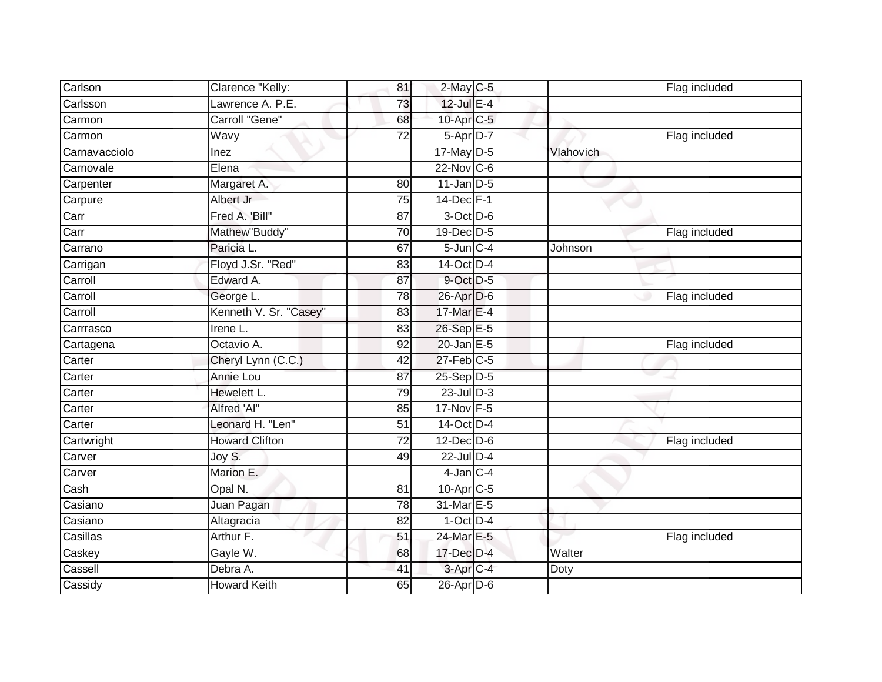| Carlson       | Clarence "Kelly:       | 81              | $2$ -May C-5             |           | Flag included |
|---------------|------------------------|-----------------|--------------------------|-----------|---------------|
| Carlsson      | Lawrence A. P.E.       | 73              | $12$ -Jul E-4            |           |               |
| Carmon        | Carroll "Gene"         | 68              | 10-Apr C-5               |           |               |
| Carmon        | Wavy                   | 72              | 5-Apr D-7                |           | Flag included |
| Carnavacciolo | Inez                   |                 | $17$ -May $D-5$          | Vlahovich |               |
| Carnovale     | Elena                  |                 | $22$ -Nov C-6            |           |               |
| Carpenter     | Margaret A.            | 80              | $11$ -Jan $ D-5 $        |           |               |
| Carpure       | Albert Jr              | 75              | $14$ -Dec $F-1$          |           |               |
| Carr          | Fred A. 'Bill"         | 87              | 3-Oct D-6                |           |               |
| Carr          | Mathew"Buddy"          | 70              | 19-Dec D-5               |           | Flag included |
| Carrano       | Paricia L.             | 67              | $5 - Jun$ <sub>C-4</sub> | Johnson   |               |
| Carrigan      | Floyd J.Sr. "Red"      | 83              | 14-Oct D-4               |           |               |
| Carroll       | Edward A.              | 87              | 9-Oct D-5                |           |               |
| Carroll       | George L.              | 78              | 26-Apr D-6               |           | Flag included |
| Carroll       | Kenneth V. Sr. "Casey" | 83              | 17-Mar E-4               |           |               |
| Carrrasco     | Irene L.               | 83              | 26-Sep E-5               |           |               |
| Cartagena     | Octavio A.             | 92              | $20$ -Jan $E-5$          |           | Flag included |
| Carter        | Cheryl Lynn (C.C.)     | 42              | 27-Feb C-5               |           |               |
| Carter        | Annie Lou              | 87              | 25-Sep D-5               |           |               |
| Carter        | Hewelett L.            | 79              | $23$ -Jul $D-3$          |           |               |
| Carter        | Alfred 'Al"            | 85              | 17-Nov F-5               |           |               |
| Carter        | Leonard H. "Len"       | $\overline{51}$ | 14-Oct D-4               |           |               |
| Cartwright    | <b>Howard Clifton</b>  | 72              | $12$ -Dec $D-6$          |           | Flag included |
| Carver        | Joy S.                 | 49              | $22$ -Jul $D-4$          |           |               |
| Carver        | Marion E.              |                 | $4$ -Jan $C-4$           |           |               |
| Cash          | Opal N.                | 81              | $10$ -Apr $C$ -5         |           |               |
| Casiano       | Juan Pagan             | 78              | 31-Mar E-5               |           |               |
| Casiano       | Altagracia             | 82              | $1-Oct$ $D-4$            |           |               |
| Casillas      | Arthur F.              | 51              | 24-Mar E-5               |           | Flag included |
| Caskey        | Gayle W.               | 68              | $17$ -Dec $D-4$          | Walter    |               |
| Cassell       | Debra A.               | 41              | 3-Apr C-4                | Doty      |               |
| Cassidy       | <b>Howard Keith</b>    | 65              | $26$ -Apr $D-6$          |           |               |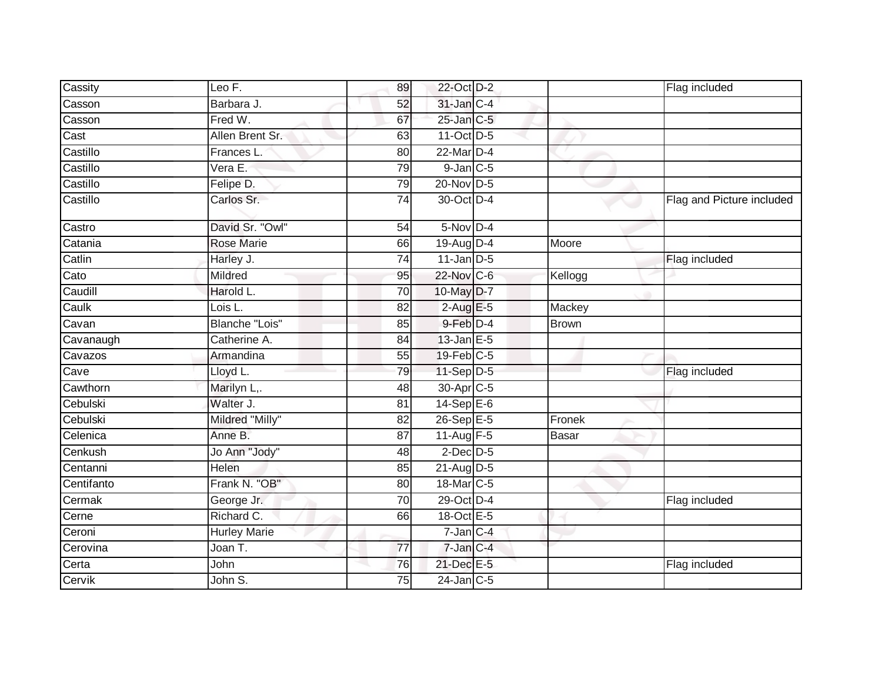| Cassity    | Leo F.              | 89              | 22-Oct D-2            |              | Flag included             |
|------------|---------------------|-----------------|-----------------------|--------------|---------------------------|
| Casson     | Barbara J.          | 52              | 31-Jan C-4            |              |                           |
| Casson     | Fred W.             | 67              | $25$ -Jan $C$ -5      |              |                           |
| Cast       | Allen Brent Sr.     | 63              | $11-Oct$ D-5          |              |                           |
| Castillo   | Frances L.          | 80              | $22$ -Mar $D-4$       |              |                           |
| Castillo   | Vera E.             | 79              | $9$ -Jan $C$ -5       |              |                           |
| Castillo   | Felipe D.           | 79              | 20-Nov D-5            |              |                           |
| Castillo   | Carlos Sr.          | 74              | 30-Oct D-4            |              | Flag and Picture included |
| Castro     | David Sr. "Owl"     | 54              | $5-Nov$ D-4           |              |                           |
| Catania    | Rose Marie          | 66              | 19-Aug D-4            | Moore        |                           |
| Catlin     | Harley J.           | $\overline{74}$ | $11$ -Jan D-5         |              | Flag included             |
| Cato       | Mildred             | 95              | 22-Nov C-6            | Kellogg      |                           |
| Caudill    | Harold L.           | 70              | 10-May D-7            |              |                           |
| Caulk      | Lois L.             | 82              | $2$ -Aug E-5          | Mackey       |                           |
| Cavan      | Blanche "Lois"      | 85              | 9-Feb D-4             | <b>Brown</b> |                           |
| Cavanaugh  | Catherine A.        | 84              | $13$ -Jan $E-5$       |              |                           |
| Cavazos    | Armandina           | 55              | 19-Feb C-5            |              |                           |
| Cave       | Lloyd L.            | 79              | 11-Sep D-5            |              | Flag included             |
| Cawthorn   | Marilyn L,.         | 48              | 30-Apr <sub>C-5</sub> |              |                           |
| Cebulski   | Walter J.           | 81              | $14-Sep$ E-6          |              |                           |
| Cebulski   | Mildred "Milly"     | 82              | 26-Sep E-5            | Fronek       |                           |
| Celenica   | Anne B.             | $\overline{87}$ | 11-Aug $F-5$          | <b>Basar</b> |                           |
| Cenkush    | Jo Ann "Jody"       | 48              | $2$ -Dec $D$ -5       |              |                           |
| Centanni   | Helen               | 85              | $21$ -Aug D-5         |              |                           |
| Centifanto | Frank N. "OB"       | 80              | 18-Mar C-5            |              |                           |
| Cermak     | George Jr.          | 70              | 29-Oct D-4            |              | Flag included             |
| Cerne      | Richard C.          | 66              | 18-Oct E-5            |              |                           |
| Ceroni     | <b>Hurley Marie</b> |                 | 7-Jan C-4             |              |                           |
| Cerovina   | Joan T.             | 77              | 7-Jan C-4             |              |                           |
| Certa      | John                | 76              | 21-Dec E-5            |              | Flag included             |
| Cervik     | John S.             | 75              | $24$ -Jan $C-5$       |              |                           |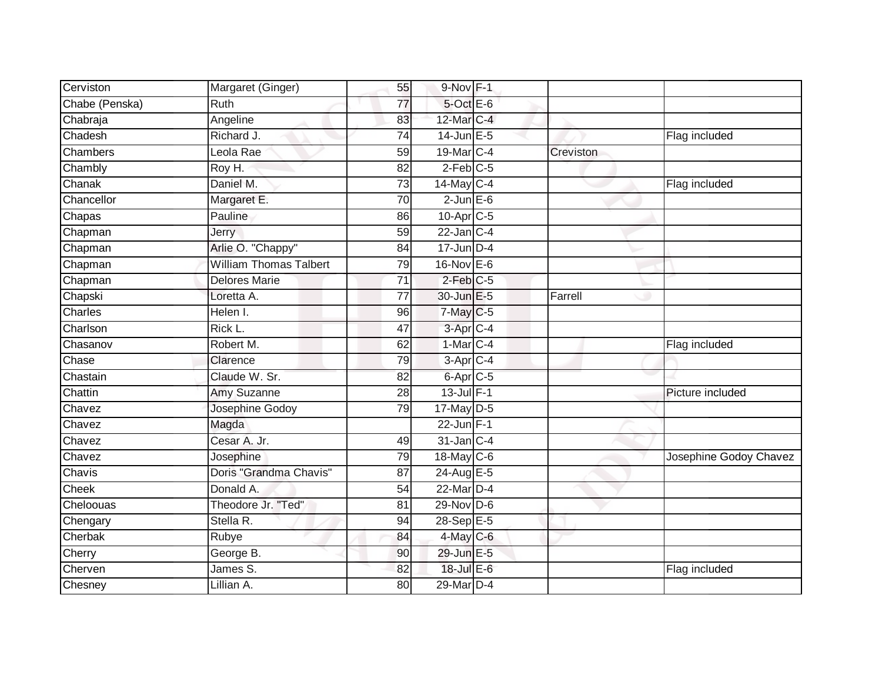| Cerviston      | Margaret (Ginger)             | 55              | $9-Nov$ F-1          |           |                        |
|----------------|-------------------------------|-----------------|----------------------|-----------|------------------------|
| Chabe (Penska) | Ruth                          | 77              | 5-Oct E-6            |           |                        |
| Chabraja       | Angeline                      | 83              | 12-Mar C-4           |           |                        |
| Chadesh        | Richard J.                    | 74              | $14$ -Jun $E - 5$    |           | Flag included          |
| Chambers       | Leola Rae                     | $\overline{59}$ | 19-Mar C-4           | Creviston |                        |
| Chambly        | Roy H.                        | 82              | $2$ -Feb $C$ -5      |           |                        |
| Chanak         | Daniel M.                     | 73              | $14$ -May C-4        |           | Flag included          |
| Chancellor     | Margaret E.                   | 70              | $2$ -Jun $E$ -6      |           |                        |
| Chapas         | Pauline                       | 86              | 10-Apr C-5           |           |                        |
| Chapman        | <b>Jerry</b>                  | 59              | $22$ -Jan $C-4$      |           |                        |
| Chapman        | Arlie O. "Chappy"             | 84              | $17$ -Jun D-4        |           |                        |
| Chapman        | <b>William Thomas Talbert</b> | 79              | 16-Nov E-6           |           |                        |
| Chapman        | <b>Delores Marie</b>          | 71              | $2$ -Feb $C-5$       |           |                        |
| Chapski        | Loretta A.                    | 77              | 30-Jun E-5           | Farrell   |                        |
| Charles        | Helen I.                      | 96              | 7-May C-5            |           |                        |
| Charlson       | Rick L.                       | 47              | 3-Apr <sub>C-4</sub> |           |                        |
| Chasanov       | Robert M.                     | 62              | $1-Mar$ C-4          |           | Flag included          |
| Chase          | Clarence                      | 79              | $3-AprC-4$           |           |                        |
| Chastain       | Claude W. Sr.                 | 82              | 6-Apr C-5            |           |                        |
| Chattin        | Amy Suzanne                   | 28              | $13$ -Jul $F-1$      |           | Picture included       |
| Chavez         | Josephine Godoy               | 79              | 17-May D-5           |           |                        |
| Chavez         | Magda                         |                 | $22$ -Jun $F-1$      |           |                        |
| Chavez         | Cesar A. Jr.                  | 49              | $31$ -Jan $C-4$      |           |                        |
| Chavez         | Josephine                     | 79              | 18-May C-6           |           | Josephine Godoy Chavez |
| Chavis         | Doris "Grandma Chavis"        | 87              | 24-Aug E-5           |           |                        |
| <b>Cheek</b>   | Donald A.                     | 54              | 22-Mar D-4           |           |                        |
| Cheloouas      | Theodore Jr. "Ted"            | 81              | $29-Nov$ D-6         |           |                        |
| Chengary       | Stella R.                     | 94              | 28-Sep E-5           |           |                        |
| Cherbak        | Rubye                         | 84              | $4$ -May C-6         |           |                        |
| Cherry         | George B.                     | 90              | 29-Jun E-5           |           |                        |
| Cherven        | James S.                      | 82              | $18$ -Jul $E$ -6     |           | Flag included          |
| Chesney        | Lillian A.                    | 80              | 29-Mar D-4           |           |                        |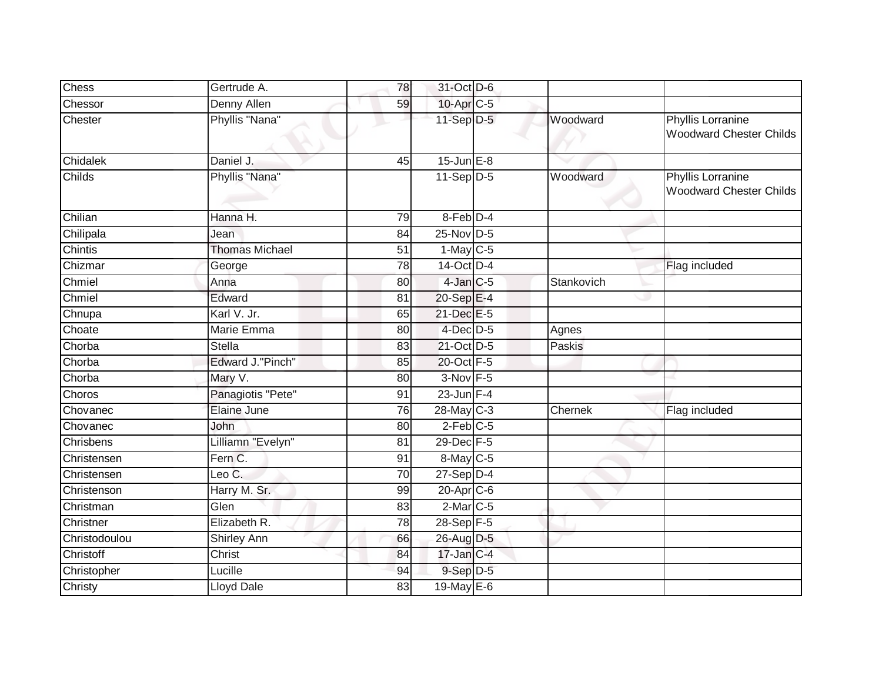| <b>Chess</b>  | Gertrude A.             | 78              | 31-Oct D-6          |            |                                                            |
|---------------|-------------------------|-----------------|---------------------|------------|------------------------------------------------------------|
| Chessor       | <b>Denny Allen</b>      | 59              | 10-Apr C-5          |            |                                                            |
| Chester       | Phyllis "Nana"          |                 | 11-Sep D-5          | Woodward   | <b>Phyllis Lorranine</b><br><b>Woodward Chester Childs</b> |
| Chidalek      | Daniel J.               | 45              | $15$ -Jun $E-8$     |            |                                                            |
| Childs        | Phyllis "Nana"          |                 | $11-\text{Sep}$ D-5 | Woodward   | <b>Phyllis Lorranine</b><br><b>Woodward Chester Childs</b> |
| Chilian       | Hanna H.                | 79              | 8-Feb D-4           |            |                                                            |
| Chilipala     | Jean                    | 84              | $25$ -Nov $D-5$     |            |                                                            |
| Chintis       | <b>Thomas Michael</b>   | 51              | $1$ -May $C-5$      |            |                                                            |
| Chizmar       | George                  | 78              | 14-Oct D-4          |            | Flag included                                              |
| Chmiel        | Anna                    | 80              | $4$ -Jan $C$ -5     | Stankovich |                                                            |
| Chmiel        | Edward                  | 81              | 20-Sep E-4          |            | س                                                          |
| Chnupa        | Karl V. Jr.             | 65              | 21-Dec E-5          |            |                                                            |
| Choate        | Marie Emma              | 80              | 4-Dec D-5           | Agnes      |                                                            |
| Chorba        | <b>Stella</b>           | 83              | 21-Oct D-5          | Paskis     |                                                            |
| Chorba        | <b>Edward J."Pinch"</b> | 85              | 20-Oct F-5          |            |                                                            |
| Chorba        | Mary V.                 | 80              | $3-Nov$ F-5         |            |                                                            |
| Choros        | Panagiotis "Pete"       | 91              | $23$ -Jun F-4       |            |                                                            |
| Chovanec      | Elaine June             | 76              | 28-May C-3          | Chernek    | Flag included                                              |
| Chovanec      | John                    | 80              | $2$ -Feb $C$ -5     |            |                                                            |
| Chrisbens     | Lilliamn "Evelyn"       | 81              | 29-Dec F-5          |            |                                                            |
| Christensen   | Fern C.                 | 91              | 8-May C-5           |            |                                                            |
| Christensen   | Leo $\overline{C}$ .    | $\overline{70}$ | $27-Sep$ $D-4$      |            |                                                            |
| Christenson   | Harry M. Sr.            | 99              | $20$ -Apr $C$ -6    |            |                                                            |
| Christman     | Glen                    | 83              | $2$ -Mar $C$ -5     |            |                                                            |
| Christner     | Elizabeth R.            | 78              | $28 - Sep$ F-5      |            |                                                            |
| Christodoulou | Shirley Ann             | 66              | 26-Aug D-5          |            |                                                            |
| Christoff     | Christ                  | 84              | 17-Jan C-4          |            |                                                            |
| Christopher   | Lucille                 | 94              | 9-Sep D-5           |            |                                                            |
| Christy       | <b>Lloyd Dale</b>       | 83              | 19-May E-6          |            |                                                            |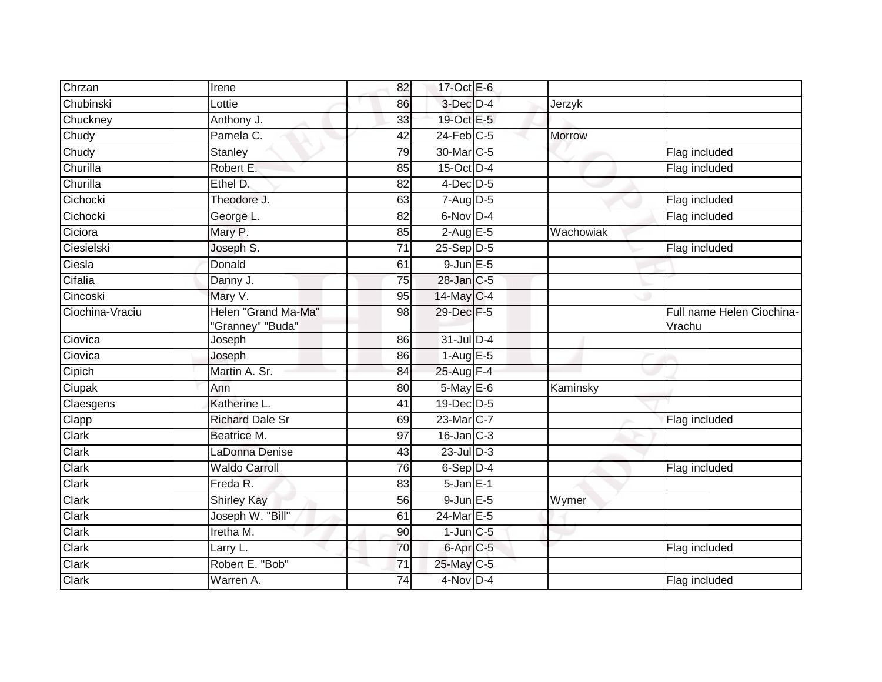| Chrzan          | Irene                                   | 82              | 17-Oct $E-6$                       |               |                                     |
|-----------------|-----------------------------------------|-----------------|------------------------------------|---------------|-------------------------------------|
| Chubinski       | Lottie                                  | 86              | 3-Dec D-4                          | Jerzyk        |                                     |
| Chuckney        | Anthony J.                              | 33              | 19-Oct E-5                         |               |                                     |
| Chudy           | Pamela C.                               | 42              | $24$ -Feb $C-5$                    | <b>Morrow</b> |                                     |
| Chudy           | Stanley                                 | 79              | 30-Mar C-5                         |               | Flag included                       |
| Churilla        | Robert E.                               | 85              | $15$ -Oct $D-4$                    |               | Flag included                       |
| Churilla        | Ethel D.                                | 82              | $4$ -Dec $D-5$                     |               |                                     |
| Cichocki        | Theodore J.                             | 63              | $7 - \overline{Aug}$ D-5           |               | Flag included                       |
| Cichocki        | George L.                               | 82              | 6-Nov D-4                          |               | Flag included                       |
| Ciciora         | Mary P.                                 | 85              | $2-AugE-5$                         | Wachowiak     |                                     |
| Ciesielski      | Joseph S.                               | $\overline{71}$ | 25-Sep D-5                         |               | Flag included                       |
| Ciesla          | Donald                                  | 61              | $9$ -Jun $E - 5$                   |               |                                     |
| Cifalia         | Danny J.                                | 75              | 28-Jan C-5                         |               |                                     |
| Cincoski        | Mary V.                                 | 95              | 14-May C-4                         |               |                                     |
| Ciochina-Vraciu | Helen "Grand Ma-Ma"<br>"Granney" "Buda" | 98              | 29-Dec F-5                         |               | Full name Helen Ciochina-<br>Vrachu |
| Ciovica         | Joseph                                  | 86              | $31$ -Jul $D-4$                    |               |                                     |
| Ciovica         | Joseph                                  | 86              | $1-Aug$ E-5                        |               |                                     |
| Cipich          | Martin A. Sr.                           | 84              | 25-Aug F-4                         |               |                                     |
| Ciupak          | Ann                                     | 80              | 5-May E-6                          | Kaminsky      |                                     |
| Claesgens       | Katherine L.                            | 41              | 19-Dec D-5                         |               |                                     |
| Clapp           | <b>Richard Dale Sr</b>                  | 69              | 23-Mar C-7                         |               | Flag included                       |
| Clark           | Beatrice M.                             | 97              | $16$ -Jan $\overline{\text{C}}$ -3 |               |                                     |
| Clark           | LaDonna Denise                          | 43              | $23$ -Jul $D-3$                    |               |                                     |
| Clark           | <b>Waldo Carroll</b>                    | 76              | $6-Sep$ D-4                        |               | Flag included                       |
| Clark           | Freda R.                                | 83              | $5 - Jan$ $E-1$                    |               |                                     |
| Clark           | <b>Shirley Kay</b>                      | 56              | $9$ -Jun $E$ -5                    | Wymer         |                                     |
| <b>Clark</b>    | Joseph W. "Bill"                        | 61              | 24-Mar E-5                         |               |                                     |
| Clark           | Iretha M.                               | 90              | $1$ -Jun $C$ -5                    |               |                                     |
| Clark           | Larry L.                                | 70              | $6$ -Apr $C$ -5                    |               | Flag included                       |
| Clark           | Robert E. "Bob"                         | 71              | 25-May C-5                         |               |                                     |
| Clark           | Warren A.                               | 74              | 4-Nov D-4                          |               | Flag included                       |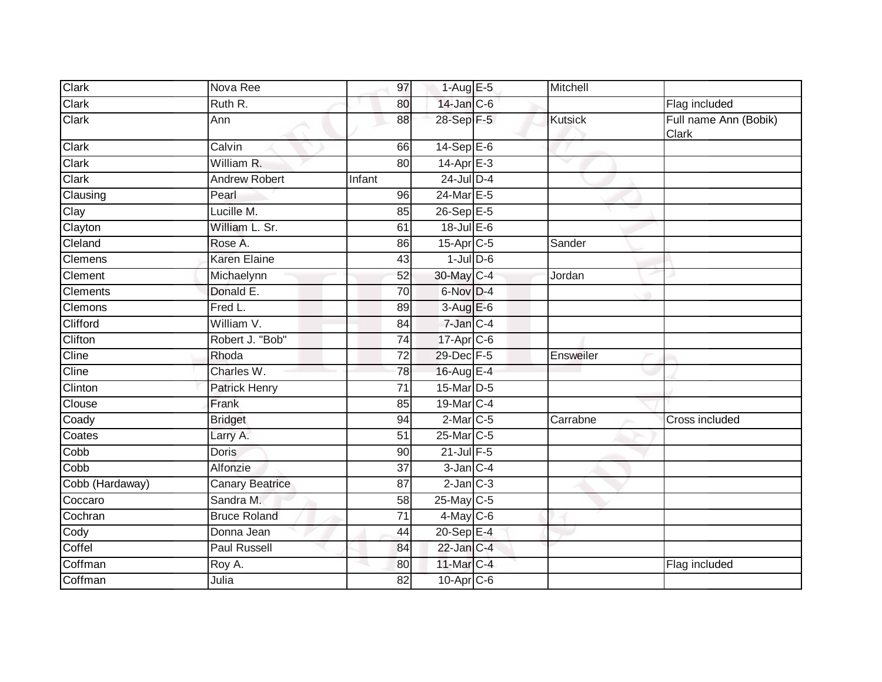| <b>Clark</b>    | Nova Ree               | 97              | $1-AugE-5$       | Mitchell       |                                |
|-----------------|------------------------|-----------------|------------------|----------------|--------------------------------|
| Clark           | Ruth R.                | 80              | 14-Jan C-6       |                | Flag included                  |
| Clark           | Ann                    | 88              | 28-Sep F-5       | <b>Kutsick</b> | Full name Ann (Bobik)<br>Clark |
| Clark           | Calvin                 | 66              | $14-SepE-6$      |                |                                |
| Clark           | William R.             | 80              | $14$ -Apr $E-3$  | ▽              |                                |
| Clark           | Andrew Robert          | Infant          | $24$ -Jul D-4    |                |                                |
| Clausing        | Pearl                  | 96              | 24-Mar E-5       |                |                                |
| Clay            | Lucille M.             | 85              | $26-Sep$ E-5     |                |                                |
| Clayton         | William L. Sr.         | 61              | $18$ -Jul E-6    |                |                                |
| Cleland         | Rose A.                | 86              | 15-Apr C-5       | Sander         |                                |
| <b>Clemens</b>  | <b>Karen Elaine</b>    | 43              | $1$ -Jul $D$ -6  |                |                                |
| <b>Clement</b>  | Michaelynn             | 52              | 30-May C-4       | Jordan         |                                |
| Clements        | Donald E.              | 70              | 6-Nov D-4        |                |                                |
| <b>Clemons</b>  | Fred L.                | 89              | $3-AugE-6$       |                |                                |
| Clifford        | William V.             | 84              | 7-Jan C-4        |                |                                |
| Clifton         | Robert J. "Bob"        | $\overline{74}$ | $17$ -Apr $C$ -6 |                |                                |
| Cline           | Rhoda                  | 72              | 29-Dec F-5       | Ensweiler      |                                |
| Cline           | Charles W.             | 78              | 16-Aug E-4       |                |                                |
| Clinton         | Patrick Henry          | 71              | 15-Mar D-5       |                |                                |
| Clouse          | Frank                  | 85              | 19-Mar C-4       |                |                                |
| Coady           | <b>Bridget</b>         | 94              | $2$ -Mar $C$ -5  | Carrabne       | Cross included                 |
| Coates          | Larry A.               | 51              | 25-Mar C-5       |                |                                |
| Cobb            | <b>Doris</b>           | 90              | 21-Jul F-5       |                |                                |
| Cobb            | Alfonzie               | 37              | $3$ -Jan $C-4$   |                |                                |
| Cobb (Hardaway) | <b>Canary Beatrice</b> | 87              | $2$ -Jan $C-3$   |                |                                |
| Coccaro         | Sandra M.              | 58              | 25-May C-5       |                |                                |
| Cochran         | <b>Bruce Roland</b>    | $\overline{71}$ | $4$ -May C-6     |                |                                |
| Cody            | Donna Jean             | 44              | $20-Sep$ E-4     |                |                                |
| Coffel          | <b>Paul Russell</b>    | 84              | $22$ -Jan $C-4$  |                |                                |
| Coffman         | Roy A.                 | 80              | 11-Mar C-4       |                | Flag included                  |
| Coffman         | Julia                  | 82              | $10$ -Apr $C$ -6 |                |                                |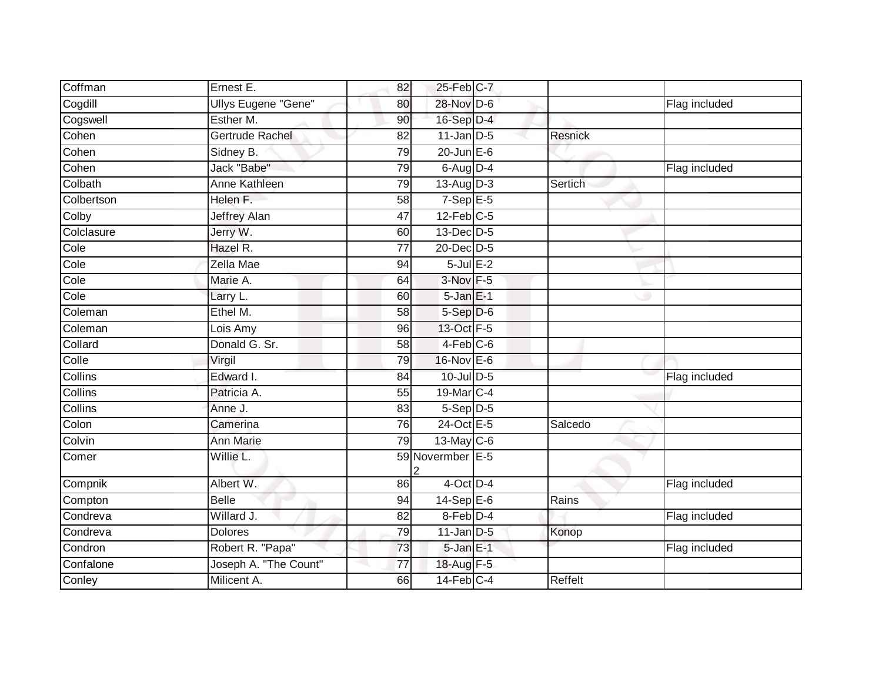| Coffman    | Ernest E.                  | 82              | 25-Feb C-7        |         |               |
|------------|----------------------------|-----------------|-------------------|---------|---------------|
| Cogdill    | <b>Ullys Eugene "Gene"</b> | 80              | 28-Nov D-6        |         | Flag included |
| Cogswell   | Esther M.                  | 90              | 16-Sep D-4        |         |               |
| Cohen      | Gertrude Rachel            | 82              | $11$ -Jan D-5     | Resnick |               |
| Cohen      | Sidney B.                  | 79              | $20$ -Jun $E-6$   |         |               |
| Cohen      | Jack "Babe"                | 79              | $6$ -Aug $D-4$    |         | Flag included |
| Colbath    | Anne Kathleen              | 79              | $13$ -Aug $D-3$   | Sertich |               |
| Colbertson | Helen F.                   | 58              | $7-SepE-5$        |         |               |
| Colby      | <b>Jeffrey Alan</b>        | 47              | $12$ -Feb $C-5$   |         |               |
| Colclasure | Jerry W.                   | 60              | 13-Dec D-5        |         |               |
| Cole       | Hazel R.                   | $\overline{77}$ | 20-Dec D-5        |         |               |
| Cole       | Zella Mae                  | 94              | $5$ -Jul $E-2$    |         |               |
| Cole       | Marie A.                   | 64              | 3-Nov F-5         |         |               |
| Cole       | Larry L.                   | 60              | $5 - Jan$ $E-1$   |         |               |
| Coleman    | Ethel M.                   | 58              | $5-Sep D-6$       |         |               |
| Coleman    | Lois Amy                   | 96              | 13-Oct F-5        |         |               |
| Collard    | Donald G. Sr.              | 58              | $4-Feb$ $C-6$     |         |               |
| Colle      | Virgil                     | 79              | $16$ -Nov $E - 6$ |         |               |
| Collins    | Edward I.                  | 84              | 10-Jul D-5        |         | Flag included |
| Collins    | Patricia A.                | 55              | 19-Mar C-4        |         |               |
| Collins    | Anne J.                    | 83              | $5-Sep$ D-5       |         |               |
| Colon      | Camerina                   | 76              | 24-Oct E-5        | Salcedo |               |
| Colvin     | <b>Ann Marie</b>           | 79              | $13-May$ C-6      |         |               |
| Comer      | Willie L.                  |                 | 59 Novermber E-5  |         |               |
| Compnik    | Albert W.                  | 86              | $4$ -Oct $D-4$    |         | Flag included |
| Compton    | <b>Belle</b>               | 94              | $14-Sep$ E-6      | Rains   |               |
| Condreva   | Willard J.                 | $\overline{82}$ | 8-Feb D-4         |         | Flag included |
| Condreva   | <b>Dolores</b>             | 79              | $11$ -Jan $D-5$   | Konop   |               |
| Condron    | Robert R. "Papa"           | 73              | $5$ -Jan $E-1$    |         | Flag included |
| Confalone  | Joseph A. "The Count"      | 77              | 18-Aug F-5        |         |               |
| Conley     | Milicent A.                | 66              | $14$ -Feb $C-4$   | Reffelt |               |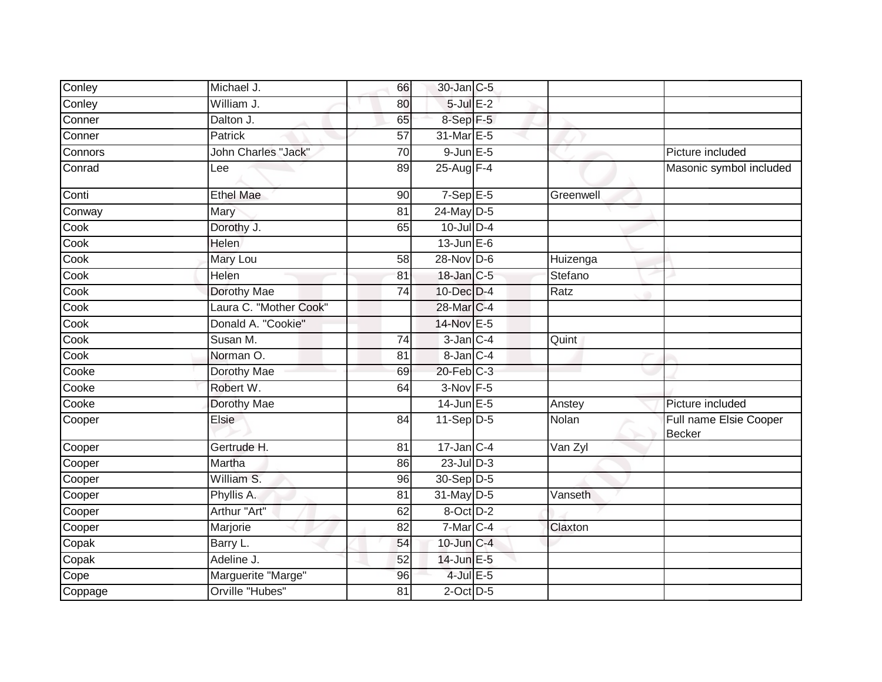| Conley  | Michael J.             | 66              | 30-Jan C-5        |           |                                         |
|---------|------------------------|-----------------|-------------------|-----------|-----------------------------------------|
| Conley  | William J.             | 80              | $5$ -Jul $E-2$    |           |                                         |
| Conner  | Dalton J.              | 65              | $8-Sep$ F-5       |           |                                         |
| Conner  | Patrick                | 57              | 31-Mar E-5        |           |                                         |
| Connors | John Charles "Jack"    | 70              | $9$ -Jun $E$ -5   |           | Picture included                        |
| Conrad  | Lee                    | 89              | 25-Aug F-4        |           | Masonic symbol included                 |
| Conti   | <b>Ethel Mae</b>       | 90              | $7-Sep$ E-5       | Greenwell |                                         |
| Conway  | Mary                   | $\overline{81}$ | 24-May D-5        |           |                                         |
| Cook    | Dorothy J.             | 65              | $10$ -Jul $D-4$   |           |                                         |
| Cook    | <b>Helen</b>           |                 | $13$ -Jun $E-6$   |           |                                         |
| Cook    | Mary Lou               | 58              | $28-Nov$ D-6      | Huizenga  |                                         |
| Cook    | Helen                  | 81              | 18-Jan C-5        | Stefano   |                                         |
| Cook    | <b>Dorothy Mae</b>     | 74              | 10-Dec D-4        | Ratz      |                                         |
| Cook    | Laura C. "Mother Cook" |                 | 28-Mar C-4        |           |                                         |
| Cook    | Donald A. "Cookie"     |                 | 14-Nov E-5        |           |                                         |
| Cook    | Susan M.               | 74              | $3$ -Jan $C-4$    | Quint     |                                         |
| Cook    | Norman O.              | 81              | 8-Jan C-4         |           |                                         |
| Cooke   | Dorothy Mae            | 69              | $20$ -Feb $C-3$   |           |                                         |
| Cooke   | Robert W.              | 64              | 3-Nov F-5         |           |                                         |
| Cooke   | Dorothy Mae            |                 | $14$ -Jun $E - 5$ | Anstey    | Picture included                        |
| Cooper  | Elsie                  | 84              | $11-Sep$ D-5      | Nolan     | Full name Elsie Cooper<br><b>Becker</b> |
| Cooper  | Gertrude H.            | 81              | $17$ -Jan C-4     | Van Zyl   |                                         |
| Cooper  | Martha                 | 86              | $23$ -Jul $D-3$   |           |                                         |
| Cooper  | William S.             | 96              | 30-Sep D-5        |           |                                         |
| Cooper  | Phyllis A.             | $\overline{81}$ | 31-May D-5        | Vanseth   |                                         |
| Cooper  | Arthur "Art"           | 62              | 8-Oct D-2         |           |                                         |
| Cooper  | Marjorie               | 82              | 7-Mar C-4         | Claxton   |                                         |
| Copak   | Barry L.               | 54              | $10$ -Jun $C-4$   |           |                                         |
| Copak   | Adeline J.             | 52              | 14-Jun E-5        |           |                                         |
| Cope    | Marguerite "Marge"     | 96              | $4$ -Jul $E$ -5   |           |                                         |
| Coppage | Orville "Hubes"        | 81              | $2$ -Oct $D-5$    |           |                                         |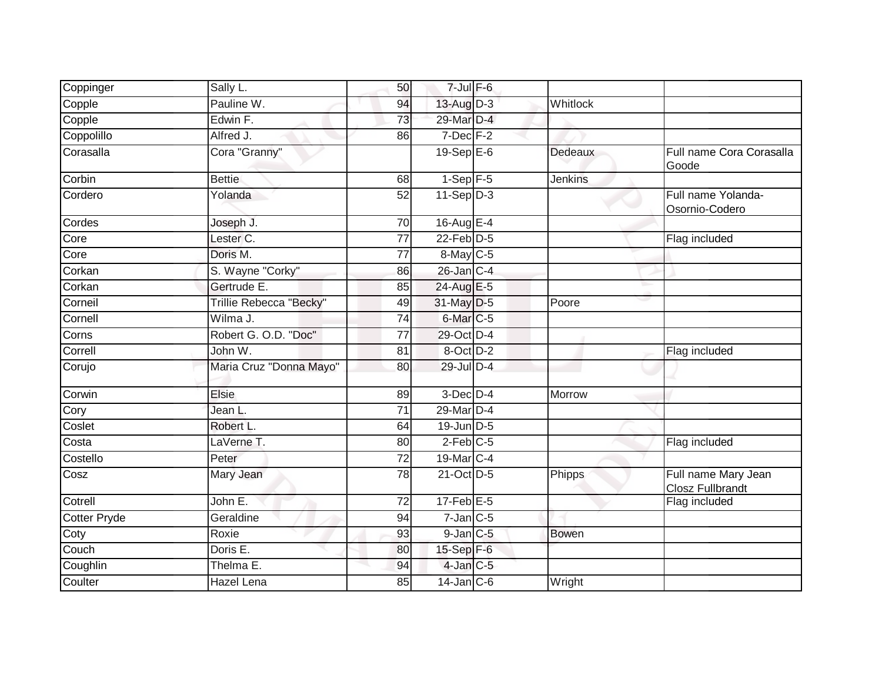| Coppinger    | Sally L.                | 50              | $7 -$ Jul $F - 6$                 |                |                                                |
|--------------|-------------------------|-----------------|-----------------------------------|----------------|------------------------------------------------|
| Copple       | Pauline W.              | 94              | $13$ -Aug $D-3$                   | Whitlock       |                                                |
| Copple       | Edwin F.                | 73              | 29-Mar D-4                        |                |                                                |
| Coppolillo   | Alfred J.               | 86              | $7$ -Dec $F-2$                    |                |                                                |
| Corasalla    | Cora "Granny"           |                 | $19-Sep$ $E-6$                    | Dedeaux        | Full name Cora Corasalla<br>Goode              |
| Corbin       | <b>Bettie</b>           | 68              | $1-Sep$ F-5                       | <b>Jenkins</b> |                                                |
| Cordero      | Yolanda                 | 52              | $11-Sep$ D-3                      |                | Full name Yolanda-<br>Osornio-Codero           |
| Cordes       | Joseph J.               | $\overline{70}$ | $16$ -Aug E-4                     |                |                                                |
| Core         | Lester <sub>C.</sub>    | 77              | $22$ -Feb $D-5$                   |                | Flag included                                  |
| Core         | Doris M.                | 77              | 8-May C-5                         |                |                                                |
| Corkan       | S. Wayne "Corky"        | 86              | $26$ -Jan $C-4$                   |                |                                                |
| Corkan       | Gertrude E.             | 85              | 24-Aug E-5                        |                |                                                |
| Corneil      | Trillie Rebecca "Becky" | 49              | 31-May D-5                        | Poore          |                                                |
| Cornell      | Wilma J.                | 74              | 6-Mar <sub>IC-5</sub>             |                |                                                |
| Corns        | Robert G. O.D. "Doc"    | 77              | 29-Oct D-4                        |                |                                                |
| Correll      | John W.                 | 81              | 8-Oct D-2                         |                | Flag included                                  |
| Corujo       | Maria Cruz "Donna Mayo" | 80              | 29-Jul D-4                        |                |                                                |
| Corwin       | <b>Elsie</b>            | 89              | $3$ -Dec $D-4$                    | Morrow         |                                                |
| Cory         | Jean L.                 | 71              | 29-Mar <sub>D-4</sub>             |                |                                                |
| Coslet       | Robert L.               | 64              | $19$ -Jun $D-5$                   |                |                                                |
| Costa        | LaVerne T.              | 80              | $2$ -Feb $C$ -5                   |                | Flag included                                  |
| Costello     | Peter                   | 72              | 19-Mar $ C-4 $                    |                |                                                |
| Cosz         | Mary Jean               | $\overline{78}$ | 21-Oct D-5                        | Phipps         | Full name Mary Jean<br><b>Closz Fullbrandt</b> |
| Cotrell      | John E.                 | 72              | $17$ -Feb $E-5$                   |                | Flag included                                  |
| Cotter Pryde | Geraldine               | 94              | $7$ -Jan $C$ -5                   |                |                                                |
| Coty         | Roxie                   | 93              | $9$ -Jan $C$ -5                   | <b>Bowen</b>   |                                                |
| Couch        | Doris E.                | 80              | $15-Sep$ $F-6$                    |                |                                                |
| Coughlin     | Thelma E.               | 94              | $4$ -Jan $C-5$                    |                |                                                |
| Coulter      | Hazel Lena              | 85              | $14$ -Jan $\overline{\text{C-6}}$ | Wright         |                                                |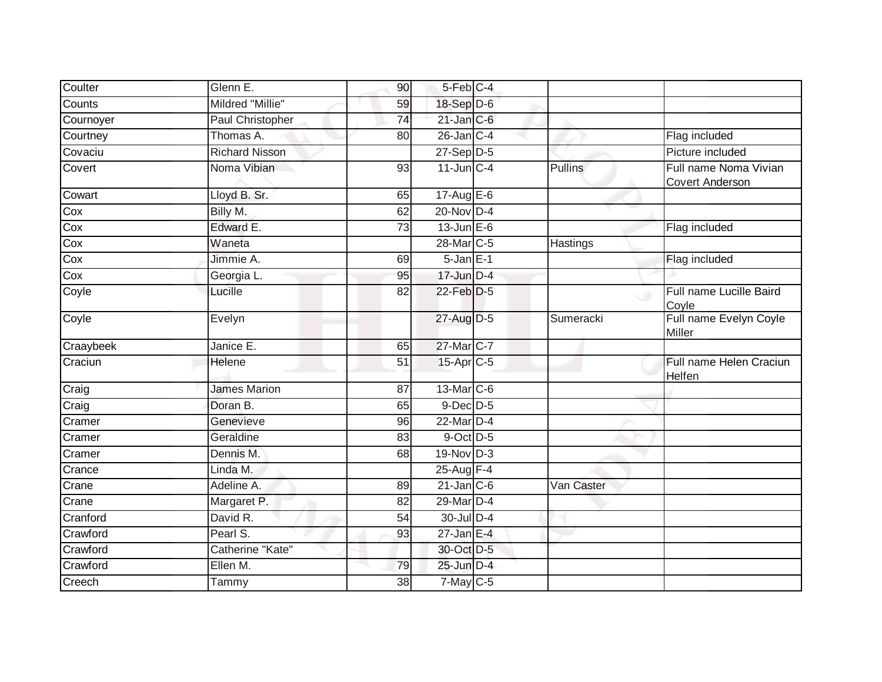| Coulter   | Glenn E.                | 90              | 5-Feb C-4         |                |                                                 |
|-----------|-------------------------|-----------------|-------------------|----------------|-------------------------------------------------|
| Counts    | Mildred "Millie"        | 59              | 18-Sep D-6        |                |                                                 |
| Cournoyer | <b>Paul Christopher</b> | 74              | $21$ -Jan $C-6$   |                |                                                 |
| Courtney  | Thomas A.               | 80              | $26$ -Jan $ C-4 $ |                | Flag included                                   |
| Covaciu   | <b>Richard Nisson</b>   |                 | $27-Sep$ $D-5$    |                | Picture included                                |
| Covert    | Noma Vibian             | 93              | $11$ -Jun $C-4$   | <b>Pullins</b> | Full name Noma Vivian<br><b>Covert Anderson</b> |
| Cowart    | Lloyd B. Sr.            | 65              | $17$ -Aug E-6     |                |                                                 |
| Cox       | Billy M.                | 62              | $20$ -Nov $D-4$   |                |                                                 |
| Cox       | Edward E.               | $\overline{73}$ | 13-Jun E-6        |                | Flag included                                   |
| Cox       | Waneta                  |                 | 28-Mar C-5        | Hastings       |                                                 |
| Cox       | Jimmie A.               | 69              | $5 - Jan$ $E-1$   |                | Flag included                                   |
| Cox       | Georgia L.              | 95              | $17$ -Jun $D-4$   |                |                                                 |
| Coyle     | Lucille                 | 82              | 22-Feb D-5        |                | Full name Lucille Baird<br>ی<br>Coyle           |
| Coyle     | Evelyn                  |                 | 27-Aug D-5        | Sumeracki      | Full name Evelyn Coyle<br>Miller                |
| Craaybeek | Janice E.               | 65              | 27-Mar C-7        |                |                                                 |
| Craciun   | Helene                  | 51              | 15-Apr C-5        |                | Full name Helen Craciun<br>Helfen               |
| Craig     | <b>James Marion</b>     | 87              | 13-Mar C-6        |                |                                                 |
| Craig     | Doran B.                | 65              | 9-Dec D-5         |                |                                                 |
| Cramer    | Genevieve               | 96              | 22-Mar D-4        |                |                                                 |
| Cramer    | Geraldine               | 83              | $9$ -Oct $D-5$    |                |                                                 |
| Cramer    | Dennis M.               | 68              | $19-Nov$ D-3      |                |                                                 |
| Crance    | Linda M.                |                 | 25-Aug F-4        |                |                                                 |
| Crane     | Adeline A.              | 89              | $21$ -Jan $C-6$   | Van Caster     |                                                 |
| Crane     | Margaret P.             | 82              | 29-Mar D-4        |                |                                                 |
| Cranford  | David R.                | 54              | 30-Jul D-4        |                |                                                 |
| Crawford  | Pearl S.                | 93              | $27$ -Jan E-4     |                |                                                 |
| Crawford  | Catherine "Kate"        |                 | 30-Oct D-5        |                |                                                 |
| Crawford  | Ellen M.                | 79              | 25-Jun D-4        |                |                                                 |
| Creech    | Tammy                   | 38              | $7$ -May $C$ -5   |                |                                                 |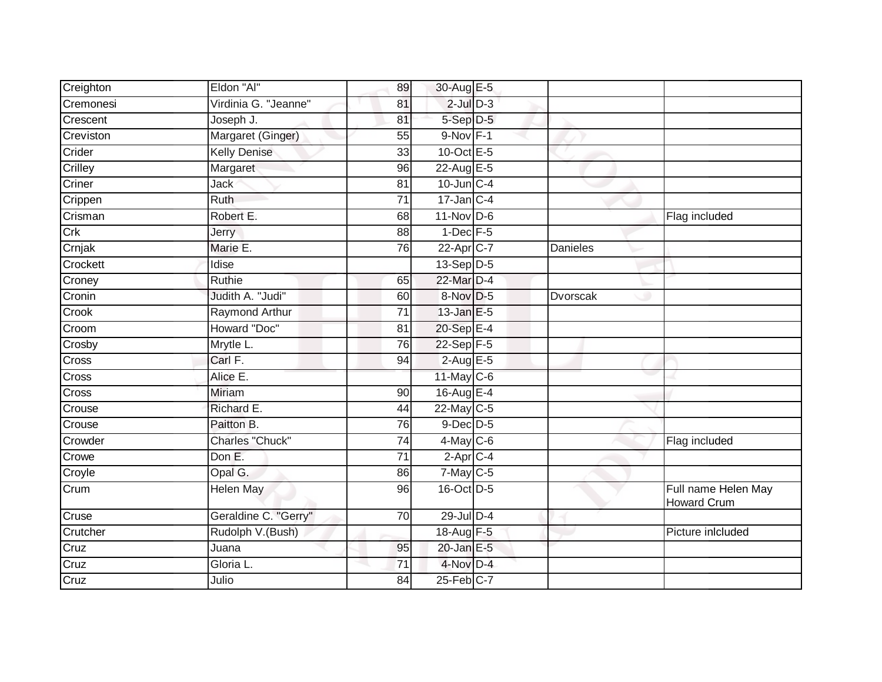| Creighton          | Eldon "Al"           | 89              | 30-Aug E-5       |                 |                                           |
|--------------------|----------------------|-----------------|------------------|-----------------|-------------------------------------------|
| Cremonesi          | Virdinia G. "Jeanne" | 81              | $2$ -Jul $D-3$   |                 |                                           |
| Crescent           | Joseph J.            | 81              | 5-Sep D-5        |                 |                                           |
| Creviston          | Margaret (Ginger)    | 55              | $9-Nov$ F-1      |                 |                                           |
| Crider             | <b>Kelly Denise</b>  | $\overline{33}$ | 10-Oct $E-5$     |                 |                                           |
| Crilley            | Margaret             | 96              | 22-Aug E-5       |                 |                                           |
| Criner             | Jack                 | 81              | $10$ -Jun $C-4$  |                 |                                           |
| Crippen            | Ruth                 | 71              | $17$ -Jan C-4    |                 |                                           |
| Crisman            | Robert E.            | 68              | 11-Nov D-6       |                 | Flag included                             |
| Crk                | <b>Jerry</b>         | 88              | $1$ -Dec $F - 5$ |                 |                                           |
| Crnjak             | Marie E.             | 76              | 22-Apr C-7       | Danieles        |                                           |
| Crockett           | Idise                |                 | $13-Sep$ D-5     |                 |                                           |
| Croney             | Ruthie               | 65              | 22-Mar D-4       |                 |                                           |
| Cronin             | Judith A. "Judi"     | 60              | 8-Nov D-5        | <b>Dvorscak</b> |                                           |
| Crook              | Raymond Arthur       | $\overline{71}$ | 13-Jan E-5       |                 |                                           |
| Croom              | Howard "Doc"         | 81              | 20-Sep E-4       |                 |                                           |
| Crosby             | Mrytle L.            | 76              | $22-Sep$ F-5     |                 |                                           |
| Cross              | Carl F.              | 94              | $2$ -Aug E-5     |                 |                                           |
| Cross              | Alice E.             |                 | 11-May C-6       |                 |                                           |
| Cross              | <b>Miriam</b>        | 90              | 16-Aug E-4       |                 |                                           |
| Crouse             | Richard E.           | 44              | $22$ -May C-5    |                 |                                           |
| Crouse             | Paitton B.           | 76              | $9$ -Dec $D$ -5  |                 |                                           |
| Crowder            | Charles "Chuck"      | 74              | $4$ -May C-6     |                 | Flag included                             |
| Crowe              | Don E.               | 71              | $2-Apr$ $C-4$    |                 |                                           |
| Croyle             | Opal G.              | 86              | $7$ -May $C$ -5  |                 |                                           |
| Crum               | <b>Helen May</b>     | 96              | 16-Oct D-5       |                 | Full name Helen May<br><b>Howard Crum</b> |
| Cruse              | Geraldine C. "Gerry" | 70              | $29$ -Jul $D-4$  |                 |                                           |
| Crutcher           | Rudolph V.(Bush)     |                 | 18-Aug F-5       |                 | Picture inlcluded                         |
| Cruz               | Juana                | 95              | $20$ -Jan E-5    |                 |                                           |
| $\overline{C}$ ruz | Gloria L.            | 71              | 4-Nov D-4        |                 |                                           |
| Cruz               | Julio                | 84              | $25$ -Feb $C$ -7 |                 |                                           |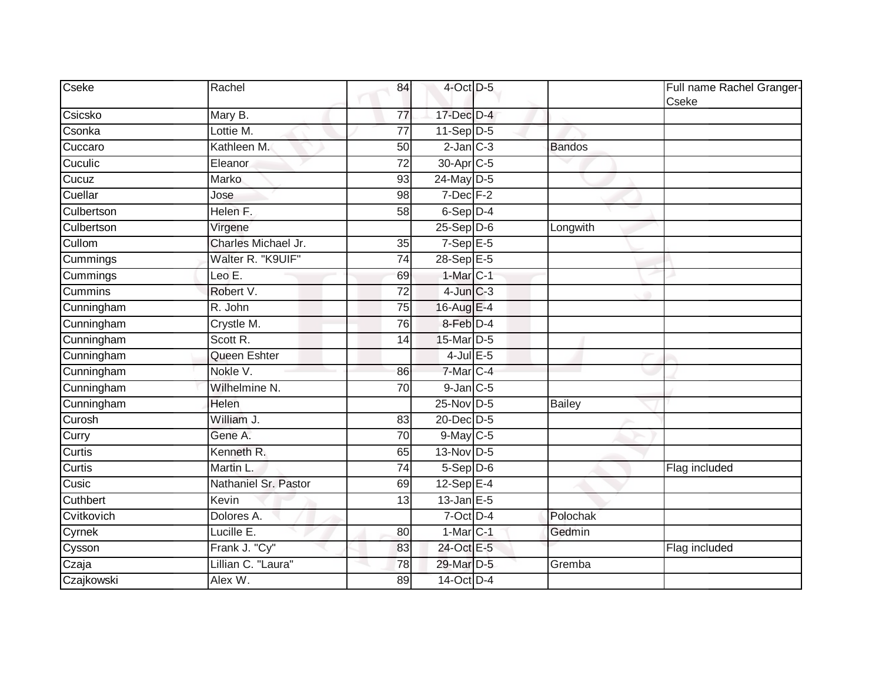| Cseke          | Rachel               | 84              | 4-Oct D-5              |               | Full name Rachel Granger-<br>Cseke |
|----------------|----------------------|-----------------|------------------------|---------------|------------------------------------|
| Csicsko        | Mary B.              | 77              | $17$ -Dec $D-4$        |               |                                    |
| Csonka         | Lottie M.            | 77              | $11-Sep$ D-5           |               |                                    |
| Cuccaro        | Kathleen M.          | 50              | $2$ -Jan $C-3$         | <b>Bandos</b> |                                    |
| Cuculic        | Eleanor              | 72              | 30-Apr <sub>C-5</sub>  |               |                                    |
| Cucuz          | Marko                | 93              | 24-May D-5             |               |                                    |
| Cuellar        | Jose                 | 98              | $7$ -Dec $F-2$         |               |                                    |
| Culbertson     | Helen F.             | 58              | 6-Sep D-4              |               |                                    |
| Culbertson     | Virgene              |                 | $25-$ Sep $D-6$        | Longwith      |                                    |
| Cullom         | Charles Michael Jr.  | 35              | $7-Sep \overline{E-5}$ |               |                                    |
| Cummings       | Walter R. "K9UIF"    | 74              | $28-Sep$ E-5           |               |                                    |
| Cummings       | Leo E.               | 69              | $1-Mar$ C-1            |               |                                    |
| <b>Cummins</b> | Robert V.            | 72              | $4$ -Jun $C-3$         |               |                                    |
| Cunningham     | R. John              | 75              | 16-Aug E-4             |               |                                    |
| Cunningham     | Crystle M.           | $\overline{76}$ | 8-Feb D-4              |               |                                    |
| Cunningham     | Scott R.             | 14              | 15-Mar D-5             |               |                                    |
| Cunningham     | Queen Eshter         |                 | 4-Jul $E-5$            |               |                                    |
| Cunningham     | Nokle V.             | 86              | 7-Mar C-4              |               |                                    |
| Cunningham     | Wilhelmine N.        | 70              | $9$ -Jan $C$ -5        |               |                                    |
| Cunningham     | Helen                |                 | 25-Nov D-5             | <b>Bailey</b> |                                    |
| Curosh         | William J.           | 83              | 20-Dec D-5             |               |                                    |
| Curry          | Gene A.              | 70              | $9$ -May C-5           |               |                                    |
| Curtis         | Kenneth R.           | 65              | 13-Nov D-5             |               |                                    |
| Curtis         | Martin L             | 74              | $5-Sep$ D-6            |               | Flag included                      |
| Cusic          | Nathaniel Sr. Pastor | 69              | 12-Sep E-4             |               |                                    |
| Cuthbert       | Kevin                | 13              | $13$ -Jan E-5          |               |                                    |
| Cvitkovich     | Dolores A.           |                 | 7-Oct D-4              | Polochak      |                                    |
| Cyrnek         | Lucille E.           | 80              | $1-Mar$ $C-1$          | Gedmin        |                                    |
| Cysson         | Frank J. "Cy"        | 83              | 24-Oct E-5             |               | Flag included                      |
| Czaja          | Lillian C. "Laura"   | 78              | 29-Mar D-5             | Gremba        |                                    |
| Czajkowski     | Alex W.              | 89              | 14-Oct D-4             |               |                                    |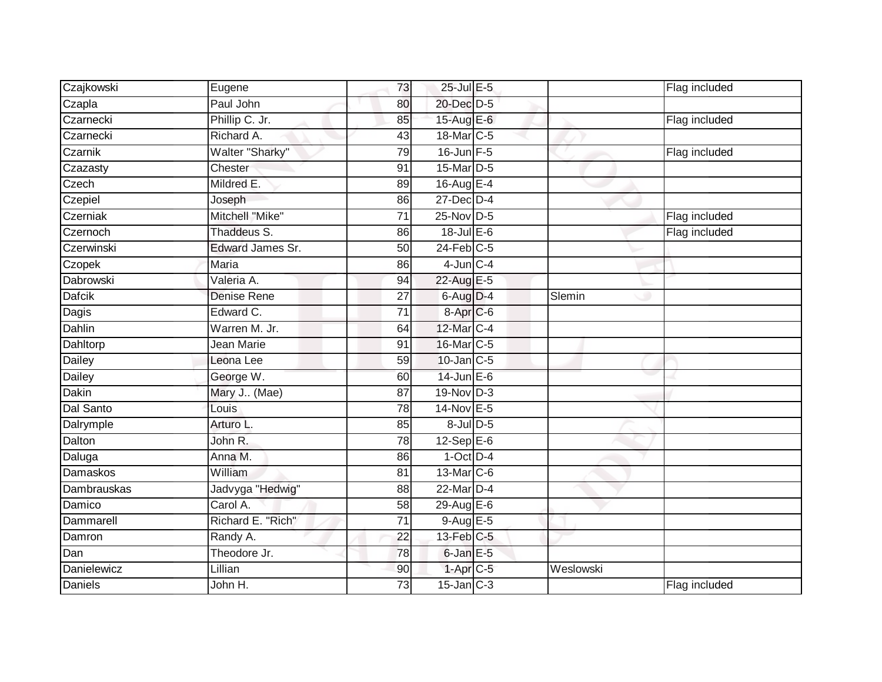| Czajkowski         | Eugene                             | 73              | 25-Jul E-5            |           | Flag included |
|--------------------|------------------------------------|-----------------|-----------------------|-----------|---------------|
| Czapla             | Paul John                          | 80              | 20-Dec D-5            |           |               |
| Czarnecki          | Phillip C. Jr.                     | 85              | 15-Aug E-6            |           | Flag included |
| Czarnecki          | Richard A.                         | 43              | 18-Mar <sub>C-5</sub> |           |               |
| Czarnik            | Walter "Sharky"                    | 79              | $16$ -Jun $F-5$       |           | Flag included |
| Czazasty           | Chester                            | 91              | 15-Mar D-5            |           |               |
| Czech              | Mildred E.                         | 89              | 16-Aug $E-4$          |           |               |
| Czepiel            | Joseph                             | 86              | $27$ -Dec $D-4$       |           |               |
| Czerniak           | Mitchell "Mike"                    | $\overline{71}$ | 25-Nov D-5            |           | Flag included |
| Czernoch           | Thaddeus S.                        | 86              | $18$ -Jul E-6         |           | Flag included |
| Czerwinski         | Edward James Sr.                   | 50              | $24$ -Feb $C-5$       |           |               |
| Czopek             | Maria                              | 86              | $4$ -Jun $C - 4$      |           |               |
| Dabrowski          | Valeria A.                         | 94              | 22-Aug E-5            |           |               |
| <b>Dafcik</b>      | <b>Denise Rene</b>                 | 27              | $6$ -Aug $D-4$        | Slemin    |               |
| Dagis              | Edward C.                          | 71              | 8-Apr <sub>IC-6</sub> |           |               |
| Dahlin             | $\overline{\text{Warren M}}$ . Jr. | 64              | 12-Mar C-4            |           |               |
| Dahltorp           | Jean Marie                         | 91              | 16-Mar C-5            |           |               |
| Dailey             | Leona Lee                          | 59              | $10$ -Jan $C-5$       |           |               |
| Dailey             | George W.                          | 60              | $14$ -Jun $E-6$       |           |               |
| <b>Dakin</b>       | Mary J (Mae)                       | 87              | 19-Nov D-3            |           |               |
| Dal Santo          | Louis                              | 78              | 14-Nov E-5            |           |               |
| Dalrymple          | Arturo L.                          | 85              | 8-Jul D-5             |           |               |
| Dalton             | John R.                            | 78              | 12-Sep $E-6$          |           |               |
| Daluga             | Anna M.                            | 86              | $1-Oct$ $D-4$         |           |               |
| Damaskos           | William                            | 81              | $13$ -Mar $ C-6$      |           |               |
| <b>Dambrauskas</b> | Jadvyga "Hedwig"                   | 88              | 22-Mar D-4            |           |               |
| Damico             | Carol A.                           | $\overline{58}$ | 29-Aug E-6            |           |               |
| Dammarell          | Richard E. "Rich"                  | $\overline{71}$ | $9-AugE-5$            |           |               |
| Damron             | Randy A.                           | 22              | $13$ -Feb $ C-5 $     |           |               |
| Dan                | Theodore Jr.                       | 78              | 6-Jan E-5             |           |               |
| Danielewicz        | Lillian                            | 90              | $1-AprC-5$            | Weslowski |               |
| <b>Daniels</b>     | John H.                            | 73              | $15$ -Jan $C-3$       |           | Flag included |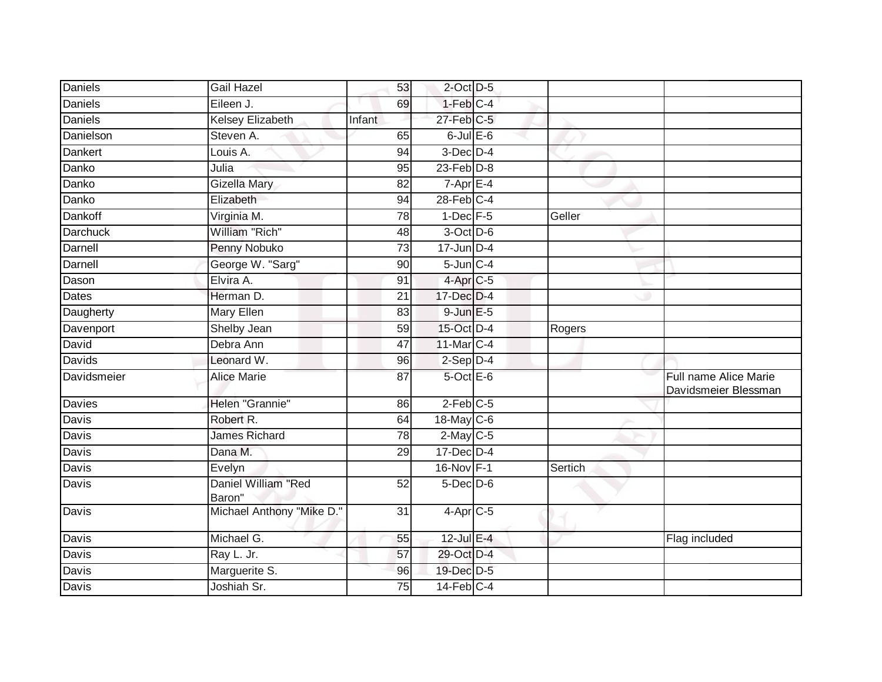| Daniels         | <b>Gail Hazel</b>             | 53              | $2$ -Oct $D-5$           |         |                                               |
|-----------------|-------------------------------|-----------------|--------------------------|---------|-----------------------------------------------|
| Daniels         | Eileen J.                     | 69              | $1-Feb$ <sub>C-4</sub>   |         |                                               |
| <b>Daniels</b>  | <b>Kelsey Elizabeth</b>       | Infant          | $27$ -Feb $C-5$          |         |                                               |
| Danielson       | Steven A.                     | 65              | $6$ -Jul $E$ -6          |         |                                               |
| Dankert         | Louis A.                      | 94              | $3$ -Dec $D-4$           |         |                                               |
| Danko           | Julia                         | $\overline{95}$ | $23$ -Feb $D-8$          |         |                                               |
| Danko           | Gizella Mary                  | 82              | $7 - \overline{Apr}$ E-4 |         |                                               |
| Danko           | Elizabeth                     | 94              | $28$ -Feb $C-4$          |         |                                               |
| Dankoff         | Virginia M.                   | $\overline{78}$ | $1-Dec$ F-5              | Geller  |                                               |
| <b>Darchuck</b> | William "Rich"                | 48              | 3-Oct D-6                |         |                                               |
| Darnell         | Penny Nobuko                  | 73              | $17 - Jun$ $D-4$         |         |                                               |
| Darnell         | George W. "Sarg"              | 90              | $5$ -Jun $C-4$           |         |                                               |
| Dason           | Elvira A.                     | 91              | $4$ -Apr $C$ -5          |         |                                               |
| Dates           | Herman D.                     | 21              | 17-Dec D-4               |         |                                               |
| Daugherty       | <b>Mary Ellen</b>             | 83              | 9-Jun E-5                |         |                                               |
| Davenport       | Shelby Jean                   | 59              | 15-Oct D-4               | Rogers  |                                               |
| David           | Debra Ann                     | 47              | 11-Mar C-4               |         |                                               |
| Davids          | Leonard W.                    | 96              | $2-Sep$ $D-4$            |         |                                               |
| Davidsmeier     | <b>Alice Marie</b>            | 87              | $5$ -Oct $E$ -6          |         | Full name Alice Marie<br>Davidsmeier Blessman |
| <b>Davies</b>   | Helen "Grannie"               | 86              | $2-Feb$ $C-5$            |         |                                               |
| Davis           | Robert R.                     | 64              | 18-May C-6               |         |                                               |
| Davis           | James Richard                 | 78              | $2-May$ C-5              |         |                                               |
| Davis           | Dana M.                       | 29              | $17 - Dec$ $D-4$         |         |                                               |
| Davis           | Evelyn                        |                 | 16-Nov F-1               | Sertich |                                               |
| <b>Davis</b>    | Daniel William "Red<br>Baron" | $\overline{52}$ | $5$ -Dec $D$ -6          |         |                                               |
| Davis           | Michael Anthony "Mike D."     | 31              | $4-Apr$ C-5              |         |                                               |
| Davis           | Michael G.                    | 55              | 12-Jul E-4               |         | Flag included                                 |
| <b>Davis</b>    | Ray L. Jr.                    | 57              | 29-Oct D-4               |         |                                               |
| Davis           | Marguerite S.                 | 96              | 19-Dec D-5               |         |                                               |
| <b>Davis</b>    | Joshiah Sr.                   | $\overline{75}$ | $14$ -Feb $C-4$          |         |                                               |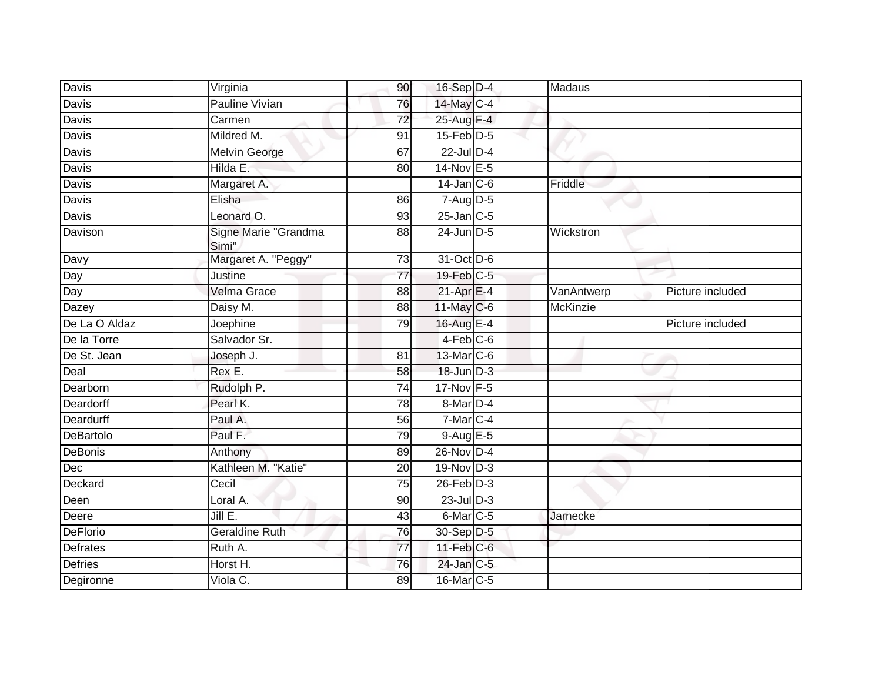| Davis           | Virginia                      | 90              | 16-Sep D-4       | Madaus          |                  |
|-----------------|-------------------------------|-----------------|------------------|-----------------|------------------|
| Davis           | <b>Pauline Vivian</b>         | 76              | 14-May C-4       |                 |                  |
| Davis           | Carmen                        | $\overline{72}$ | 25-Aug F-4       |                 |                  |
| Davis           | Mildred M.                    | 91              | $15$ -Feb $D-5$  |                 |                  |
| Davis           | <b>Melvin George</b>          | 67              | $22$ -Jul D-4    |                 |                  |
| Davis           | Hilda E:                      | 80              | 14-Nov E-5       |                 |                  |
| Davis           | Margaret A.                   |                 | $14$ -Jan $C$ -6 | Friddle         |                  |
| Davis           | Elisha                        | 86              | 7-Aug D-5        |                 |                  |
| Davis           | Leonard O.                    | 93              | $25$ -Jan $C-5$  |                 |                  |
| Davison         | Signe Marie "Grandma<br>Simi" | 88              | 24-Jun D-5       | Wickstron       |                  |
| Davy            | Margaret A. "Peggy"           | 73              | 31-Oct D-6       |                 |                  |
| Day             | Justine                       | $\overline{77}$ | 19-Feb C-5       |                 |                  |
| Day             | <b>Velma Grace</b>            | 88              | $21$ -Apr $E-4$  | VanAntwerp      | Picture included |
| <b>Dazey</b>    | Daisy M.                      | 88              | 11-May C-6       | <b>McKinzie</b> |                  |
| De La O Aldaz   | Joephine                      | 79              | 16-Aug E-4       |                 | Picture included |
| De la Torre     | Salvador Sr.                  |                 | $4-Feb$ C-6      |                 |                  |
| De St. Jean     | Joseph J.                     | 81              | 13-Mar C-6       |                 |                  |
| Deal            | Rex E.                        | 58              | 18-Jun D-3       |                 |                  |
| Dearborn        | Rudolph P.                    | $\overline{74}$ | 17-Nov F-5       |                 |                  |
| Deardorff       | Pearl K.                      | 78              | 8-Mar D-4        |                 |                  |
| Deardurff       | Paul A.                       | 56              | 7-Mar C-4        |                 |                  |
| DeBartolo       | Paul F.                       | 79              | $9-AugE-5$       |                 |                  |
| DeBonis         | Anthony                       | 89              | $26$ -Nov $D-4$  |                 |                  |
| Dec             | Kathleen M. "Katie"           | 20              | $19-Nov$ D-3     |                 |                  |
| Deckard         | Cecil                         | $\overline{75}$ | $26$ -Feb $D-3$  |                 |                  |
| Deen            | Loral A.                      | 90              | $23$ -Jul $D-3$  |                 |                  |
| Deere           | JillE.                        | 43              | $6$ -Mar $C$ -5  | Jarnecke        |                  |
| <b>DeFlorio</b> | <b>Geraldine Ruth</b>         | 76              | 30-Sep D-5       |                 |                  |
| Defrates        | Ruth A.                       | $\overline{77}$ | $11$ -Feb $C$ -6 |                 |                  |
| Defries         | Horst H.                      | 76              | 24-Jan C-5       |                 |                  |
| Degironne       | Viola C.                      | 89              | 16-Mar C-5       |                 |                  |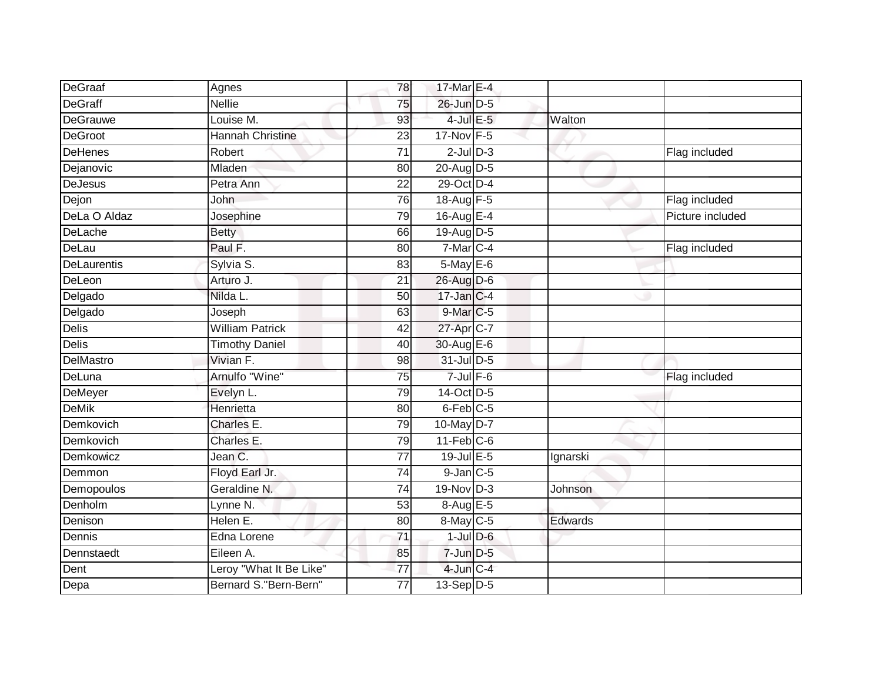| DeGraaf            | Agnes                   | 78              | 17-Mar E-4           |          |                  |
|--------------------|-------------------------|-----------------|----------------------|----------|------------------|
| DeGraff            | <b>Nellie</b>           | 75              | 26-Jun D-5           |          |                  |
| <b>DeGrauwe</b>    | Louise M.               | 93              | $4$ -Jul $E$ -5      | Walton   |                  |
| <b>DeGroot</b>     | Hannah Christine        | 23              | 17-Nov F-5           |          |                  |
| <b>DeHenes</b>     | Robert                  | $\overline{71}$ | $2$ -Jul $D-3$       |          | Flag included    |
| Dejanovic          | Mladen                  | 80              | 20-Aug D-5           |          |                  |
| DeJesus            | Petra Ann               | 22              | 29-Oct D-4           |          |                  |
| Dejon              | John                    | 76              | 18-Aug F-5           |          | Flag included    |
| DeLa O Aldaz       | Josephine               | 79              | 16-Aug E-4           |          | Picture included |
| DeLache            | <b>Betty</b>            | 66              | 19-Aug D-5           |          |                  |
| DeLau              | Paul F.                 | 80              | $7$ -Mar $C-4$       |          | Flag included    |
| <b>DeLaurentis</b> | Sylvia S.               | 83              | 5-May E-6            |          |                  |
| DeLeon             | Arturo J.               | 21              | 26-Aug D-6           |          |                  |
| Delgado            | Nilda L.                | 50              | 17-Jan C-4           |          |                  |
| Delgado            | Joseph                  | 63              | 9-Mar <sub>C-5</sub> |          |                  |
| <b>Delis</b>       | <b>William Patrick</b>  | 42              | 27-Apr C-7           |          |                  |
| Delis              | <b>Timothy Daniel</b>   | 40              | 30-Aug E-6           |          |                  |
| DelMastro          | Vivian F.               | 98              | $31$ -Jul D-5        |          |                  |
| DeLuna             | Arnulfo "Wine"          | 75              | $7$ -Jul $F-6$       |          | Flag included    |
| DeMeyer            | Evelyn L.               | 79              | 14-Oct D-5           |          |                  |
| <b>DeMik</b>       | Henrietta               | 80              | 6-Feb C-5            |          |                  |
| Demkovich          | Charles E.              | 79              | 10-May D-7           |          |                  |
| Demkovich          | Charles E.              | 79              | $11$ -Feb $C-6$      |          |                  |
| Demkowicz          | Jean C.                 | $\overline{77}$ | 19-Jul E-5           | Ignarski |                  |
| Demmon             | Floyd Earl Jr.          | 74              | $9-Jan$ $C-5$        |          |                  |
| Demopoulos         | Geraldine N.            | $\overline{74}$ | $19-Nov$ D-3         | Johnson  |                  |
| Denholm            | Lynne N.                | 53              | 8-Aug E-5            |          |                  |
| Denison            | Helen E.                | 80              | 8-May C-5            | Edwards  |                  |
| Dennis             | Edna Lorene             | $\overline{71}$ | $1$ -Jul $D$ -6      |          |                  |
| Dennstaedt         | Eileen A.               | 85              | $7$ -Jun $D-5$       |          |                  |
| Dent               | Leroy "What It Be Like" | 77              | $4$ -Jun $C-4$       |          |                  |
| Depa               | Bernard S."Bern-Bern"   | $\overline{77}$ | 13-Sep D-5           |          |                  |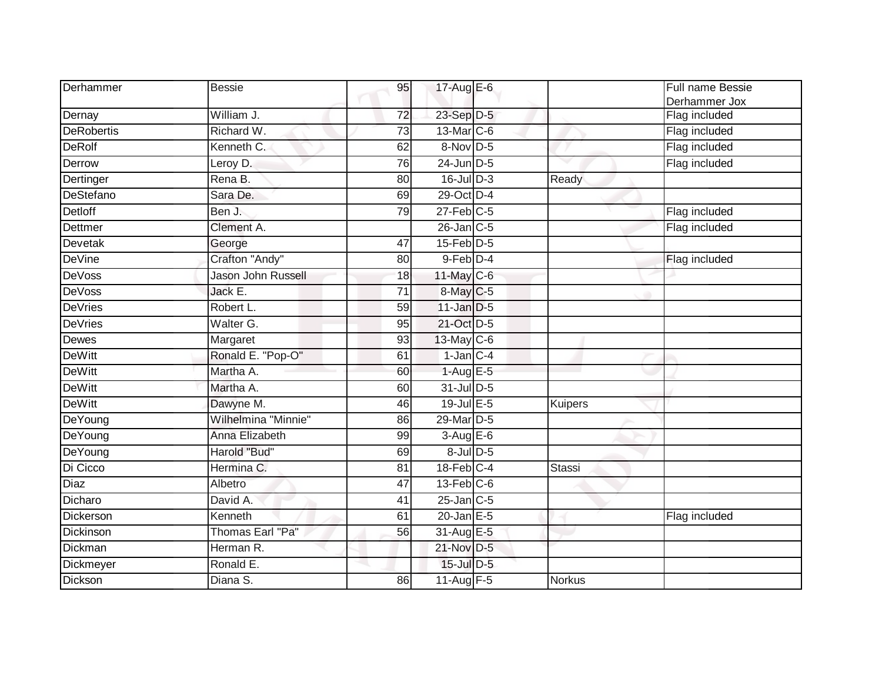| Derhammer         | <b>Bessie</b>       | 95 | 17-Aug E-6        |                | Full name Bessie |
|-------------------|---------------------|----|-------------------|----------------|------------------|
|                   |                     |    |                   |                | Derhammer Jox    |
| Dernay            | William J.          | 72 | 23-Sep D-5        |                | Flag included    |
| <b>DeRobertis</b> | Richard W.          | 73 | 13-Mar C-6        |                | Flag included    |
| <b>DeRolf</b>     | Kenneth C.          | 62 | 8-Nov D-5         |                | Flag included    |
| Derrow            | Leroy D.            | 76 | 24-Jun D-5        |                | Flag included    |
| Dertinger         | Rena B.             | 80 | $16$ -Jul D-3     | Ready          |                  |
| DeStefano         | Sara De.            | 69 | 29-Oct D-4        |                |                  |
| Detloff           | Ben J.              | 79 | $27$ -Feb $C-5$   |                | Flag included    |
| Dettmer           | Clement A.          |    | $26$ -Jan $C$ -5  |                | Flag included    |
| Devetak           | George              | 47 | $15$ -Feb $D-5$   |                |                  |
| <b>DeVine</b>     | Crafton "Andy"      | 80 | 9-Feb D-4         |                | Flag included    |
| <b>DeVoss</b>     | Jason John Russell  | 18 | $11$ -May C-6     |                |                  |
| <b>DeVoss</b>     | Jack E.             | 71 | 8-May C-5         |                |                  |
| <b>DeVries</b>    | Robert L.           | 59 | $11$ -Jan $D-5$   |                |                  |
| <b>DeVries</b>    | Walter G.           | 95 | 21-Oct D-5        |                |                  |
| <b>Dewes</b>      | Margaret            | 93 | $13$ -May C-6     |                |                  |
| <b>DeWitt</b>     | Ronald E. "Pop-O"   | 61 | $1$ -Jan $ C-4 $  |                |                  |
| <b>DeWitt</b>     | Martha A.           | 60 | $1-Aug$ E-5       |                |                  |
| <b>DeWitt</b>     | Martha A.           | 60 | $31$ -Jul D-5     |                |                  |
| <b>DeWitt</b>     | Dawyne M.           | 46 | $19$ -Jul $E$ -5  | <b>Kuipers</b> |                  |
| DeYoung           | Wilhelmina "Minnie" | 86 | 29-Mar D-5        |                |                  |
| DeYoung           | Anna Elizabeth      | 99 | $3-AugE-6$        |                |                  |
| DeYoung           | Harold "Bud"        | 69 | $8$ -Jul $D$ -5   |                |                  |
| Di Cicco          | Hermina C.          | 81 | $18$ -Feb $C-4$   | <b>Stassi</b>  |                  |
| <b>Diaz</b>       | Albetro             | 47 | $13$ -Feb $ C-6 $ |                |                  |
| Dicharo           | David A.            | 41 | $25$ -Jan $C$ -5  |                |                  |
| Dickerson         | Kenneth             | 61 | $20$ -Jan $E-5$   |                | Flag included    |
| Dickinson         | Thomas Earl "Pa"    | 56 | 31-Aug E-5        |                |                  |
| Dickman           | Herman R.           |    | 21-Nov D-5        |                |                  |
| Dickmeyer         | Ronald E.           |    | $15$ -Jul $D-5$   |                |                  |
| Dickson           | Diana S.            | 86 | $11$ -Aug $F-5$   | <b>Norkus</b>  |                  |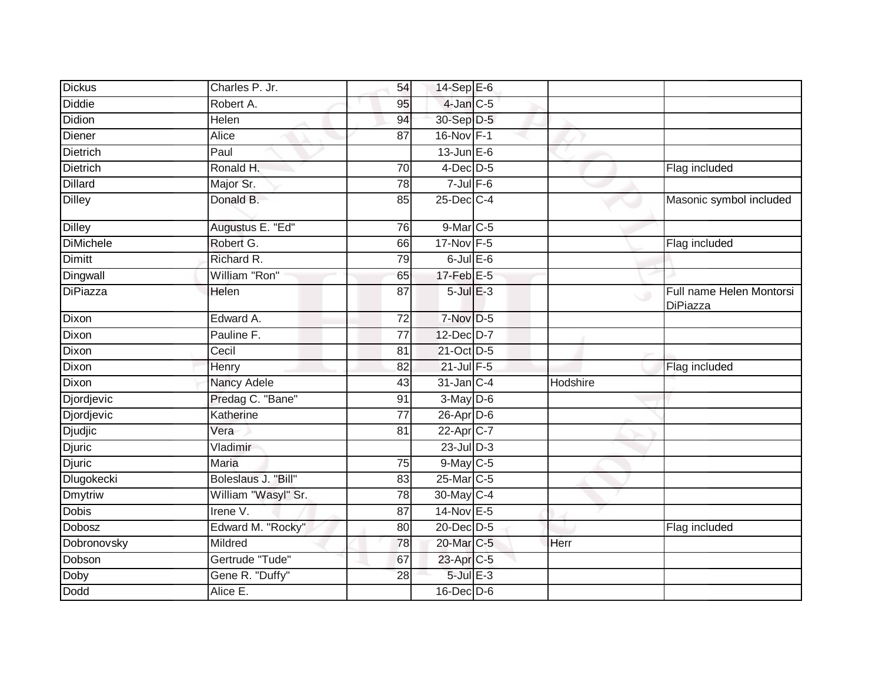| <b>Dickus</b>    | Charles P. Jr.      | 54              | 14-Sep E-6            |          |                                      |
|------------------|---------------------|-----------------|-----------------------|----------|--------------------------------------|
| <b>Diddie</b>    | Robert A.           | 95              | $4$ -Jan $C$ -5       |          |                                      |
| <b>Didion</b>    | Helen               | 94              | 30-Sep D-5            |          |                                      |
| Diener           | Alice               | 87              | 16-Nov F-1            |          |                                      |
| <b>Dietrich</b>  | Paul                |                 | $13$ -Jun $E-6$       |          |                                      |
| Dietrich         | Ronald H.           | 70              | $4$ -Dec $D-5$        |          | Flag included                        |
| <b>Dillard</b>   | Major Sr.           | 78              | $7$ -Jul $F$ -6       |          |                                      |
| <b>Dilley</b>    | Donald B.           | 85              | 25-Dec C-4            |          | Masonic symbol included              |
| <b>Dilley</b>    | Augustus E. "Ed"    | 76              | 9-Mar C-5             |          |                                      |
| <b>DiMichele</b> | Robert G.           | 66              | 17-Nov F-5            |          | Flag included                        |
| <b>Dimitt</b>    | Richard R.          | 79              | $6$ -Jul $E$ -6       |          |                                      |
| Dingwall         | William "Ron"       | 65              | 17-Feb E-5            |          |                                      |
| <b>DiPiazza</b>  | Helen               | $\overline{87}$ | $5$ -Jul $E-3$        | $\cup$   | Full name Helen Montorsi<br>DiPiazza |
| Dixon            | Edward A.           | 72              | 7-Nov D-5             |          |                                      |
| Dixon            | Pauline F.          | 77              | 12-Dec D-7            |          |                                      |
| Dixon            | Cecil               | 81              | 21-Oct D-5            |          |                                      |
| Dixon            | Henry               | 82              | 21-Jul F-5            |          | Flag included                        |
| Dixon            | <b>Nancy Adele</b>  | 43              | 31-Jan C-4            | Hodshire |                                      |
| Djordjevic       | Predag C. "Bane"    | 91              | $3-May$ $D-6$         |          |                                      |
| Djordjevic       | Katherine           | $\overline{77}$ | $26$ -Apr $D-6$       |          |                                      |
| <b>Djudjic</b>   | Vera                | 81              | 22-Apr <sub>C-7</sub> |          |                                      |
| Djuric           | Vladimir            |                 | $23$ -Jul $D-3$       |          |                                      |
| <b>Djuric</b>    | <b>Maria</b>        | 75              | 9-May C-5             |          |                                      |
| Dlugokecki       | Boleslaus J. "Bill" | 83              | 25-Mar C-5            |          |                                      |
| <b>Dmytriw</b>   | William "Wasyl" Sr. | $\overline{78}$ | 30-May C-4            |          |                                      |
| <b>Dobis</b>     | Irene V.            | 87              | 14-Nov E-5            |          |                                      |
| Dobosz           | Edward M. "Rocky"   | 80              | 20-Dec D-5            |          | Flag included                        |
| Dobronovsky      | Mildred             | 78              | 20-Mar C-5            | Herr     |                                      |
| Dobson           | Gertrude "Tude"     | 67              | 23-Apr C-5            |          |                                      |
| Doby             | Gene R. "Duffy"     | 28              | $5$ -Jul $E-3$        |          |                                      |
| <b>Dodd</b>      | Alice E.            |                 | $16$ -Dec $D$ -6      |          |                                      |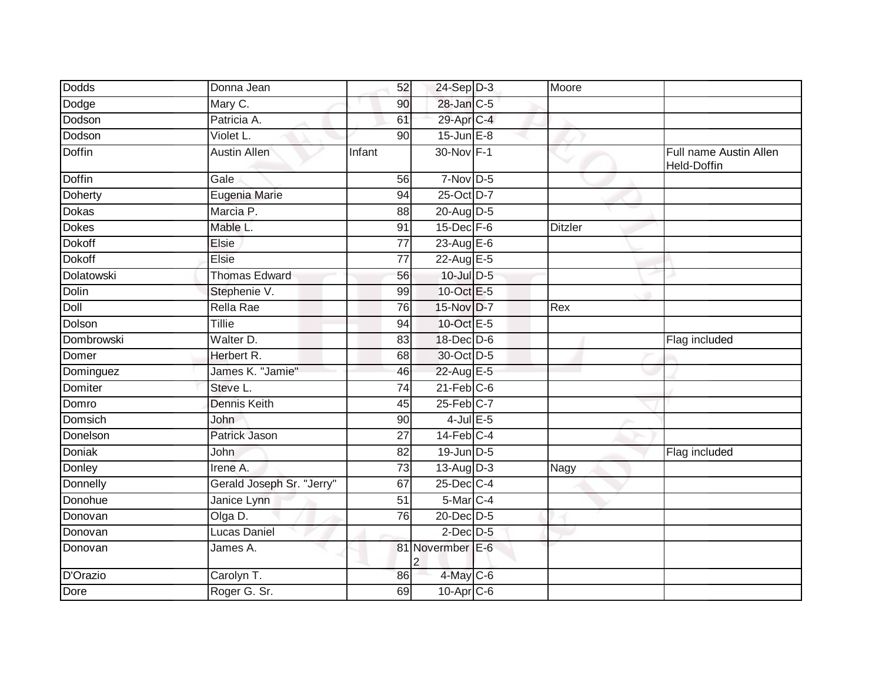| Dodds          | Donna Jean                | 52              | $24-Sep$ D-3      | Moore          |                                       |
|----------------|---------------------------|-----------------|-------------------|----------------|---------------------------------------|
| Dodge          | Mary C.                   | 90              | 28-Jan C-5        |                |                                       |
| Dodson         | Patricia A.               | 61              | 29-Apr C-4        |                |                                       |
| Dodson         | Violet L.                 | 90              | $15$ -Jun $E-8$   |                |                                       |
| <b>Doffin</b>  | <b>Austin Allen</b>       | Infant          | 30-Nov F-1        |                | Full name Austin Allen<br>Held-Doffin |
| <b>Doffin</b>  | Gale                      | 56              | $7-Nov$ D-5       |                |                                       |
| <b>Doherty</b> | Eugenia Marie             | 94              | 25-Oct D-7        |                |                                       |
| <b>Dokas</b>   | Marcia P.                 | 88              | 20-Aug D-5        |                |                                       |
| <b>Dokes</b>   | Mable L.                  | 91              | 15-Dec F-6        | <b>Ditzler</b> |                                       |
| <b>Dokoff</b>  | Elsie                     | 77              | 23-Aug E-6        |                |                                       |
| <b>Dokoff</b>  | <b>Elsie</b>              | 77              | 22-Aug E-5        |                |                                       |
| Dolatowski     | <b>Thomas Edward</b>      | 56              | 10-Jul D-5        |                |                                       |
| <b>Dolin</b>   | Stephenie V.              | 99              | 10-Oct E-5        |                |                                       |
| Doll           | Rella Rae                 | 76              | 15-Nov D-7        | Rex            |                                       |
| Dolson         | Tillie                    | 94              | 10-Oct E-5        |                |                                       |
| Dombrowski     | Walter D.                 | 83              | $18$ -Dec $D$ -6  |                | Flag included                         |
| Domer          | Herbert R.                | 68              | 30-Oct D-5        |                |                                       |
| Dominguez      | James K. "Jamie"          | 46              | 22-Aug E-5        |                |                                       |
| Domiter        | Steve L.                  | 74              | $21$ -Feb $C$ -6  |                |                                       |
| Domro          | <b>Dennis Keith</b>       | $\overline{45}$ | $25$ -Feb $ C-7 $ |                |                                       |
| Domsich        | John                      | 90              | $4$ -Jul $E$ -5   |                |                                       |
| Donelson       | Patrick Jason             | 27              | $14$ -Feb $C-4$   |                |                                       |
| <b>Doniak</b>  | John                      | 82              | 19-Jun D-5        |                | Flag included                         |
| Donley         | Irene A.                  | $\overline{73}$ | 13-Aug D-3        | Nagy           |                                       |
| Donnelly       | Gerald Joseph Sr. "Jerry" | 67              | 25-Dec C-4        |                |                                       |
| Donohue        | Janice Lynn               | $\overline{51}$ | $5$ -Mar $C-4$    |                |                                       |
| Donovan        | Olga D.                   | $\overline{76}$ | 20-Dec D-5        |                |                                       |
| Donovan        | Lucas Daniel              |                 | $2$ -Dec $D-5$    |                |                                       |
| Donovan        | James A.                  |                 | 81 Novermber E-6  |                |                                       |
| D'Orazio       | Carolyn T.                | 86              | $4$ -May C-6      |                |                                       |
| Dore           | Roger G. Sr.              | 69              | $10$ -Apr $C$ -6  |                |                                       |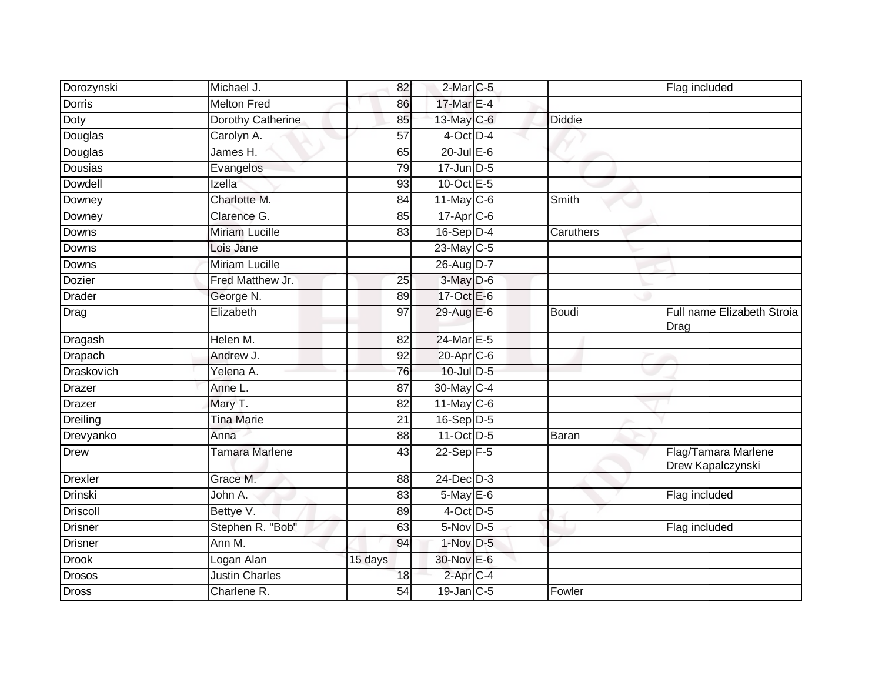| Dorozynski      | Michael J.               | 82      | $2$ -Mar $C$ -5       |               | Flag included                            |
|-----------------|--------------------------|---------|-----------------------|---------------|------------------------------------------|
| <b>Dorris</b>   | <b>Melton Fred</b>       | 86      | 17-Mar E-4            |               |                                          |
| <b>Doty</b>     | <b>Dorothy Catherine</b> | 85      | 13-May C-6            | <b>Diddie</b> |                                          |
| Douglas         | Carolyn A.               | 57      | 4-Oct D-4             |               |                                          |
| Douglas         | James H.                 | 65      | $20$ -Jul $E-6$       |               |                                          |
| Dousias         | Evangelos                | 79      | 17-Jun D-5            |               |                                          |
| Dowdell         | Izella                   | 93      | 10-Oct E-5            |               |                                          |
| Downey          | Charlotte M.             | 84      | $11$ -May C-6         | Smith         |                                          |
| Downey          | Clarence G.              | 85      | 17-Apr <sub>C-6</sub> |               |                                          |
| Downs           | <b>Miriam Lucille</b>    | 83      | $16-Sep$ D-4          | Caruthers     |                                          |
| Downs           | Lois Jane                |         | $23$ -May C-5         |               |                                          |
| Downs           | <b>Miriam Lucille</b>    |         | 26-Aug D-7            |               |                                          |
| Dozier          | Fred Matthew Jr.         | 25      | 3-May D-6             |               |                                          |
| <b>Drader</b>   | George N.                | 89      | 17-Oct E-6            |               |                                          |
| Drag            | Elizabeth                | 97      | 29-Aug E-6            | <b>Boudi</b>  | Full name Elizabeth Stroia<br>Drag       |
| Dragash         | Helen M.                 | 82      | 24-Mar E-5            |               |                                          |
| Drapach         | Andrew J.                | 92      | 20-Apr C-6            |               |                                          |
| Draskovich      | Yelena A.                | 76      | 10-Jul D-5            |               |                                          |
| Drazer          | Anne L.                  | 87      | 30-May C-4            |               |                                          |
| Drazer          | Mary T.                  | 82      | $11$ -May C-6         |               |                                          |
| Dreiling        | <b>Tina Marie</b>        | 21      | $16-Sep$ D-5          |               |                                          |
| Drevyanko       | Anna                     | 88      | $11-Oct$ D-5          | Baran         |                                          |
| Drew            | Tamara Marlene           | 43      | 22-Sep F-5            |               | Flag/Tamara Marlene<br>Drew Kapalczynski |
| <b>Drexler</b>  | Grace M.                 | 88      | $24$ -Dec $D-3$       |               |                                          |
| <b>Drinski</b>  | John A.                  | 83      | $5$ -May $E$ -6       |               | Flag included                            |
| <b>Driscoll</b> | Bettye V.                | 89      | $4$ -Oct D-5          |               |                                          |
| <b>Drisner</b>  | Stephen R. "Bob"         | 63      | 5-Nov D-5             |               | Flag included                            |
| <b>Drisner</b>  | Ann M.                   | 94      | 1-Nov D-5             |               |                                          |
| <b>Drook</b>    | Logan Alan               | 15 days | 30-Nov E-6            |               |                                          |
| <b>Drosos</b>   | <b>Justin Charles</b>    | 18      | $2$ -Apr $C$ -4       |               |                                          |
| <b>Dross</b>    | Charlene R.              | 54      | $19$ -Jan $C$ -5      | Fowler        |                                          |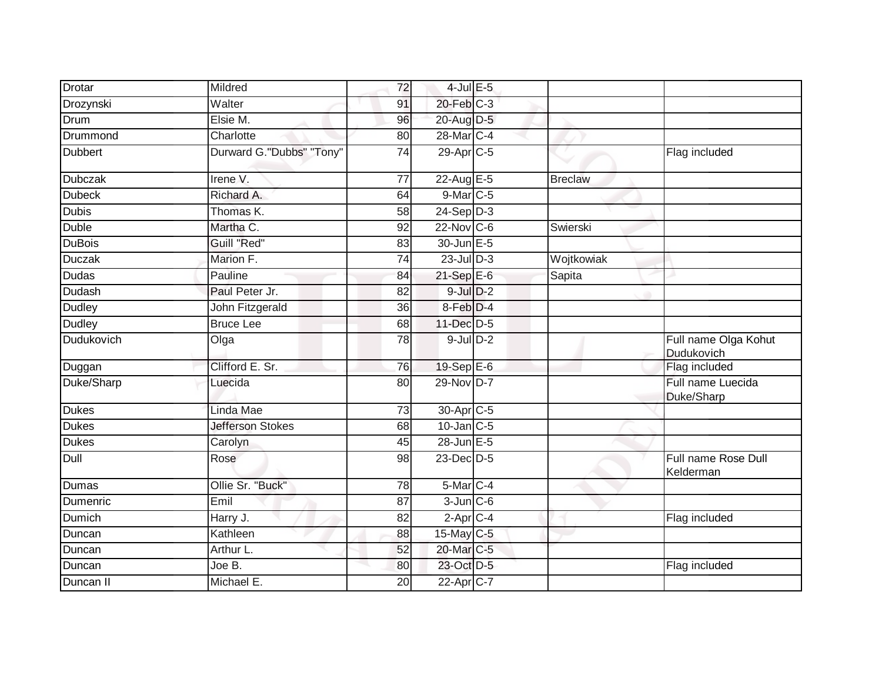| Drotar         | Mildred                  | 72 | $4$ -Jul $E$ -5 |                |                                    |
|----------------|--------------------------|----|-----------------|----------------|------------------------------------|
| Drozynski      | Walter                   | 91 | $20$ -Feb $C-3$ |                |                                    |
| Drum           | Elsie M.                 | 96 | 20-Aug D-5      |                |                                    |
| Drummond       | Charlotte                | 80 | 28-Mar C-4      |                |                                    |
| <b>Dubbert</b> | Durward G."Dubbs" "Tony" | 74 | 29-Apr C-5      |                | Flag included                      |
| <b>Dubczak</b> | Irene V.                 | 77 | 22-Aug E-5      | <b>Breclaw</b> |                                    |
| <b>Dubeck</b>  | Richard A.               | 64 | $9$ -Mar $C$ -5 |                |                                    |
| <b>Dubis</b>   | Thomas K.                | 58 | $24-Sep D-3$    |                |                                    |
| <b>Duble</b>   | Martha C.                | 92 | $22$ -Nov C-6   | Swierski       |                                    |
| <b>DuBois</b>  | Guill "Red"              | 83 | 30-Jun E-5      |                |                                    |
| <b>Duczak</b>  | Marion F.                | 74 | $23$ -Jul $D-3$ | Wojtkowiak     |                                    |
| Dudas          | Pauline                  | 84 | 21-Sep E-6      | Sapita         |                                    |
| <b>Dudash</b>  | Paul Peter Jr.           | 82 | $9$ -Jul $D-2$  |                |                                    |
| Dudley         | John Fitzgerald          | 36 | $8-Feb$ D-4     |                |                                    |
| <b>Dudley</b>  | <b>Bruce Lee</b>         | 68 | 11-Dec D-5      |                |                                    |
| Dudukovich     | Olga                     | 78 | $9$ -Jul $D-2$  |                | Full name Olga Kohut<br>Dudukovich |
| Duggan         | Clifford E. Sr.          | 76 | $19-SepE-6$     |                | Flag included                      |
| Duke/Sharp     | Luecida                  | 80 | 29-Nov D-7      |                | Full name Luecida<br>Duke/Sharp    |
| <b>Dukes</b>   | Linda Mae                | 73 | 30-Apr C-5      |                |                                    |
| <b>Dukes</b>   | <b>Jefferson Stokes</b>  | 68 | $10$ -Jan $C-5$ |                |                                    |
| <b>Dukes</b>   | Carolyn                  | 45 | 28-Jun E-5      |                |                                    |
| Dull           | Rose                     | 98 | 23-Dec D-5      |                | Full name Rose Dull<br>Kelderman   |
| Dumas          | Ollie Sr. "Buck"         | 78 | 5-Mar C-4       |                |                                    |
| Dumenric       | Emil                     | 87 | $3$ -Jun $C$ -6 |                |                                    |
| Dumich         | Harry J.                 | 82 | $2-AprC-4$      |                | Flag included                      |
| Duncan         | Kathleen                 | 88 | 15-May C-5      |                |                                    |
| Duncan         | Arthur L.                | 52 | 20-Mar C-5      |                |                                    |
| Duncan         | Joe B.                   | 80 | 23-Oct D-5      |                | Flag included                      |
| Duncan II      | Michael E.               | 20 | 22-Apr C-7      |                |                                    |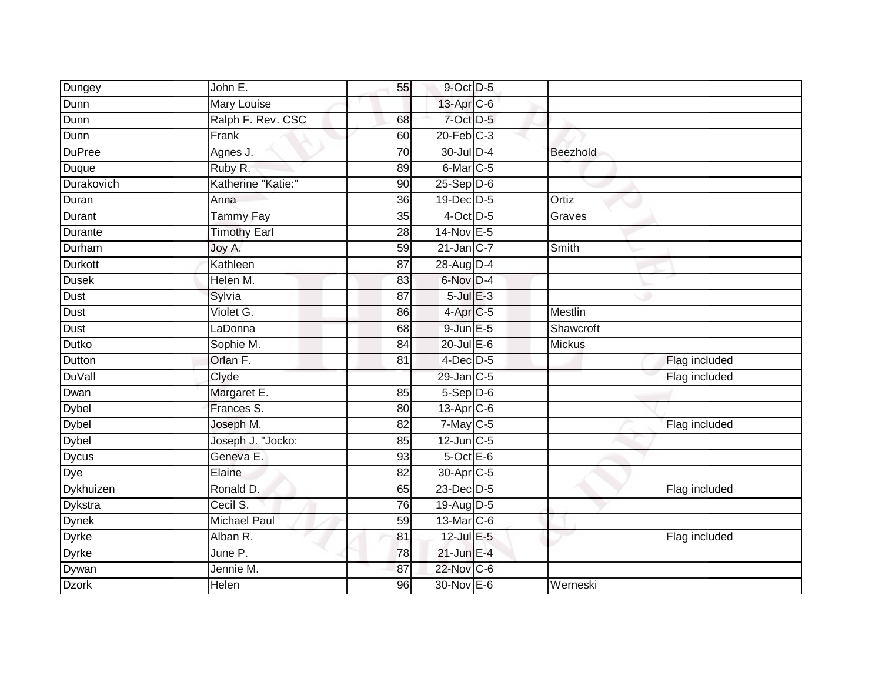| Dungey         | John E.             | 55              | 9-Oct D-5            |                |               |
|----------------|---------------------|-----------------|----------------------|----------------|---------------|
| Dunn           | <b>Mary Louise</b>  |                 | 13-Apr C-6           |                |               |
| Dunn           | Ralph F. Rev. CSC   | 68              | $7$ -Oct $D$ -5      |                |               |
| Dunn           | Frank               | 60              | $20$ -Feb $C-3$      |                |               |
| <b>DuPree</b>  | Agnes J.            | $\overline{70}$ | 30-Jul D-4           | Beezhold       |               |
| Duque          | Ruby R.             | 89              | 6-Mar C-5            |                |               |
| Durakovich     | Katherine "Katie:"  | 90              | $25-Sep$ $D-6$       |                |               |
| Duran          | Anna                | 36              | $19$ -Dec $ D-5 $    | Ortiz          |               |
| Durant         | <b>Tammy Fay</b>    | 35              | $4$ -Oct D-5         | Graves         |               |
| Durante        | <b>Timothy Earl</b> | $\overline{28}$ | 14-Nov E-5           |                |               |
| Durham         | Joy A.              | 59              | $21$ -Jan C-7        | Smith          |               |
| Durkott        | Kathleen            | 87              | 28-Aug D-4           |                |               |
| <b>Dusek</b>   | Helen M.            | 83              | 6-Nov D-4            |                |               |
| Dust           | Sylvia              | 87              | $5$ -Jul $E-3$       |                |               |
| Dust           | Violet G.           | 86              | 4-Apr <sub>C-5</sub> | <b>Mestlin</b> |               |
| Dust           | LaDonna             | 68              | $9$ -Jun $E$ -5      | Shawcroft      |               |
| Dutko          | Sophie M.           | $\overline{84}$ | $20$ -Jul $E-6$      | <b>Mickus</b>  |               |
| Dutton         | Orlan F.            | 81              | $4$ -Dec $D$ -5      |                | Flag included |
| DuVall         | Clyde               |                 | $29$ -Jan $C-5$      |                | Flag included |
| Dwan           | Margaret E.         | 85              | $5-$ Sep $D-6$       |                |               |
| <b>Dybel</b>   | Frances S.          | 80              | $13$ -Apr $C$ -6     |                |               |
| <b>Dybel</b>   | Joseph M.           | 82              | $7$ -May $C$ -5      |                | Flag included |
| <b>Dybel</b>   | Joseph J. "Jocko:   | 85              | $12$ -Jun $C-5$      |                |               |
| <b>Dycus</b>   | Geneva E.           | 93              | $5$ -Oct $E$ -6      |                |               |
| Dye            | Elaine              | 82              | 30-Apr C-5           |                |               |
| Dykhuizen      | Ronald D.           | 65              | 23-Dec D-5           |                | Flag included |
| <b>Dykstra</b> | Cecil S.            | 76              | 19-Aug D-5           |                |               |
| <b>Dynek</b>   | <b>Michael Paul</b> | 59              | 13-Mar C-6           |                |               |
| <b>Dyrke</b>   | Alban R.            | 81              | 12-Jul E-5           |                | Flag included |
| <b>Dyrke</b>   | June P.             | 78              | $21$ -Jun E-4        |                |               |
| Dywan          | Jennie M.           | 87              | 22-Nov C-6           |                |               |
| <b>Dzork</b>   | Helen               | 96              | 30-Nov E-6           | Werneski       |               |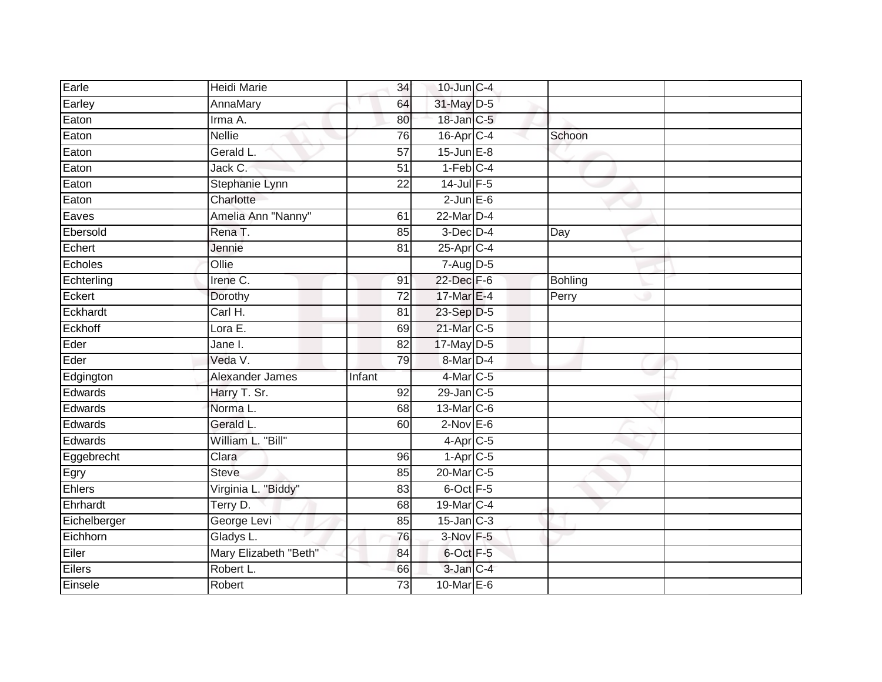| Earle        | Heidi Marie           | 34              | $10$ -Jun $C-4$        |                |  |
|--------------|-----------------------|-----------------|------------------------|----------------|--|
| Earley       | AnnaMary              | 64              | 31-May D-5             |                |  |
| Eaton        | Irma A.               | 80              | 18-Jan C-5             |                |  |
| Eaton        | <b>Nellie</b>         | 76              | 16-Apr C-4             | Schoon         |  |
| Eaton        | Gerald L.             | $\overline{57}$ | $15$ -Jun $E-8$        |                |  |
| Eaton        | Jack C.               | $\overline{51}$ | $1-Feb$ <sub>C-4</sub> |                |  |
| Eaton        | Stephanie Lynn        | $\overline{22}$ | $14$ -Jul $F-5$        |                |  |
| Eaton        | Charlotte             |                 | $2$ -Jun $E$ -6        |                |  |
| Eaves        | Amelia Ann "Nanny"    | 61              | $22$ -Mar $D-4$        |                |  |
| Ebersold     | Rena T.               | 85              | $3$ -Dec $D-4$         | Day            |  |
| Echert       | Jennie                | 81              | 25-Apr C-4             |                |  |
| Echoles      | Ollie                 |                 | 7-Aug D-5              |                |  |
| Echterling   | Irene C.              | 91              | $22$ -Dec $F-6$        | <b>Bohling</b> |  |
| Eckert       | Dorothy               | 72              | 17-Mar E-4             | Perry          |  |
| Eckhardt     | Carl H.               | $\overline{81}$ | 23-Sep D-5             |                |  |
| Eckhoff      | Lora E.               | 69              | 21-Mar C-5             |                |  |
| Eder         | Jane I.               | $\overline{82}$ | 17-May D-5             |                |  |
| Eder         | Veda V.               | 79              | $8-Mar$ D-4            |                |  |
| Edgington    | Alexander James       | Infant          | 4-Mar C-5              |                |  |
| Edwards      | Harry T. Sr.          | 92              | $29$ -Jan $C-5$        |                |  |
| Edwards      | Norma L.              | 68              | 13-Mar C-6             |                |  |
| Edwards      | Gerald L.             | 60              | $2$ -Nov $E-6$         |                |  |
| Edwards      | William L. "Bill"     |                 | $4-Apr$ C-5            |                |  |
| Eggebrecht   | Clara                 | 96              | $1-Apr$ <sub>C-5</sub> |                |  |
| Egry         | <b>Steve</b>          | 85              | 20-Mar C-5             |                |  |
| Ehlers       | Virginia L. "Biddy"   | 83              | 6-Oct F-5              |                |  |
| Ehrhardt     | Terry D.              | 68              | 19-Mar C-4             |                |  |
| Eichelberger | George Levi           | 85              | $15$ -Jan $C-3$        |                |  |
| Eichhorn     | Gladys L.             | 76              | 3-Nov F-5              |                |  |
| Eiler        | Mary Elizabeth "Beth" | 84              | 6-Oct F-5              |                |  |
| Eilers       | Robert L.             | 66              | 3-Jan C-4              |                |  |
| Einsele      | Robert                | 73              | 10-Mar $E-6$           |                |  |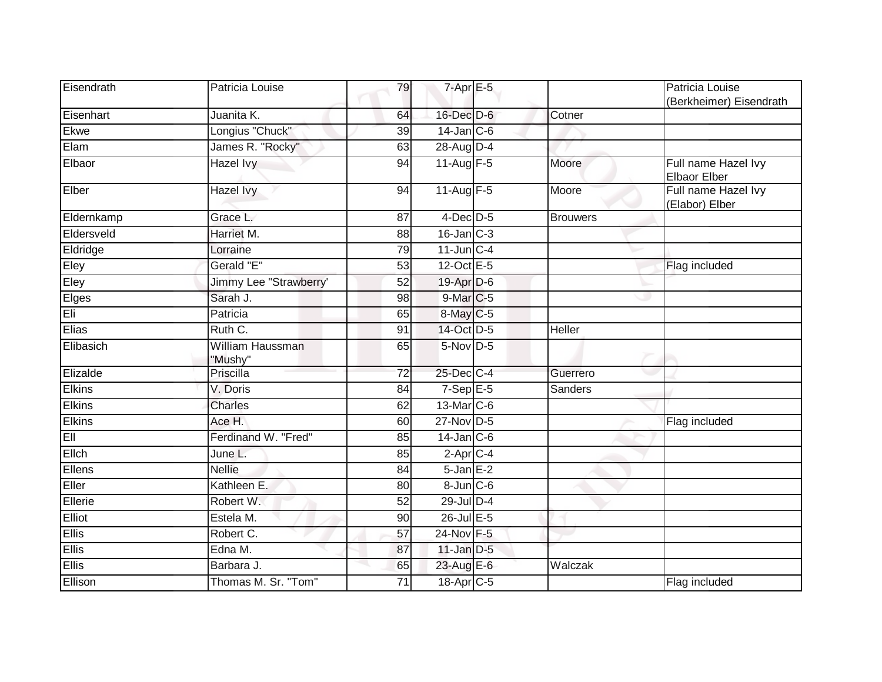| Eisendrath    | Patricia Louise             | 79              | $7$ -Apr $E$ -5   |                 | Patricia Louise<br>(Berkheimer) Eisendrath |
|---------------|-----------------------------|-----------------|-------------------|-----------------|--------------------------------------------|
| Eisenhart     | Juanita K.                  | 64              | 16-Dec D-6        | Cotner          |                                            |
| Ekwe          | Longius "Chuck"             | 39              | $14$ -Jan $C$ -6  |                 |                                            |
| Elam          | James R. "Rocky"            | 63              | 28-Aug D-4        |                 |                                            |
| Elbaor        | Hazel Ivy                   | 94              | $11$ -Aug $F-5$   | Moore           | Full name Hazel Ivy<br>Elbaor Elber        |
| Elber         | Hazel Ivy                   | 94              | 11-Aug F-5        | Moore           | Full name Hazel Ivy<br>(Elabor) Elber      |
| Eldernkamp    | Grace L.                    | 87              | $4$ -Dec $D$ -5   | <b>Brouwers</b> |                                            |
| Eldersveld    | Harriet M.                  | 88              | $16$ -Jan $C-3$   |                 |                                            |
| Eldridge      | Lorraine                    | 79              | $11$ -Jun $C-4$   |                 |                                            |
| Eley          | Gerald "E"                  | 53              | $12$ -Oct $E - 5$ |                 | Flag included                              |
| Eley          | Jimmy Lee "Strawberry'      | $\overline{52}$ | 19-Apr D-6        |                 |                                            |
| Elges         | Sarah J.                    | 98              | 9-Mar C-5         |                 |                                            |
| Eli           | Patricia                    | 65              | 8-May C-5         |                 |                                            |
| Elias         | Ruth C.                     | 91              | 14-Oct D-5        | Heller          |                                            |
| Elibasich     | William Haussman<br>"Mushy" | 65              | 5-Nov D-5         |                 |                                            |
| Elizalde      | Priscilla                   | $\overline{72}$ | 25-Dec C-4        | Guerrero        |                                            |
| <b>Elkins</b> | V. Doris                    | 84              | $7-Sep$ E-5       | Sanders         |                                            |
| <b>Elkins</b> | <b>Charles</b>              | 62              | 13-Mar C-6        |                 |                                            |
| <b>Elkins</b> | Ace H.                      | 60              | 27-Nov D-5        |                 | Flag included                              |
| EII           | Ferdinand W. "Fred"         | 85              | $14$ -Jan $C$ -6  |                 |                                            |
| Ellch         | June L.                     | 85              | $2-AprC-4$        |                 |                                            |
| Ellens        | <b>Nellie</b>               | 84              | $5 - Jan$ $E-2$   |                 |                                            |
| Eller         | Kathleen E.                 | 80              | 8-Jun C-6         |                 |                                            |
| Ellerie       | Robert W.                   | 52              | 29-Jul D-4        |                 |                                            |
| Elliot        | Estela M.                   | 90              | 26-Jul E-5        |                 |                                            |
| <b>Ellis</b>  | Robert C.                   | 57              | 24-Nov F-5        |                 |                                            |
| Ellis         | Edna M.                     | 87              | $11$ -Jan $D-5$   |                 |                                            |
| Ellis         | Barbara J.                  | 65              | 23-Aug E-6        | Walczak         |                                            |
| Ellison       | Thomas M. Sr. "Tom"         | 71              | 18-Apr C-5        |                 | Flag included                              |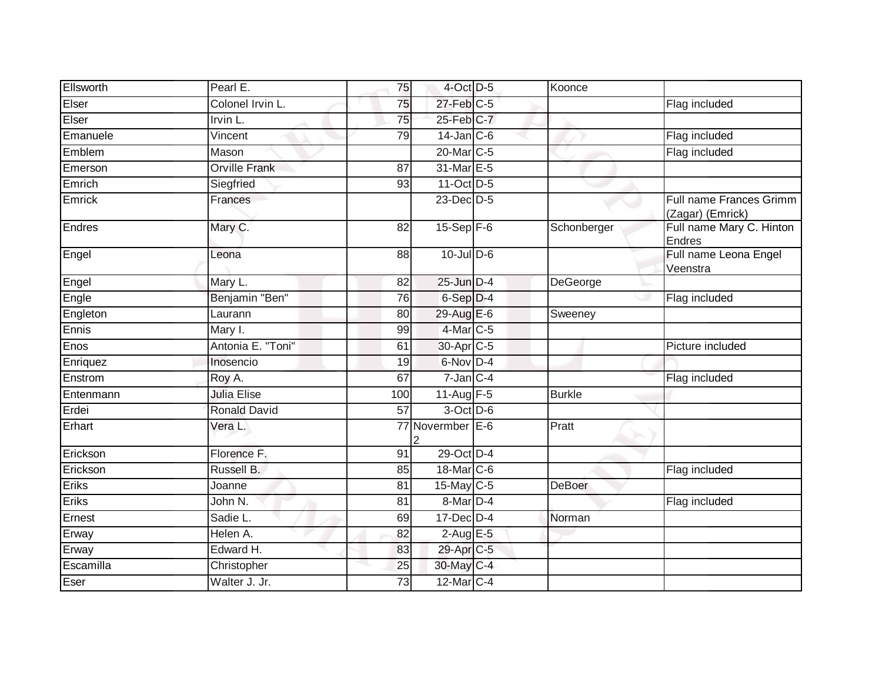| Ellsworth | Pearl E.             | 75  | $4$ -Oct $D-5$        | Koonce        |                                                    |
|-----------|----------------------|-----|-----------------------|---------------|----------------------------------------------------|
| Elser     | Colonel Irvin L.     | 75  | $27$ -Feb $C-5$       |               | Flag included                                      |
| Elser     | Irvin L.             | 75  | 25-Feb C-7            |               |                                                    |
| Emanuele  | Vincent              | 79  | $14$ -Jan $ C-6 $     |               | Flag included                                      |
| Emblem    | Mason                |     | 20-Mar C-5            |               | Flag included                                      |
| Emerson   | <b>Orville Frank</b> | 87  | 31-Mar E-5            |               |                                                    |
| Emrich    | Siegfried            | 93  | 11-Oct D-5            |               |                                                    |
| Emrick    | Frances              |     | 23-Dec D-5            |               | <b>Full name Frances Grimm</b><br>(Zagar) (Emrick) |
| Endres    | Mary C.              | 82  | $15-Sep$ F-6          | Schonberger   | Full name Mary C. Hinton<br><b>Endres</b>          |
| Engel     | Leona                | 88  | $10$ -Jul $D-6$       |               | Full name Leona Engel<br>Veenstra                  |
| Engel     | Mary L.              | 82  | $25$ -Jun $D-4$       | DeGeorge      |                                                    |
| Engle     | Benjamin "Ben"       | 76  | $6-Sep$ $D-4$         |               | Flag included                                      |
| Engleton  | Laurann              | 80  | 29-Aug E-6            | Sweeney       |                                                    |
| Ennis     | Mary I.              | 99  | $4$ -Mar $ C-5 $      |               |                                                    |
| Enos      | Antonia E. "Toni"    | 61  | 30-Apr C-5            |               | Picture included                                   |
| Enriquez  | Inosencio            | 19  | 6-Nov D-4             |               |                                                    |
| Enstrom   | Roy A.               | 67  | $7$ -Jan $C-4$        |               | Flag included                                      |
| Entenmann | <b>Julia Elise</b>   | 100 | 11-Aug F-5            | <b>Burkle</b> |                                                    |
| Erdei     | <b>Ronald David</b>  | 57  | 3-Oct D-6             |               |                                                    |
| Erhart    | Vera L.              |     | 77 Novermber E-6<br>2 | Pratt         |                                                    |
| Erickson  | Florence F.          | 91  | 29-Oct D-4            |               |                                                    |
| Erickson  | Russell B.           | 85  | 18-Mar C-6            |               | Flag included                                      |
| Eriks     | Joanne               | 81  | 15-May C-5            | DeBoer        |                                                    |
| Eriks     | John N.              | 81  | 8-Mar D-4             |               | Flag included                                      |
| Ernest    | Sadie L.             | 69  | 17-Dec D-4            | Norman        |                                                    |
| Erway     | Helen A.             | 82  | $2$ -Aug $E - 5$      |               |                                                    |
| Erway     | Edward H.            | 83  | 29-Apr C-5            |               |                                                    |
| Escamilla | Christopher          | 25  | 30-May C-4            |               |                                                    |
| Eser      | Walter J. Jr.        | 73  | 12-Mar C-4            |               |                                                    |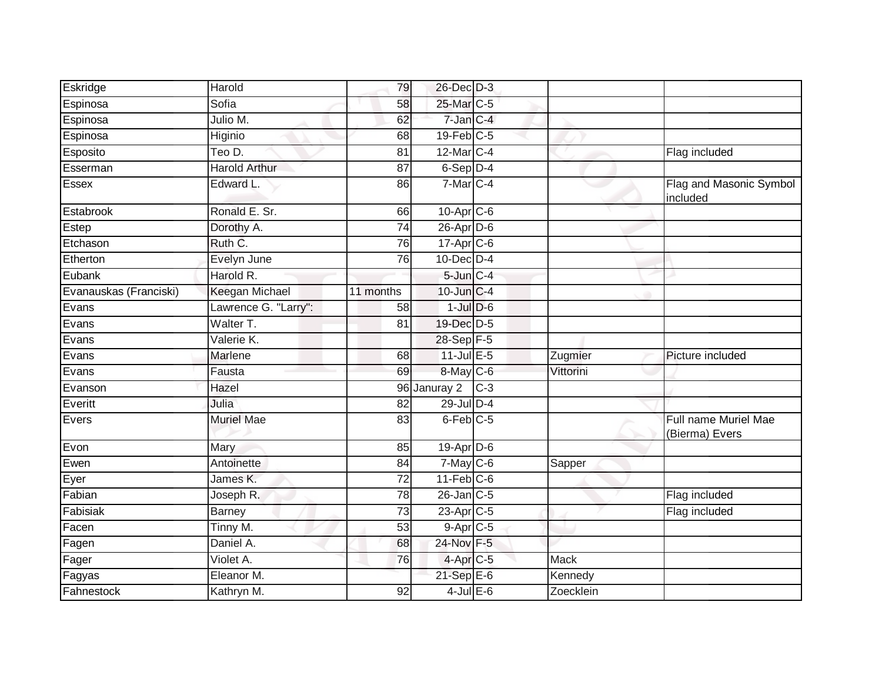| Eskridge               | Harold                | 79              | 26-Dec D-3            |       |           |                                        |
|------------------------|-----------------------|-----------------|-----------------------|-------|-----------|----------------------------------------|
| Espinosa               | Sofia                 | 58              | 25-Mar C-5            |       |           |                                        |
| Espinosa               | Julio M.              | 62              | 7-Jan C-4             |       |           |                                        |
| Espinosa               | Higinio               | 68              | 19-Feb C-5            |       |           |                                        |
| Esposito               | Teo D.                | 81              | $12$ -Mar $C-4$       |       |           | Flag included                          |
| Esserman               | <b>Harold Arthur</b>  | 87              | 6-Sep D-4             |       |           |                                        |
| Essex                  | Edward L.             | 86              | $7-Mar$ C-4           |       |           | Flag and Masonic Symbol<br>included    |
| Estabrook              | Ronald E. Sr.         | 66              | $10-AprC-6$           |       |           |                                        |
| Estep                  | Dorothy A.            | 74              | $26$ -Apr $D-6$       |       |           |                                        |
| Etchason               | Ruth C.               | 76              | 17-Apr C-6            |       |           |                                        |
| Etherton               | Evelyn June           | 76              | $10$ -Dec $D-4$       |       |           |                                        |
| Eubank                 | Harold R.             |                 | $5$ -Jun $C-4$        |       |           |                                        |
| Evanauskas (Franciski) | <b>Keegan Michael</b> | 11 months       | 10-Jun C-4            |       |           |                                        |
| Evans                  | Lawrence G. "Larry":  | 58              | $1$ -Jul $D-6$        |       |           |                                        |
| Evans                  | Walter T.             | 81              | 19-Dec D-5            |       |           |                                        |
| Evans                  | Valerie K.            |                 | 28-Sep F-5            |       |           |                                        |
| Evans                  | Marlene               | 68              | $11$ -Jul $E-5$       |       | Zugmier   | Picture included                       |
| Evans                  | Fausta                | 69              | 8-May C-6             |       | Vittorini |                                        |
| Evanson                | Hazel                 | 96              | Januray 2             | $C-3$ |           |                                        |
| Everitt                | Julia                 | $\overline{82}$ | 29-Jul D-4            |       |           |                                        |
| Evers                  | <b>Muriel Mae</b>     | 83              | $6$ -Feb $C$ -5       |       |           | Full name Muriel Mae<br>(Bierma) Evers |
| Evon                   | Mary                  | 85              | 19-Apr D-6            |       |           |                                        |
| Ewen                   | Antoinette            | 84              | $7$ -May $C$ -6       |       | Sapper    |                                        |
| Eyer                   | James K.              | $\overline{72}$ | $11-Feb$ C-6          |       |           |                                        |
| Fabian                 | Joseph R.             | 78              | $26$ -Jan $C$ -5      |       |           | Flag included                          |
| Fabisiak               | <b>Barney</b>         | 73              | 23-Apr <sub>C-5</sub> |       |           | Flag included                          |
| Facen                  | Tinny M.              | $\overline{53}$ | $9-AprC-5$            |       |           |                                        |
| Fagen                  | Daniel A.             | 68              | 24-Nov F-5            |       |           |                                        |
| Fager                  | Violet A.             | 76              | 4-Apr C-5             |       | Mack      |                                        |
| Fagyas                 | Eleanor M.            |                 | 21-Sep E-6            |       | Kennedy   |                                        |
| Fahnestock             | Kathryn M.            | 92              | $4$ -Jul $E$ -6       |       | Zoecklein |                                        |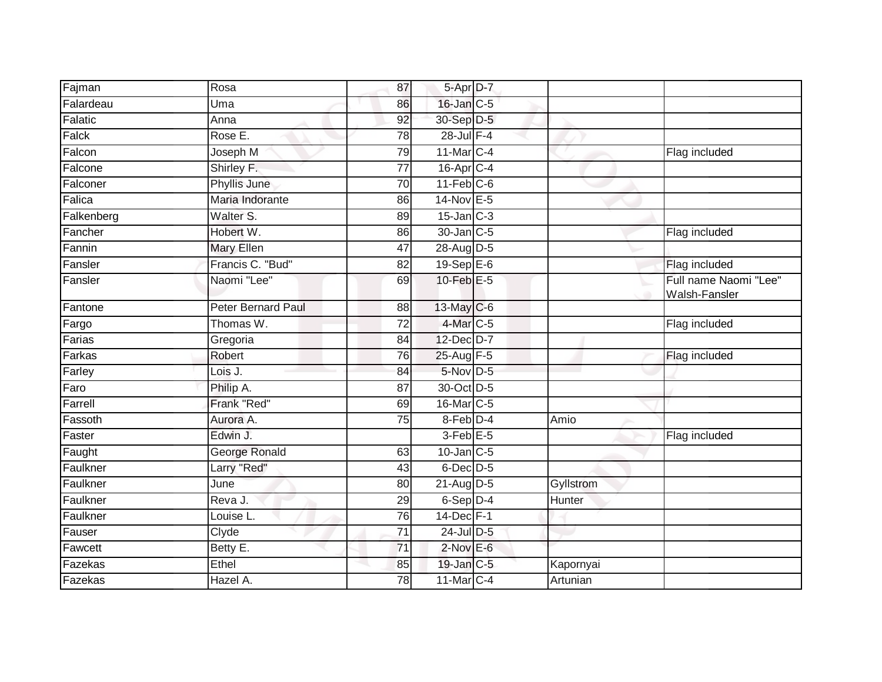| Fajman     | Rosa               | 87              | $5-AprD-7$        |           |                                             |
|------------|--------------------|-----------------|-------------------|-----------|---------------------------------------------|
| Falardeau  | Uma                | 86              | 16-Jan C-5        |           |                                             |
| Falatic    | Anna               | 92              | 30-Sep D-5        |           |                                             |
| Falck      | Rose E.            | 78              | 28-Jul F-4        |           |                                             |
| Falcon     | Joseph M           | 79              | 11-Mar C-4        |           | Flag included                               |
| Falcone    | Shirley F.         | 77              | $16$ -Apr $C-4$   |           |                                             |
| Falconer   | Phyllis June       | 70              | $11-Feb$ C-6      |           |                                             |
| Falica     | Maria Indorante    | 86              | 14-Nov E-5        |           |                                             |
| Falkenberg | Walter S.          | 89              | $15$ -Jan $C-3$   |           |                                             |
| Fancher    | Hobert W.          | 86              | 30-Jan C-5        |           | Flag included                               |
| Fannin     | Mary Ellen         | 47              | 28-Aug D-5        |           |                                             |
| Fansler    | Francis C. "Bud"   | 82              | 19-Sep $E-6$      |           | Flag included                               |
| Fansler    | Naomi "Lee"        | 69              | 10-Feb $E-5$      |           | Full name Naomi "Lee"<br>Walsh-Fansler<br>÷ |
| Fantone    | Peter Bernard Paul | 88              | $13$ -May C-6     |           |                                             |
| Fargo      | Thomas W.          | $\overline{72}$ | 4-Mar C-5         |           | Flag included                               |
| Farias     | Gregoria           | 84              | 12-Dec D-7        |           |                                             |
| Farkas     | Robert             | 76              | 25-Aug F-5        |           | Flag included                               |
| Farley     | Lois J.            | 84              | 5-Nov D-5         |           |                                             |
| Faro       | Philip A.          | 87              | 30-Oct D-5        |           |                                             |
| Farrell    | Frank "Red"        | 69              | 16-Mar C-5        |           |                                             |
| Fassoth    | Aurora A.          | 75              | 8-Feb D-4         | Amio      |                                             |
| Faster     | Edwin J.           |                 | 3-Feb E-5         |           | Flag included                               |
| Faught     | George Ronald      | 63              | $10$ -Jan $C-5$   |           |                                             |
| Faulkner   | Larry "Red"        | 43              | $6$ -Dec $D$ -5   |           |                                             |
| Faulkner   | June               | 80              | $21$ -Aug D-5     | Gyllstrom |                                             |
| Faulkner   | Reva J.            | 29              | 6-Sep D-4         | Hunter    |                                             |
| Faulkner   | Louise L.          | 76              | 14-Dec F-1        |           |                                             |
| Fauser     | Clyde              | $\overline{71}$ | 24-Jul D-5        |           |                                             |
| Fawcett    | Betty E.           | $\overline{71}$ | $2$ -Nov $E$ -6   |           |                                             |
| Fazekas    | Ethel              | 85              | 19-Jan C-5        | Kapornyai |                                             |
| Fazekas    | Hazel A.           | 78              | $11$ -Mar $ C-4 $ | Artunian  |                                             |
|            |                    |                 |                   |           |                                             |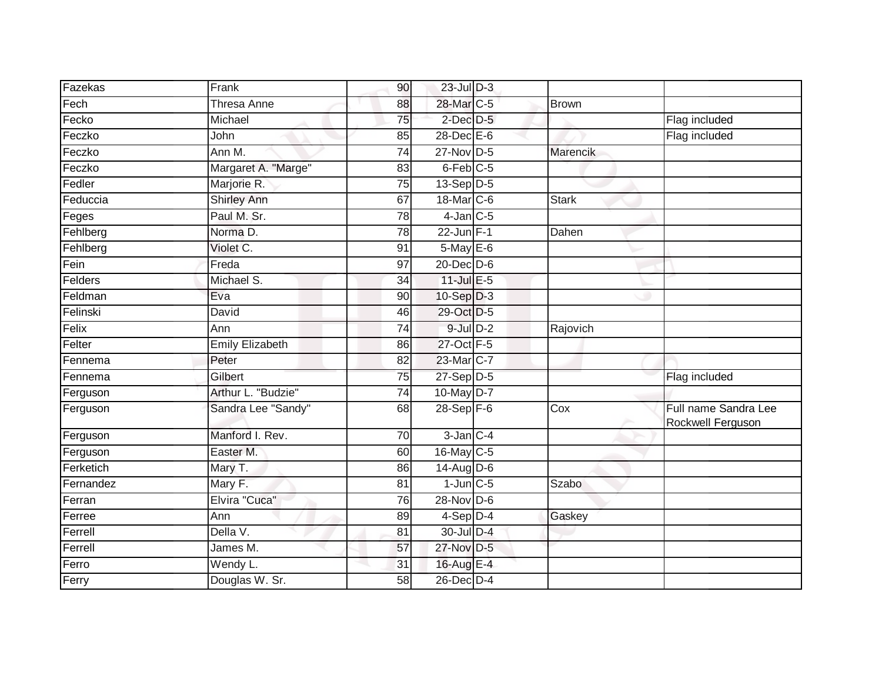| Fazekas   | Frank                  | 90              | $23$ -Jul $D-3$  |              |                                           |
|-----------|------------------------|-----------------|------------------|--------------|-------------------------------------------|
| Fech      | <b>Thresa Anne</b>     | 88              | 28-Mar C-5       | Brown        |                                           |
| Fecko     | Michael                | $\overline{75}$ | $2$ -Dec $D-5$   |              | Flag included                             |
| Feczko    | John                   | 85              | 28-Dec E-6       |              | Flag included                             |
| Feczko    | Ann M.                 | $\overline{74}$ | $27$ -Nov D-5    | Marencik     |                                           |
| Feczko    | Margaret A. "Marge"    | 83              | $6$ -Feb $C$ -5  |              |                                           |
| Fedler    | Marjorie R.            | 75              | $13-Sep D-5$     |              |                                           |
| Feduccia  | <b>Shirley Ann</b>     | 67              | 18-Mar C-6       | <b>Stark</b> |                                           |
| Feges     | Paul M. Sr.            | 78              | $4$ -Jan $C$ -5  |              |                                           |
| Fehlberg  | Norma <sub>D</sub> .   | $\overline{78}$ | 22-Jun F-1       | Dahen        |                                           |
| Fehlberg  | Violet C.              | 91              | 5-May E-6        |              |                                           |
| Fein      | Freda                  | 97              | $20$ -Dec $D$ -6 |              |                                           |
| Felders   | Michael S.             | 34              | $11$ -Jul E-5    |              |                                           |
| Feldman   | Eva                    | 90              | $10-Sep$ $D-3$   |              |                                           |
| Felinski  | David                  | 46              | 29-Oct D-5       |              |                                           |
| Felix     | Ann                    | 74              | $9$ -Jul $D-2$   | Rajovich     |                                           |
| Felter    | <b>Emily Elizabeth</b> | 86              | 27-Oct F-5       |              |                                           |
| Fennema   | Peter                  | 82              | 23-Mar C-7       |              |                                           |
| Fennema   | Gilbert                | 75              | $27-Sep$ $D-5$   |              | Flag included                             |
| Ferguson  | Arthur L. "Budzie"     | 74              | 10-May D-7       |              |                                           |
| Ferguson  | Sandra Lee "Sandy"     | 68              | $28-Sep$ F-6     | Cox          | Full name Sandra Lee<br>Rockwell Ferguson |
| Ferguson  | Manford I. Rev.        | 70              | $3$ -Jan $C-4$   |              |                                           |
| Ferguson  | Easter M.              | 60              | 16-May C-5       |              |                                           |
| Ferketich | Mary T.                | 86              | $14$ -AugD-6     |              |                                           |
| Fernandez | Mary F.                | $\overline{81}$ | $1$ -Jun $C$ -5  | Szabo        |                                           |
| Ferran    | Elvira "Cuca"          | 76              | 28-Nov D-6       |              |                                           |
| Ferree    | Ann                    | 89              | 4-Sep D-4        | Gaskey       |                                           |
| Ferrell   | Della V.               | 81              | $30$ -Jul $D-4$  |              |                                           |
| Ferrell   | James M.               | 57              | 27-Nov D-5       |              |                                           |
| Ferro     | $\overline{W}$ endy L. | 31              | 16-Aug E-4       |              |                                           |
| Ferry     | Douglas W. Sr.         | 58              | 26-Dec D-4       |              |                                           |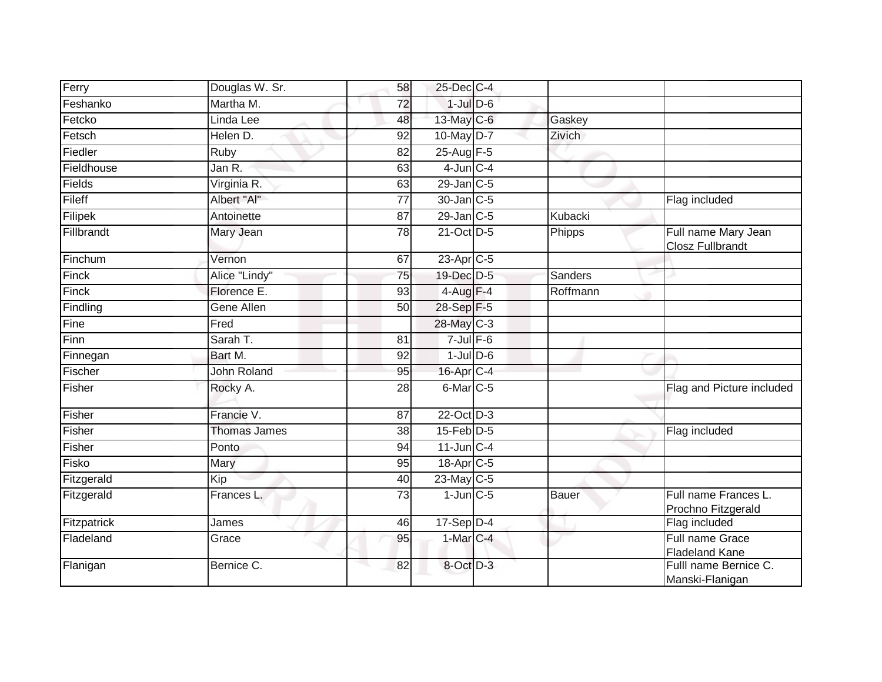| Ferry       | Douglas W. Sr.      | 58              | 25-Dec C-4           |               |                                                |
|-------------|---------------------|-----------------|----------------------|---------------|------------------------------------------------|
| Feshanko    | Martha M.           | $\overline{72}$ | $1$ -Jul $D$ -6      |               |                                                |
| Fetcko      | Linda Lee           | 48              | 13-May C-6           | Gaskey        |                                                |
| Fetsch      | Helen D.            | 92              | 10-May D-7           | <b>Zivich</b> |                                                |
| Fiedler     | <b>Ruby</b>         | $\overline{82}$ | 25-Aug F-5           |               |                                                |
| Fieldhouse  | Jan R.              | 63              | $4$ -Jun $C - 4$     |               |                                                |
| Fields      | Virginia R.         | 63              | 29-Jan C-5           |               |                                                |
| Fileff      | Albert "Al"         | $\overline{77}$ | 30-Jan C-5           |               | Flag included                                  |
| Filipek     | Antoinette          | 87              | $29$ -Jan $C-5$      | Kubacki       |                                                |
| Fillbrandt  | Mary Jean           | 78              | 21-Oct D-5           | Phipps        | Full name Mary Jean<br><b>Closz Fullbrandt</b> |
| Finchum     | Vernon              | 67              | $23$ -Apr $C-5$      |               |                                                |
| Finck       | Alice "Lindy"       | $\overline{75}$ | 19-Dec D-5           | Sanders       |                                                |
| Finck       | Florence E.         | 93              | $4-Aug$ F-4          | Roffmann      |                                                |
| Findling    | Gene Allen          | 50              | 28-Sep F-5           |               |                                                |
| Fine        | Fred                |                 | 28-May C-3           |               |                                                |
| Finn        | Sarah T.            | 81              | $7$ -Jul $F$ -6      |               |                                                |
| Finnegan    | Bart M.             | 92              | $1$ -Jul $D$ -6      |               |                                                |
| Fischer     | <b>John Roland</b>  | 95              | 16-Apr C-4           |               |                                                |
| Fisher      | Rocky A.            | 28              | 6-Mar <sub>C-5</sub> |               | Flag and Picture included                      |
| Fisher      | Francie V.          | 87              | 22-Oct D-3           |               |                                                |
| Fisher      | <b>Thomas James</b> | 38              | $15$ -Feb $D-5$      |               | Flag included                                  |
| Fisher      | Ponto               | 94              | $11$ -Jun $C-4$      |               |                                                |
| Fisko       | Mary                | 95              | 18-Apr C-5           |               |                                                |
| Fitzgerald  | Kip                 | 40              | 23-May C-5           |               |                                                |
| Fitzgerald  | Frances L.          | $\overline{73}$ | $1$ -Jun $C$ -5      | Bauer         | Full name Frances L.<br>Prochno Fitzgerald     |
| Fitzpatrick | James               | 46              | $17-Sep$ D-4         |               | Flag included                                  |
| Fladeland   | Grace               | 95              | $1-MarC-4$           |               | Full name Grace<br><b>Fladeland Kane</b>       |
| Flanigan    | Bernice C.          | 82              | 8-Oct D-3            |               | Fulll name Bernice C.<br>Manski-Flanigan       |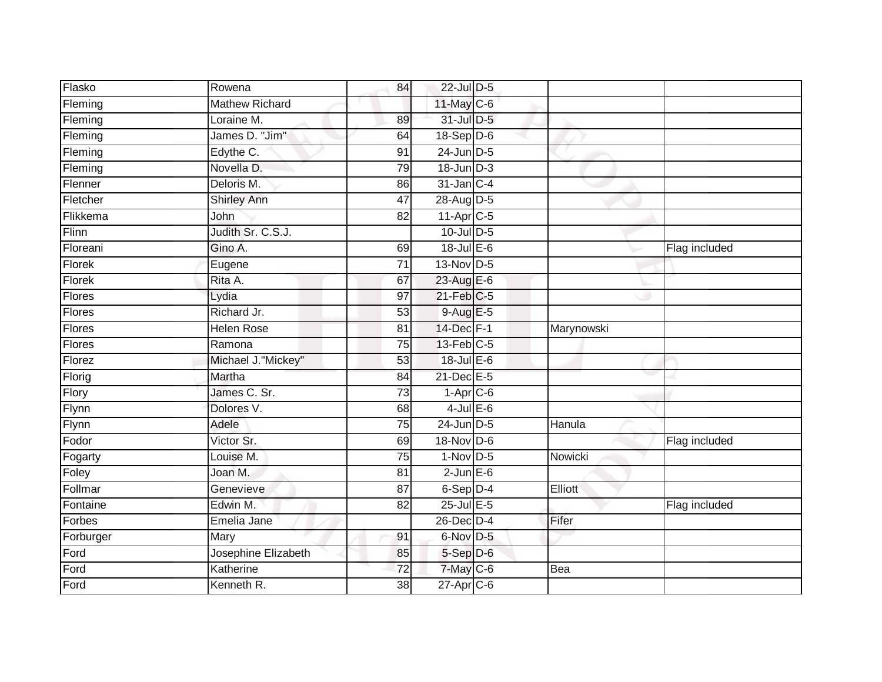| Flasko        | Rowena                | 84              | 22-Jul D-5       |            |               |
|---------------|-----------------------|-----------------|------------------|------------|---------------|
|               |                       |                 |                  |            |               |
| Fleming       | <b>Mathew Richard</b> |                 | 11-May C-6       |            |               |
| Fleming       | Loraine M.            | 89              | 31-Jul D-5       |            |               |
| Fleming       | James D. "Jim"        | 64              | 18-Sep D-6       |            |               |
| Fleming       | Edythe C.             | $\overline{91}$ | $24$ -Jun $D-5$  |            |               |
| Fleming       | Novella D.            | 79              | $18$ -Jun $D-3$  |            |               |
| Flenner       | Deloris M.            | 86              | $31$ -Jan $C-4$  |            |               |
| Fletcher      | Shirley Ann           | 47              | 28-Aug D-5       |            |               |
| Flikkema      | John                  | 82              | $11-Apr$ $C-5$   |            |               |
| Flinn         | Judith Sr. C.S.J.     |                 | 10-Jul D-5       |            |               |
| Floreani      | Gino A.               | 69              | $18$ -Jul $E-6$  |            | Flag included |
| Florek        | Eugene                | 71              | 13-Nov D-5       |            |               |
| Florek        | Rita A.               | 67              | 23-Aug E-6       |            |               |
| <b>Flores</b> | Lydia                 | 97              | $21$ -Feb $C-5$  |            |               |
| <b>Flores</b> | Richard Jr.           | $\overline{53}$ | 9-Aug E-5        |            |               |
| Flores        | <b>Helen Rose</b>     | 81              | 14-Dec F-1       | Marynowski |               |
| Flores        | Ramona                | 75              | $13$ -Feb $C-5$  |            |               |
| Florez        | Michael J. "Mickey"   | 53              | $18$ -Jul $E$ -6 |            |               |
| Florig        | Martha                | 84              | 21-Dec E-5       |            |               |
| Flory         | James C. Sr.          | 73              | $1-Apr$ $C-6$    |            |               |
| Flynn         | Dolores V.            | 68              | $4$ -Jul $E$ -6  |            |               |
| Flynn         | Adele                 | 75              | $24$ -Jun $D-5$  | Hanula     |               |
| Fodor         | Victor Sr.            | 69              | 18-Nov D-6       |            | Flag included |
| Fogarty       | Louise M.             | 75              | $1-Nov$ D-5      | Nowicki    |               |
| Foley         | Joan M.               | 81              | $2-JunE-6$       |            |               |
| Follmar       | Genevieve             | 87              | $6-Sep$ D-4      | Elliott    |               |
| Fontaine      | Edwin M.              | $\overline{82}$ | $25$ -Jul $E$ -5 |            | Flag included |
| Forbes        | Emelia Jane           |                 | $26$ -Dec $D-4$  | Fifer      |               |
| Forburger     | Mary                  | 91              | 6-Nov D-5        |            |               |
| Ford          | Josephine Elizabeth   | 85              | 5-Sep D-6        |            |               |
| Ford          | Katherine             | 72              | $7$ -May C-6     | Bea        |               |
| Ford          | Kenneth R.            | 38              | 27-Apr C-6       |            |               |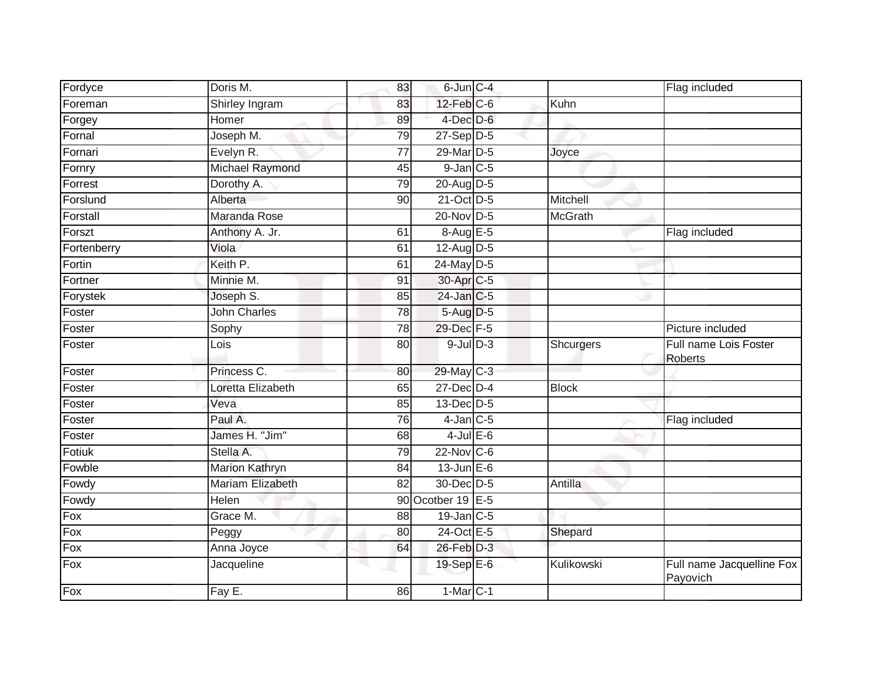| Fordyce     | Doris M.                | 83              | 6-Jun C-4         |                | Flag included                         |
|-------------|-------------------------|-----------------|-------------------|----------------|---------------------------------------|
| Foreman     | Shirley Ingram          | 83              | $12$ -Feb $C$ -6  | Kuhn           |                                       |
| Forgey      | Homer                   | 89              | $4$ -Dec $D-6$    |                |                                       |
| Fornal      | Joseph $\overline{M}$ . | 79              | $27-Sep D-5$      |                |                                       |
| Fornari     | Evelyn R.               | $\overline{77}$ | 29-Mar D-5        | Joyce          |                                       |
| Fornry      | Michael Raymond         | 45              | $9$ -Jan $ C-5 $  |                |                                       |
| Forrest     | Dorothy A.              | 79              | 20-Aug D-5        |                |                                       |
| Forslund    | Alberta                 | 90              | 21-Oct D-5        | Mitchell       |                                       |
| Forstall    | Maranda Rose            |                 | 20-Nov D-5        | <b>McGrath</b> |                                       |
| Forszt      | Anthony A. Jr.          | 61              | 8-Aug E-5         |                | Flag included                         |
| Fortenberry | Viola                   | 61              | 12-Aug $D-5$      |                |                                       |
| Fortin      | Keith P.                | 61              | 24-May D-5        |                |                                       |
| Fortner     | Minnie M.               | 91              | 30-Apr C-5        |                |                                       |
| Forystek    | Joseph S.               | 85              | $24$ -Jan $ C-5$  |                |                                       |
| Foster      | <b>John Charles</b>     | 78              | 5-Aug D-5         |                |                                       |
| Foster      | Sophy                   | 78              | 29-Dec F-5        |                | Picture included                      |
| Foster      | Lois                    | 80              | $9$ -Jul $D-3$    | Shcurgers      | Full name Lois Foster<br>Roberts      |
| Foster      | Princess C.             | 80              | 29-May C-3        |                |                                       |
| Foster      | Loretta Elizabeth       | 65              | $27$ -Dec $D-4$   | <b>Block</b>   |                                       |
| Foster      | Veva                    | 85              | 13-Dec D-5        |                |                                       |
| Foster      | Paul A.                 | 76              | $4$ -Jan $ C-5 $  |                | Flag included                         |
| Foster      | James H. "Jim"          | 68              | $4$ -Jul $E$ -6   |                |                                       |
| Fotiuk      | Stella A.               | 79              | $22$ -Nov $C-6$   |                |                                       |
| Fowble      | <b>Marion Kathryn</b>   | 84              | $13$ -Jun $E-6$   |                |                                       |
| Fowdy       | Mariam Elizabeth        | 82              | 30-Dec D-5        | Antilla        |                                       |
| Fowdy       | Helen                   |                 | 90 Ocotber 19 E-5 |                |                                       |
| Fox         | Grace M.                | 88              | 19-Jan C-5        |                |                                       |
| Fox         | Peggy                   | 80              | 24-Oct E-5        | Shepard        |                                       |
| Fox         | Anna Joyce              | 64              | $26$ -Feb $D-3$   |                |                                       |
| Fox         | Jacqueline              |                 | 19-Sep E-6        | Kulikowski     | Full name Jacquelline Fox<br>Payovich |
| Fox         | Fay E.                  | 86              | $1-Mar$ C-1       |                |                                       |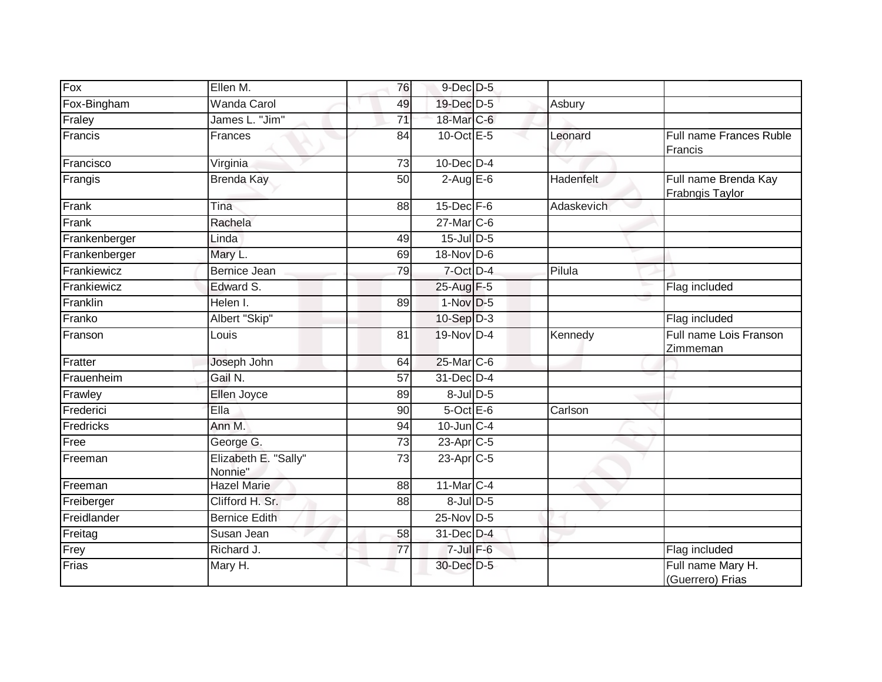| Fox           | Ellen M.                        | 76              | 9-Dec D-5         |                      |                                         |
|---------------|---------------------------------|-----------------|-------------------|----------------------|-----------------------------------------|
| Fox-Bingham   | <b>Wanda Carol</b>              | 49              | 19-Dec D-5        | Asbury               |                                         |
| Fraley        | James L. "Jim"                  | 71              | 18-Mar C-6        |                      |                                         |
| Francis       | Frances                         | 84              | $10$ -Oct $E - 5$ | Leonard              | Full name Frances Ruble<br>Francis      |
| Francisco     | Virginia                        | 73              | $10$ -Dec $D-4$   |                      |                                         |
| Frangis       | <b>Brenda Kay</b>               | 50              | $2-AugE-6$        | Hadenfelt            | Full name Brenda Kay<br>Frabngis Taylor |
| Frank         | Tina                            | 88              | $15$ -Dec $F-6$   | Adaskevich           |                                         |
| Frank         | Rachela                         |                 | 27-Mar C-6        |                      |                                         |
| Frankenberger | Linda                           | 49              | $15$ -Jul D-5     |                      |                                         |
| Frankenberger | Mary L.                         | 69              | 18-Nov D-6        |                      |                                         |
| Frankiewicz   | Bernice Jean                    | 79              | $7$ -Oct $D-4$    | $\overline{P}$ ilula |                                         |
| Frankiewicz   | Edward S.                       |                 | 25-Aug F-5        |                      | Flag included                           |
| Franklin      | Helen I.                        | 89              | $1-Nov$ D-5       |                      |                                         |
| Franko        | Albert "Skip"                   |                 | $10-Sep D-3$      |                      | Flag included                           |
| Franson       | Louis                           | 81              | 19-Nov D-4        | Kennedy              | Full name Lois Franson<br>Zimmeman      |
| Fratter       | Joseph John                     | 64              | 25-Mar C-6        |                      |                                         |
| Frauenheim    | Gail N.                         | 57              | 31-Dec D-4        |                      |                                         |
| Frawley       | Ellen Joyce                     | 89              | 8-Jul D-5         |                      |                                         |
| Frederici     | Ella                            | 90              | $5$ -Oct $E$ -6   | Carlson              |                                         |
| Fredricks     | Ann M.                          | 94              | $10$ -Jun $C-4$   |                      |                                         |
| Free          | George G.                       | 73              | 23-Apr C-5        |                      |                                         |
| Freeman       | Elizabeth E. "Sally"<br>Nonnie" | 73              | $23$ -Apr $C-5$   |                      |                                         |
| Freeman       | <b>Hazel Marie</b>              | $\overline{88}$ | 11-Mar C-4        |                      |                                         |
| Freiberger    | Clifford H. Sr.                 | 88              | $8$ -JulD-5       |                      |                                         |
| Freidlander   | <b>Bernice Edith</b>            |                 | 25-Nov D-5        |                      |                                         |
| Freitag       | Susan Jean                      | 58              | 31-Dec D-4        |                      |                                         |
| Frey          | Richard J.                      | 77              | $7$ -Jul $F$ -6   |                      | Flag included                           |
| Frias         | Mary H.                         |                 | 30-Dec D-5        |                      | Full name Mary H.<br>(Guerrero) Frias   |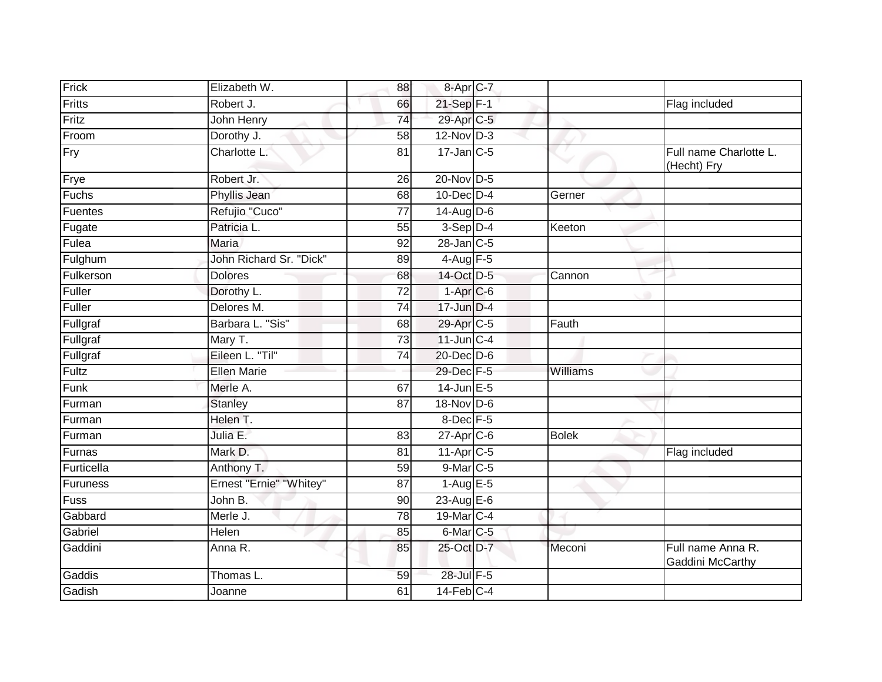| Frick       | Elizabeth W.            | 88              | $8 - Apr$ <sub>C-7</sub> |              |                                       |
|-------------|-------------------------|-----------------|--------------------------|--------------|---------------------------------------|
| Fritts      | Robert J.               | 66              | 21-Sep F-1               |              | Flag included                         |
| Fritz       | John Henry              | $\overline{74}$ | 29-Apr C-5               |              |                                       |
| Froom       | Dorothy J.              | 58              | $12$ -Nov $D-3$          |              |                                       |
| Fry         | Charlotte L:            | $\overline{81}$ | $17$ -Jan $C$ -5         |              | Full name Charlotte L.<br>(Hecht) Fry |
| Frye        | Robert Jr.              | 26              | 20-Nov D-5               |              |                                       |
| Fuchs       | Phyllis Jean            | 68              | $10$ -Dec $D-4$          | Gerner       |                                       |
| Fuentes     | Refujio "Cuco"          | $\overline{77}$ | $14$ -Aug D-6            |              |                                       |
| Fugate      | Patricia L.             | 55              | $3-Sep D-4$              | Keeton       |                                       |
| Fulea       | <b>Maria</b>            | 92              | $28$ -Jan $C$ -5         |              |                                       |
| Fulghum     | John Richard Sr. "Dick" | 89              | 4-Aug F-5                |              |                                       |
| Fulkerson   | <b>Dolores</b>          | 68              | 14-Oct D-5               | Cannon       |                                       |
| Fuller      | Dorothy L.              | $\overline{72}$ | $1-AprC-6$               |              |                                       |
| Fuller      | Delores M.              | $\overline{74}$ | 17-Jun D-4               |              |                                       |
| Fullgraf    | Barbara L. "Sis"        | 68              | 29-Apr C-5               | Fauth        |                                       |
| Fullgraf    | Mary T.                 | $\overline{73}$ | $11$ -Jun $C-4$          |              |                                       |
| Fullgraf    | Eileen L. "Til"         | 74              | 20-Dec D-6               |              |                                       |
| Fultz       | <b>Ellen Marie</b>      |                 | 29-Dec F-5               | Williams     |                                       |
| Funk        | Merle A.                | 67              | 14-Jun E-5               |              |                                       |
| Furman      | <b>Stanley</b>          | $\overline{87}$ | 18-Nov D-6               |              |                                       |
| Furman      | Helen T.                |                 | 8-Dec F-5                |              |                                       |
| Furman      | Julia E.                | 83              | 27-Apr C-6               | <b>Bolek</b> |                                       |
| Furnas      | Mark D.                 | 81              | $11-Apr$ $C-5$           |              | Flag included                         |
| Furticella  | Anthony T.              | 59              | 9-Mar C-5                |              |                                       |
| Furuness    | Ernest "Ernie" "Whitey" | 87              | $1-Aug$ $E-5$            |              |                                       |
| <b>Fuss</b> | John B.                 | 90              | $23$ -Aug $E-6$          |              |                                       |
| Gabbard     | Merle J.                | $\overline{78}$ | 19-Mar C-4               |              |                                       |
| Gabriel     | Helen                   | 85              | 6-Mar C-5                |              |                                       |
| Gaddini     | Anna R.                 | 85              | 25-Oct D-7               | Meconi       | Full name Anna R.<br>Gaddini McCarthy |
| Gaddis      | Thomas L.               | 59              | 28-Jul F-5               |              |                                       |
| Gadish      | Joanne                  | 61              | $14$ -Feb $C-4$          |              |                                       |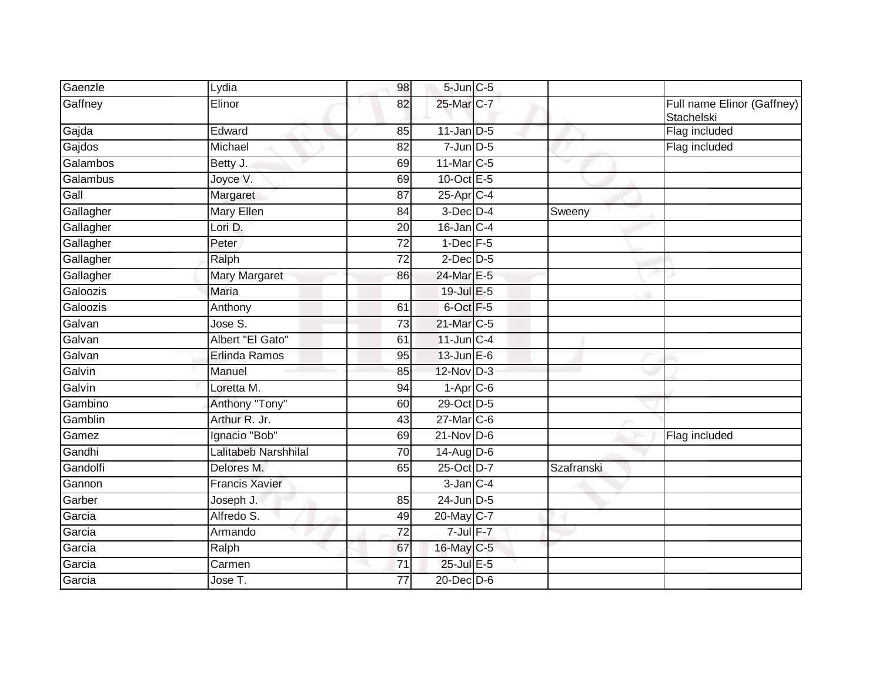| Gaenzle   | Lydia                 | 98 | $5$ -Jun $C$ -5         |            |                                          |
|-----------|-----------------------|----|-------------------------|------------|------------------------------------------|
| Gaffney   | Elinor                | 82 | 25-Mar C-7              |            | Full name Elinor (Gaffney)<br>Stachelski |
| Gajda     | Edward                | 85 | $11$ -Jan D-5           |            | Flag included                            |
| Gajdos    | Michael               | 82 | $7$ -Jun $D-5$          |            | Flag included                            |
| Galambos  | Betty J.              | 69 | 11-Mar C-5              |            |                                          |
| Galambus  | Joyce V.              | 69 | 10-Oct E-5              |            |                                          |
| Gall      | Margaret              | 87 | $25-Apr$ <sub>C-4</sub> |            |                                          |
| Gallagher | Mary Ellen            | 84 | $3$ -Dec $D-4$          | Sweeny     |                                          |
| Gallagher | Lori D.               | 20 | $16$ -Jan $C-4$         |            |                                          |
| Gallagher | Peter                 | 72 | $1$ -Dec $F-5$          |            |                                          |
| Gallagher | Ralph                 | 72 | $2$ -Dec $D-5$          |            |                                          |
| Gallagher | <b>Mary Margaret</b>  | 86 | 24-Mar E-5              |            |                                          |
| Galoozis  | Maria                 |    | 19-Jul E-5              |            |                                          |
| Galoozis  | Anthony               | 61 | 6-Oct F-5               |            |                                          |
| Galvan    | Jose S.               | 73 | 21-Mar C-5              |            |                                          |
| Galvan    | Albert "El Gato"      | 61 | $11$ -Jun $C-4$         |            |                                          |
| Galvan    | Erlinda Ramos         | 95 | $13$ -Jun $E-6$         |            |                                          |
| Galvin    | Manuel                | 85 | $12$ -Nov $D-3$         |            |                                          |
| Galvin    | Loretta M.            | 94 | $1-Apr$ $C-6$           |            |                                          |
| Gambino   | Anthony "Tony"        | 60 | 29-Oct D-5              |            |                                          |
| Gamblin   | Arthur R. Jr.         | 43 | $27$ -Mar $C$ -6        |            |                                          |
| Gamez     | Ignacio "Bob"         | 69 | $21$ -Nov D-6           |            | Flag included                            |
| Gandhi    | Lalitabeb Narshhilal  | 70 | $14$ -Aug D-6           |            |                                          |
| Gandolfi  | Delores M.            | 65 | 25-Oct D-7              | Szafranski |                                          |
| Gannon    | <b>Francis Xavier</b> |    | $3$ -Jan $C-4$          |            |                                          |
| Garber    | Joseph J.             | 85 | $24$ -Jun $D-5$         |            |                                          |
| Garcia    | Alfredo S.            | 49 | 20-May C-7              |            |                                          |
| Garcia    | Armando               | 72 | $7$ -Jul $F-7$          |            |                                          |
| Garcia    | Ralph                 | 67 | 16-May C-5              |            |                                          |
| Garcia    | Carmen                | 71 | 25-Jul E-5              |            |                                          |
| Garcia    | Jose $\overline{T}$ . | 77 | 20-Dec D-6              |            |                                          |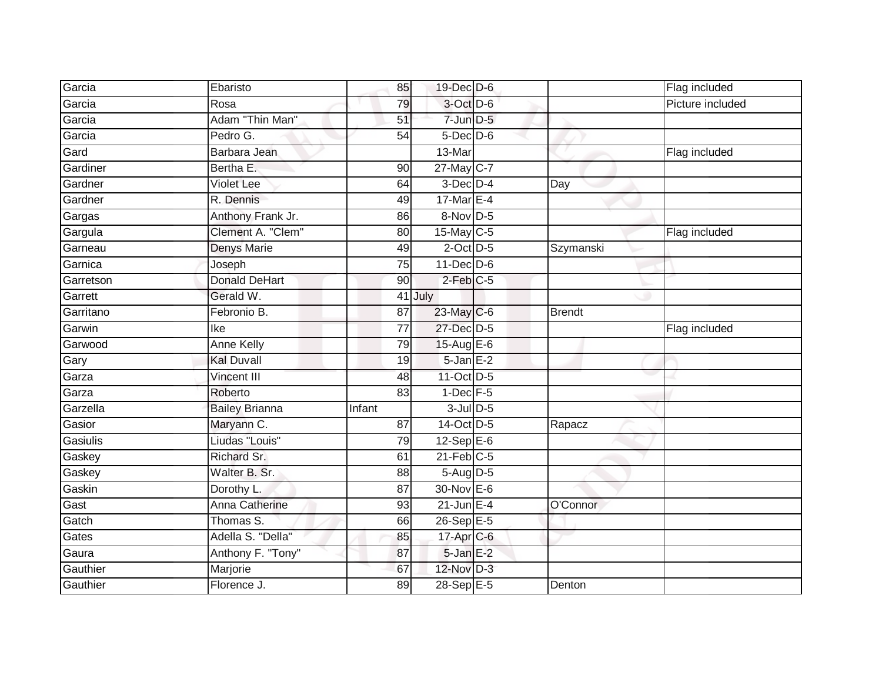| Garcia    | Ebaristo              | 85              | 19-Dec D-6      |               | Flag included    |
|-----------|-----------------------|-----------------|-----------------|---------------|------------------|
| Garcia    | Rosa                  | 79              | 3-Oct D-6       |               | Picture included |
| Garcia    | Adam "Thin Man"       | 51              | $7$ -Jun $D-5$  |               |                  |
| Garcia    | Pedro G.              | 54              | $5$ -Dec $D$ -6 |               |                  |
| Gard      | Barbara Jean          |                 | 13-Mar          |               | Flag included    |
| Gardiner  | Bertha E.             | 90              | 27-May C-7      |               |                  |
| Gardner   | <b>Violet Lee</b>     | 64              | $3$ -Dec $D-4$  | Day           |                  |
| Gardner   | R. Dennis             | 49              | 17-Mar $E-4$    |               |                  |
| Gargas    | Anthony Frank Jr.     | 86              | 8-Nov D-5       |               |                  |
| Gargula   | Clement A. "Clem"     | 80              | 15-May C-5      |               | Flag included    |
| Garneau   | Denys Marie           | 49              | $2$ -Oct $D-5$  | Szymanski     |                  |
| Garnica   | Joseph                | $\overline{75}$ | $11$ -Dec $D-6$ |               |                  |
| Garretson | <b>Donald DeHart</b>  | 90              | $2$ -Feb $C-5$  |               |                  |
| Garrett   | Gerald W.             |                 | 41 July         |               |                  |
| Garritano | Febronio B.           | 87              | $23$ -May C-6   | <b>Brendt</b> |                  |
| Garwin    | Ike                   | $\overline{77}$ | 27-Dec D-5      |               | Flag included    |
| Garwood   | <b>Anne Kelly</b>     | 79              | 15-Aug E-6      |               |                  |
| Gary      | <b>Kal Duvall</b>     | 19              | $5 - Jan$ $E-2$ |               |                  |
| Garza     | Vincent III           | 48              | 11-Oct D-5      |               |                  |
| Garza     | Roberto               | 83              | $1-Dec$ F-5     |               |                  |
| Garzella  | <b>Bailey Brianna</b> | Infant          | $3$ -Jul $D$ -5 |               |                  |
| Gasior    | Maryann C.            | $\overline{87}$ | 14-Oct D-5      | Rapacz        |                  |
| Gasiulis  | Liudas "Louis"        | 79              | $12$ -Sep $E-6$ |               |                  |
| Gaskey    | Richard Sr.           | 61              | $21$ -Feb $C-5$ |               |                  |
| Gaskey    | Walter B. Sr.         | 88              | 5-Aug D-5       |               |                  |
| Gaskin    | Dorothy L.            | 87              | $30$ -Nov $E-6$ |               |                  |
| Gast      | Anna Catherine        | 93              | $21$ -Jun E-4   | O'Connor      |                  |
| Gatch     | Thomas S.             | 66              | 26-Sep E-5      |               |                  |
| Gates     | Adella S. "Della"     | 85              | 17-Apr C-6      |               |                  |
| Gaura     | Anthony F. "Tony"     | 87              | 5-Jan E-2       |               |                  |
| Gauthier  | Marjorie              | 67              | 12-Nov D-3      |               |                  |
| Gauthier  | Florence J.           | 89              | 28-Sep E-5      | Denton        |                  |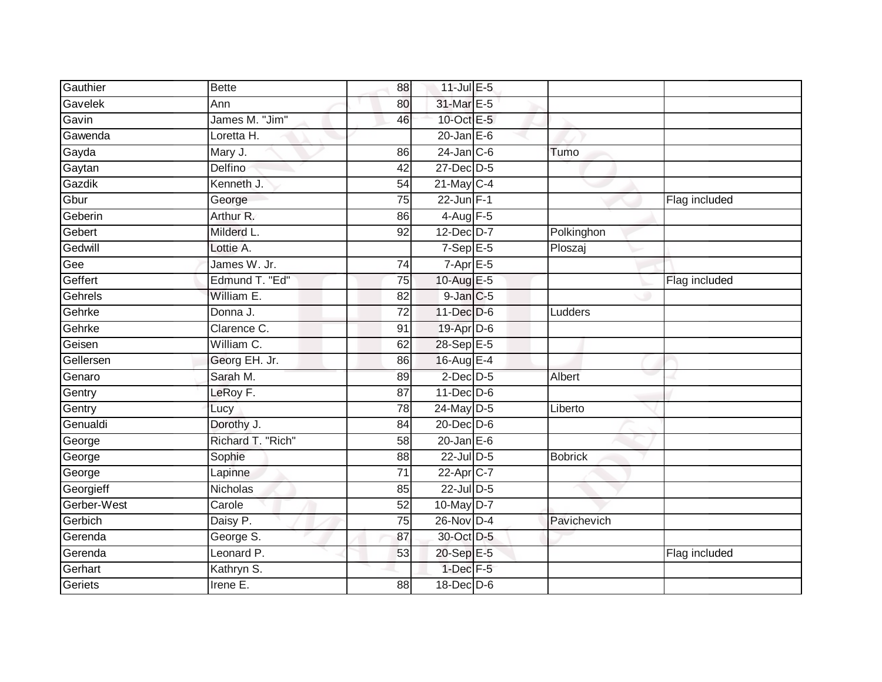| Gauthier    | <b>Bette</b>      | 88              | 11-Jul E-5                |                |               |
|-------------|-------------------|-----------------|---------------------------|----------------|---------------|
| Gavelek     | Ann               | 80              | 31-Mar E-5                |                |               |
| Gavin       | James M. "Jim"    | 46              | 10-Oct E-5                |                |               |
| Gawenda     | Loretta H.        |                 | $20$ -Jan $E-6$           |                |               |
| Gayda       | Mary J.           | 86              | $24$ -Jan $C$ -6          | Tumo           |               |
| Gaytan      | Delfino           | 42              | 27-Dec D-5                |                |               |
| Gazdik      | Kenneth J.        | 54              | $21 - \overline{May}$ C-4 |                |               |
| Gbur        | George            | 75              | $22$ -Jun $F-1$           |                | Flag included |
| Geberin     | Arthur R.         | 86              | $4$ -Aug $F-5$            |                |               |
| Gebert      | Milderd L.        | $\overline{92}$ | 12-Dec D-7                | Polkinghon     |               |
| Gedwill     | Lottie A.         |                 | $7-Sep$ E-5               | Ploszaj        |               |
| Gee         | James W. Jr.      | 74              | $7 - \overline{Apr}$ E-5  |                |               |
| Geffert     | Edmund T. "Ed"    | 75              | 10-Aug E-5                |                | Flag included |
| Gehrels     | William E.        | 82              | $9$ -Jan $C$ -5           |                |               |
| Gehrke      | Donna J.          | $\overline{72}$ | 11-Dec D-6                | Ludders        |               |
| Gehrke      | Clarence C.       | 91              | 19-Apr D-6                |                |               |
| Geisen      | William C.        | 62              | 28-Sep E-5                |                |               |
| Gellersen   | Georg EH. Jr.     | 86              | 16-Aug E-4                |                |               |
| Genaro      | Sarah M.          | 89              | $2$ -Dec $D$ -5           | Albert         |               |
| Gentry      | LeRoy F.          | $\overline{87}$ | 11-Dec D-6                |                |               |
| Gentry      | Lucy              | 78              | 24-May $D-5$              | Liberto        |               |
| Genualdi    | Dorothy J.        | $\overline{84}$ | 20-Dec D-6                |                |               |
| George      | Richard T. "Rich" | 58              | $20$ -Jan $E-6$           |                |               |
| George      | Sophie            | 88              | 22-Jul D-5                | <b>Bobrick</b> |               |
| George      | Lapinne           | 71              | 22-Apr C-7                |                |               |
| Georgieff   | Nicholas          | 85              | 22-Jul D-5                |                |               |
| Gerber-West | Carole            | 52              | 10-May D-7                |                |               |
| Gerbich     | Daisy P.          | 75              | 26-Nov D-4                | Pavichevich    |               |
| Gerenda     | George S.         | 87              | 30-Oct D-5                |                |               |
| Gerenda     | Leonard P.        | 53              | 20-Sep E-5                |                | Flag included |
| Gerhart     | Kathryn S.        |                 | $1$ -Dec $F-5$            |                |               |
| Geriets     | Irene E.          | 88              | 18-Dec D-6                |                |               |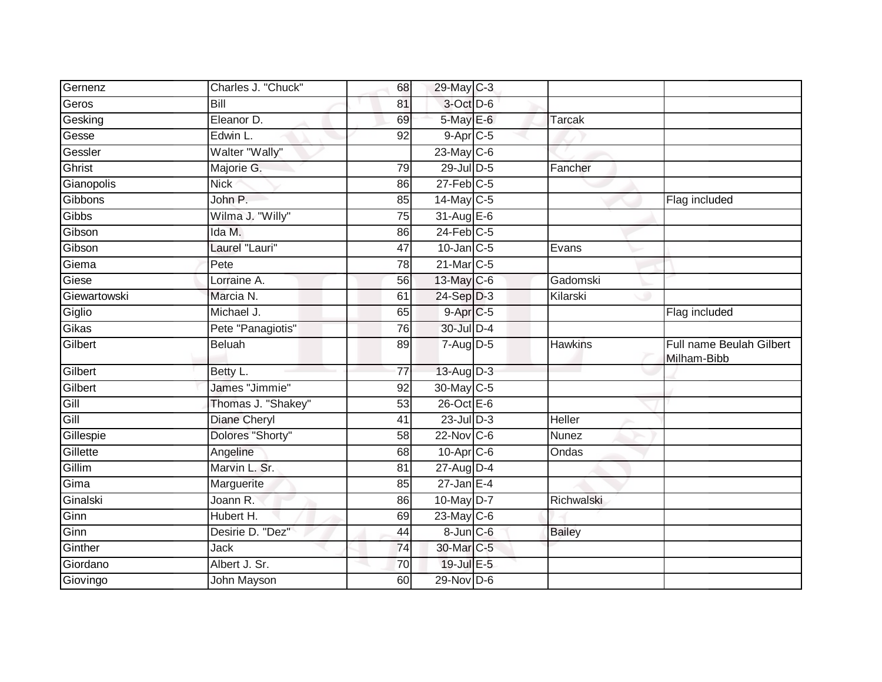| Gernenz      | Charles J. "Chuck"  | 68              | 29-May C-3             |                |                                         |
|--------------|---------------------|-----------------|------------------------|----------------|-----------------------------------------|
| Geros        | Bill                | 81              | 3-Oct D-6              |                |                                         |
| Gesking      | Eleanor D.          | 69              | 5-May E-6              | Tarcak         |                                         |
| Gesse        | Edwin L.            | 92              | $9-Apr$ <sub>C-5</sub> |                |                                         |
| Gessler      | Walter "Wally"      |                 | $23$ -May C-6          |                |                                         |
| Ghrist       | Majorie G.          | 79              | 29-Jul D-5             | Fancher        |                                         |
| Gianopolis   | <b>Nick</b>         | 86              | $27$ -Feb $C-5$        |                |                                         |
| Gibbons      | John P.             | 85              | 14-May C-5             |                | Flag included                           |
| Gibbs        | Wilma J. "Willy"    | 75              | 31-Aug E-6             |                |                                         |
| Gibson       | Ida M.              | 86              | $24$ -Feb $C-5$        |                |                                         |
| Gibson       | Laurel "Lauri"      | 47              | $10$ -Jan $C-5$        | Evans          |                                         |
| Giema        | Pete                | 78              | 21-Mar C-5             |                |                                         |
| Giese        | Lorraine A.         | 56              | 13-May C-6             | Gadomski       |                                         |
| Giewartowski | Marcia N.           | 61              | 24-Sep D-3             | Kilarski       |                                         |
| Giglio       | Michael J.          | 65              | $9 - Apr$ $C - 5$      |                | Flag included                           |
| Gikas        | Pete "Panagiotis"   | 76              | 30-Jul D-4             |                |                                         |
| Gilbert      | <b>Beluah</b>       | 89              | $7 - Aug$ $D-5$        | <b>Hawkins</b> | Full name Beulah Gilbert<br>Milham-Bibb |
| Gilbert      | Betty L.            | $\overline{77}$ | 13-Aug D-3             |                |                                         |
| Gilbert      | James "Jimmie"      | 92              | 30-May C-5             |                |                                         |
|              |                     |                 |                        |                |                                         |
| Gill         | Thomas J. "Shakey"  | $\overline{53}$ | 26-Oct E-6             |                |                                         |
| Gill         | <b>Diane Cheryl</b> | 41              | $23$ -Jul $D-3$        | <b>Heller</b>  |                                         |
| Gillespie    | Dolores "Shorty"    | 58              | $22$ -Nov C-6          | Nunez          |                                         |
| Gillette     | Angeline            | 68              | 10-Apr C-6             | Ondas          |                                         |
| Gillim       | Marvin L. Sr.       | 81              | 27-Aug D-4             |                |                                         |
| Gima         | Marguerite          | 85              | $27$ -Jan E-4          |                |                                         |
| Ginalski     | Joann R.            | 86              | 10-May D-7             | Richwalski     |                                         |
| Ginn         | Hubert H.           | 69              | $23$ -May C-6          |                |                                         |
| Ginn         | Desirie D. "Dez"    | 44              | $8$ -Jun $C$ -6        | <b>Bailey</b>  |                                         |
| Ginther      | Jack                | 74              | 30-Mar C-5             |                |                                         |
| Giordano     | Albert J. Sr.       | 70              | 19-Jul E-5             |                |                                         |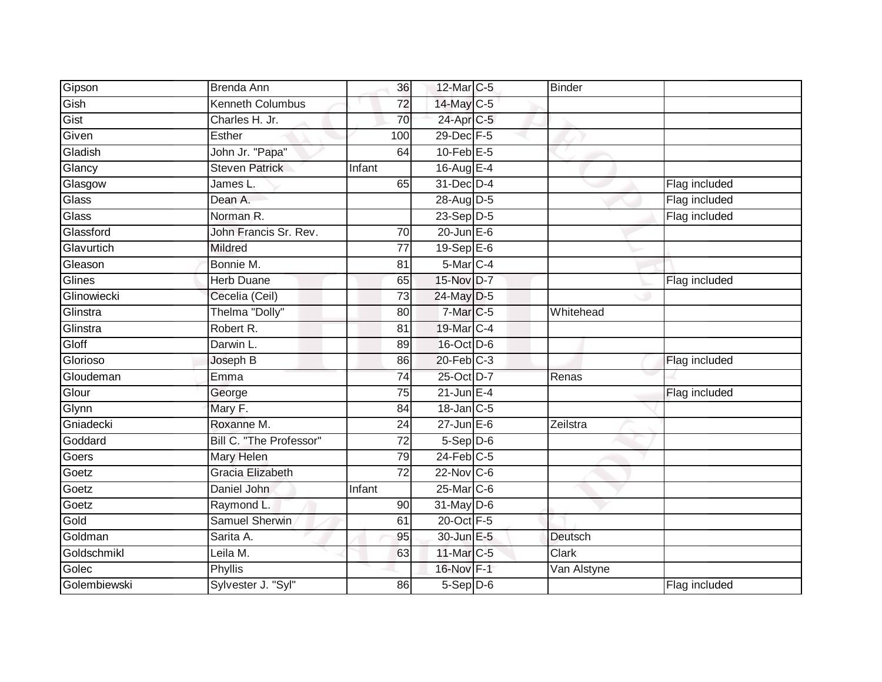| Gipson       | Brenda Ann              | 36              | 12-Mar C-5       | <b>Binder</b> |               |
|--------------|-------------------------|-----------------|------------------|---------------|---------------|
| Gish         | Kenneth Columbus        | 72              | 14-May C-5       |               |               |
| Gist         | Charles H. Jr.          | 70              | 24-Apr C-5       |               |               |
| Given        | Esther                  | 100             | 29-Dec F-5       |               |               |
| Gladish      | John Jr. "Papa"         | 64              | $10$ -Feb $E-5$  |               |               |
| Glancy       | <b>Steven Patrick</b>   | Infant          | 16-Aug $E-4$     |               |               |
| Glasgow      | James L.                | 65              | 31-Dec D-4       |               | Flag included |
| Glass        | Dean A.                 |                 | 28-Aug D-5       |               | Flag included |
| Glass        | Norman R.               |                 | $23-Sep$ D-5     |               | Flag included |
| Glassford    | John Francis Sr. Rev.   | 70              | $20$ -Jun $E-6$  |               |               |
| Glavurtich   | Mildred                 | $\overline{77}$ | $19-Sep$ E-6     |               |               |
| Gleason      | Bonnie M.               | 81              | 5-Mar C-4        |               |               |
| Glines       | <b>Herb Duane</b>       | 65              | 15-Nov D-7       |               | Flag included |
| Glinowiecki  | Cecelia (Ceil)          | 73              | 24-May D-5       |               |               |
| Glinstra     | Thelma "Dolly"          | 80              | 7-Mar C-5        | Whitehead     |               |
| Glinstra     | Robert R.               | 81              | 19-Mar C-4       |               |               |
| Gloff        | Darwin L.               | 89              | 16-Oct D-6       |               |               |
| Glorioso     | Joseph B                | 86              | $20$ -Feb $C-3$  |               | Flag included |
| Gloudeman    | Emma                    | 74              | 25-Oct D-7       | Renas         |               |
| Glour        | George                  | 75              | $21$ -Jun $E-4$  |               | Flag included |
| Glynn        | Mary F.                 | 84              | 18-Jan C-5       |               |               |
| Gniadecki    | Roxanne M.              | $\overline{24}$ | $27$ -Jun $E-6$  | Zeilstra      |               |
| Goddard      | Bill C. "The Professor" | 72              | $5-$ Sep $D-6$   |               |               |
| Goers        | Mary Helen              | 79              | $24$ -Feb $C-5$  |               |               |
| Goetz        | <b>Gracia Elizabeth</b> | 72              | 22-Nov C-6       |               |               |
| Goetz        | Daniel John             | Infant          | $25$ -Mar $C$ -6 |               |               |
| Goetz        | Raymond L               | 90              | $31$ -May D-6    |               |               |
| Gold         | <b>Samuel Sherwin</b>   | 61              | 20-Oct F-5       |               |               |
| Goldman      | Sarita A.               | 95              | 30-Jun E-5       | Deutsch       |               |
| Goldschmikl  | Leila M.                | 63              | 11-Mar C-5       | Clark         |               |
| Golec        | Phyllis                 |                 | 16-Nov F-1       | Van Alstyne   |               |
| Golembiewski | Sylvester J. "Syl"      | 86              | $5-$ Sep $D-6$   |               | Flag included |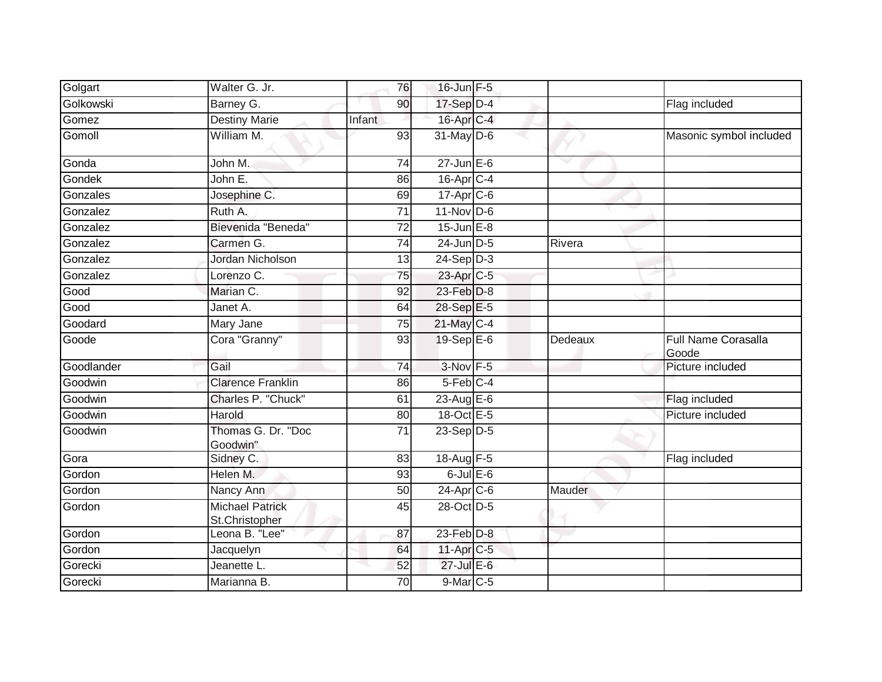| Golgart    | Walter G. Jr.                            | 76     | $16$ -Jun $F-5$           |         |                              |
|------------|------------------------------------------|--------|---------------------------|---------|------------------------------|
| Golkowski  | Barney G.                                | 90     | 17-Sep D-4                |         | Flag included                |
| Gomez      | <b>Destiny Marie</b>                     | Infant | 16-Apr C-4                |         |                              |
| Gomoll     | William M.                               | 93     | $31$ -May D-6             |         | Masonic symbol included      |
| Gonda      | John M.                                  | 74     | $27$ -Jun $E-6$           |         |                              |
| Gondek     | John E.                                  | 86     | $16$ -Apr $C$ -4          |         |                              |
| Gonzales   | Josephine C.                             | 69     | 17-Apr C-6                |         |                              |
| Gonzalez   | Ruth A.                                  | 71     | $11$ -Nov D-6             |         |                              |
| Gonzalez   | Bievenida "Beneda"                       | 72     | $15$ -Jun $E-8$           |         |                              |
| Gonzalez   | Carmen G.                                | 74     | $24$ -Jun $D-5$           | Rivera  |                              |
| Gonzalez   | Jordan Nicholson                         | 13     | $24-Sep$ D-3              |         |                              |
| Gonzalez   | Lorenzo C.                               | 75     | 23-Apr C-5                |         |                              |
| Good       | Marian C.                                | 92     | 23-Feb D-8                |         |                              |
| Good       | Janet A.                                 | 64     | 28-Sep E-5                |         |                              |
| Goodard    | Mary Jane                                | 75     | $21$ -May $C-4$           |         |                              |
| Goode      | Cora "Granny"                            | 93     | $19-Sep$ $E-6$            | Dedeaux | Full Name Corasalla<br>Goode |
| Goodlander | Gail                                     | 74     | $3-Nov$ F-5               |         | Picture included             |
| Goodwin    | <b>Clarence Franklin</b>                 | 86     | $5$ -Feb $C-4$            |         |                              |
| Goodwin    | Charles P. "Chuck"                       | 61     | 23-Aug E-6                |         | Flag included                |
| Goodwin    | Harold                                   | 80     | 18-Oct E-5                |         | Picture included             |
| Goodwin    | Thomas G. Dr. "Doc<br>Goodwin"           | 71     | $23-Sep D-5$              |         |                              |
| Gora       | Sidney C.                                | 83     | 18-Aug F-5                |         | Flag included                |
| Gordon     | Helen M.                                 | 93     | $6$ -Jul $E$ -6           |         |                              |
| Gordon     | Nancy Ann                                | 50     | $24 - \overline{Apr}$ C-6 | Mauder  |                              |
| Gordon     | <b>Michael Patrick</b><br>St.Christopher | 45     | 28-Oct D-5                |         |                              |
| Gordon     | Leona B. "Lee"                           | 87     | 23-Feb D-8                |         |                              |
| Gordon     | Jacquelyn                                | 64     | 11-Apr C-5                |         |                              |
| Gorecki    | Jeanette L.                              | 52     | $27$ -Jul $E-6$           |         |                              |
| Gorecki    | Marianna B.                              | 70     | 9-Mar C-5                 |         |                              |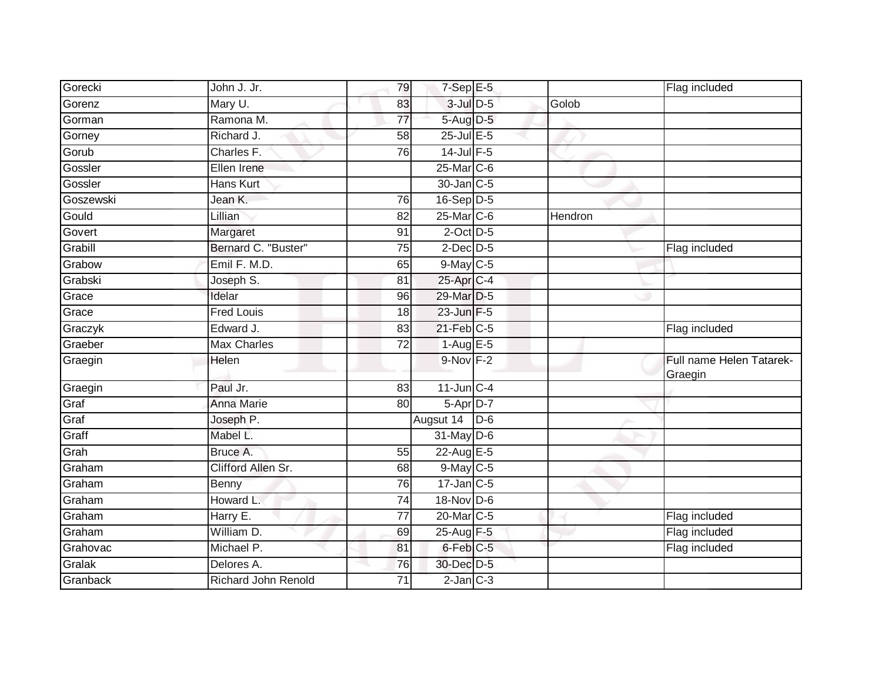| Gorecki   | John J. Jr.                | 79              | $7-Sep$ E-5           |       |         | Flag included                       |
|-----------|----------------------------|-----------------|-----------------------|-------|---------|-------------------------------------|
| Gorenz    | Mary U.                    | 83              | $3$ -Jul $D-5$        |       | Golob   |                                     |
| Gorman    | Ramona M.                  | $\overline{77}$ | 5-Aug D-5             |       |         |                                     |
| Gorney    | Richard J.                 | 58              | 25-Jul E-5            |       |         |                                     |
| Gorub     | Charles F.                 | 76              | $14$ -Jul $F-5$       |       |         |                                     |
| Gossler   | Ellen Irene                |                 | 25-Mar C-6            |       |         |                                     |
| Gossler   | <b>Hans Kurt</b>           |                 | 30-Jan C-5            |       |         |                                     |
| Goszewski | Jean K.                    | 76              | $16-Sep$ D-5          |       |         |                                     |
| Gould     | Lillian                    | 82              | 25-Mar C-6            |       | Hendron |                                     |
| Govert    | Margaret                   | 91              | $2$ -Oct $D-5$        |       |         |                                     |
| Grabill   | Bernard C. "Buster"        | 75              | $2$ -Dec $D-5$        |       |         | Flag included                       |
| Grabow    | Emil F. M.D.               | 65              | 9-May C-5             |       |         |                                     |
| Grabski   | Joseph S.                  | 81              | 25-Apr <sub>C-4</sub> |       |         |                                     |
| Grace     | Idelar                     | 96              | 29-Mar D-5            |       |         |                                     |
| Grace     | <b>Fred Louis</b>          | 18              | $23$ -Jun $F-5$       |       |         |                                     |
| Graczyk   | Edward J.                  | 83              | $21$ -Feb $C-5$       |       |         | Flag included                       |
| Graeber   | <b>Max Charles</b>         | $\overline{72}$ | $1-AugE-5$            |       |         |                                     |
| Graegin   | Helen                      |                 | $9-Nov$ F-2           |       |         | Full name Helen Tatarek-<br>Graegin |
| Graegin   | Paul Jr.                   | 83              | $11$ -Jun $C-4$       |       |         |                                     |
| Graf      | <b>Anna Marie</b>          | 80              | 5-Apr D-7             |       |         |                                     |
| Graf      | Joseph P.                  |                 | Augsut 14             | $D-6$ |         |                                     |
| Graff     | Mabel L.                   |                 | $31$ -May D-6         |       |         |                                     |
| Grah      | Bruce A.                   | 55              | 22-Aug E-5            |       |         |                                     |
| Graham    | Clifford Allen Sr.         | 68              | 9-May C-5             |       |         |                                     |
| Graham    | Benny                      | 76              | $17$ -Jan C-5         |       |         |                                     |
| Graham    | Howard L.                  | 74              | 18-Nov D-6            |       |         |                                     |
| Graham    | Harry E.                   | 77              | 20-Mar C-5            |       |         | Flag included                       |
| Graham    | William D.                 | 69              | 25-Aug F-5            |       |         | Flag included                       |
| Grahovac  | Michael P.                 | 81              | 6-Feb C-5             |       |         | Flag included                       |
| Gralak    | Delores A.                 | 76              | 30-Dec D-5            |       |         |                                     |
| Granback  | <b>Richard John Renold</b> | 71              | $2$ -Jan $C-3$        |       |         |                                     |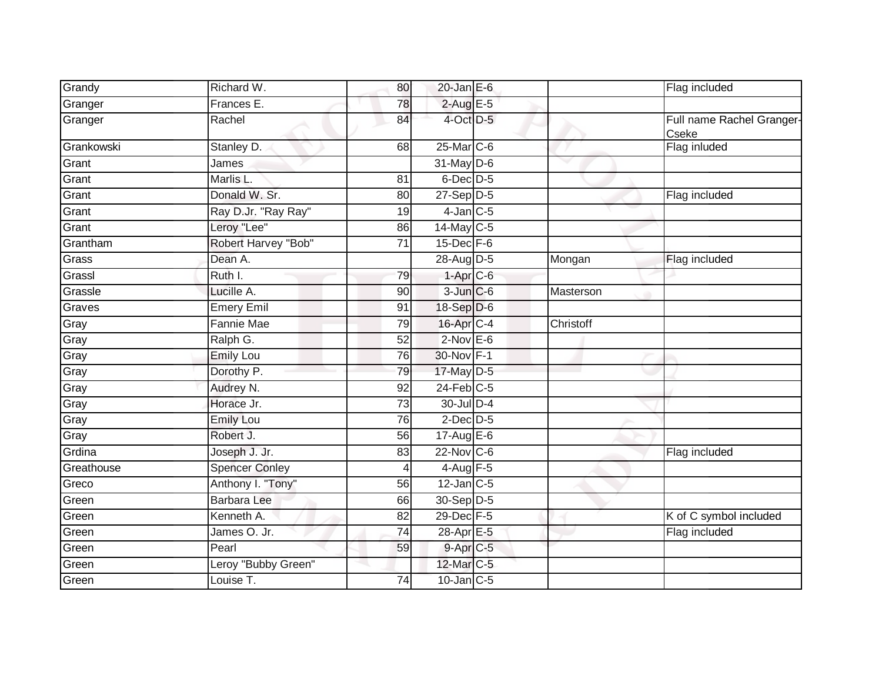| Grandy     | Richard W.            | 80 | $20$ -Jan $E-6$   |           | Flag included                      |
|------------|-----------------------|----|-------------------|-----------|------------------------------------|
| Granger    | Frances E.            | 78 | $2$ -Aug E-5      |           |                                    |
| Granger    | Rachel                | 84 | 4-Oct D-5         |           | Full name Rachel Granger-<br>Cseke |
| Grankowski | Stanley D.            | 68 | 25-Mar C-6        |           | Flag inluded                       |
| Grant      | James                 |    | 31-May D-6        |           |                                    |
| Grant      | Marlis L.             | 81 | 6-Dec D-5         |           |                                    |
| Grant      | Donald W. Sr.         | 80 | $27-Sep$ D-5      |           | Flag included                      |
| Grant      | Ray D.Jr. "Ray Ray"   | 19 | $4$ -Jan $C$ -5   |           |                                    |
| Grant      | Leroy "Lee"           | 86 | 14-May C-5        |           |                                    |
| Grantham   | Robert Harvey "Bob"   | 71 | $15$ -Dec $F-6$   |           |                                    |
| Grass      | Dean A.               |    | 28-Aug D-5        | Mongan    | Flag included                      |
| Grassl     | Ruth I.               | 79 | $1-AprC-6$        |           |                                    |
| Grassle    | Lucille A.            | 90 | $3$ -Jun $C$ -6   | Masterson |                                    |
| Graves     | <b>Emery Emil</b>     | 91 | 18-Sep D-6        |           |                                    |
| Gray       | <b>Fannie Mae</b>     | 79 | 16-Apr C-4        | Christoff |                                    |
| Gray       | Ralph G.              | 52 | $2$ -Nov $E$ -6   |           |                                    |
| Gray       | <b>Emily Lou</b>      | 76 | 30-Nov F-1        |           |                                    |
| Gray       | Dorothy P.            | 79 | 17-May D-5        |           |                                    |
| Gray       | Audrey N.             | 92 | $24$ -Feb $C-5$   |           |                                    |
| Gray       | Horace Jr.            | 73 | 30-Jul D-4        |           |                                    |
| Gray       | <b>Emily Lou</b>      | 76 | $2$ -Dec $D-5$    |           |                                    |
| Gray       | Robert J.             | 56 | $17$ -Aug $E$ -6  |           |                                    |
| Grdina     | Joseph J. Jr.         | 83 | $22$ -Nov C-6     |           | Flag included                      |
| Greathouse | <b>Spencer Conley</b> |    | $4$ -Aug $F-5$    |           |                                    |
| Greco      | Anthony I. "Tony"     | 56 | $12$ -Jan $C-5$   |           |                                    |
| Green      | <b>Barbara Lee</b>    | 66 | 30-Sep D-5        |           |                                    |
| Green      | Kenneth A.            | 82 | 29-Dec F-5        |           | K of C symbol included             |
| Green      | James O. Jr.          | 74 | 28-Apr E-5        |           | Flag included                      |
| Green      | Pearl                 | 59 | $9-AprC-5$        |           |                                    |
| Green      | Leroy "Bubby Green"   |    | 12-Mar C-5        |           |                                    |
| Green      | Louise T.             | 74 | $10$ -Jan $ C-5 $ |           |                                    |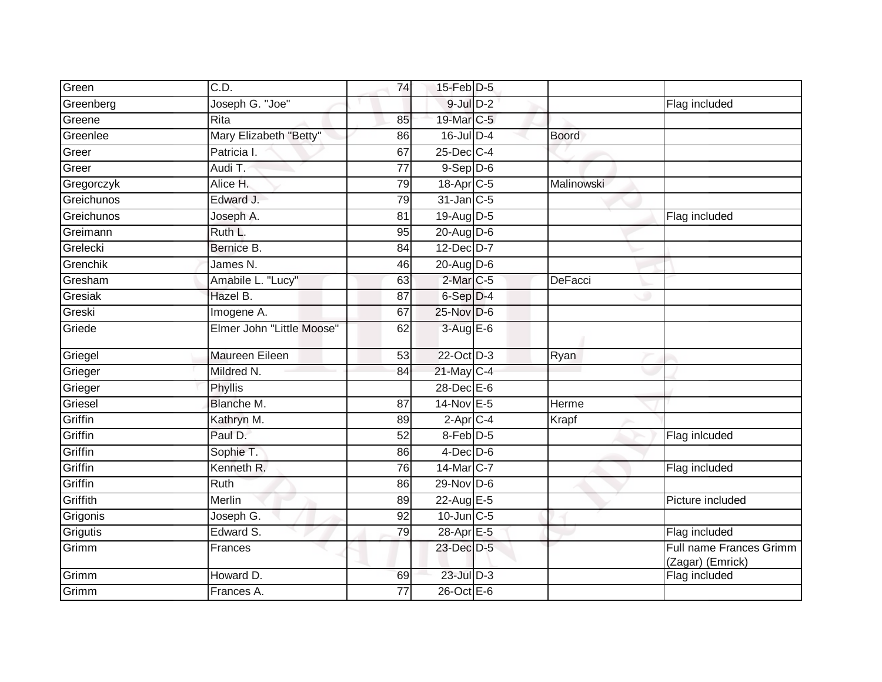| Green      | C.D.                      | 74              | 15-Feb D-5           |              |                                             |
|------------|---------------------------|-----------------|----------------------|--------------|---------------------------------------------|
| Greenberg  | Joseph G. "Joe"           |                 | $9$ -Jul $D-2$       |              | Flag included                               |
| Greene     | Rita                      | 85              | 19-Mar C-5           |              |                                             |
| Greenlee   | Mary Elizabeth "Betty"    | 86              | 16-Jul D-4           | <b>Boord</b> |                                             |
| Greer      | Patricia I.               | 67              | 25-Dec C-4           |              |                                             |
| Greer      | Audi T.                   | $\overline{77}$ | $9-$ Sep $D-6$       |              |                                             |
| Gregorczyk | Alice H.                  | 79              | 18-Apr C-5           | Malinowski   |                                             |
| Greichunos | Edward J.                 | 79              | $31$ -Jan $C-5$      |              |                                             |
| Greichunos | Joseph A.                 | 81              | 19-Aug D-5           |              | Flag included                               |
| Greimann   | Ruth L.                   | 95              | 20-Aug D-6           |              |                                             |
| Grelecki   | Bernice B.                | 84              | 12-Dec D-7           |              |                                             |
| Grenchik   | James N.                  | 46              | $20$ -Aug D-6        |              |                                             |
| Gresham    | Amabile L. "Lucy"         | 63              | 2-Mar <sub>C-5</sub> | DeFacci      |                                             |
| Gresiak    | Hazel B.                  | 87              | 6-Sep D-4            |              |                                             |
| Greski     | Imogene A.                | 67              | 25-Nov D-6           |              |                                             |
| Griede     | Elmer John "Little Moose" | 62              | 3-Aug E-6            |              |                                             |
| Griegel    | <b>Maureen Eileen</b>     | $\overline{53}$ | 22-Oct D-3           | Ryan         |                                             |
| Grieger    | Mildred N.                | 84              | $21$ -May C-4        |              |                                             |
| Grieger    | Phyllis                   |                 | 28-Dec E-6           |              |                                             |
| Griesel    | Blanche M.                | $\overline{87}$ | 14-Nov E-5           | Herme        |                                             |
| Griffin    | Kathryn M.                | 89              | $2$ -Apr $C$ -4      | Krapf        |                                             |
| Griffin    | Paul D.                   | 52              | 8-Feb D-5            |              | Flag inlcuded                               |
| Griffin    | Sophie T.                 | 86              | $4$ -Dec D-6         |              |                                             |
| Griffin    | Kenneth R.                | 76              | 14-Mar C-7           |              | Flag included                               |
| Griffin    | Ruth                      | 86              | $29-Nov$ D-6         |              |                                             |
| Griffith   | Merlin                    | 89              | 22-Aug E-5           |              | Picture included                            |
| Grigonis   | Joseph G.                 | $\overline{92}$ | 10-Jun C-5           |              |                                             |
| Grigutis   | Edward S.                 | 79              | 28-Apr E-5           |              | Flag included                               |
| Grimm      | Frances                   |                 | 23-Dec D-5           |              | Full name Frances Grimm<br>(Zagar) (Emrick) |
| Grimm      | Howard D.                 | 69              | 23-Jul D-3           |              | <b>Flag included</b>                        |
| Grimm      | Frances A.                | 77              | $26$ -Oct $E - 6$    |              |                                             |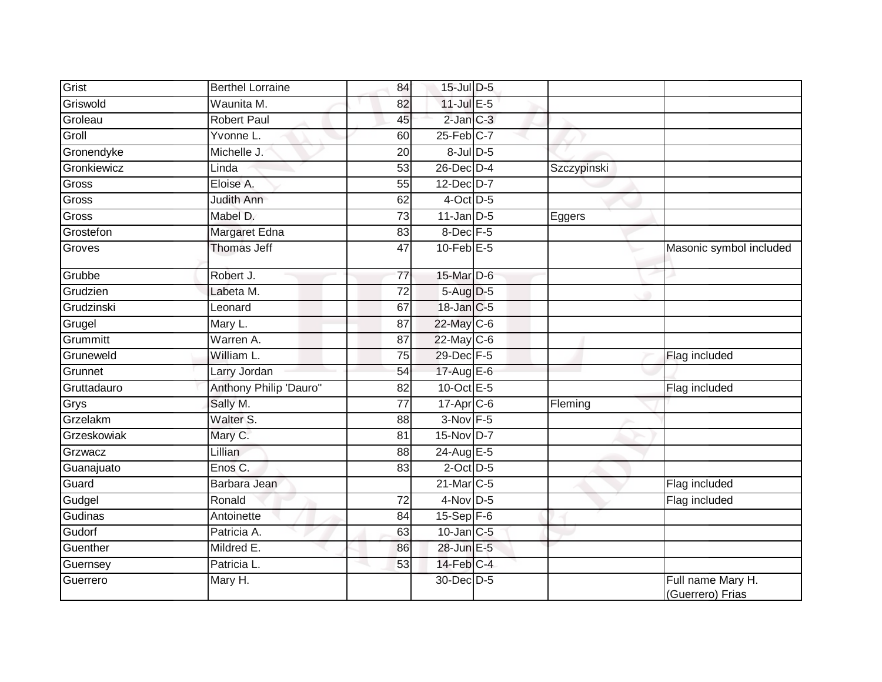| Grist       | <b>Berthel Lorraine</b> | 84              | 15-Jul D-5        |             |                                       |
|-------------|-------------------------|-----------------|-------------------|-------------|---------------------------------------|
| Griswold    | Waunita M.              | 82              | 11-Jul E-5        |             |                                       |
| Groleau     | <b>Robert Paul</b>      | 45              | $2$ -Jan $C-3$    |             |                                       |
| Groll       | Yvonne L.               | 60              | 25-Feb C-7        |             |                                       |
| Gronendyke  | Michelle J.             | 20              | $8$ -Jul $D$ -5   |             |                                       |
| Gronkiewicz | Linda                   | 53              | 26-Dec D-4        | Szczypinski |                                       |
| Gross       | Eloise A.               | 55              | 12-Dec D-7        |             |                                       |
| Gross       | Judith Ann              | 62              | 4-Oct D-5         |             |                                       |
| Gross       | Mabel D.                | 73              | $11$ -Jan D-5     | Eggers      |                                       |
| Grostefon   | Margaret Edna           | 83              | 8-Dec F-5         |             |                                       |
| Groves      | <b>Thomas Jeff</b>      | $\overline{47}$ | $10$ -Feb $E - 5$ |             | Masonic symbol included               |
| Grubbe      | Robert J.               | 77              | 15-Mar D-6        |             |                                       |
| Grudzien    | Labeta M.               | 72              | 5-Aug D-5         |             |                                       |
| Grudzinski  | Leonard                 | 67              | 18-Jan C-5        |             |                                       |
| Grugel      | Mary L.                 | 87              | 22-May C-6        |             |                                       |
| Grummitt    | Warren A.               | 87              | 22-May C-6        |             |                                       |
| Gruneweld   | William L.              | 75              | 29-Dec F-5        |             | Flag included                         |
| Grunnet     | Larry Jordan            | 54              | 17-Aug E-6        |             |                                       |
| Gruttadauro | Anthony Philip 'Dauro"  | 82              | 10-Oct $E-5$      |             | Flag included                         |
| Grys        | Sally M.                | $\overline{77}$ | 17-Apr C-6        | Fleming     |                                       |
| Grzelakm    | Walter <sub>S.</sub>    | 88              | 3-Nov F-5         |             |                                       |
| Grzeskowiak | Mary C.                 | 81              | 15-Nov D-7        |             |                                       |
| Grzwacz     | Lillian                 | 88              | 24-Aug E-5        |             |                                       |
| Guanajuato  | Enos C.                 | 83              | $2$ -Oct $D-5$    |             |                                       |
| Guard       | Barbara Jean            |                 | 21-Mar C-5        |             | Flag included                         |
| Gudgel      | Ronald                  | 72              | $4$ -Nov D-5      |             | Flag included                         |
| Gudinas     | Antoinette              | $\overline{84}$ | $15-Sep$ F-6      |             |                                       |
| Gudorf      | Patricia A.             | 63              | $10$ -Jan $C-5$   |             |                                       |
| Guenther    | Mildred E.              | 86              | 28-Jun E-5        |             |                                       |
| Guernsey    | Patricia L.             | 53              | $14$ -Feb $C-4$   |             |                                       |
| Guerrero    | Mary H.                 |                 | 30-Dec D-5        |             | Full name Mary H.<br>(Guerrero) Frias |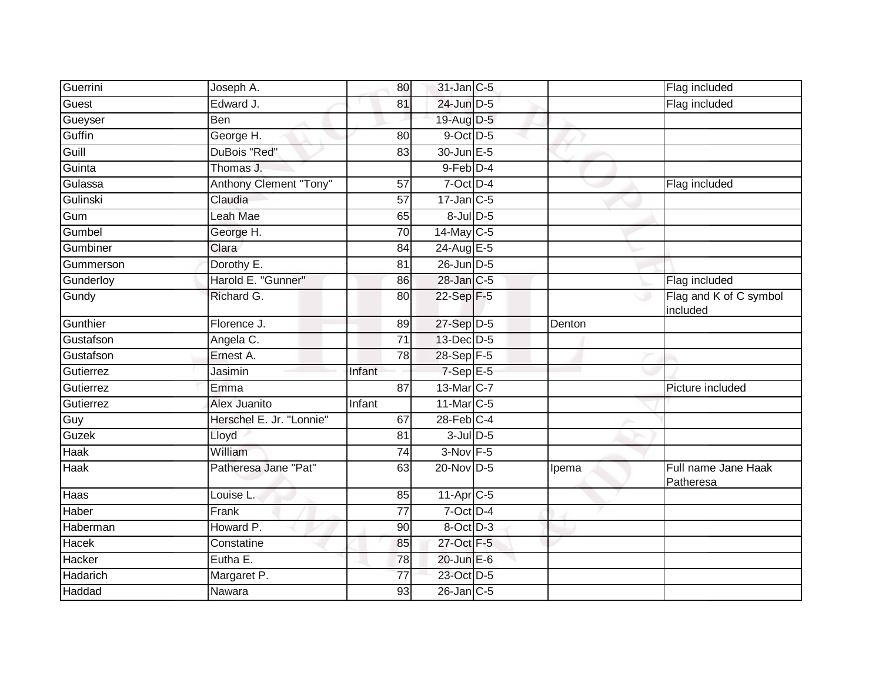| Guerrini  | Joseph A.                | 80              | 31-Jan C-5              |        | Flag included                      |
|-----------|--------------------------|-----------------|-------------------------|--------|------------------------------------|
| Guest     | Edward J.                | 81              | 24-Jun D-5              |        | Flag included                      |
| Gueyser   | Ben                      |                 | 19-Aug D-5              |        |                                    |
| Guffin    | George H.                | 80              | 9-Oct D-5               |        |                                    |
| Guill     | DuBois "Red"             | $\overline{83}$ | 30-Jun E-5              |        |                                    |
| Guinta    | Thomas J.                |                 | $9$ -Feb $D-4$          |        |                                    |
| Gulassa   | Anthony Clement "Tony"   | 57              | 7-Oct D-4               |        | Flag included                      |
| Gulinski  | Claudia                  | 57              | $17$ -Jan $C$ -5        |        |                                    |
| Gum       | Leah Mae                 | 65              | $8$ -Jul $D$ -5         |        |                                    |
| Gumbel    | George H.                | 70              | 14-May C-5              |        |                                    |
| Gumbiner  | Clara                    | 84              | 24-Aug E-5              |        |                                    |
| Gummerson | Dorothy E.               | 81              | 26-Jun D-5              |        |                                    |
| Gunderloy | Harold E. "Gunner"       | 86              | 28-Jan C-5              |        | Flag included                      |
| Gundy     | Richard G.               | 80              | 22-Sep F-5              |        | Flag and K of C symbol<br>included |
| Gunthier  | Florence J.              | 89              | 27-Sep D-5              | Denton |                                    |
| Gustafson | Angela C.                | 71              | 13-Dec D-5              |        |                                    |
| Gustafson | Ernest A.                | 78              | 28-Sep F-5              |        |                                    |
| Gutierrez | Jasimin                  | Infant          | $7-Sep$ E-5             |        |                                    |
| Gutierrez | Emma                     | 87              | 13-Mar C-7              |        | Picture included                   |
| Gutierrez | Alex Juanito             | Infant          | 11-Mar C-5              |        |                                    |
| Guy       | Herschel E. Jr. "Lonnie" | 67              | $28$ -Feb $C-4$         |        |                                    |
| Guzek     | Lloyd                    | 81              | $3$ -Jul $D$ -5         |        |                                    |
| Haak      | William                  | 74              | $3-Nov$ F-5             |        |                                    |
| Haak      | Patheresa Jane "Pat"     | 63              | 20-Nov D-5              | Ipema  | Full name Jane Haak<br>Patheresa   |
| Haas      | Louise L.                | 85              | $11-Apr$ <sub>C-5</sub> |        |                                    |
| Haber     | Frank                    | $\overline{77}$ | 7-Oct D-4               |        |                                    |
| Haberman  | Howard P.                | 90              | 8-Oct D-3               |        |                                    |
| Hacek     | Constatine               | 85              | 27-Oct F-5              |        |                                    |
| Hacker    | Eutha E.                 | 78              | 20-Jun E-6              |        |                                    |
| Hadarich  | Margaret P.              | 77              | 23-Oct D-5              |        |                                    |
| Haddad    | Nawara                   | 93              | $26$ -Jan $ C-5 $       |        |                                    |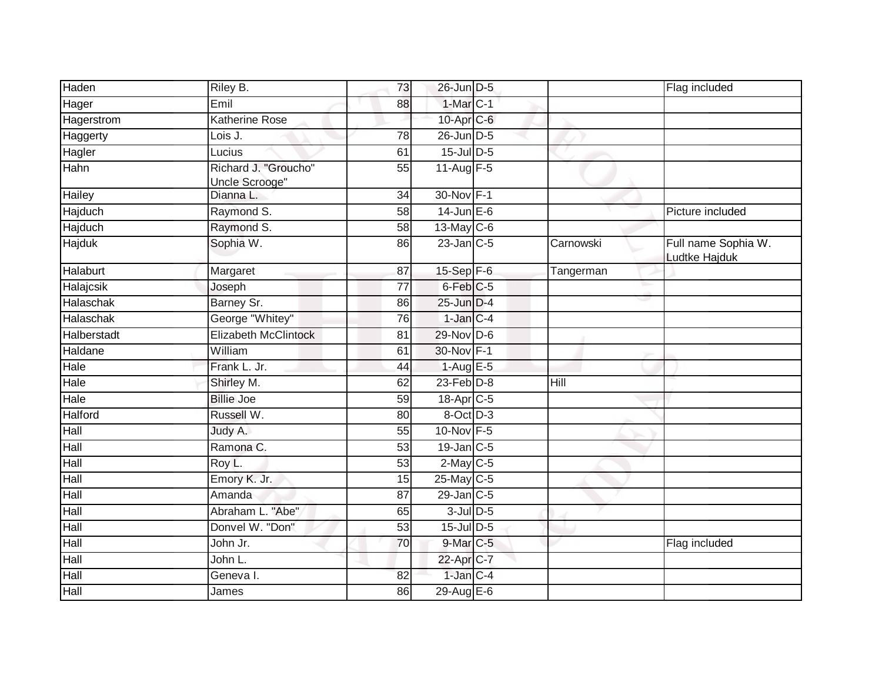| Haden       | Riley B.                               | 73              | 26-Jun D-5            |           | Flag included                        |
|-------------|----------------------------------------|-----------------|-----------------------|-----------|--------------------------------------|
| Hager       | Emil                                   | 88              | $1-MarC-1$            |           |                                      |
| Hagerstrom  | <b>Katherine Rose</b>                  |                 | 10-Apr C-6            |           |                                      |
| Haggerty    | Lois J.                                | 78              | 26-Jun D-5            |           |                                      |
| Hagler      | Lucius                                 | 61              | $15$ -Jul $D-5$       |           |                                      |
| Hahn        | Richard J. "Groucho"<br>Uncle Scrooge" | 55              | 11-Aug F-5            |           |                                      |
| Hailey      | Dianna L.                              | 34              | 30-Nov F-1            |           |                                      |
| Hajduch     | Raymond S.                             | $\overline{58}$ | $14$ -Jun E-6         |           | Picture included                     |
| Hajduch     | Raymond S.                             | 58              | 13-May $C-6$          |           |                                      |
| Hajduk      | Sophia W.                              | 86              | $23$ -Jan $ C-5 $     | Carnowski | Full name Sophia W.<br>Ludtke Hajduk |
| Halaburt    | Margaret                               | 87              | 15-Sep F-6            | Tangerman |                                      |
| Halajcsik   | Joseph                                 | 77              | 6-Feb <sup>C-5</sup>  |           |                                      |
| Halaschak   | Barney Sr.                             | 86              | 25-Jun D-4            |           |                                      |
| Halaschak   | George "Whitey"                        | 76              | $1$ -Jan $C-4$        |           |                                      |
| Halberstadt | <b>Elizabeth McClintock</b>            | 81              | 29-Nov D-6            |           |                                      |
| Haldane     | William                                | 61              | 30-Nov F-1            |           |                                      |
| Hale        | Frank L. Jr.                           | 44              | $1-AugE-5$            |           |                                      |
| Hale        | Shirley M.                             | 62              | $23$ -Feb $D-8$       | Hill      |                                      |
| Hale        | <b>Billie Joe</b>                      | 59              | 18-Apr <sub>C-5</sub> |           |                                      |
| Halford     | Russell W.                             | 80              | 8-Oct D-3             |           |                                      |
| Hall        | Judy A.                                | 55              | 10-Nov F-5            |           |                                      |
| Hall        | Ramona C.                              | 53              | $19$ -Jan $C$ -5      |           |                                      |
| Hall        | Roy L.                                 | 53              | $2$ -May $C$ -5       |           |                                      |
| Hall        | Emory K. Jr.                           | 15              | 25-May C-5            |           |                                      |
| Hall        | Amanda                                 | $\overline{87}$ | 29-Jan C-5            |           |                                      |
| Hall        | Abraham L. "Abe"                       | 65              | $3$ -Jul $D$ -5       |           |                                      |
| Hall        | Donvel W. "Don"                        | 53              | $15$ -Jul $D-5$       |           |                                      |
| Hall        | John Jr.                               | 70              | 9-Mar C-5             |           | Flag included                        |
| Hall        | John L.                                |                 | 22-Apr C-7            |           |                                      |
| Hall        | Geneval.                               | 82              | 1-Jan C-4             |           |                                      |
| Hall        | James                                  | 86              | 29-Aug $E-6$          |           |                                      |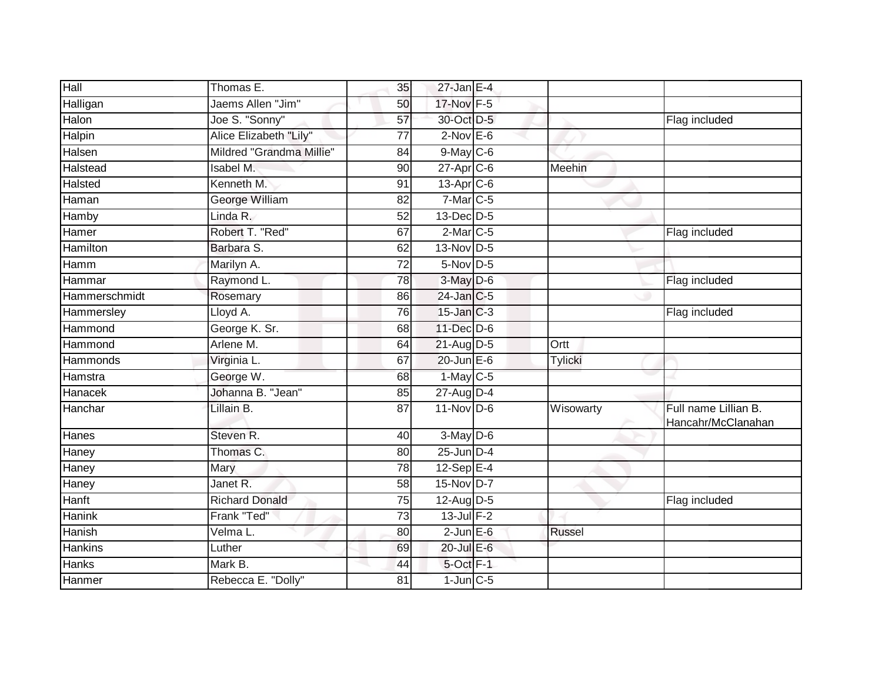| Hall          | Thomas E.                | 35              | $27$ -Jan E-4     |           |                                            |
|---------------|--------------------------|-----------------|-------------------|-----------|--------------------------------------------|
| Halligan      | Jaems Allen "Jim"        | 50              | 17-Nov F-5        |           |                                            |
| Halon         | Joe S. "Sonny"           | 57              | 30-Oct D-5        |           | Flag included                              |
| Halpin        | Alice Elizabeth "Lily"   | 77              | $2$ -Nov $E$ -6   |           |                                            |
| Halsen        | Mildred "Grandma Millie" | 84              | $9$ -May $C$ -6   |           |                                            |
| Halstead      | Isabel M.                | 90              | 27-Apr C-6        | Meehin    |                                            |
| Halsted       | Kenneth M.               | 91              | $13$ -Apr $C$ -6  |           |                                            |
| Haman         | <b>George William</b>    | 82              | $7-Mar$ C-5       |           |                                            |
| Hamby         | Linda R.                 | 52              | $13$ -Dec $D-5$   |           |                                            |
| Hamer         | Robert T. "Red"          | 67              | $2$ -Mar $C$ -5   |           | Flag included                              |
| Hamilton      | Barbara S.               | 62              | 13-Nov D-5        |           |                                            |
| Hamm          | Marilyn A.               | $\overline{72}$ | $5$ -Nov $D-5$    |           |                                            |
| Hammar        | Raymond L.               | 78              | 3-May D-6         |           | Flag included                              |
| Hammerschmidt | Rosemary                 | 86              | 24-Jan C-5        |           |                                            |
| Hammersley    | Lloyd A.                 | 76              | $15$ -Jan $C-3$   |           | Flag included                              |
| Hammond       | George K. Sr.            | 68              | 11-Dec D-6        |           |                                            |
| Hammond       | Arlene M.                | 64              | 21-Aug D-5        | Ortt      |                                            |
| Hammonds      | Virginia L.              | 67              | $20$ -Jun $E - 6$ | Tylicki   |                                            |
| Hamstra       | George W.                | 68              | $1-May$ C-5       |           |                                            |
| Hanacek       | Johanna B. "Jean"        | 85              | 27-Aug D-4        |           |                                            |
| Hanchar       | Lillain B.               | $\overline{87}$ | $11-Nov$ D-6      | Wisowarty | Full name Lillian B.<br>Hancahr/McClanahan |
| Hanes         | Steven R.                | 40              | $3-May$ $D-6$     |           |                                            |
| Haney         | Thomas <sub>C.</sub>     | 80              | $25$ -Jun $D-4$   |           |                                            |
| Haney         | Mary                     | 78              | $12-Sep$ E-4      |           |                                            |
| Haney         | Janet R.                 | $\overline{58}$ | 15-Nov D-7        |           |                                            |
| Hanft         | <b>Richard Donald</b>    | 75              | 12-Aug D-5        |           | Flag included                              |
| Hanink        | Frank "Ted"              | 73              | $13$ -Jul $F-2$   |           |                                            |
| Hanish        | Velma L.                 | 80              | $2$ -Jun $E$ -6   | Russel    |                                            |
| Hankins       | Luther                   | 69              | 20-Jul E-6        |           |                                            |
| Hanks         | Mark B.                  | 44              | 5-Oct F-1         |           |                                            |
| Hanmer        | Rebecca E. "Dolly"       | 81              | $1$ -Jun $C$ -5   |           |                                            |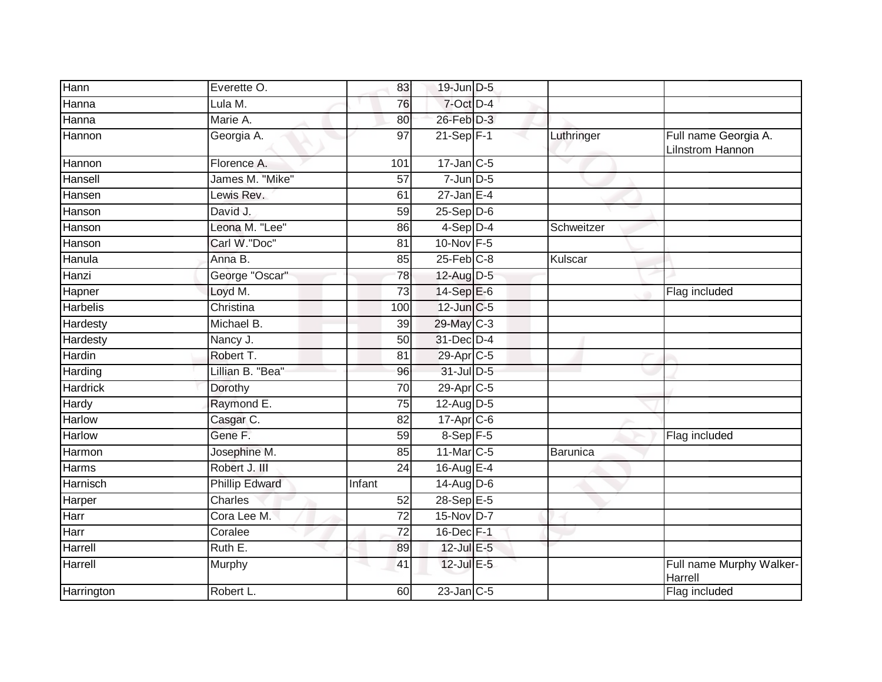| Hann            | Everette O.           | 83              | 19-Jun D-5            |            |                                                 |
|-----------------|-----------------------|-----------------|-----------------------|------------|-------------------------------------------------|
| Hanna           | Lula M.               | 76              | 7-Oct D-4             |            |                                                 |
| Hanna           | Marie A.              | 80              | 26-Feb D-3            |            |                                                 |
| Hannon          | Georgia A.            | 97              | $21-Sep$ F-1          | Luthringer | Full name Georgia A.<br><b>Lilnstrom Hannon</b> |
| Hannon          | Florence A.           | 101             | $17$ -Jan C-5         |            |                                                 |
| Hansell         | James M. "Mike"       | 57              | $7$ -Jun $D-5$        |            |                                                 |
| Hansen          | Lewis Rev.            | 61              | $27$ -Jan E-4         |            |                                                 |
| Hanson          | David J.              | 59              | $25-Sep$ $D-6$        |            |                                                 |
| Hanson          | Leona M. "Lee"        | 86              | $4-Sep$ D-4           | Schweitzer |                                                 |
| Hanson          | Carl W."Doc"          | 81              | 10-Nov F-5            |            |                                                 |
| Hanula          | Anna B.               | 85              | $25$ -Feb $C-8$       | Kulscar    |                                                 |
| Hanzi           | George "Oscar"        | 78              | 12-Aug D-5            |            |                                                 |
| Hapner          | Loyd M.               | 73              | 14-Sep E-6            |            | Flag included                                   |
| <b>Harbelis</b> | Christina             | 100             | 12-Jun C-5            |            |                                                 |
| Hardesty        | Michael B.            | 39              | 29-May C-3            |            |                                                 |
| Hardesty        | Nancy J.              | 50              | 31-Dec D-4            |            |                                                 |
| Hardin          | Robert T.             | 81              | 29-Apr <sub>C-5</sub> |            |                                                 |
| Harding         | Lillian B. "Bea"      | 96              | 31-Jul D-5            |            |                                                 |
| <b>Hardrick</b> | Dorothy               | 70              | 29-Apr <sub>C-5</sub> |            |                                                 |
| Hardy           | Raymond E.            | $\overline{75}$ | 12-Aug D-5            |            |                                                 |
| <b>Harlow</b>   | Casgar C.             | 82              | 17-Apr C-6            |            |                                                 |
| Harlow          | Gene F.               | 59              | 8-Sep F-5             |            | Flag included                                   |
| Harmon          | Josephine M.          | 85              | 11-Mar C-5            | Barunica   |                                                 |
| Harms           | Robert J. III         | 24              | 16-Aug E-4            |            |                                                 |
| Harnisch        | <b>Phillip Edward</b> | Infant          | 14-Aug D-6            |            |                                                 |
| Harper          | <b>Charles</b>        | 52              | 28-Sep E-5            |            |                                                 |
| Harr            | Cora Lee M.           | $\overline{72}$ | 15-Nov D-7            |            |                                                 |
| Harr            | Coralee               | 72              | 16-Dec F-1            |            |                                                 |
| Harrell         | Ruth E.               | 89              | $12$ -Jul $E-5$       |            |                                                 |
| Harrell         | Murphy                | 41              | $12$ -Jul E-5         |            | Full name Murphy Walker-<br>Harrell             |
| Harrington      | Robert L.             | 60              | $23$ -Jan $C-5$       |            | Flag included                                   |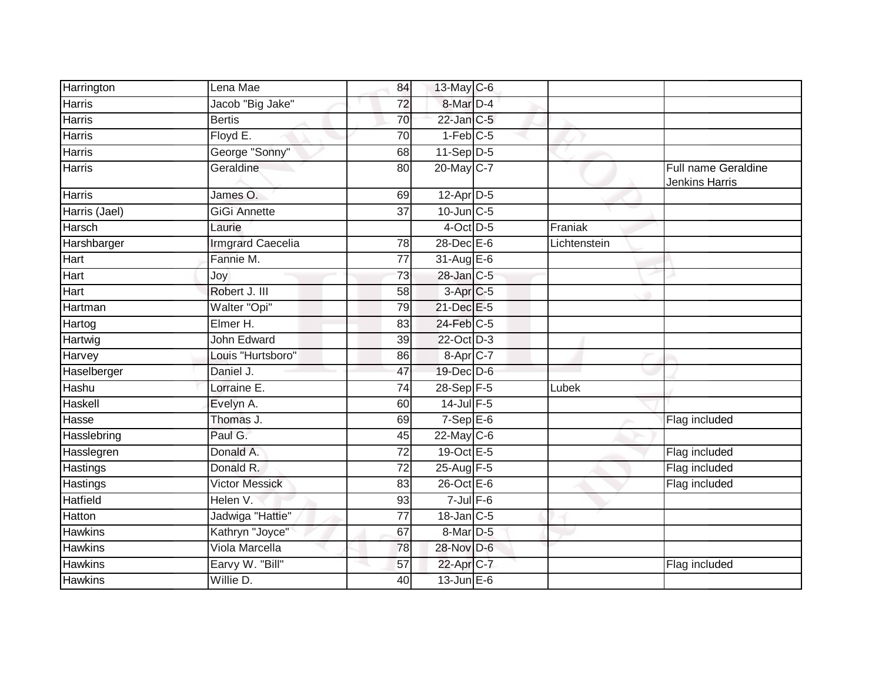| Harrington      | Lena Mae                 | 84              | 13-May C-6           |              |                                       |
|-----------------|--------------------------|-----------------|----------------------|--------------|---------------------------------------|
| Harris          | Jacob "Big Jake"         | $\overline{72}$ | 8-Mar D-4            |              |                                       |
| Harris          | <b>Bertis</b>            | 70              | $22$ -Jan $C-5$      |              |                                       |
| Harris          | Floyd $E$ .              | 70              | $1-Feb$ C-5          |              |                                       |
| Harris          | George "Sonny"           | 68              | $11-Sep$ D-5         |              |                                       |
| Harris          | Geraldine                | 80              | 20-May C-7           |              | Full name Geraldine<br>Jenkins Harris |
| <b>Harris</b>   | James O.                 | 69              | 12-Apr D-5           |              |                                       |
| Harris (Jael)   | <b>GiGi Annette</b>      | $\overline{37}$ | $10$ -Jun $C - 5$    |              |                                       |
| Harsch          | Laurie                   |                 | $4$ -Oct D-5         | Franiak      |                                       |
| Harshbarger     | <b>Irmgrard Caecelia</b> | 78              | $28$ -Dec $E-6$      | Lichtenstein |                                       |
| Hart            | Fannie M.                | 77              | $31-AugE-6$          |              |                                       |
| Hart            | Joy                      | 73              | $28$ -Jan $C-5$      |              |                                       |
| Hart            | Robert J. III            | 58              | 3-Apr <sub>C-5</sub> |              |                                       |
| Hartman         | Walter "Opi"             | 79              | 21-Dec E-5           |              |                                       |
| Hartog          | Elmer H.                 | 83              | 24-Feb C-5           |              |                                       |
| Hartwig         | John Edward              | 39              | 22-Oct D-3           |              |                                       |
| Harvey          | Louis "Hurtsboro"        | 86              | 8-Apr C-7            |              |                                       |
| Haselberger     | Daniel J.                | 47              | 19-Dec D-6           |              |                                       |
| Hashu           | Lorraine E.              | 74              | 28-Sep F-5           | Lubek        |                                       |
| Haskell         | Evelyn A.                | 60              | $14$ -Jul $F-5$      |              |                                       |
| Hasse           | Thomas J.                | 69              | $7-Sep$ E-6          |              | Flag included                         |
| Hasslebring     | Paul G.                  | 45              | $22$ -May C-6        |              |                                       |
| Hasslegren      | Donald A.                | $\overline{72}$ | 19-Oct E-5           |              | Flag included                         |
| Hastings        | Donald R.                | 72              | 25-Aug F-5           |              | Flag included                         |
| Hastings        | <b>Victor Messick</b>    | 83              | $26$ -Oct $E - 6$    |              | Flag included                         |
| <b>Hatfield</b> | Helen V.                 | 93              | $7$ -Jul $F$ -6      |              |                                       |
| Hatton          | Jadwiga "Hattie"         | 77              | $18$ -Jan $C$ -5     |              |                                       |
| <b>Hawkins</b>  | Kathryn "Joyce"          | 67              | 8-Mar D-5            |              |                                       |
| Hawkins         | Viola Marcella           | 78              | 28-Nov D-6           |              |                                       |
| <b>Hawkins</b>  | Earvy W. "Bill"          | 57              | 22-Apr C-7           |              | Flag included                         |
| <b>Hawkins</b>  | Willie D.                | 40              | $13$ -Jun $E - 6$    |              |                                       |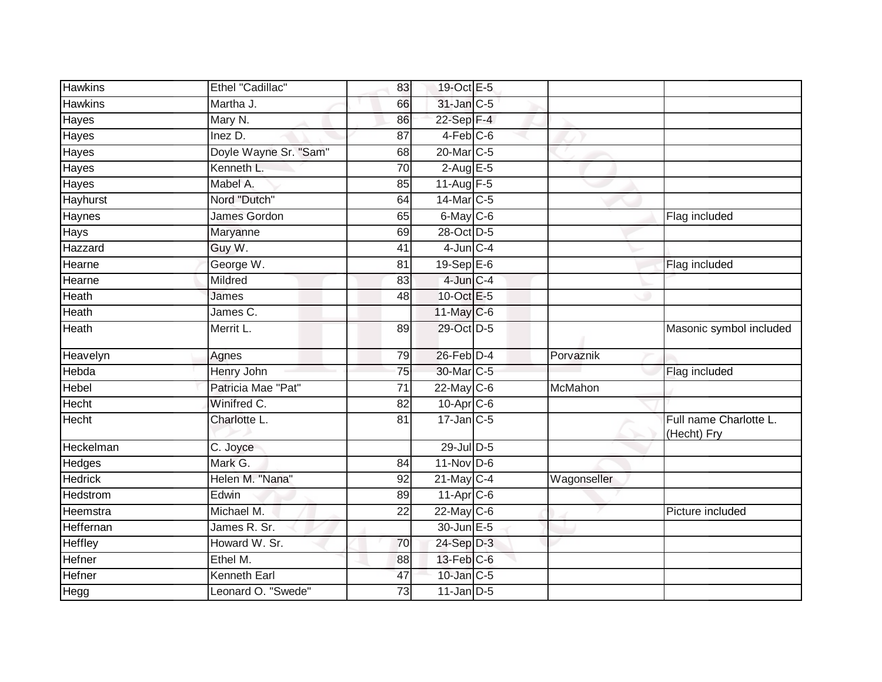| <b>Hawkins</b>   | Ethel "Cadillac"      | 83              | 19-Oct E-5              |             |                                       |
|------------------|-----------------------|-----------------|-------------------------|-------------|---------------------------------------|
| <b>Hawkins</b>   | Martha J.             | 66              | 31-Jan C-5              |             |                                       |
| Hayes            | Mary N.               | 86              | $22-Sep$ F-4            |             |                                       |
| Hayes            | Inez D.               | 87              | $4-Feb$ $C-6$           |             |                                       |
| Hayes            | Doyle Wayne Sr. "Sam" | 68              | 20-Mar C-5              |             |                                       |
| Hayes            | Kenneth L.            | 70              | $2$ -Aug $E - 5$        |             |                                       |
| Hayes            | Mabel A.              | 85              | 11-Aug $F-5$            |             |                                       |
| Hayhurst         | Nord "Dutch"          | 64              | 14-Mar C-5              |             |                                       |
| Haynes           | <b>James Gordon</b>   | 65              | $6$ -May $C$ -6         |             | Flag included                         |
| Hays             | Maryanne              | 69              | 28-Oct D-5              |             |                                       |
| Hazzard          | Guy W.                | 41              | $4$ -Jun $C - 4$        |             |                                       |
| Hearne           | George W.             | 81              | 19-Sep $E-6$            |             | Flag included                         |
| Hearne           | Mildred               | 83              | $4$ -Jun $C-4$          |             |                                       |
| Heath            | James                 | 48              | 10-Oct E-5              |             |                                       |
| <b>Heath</b>     | James C.              |                 | 11-May C-6              |             |                                       |
| Heath            | Merrit L.             | 89              | 29-Oct D-5              |             | Masonic symbol included               |
| Heavelyn         | Agnes                 | 79              | $26$ -Feb $D-4$         | Porvaznik   |                                       |
| Hebda            | <b>Henry John</b>     | 75              | 30-Mar C-5              |             | Flag included                         |
| Hebel            | Patricia Mae "Pat"    | 71              | 22-May C-6              | McMahon     |                                       |
| Hecht            | Winifred C.           | $\overline{82}$ | $10$ -Apr $C$ -6        |             |                                       |
| Hecht            | Charlotte L.          | 81              | $17$ -Jan C-5           |             | Full name Charlotte L.<br>(Hecht) Fry |
| Heckelman        | C. Joyce              |                 | 29-Jul D-5              |             |                                       |
| Hedges           | Mark G.               | 84              | $11-Nov$ D-6            |             |                                       |
| <b>Hedrick</b>   | Helen M. "Nana"       | 92              | $21$ -May C-4           | Wagonseller |                                       |
| <b>Hedstrom</b>  | Edwin                 | 89              | $11-Apr$ <sub>C-6</sub> |             |                                       |
| Heemstra         | Michael M.            | 22              | $22$ -May C-6           |             | Picture included                      |
| <b>Heffernan</b> | James R. Sr.          |                 | 30-Jun E-5              |             |                                       |
| Heffley          | Howard W. Sr.         | 70              | 24-Sep D-3              |             |                                       |
| Hefner           | Ethel M.              | 88              | 13-Feb C-6              |             |                                       |
| Hefner           | <b>Kenneth Earl</b>   | 47              | 10-Jan C-5              |             |                                       |
| Hegg             | Leonard O. "Swede"    | 73              | $11$ -Jan D-5           |             |                                       |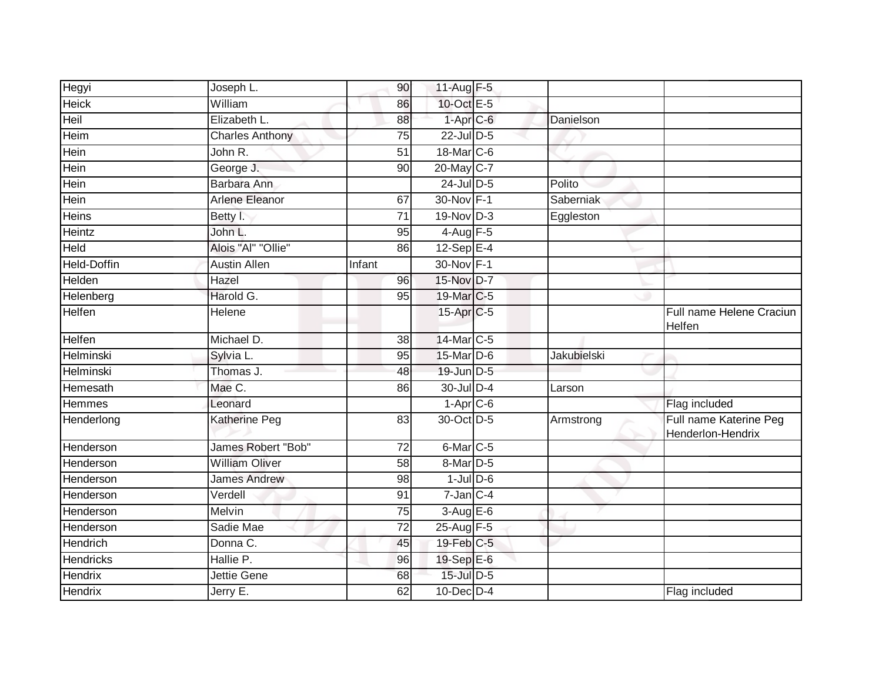| <b>Hegyi</b>       | Joseph L.              | 90              | 11-Aug $F-5$         |                  |                                             |
|--------------------|------------------------|-----------------|----------------------|------------------|---------------------------------------------|
| <b>Heick</b>       | William                | 86              | 10-Oct E-5           |                  |                                             |
| Heil               | Elizabeth L.           | 88              | $1-AprC-6$           | Danielson        |                                             |
| Heim               | <b>Charles Anthony</b> | 75              | 22-Jul D-5           |                  |                                             |
| Hein               | John R.                | $\overline{51}$ | 18-Mar C-6           |                  |                                             |
| Hein               | George J.              | 90              | 20-May C-7           |                  |                                             |
| Hein               | Barbara Ann            |                 | 24-Jul D-5           | Polito           |                                             |
| Hein               | Arlene Eleanor         | 67              | 30-Nov F-1           | <b>Saberniak</b> |                                             |
| Heins              | Betty I.               | 71              | 19-Nov D-3           | Eggleston        |                                             |
| Heintz             | John L.                | 95              | $4-Aug$ F-5          |                  |                                             |
| <b>Held</b>        | Alois "Al" "Ollie"     | 86              | $12-Sep$ E-4         |                  |                                             |
| <b>Held-Doffin</b> | <b>Austin Allen</b>    | Infant          | 30-Nov F-1           |                  |                                             |
| Helden             | Hazel                  | 96              | 15-Nov D-7           |                  |                                             |
| Helenberg          | Harold G.              | 95              | 19-Mar C-5           |                  |                                             |
| <b>Helfen</b>      | Helene                 |                 | 15-Apr C-5           |                  | Full name Helene Craciun<br>Helfen          |
| Helfen             | Michael D.             | 38              | 14-Mar C-5           |                  |                                             |
| Helminski          | Sylvia L.              | 95              | 15-Mar D-6           | Jakubielski      |                                             |
| Helminski          | Thomas J.              | 48              | 19-Jun D-5           |                  |                                             |
| Hemesath           | Mae C.                 | 86              | 30-Jul D-4           | Larson           |                                             |
| <b>Hemmes</b>      | Leonard                |                 | $1-Apr$ C-6          |                  | Flag included                               |
| Henderlong         | Katherine Peg          | 83              | 30-Oct D-5           | Armstrong        | Full name Katerine Peg<br>Henderlon-Hendrix |
| Henderson          | James Robert "Bob"     | 72              | 6-Mar <sub>C-5</sub> |                  |                                             |
| Henderson          | <b>William Oliver</b>  | 58              | $8$ -Mar $D-5$       |                  |                                             |
| Henderson          | <b>James Andrew</b>    | 98              | $1$ -Jul $D$ -6      |                  |                                             |
| Henderson          | Verdell                | 91              | $7$ -Jan $C-4$       |                  |                                             |
| Henderson          | Melvin                 | 75              | $3-AugE-6$           |                  |                                             |
| Henderson          | Sadie Mae              | $\overline{72}$ | 25-Aug F-5           |                  |                                             |
| Hendrich           | Donna C.               | 45              | 19-Feb C-5           |                  |                                             |
| <b>Hendricks</b>   | Hallie P.              | 96              | 19-Sep E-6           |                  |                                             |
| Hendrix            | Jettie Gene            | 68              | 15-Jul D-5           |                  |                                             |
| Hendrix            | Jerry E.               | 62              | $10$ -Dec $D-4$      |                  | Flag included                               |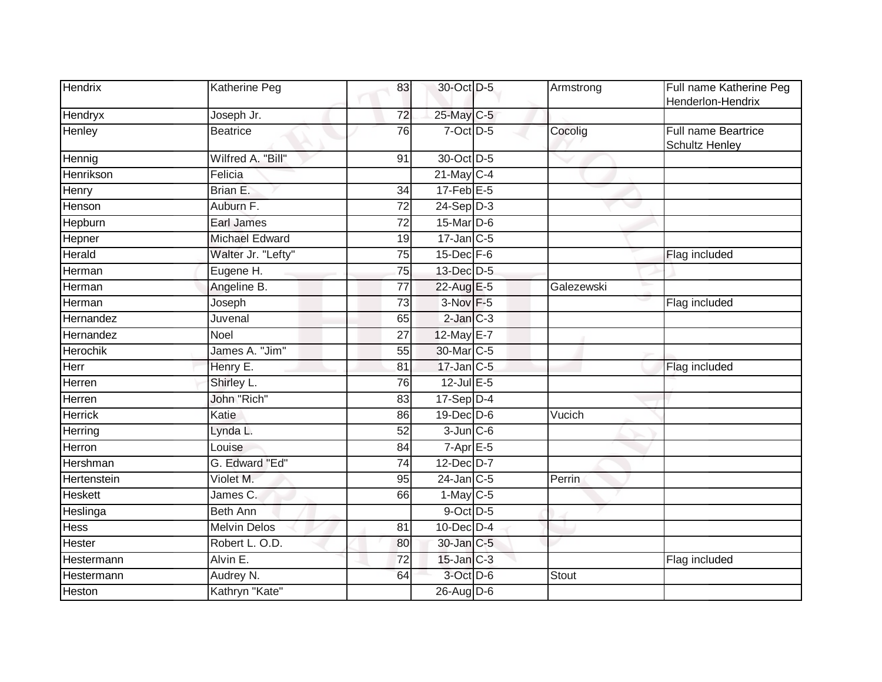| Hendrix        | Katherine Peg       | 83              | 30-Oct D-5        | Armstrong  | Full name Katherine Peg<br>Henderlon-Hendrix |
|----------------|---------------------|-----------------|-------------------|------------|----------------------------------------------|
| Hendryx        | Joseph Jr.          | 72              | 25-May C-5        |            |                                              |
| Henley         | <b>Beatrice</b>     | 76              | $7-Oct$ $D-5$     | Cocolig    | Full name Beartrice<br><b>Schultz Henley</b> |
| Hennig         | Wilfred A. "Bill"   | 91              | 30-Oct D-5        |            |                                              |
| Henrikson      | Felicia             |                 | $21$ -May C-4     |            |                                              |
| Henry          | Brian E.            | $\overline{34}$ | $17$ -Feb $E-5$   |            |                                              |
| Henson         | Auburn F.           | 72              | $24-Sep D-3$      |            |                                              |
| Hepburn        | <b>Earl James</b>   | $\overline{72}$ | 15-Mar D-6        |            |                                              |
| Hepner         | Michael Edward      | 19              | $17$ -Jan C-5     |            |                                              |
| Herald         | Walter Jr. "Lefty"  | 75              | 15-Dec F-6        |            | Flag included                                |
| Herman         | Eugene H.           | 75              | 13-Dec D-5        |            |                                              |
| Herman         | Angeline B.         | 77              | 22-Aug E-5        | Galezewski |                                              |
| Herman         | Joseph              | 73              | 3-Nov F-5         |            | Flag included                                |
| Hernandez      | Juvenal             | 65              | $2$ -Jan $C-3$    |            |                                              |
| Hernandez      | Noel                | 27              | 12-May E-7        |            |                                              |
| Herochik       | James A. "Jim"      | 55              | 30-Mar C-5        |            |                                              |
| Herr           | Henry E.            | 81              | $17$ -Jan $ C-5 $ |            | Flag included                                |
| <b>Herren</b>  | Shirley L.          | 76              | $12$ -Jul E-5     |            |                                              |
| Herren         | John "Rich"         | 83              | $17-Sep$ D-4      |            |                                              |
| <b>Herrick</b> | Katie               | 86              | 19-Dec D-6        | Vucich     |                                              |
| Herring        | Lynda L.            | 52              | $3$ -Jun $C$ -6   |            |                                              |
| Herron         | Louise              | 84              | $7-AprE-5$        |            |                                              |
| Hershman       | G. Edward "Ed"      | 74              | 12-Dec D-7        |            |                                              |
| Hertenstein    | Violet M.           | 95              | $24$ -Jan $C-5$   | Perrin     |                                              |
| <b>Heskett</b> | James C.            | 66              | $1-May$ C-5       |            |                                              |
| Heslinga       | <b>Beth Ann</b>     |                 | 9-Oct D-5         |            |                                              |
| Hess           | <b>Melvin Delos</b> | 81              | 10-Dec D-4        |            |                                              |
| Hester         | Robert L. O.D.      | 80              | 30-Jan C-5        |            |                                              |
| Hestermann     | Alvin E.            | 72              | $15$ -Jan $C-3$   |            | Flag included                                |
| Hestermann     | Audrey N.           | 64              | 3-Oct D-6         | Stout      |                                              |
| Heston         | Kathryn "Kate"      |                 | $26$ -Aug D-6     |            |                                              |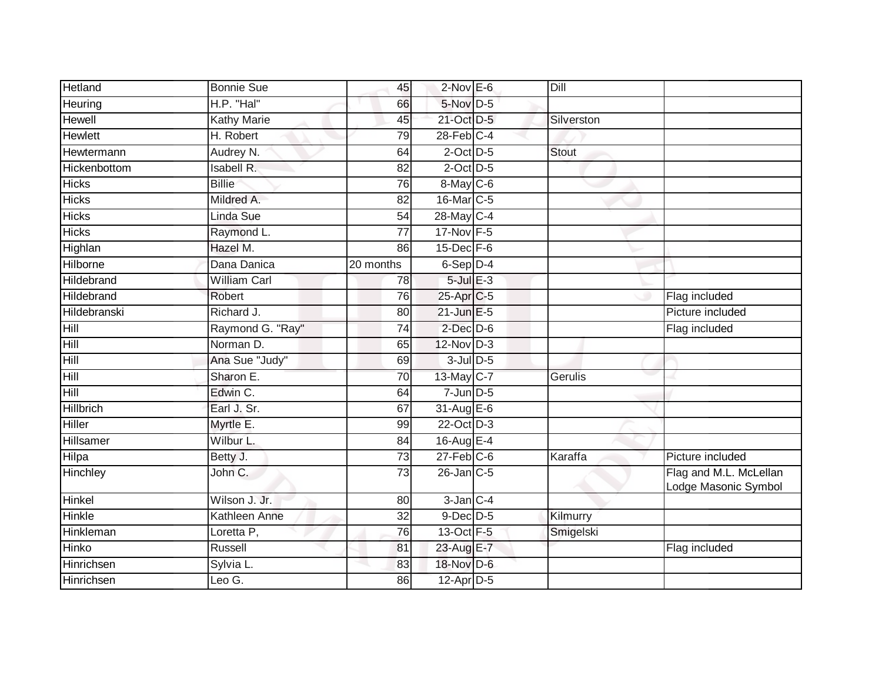| <b>Hetland</b>   | <b>Bonnie Sue</b>   | 45              | $2$ -Nov $E-6$    | Dill         |                                                |
|------------------|---------------------|-----------------|-------------------|--------------|------------------------------------------------|
| Heuring          | H.P. "Hal"          | 66              | 5-Nov D-5         |              |                                                |
| Hewell           | <b>Kathy Marie</b>  | 45              | 21-Oct D-5        | Silverston   |                                                |
| Hewlett          | H. Robert           | 79              | $28$ -Feb $C-4$   |              |                                                |
| Hewtermann       | Audrey N.           | 64              | $2$ -Oct $D-5$    | <b>Stout</b> |                                                |
| Hickenbottom     | Isabell R.          | 82              | $2$ -Oct $D-5$    |              |                                                |
| <b>Hicks</b>     | <b>Billie</b>       | 76              | $8$ -May C-6      |              |                                                |
| <b>Hicks</b>     | Mildred A.          | 82              | 16-Mar C-5        |              |                                                |
| <b>Hicks</b>     | Linda Sue           | 54              | 28-May C-4        |              |                                                |
| <b>Hicks</b>     | Raymond L.          | $\overline{77}$ | 17-Nov F-5        |              |                                                |
| Highlan          | Hazel M.            | 86              | $15$ -Dec $F-6$   |              |                                                |
| Hilborne         | Dana Danica         | 20 months       | $6-Sep D-4$       |              |                                                |
| Hildebrand       | <b>William Carl</b> | 78              | $5$ -Jul $E-3$    |              |                                                |
| Hildebrand       | Robert              | 76              | 25-Apr C-5        |              | Flag included                                  |
| Hildebranski     | Richard J.          | 80              | $21$ -Jun $E-5$   |              | Picture included                               |
| Hill             | Raymond G. "Ray"    | 74              | $2$ -Dec $D-6$    |              | Flag included                                  |
| Hill             | Norman D.           | 65              | $12$ -Nov $D-3$   |              |                                                |
| Hill             | Ana Sue "Judy"      | 69              | $3$ -Jul $D$ -5   |              |                                                |
| Hill             | Sharon E.           | 70              | 13-May C-7        | Gerulis      |                                                |
| Hill             | Edwin C.            | 64              | $7$ -Jun $D-5$    |              |                                                |
| <b>Hillbrich</b> | Earl J. Sr.         | 67              | $31$ -Aug $E-6$   |              |                                                |
| Hiller           | Myrtle E.           | 99              | 22-Oct D-3        |              |                                                |
| Hillsamer        | Wilbur L.           | 84              | 16-Aug E-4        |              |                                                |
| Hilpa            | Betty J.            | $\overline{73}$ | $27$ -Feb $ C-6 $ | Karaffa      | Picture included                               |
| Hinchley         | John C.             | $\overline{73}$ | $26$ -Jan $C$ -5  |              | Flag and M.L. McLellan<br>Lodge Masonic Symbol |
| Hinkel           | Wilson J. Jr.       | 80              | $3$ -Jan $C-4$    |              |                                                |
| <b>Hinkle</b>    | Kathleen Anne       | $\overline{32}$ | $9$ -Dec $D$ -5   | Kilmurry     |                                                |
| Hinkleman        | Loretta P,          | 76              | 13-Oct F-5        | Smigelski    |                                                |
| Hinko            | Russell             | 81              | 23-Aug E-7        |              | Flag included                                  |
| Hinrichsen       | Sylvia L.           | 83              | 18-Nov D-6        |              |                                                |
| Hinrichsen       | Leo G.              | 86              | $12$ -Apr $D-5$   |              |                                                |
|                  |                     |                 |                   |              |                                                |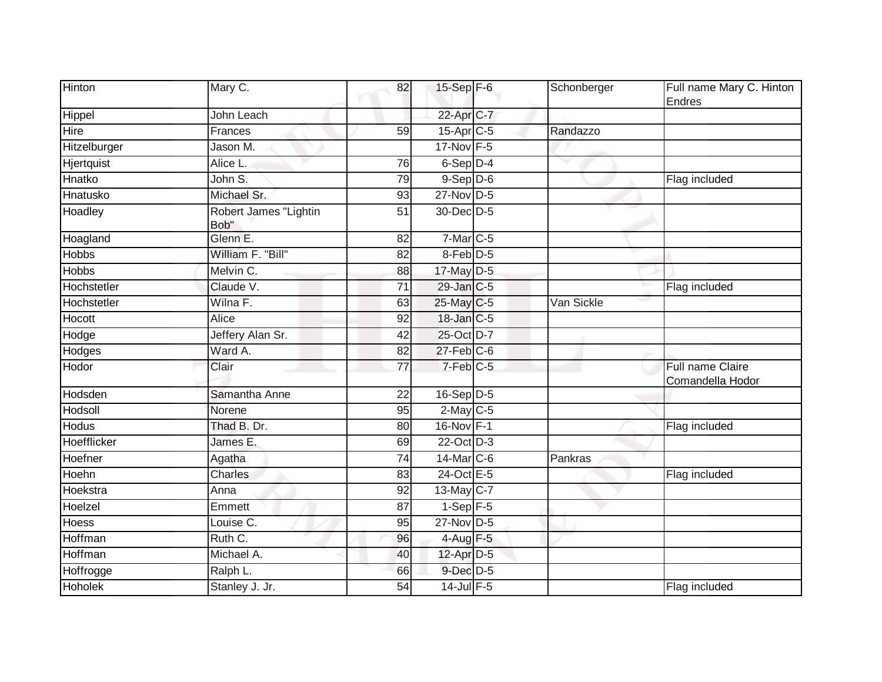| Hinton         | Mary C.                       | 82              | 15-Sep $F-6$           | Schonberger | Full name Mary C. Hinton<br>Endres   |
|----------------|-------------------------------|-----------------|------------------------|-------------|--------------------------------------|
| Hippel         | John Leach                    |                 | 22-Apr C-7             |             |                                      |
| Hire           | Frances                       | 59              | $15-Apr$ $C-5$         | Randazzo    |                                      |
| Hitzelburger   | Jason M.                      |                 | 17-Nov F-5             |             |                                      |
| Hjertquist     | Alice L.                      | 76              | $6-Sep$ $D-4$          |             |                                      |
| Hnatko         | John S.                       | 79              | $9-$ Sep $D-6$         |             | Flag included                        |
| Hnatusko       | Michael Sr.                   | 93              | $27$ -Nov D-5          |             |                                      |
| Hoadley        | Robert James "Lightin<br>Bob" | 51              | 30-Dec D-5             |             |                                      |
| Hoagland       | Glenn E.                      | 82              | $7-Mar$ C-5            |             |                                      |
| <b>Hobbs</b>   | William F. "Bill"             | 82              | 8-Feb D-5              |             |                                      |
| <b>Hobbs</b>   | Melvin C.                     | 88              | 17-May D-5             |             |                                      |
| Hochstetler    | Claude V.                     | 71              | 29-Jan C-5             |             | Flag included                        |
| Hochstetler    | Wilna F.                      | 63              | 25-May C-5             | Van Sickle  |                                      |
| Hocott         | Alice                         | 92              | 18-Jan C-5             |             |                                      |
| Hodge          | Jeffery Alan Sr.              | 42              | 25-Oct D-7             |             |                                      |
| Hodges         | Ward A.                       | 82              | $27$ -Feb $C$ -6       |             |                                      |
| Hodor          | Clair                         | $\overline{77}$ | $7-Feb$ <sub>C-5</sub> |             | Full name Claire<br>Comandella Hodor |
| Hodsden        | Samantha Anne                 | $\overline{22}$ | $16-Sep$ D-5           |             |                                      |
| Hodsoll        | Norene                        | 95              | $2$ -May C-5           |             |                                      |
| <b>Hodus</b>   | Thad B. Dr.                   | 80              | 16-Nov F-1             |             | Flag included                        |
| Hoefflicker    | James E.                      | 69              | 22-Oct D-3             |             |                                      |
| Hoefner        | Agatha                        | 74              | $14$ -Mar $ C-6$       | Pankras     |                                      |
| Hoehn          | <b>Charles</b>                | 83              | 24-Oct E-5             |             | Flag included                        |
| Hoekstra       | Anna                          | 92              | 13-May C-7             |             |                                      |
| Hoelzel        | Emmett                        | 87              | $1-Sep$ F-5            |             |                                      |
| Hoess          | Louise C.                     | 95              | 27-Nov D-5             |             |                                      |
| Hoffman        | Ruth C.                       | 96              | 4-Aug F-5              |             |                                      |
| Hoffman        | Michael A.                    | 40              | 12-Apr D-5             |             |                                      |
| Hoffrogge      | Ralph L.                      | 66              | 9-Dec D-5              |             |                                      |
| <b>Hoholek</b> | Stanley J. Jr.                | 54              | $14$ -Jul $F-5$        |             | Flag included                        |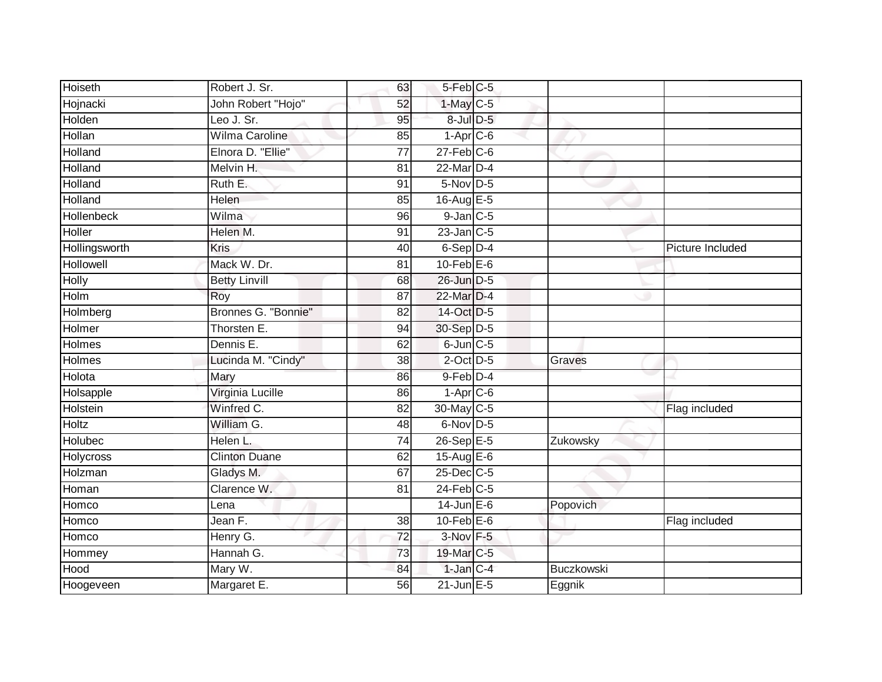| <b>Hoiseth</b> | Robert J. Sr.        | 63              | $5-Feb$ $C-5$    |            |                  |
|----------------|----------------------|-----------------|------------------|------------|------------------|
| Hojnacki       | John Robert "Hojo"   | 52              | $1$ -May $C-5$   |            |                  |
| Holden         | Leo J. Sr.           | $\overline{95}$ | 8-Jul D-5        |            |                  |
| Hollan         | Wilma Caroline       | 85              | $1-Apr1C-6$      |            |                  |
| Holland        | Elnora D. "Ellie"    | $\overline{77}$ | $27$ -Feb $C$ -6 |            |                  |
| Holland        | Melvin H.            | 81              | $22$ -Mar $D-4$  |            |                  |
| Holland        | Ruth E.              | 91              | $5-Nov$ D-5      |            |                  |
| Holland        | Helen                | 85              | 16-Aug E-5       |            |                  |
| Hollenbeck     | Wilma                | 96              | $9$ -Jan $C$ -5  |            |                  |
| Holler         | Helen M.             | 91              | 23-Jan C-5       |            |                  |
| Hollingsworth  | <b>Kris</b>          | 40              | $6-Sep$ D-4      |            | Picture Included |
| Hollowell      | Mack W. Dr.          | 81              | $10$ -Feb $E$ -6 |            |                  |
| <b>Holly</b>   | <b>Betty Linvill</b> | 68              | 26-Jun D-5       |            |                  |
| Holm           | Roy                  | 87              | 22-Mar D-4       |            |                  |
| Holmberg       | Bronnes G. "Bonnie"  | $\overline{82}$ | 14-Oct D-5       |            |                  |
| Holmer         | Thorsten E.          | 94              | 30-Sep D-5       |            |                  |
| <b>Holmes</b>  | Dennis E.            | 62              | $6$ -Jun $C$ -5  |            |                  |
| Holmes         | Lucinda M. "Cindy"   | 38              | $2$ -Oct $D-5$   | Graves     |                  |
| Holota         | Mary                 | 86              | 9-Feb D-4        |            |                  |
| Holsapple      | Virginia Lucille     | 86              | $1-Apr$ $C-6$    |            |                  |
| Holstein       | Winfred C.           | 82              | 30-May C-5       |            | Flag included    |
| <b>Holtz</b>   | William G.           | 48              | 6-Nov D-5        |            |                  |
| Holubec        | Helen L.             | 74              | 26-Sep E-5       | Zukowsky   |                  |
| Holycross      | <b>Clinton Duane</b> | 62              | 15-Aug $E-6$     |            |                  |
| Holzman        | Gladys M.            | 67              | 25-Dec C-5       |            |                  |
| Homan          | Clarence W.          | 81              | $24$ -Feb $C-5$  |            |                  |
| Homco          | Lena                 |                 | $14$ -Jun $E-6$  | Popovich   |                  |
| Homco          | Jean F.              | 38              | $10$ -Feb $E$ -6 |            | Flag included    |
| Homco          | Henry G.             | $\overline{72}$ | 3-Nov F-5        |            |                  |
| Hommey         | Hannah G.            | 73              | 19-Mar C-5       |            |                  |
| Hood           | Mary W.              | 84              | $1$ -Jan $C-4$   | Buczkowski |                  |
| Hoogeveen      | Margaret E.          | 56              | $21$ -Jun $E-5$  | Eggnik     |                  |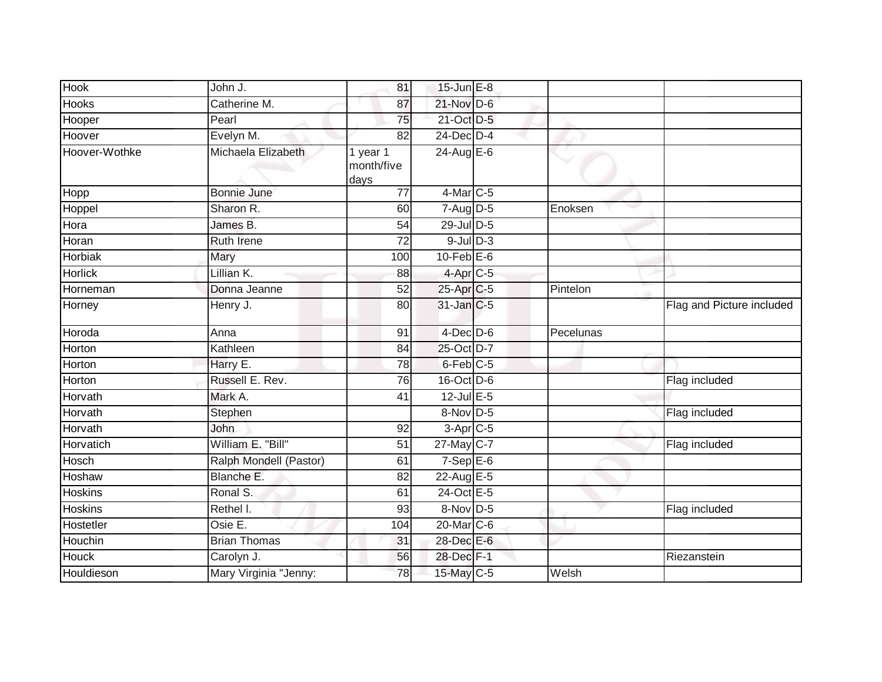| <b>Hook</b>    | John J.                | 81                             | 15-Jun E-8             |           |                           |
|----------------|------------------------|--------------------------------|------------------------|-----------|---------------------------|
| <b>Hooks</b>   | Catherine M.           | 87                             | 21-Nov D-6             |           |                           |
| Hooper         | Pearl                  | 75                             | 21-Oct D-5             |           |                           |
| Hoover         | Evelyn M.              | 82                             | 24-Dec D-4             |           |                           |
| Hoover-Wothke  | Michaela Elizabeth     | 1 year 1<br>month/five<br>days | 24-Aug E-6             |           |                           |
| Hopp           | <b>Bonnie June</b>     | $\overline{77}$                | $4$ -Mar $C$ -5        |           |                           |
| Hoppel         | Sharon R.              | 60                             | $7 - Aug$ $D-5$        | Enoksen   |                           |
| Hora           | James B.               | 54                             | 29-Jul D-5             |           |                           |
| Horan          | <b>Ruth Irene</b>      | $\overline{72}$                | $9$ -Jul $D-3$         |           |                           |
| <b>Horbiak</b> | Mary                   | 100                            | $10$ -Feb $E$ -6       |           |                           |
| <b>Horlick</b> | Lillian K.             | 88                             | $4-Apr$ $C-5$          |           |                           |
| Horneman       | Donna Jeanne           | 52                             | 25-Apr <sub>IC-5</sub> | Pintelon  |                           |
| Horney         | Henry J.               | 80                             | $31$ -Jan $ C-5 $      |           | Flag and Picture included |
| Horoda         | Anna                   | 91                             | $4$ -Dec D-6           | Pecelunas |                           |
| Horton         | Kathleen               | 84                             | 25-Oct D-7             |           |                           |
| Horton         | Harry E.               | 78                             | $6$ -Feb $C$ -5        |           |                           |
| Horton         | Russell E. Rev.        | 76                             | 16-Oct D-6             |           | Flag included             |
| Horvath        | Mark A.                | 41                             | 12-Jul E-5             |           |                           |
| Horvath        | Stephen                |                                | 8-Nov D-5              |           | Flag included             |
| Horvath        | John                   | 92                             | $3-Apr$ C-5            |           |                           |
| Horvatich      | William E. "Bill"      | $\overline{51}$                | 27-May C-7             |           | Flag included             |
| Hosch          | Ralph Mondell (Pastor) | 61                             | $7-Sep$ E-6            |           |                           |
| Hoshaw         | Blanche E.             | 82                             | 22-Aug E-5             |           |                           |
| <b>Hoskins</b> | Ronal S.               | 61                             | 24-Oct E-5             |           |                           |
| <b>Hoskins</b> | Rethel I.              | 93                             | 8-Nov D-5              |           | Flag included             |
| Hostetler      | Osie E.                | 104                            | 20-Mar C-6             |           |                           |
| Houchin        | <b>Brian Thomas</b>    | 31                             | 28-Dec E-6             |           |                           |
| Houck          | Carolyn J.             | 56                             | 28-Dec F-1             |           | Riezanstein               |
| Houldieson     | Mary Virginia "Jenny:  | 78                             | 15-May C-5             | Welsh     |                           |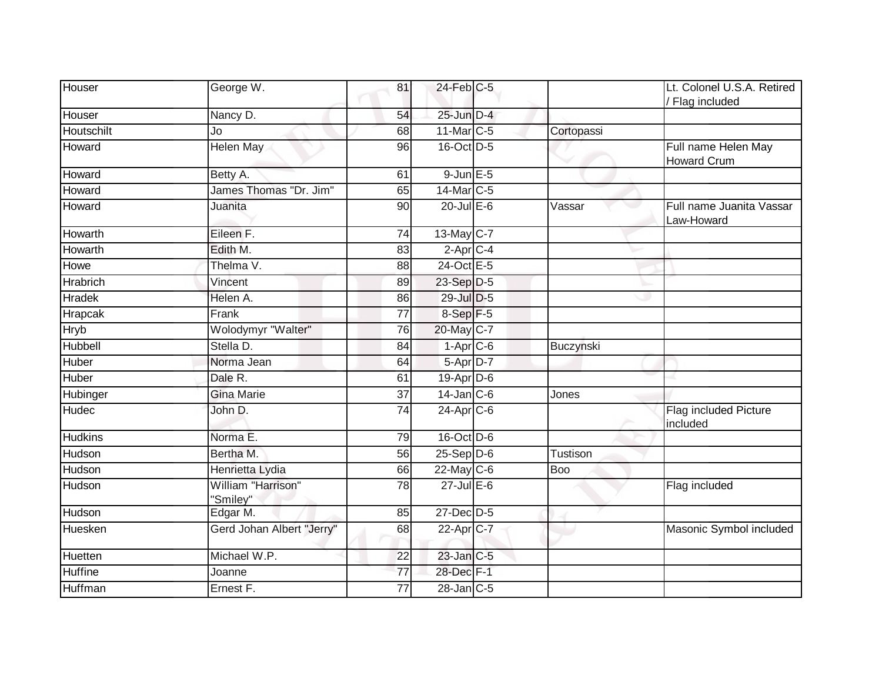| Houser          | George W.                      | 81              | $24$ -Feb $C-5$   |            | Lt. Colonel U.S.A. Retired<br>/ Flag included |
|-----------------|--------------------------------|-----------------|-------------------|------------|-----------------------------------------------|
| Houser          | Nancy D.                       | 54              | 25-Jun D-4        |            |                                               |
| Houtschilt      | Jo                             | 68              | 11-Mar C-5        | Cortopassi |                                               |
| Howard          | Helen May                      | 96              | 16-Oct D-5        |            | Full name Helen May<br><b>Howard Crum</b>     |
| Howard          | Betty A.                       | 61              | $9$ -Jun $E$ -5   |            |                                               |
| Howard          | James Thomas "Dr. Jim"         | 65              | 14-Mar C-5        |            |                                               |
| Howard          | Juanita                        | 90              | $20$ -Jul E-6     | Vassar     | Full name Juanita Vassar<br>Law-Howard        |
| Howarth         | Eileen F.                      | 74              | 13-May C-7        |            |                                               |
| Howarth         | Edith M.                       | 83              | $2-AprC-4$        |            |                                               |
| Howe            | Thelma V.                      | 88              | 24-Oct E-5        |            |                                               |
| <b>Hrabrich</b> | Vincent                        | 89              | 23-Sep D-5        |            |                                               |
| <b>Hradek</b>   | Helen A.                       | 86              | 29-Jul D-5        |            |                                               |
| <b>Hrapcak</b>  | Frank                          | 77              | 8-Sep F-5         |            |                                               |
| Hryb            | Wolodymyr "Walter"             | 76              | 20-May C-7        |            |                                               |
| Hubbell         | Stella D.                      | 84              | $1-Apr$ $C-6$     | Buczynski  |                                               |
| Huber           | Norma Jean                     | 64              | 5-Apr D-7         |            |                                               |
| Huber           | Dale R.                        | 61              | 19-Apr D-6        |            |                                               |
| Hubinger        | <b>Gina Marie</b>              | 37              | $14$ -Jan $C$ -6  | Jones      |                                               |
| Hudec           | John D.                        | 74              | $24-Apr$ $C-6$    |            | Flag included Picture<br>included             |
| <b>Hudkins</b>  | Norma E.                       | 79              | 16-Oct D-6        |            |                                               |
| Hudson          | Bertha M.                      | 56              | $25-Sep$ $D-6$    | Tustison   |                                               |
| Hudson          | Henrietta Lydia                | 66              | $22$ -May C-6     | Boo        |                                               |
| Hudson          | William "Harrison"<br>"Smiley" | $\overline{78}$ | $27$ -Jul $E-6$   |            | Flag included                                 |
| Hudson          | Edgar M.                       | 85              | 27-Dec D-5        |            |                                               |
| Huesken         | Gerd Johan Albert "Jerry"      | 68              | 22-Apr C-7        |            | Masonic Symbol included                       |
| Huetten         | Michael W.P.                   | $\overline{22}$ | $23$ -Jan $C-5$   |            |                                               |
| <b>Huffine</b>  | Joanne                         | 77              | 28-Dec F-1        |            |                                               |
| Huffman         | Ernest F.                      | 77              | $28$ -Jan $ C-5 $ |            |                                               |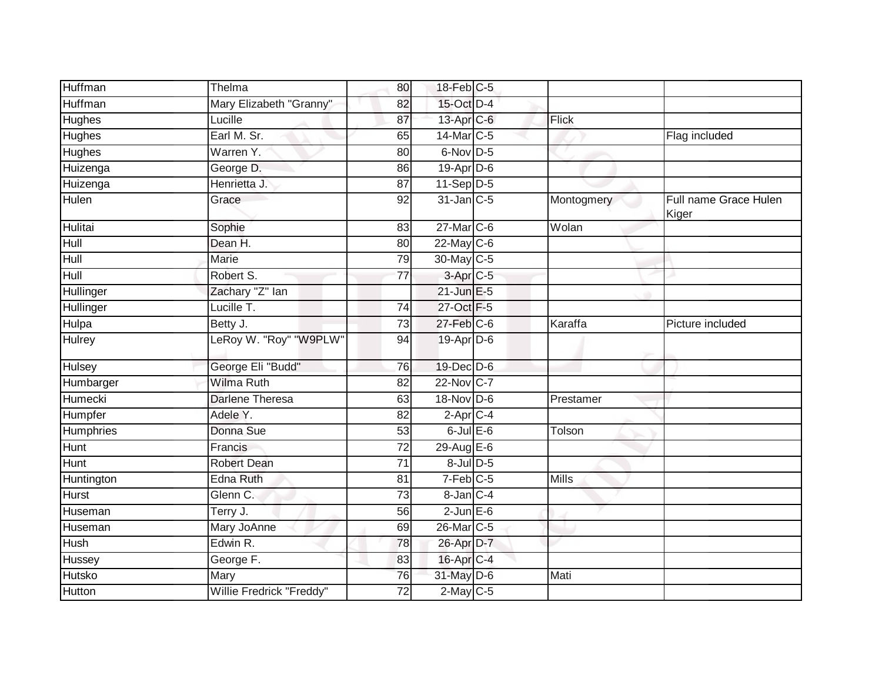| Huffman        | Thelma                   | 80              | 18-Feb C-5             |            |                                |
|----------------|--------------------------|-----------------|------------------------|------------|--------------------------------|
| Huffman        | Mary Elizabeth "Granny"  | 82              | 15-Oct D-4             |            |                                |
| <b>Hughes</b>  | Lucille                  | 87              | 13-Apr C-6             | Flick      |                                |
| Hughes         | Earl M. Sr.              | 65              | 14-Mar C-5             |            | Flag included                  |
| <b>Hughes</b>  | Warren Y.                | 80              | 6-Nov D-5              |            |                                |
| Huizenga       | George D.                | 86              | 19-Apr D-6             |            |                                |
| Huizenga       | Henrietta J.             | 87              | $11-Sep$ D-5           |            |                                |
| Hulen          | Grace                    | 92              | 31-Jan C-5             | Montogmery | Full name Grace Hulen<br>Kiger |
| Hulitai        | Sophie                   | 83              | 27-Mar C-6             | Wolan      |                                |
| Hull           | Dean H.                  | 80              | 22-May C-6             |            |                                |
| Hull           | <b>Marie</b>             | 79              | 30-May C-5             |            |                                |
| Hull           | Robert S.                | 77              | 3-Apr <sub>C-5</sub>   |            |                                |
| Hullinger      | Zachary "Z" lan          |                 | $21$ -Jun $E-5$        |            |                                |
| Hullinger      | Lucille T.               | $\overline{74}$ | 27-Oct F-5             |            |                                |
| <b>Hulpa</b>   | Betty J.                 | 73              | 27-Feb C-6             | Karaffa    | Picture included               |
| <b>Hulrey</b>  | LeRoy W. "Roy" "W9PLW"   | 94              | 19-Apr D-6             |            |                                |
| <b>Hulsey</b>  | George Eli "Budd"        | 76              | 19-Dec D-6             |            |                                |
| Humbarger      | <b>Wilma Ruth</b>        | 82              | 22-Nov C-7             |            |                                |
| <b>Humecki</b> | <b>Darlene Theresa</b>   | 63              | 18-Nov D-6             | Prestamer  |                                |
| Humpfer        | Adele Y.                 | $\overline{82}$ | $2-AprC-4$             |            |                                |
| Humphries      | Donna Sue                | 53              | $6$ -Jul $E$ -6        | Tolson     |                                |
| Hunt           | Francis                  | $\overline{72}$ | 29-Aug E-6             |            |                                |
| Hunt           | <b>Robert Dean</b>       | 71              | $8$ -Jul $D$ -5        |            |                                |
| Huntington     | <b>Edna Ruth</b>         | 81              | $7-Feb$ <sub>C-5</sub> | Mills      |                                |
| <b>Hurst</b>   | Glenn C.                 | $\overline{73}$ | 8-Jan C-4              |            |                                |
| Huseman        | Terry J.                 | 56              | $2$ -Jun $E$ -6        |            |                                |
| Huseman        | Mary JoAnne              | 69              | 26-Mar C-5             |            |                                |
| <b>Hush</b>    | Edwin R.                 | 78              | 26-Apr D-7             |            |                                |
| Hussey         | George F.                | 83              | 16-Apr C-4             |            |                                |
| Hutsko         | Mary                     | 76              | 31-May D-6             | Mati       |                                |
| Hutton         | Willie Fredrick "Freddy" | 72              | $2$ -May C-5           |            |                                |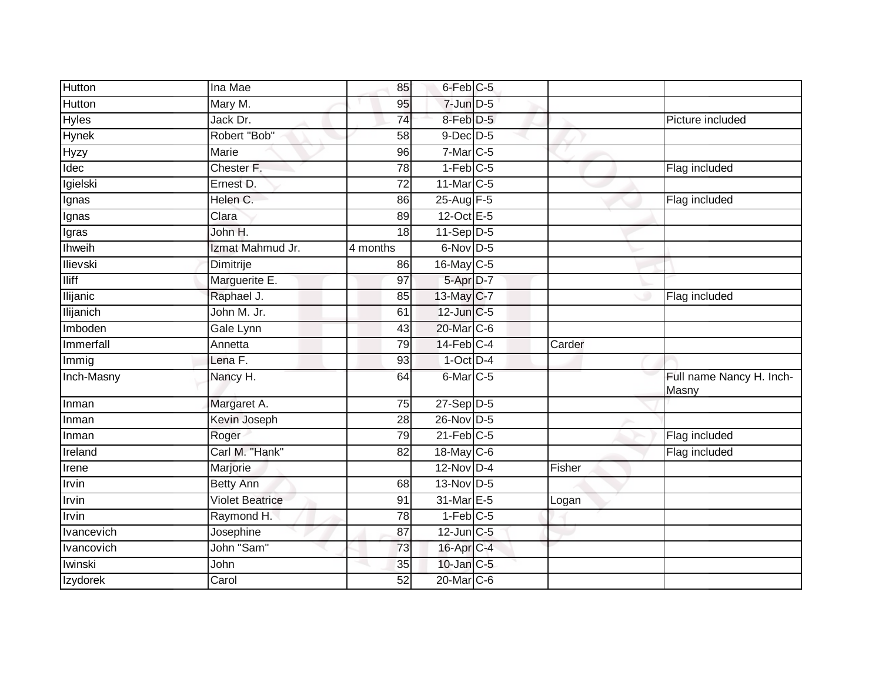| Hutton           | Ina Mae                | 85              | 6-Feb C-5              |        |                                   |
|------------------|------------------------|-----------------|------------------------|--------|-----------------------------------|
| Hutton           | Mary M.                | 95              | $7$ -Jun $D-5$         |        |                                   |
| <b>Hyles</b>     | Jack Dr.               | 74              | 8-Feb D-5              |        | Picture included                  |
| Hynek            | Robert "Bob"           | 58              | $9$ -Dec $D$ -5        |        |                                   |
| <b>Hyzy</b>      | <b>Marie</b>           | 96              | $7$ -Mar $C$ -5        |        |                                   |
| Idec             | Chester F.             | $\overline{78}$ | $1-Feb$ <sub>C-5</sub> |        | Flag included                     |
| Igielski         | Ernest D.              | 72              | 11-Mar C-5             |        |                                   |
| Ignas            | Helen C.               | 86              | 25-Aug F-5             |        | Flag included                     |
| Ignas            | Clara                  | 89              | $12-Oct$ E-5           |        |                                   |
| Igras            | John H.                | $\overline{18}$ | $11-Sep$ D-5           |        |                                   |
| Ihweih           | Izmat Mahmud Jr.       | 4 months        | 6-Nov D-5              |        |                                   |
| Ilievski         | Dimitrije              | 86              | $16$ -May C-5          |        |                                   |
| <b>Iliff</b>     | Marguerite E.          | 97              | 5-Apr D-7              |        |                                   |
| <b>Ilijanic</b>  | Raphael J.             | 85              | 13-May C-7             |        | Flag included                     |
| <b>Ilijanich</b> | John M. Jr.            | 61              | 12-Jun C-5             |        |                                   |
| Imboden          | Gale Lynn              | 43              | 20-Mar C-6             |        |                                   |
| Immerfall        | Annetta                | 79              | $14$ -Feb $C-4$        | Carder |                                   |
| Immig            | Lena F.                | 93              | $1$ -Oct $D-4$         |        |                                   |
| Inch-Masny       | Nancy H.               | 64              | 6-Mar C-5              |        | Full name Nancy H. Inch-<br>Masny |
| Inman            | Margaret A.            | 75              | $27-Sep$ D-5           |        |                                   |
| Inman            | Kevin Joseph           | 28              | 26-Nov D-5             |        |                                   |
| Inman            | Roger                  | 79              | $21$ -Feb $C-5$        |        | Flag included                     |
| Ireland          | Carl M. "Hank"         | 82              | 18-May $C-6$           |        | Flag included                     |
| Irene            | Marjorie               |                 | 12-Nov D-4             | Fisher |                                   |
| Irvin            | <b>Betty Ann</b>       | 68              | 13-Nov D-5             |        |                                   |
| Irvin            | <b>Violet Beatrice</b> | 91              | 31-Mar E-5             | Logan  |                                   |
| Irvin            | Raymond H.             | 78              | $1-Feb$ C-5            |        |                                   |
| Ivancevich       | Josephine              | 87              | $12$ -Jun $C-5$        |        |                                   |
| Ivancovich       | John "Sam"             | 73              | 16-Apr C-4             |        |                                   |
| Iwinski          | John                   | 35              | $10$ -Jan $C-5$        |        |                                   |
| Izydorek         | Carol                  | 52              | 20-Mar C-6             |        |                                   |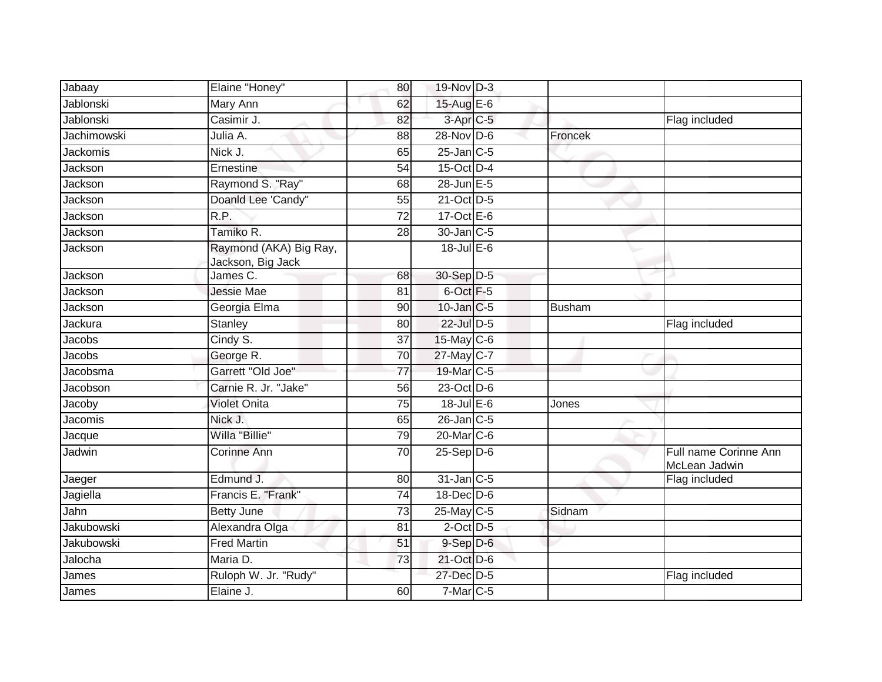| Jabaay           | Elaine "Honey"                              | 80              | 19-Nov D-3            |         |                                        |
|------------------|---------------------------------------------|-----------------|-----------------------|---------|----------------------------------------|
| <b>Jablonski</b> | Mary Ann                                    | 62              | 15-Aug E-6            |         |                                        |
| <b>Jablonski</b> | Casimir J.                                  | 82              | 3-Apr <sub>IC-5</sub> |         | Flag included                          |
| Jachimowski      | Julia A.                                    | 88              | 28-Nov D-6            | Froncek |                                        |
| <b>Jackomis</b>  | Nick J.                                     | 65              | $25$ -Jan $C$ -5      |         |                                        |
| Jackson          | Ernestine                                   | 54              | 15-Oct D-4            |         |                                        |
| Jackson          | Raymond S. "Ray"                            | 68              | 28-Jun E-5            |         |                                        |
| Jackson          | Doanld Lee 'Candy"                          | 55              | 21-Oct D-5            |         |                                        |
| Jackson          | R.P.                                        | 72              | 17-Oct $E-6$          |         |                                        |
| Jackson          | Tamiko R.                                   | 28              | 30-Jan C-5            |         |                                        |
| Jackson          | Raymond (AKA) Big Ray,<br>Jackson, Big Jack |                 | $18$ -Jul E-6         |         |                                        |
| Jackson          | James C.                                    | 68              | 30-Sep D-5            |         |                                        |
| Jackson          | <b>Jessie Mae</b>                           | 81              | 6-Oct F-5             |         |                                        |
| Jackson          | Georgia Elma                                | 90              | 10-Jan C-5            | Busham  |                                        |
| Jackura          | <b>Stanley</b>                              | 80              | 22-Jul D-5            |         | Flag included                          |
| Jacobs           | Cindy S.                                    | 37              | $15$ -May C-6         |         |                                        |
| Jacobs           | George R.                                   | $\overline{70}$ | 27-May C-7            |         |                                        |
| Jacobsma         | Garrett "Old Joe"                           | 77              | 19-Mar C-5            |         |                                        |
| Jacobson         | Carnie R. Jr. "Jake"                        | 56              | 23-Oct D-6            |         |                                        |
| Jacoby           | <b>Violet Onita</b>                         | $\overline{75}$ | $18$ -Jul E-6         | Jones   |                                        |
| Jacomis          | Nick J.                                     | 65              | $26$ -Jan $C-5$       |         |                                        |
| Jacque           | Willa "Billie"                              | 79              | 20-Mar C-6            |         |                                        |
| Jadwin           | <b>Corinne Ann</b>                          | 70              | $25-$ Sep $D-6$       |         | Full name Corinne Ann<br>McLean Jadwin |
| Jaeger           | Edmund J.                                   | 80              | $31$ -Jan $C-5$       |         | Flag included                          |
| Jagiella         | Francis E. "Frank"                          | 74              | 18-Dec D-6            |         |                                        |
| Jahn             | <b>Betty June</b>                           | 73              | 25-May C-5            | Sidnam  |                                        |
| Jakubowski       | Alexandra Olga                              | 81              | $2$ -Oct $D-5$        |         |                                        |
| Jakubowski       | <b>Fred Martin</b>                          | 51              | $9-$ Sep $D-6$        |         |                                        |
| Jalocha          | Maria D.                                    | 73              | 21-Oct D-6            |         |                                        |
| James            | Ruloph W. Jr. "Rudy"                        |                 | 27-Dec D-5            |         | Flag included                          |
| James            | Elaine J.                                   | 60              | $7-Mar$ $C-5$         |         |                                        |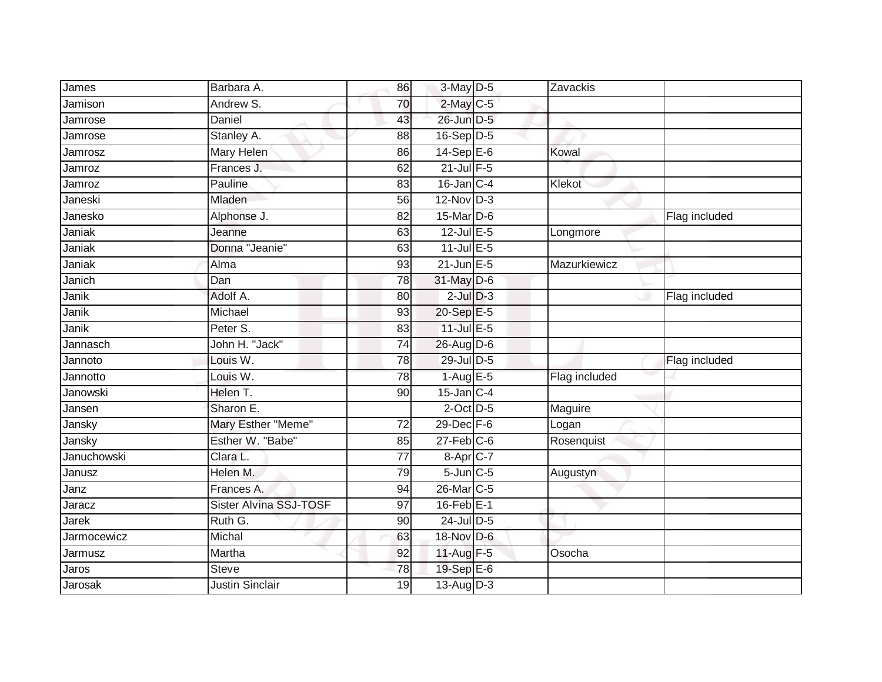| James       | Barbara A.                    | 86              | $3-May$ $D-5$     | Zavackis      |               |
|-------------|-------------------------------|-----------------|-------------------|---------------|---------------|
| Jamison     | Andrew S.                     | 70              | $2$ -May C-5      |               |               |
| Jamrose     | <b>Daniel</b>                 | 43              | 26-Jun D-5        |               |               |
| Jamrose     | Stanley A.                    | 88              | $16-Sep D-5$      |               |               |
| Jamrosz     | Mary Helen                    | 86              | $14-Sep$ $E-6$    | Kowal         |               |
| Jamroz      | Frances J.                    | 62              | $21$ -Jul $F-5$   |               |               |
| Jamroz      | Pauline                       | 83              | $16$ -Jan $C-4$   | Klekot        |               |
| Janeski     | Mladen                        | 56              | $12$ -Nov $D-3$   |               |               |
| Janesko     | Alphonse J.                   | 82              | 15-Mar D-6        |               | Flag included |
| Janiak      | Jeanne                        | 63              | $12$ -Jul E-5     | Longmore      |               |
| Janiak      | Donna "Jeanie"                | 63              | $11$ -Jul E-5     |               |               |
| Janiak      | Alma                          | 93              | $21$ -Jun $E - 5$ | Mazurkiewicz  |               |
| Janich      | Dan                           | 78              | 31-May D-6        |               |               |
| Janik       | Adolf A.                      | 80              | $2$ -Jul $D-3$    |               | Flag included |
| Janik       | Michael                       | 93              | 20-Sep E-5        |               |               |
| Janik       | Peter S.                      | 83              | $11$ -Jul $E-5$   |               |               |
| Jannasch    | John H. "Jack"                | 74              | 26-Aug D-6        |               |               |
| Jannoto     | Louis W.                      | 78              | 29-Jul D-5        |               | Flag included |
| Jannotto    | Louis W.                      | 78              | $1-Aug$ E-5       | Flag included |               |
| Janowski    | Helen T.                      | 90              | $15$ -Jan $ C-4 $ |               |               |
| Jansen      | Sharon E.                     |                 | $2$ -Oct $D-5$    | Maguire       |               |
| Jansky      | Mary Esther "Meme"            | $\overline{72}$ | 29-Dec F-6        | Logan         |               |
| Jansky      | Esther W. "Babe"              | 85              | $27$ -Feb $C$ -6  | Rosenquist    |               |
| Januchowski | Clara L.                      | $\overline{77}$ | $8-Apr1C-7$       |               |               |
| Janusz      | Helen M.                      | 79              | $5$ -Jun $C$ -5   | Augustyn      |               |
| Janz        | Frances A.                    | 94              | 26-Mar C-5        |               |               |
| Jaracz      | <b>Sister Alvina SSJ-TOSF</b> | 97              | $16$ -Feb $E-1$   |               |               |
| Jarek       | Ruth G.                       | 90              | 24-Jul D-5        |               |               |
| Jarmocewicz | Michal                        | 63              | 18-Nov D-6        |               |               |
| Jarmusz     | Martha                        | 92              | 11-Aug F-5        | Osocha        |               |
| Jaros       | <b>Steve</b>                  | 78              | 19-Sep E-6        |               |               |
| Jarosak     | <b>Justin Sinclair</b>        | $\overline{19}$ | $13-Aug$ $D-3$    |               |               |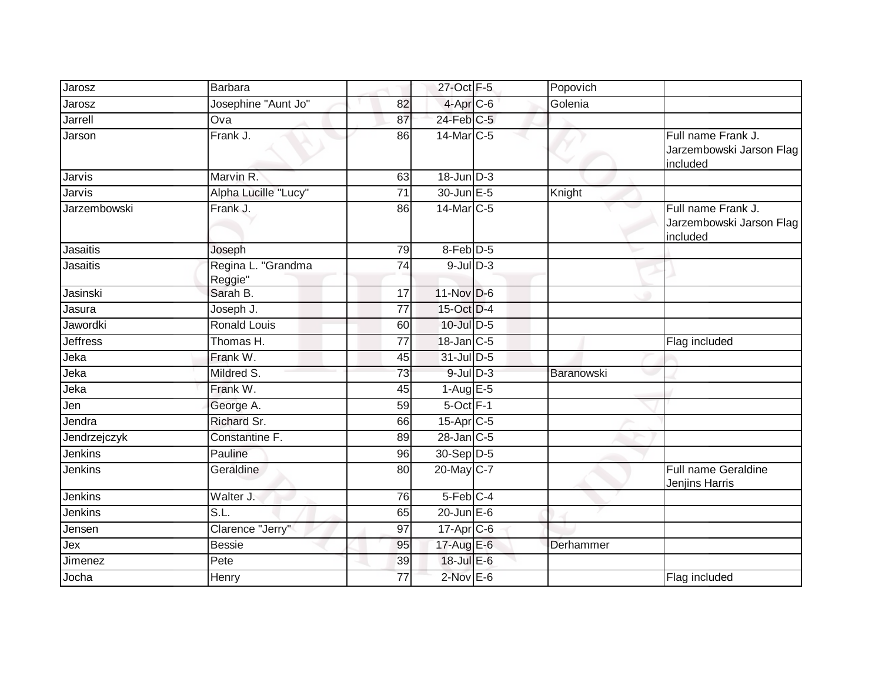|                 | <b>Barbara</b>                |                 | 27-Oct F-5              | Popovich   |                                                            |
|-----------------|-------------------------------|-----------------|-------------------------|------------|------------------------------------------------------------|
| Jarosz          |                               |                 |                         |            |                                                            |
| Jarosz          | Josephine "Aunt Jo"           | 82              | 4-Apr C-6               | Golenia    |                                                            |
| Jarrell         | Ova                           | 87              | $24$ -Feb $C-5$         |            |                                                            |
| Jarson          | Frank J.                      | 86              | 14-Mar C-5              |            | Full name Frank J.<br>Jarzembowski Jarson Flag<br>included |
| Jarvis          | Marvin R.                     | 63              | $18$ -Jun $D-3$         |            |                                                            |
| Jarvis          | Alpha Lucille "Lucy"          | 71              | 30-Jun E-5              | Knight     |                                                            |
| Jarzembowski    | Frank J.                      | 86              | 14-Mar C-5              |            | Full name Frank J.<br>Jarzembowski Jarson Flag<br>included |
| <b>Jasaitis</b> | Joseph                        | 79              | 8-Feb <sup>D-5</sup>    |            |                                                            |
| <b>Jasaitis</b> | Regina L. "Grandma<br>Reggie" | 74              | $9$ -Jul $D-3$          |            |                                                            |
| Jasinski        | Sarah B.                      | $\overline{17}$ | 11-Nov D-6              |            |                                                            |
| Jasura          | Joseph J.                     | 77              | 15-Oct D-4              |            |                                                            |
| Jawordki        | <b>Ronald Louis</b>           | 60              | $10$ -Jul $D-5$         |            |                                                            |
| <b>Jeffress</b> | Thomas H.                     | 77              | 18-Jan C-5              |            | Flag included                                              |
| Jeka            | Frank W.                      | 45              | 31-Jul D-5              |            |                                                            |
| Jeka            | Mildred S.                    | 73              | $9$ -Jul $D-3$          | Baranowski |                                                            |
| Jeka            | Frank W.                      | 45              | $1-Aug$ E-5             |            |                                                            |
| Jen             | George A.                     | 59              | $5$ -Oct $F-1$          |            |                                                            |
| Jendra          | Richard Sr.                   | 66              | 15-Apr C-5              |            |                                                            |
| Jendrzejczyk    | Constantine F.                | 89              | $28$ -Jan $C-5$         |            |                                                            |
| Jenkins         | Pauline                       | 96              | 30-Sep D-5              |            |                                                            |
| <b>Jenkins</b>  | Geraldine                     | 80              | 20-May C-7              |            | <b>Full name Geraldine</b><br>Jenjins Harris               |
| Jenkins         | Walter J.                     | 76              | 5-Feb C-4               |            |                                                            |
| Jenkins         | SL.                           | 65              | $20$ -Jun $E-6$         |            |                                                            |
| Jensen          | Clarence "Jerry"              | 97              | $17-Apr$ <sub>C-6</sub> |            |                                                            |
| Jex             | <b>Bessie</b>                 | 95              | 17-Aug E-6              | Derhammer  |                                                            |
| Jimenez         | Pete                          | 39              | 18-Jul E-6              |            |                                                            |
| Jocha           | Henry                         | 77              | $2$ -Nov $E-6$          |            | Flag included                                              |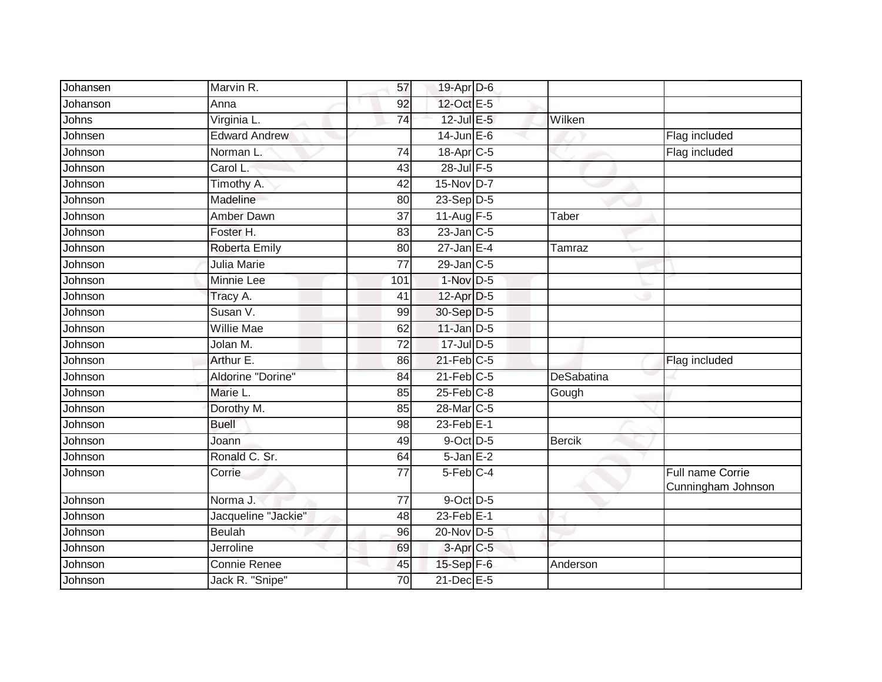| Johansen | Marvin R.            | 57              | 19-Apr D-6             |            |                                        |
|----------|----------------------|-----------------|------------------------|------------|----------------------------------------|
| Johanson | Anna                 | 92              | 12-Oct E-5             |            |                                        |
| Johns    | Virginia L.          | 74              | 12-Jul E-5             | Wilken     |                                        |
| Johnsen  | <b>Edward Andrew</b> |                 | $14$ -Jun $E - 6$      |            | Flag included                          |
| Johnson  | Norman L             | $\overline{74}$ | 18-Apr <sub>C-5</sub>  |            | Flag included                          |
| Johnson  | Carol L.             | 43              | 28-Jul F-5             |            |                                        |
| Johnson  | Timothy A.           | 42              | 15-Nov D-7             |            |                                        |
| Johnson  | Madeline             | 80              | $23-Sep$ D-5           |            |                                        |
| Johnson  | Amber Dawn           | 37              | 11-Aug F-5             | Taber      |                                        |
| Johnson  | Foster H.            | 83              | $23$ -Jan $C-5$        |            |                                        |
| Johnson  | <b>Roberta Emily</b> | 80              | $27$ -Jan E-4          | Tamraz     |                                        |
| Johnson  | Julia Marie          | 77              | $29$ -Jan $ C-5$       |            |                                        |
| Johnson  | <b>Minnie Lee</b>    | 101             | $1-Nov$ D-5            |            |                                        |
| Johnson  | Tracy A.             | 41              | 12-Apr D-5             |            |                                        |
| Johnson  | Susan V.             | 99              | 30-Sep D-5             |            |                                        |
| Johnson  | <b>Willie Mae</b>    | 62              | $11$ -Jan D-5          |            |                                        |
| Johnson  | Jolan M.             | $\overline{72}$ | 17-Jul D-5             |            |                                        |
| Johnson  | Arthur E.            | 86              | $21$ -Feb $ C-5$       |            | Flag included                          |
| Johnson  | Aldorine "Dorine"    | 84              | $21$ -Feb $C-5$        | DeSabatina |                                        |
| Johnson  | Marie L.             | 85              | $25$ -Feb $C-8$        | Gough      |                                        |
| Johnson  | Dorothy M.           | 85              | 28-Mar <sub>IC-5</sub> |            |                                        |
| Johnson  | <b>Buell</b>         | 98              | $23$ -Feb $E-1$        |            |                                        |
| Johnson  | Joann                | 49              | $9$ -Oct $D-5$         | Bercik     |                                        |
| Johnson  | Ronald C. Sr.        | 64              | $5 - Jan$ $E-2$        |            |                                        |
| Johnson  | Corrie               | $\overline{77}$ | $5-Feb$ <sub>C-4</sub> |            | Full name Corrie<br>Cunningham Johnson |
| Johnson  | Norma J.             | 77              | 9-Oct D-5              |            |                                        |
| Johnson  | Jacqueline "Jackie"  | 48              | $23$ -Feb $E-1$        |            |                                        |
| Johnson  | <b>Beulah</b>        | 96              | 20-Nov D-5             |            |                                        |
| Johnson  | Jerroline            | 69              | 3-Apr <sub>IC-5</sub>  |            |                                        |
| Johnson  | Connie Renee         | 45              | 15-Sep F-6             | Anderson   |                                        |
| Johnson  | Jack R. "Snipe"      | 70              | 21-Dec E-5             |            |                                        |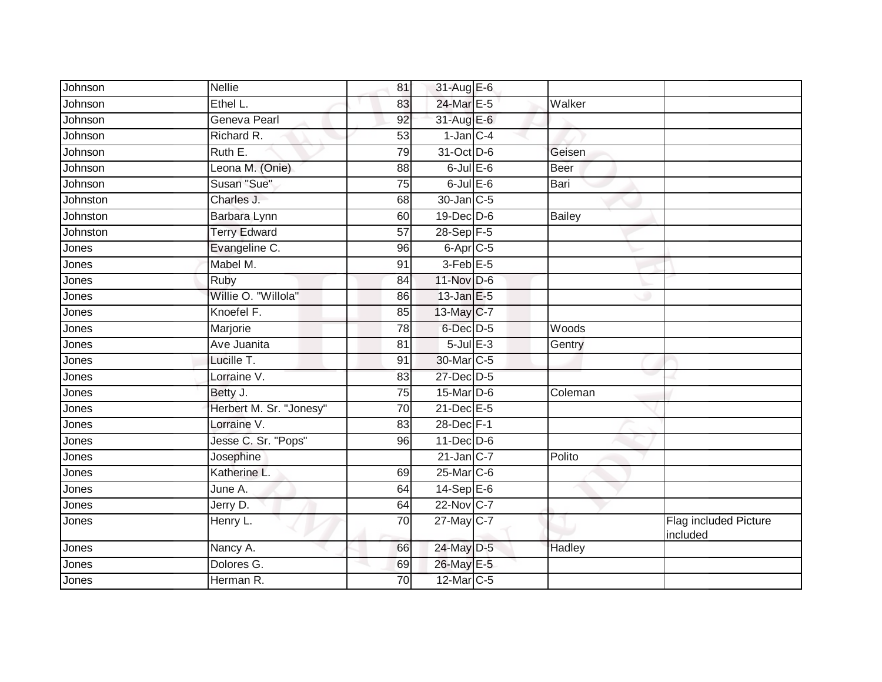| Johnson  | <b>Nellie</b>           | 81              | 31-Aug E-6           |               |                                   |
|----------|-------------------------|-----------------|----------------------|---------------|-----------------------------------|
| Johnson  | Ethel L.                | 83              | 24-Mar E-5           | Walker        |                                   |
| Johnson  | Geneva Pearl            | 92              | 31-Aug E-6           |               |                                   |
| Johnson  | Richard R.              | 53              | $1$ -Jan $C-4$       |               |                                   |
| Johnson  | Ruth E.                 | 79              | 31-Oct D-6           | Geisen        |                                   |
| Johnson  | Leona M. (Onie)         | 88              | $6$ -Jul $E$ -6      | <b>Beer</b>   |                                   |
| Johnson  | Susan "Sue"             | 75              | $6$ -Jul $E$ -6      | Bari          |                                   |
| Johnston | Charles J.              | 68              | 30-Jan C-5           |               |                                   |
| Johnston | Barbara Lynn            | 60              | 19-Dec D-6           | <b>Bailey</b> |                                   |
| Johnston | <b>Terry Edward</b>     | 57              | 28-Sep F-5           |               |                                   |
| Jones    | Evangeline C.           | 96              | 6-Apr <sub>C-5</sub> |               |                                   |
| Jones    | Mabel M.                | 91              | $3$ -Feb $E$ -5      |               |                                   |
| Jones    | Ruby                    | 84              | $11-Nov$ D-6         |               |                                   |
| Jones    | Willie O. "Willola"     | 86              | $13$ -Jan E-5        |               |                                   |
| Jones    | Knoefel F.              | 85              | 13-May C-7           |               |                                   |
| Jones    | Marjorie                | 78              | $6$ -Dec $D$ -5      | Woods         |                                   |
| Jones    | <b>Ave Juanita</b>      | 81              | $5$ -Jul $E$ -3      | Gentry        |                                   |
| Jones    | Lucille T.              | 91              | 30-Mar C-5           |               |                                   |
| Jones    | Lorraine V.             | 83              | 27-Dec D-5           |               |                                   |
| Jones    | Betty J.                | $\overline{75}$ | 15-Mar D-6           | Coleman       |                                   |
| Jones    | Herbert M. Sr. "Jonesy" | $\overline{70}$ | 21-Dec E-5           |               |                                   |
| Jones    | Lorraine V.             | 83              | 28-Dec F-1           |               |                                   |
| Jones    | Jesse C. Sr. "Pops"     | 96              | $11$ -Dec $D-6$      |               |                                   |
| Jones    | Josephine               |                 | $21$ -Jan C-7        | Polito        |                                   |
| Jones    | Katherine L.            | 69              | 25-Mar C-6           |               |                                   |
| Jones    | June A.                 | 64              | 14-Sep E-6           |               |                                   |
| Jones    | Jerry D.                | 64              | 22-Nov C-7           |               |                                   |
| Jones    | Henry L.                | 70              | 27-May C-7           |               | Flag included Picture<br>included |
| Jones    | Nancy A.                | 66              | 24-May D-5           | Hadley        |                                   |
| Jones    | Dolores G.              | 69              | 26-May E-5           |               |                                   |
| Jones    | Herman R.               | 70              | 12-Mar C-5           |               |                                   |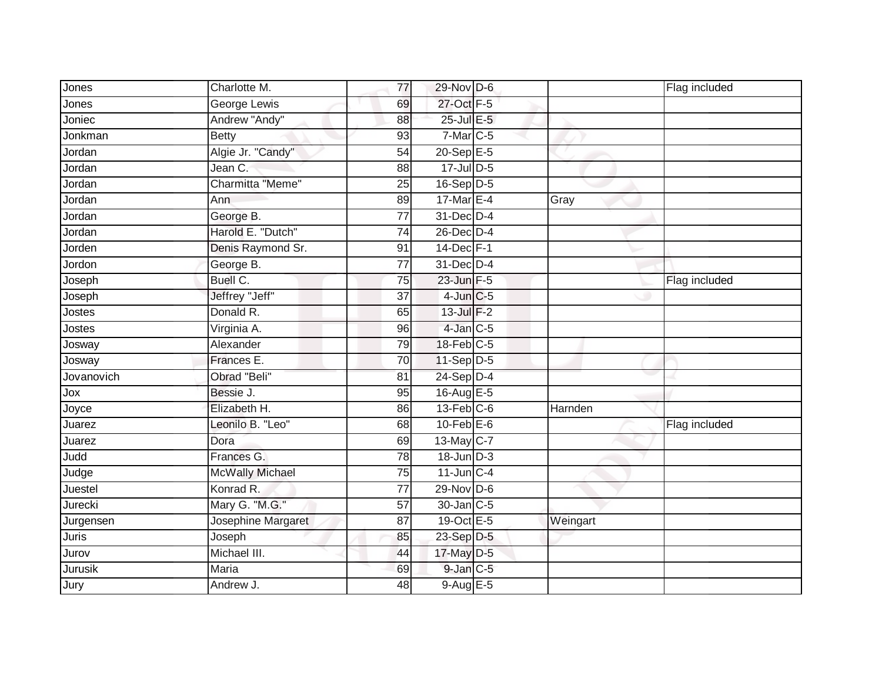| Jones      | Charlotte M.           | 77              | 29-Nov D-6       |          | Flag included |
|------------|------------------------|-----------------|------------------|----------|---------------|
| Jones      | George Lewis           | 69              | 27-Oct F-5       |          |               |
| Joniec     | Andrew "Andy"          | 88              | 25-Jul E-5       |          |               |
| Jonkman    | <b>Betty</b>           | 93              | $7$ -Mar $ C-5$  |          |               |
| Jordan     | Algie Jr. "Candy"      | 54              | $20 - Sep$ E-5   |          |               |
| Jordan     | Jean C.                | 88              | 17-Jul D-5       |          |               |
| Jordan     | Charmitta "Meme"       | 25              | 16-Sep D-5       |          |               |
| Jordan     | Ann                    | 89              | 17-Mar $E-4$     | Gray     |               |
| Jordan     | George B.              | $\overline{77}$ | 31-Dec D-4       |          |               |
| Jordan     | Harold E. "Dutch"      | 74              | 26-Dec D-4       |          |               |
| Jorden     | Denis Raymond Sr.      | 91              | $14$ -Dec $F-1$  |          |               |
| Jordon     | George B.              | 77              | 31-Dec D-4       |          |               |
| Joseph     | Buell C.               | 75              | 23-Jun F-5       |          | Flag included |
| Joseph     | Jeffrey "Jeff"         | 37              | $4$ -Jun $C$ -5  |          |               |
| Jostes     | Donald R.              | 65              | 13-Jul F-2       |          |               |
| Jostes     | Virginia A.            | 96              | $4$ -Jan $C$ -5  |          |               |
| Josway     | Alexander              | 79              | 18-Feb C-5       |          |               |
| Josway     | Frances E.             | 70              | 11-Sep D-5       |          |               |
| Jovanovich | Obrad "Beli"           | 81              | 24-Sep D-4       |          |               |
| Jox        | Bessie J.              | 95              | 16-Aug E-5       |          |               |
| Joyce      | Elizabeth H.           | 86              | $13$ -Feb $C-6$  | Harnden  |               |
| Juarez     | Leonilo B. "Leo"       | 68              | $10$ -Feb $E$ -6 |          | Flag included |
| Juarez     | Dora                   | 69              | $13$ -May C-7    |          |               |
| Judd       | Frances G.             | 78              | 18-Jun D-3       |          |               |
| Judge      | <b>McWally Michael</b> | 75              | $11$ -Jun $C-4$  |          |               |
| Juestel    | Konrad R.              | 77              | $29-Nov$ D-6     |          |               |
| Jurecki    | Mary G. "M.G."         | 57              | 30-Jan C-5       |          |               |
| Jurgensen  | Josephine Margaret     | 87              | 19-Oct E-5       | Weingart |               |
| Juris      | Joseph                 | 85              | 23-Sep D-5       |          |               |
| Jurov      | Michael III.           | 44              | 17-May D-5       |          |               |
| Jurusik    | Maria                  | 69              | 9-Jan C-5        |          |               |
| Jury       | Andrew J.              | 48              | 9-Aug E-5        |          |               |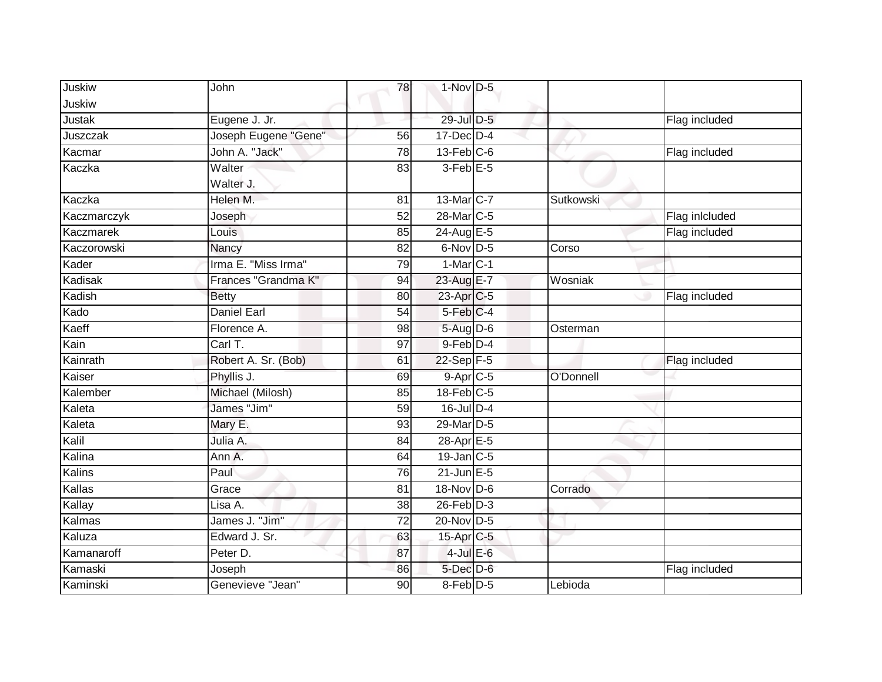| Juskiw      | John                 | 78              | $1-Nov$ D-5       |           |                |
|-------------|----------------------|-----------------|-------------------|-----------|----------------|
| Juskiw      |                      |                 |                   |           |                |
| Justak      | Eugene J. Jr.        |                 | 29-Jul D-5        |           | Flag included  |
| Juszczak    | Joseph Eugene "Gene" | 56              | $17$ -Dec $D-4$   |           |                |
| Kacmar      | John A. "Jack"       | 78              | $13$ -Feb $C$ -6  |           | Flag included  |
| Kaczka      | Walter<br>Walter J.  | 83              | $3-Feb$ E-5       |           |                |
| Kaczka      | Helen M.             | 81              | $13$ -Mar $ C-7 $ | Sutkowski |                |
| Kaczmarczyk | Joseph               | 52              | 28-Mar C-5        |           | Flag inlcluded |
| Kaczmarek   | Louis                | 85              | 24-Aug E-5        |           | Flag included  |
| Kaczorowski | Nancy                | 82              | 6-Nov D-5         | Corso     |                |
| Kader       | Irma E. "Miss Irma"  | 79              | $1-MarC-1$        |           |                |
| Kadisak     | Frances "Grandma K"  | 94              | 23-Aug E-7        | Wosniak   |                |
| Kadish      | <b>Betty</b>         | 80              | 23-Apr C-5        |           | Flag included  |
| Kado        | Daniel Earl          | $\overline{54}$ | 5-Feb C-4         |           |                |
| Kaeff       | Florence A.          | 98              | 5-Aug D-6         | Osterman  |                |
| Kain        | Carl T.              | $\overline{97}$ | 9-Feb D-4         |           |                |
| Kainrath    | Robert A. Sr. (Bob)  | 61              | $22-Sep$ F-5      |           | Flag included  |
| Kaiser      | Phyllis J.           | 69              | 9-Apr C-5         | O'Donnell |                |
| Kalember    | Michael (Milosh)     | 85              | $18$ -Feb $C$ -5  |           |                |
| Kaleta      | James "Jim"          | 59              | 16-Jul D-4        |           |                |
| Kaleta      | Mary E.              | 93              | 29-Mar D-5        |           |                |
| Kalil       | Julia A.             | 84              | $28-AprE-5$       |           |                |
| Kalina      | Ann A.               | 64              | $19$ -Jan C-5     |           |                |
| Kalins      | Paul                 | 76              | $21$ -Jun $E-5$   |           |                |
| Kallas      | Grace                | 81              | 18-Nov D-6        | Corrado   |                |
| Kallay      | Lisa A.              | 38              | $26$ -Feb $D-3$   |           |                |
| Kalmas      | James J. "Jim"       | 72              | 20-Nov D-5        |           |                |
| Kaluza      | Edward J. Sr.        | 63              | 15-Apr C-5        |           |                |
| Kamanaroff  | Peter D.             | 87              | $4$ -Jul $E$ -6   |           |                |
| Kamaski     | Joseph               | 86              | $5$ -Dec $D$ -6   |           | Flag included  |
| Kaminski    | Genevieve "Jean"     | 90              | 8-Feb D-5         | Lebioda   |                |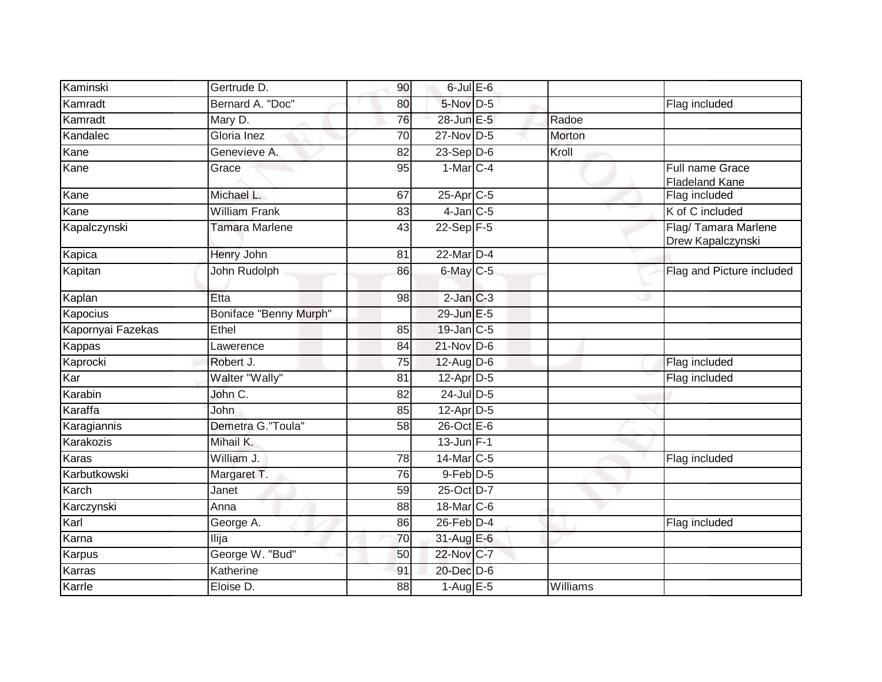| Kaminski          | Gertrude D.            | 90              | $6$ -Jul $E$ -6   |          |                                          |
|-------------------|------------------------|-----------------|-------------------|----------|------------------------------------------|
| Kamradt           | Bernard A. "Doc"       | 80              | $5-Nov$ D-5       |          | Flag included                            |
| Kamradt           | Mary D.                | 76              | 28-Jun E-5        | Radoe    |                                          |
| Kandalec          | Gloria Inez            | 70              | 27-Nov D-5        | Morton   |                                          |
| Kane              | Genevieve A.           | 82              | $23-Sep D-6$      | Kroll    |                                          |
| Kane              | Grace                  | 95              | $1-Mar$ C-4       |          | Full name Grace<br><b>Fladeland Kane</b> |
| Kane              | Michael L.             | 67              | 25-Apr C-5        |          | Flag included                            |
| Kane              | <b>William Frank</b>   | 83              | $4$ -Jan $C$ -5   |          | K of C included                          |
| Kapalczynski      | Tamara Marlene         | 43              | $22-Sep$ F-5      |          | Flag/Tamara Marlene<br>Drew Kapalczynski |
| Kapica            | Henry John             | 81              | 22-Mar D-4        |          |                                          |
| Kapitan           | John Rudolph           | 86              | 6-May C-5         |          | Flag and Picture included                |
| Kaplan            | Etta                   | 98              | $2$ -Jan $C-3$    |          |                                          |
| Kapocius          | Boniface "Benny Murph" |                 | 29-Jun E-5        |          |                                          |
| Kapornyai Fazekas | Ethel                  | 85              | 19-Jan C-5        |          |                                          |
| Kappas            | Lawerence              | 84              | 21-Nov D-6        |          |                                          |
| Kaprocki          | Robert J.              | 75              | 12-Aug D-6        |          | Flag included                            |
| Kar               | Walter "Wally"         | 81              | 12-Apr D-5        |          | Flag included                            |
| Karabin           | John C.                | 82              | $24$ -Jul $D-5$   |          |                                          |
| Karaffa           | John                   | 85              | $12$ -Apr $D-5$   |          |                                          |
| Karagiannis       | Demetra G."Toula"      | 58              | $26$ -Oct $E - 6$ |          |                                          |
| Karakozis         | Mihail K.              |                 | $13$ -Jun F-1     |          |                                          |
| Karas             | William J.             | 78              | 14-Mar C-5        |          | Flag included                            |
| Karbutkowski      | Margaret T.            | $\overline{76}$ | $9$ -Feb $D-5$    |          |                                          |
| Karch             | Janet                  | 59              | 25-Oct D-7        |          |                                          |
| Karczynski        | Anna                   | 88              | 18-Mar C-6        |          |                                          |
| Karl              | George A.              | 86              | $26$ -Feb $D-4$   |          | Flag included                            |
| Karna             | Ilija                  | 70              | 31-Aug E-6        |          |                                          |
| Karpus            | George W. "Bud"        | 50              | 22-Nov C-7        |          |                                          |
| Karras            | Katherine              | 91              | 20-Dec D-6        |          |                                          |
| Karrle            | Eloise D.              | $\overline{88}$ | $1-AugE-5$        | Williams |                                          |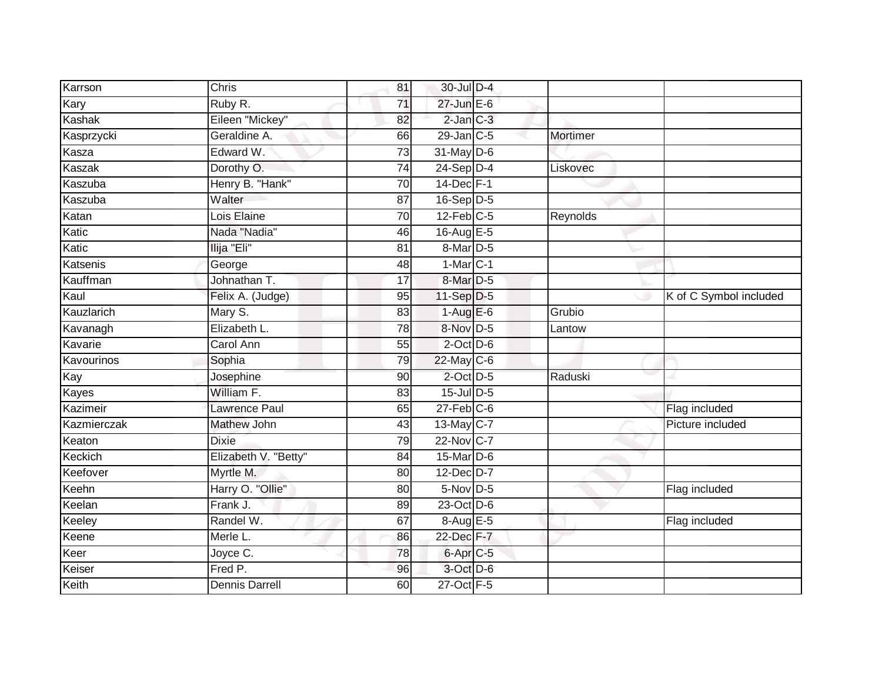| Karrson     | Chris                 | 81              | 30-Jul D-4            |          |                        |
|-------------|-----------------------|-----------------|-----------------------|----------|------------------------|
| Kary        | Ruby R.               | $\overline{71}$ | 27-Jun E-6            |          |                        |
| Kashak      | Eileen "Mickey"       | 82              | $2$ -Jan $C-3$        |          |                        |
| Kasprzycki  | Geraldine A.          | 66              | $29$ -Jan C-5         | Mortimer |                        |
| Kasza       | Edward W.             | 73              | $31$ -May $D-6$       |          |                        |
| Kaszak      | Dorothy O.            | $\overline{74}$ | $24-Sep$ D-4          | Liskovec |                        |
| Kaszuba     | Henry B. "Hank"       | 70              | 14-Dec F-1            |          |                        |
| Kaszuba     | Walter                | 87              | $16-Sep D-5$          |          |                        |
| Katan       | Lois Elaine           | 70              | $12$ -Feb $C-5$       | Reynolds |                        |
| Katic       | Nada "Nadia"          | 46              | 16-Aug E-5            |          |                        |
| Katic       | Ilija "Eli"           | 81              | $8-Mar$ D-5           |          |                        |
| Katsenis    | George                | 48              | $1-MarC-1$            |          |                        |
| Kauffman    | Johnathan T.          | 17              | 8-Mar <sub>D-5</sub>  |          |                        |
| Kaul        | Felix A. (Judge)      | 95              | $11-Sep$ D-5          |          | K of C Symbol included |
| Kauzlarich  | Mary S.               | $\overline{83}$ | $1-AugE-6$            | Grubio   |                        |
| Kavanagh    | Elizabeth L.          | 78              | 8-Nov D-5             | Lantow   |                        |
| Kavarie     | Carol Ann             | $\overline{55}$ | $2$ -Oct $D$ -6       |          |                        |
| Kavourinos  | Sophia                | 79              | 22-May C-6            |          |                        |
| Kay         | Josephine             | 90              | $2$ -Oct $D-5$        | Raduski  |                        |
| Kayes       | William F.            | 83              | 15-Jul D-5            |          |                        |
| Kazimeir    | <b>Lawrence Paul</b>  | 65              | $27$ -Feb $ C-6 $     |          | Flag included          |
| Kazmierczak | <b>Mathew John</b>    | 43              | 13-May C-7            |          | Picture included       |
| Keaton      | <b>Dixie</b>          | 79              | 22-Nov C-7            |          |                        |
| Keckich     | Elizabeth V. "Betty"  | 84              | 15-Mar D-6            |          |                        |
| Keefover    | Myrtle M.             | 80              | 12-Dec D-7            |          |                        |
| Keehn       | Harry O. "Ollie"      | 80              | $5-Nov$ D-5           |          | Flag included          |
| Keelan      | Frank J.              | 89              | 23-Oct D-6            |          |                        |
| Keeley      | Randel W.             | 67              | 8-Aug E-5             |          | Flag included          |
| Keene       | Merle L.              | 86              | 22-Dec F-7            |          |                        |
| Keer        | Joyce C.              | 78              | 6-Apr <sub>IC-5</sub> |          |                        |
| Keiser      | Fred P.               | 96              | 3-Oct D-6             |          |                        |
| Keith       | <b>Dennis Darrell</b> | 60              | 27-Oct F-5            |          |                        |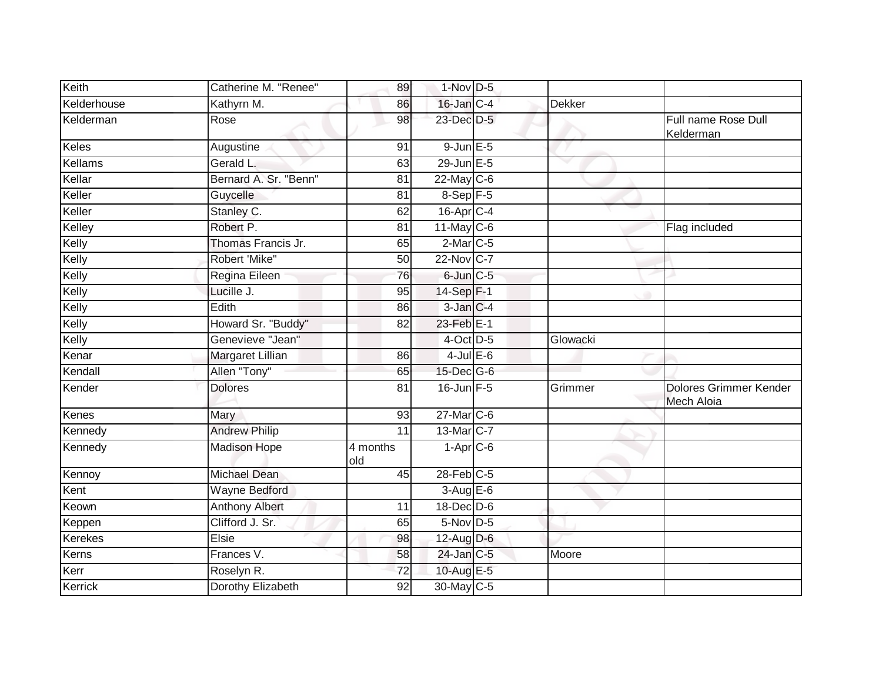| Keith          | Catherine M. "Renee"    | 89                           | $1-Nov$ D-5            |               |                                      |
|----------------|-------------------------|------------------------------|------------------------|---------------|--------------------------------------|
| Kelderhouse    | Kathyrn M.              | 86                           | $16$ -Jan $C-4$        | <b>Dekker</b> |                                      |
| Kelderman      | Rose                    | $\overline{98}$              | 23-Dec D-5             |               | Full name Rose Dull<br>Kelderman     |
| Keles          | Augustine               | 91                           | $9$ -Jun $E$ -5        |               |                                      |
| Kellams        | Gerald L.               | 63                           | 29-Jun E-5             | v             |                                      |
| Kellar         | Bernard A. Sr. "Benn"   | 81                           | $22$ -May C-6          |               |                                      |
| Keller         | Guycelle                | $\overline{81}$              | $8-Sep$ F-5            |               |                                      |
| Keller         | Stanley C.              | 62                           | 16-Apr C-4             |               |                                      |
| Kelley         | Robert P.               | 81                           | $11$ -May C-6          |               | Flag included                        |
| Kelly          | Thomas Francis Jr.      | 65                           | $2$ -Mar $C$ -5        |               |                                      |
| Kelly          | Robert 'Mike"           | 50                           | 22-Nov C-7             |               |                                      |
| Kelly          | Regina Eileen           | 76                           | 6-Jun C-5              |               |                                      |
| Kelly          | Lucille J.              | 95                           | $14-Sep$ F-1           |               |                                      |
| Kelly          | Edith                   | 86                           | $3$ -Jan $C-4$         |               |                                      |
| Kelly          | Howard Sr. "Buddy"      | 82                           | 23-Feb E-1             |               |                                      |
| Kelly          | Genevieve "Jean"        |                              | 4-Oct D-5              | Glowacki      |                                      |
| Kenar          | <b>Margaret Lillian</b> | 86                           | $4$ -Jul $E$ -6        |               |                                      |
| Kendall        | Allen "Tony"            | 65                           | 15-Dec G-6             |               |                                      |
| Kender         | <b>Dolores</b>          | 81                           | $16$ -Jun $F-5$        | Grimmer       | Dolores Grimmer Kender<br>Mech Aloia |
| Kenes          | Mary                    | 93                           | $27$ -Mar $C-6$        |               |                                      |
| Kennedy        | <b>Andrew Philip</b>    | 11                           | 13-Mar C-7             |               |                                      |
| Kennedy        | <b>Madison Hope</b>     | $\overline{4}$ months<br>old | $1-Apr$ <sub>C-6</sub> |               |                                      |
| Kennoy         | <b>Michael Dean</b>     | 45                           | $28$ -Feb $C-5$        |               |                                      |
| Kent           | <b>Wayne Bedford</b>    |                              | $3-AugE-6$             |               |                                      |
| Keown          | <b>Anthony Albert</b>   | 11                           | 18-Dec D-6             |               |                                      |
| Keppen         | Clifford J. Sr.         | 65                           | $5-Nov$ D-5            |               |                                      |
| <b>Kerekes</b> | Elsie                   | 98                           | 12-Aug D-6             |               |                                      |
| Kerns          | Frances V.              | 58                           | 24-Jan C-5             | Moore         |                                      |
| Kerr           | Roselyn R.              | 72                           | 10-Aug E-5             |               |                                      |
| Kerrick        | Dorothy Elizabeth       | $\overline{92}$              | 30-May C-5             |               |                                      |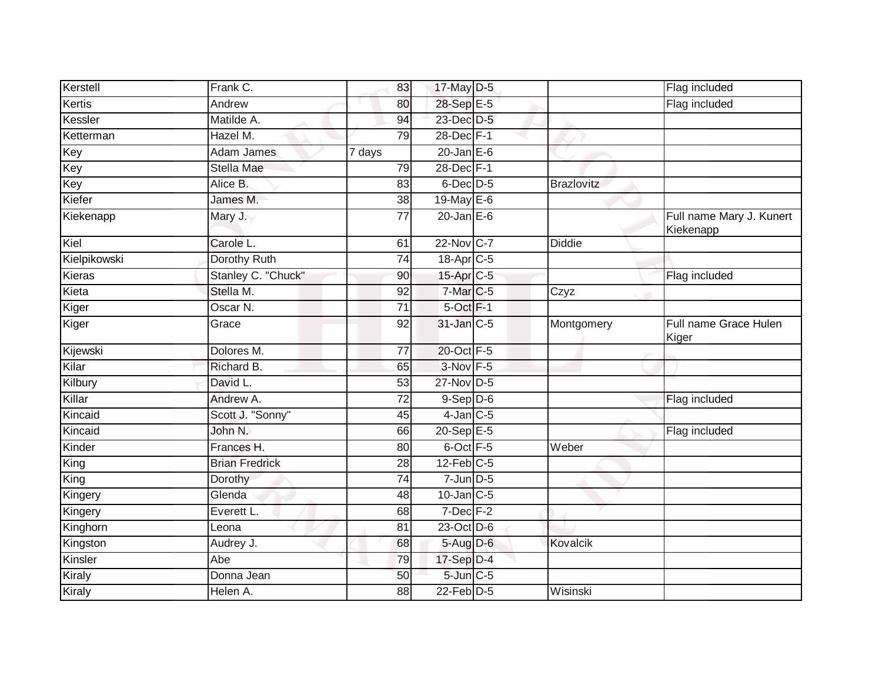| Kerstell     | Frank C.              | 83              | 17-May D-5            |                   | Flag included                         |
|--------------|-----------------------|-----------------|-----------------------|-------------------|---------------------------------------|
| Kertis       | Andrew                | 80              | 28-Sep E-5            |                   | Flag included                         |
| Kessler      | Matilde A.            | 94              | 23-Dec D-5            |                   |                                       |
| Ketterman    | Hazel M.              | 79              | 28-Dec F-1            |                   |                                       |
| Key          | <b>Adam James</b>     | 7 days          | $20$ -Jan $E-6$       |                   |                                       |
| Key          | <b>Stella Mae</b>     | 79              | 28-Dec F-1            |                   |                                       |
| Key          | Alice B.              | 83              | $6$ -Dec $D-5$        | <b>Brazlovitz</b> |                                       |
| Kiefer       | James M.              | 38              | 19-May E-6            |                   |                                       |
| Kiekenapp    | Mary J.               | 77              | $20$ -Jan $E-6$       |                   | Full name Mary J. Kunert<br>Kiekenapp |
| Kiel         | Carole L.             | 61              | 22-Nov C-7            | Diddie            |                                       |
| Kielpikowski | Dorothy Ruth          | 74              | 18-Apr <sub>C-5</sub> |                   |                                       |
| Kieras       | Stanley C. "Chuck"    | 90              | 15-Apr <sub>C-5</sub> |                   | Flag included                         |
| Kieta        | Stella M.             | 92              | 7-Mar <sub>C-5</sub>  | Czyz              |                                       |
| Kiger        | Oscar N.              | $\overline{71}$ | 5-Oct F-1             |                   |                                       |
| Kiger        | Grace                 | 92              | 31-Jan C-5            | Montgomery        | Full name Grace Hulen<br>Kiger        |
| Kijewski     | Dolores M.            | 77              | 20-Oct F-5            |                   |                                       |
| Kilar        | Richard B.            | 65              | $3-Nov$ F-5           |                   |                                       |
| Kilbury      | David L.              | 53              | 27-Nov D-5            |                   |                                       |
| Killar       | Andrew A.             | 72              | $9-$ Sep $D-6$        |                   | Flag included                         |
| Kincaid      | Scott J. "Sonny"      | 45              | $4$ -Jan $C$ -5       |                   |                                       |
| Kincaid      | John N.               | 66              | 20-Sep E-5            |                   | Flag included                         |
| Kinder       | Frances H.            | 80              | 6-Oct F-5             | Weber             |                                       |
| King         | <b>Brian Fredrick</b> | 28              | $12$ -Feb $C-5$       |                   |                                       |
| King         | Dorothy               | 74              | $7$ -Jun $D-5$        |                   |                                       |
| Kingery      | Glenda                | 48              | $10$ -Jan $C-5$       |                   |                                       |
| Kingery      | Everett L.            | 68              | $7$ -Dec $F-2$        |                   |                                       |
| Kinghorn     | Leona                 | 81              | 23-Oct D-6            |                   |                                       |
| Kingston     | Audrey J.             | 68              | 5-Aug D-6             | Kovalcik          |                                       |
| Kinsler      | Abe                   | 79              | 17-Sep D-4            |                   |                                       |
| Kiraly       | Donna Jean            | 50              | 5-Jun C-5             |                   |                                       |
| Kiraly       | Helen A.              | 88              | 22-Feb $D-5$          | Wisinski          |                                       |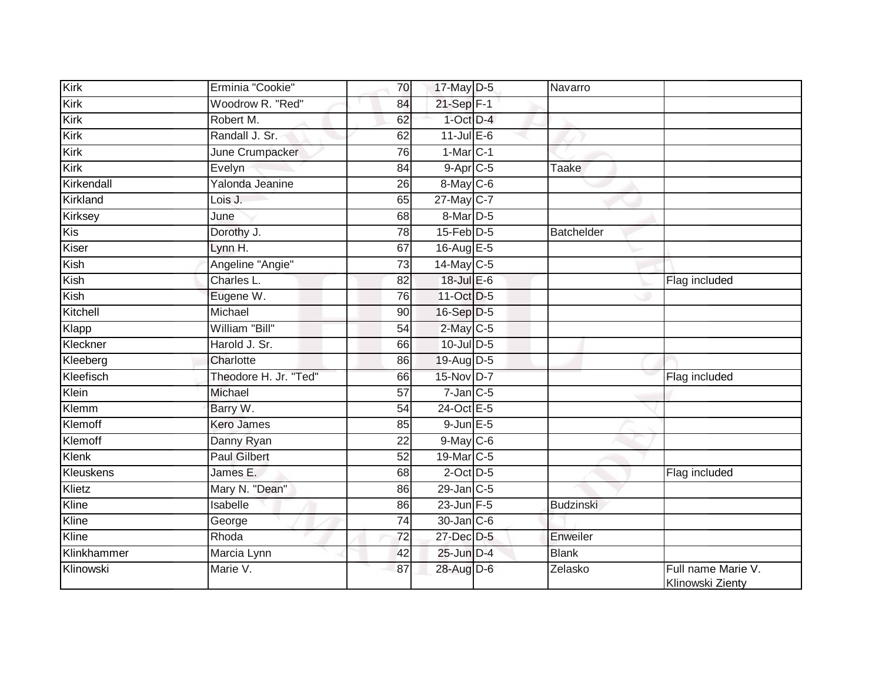| <b>Kirk</b> | Erminia "Cookie"      | 70              | 17-May D-5       | Navarro          |                                        |
|-------------|-----------------------|-----------------|------------------|------------------|----------------------------------------|
| Kirk        | Woodrow R. "Red"      | 84              | 21-Sep F-1       |                  |                                        |
| Kirk        | Robert M.             | 62              | $1$ -Oct $D-4$   |                  |                                        |
| Kirk        | Randall J. Sr.        | 62              | $11$ -Jul $E-6$  |                  |                                        |
| Kirk        | June Crumpacker       | $\overline{76}$ | $1-MarC-1$       |                  |                                        |
| Kirk        | Evelyn                | 84              | $9-$ Apr $C-5$   | <b>Taake</b>     |                                        |
| Kirkendall  | Yalonda Jeanine       | 26              | 8-May C-6        |                  |                                        |
| Kirkland    | Lois J.               | 65              | 27-May C-7       |                  |                                        |
| Kirksey     | June                  | 68              | 8-Mar D-5        |                  |                                        |
| Kis         | Dorothy J.            | 78              | $15$ -Feb $D-5$  | Batchelder       |                                        |
| Kiser       | Lynn H.               | 67              | 16-Aug E-5       |                  |                                        |
| Kish        | Angeline "Angie"      | $\overline{73}$ | 14-May C-5       |                  |                                        |
| Kish        | Charles L.            | 82              | 18-Jul E-6       |                  | Flag included                          |
| Kish        | Eugene W.             | 76              | 11-Oct D-5       |                  |                                        |
| Kitchell    | Michael               | 90              | 16-Sep D-5       |                  |                                        |
| Klapp       | William "Bill"        | 54              | 2-May C-5        |                  |                                        |
| Kleckner    | Harold J. Sr.         | 66              | 10-Jul D-5       |                  |                                        |
| Kleeberg    | Charlotte             | 86              | 19-Aug D-5       |                  |                                        |
| Kleefisch   | Theodore H. Jr. "Ted" | 66              | 15-Nov D-7       |                  | Flag included                          |
| Klein       | Michael               | $\overline{57}$ | $7$ -Jan $C$ -5  |                  |                                        |
| Klemm       | Barry W.              | $\overline{54}$ | 24-Oct E-5       |                  |                                        |
| Klemoff     | <b>Kero James</b>     | 85              | $9$ -Jun $E$ -5  |                  |                                        |
| Klemoff     | Danny Ryan            | 22              | $9$ -May $C$ -6  |                  |                                        |
| Klenk       | <b>Paul Gilbert</b>   | 52              | $19$ -Mar $ C-5$ |                  |                                        |
| Kleuskens   | James E.              | 68              | $2$ -Oct $D-5$   |                  | Flag included                          |
| Klietz      | Mary N. "Dean"        | 86              | $29$ -Jan $C-5$  |                  |                                        |
| Kline       | Isabelle              | 86              | $23$ -Jun $F-5$  | <b>Budzinski</b> |                                        |
| Kline       | George                | 74              | 30-Jan C-6       |                  |                                        |
| Kline       | Rhoda                 | 72              | 27-Dec D-5       | Enweiler         |                                        |
| Klinkhammer | Marcia Lynn           | 42              | 25-Jun D-4       | <b>Blank</b>     |                                        |
| Klinowski   | Marie V.              | 87              | 28-Aug D-6       | Zelasko          | Full name Marie V.<br>Klinowski Zienty |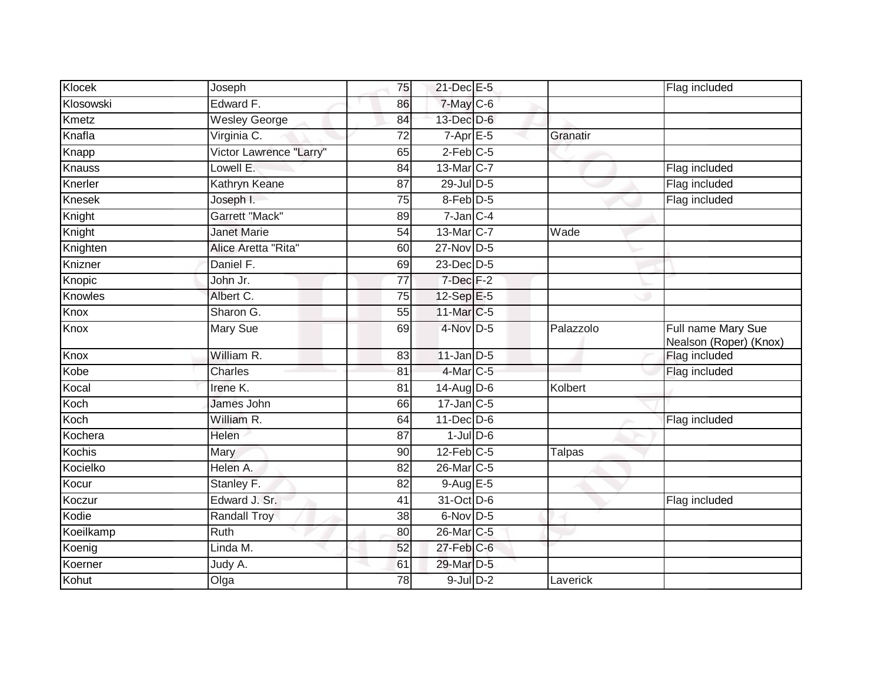| Klocek        | Joseph                  | 75              | 21-Dec E-5           |               | Flag included                                |
|---------------|-------------------------|-----------------|----------------------|---------------|----------------------------------------------|
| Klosowski     | Edward F.               | 86              | 7-May C-6            |               |                                              |
| Kmetz         | <b>Wesley George</b>    | 84              | 13-Dec D-6           |               |                                              |
| Knafla        | Virginia C.             | $\overline{72}$ | $7-Apr$ E-5          | Granatir      |                                              |
| Knapp         | Victor Lawrence "Larry" | 65              | $2$ -Feb $C$ -5      |               |                                              |
| Knauss        | Lowell E.               | 84              | 13-Mar C-7           |               | Flag included                                |
| Knerler       | Kathryn Keane           | 87              | 29-Jul D-5           |               | Flag included                                |
| <b>Knesek</b> | Joseph I.               | 75              | 8-Feb <sup>D-5</sup> |               | Flag included                                |
| Knight        | <b>Garrett "Mack"</b>   | 89              | $7$ -Jan $C-4$       |               |                                              |
| Knight        | <b>Janet Marie</b>      | 54              | 13-Mar C-7           | Wade          |                                              |
| Knighten      | Alice Aretta "Rita"     | 60              | 27-Nov D-5           |               |                                              |
| Knizner       | Daniel F.               | 69              | 23-Dec D-5           |               |                                              |
| Knopic        | John Jr.                | 77              | $7$ -Dec $F-2$       |               |                                              |
| Knowles       | Albert C.               | 75              | $12-Sep$ E-5         |               |                                              |
| Knox          | Sharon G.               | $\overline{55}$ | 11-Mar C-5           |               |                                              |
| Knox          | Mary Sue                | 69              | $4$ -Nov D-5         | Palazzolo     | Full name Mary Sue<br>Nealson (Roper) (Knox) |
| Knox          | William R.              | 83              | $11$ -Jan $D-5$      |               | Flag included                                |
| Kobe          | Charles                 | 81              | 4-Mar C-5            |               | Flag included                                |
| Kocal         | Irene $\overline{K}$ .  | 81              | 14-Aug D-6           | Kolbert       |                                              |
| Koch          | James John              | 66              | $17$ -Jan $C$ -5     |               |                                              |
| Koch          | William R.              | 64              | $11$ -Dec $D-6$      |               | Flag included                                |
| Kochera       | Helen                   | 87              | $1$ -Jul $D$ -6      |               |                                              |
| Kochis        | Mary                    | 90              | $12$ -Feb $C-5$      | <b>Talpas</b> |                                              |
| Kocielko      | Helen A.                | 82              | 26-Mar C-5           |               |                                              |
| Kocur         | Stanley F.              | 82              | 9-Aug E-5            |               |                                              |
| Koczur        | Edward J. Sr.           | 41              | 31-Oct D-6           |               | Flag included                                |
| Kodie         | <b>Randall Troy</b>     | $\overline{38}$ | 6-Nov D-5            |               |                                              |
| Koeilkamp     | Ruth                    | 80              | 26-Mar C-5           |               |                                              |
| Koenig        | Linda M.                | 52              | 27-Feb C-6           |               |                                              |
| Koerner       | Judy A.                 | 61              | 29-Mar D-5           |               |                                              |
| Kohut         | Olga                    | 78              | $9$ -Jul $D-2$       | Laverick      |                                              |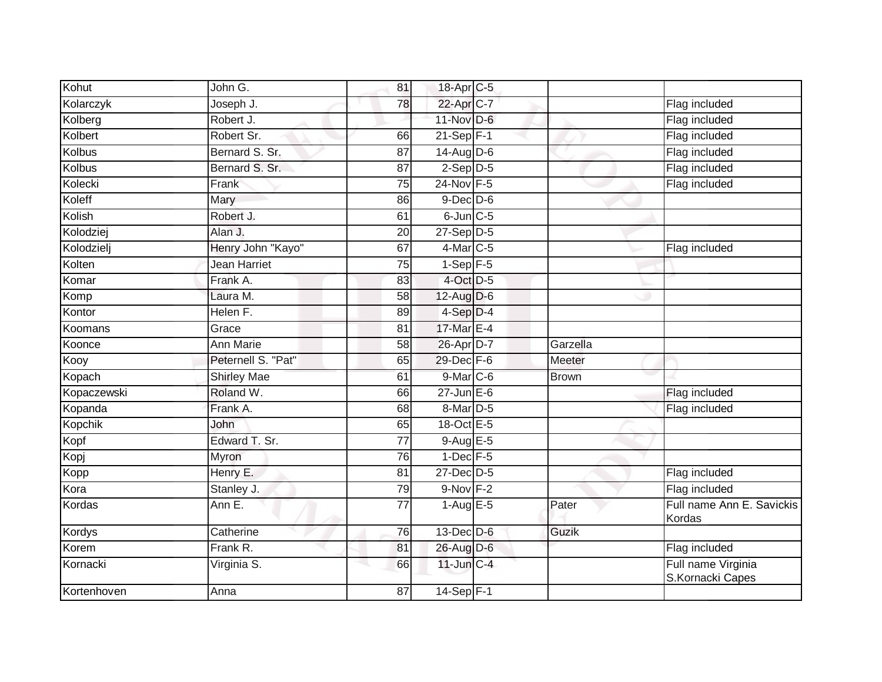| Kohut          | John G.            | $\overline{81}$ | 18-Apr C-5           |              |                                        |
|----------------|--------------------|-----------------|----------------------|--------------|----------------------------------------|
| Kolarczyk      | Joseph J.          | 78              | 22-Apr C-7           |              | Flag included                          |
| Kolberg        | Robert J.          |                 | 11-Nov D-6           |              | Flag included                          |
| Kolbert        | Robert Sr.         | 66              | $21-Sep$ F-1         |              | Flag included                          |
| <b>Kolbus</b>  | Bernard S. Sr.     | $\overline{87}$ | $14-Aug$ D-6         |              | Flag included                          |
| Kolbus         | Bernard S. Sr.     | 87              | $2-Sep$ $D-5$        |              | Flag included                          |
| Kolecki        | Frank              | 75              | 24-Nov F-5           |              | Flag included                          |
| Koleff         | Mary               | 86              | $9$ -Dec $D$ -6      |              |                                        |
| Kolish         | Robert J.          | 61              | $6$ -Jun $C$ -5      |              |                                        |
| Kolodziej      | Alan J.            | 20              | $27-Sep$ D-5         |              |                                        |
| Kolodzielj     | Henry John "Kayo"  | 67              | $4$ -Mar $ C-5$      |              | Flag included                          |
| Kolten         | Jean Harriet       | 75              | $1-Sep$ F-5          |              |                                        |
| Komar          | Frank A.           | 83              | 4-Oct D-5            |              |                                        |
| Komp           | Laura M.           | 58              | $12$ -Aug $D-6$      |              |                                        |
| Kontor         | Helen F.           | 89              | 4-Sep D-4            |              |                                        |
| Koomans        | Grace              | 81              | 17-Mar E-4           |              |                                        |
| Koonce         | <b>Ann Marie</b>   | 58              | 26-Apr D-7           | Garzella     |                                        |
| Kooy           | Peternell S. "Pat" | 65              | 29-Dec F-6           | Meeter       |                                        |
| Kopach         | <b>Shirley Mae</b> | 61              | 9-Mar C-6            | <b>Brown</b> |                                        |
| Kopaczewski    | Roland W.          | 66              | $27$ -Jun $E-6$      |              | Flag included                          |
| Kopanda        | Frank A.           | 68              | 8-Mar <sub>D-5</sub> |              | Flag included                          |
| <b>Kopchik</b> | John               | 65              | 18-Oct E-5           |              |                                        |
| Kopf           | Edward T. Sr.      | 77              | $9-AugE-5$           |              |                                        |
| Kopj           | Myron              | 76              | $1-Dec$ F-5          |              |                                        |
| Kopp           | Henry E.           | 81              | 27-Dec D-5           |              | Flag included                          |
| Kora           | Stanley J.         | 79              | 9-Nov F-2            |              | Flag included                          |
| Kordas         | Ann E.             | 77              | $1-AugE-5$           | Pater        | Full name Ann E. Savickis<br>Kordas    |
| Kordys         | Catherine          | 76              | $13$ -Dec $D-6$      | Guzik        |                                        |
| Korem          | Frank R.           | 81              | 26-Aug D-6           |              | Flag included                          |
| Kornacki       | Virginia S.        | 66              | $11$ -Jun $C-4$      |              | Full name Virginia<br>S.Kornacki Capes |
| Kortenhoven    | Anna               | 87              | $14-Sep$ F-1         |              |                                        |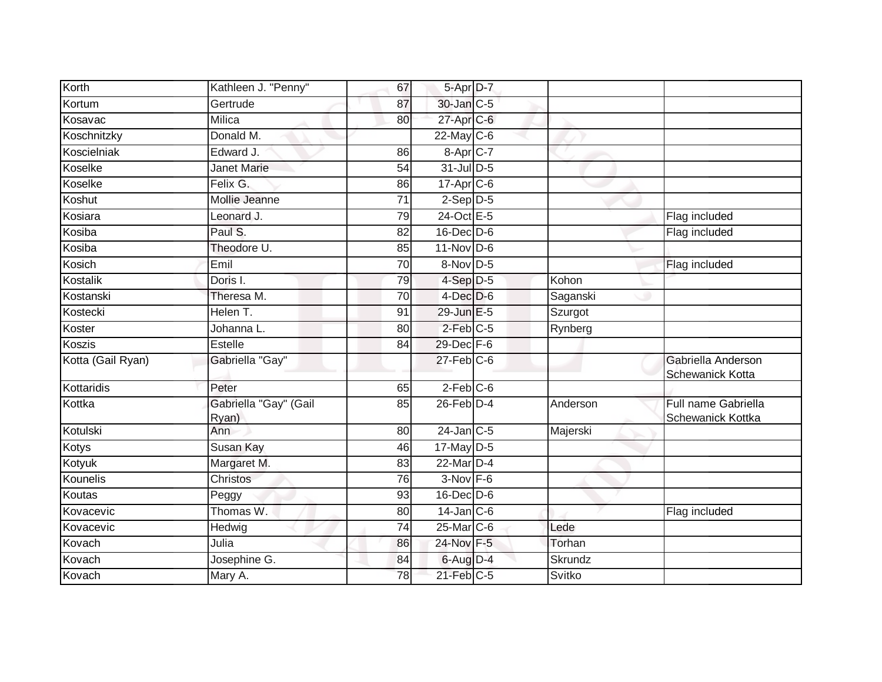| Korth             | Kathleen J. "Penny"            | 67              | 5-Apr D-7              |          |                                                 |
|-------------------|--------------------------------|-----------------|------------------------|----------|-------------------------------------------------|
| Kortum            | Gertrude                       | 87              | 30-Jan C-5             |          |                                                 |
| Kosavac           | Milica                         | 80              | 27-Apr C-6             |          |                                                 |
| Koschnitzky       | Donald M.                      |                 | $22$ -May C-6          |          |                                                 |
| Koscielniak       | Edward J.                      | 86              | 8-Apr C-7              |          |                                                 |
| Koselke           | <b>Janet Marie</b>             | 54              | $31$ -Jul D-5          |          |                                                 |
| Koselke           | Felix G.                       | 86              | $17$ -Apr $C$ -6       |          |                                                 |
| Koshut            | Mollie Jeanne                  | $\overline{71}$ | $2-Sep$ $D-5$          |          |                                                 |
| Kosiara           | Leonard J.                     | 79              | 24-Oct E-5             |          | Flag included                                   |
| Kosiba            | Paul S.                        | $\overline{82}$ | 16-Dec D-6             |          | Flag included                                   |
| Kosiba            | Theodore U.                    | 85              | $11-Nov$ D-6           |          |                                                 |
| Kosich            | Emil                           | 70              | 8-Nov D-5              |          | Flag included                                   |
| Kostalik          | Doris I.                       | 79              | $4-Sep$ $D-5$          | Kohon    |                                                 |
| Kostanski         | Theresa M.                     | 70              | $4$ -Dec $D-6$         | Saganski |                                                 |
| Kostecki          | Helen T.                       | 91              | 29-Jun E-5             | Szurgot  |                                                 |
| Koster            | Johanna L.                     | 80              | 2-Feb C-5              | Rynberg  |                                                 |
| Koszis            | Estelle                        | 84              | 29-Dec F-6             |          |                                                 |
| Kotta (Gail Ryan) | Gabriella "Gay"                |                 | $27$ -Feb $ C$ -6      |          | Gabriella Anderson<br><b>Schewanick Kotta</b>   |
| Kottaridis        | Peter                          | 65              | $2-Feb$ <sub>C-6</sub> |          |                                                 |
| Kottka            | Gabriella "Gay" (Gail<br>Ryan) | 85              | $26$ -Feb $D-4$        | Anderson | Full name Gabriella<br><b>Schewanick Kottka</b> |
| Kotulski          | Ann                            | 80              | $24$ -Jan C-5          | Majerski |                                                 |
| Kotys             | Susan Kay                      | 46              | 17-May $D-5$           |          |                                                 |
| Kotyuk            | Margaret M.                    | 83              | $22$ -Mar $D-4$        |          |                                                 |
| Kounelis          | Christos                       | 76              | $3-Nov$ F-6            |          |                                                 |
| Koutas            | Peggy                          | 93              | 16-Dec D-6             |          |                                                 |
| Kovacevic         | Thomas W.                      | 80              | $14$ -Jan $C$ -6       |          | Flag included                                   |
| Kovacevic         | Hedwig                         | 74              | $25$ -Mar $ C$ -6      | Lede     |                                                 |
| Kovach            | Julia                          | 86              | 24-Nov F-5             | Torhan   |                                                 |
| Kovach            | Josephine G.                   | 84              | 6-Aug D-4              | Skrundz  |                                                 |
| Kovach            | Mary A.                        | 78              | $21$ -Feb $C-5$        | Svitko   |                                                 |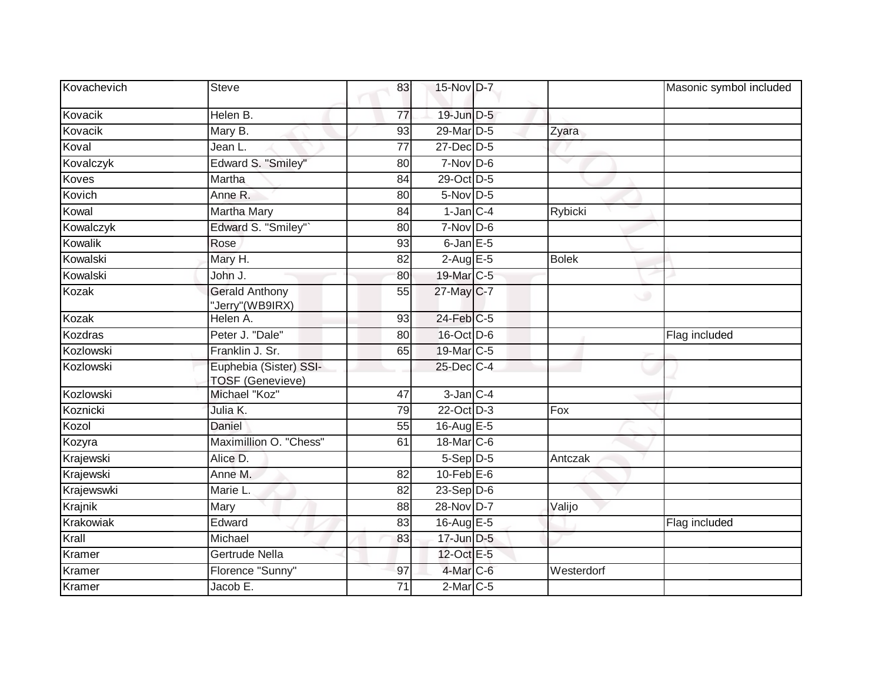| Kovachevich | Steve                                             | 83              | 15-Nov D-7       |              | Masonic symbol included |
|-------------|---------------------------------------------------|-----------------|------------------|--------------|-------------------------|
| Kovacik     | Helen B.                                          | 77              | 19-Jun D-5       |              |                         |
| Kovacik     | Mary B.                                           | 93              | 29-Mar D-5       | Zyara        |                         |
| Koval       | Jean L.                                           | 77              | 27-Dec D-5       |              |                         |
| Kovalczyk   | Edward S. "Smiley"                                | 80              | $7-Nov$ D-6      |              |                         |
| Koves       | Martha                                            | 84              | 29-Oct D-5       |              |                         |
| Kovich      | Anne R.                                           | 80              | $5-Nov$ D-5      |              |                         |
| Kowal       | <b>Martha Mary</b>                                | 84              | $1-Jan$ C-4      | Rybicki      |                         |
| Kowalczyk   | Edward S. "Smiley"`                               | 80              | $7-Nov$ D-6      |              |                         |
| Kowalik     | Rose                                              | 93              | $6$ -Jan $E$ -5  |              |                         |
| Kowalski    | Mary H.                                           | 82              | $2-Aug$ E-5      | <b>Bolek</b> |                         |
| Kowalski    | John J.                                           | 80              | 19-Mar C-5       |              |                         |
| Kozak       | <b>Gerald Anthony</b><br>Jerry" (WB9IRX)          | 55              | 27-May C-7       | $\circ$      |                         |
| Kozak       | Helen A.                                          | 93              | 24-Feb C-5       |              |                         |
| Kozdras     | Peter J. "Dale"                                   | 80              | 16-Oct D-6       |              | Flag included           |
| Kozlowski   | Franklin J. Sr.                                   | 65              | 19-Mar C-5       |              |                         |
| Kozlowski   | Euphebia (Sister) SSI-<br><b>TOSF (Genevieve)</b> |                 | $25$ -Dec $C$ -4 |              |                         |
| Kozlowski   | Michael "Koz"                                     | $\overline{47}$ | $3$ -Jan $C-4$   |              |                         |
| Koznicki    | Julia K.                                          | 79              | 22-Oct D-3       | Fox          |                         |
| Kozol       | Daniel                                            | 55              | 16-Aug E-5       |              |                         |
| Kozyra      | Maximillion O. "Chess"                            | 61              | 18-Mar C-6       |              |                         |
| Krajewski   | Alice D.                                          |                 | $5-Sep D-5$      | Antczak      |                         |
| Krajewski   | Anne M.                                           | 82              | $10$ -Feb $E$ -6 |              |                         |
| Krajewswki  | Marie L.                                          | $\overline{82}$ | $23-Sep$ $D-6$   |              |                         |
| Krajnik     | Mary                                              | 88              | 28-Nov D-7       | Valijo       |                         |
| Krakowiak   | Edward                                            | 83              | 16-Aug E-5       |              | Flag included           |
| Krall       | Michael                                           | 83              | $17$ -Jun $D-5$  |              |                         |
| Kramer      | Gertrude Nella                                    |                 | 12-Oct E-5       |              |                         |
| Kramer      | Florence "Sunny"                                  | 97              | $4$ -Mar $C$ -6  | Westerdorf   |                         |
| Kramer      | Jacob E.                                          | $\overline{71}$ | $2$ -Mar $C$ -5  |              |                         |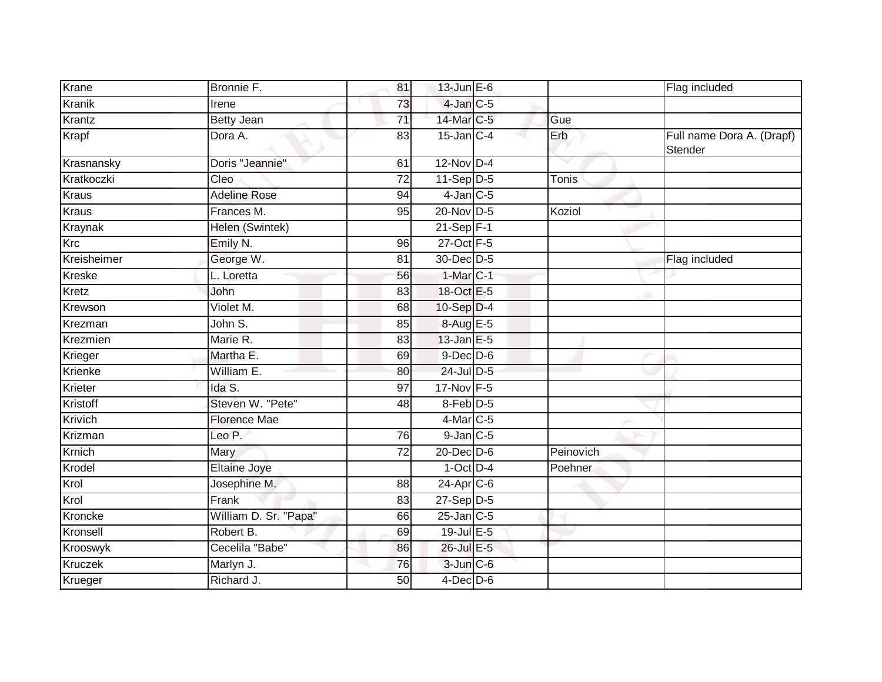| Krane          | Bronnie F.            | 81              | $13$ -Jun $E - 6$ |           | Flag included                        |
|----------------|-----------------------|-----------------|-------------------|-----------|--------------------------------------|
| <b>Kranik</b>  | Irene                 | 73              | $4$ -Jan $C$ -5   |           |                                      |
| Krantz         | <b>Betty Jean</b>     | 71              | 14-Mar C-5        | Gue       |                                      |
| Krapf          | Dora A.               | 83              | $15$ -Jan $C-4$   | Erb       | Full name Dora A. (Drapf)<br>Stender |
| Krasnansky     | Doris "Jeannie"       | 61              | $12-Nov$ D-4      |           |                                      |
| Kratkoczki     | Cleo                  | $\overline{72}$ | $11-Sep$ D-5      | Tonis     |                                      |
| <b>Kraus</b>   | <b>Adeline Rose</b>   | 94              | $4$ -Jan $C$ -5   |           |                                      |
| <b>Kraus</b>   | Frances M.            | 95              | $20$ -Nov $D-5$   | Koziol    |                                      |
| Kraynak        | Helen (Swintek)       |                 | $21-Sep$ F-1      |           |                                      |
| Krc            | Emily N.              | 96              | 27-Oct F-5        |           |                                      |
| Kreisheimer    | George W.             | 81              | 30-Dec D-5        |           | Flag included                        |
| Kreske         | L. Loretta            | 56              | $1-Mar$ C-1       |           |                                      |
| Kretz          | John                  | 83              | 18-Oct E-5        |           |                                      |
| Krewson        | Violet M.             | 68              | $10-Sep$ D-4      |           |                                      |
| Krezman        | John S.               | 85              | 8-Aug E-5         |           |                                      |
| Krezmien       | Marie R.              | 83              | 13-Jan E-5        |           |                                      |
| Krieger        | Martha E.             | 69              | $9$ -Dec $D$ -6   |           |                                      |
| Krienke        | William E.            | 80              | 24-Jul D-5        |           |                                      |
| Krieter        | Ida S.                | 97              | 17-Nov F-5        |           |                                      |
| Kristoff       | Steven W. "Pete"      | 48              | 8-Feb D-5         |           |                                      |
| <b>Krivich</b> | <b>Florence Mae</b>   |                 | 4-Mar C-5         |           |                                      |
| Krizman        | Leo P.                | 76              | $9$ -Jan $C$ -5   |           |                                      |
| Krnich         | Mary                  | $\overline{72}$ | 20-Dec D-6        | Peinovich |                                      |
| Krodel         | <b>Eltaine Joye</b>   |                 | $1$ -Oct $D-4$    | Poehner   |                                      |
| Krol           | Josephine M.          | 88              | $24$ -Apr $C$ -6  |           |                                      |
| Krol           | Frank                 | 83              | $27-Sep$ D-5      |           |                                      |
| Kroncke        | William D. Sr. "Papa" | 66              | $25$ -Jan $C$ -5  |           |                                      |
| Kronsell       | Robert B.             | 69              | 19-Jul E-5        |           |                                      |
| Krooswyk       | Cecelila "Babe"       | 86              | 26-Jul E-5        |           |                                      |
| Kruczek        | Marlyn J.             | 76              | $3$ -Jun $C$ -6   |           |                                      |
| Krueger        | Richard J.            | 50              | $4$ -Dec D-6      |           |                                      |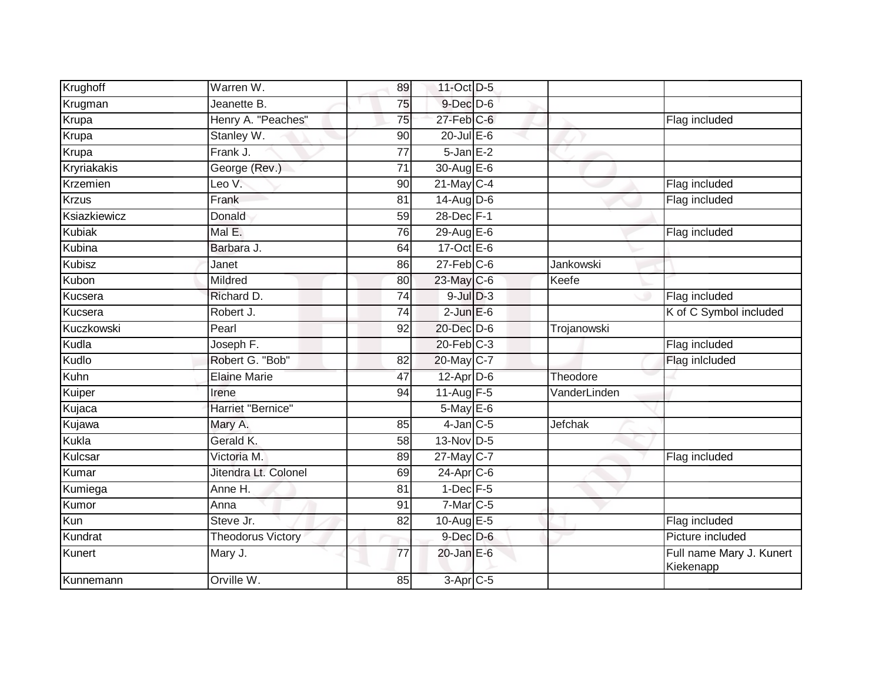| Krughoff      | Warren W.                | 89              | 11-Oct D-5        |              |                                       |
|---------------|--------------------------|-----------------|-------------------|--------------|---------------------------------------|
| Krugman       | Jeanette B.              | 75              | $9$ -Dec $D$ -6   |              |                                       |
| Krupa         | Henry A. "Peaches"       | 75              | $27$ -Feb $ C$ -6 |              | Flag included                         |
| Krupa         | Stanley W.               | 90              | $20$ -Jul E-6     |              |                                       |
| Krupa         | Frank J.                 | $\overline{77}$ | $5$ -Jan $E-2$    |              |                                       |
| Kryriakakis   | George (Rev.)            | 71              | 30-Aug E-6        |              |                                       |
| Krzemien      | Leo V.                   | 90              | $21$ -May C-4     |              | Flag included                         |
| <b>Krzus</b>  | Frank                    | 81              | $14$ -Aug D-6     |              | Flag included                         |
| Ksiazkiewicz  | Donald                   | 59              | 28-Dec F-1        |              |                                       |
| Kubiak        | Mal E.                   | $\overline{76}$ | 29-Aug E-6        |              | Flag included                         |
| Kubina        | Barbara J.               | 64              | 17-Oct $E-6$      |              |                                       |
| <b>Kubisz</b> | Janet                    | 86              | $27$ -Feb $C$ -6  | Jankowski    |                                       |
| Kubon         | Mildred                  | 80              | 23-May C-6        | Keefe        |                                       |
| Kucsera       | Richard D.               | 74              | $9$ -Jul $D-3$    |              | Flag included                         |
| Kucsera       | Robert J.                | $\overline{74}$ | $2$ -Jun $E$ -6   |              | K of C Symbol included                |
| Kuczkowski    | Pearl                    | 92              | 20-Dec D-6        | Trojanowski  |                                       |
| Kudla         | Joseph F.                |                 | $20$ -Feb $C-3$   |              | Flag included                         |
| Kudlo         | Robert G. "Bob"          | 82              | 20-May C-7        |              | Flag inlcluded                        |
| Kuhn          | <b>Elaine Marie</b>      | 47              | $12$ -Apr $D-6$   | Theodore     |                                       |
| Kuiper        | Irene                    | 94              | 11-Aug F-5        | VanderLinden |                                       |
| Kujaca        | Harriet "Bernice"        |                 | $5$ -May $E$ -6   |              |                                       |
| Kujawa        | Mary A.                  | 85              | $4$ -Jan $C$ -5   | Jefchak      |                                       |
| Kukla         | Gerald K.                | 58              | $13-Nov$ D-5      |              |                                       |
| Kulcsar       | Victoria M.              | 89              | 27-May C-7        |              | Flag included                         |
| Kumar         | Jitendra Lt. Colonel     | 69              | $24$ -Apr $C$ -6  |              |                                       |
| Kumiega       | Anne H.                  | 81              | $1$ -Dec $F - 5$  |              |                                       |
| Kumor         | Anna                     | 91              | $7$ -Mar $C$ -5   |              |                                       |
| Kun           | Steve Jr.                | 82              | 10-Aug $E-5$      |              | Flag included                         |
| Kundrat       | <b>Theodorus Victory</b> |                 | $9$ -Dec $D$ -6   |              | Picture included                      |
| Kunert        | Mary J.                  | 77              | $20$ -Jan E-6     |              | Full name Mary J. Kunert<br>Kiekenapp |
| Kunnemann     | Orville W.               | 85              | 3-Apr C-5         |              |                                       |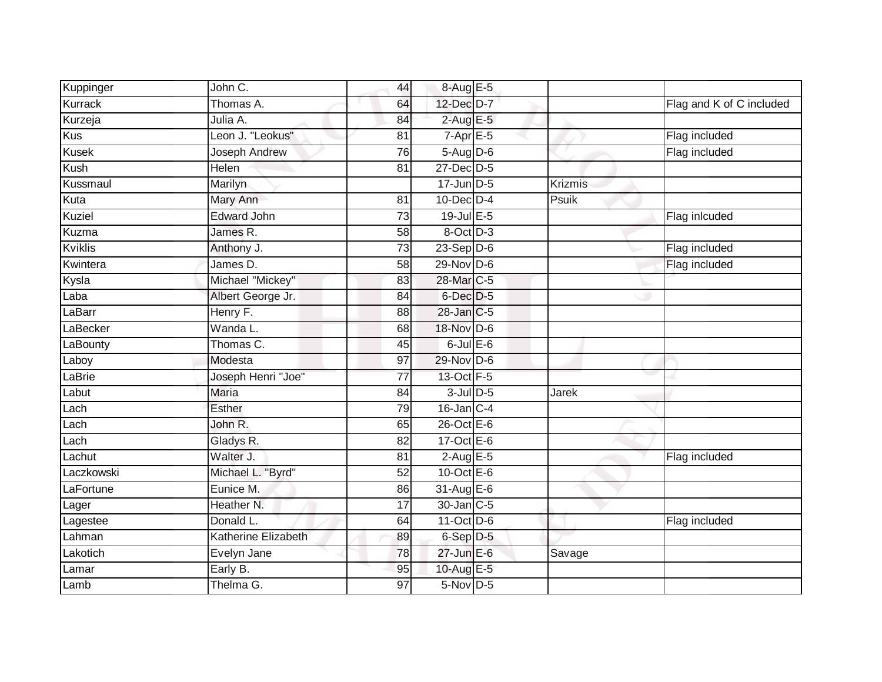| Kuppinger     | John C.              | 44              | 8-Aug E-5               |         |                          |
|---------------|----------------------|-----------------|-------------------------|---------|--------------------------|
| Kurrack       | Thomas A.            | 64              | 12-Dec D-7              |         | Flag and K of C included |
| Kurzeja       | Julia A.             | 84              | $2$ -Aug E-5            |         |                          |
| Kus           | Leon J. "Leokus"     | 81              | $7-AprE-5$              |         | Flag included            |
| <b>Kusek</b>  | <b>Joseph Andrew</b> | 76              | 5-Aug D-6               |         | Flag included            |
| Kush          | Helen                | $\overline{81}$ | $27$ -Dec $D-5$         |         |                          |
| Kussmaul      | Marilyn              |                 | $17$ -Jun $D-5$         | Krizmis |                          |
| Kuta          | Mary Ann             | 81              | $10$ -Dec $D-4$         | Psuik   |                          |
| <b>Kuziel</b> | <b>Edward John</b>   | 73              | 19-Jul E-5              |         | Flag inlcuded            |
| Kuzma         | James R.             | 58              | 8-Oct D-3               |         |                          |
| Kviklis       | Anthony J.           | 73              | $23-Sep D-6$            |         | Flag included            |
| Kwintera      | James D.             | 58              | $29-Nov$ D-6            |         | Flag included            |
| Kysla         | Michael "Mickey"     | 83              | 28-Mar C-5              |         |                          |
| Laba          | Albert George Jr.    | 84              | $6$ -Dec $D-5$          |         |                          |
| LaBarr        | Henry F.             | 88              | 28-Jan C-5              |         |                          |
| LaBecker      | Wanda L.             | 68              | 18-Nov D-6              |         |                          |
| LaBounty      | Thomas C.            | 45              | $6$ -Jul $E$ -6         |         |                          |
| Laboy         | Modesta              | 97              | 29-Nov D-6              |         |                          |
| LaBrie        | Joseph Henri "Joe"   | $\overline{77}$ | 13-Oct F-5              |         |                          |
| Labut         | <b>Maria</b>         | 84              | $3$ -Jul $D$ -5         | Jarek   |                          |
| Lach          | Esther               | 79              | $16$ -Jan C-4           |         |                          |
| Lach          | John R.              | 65              | 26-Oct E-6              |         |                          |
| Lach          | Gladys R.            | 82              | $17-Oct$ <sub>E-6</sub> |         |                          |
| Lachut        | Walter J.            | 81              | $2$ -Aug E-5            |         | Flag included            |
| Laczkowski    | Michael L. "Byrd"    | 52              | $10$ -Oct $E - 6$       |         |                          |
| LaFortune     | Eunice M.            | 86              | 31-Aug E-6              |         |                          |
| Lager         | Heather N.           | 17              | 30-Jan C-5              |         |                          |
| Lagestee      | Donald L.            | 64              | 11-Oct D-6              |         | Flag included            |
| Lahman        | Katherine Elizabeth  | 89              | 6-Sep D-5               |         |                          |
| Lakotich      | Evelyn Jane          | 78              | $27$ -Jun $E-6$         | Savage  |                          |
| Lamar         | Early B.             | 95              | 10-Aug E-5              |         |                          |
| Lamb          | Thelma G.            | $\overline{97}$ | 5-Nov D-5               |         |                          |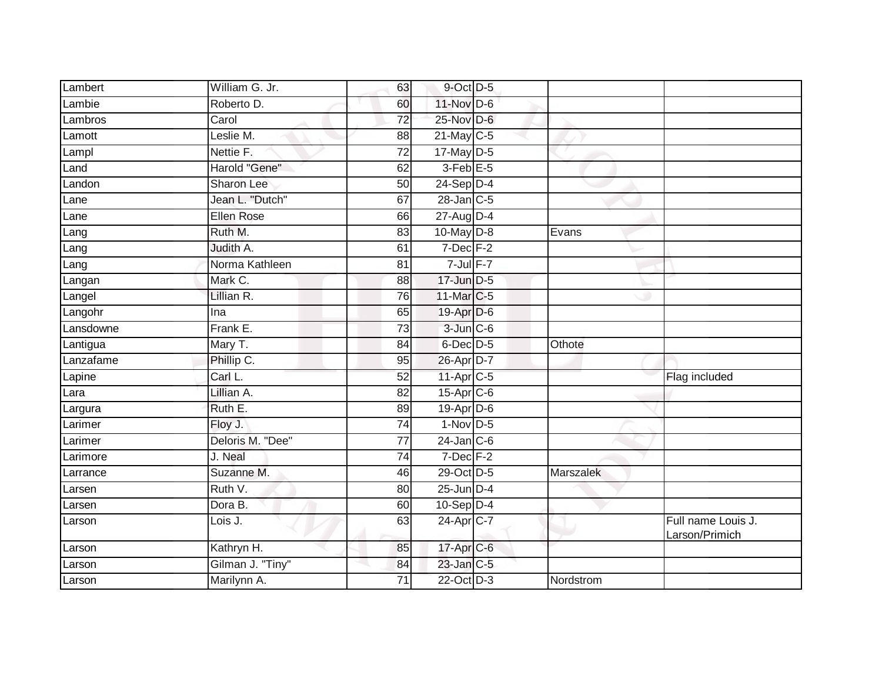| Lambert                  | William G. Jr.    | 63              | 9-Oct D-5               |           |                                      |
|--------------------------|-------------------|-----------------|-------------------------|-----------|--------------------------------------|
| Lambie                   | Roberto D.        | 60              | 11-Nov D-6              |           |                                      |
| Lambros                  | Carol             | 72              | 25-Nov D-6              |           |                                      |
| Lamott                   | Leslie M.         | 88              | 21-May C-5              |           |                                      |
| Lampl                    | Nettie F.         | $\overline{72}$ | $17$ -May $D-5$         |           |                                      |
| Land                     | Harold "Gene"     | 62              | $3$ -Feb $E$ -5         |           |                                      |
| Landon                   | Sharon Lee        | 50              | $24-Sep$ D-4            |           |                                      |
| Lane                     | Jean L. "Dutch"   | 67              | $28$ -Jan $C-5$         |           |                                      |
| Lane                     | <b>Ellen Rose</b> | 66              | 27-Aug D-4              |           |                                      |
| Lang                     | Ruth M.           | 83              | $10$ -May $D-8$         | Evans     |                                      |
| $\overline{\text{Lang}}$ | Judith A.         | 61              | $7$ -Dec $F-2$          |           |                                      |
| Lang                     | Norma Kathleen    | 81              | $7$ -Jul $F-7$          |           |                                      |
| Langan                   | Mark C.           | 88              | $17$ -Jun $D-5$         |           |                                      |
| Langel                   | Lillian R.        | 76              | 11-Mar C-5              |           |                                      |
| Langohr                  | Ina               | 65              | 19-Apr D-6              |           |                                      |
| Lansdowne                | Frank E.          | 73              | 3-Jun C-6               |           |                                      |
| Lantigua                 | Mary T.           | $\overline{84}$ | 6-Dec D-5               | Othote    |                                      |
| Lanzafame                | Phillip C.        | 95              | 26-Apr D-7              |           |                                      |
| Lapine                   | Carl L.           | 52              | $11-Apr$ <sub>C-5</sub> |           | Flag included                        |
| Lara                     | Lillian A.        | 82              | 15-Apr C-6              |           |                                      |
| Largura                  | Ruth E.           | 89              | $19$ -Apr $D$ -6        |           |                                      |
| Larimer                  | Floy J.           | $\overline{74}$ | $1-Nov$ D-5             |           |                                      |
| Larimer                  | Deloris M. "Dee"  | 77              | $24$ -Jan $C-6$         |           |                                      |
| Larimore                 | J. Neal           | 74              | $7$ -Dec $F-2$          |           |                                      |
| Larrance                 | Suzanne M.        | 46              | 29-Oct D-5              | Marszalek |                                      |
| Larsen                   | Ruth V.           | 80              | $25$ -Jun $D-4$         |           |                                      |
| Larsen                   | Dora B.           | 60              | $10-Sep$ D-4            |           |                                      |
| Larson                   | Lois J.           | 63              | 24-Apr C-7              |           | Full name Louis J.<br>Larson/Primich |
| Larson                   | Kathryn H.        | 85              | 17-Apr C-6              |           |                                      |
| Larson                   | Gilman J. "Tiny"  | 84              | 23-Jan C-5              |           |                                      |
| Larson                   | Marilynn A.       | 71              | 22-Oct D-3              | Nordstrom |                                      |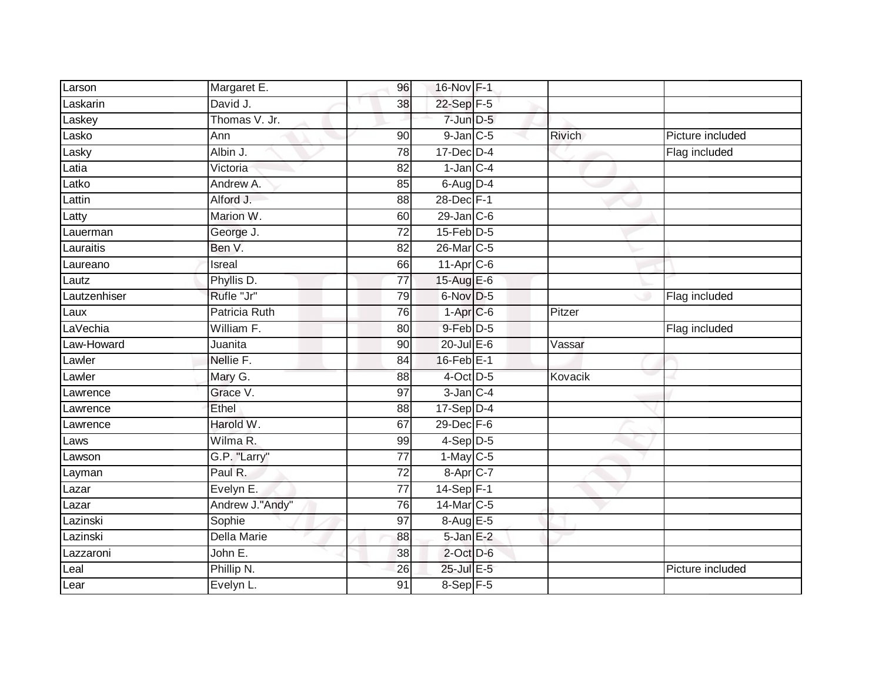| Larson       | Margaret E.        | 96              | 16-Nov F-1       |               |                  |
|--------------|--------------------|-----------------|------------------|---------------|------------------|
| Laskarin     | David J.           | 38              | 22-Sep F-5       |               |                  |
| Laskey       | Thomas V. Jr.      |                 | $7$ -Jun $D-5$   |               |                  |
| Lasko        | Ann                | 90              | $9$ -Jan $C$ -5  | <b>Rivich</b> | Picture included |
| Lasky        | Albin J.           | $\overline{78}$ | $17$ -Dec $D-4$  |               | Flag included    |
| Latia        | Victoria           | 82              | $1$ -Jan $C-4$   |               |                  |
| _atko        | Andrew A.          | 85              | $6$ -Aug $D-4$   |               |                  |
| Lattin       | Alford J.          | 88              | 28-Dec F-1       |               |                  |
| Latty        | Marion W.          | 60              | $29$ -Jan $C$ -6 |               |                  |
| Lauerman     | George J.          | 72              | $15$ -Feb $D-5$  |               |                  |
| Lauraitis    | Ben V.             | 82              | 26-Mar C-5       |               |                  |
| Laureano     | Isreal             | 66              | $11-Apr$ $C-6$   |               |                  |
| Lautz        | Phyllis D.         | 77              | 15-Aug E-6       |               |                  |
| Lautzenhiser | Rufle "Jr"         | 79              | $6$ -Nov $D-5$   |               | Flag included    |
| Laux         | Patricia Ruth      | 76              | $1$ -Apr $C$ -6  | Pitzer        |                  |
| LaVechia     | William F.         | 80              | $9$ -Feb $D-5$   |               | Flag included    |
| Law-Howard   | Juanita            | $\overline{90}$ | $20$ -Jul E-6    | Vassar        |                  |
| Lawler       | Nellie F.          | 84              | $16$ -Feb $E-1$  |               |                  |
| Lawler       | Mary G.            | 88              | 4-Oct D-5        | Kovacik       |                  |
| Lawrence     | Grace V.           | $\overline{97}$ | $3$ -Jan $C-4$   |               |                  |
| Lawrence     | Ethel              | 88              | $17-Sep$ D-4     |               |                  |
| Lawrence     | Harold W.          | 67              | 29-Dec F-6       |               |                  |
| Laws         | Wilma R.           | 99              | $4-Sep$ D-5      |               |                  |
| Lawson       | G.P. "Larry"       | 77              | $1-May$ C-5      |               |                  |
| Layman       | Paul R.            | 72              | 8-Apr C-7        |               |                  |
| Lazar        | Evelyn E.          | 77              | 14-Sep F-1       |               |                  |
| Lazar        | Andrew J."Andy"    | 76              | 14-Mar C-5       |               |                  |
| Lazinski     | Sophie             | 97              | 8-Aug E-5        |               |                  |
| Lazinski     | <b>Della Marie</b> | 88              | $5 - Jan$ $E-2$  |               |                  |
| Lazzaroni    | John E.            | 38              | $2$ -Oct $D$ -6  |               |                  |
| Leal         | Phillip N.         | 26              | 25-Jul E-5       |               | Picture included |
| Lear         | Evelyn L.          | $\overline{91}$ | 8-Sep F-5        |               |                  |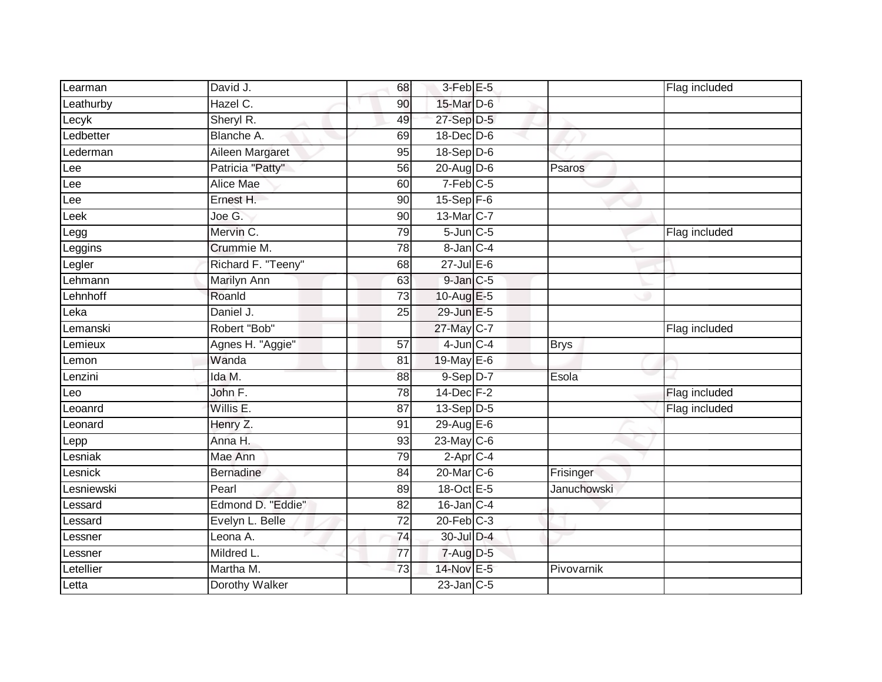| Learman         | David J.           | 68              | $3-Feb$ E-5     |                    | Flag included |
|-----------------|--------------------|-----------------|-----------------|--------------------|---------------|
| Leathurby       | Hazel C.           | 90              | 15-Mar D-6      |                    |               |
| Lecyk           | Sheryl R.          | 49              | 27-Sep D-5      |                    |               |
| Ledbetter       | Blanche A.         | 69              | $18$ -Dec $D-6$ |                    |               |
| Lederman        | Aileen Margaret    | $\overline{95}$ | $18-Sep$ D-6    |                    |               |
| Lee             | Patricia "Patty"   | 56              | $20$ -Aug D-6   | Psaros             |               |
| Lee             | Alice Mae          | 60              | 7-Feb C-5       |                    |               |
| Lee             | Ernest H.          | 90              | $15-Sep$ $F-6$  |                    |               |
| Leek            | Joe G.             | 90              | 13-Mar C-7      |                    |               |
| Legg            | Mervin C.          | 79              | $5$ -Jun $C$ -5 |                    | Flag included |
| Leggins         | Crummie M.         | 78              | 8-Jan C-4       |                    |               |
| Legler          | Richard F. "Teeny" | 68              | $27 -$ Jul E-6  |                    |               |
| Lehmann         | Marilyn Ann        | 63              | $9$ -Jan $C$ -5 |                    |               |
| _ehnhoff        | Roanld             | $\overline{73}$ | $10-AugE-5$     |                    |               |
| e <sub>ka</sub> | Daniel J.          | 25              | 29-Jun E-5      |                    |               |
| Lemanski        | Robert "Bob"       |                 | 27-May C-7      |                    | Flag included |
| Lemieux         | Agnes H. "Aggie"   | 57              | $4$ -Jun $C-4$  | <b>Brys</b>        |               |
| Lemon           | Wanda              | 81              | 19-May E-6      |                    |               |
| Lenzini         | Ida M.             | 88              | $9-Sep$ $D-7$   | Esola              |               |
| Leo             | John F.            | 78              | 14-Dec F-2      |                    | Flag included |
| Leoanrd         | Willis E.          | 87              | $13-Sep D-5$    |                    | Flag included |
| Leonard         | Henry Z.           | 91              | 29-Aug E-6      |                    |               |
| Lepp            | Anna H.            | 93              | $23$ -May C-6   |                    |               |
| Lesniak         | Mae Ann            | 79              | $2$ -Apr $C$ -4 |                    |               |
| Lesnick         | <b>Bernadine</b>   | 84              | 20-Mar C-6      | Frisinger          |               |
| Lesniewski      | Pearl              | 89              | 18-Oct E-5      | <b>Januchowski</b> |               |
| Lessard         | Edmond D. "Eddie"  | $\overline{82}$ | $16$ -Jan $C-4$ |                    |               |
| Lessard         | Evelyn L. Belle    | 72              | $20$ -Feb $C-3$ |                    |               |
| Lessner         | Leona A.           | $\overline{74}$ | 30-Jul D-4      |                    |               |
| Lessner         | Mildred L.         | 77              | $7 - Aug$ $D-5$ |                    |               |
| Letellier       | Martha M.          | 73              | 14-Nov E-5      | Pivovarnik         |               |
| Letta           | Dorothy Walker     |                 | $23$ -Jan $C-5$ |                    |               |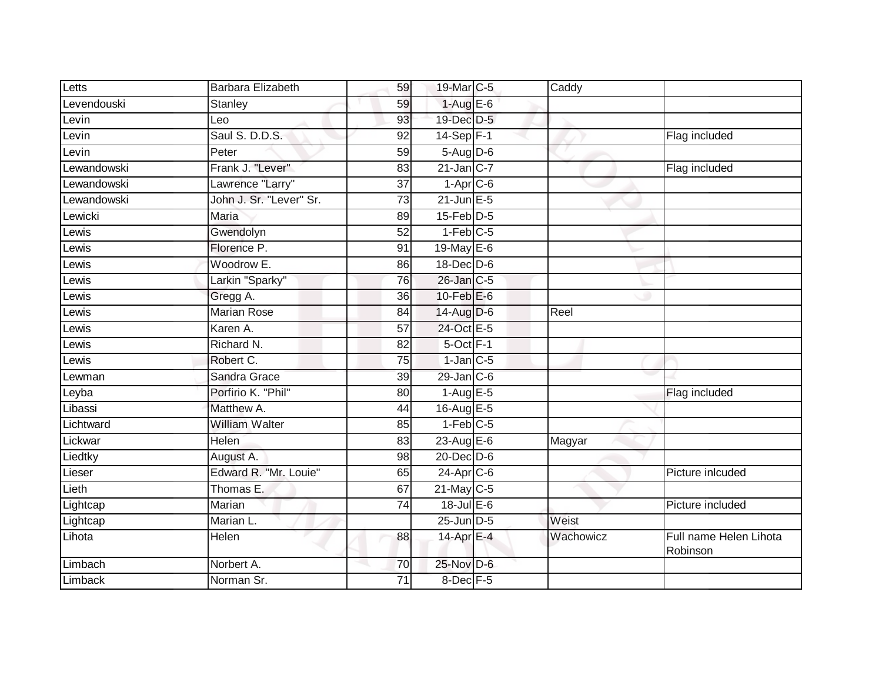| Letts       | Barbara Elizabeth       | 59              | 19-Mar C-5             | $\overline{C}$ addy |                                    |
|-------------|-------------------------|-----------------|------------------------|---------------------|------------------------------------|
| Levendouski | Stanley                 | 59              | $1-AugE-6$             |                     |                                    |
| Levin       | Leo                     | 93              | 19-Dec D-5             |                     |                                    |
| Levin       | Saul S. D.D.S.          | 92              | $14-Sep$ F-1           |                     | Flag included                      |
| Levin       | Peter                   | 59              | $5-Aug$ D-6            |                     |                                    |
| Lewandowski | Frank J. "Lever"        | 83              | $21$ -Jan $ C-7 $      |                     | Flag included                      |
| Lewandowski | Lawrence "Larry"        | $\overline{37}$ | $1-Apr$ <sub>C-6</sub> |                     |                                    |
| Lewandowski | John J. Sr. "Lever" Sr. | $\overline{73}$ | $21$ -Jun $E-5$        |                     |                                    |
| _ewicki     | Maria                   | 89              | $15$ -Feb $D-5$        |                     |                                    |
| Lewis       | Gwendolyn               | $\overline{52}$ | $1-Feb$ C-5            |                     |                                    |
| Lewis       | Florence P.             | 91              | 19-May E-6             |                     |                                    |
| ewis        | Woodrow E.              | 86              | 18-Dec D-6             |                     |                                    |
| _ewis       | Larkin "Sparky"         | 76              | 26-Jan C-5             |                     |                                    |
| _ewis       | Gregg A.                | 36              | 10- $Feb$ $E-6$        |                     |                                    |
| _ewis       | Marian Rose             | 84              | 14-Aug D-6             | Reel                |                                    |
| Lewis       | Karen A.                | 57              | 24-Oct E-5             |                     |                                    |
| _ewis       | Richard N.              | $\overline{82}$ | $5$ -Oct $F-1$         |                     |                                    |
| _ewis       | Robert C.               | 75              | $1$ -Jan $C$ -5        |                     |                                    |
| Lewman      | Sandra Grace            | 39              | $29$ -Jan $C$ -6       |                     |                                    |
| Leyba       | Porfirio K. "Phil"      | 80              | $1-AugE-5$             |                     | Flag included                      |
| Libassi     | Matthew A.              | 44              | 16-Aug E-5             |                     |                                    |
| Lichtward   | <b>William Walter</b>   | 85              | $1-Feb$ $C-5$          |                     |                                    |
| Lickwar     | Helen                   | 83              | $23$ -Aug $E-6$        | Magyar              |                                    |
| Liedtky     | August A.               | 98              | $20$ -Dec $D$ -6       |                     |                                    |
| Lieser      | Edward R. "Mr. Louie"   | 65              | $24$ -Apr $C$ -6       |                     | Picture inlcuded                   |
| Lieth       | Thomas E.               | 67              | $21$ -May C-5          |                     |                                    |
| Lightcap    | Marian                  | $\overline{74}$ | $18$ -Jul $E$ -6       |                     | Picture included                   |
| Lightcap    | Marian L.               |                 | 25-Jun D-5             | Weist               |                                    |
| Lihota      | Helen                   | 88              | $14$ -Apr $E - 4$      | Wachowicz           | Full name Helen Lihota<br>Robinson |
| Limbach     | Norbert A.              | 70              | 25-Nov D-6             |                     |                                    |
| Limback     | Norman Sr.              | 71              | $8$ -Dec $F - 5$       |                     |                                    |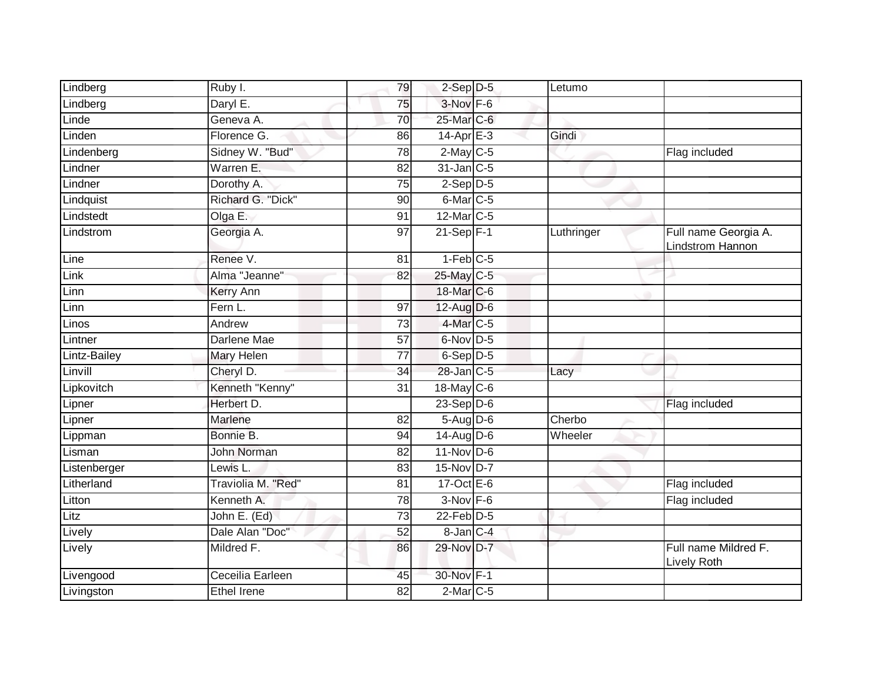| Lindberg     | Ruby I.            | 79              | $2-Sep$ $D-5$          | Letumo     |                                          |
|--------------|--------------------|-----------------|------------------------|------------|------------------------------------------|
| Lindberg     | Daryl E.           | 75              | $3-Nov$ F-6            |            |                                          |
| Linde        | Geneva A.          | 70              | 25-Mar C-6             |            |                                          |
| Linden       | Florence G.        | 86              | 14-Apr E-3             | Gindi      |                                          |
| Lindenberg   | Sidney W. "Bud"    | $\overline{78}$ | $2$ -May C-5           |            | Flag included                            |
| Lindner      | Warren E.          | 82              | 31-Jan C-5             |            |                                          |
| Lindner      | Dorothy A.         | 75              | $2-Sep D-5$            |            |                                          |
| Lindquist    | Richard G. "Dick"  | 90              | $6$ -Mar $ C$ -5       |            |                                          |
| Lindstedt    | Olga E.            | 91              | 12-Mar C-5             |            |                                          |
| Lindstrom    | Georgia A.         | 97              | $21-Sep$ F-1           | Luthringer | Full name Georgia A.<br>Lindstrom Hannon |
| Line         | Renee V.           | 81              | $1-Feb$ <sub>C-5</sub> |            |                                          |
| Link         | Alma "Jeanne"      | 82              | 25-May C-5             |            |                                          |
| Linn         | Kerry Ann          |                 | 18-Mar C-6             |            |                                          |
| Linn         | Fern L.            | 97              | $12$ -Aug $D-6$        |            |                                          |
| Linos        | Andrew             | $\overline{73}$ | 4-Mar C-5              |            |                                          |
| Lintner      | Darlene Mae        | 57              | 6-Nov D-5              |            |                                          |
| Lintz-Bailey | <b>Mary Helen</b>  | 77              | 6-Sep D-5              |            |                                          |
| Linvill      | Cheryl D.          | 34              | 28-Jan C-5             | Lacy       |                                          |
| Lipkovitch   | Kenneth "Kenny"    | 31              | 18-May $C-6$           |            |                                          |
| Lipner       | Herbert D.         |                 | $23-Sep$ D-6           |            | Flag included                            |
| Lipner       | Marlene            | 82              | $5-Aug$ $D-6$          | Cherbo     |                                          |
| Lippman      | Bonnie B.          | 94              | 14-Aug D-6             | Wheeler    |                                          |
| Lisman       | <b>John Norman</b> | 82              | $11-Nov$ D-6           |            |                                          |
| Listenberger | Lewis L.           | 83              | 15-Nov D-7             |            |                                          |
| Litherland   | Traviolia M. "Red" | $\overline{81}$ | $17-Oct$ $E-6$         |            | Flag included                            |
| Litton       | Kenneth A.         | 78              | $3-Nov$ F-6            |            | Flag included                            |
| Litz         | John E. (Ed)       | $\overline{73}$ | $22$ -Feb $D-5$        |            |                                          |
| Lively       | Dale Alan "Doc"    | 52              | 8-Jan C-4              |            |                                          |
| Lively       | Mildred F.         | 86              | 29-Nov D-7             |            | Full name Mildred F.<br>Lively Roth      |
| Livengood    | Ceceilia Earleen   | 45              | 30-Nov F-1             |            |                                          |
| Livingston   | <b>Ethel Irene</b> | 82              | $2$ -Mar $C$ -5        |            |                                          |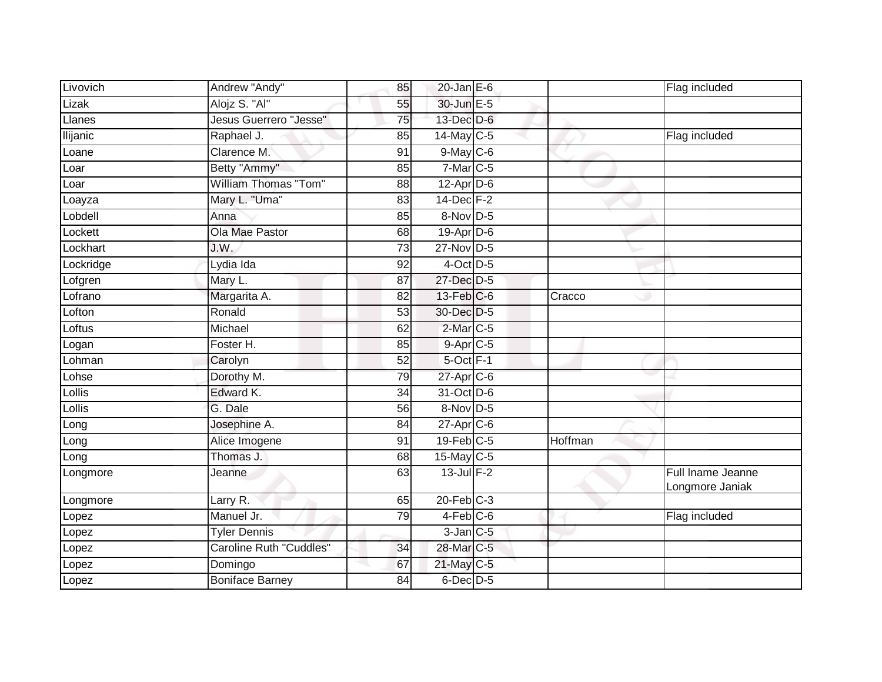| Livovich        | Andrew "Andy"                 | 85              | $20$ -Jan E-6     |         | Flag included                        |
|-----------------|-------------------------------|-----------------|-------------------|---------|--------------------------------------|
| Lizak           | Alojz S. "Al"                 | 55              | 30-Jun E-5        |         |                                      |
| Llanes          | <b>Jesus Guerrero "Jesse"</b> | 75              | 13-Dec D-6        |         |                                      |
| <b>Ilijanic</b> | Raphael J.                    | 85              | $14$ -May C-5     |         | Flag included                        |
| Loane           | Clarence M.                   | 91              | $9$ -May $C$ -6   |         |                                      |
| Loar            | Betty "Ammy"                  | 85              | $7-Mar$ C-5       |         |                                      |
| Loar            | William Thomas "Tom"          | 88              | $12$ -Apr $D$ -6  |         |                                      |
| Loayza          | Mary L. "Uma"                 | 83              | $14$ -Dec $F-2$   |         |                                      |
| Lobdell         | Anna                          | 85              | 8-Nov D-5         |         |                                      |
| Lockett         | Ola Mae Pastor                | 68              | $19-Apr$ D-6      |         |                                      |
| Lockhart        | J.W.                          | 73              | 27-Nov D-5        |         |                                      |
| Lockridge       | Lydia Ida                     | 92              | 4-Oct D-5         |         |                                      |
| Lofgren         | Mary L.                       | 87              | 27-Dec D-5        |         |                                      |
| Lofrano         | Margarita A.                  | 82              | $13$ -Feb $ C$ -6 | Cracco  |                                      |
| Lofton          | Ronald                        | 53              | 30-Dec D-5        |         |                                      |
| Loftus          | Michael                       | 62              | 2-Mar C-5         |         |                                      |
| Logan           | Foster H.                     | 85              | 9-Apr C-5         |         |                                      |
| Lohman          | Carolyn                       | 52              | $5$ -Oct $F-1$    |         |                                      |
| Lohse           | Dorothy M.                    | 79              | 27-Apr C-6        |         |                                      |
| $L$ ollis       | Edward K.                     | 34              | 31-Oct D-6        |         |                                      |
| Lollis          | G. Dale                       | 56              | 8-Nov D-5         |         |                                      |
| Long            | Josephine A.                  | $\overline{84}$ | $27$ -Apr $C$ -6  |         |                                      |
| Long            | Alice Imogene                 | 91              | $19$ -Feb $C-5$   | Hoffman |                                      |
| Long            | Thomas J.                     | 68              | $15$ -May C-5     |         |                                      |
| Longmore        | Jeanne                        | 63              | $13$ -Jul $F-2$   |         | Full Iname Jeanne<br>Longmore Janiak |
| Longmore        | Larry R.                      | 65              | $20$ -Feb $C-3$   |         |                                      |
| Lopez           | Manuel Jr.                    | 79              | $4-Feb$ C-6       |         | Flag included                        |
| Lopez           | <b>Tyler Dennis</b>           |                 | $3$ -Jan $C$ -5   |         |                                      |
| Lopez           | Caroline Ruth "Cuddles"       | 34              | 28-Mar C-5        |         |                                      |
| Lopez           | Domingo                       | 67              | 21-May C-5        |         |                                      |
| Lopez           | <b>Boniface Barney</b>        | 84              | 6-Dec D-5         |         |                                      |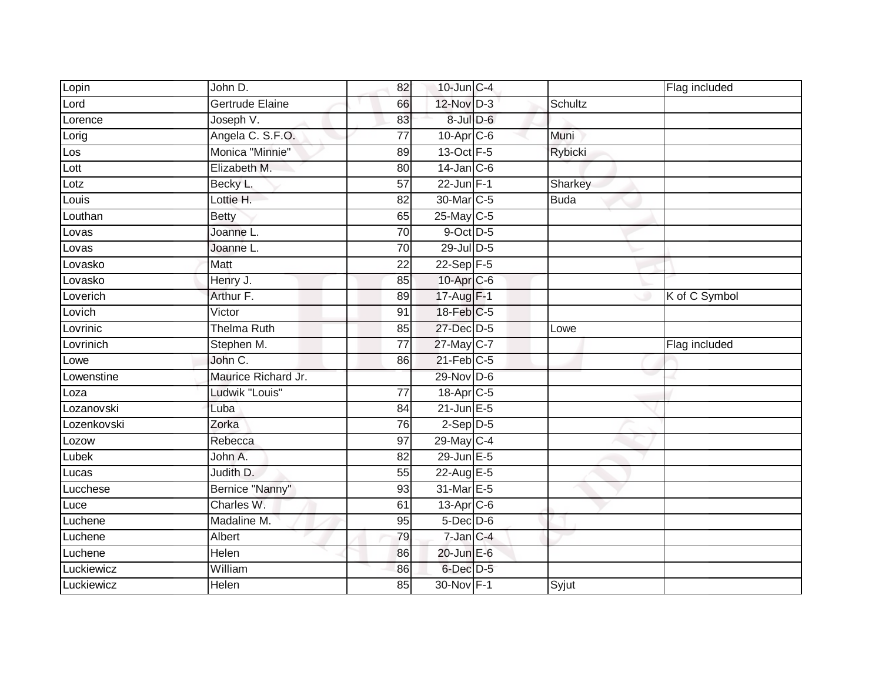| Lopin            | John D.             | 82              | $10$ -Jun $C-4$        |             | Flag included |
|------------------|---------------------|-----------------|------------------------|-------------|---------------|
| Lord             | Gertrude Elaine     | 66              | 12-Nov D-3             | Schultz     |               |
| Lorence          | Joseph V.           | 83              | $8$ -Jul $D$ -6        |             |               |
| Lorig            | Angela C. S.F.O.    | 77              | $10$ -Apr $C$ -6       | Muni        |               |
| Los              | Monica "Minnie"     | 89              | 13-Oct F-5             | Rybicki     |               |
| Lott             | Elizabeth M.        | 80              | $14$ -Jan $C-6$        |             |               |
| $_{\text{Lotz}}$ | Becky L.            | $\overline{57}$ | 22-Jun $F-1$           | Sharkey     |               |
| Louis            | Lottie H.           | 82              | 30-Mar <sub>IC-5</sub> | <b>Buda</b> |               |
| Louthan          | <b>Betty</b>        | 65              | $25$ -May C-5          |             |               |
| Lovas            | Joanne L.           | 70              | $9$ -Oct $D-5$         |             |               |
| Lovas            | Joanne L.           | 70              | 29-Jul D-5             |             |               |
| Lovasko          | Matt                | 22              | 22-Sep F-5             |             |               |
| Lovasko          | Henry J.            | 85              | 10-Apr C-6             |             |               |
| Loverich         | Arthur F.           | 89              | 17-Aug F-1             |             | K of C Symbol |
| Lovich           | Victor              | 91              | 18-Feb C-5             |             |               |
| Lovrinic         | <b>Thelma Ruth</b>  | 85              | 27-Dec D-5             | Lowe        |               |
| Lovrinich        | Stephen M.          | $\overline{77}$ | 27-May C-7             |             | Flag included |
| Lowe             | John C.             | 86              | $21$ -Feb $C-5$        |             |               |
| Lowenstine       | Maurice Richard Jr. |                 | 29-Nov D-6             |             |               |
| Loza             | Ludwik "Louis"      | $\overline{77}$ | 18-Apr C-5             |             |               |
| Lozanovski       | Luba                | 84              | $21$ -Jun $E - 5$      |             |               |
| Lozenkovski      | Zorka               | 76              | $2-Sep$ D-5            |             |               |
| Lozow            | Rebecca             | 97              | 29-May C-4             |             |               |
| Lubek            | John A.             | 82              | 29-Jun E-5             |             |               |
| Lucas            | Judith D.           | 55              | 22-Aug E-5             |             |               |
| Lucchese         | Bernice "Nanny"     | 93              | 31-Mar E-5             |             |               |
| Luce             | Charles W.          | 61              | 13-Apr C-6             |             |               |
| Luchene          | Madaline M.         | 95              | $5$ -Dec $D$ -6        |             |               |
| Luchene          | Albert              | 79              | 7-Jan C-4              |             |               |
| Luchene          | Helen               | 86              | 20-Jun E-6             |             |               |
| Luckiewicz       | William             | 86              | $6$ -Dec $D-5$         |             |               |
| Luckiewicz       | <b>Helen</b>        | 85              | 30-Nov F-1             | Syjut       |               |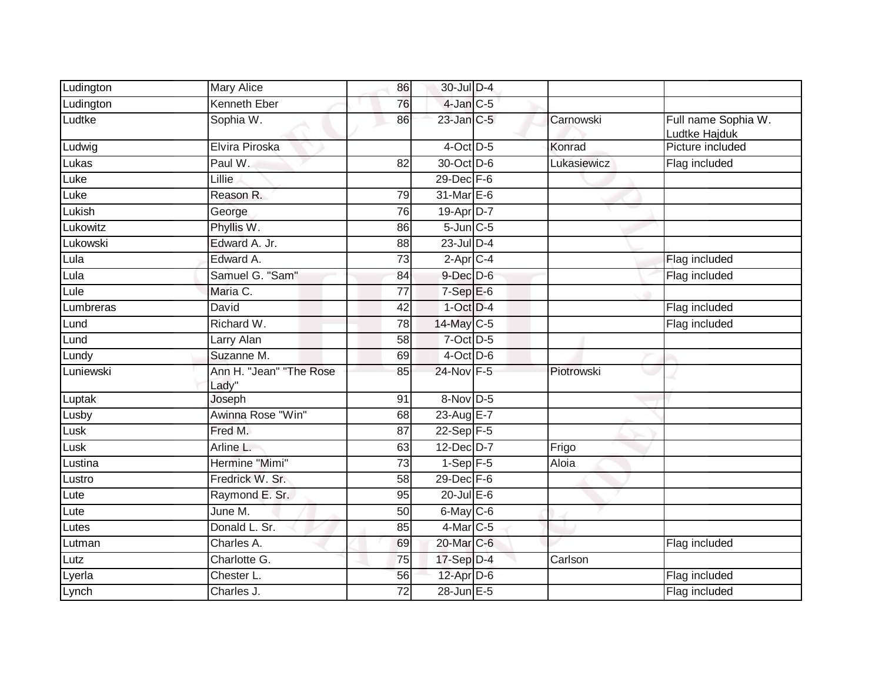| Ludington         | <b>Mary Alice</b>                | 86 | 30-Jul D-4      |             |                                      |
|-------------------|----------------------------------|----|-----------------|-------------|--------------------------------------|
| Ludington         | Kenneth Eber                     | 76 | $4$ -Jan $C$ -5 |             |                                      |
| Ludtke            | Sophia W.                        | 86 | $23$ -Jan $C-5$ | Carnowski   | Full name Sophia W.<br>Ludtke Hajduk |
| Ludwig            | Elvira Piroska                   |    | 4-Oct D-5       | Konrad      | Picture included                     |
| Lukas             | Paul W.                          | 82 | 30-Oct D-6      | Lukasiewicz | Flag included                        |
| Luke              | Lillie                           |    | 29-Dec F-6      |             |                                      |
| Luke              | Reason R.                        | 79 | 31-Mar E-6      |             |                                      |
| Lukish            | George                           | 76 | 19-Apr D-7      |             |                                      |
| Lukowitz          | Phyllis W.                       | 86 | $5$ -Jun $C$ -5 |             |                                      |
| Lukowski          | Edward A. Jr.                    | 88 | $23$ -Jul $D-4$ |             |                                      |
| Lula              | Edward A.                        | 73 | $2-AprC-4$      |             | Flag included                        |
| Lula              | Samuel G. "Sam"                  | 84 | $9$ -Dec $D$ -6 |             | Flag included                        |
| Lule              | Maria C.                         | 77 | $7-Sep$ E-6     |             |                                      |
| Lumbreras         | David                            | 42 | $1-Oct$ $D-4$   |             | Flag included                        |
| Lund              | Richard W.                       | 78 | 14-May C-5      |             | Flag included                        |
| Lund              | Larry Alan                       | 58 | 7-Oct D-5       |             |                                      |
| Lundy             | Suzanne M.                       | 69 | $4$ -Oct D-6    |             |                                      |
| Luniewski         | Ann H. "Jean" "The Rose<br>Lady" | 85 | 24-Nov F-5      | Piotrowski  |                                      |
| Luptak            | Joseph                           | 91 | 8-Nov D-5       |             |                                      |
| Lusby             | Awinna Rose "Win"                | 68 | 23-Aug E-7      |             |                                      |
| Lusk              | Fred M.                          | 87 | $22-Sep$ F-5    |             |                                      |
| Lusk <sup>-</sup> | Arline L.                        | 63 | $12$ -Dec $D-7$ | Frigo       |                                      |
| Lustina           | Hermine "Mimi"                   | 73 | $1-Sep$ F-5     | Aloia       |                                      |
| Lustro            | Fredrick W. Sr.                  | 58 | $29$ -Dec $F-6$ |             |                                      |
| Lute              | Raymond E. Sr.                   | 95 | $20$ -Jul $E-6$ |             |                                      |
| Lute              | June M.                          | 50 | 6-May C-6       |             |                                      |
| Lutes             | Donald L. Sr.                    | 85 | 4-Mar C-5       |             |                                      |
| Lutman            | Charles A.                       | 69 | 20-Mar C-6      |             | Flag included                        |
| Lutz              | Charlotte G.                     | 75 | 17-Sep D-4      | Carlson     |                                      |
| Lyerla            | Chester L.                       | 56 | 12-Apr D-6      |             | Flag included                        |
| Lynch             | Charles J.                       | 72 | 28-Jun E-5      |             | Flag included                        |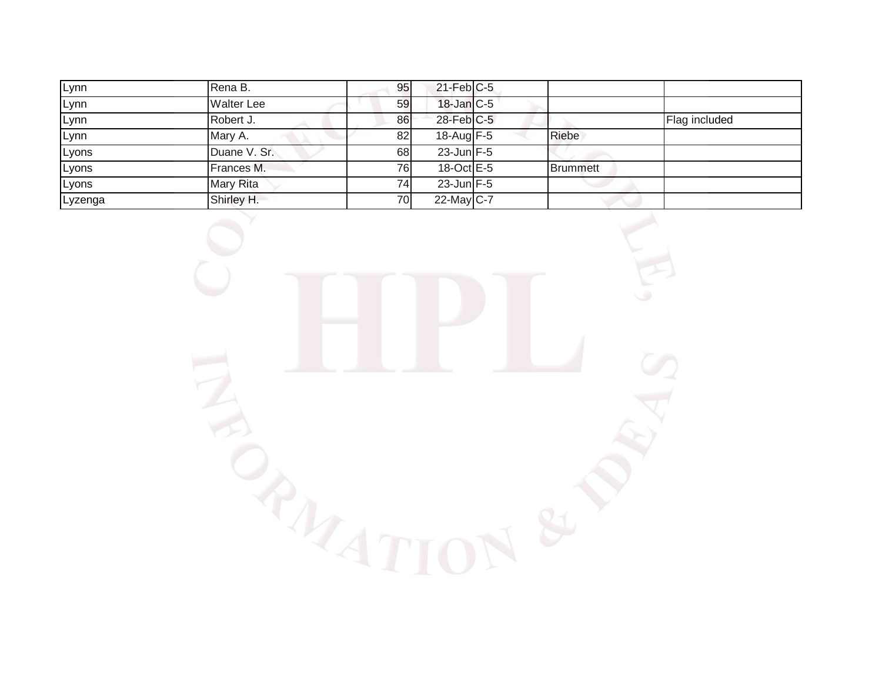| Lynn    | Rena B.           | 95              | $21$ -Feb $C-5$         |          |               |
|---------|-------------------|-----------------|-------------------------|----------|---------------|
| Lynn    | <b>Walter Lee</b> | 59              | $18$ -Jan $C$ -5        |          |               |
| Lynn    | Robert J.         | 86              | 28-Feb C-5              |          | Flag included |
| Lynn    | Mary A.           | 82              | $18$ -Aug F-5           | Riebe    |               |
| Lyons   | Duane V. Sr.      | 68              | $23$ -Jun $F-5$         |          |               |
| Lyons   | Frances M.        | 76              | $18-Oct$ <sub>E-5</sub> | Brummett |               |
| Lyons   | Mary Rita         | 74 <sub>1</sub> | $23$ -Jun $F-5$         |          |               |
| Lyzenga | Shirley H.        | 70              | 22-May $C-7$            |          |               |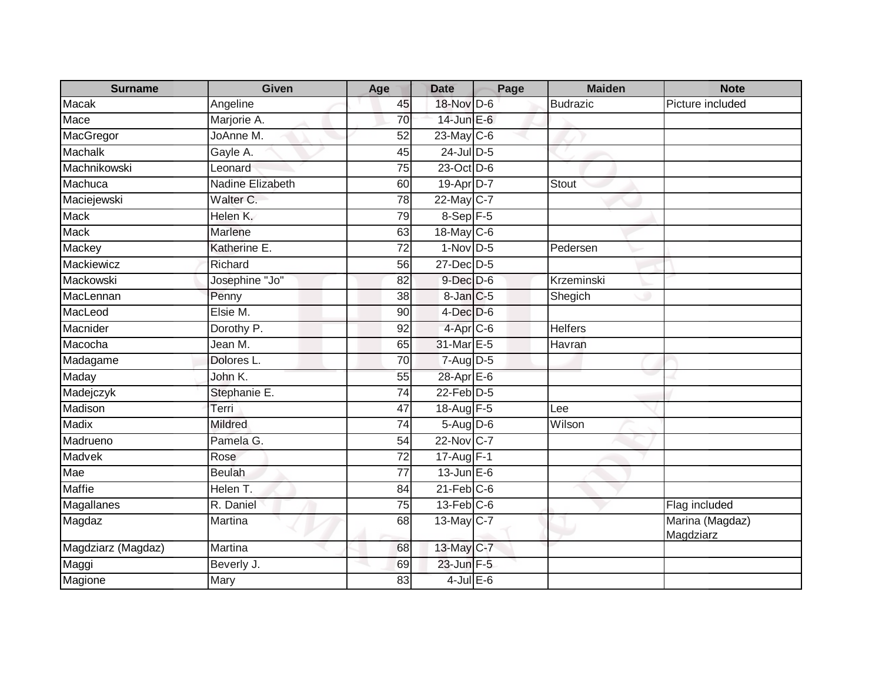| <b>Surname</b>     | <b>Given</b>            | Age             | <b>Date</b>          | Page | <b>Maiden</b>   | <b>Note</b>                  |
|--------------------|-------------------------|-----------------|----------------------|------|-----------------|------------------------------|
| Macak              | Angeline                | 45              | 18-Nov D-6           |      | <b>Budrazic</b> | Picture included             |
| Mace               | Marjorie A.             | 70              | 14-Jun E-6           |      |                 |                              |
| MacGregor          | JoAnne M.               | 52              | $23$ -May C-6        |      |                 |                              |
| <b>Machalk</b>     | Gayle A.                | 45              | $24$ -Jul D-5        |      |                 |                              |
| Machnikowski       | Leonard                 | 75              | 23-Oct D-6           |      |                 |                              |
| Machuca            | <b>Nadine Elizabeth</b> | 60              | 19-Apr D-7           |      | <b>Stout</b>    |                              |
| Maciejewski        | Walter C.               | 78              | 22-May C-7           |      |                 |                              |
| Mack               | Helen K.                | 79              | $8-$ Sep $F-5$       |      |                 |                              |
| <b>Mack</b>        | Marlene                 | 63              | 18-May C-6           |      |                 |                              |
| Mackey             | Katherine E.            | $\overline{72}$ | $1-Nov$ D-5          |      | Pedersen        |                              |
| Mackiewicz         | Richard                 | 56              | 27-Dec D-5           |      |                 |                              |
| Mackowski          | Josephine "Jo"          | 82              | $9$ -Dec $D$ -6      |      | Krzeminski      |                              |
| MacLennan          | Penny                   | 38              | 8-Jan C-5            |      | Shegich         |                              |
| MacLeod            | Elsie M.                | 90              | $4$ -Dec $D$ -6      |      |                 |                              |
| Macnider           | Dorothy P.              | 92              | 4-Apr <sub>C-6</sub> |      | <b>Helfers</b>  |                              |
| Macocha            | Jean M.                 | 65              | 31-Mar E-5           |      | Havran          |                              |
| Madagame           | Dolores L.              | 70              | 7-Aug D-5            |      |                 |                              |
| Maday              | John K.                 | 55              | 28-Apr E-6           |      |                 |                              |
| Madejczyk          | Stephanie E.            | 74              | $22$ -Feb $D-5$      |      |                 |                              |
| Madison            | Terri                   | 47              | 18-Aug F-5           |      | Lee             |                              |
| <b>Madix</b>       | <b>Mildred</b>          | $\overline{74}$ | $5-Aug$ $D-6$        |      | Wilson          |                              |
| Madrueno           | Pamela G.               | 54              | 22-Nov C-7           |      |                 |                              |
| Madvek             | Rose                    | 72              | $17-Aug$ F-1         |      |                 |                              |
| Mae                | <b>Beulah</b>           | 77              | $13$ -Jun $E-6$      |      |                 |                              |
| <b>Maffie</b>      | Helen T.                | 84              | $21$ -Feb $C-6$      |      |                 |                              |
| Magallanes         | R. Daniel               | $\overline{75}$ | $13$ -Feb $ C-6 $    |      |                 | Flag included                |
| Magdaz             | Martina                 | 68              | 13-May C-7           |      |                 | Marina (Magdaz)<br>Magdziarz |
| Magdziarz (Magdaz) | Martina                 | 68              | 13-May C-7           |      |                 |                              |
| Maggi              | Beverly J.              | 69              | 23-Jun F-5           |      |                 |                              |
| Magione            | Mary                    | 83              | $4$ -Jul $E$ -6      |      |                 |                              |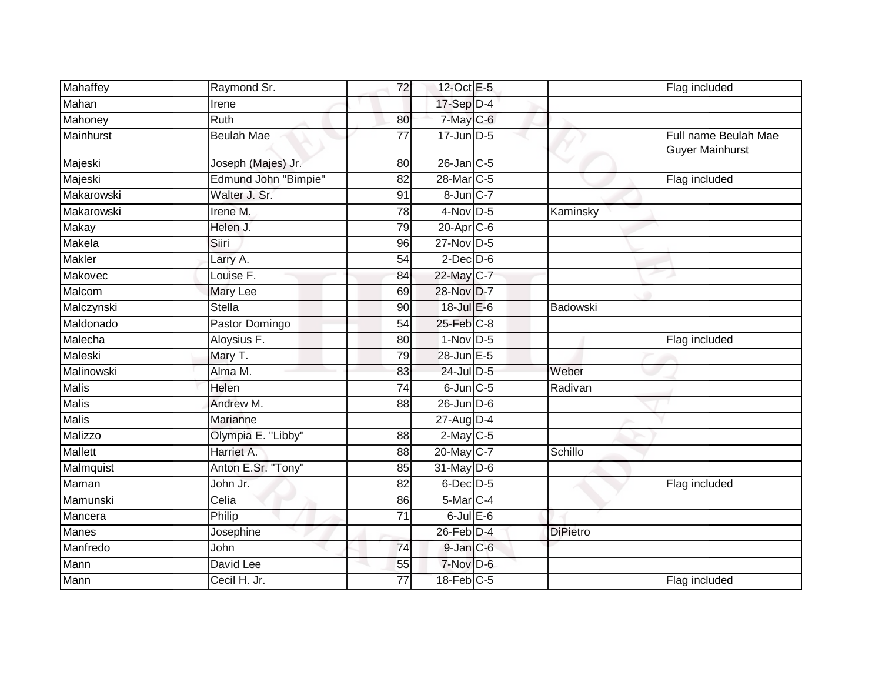| Mahaffey     | Raymond Sr.          | 72 | 12-Oct E-5       |                 | Flag included                                  |
|--------------|----------------------|----|------------------|-----------------|------------------------------------------------|
| Mahan        | Irene                |    | 17-Sep D-4       |                 |                                                |
| Mahoney      | <b>Ruth</b>          | 80 | 7-May C-6        |                 |                                                |
| Mainhurst    | <b>Beulah Mae</b>    | 77 | $17$ -Jun $D-5$  |                 | Full name Beulah Mae<br><b>Guyer Mainhurst</b> |
| Majeski      | Joseph (Majes) Jr.   | 80 | $26$ -Jan $C$ -5 |                 |                                                |
| Majeski      | Edmund John "Bimpie" | 82 | 28-Mar C-5       |                 | Flag included                                  |
| Makarowski   | Walter J. Sr.        | 91 | 8-Jun C-7        |                 |                                                |
| Makarowski   | Irene M.             | 78 | $4-Nov$ D-5      | Kaminsky        |                                                |
| Makay        | Helen J.             | 79 | $20 - Apr$ $C-6$ |                 |                                                |
| Makela       | Siiri                | 96 | 27-Nov D-5       |                 |                                                |
| Makler       | Larry A.             | 54 | $2$ -Dec $D-6$   |                 |                                                |
| Makovec      | Louise F.            | 84 | 22-May C-7       |                 |                                                |
| Malcom       | Mary Lee             | 69 | 28-Nov D-7       |                 |                                                |
| Malczynski   | <b>Stella</b>        | 90 | $18 -$ Jul E-6   | Badowski        |                                                |
| Maldonado    | Pastor Domingo       | 54 | 25-Feb C-8       |                 |                                                |
| Malecha      | Aloysius F.          | 80 | $1-Nov$ D-5      |                 | Flag included                                  |
| Maleski      | Mary T.              | 79 | 28-Jun E-5       |                 |                                                |
| Malinowski   | Alma M.              | 83 | 24-Jul D-5       | Weber           |                                                |
| <b>Malis</b> | Helen                | 74 | $6$ -Jun $C$ -5  | Radivan         |                                                |
| <b>Malis</b> | Andrew M.            | 88 | $26$ -Jun $D-6$  |                 |                                                |
| <b>Malis</b> | Marianne             |    | 27-Aug D-4       |                 |                                                |
| Malizzo      | Olympia E. "Libby"   | 88 | $2$ -May C-5     |                 |                                                |
| Mallett      | Harriet A.           | 88 | 20-May C-7       | Schillo         |                                                |
| Malmquist    | Anton E.Sr. "Tony"   | 85 | $31$ -May $D-6$  |                 |                                                |
| Maman        | John Jr.             | 82 | 6-Dec D-5        |                 | Flag included                                  |
| Mamunski     | Celia                | 86 | $5-Mar$ C-4      |                 |                                                |
| Mancera      | Philip               | 71 | $6$ -Jul $E$ -6  |                 |                                                |
| <b>Manes</b> | Josephine            |    | 26-Feb D-4       | <b>DiPietro</b> |                                                |
| Manfredo     | John                 | 74 | $9$ -Jan $C$ -6  |                 |                                                |
| Mann         | David Lee            | 55 | 7-Nov D-6        |                 |                                                |
| Mann         | Cecil H. Jr.         | 77 | $18$ -Feb $C-5$  |                 | Flag included                                  |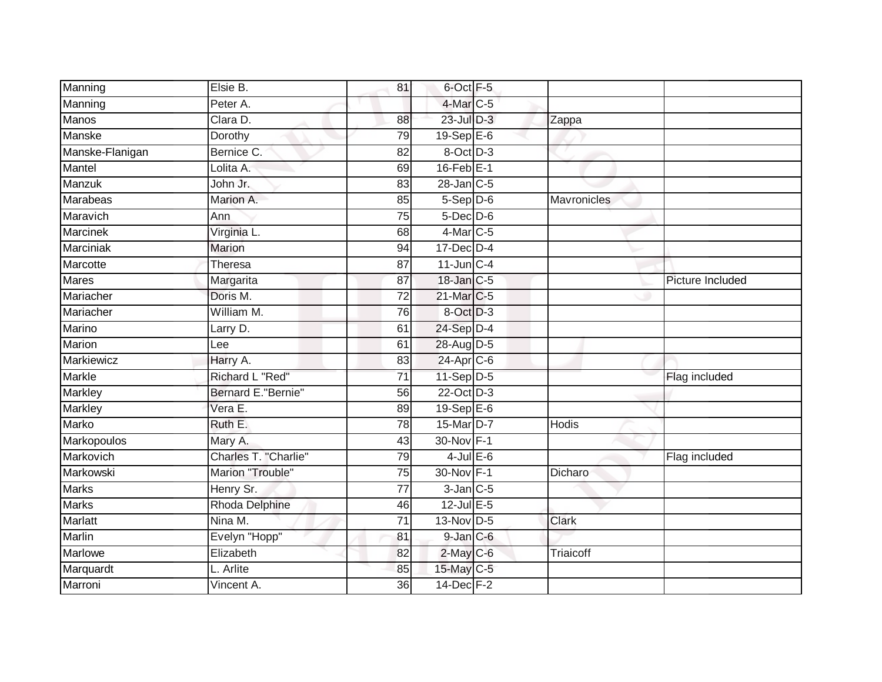| Manning         | Elsie B.              | 81              | 6-Oct F-5             |              |                  |
|-----------------|-----------------------|-----------------|-----------------------|--------------|------------------|
| Manning         | Peter A.              |                 | $4$ -Mar $C$ -5       |              |                  |
| <b>Manos</b>    | Clara D.              | 88              | $23$ -Jul $D-3$       | Zappa        |                  |
| Manske          | Dorothy               | 79              | $19-Sep$ $E-6$        |              |                  |
| Manske-Flanigan | Bernice C.            | $\overline{82}$ | 8-Oct D-3             |              |                  |
| Mantel          | Lolita A.             | 69              | $16$ -Feb $E-1$       |              |                  |
| Manzuk          | John Jr.              | 83              | $28$ -Jan $C-5$       |              |                  |
| Marabeas        | Marion A.             | 85              | $5-$ Sep $D-6$        | Mavronicles  |                  |
| Maravich        | Ann                   | $\overline{75}$ | $5$ -Dec $D$ -6       |              |                  |
| Marcinek        | Virginia L.           | 68              | 4-Mar <sub>C-5</sub>  |              |                  |
| Marciniak       | Marion                | 94              | 17-Dec D-4            |              |                  |
| Marcotte        | Theresa               | 87              | $11$ -Jun $C-4$       |              |                  |
| <b>Mares</b>    | Margarita             | 87              | $18$ -Jan $C-5$       |              | Picture Included |
| Mariacher       | Doris M.              | 72              | 21-Mar <sub>C-5</sub> |              |                  |
| Mariacher       | William M.            | 76              | 8-Oct D-3             |              |                  |
| Marino          | Larry D.              | 61              | 24-Sep D-4            |              |                  |
| <b>Marion</b>   | Lee                   | 61              | 28-Aug D-5            |              |                  |
| Markiewicz      | Harry A.              | 83              | 24-Apr C-6            |              |                  |
| Markle          | Richard L "Red"       | $\overline{71}$ | $11-Sep$ D-5          |              | Flag included    |
| <b>Markley</b>  | Bernard E."Bernie"    | $\overline{56}$ | 22-Oct D-3            |              |                  |
| Markley         | Vera E.               | 89              | 19-Sep E-6            |              |                  |
| Marko           | Ruth E.               | 78              | 15-Mar D-7            | <b>Hodis</b> |                  |
| Markopoulos     | Mary A.               | 43              | 30-Nov F-1            |              |                  |
| Markovich       | Charles T. "Charlie"  | 79              | $4$ -Jul $E$ -6       |              | Flag included    |
| Markowski       | Marion "Trouble"      | 75              | 30-Nov F-1            | Dicharo      |                  |
| <b>Marks</b>    | Henry Sr.             | 77              | $3$ -Jan $C$ -5       |              |                  |
| <b>Marks</b>    | <b>Rhoda Delphine</b> | 46              | $12$ -Jul E-5         |              |                  |
| Marlatt         | Nina M.               | $\overline{71}$ | 13-Nov D-5            | <b>Clark</b> |                  |
| Marlin          | Evelyn "Hopp"         | 81              | $9$ -Jan $C$ -6       |              |                  |
| Marlowe         | Elizabeth             | 82              | $2$ -May C-6          | Triaicoff    |                  |
| Marquardt       | L. Arlite             | 85              | 15-May C-5            |              |                  |
| Marroni         | Vincent A.            | $\overline{36}$ | 14-Dec F-2            |              |                  |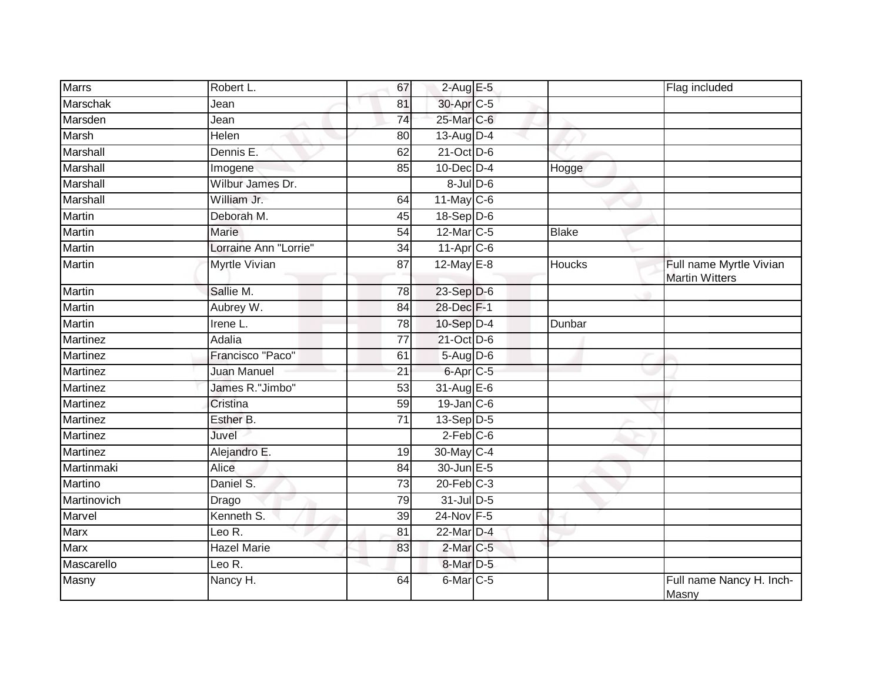| <b>Marrs</b>    | Robert L.             | 67              | $2$ -Aug E-5            |              | Flag included                                    |
|-----------------|-----------------------|-----------------|-------------------------|--------------|--------------------------------------------------|
| Marschak        | Jean                  | 81              | 30-Apr C-5              |              |                                                  |
| Marsden         | Jean                  | 74              | 25-Mar C-6              |              |                                                  |
| Marsh           | Helen                 | 80              | 13-Aug D-4              |              |                                                  |
| Marshall        | Dennis E.             | 62              | $21$ -Oct D-6           |              |                                                  |
| Marshall        | Imogene               | 85              | $10$ -Dec $D-4$         | Hogge        |                                                  |
| Marshall        | Wilbur James Dr.      |                 | $8$ -Jul $D$ -6         |              |                                                  |
| Marshall        | William Jr.           | 64              | 11-May C-6              |              |                                                  |
| Martin          | Deborah M.            | 45              | 18-Sep D-6              |              |                                                  |
| <b>Martin</b>   | <b>Marie</b>          | $\overline{54}$ | 12-Mar C-5              | <b>Blake</b> |                                                  |
| Martin          | Lorraine Ann "Lorrie" | 34              | $11-Apr$ <sub>C-6</sub> |              |                                                  |
| Martin          | <b>Myrtle Vivian</b>  | $\overline{87}$ | $12$ -May E-8           | Houcks       | Full name Myrtle Vivian<br><b>Martin Witters</b> |
| <b>Martin</b>   | Sallie M.             | $\overline{78}$ | $23-Sep$ D-6            |              |                                                  |
| Martin          | Aubrey W.             | 84              | 28-Dec F-1              |              |                                                  |
| <b>Martin</b>   | Irene L.              | 78              | 10-Sep D-4              | Dunbar       |                                                  |
| Martinez        | Adalia                | 77              | 21-Oct D-6              |              |                                                  |
| Martinez        | Francisco "Paco"      | 61              | 5-Aug D-6               |              |                                                  |
| Martinez        | <b>Juan Manuel</b>    | 21              | 6-Apr C-5               |              |                                                  |
| Martinez        | James R."Jimbo"       | 53              | 31-Aug E-6              |              |                                                  |
| Martinez        | Cristina              | $\overline{59}$ | $19$ -Jan $C$ -6        |              |                                                  |
| Martinez        | Esther B.             | 71              | $13-Sep$ D-5            |              |                                                  |
| Martinez        | Juvel                 |                 | $2$ -Feb $C$ -6         |              |                                                  |
| <b>Martinez</b> | Alejandro E.          | 19              | 30-May C-4              |              |                                                  |
| Martinmaki      | Alice                 | 84              | 30-Jun E-5              |              |                                                  |
| Martino         | Daniel S.             | $\overline{73}$ | $20$ -Feb $C-3$         |              |                                                  |
| Martinovich     | Drago                 | 79              | 31-Jul D-5              |              |                                                  |
| Marvel          | Kenneth S.            | 39              | 24-Nov F-5              |              |                                                  |
| <b>Marx</b>     | Leo R.                | 81              | 22-Mar D-4              |              |                                                  |
| Marx            | <b>Hazel Marie</b>    | 83              | 2-Mar <sub>C-5</sub>    |              |                                                  |
| Mascarello      | Leo R.                |                 | 8-Mar D-5               |              |                                                  |
| Masny           | Nancy H.              | 64              | 6-Mar <sub>C-5</sub>    |              | Full name Nancy H. Inch-<br>Masny                |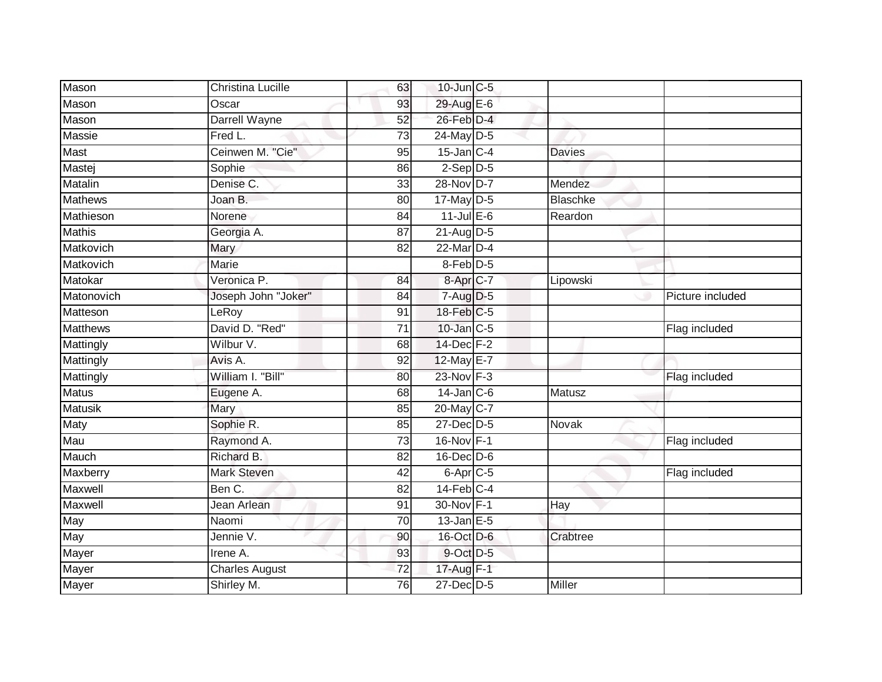| Mason           | <b>Christina Lucille</b> | 63              | 10-Jun C-5                       |                 |                  |
|-----------------|--------------------------|-----------------|----------------------------------|-----------------|------------------|
| Mason           | Oscar                    | 93              | 29-Aug E-6                       |                 |                  |
| Mason           | Darrell Wayne            | 52              | 26-Feb D-4                       |                 |                  |
| Massie          | Fred L.                  | 73              | 24-May D-5                       |                 |                  |
| Mast            | Ceinwen M. "Cie"         | 95              | $15$ -Jan $C-4$                  | <b>Davies</b>   |                  |
| Mastej          | Sophie                   | 86              | $2-Sep$ D-5                      |                 |                  |
| Matalin         | Denise C.                | 33              | 28-Nov D-7                       | Mendez          |                  |
| Mathews         | Joan B.                  | 80              | 17-May D-5                       | <b>Blaschke</b> |                  |
| Mathieson       | Norene                   | 84              | $11$ -Jul $E-6$                  | Reardon         |                  |
| <b>Mathis</b>   | Georgia A.               | 87              | $21 - \text{Aug}$ <sub>D-5</sub> |                 |                  |
| Matkovich       | Mary                     | 82              | 22-Mar D-4                       |                 |                  |
| Matkovich       | Marie                    |                 | $8$ -Feb $D-5$                   |                 |                  |
| Matokar         | Veronica P.              | 84              | 8-Apr <sub>IC-7</sub>            | Lipowski        |                  |
| Matonovich      | Joseph John "Joker"      | 84              | 7-Aug D-5                        |                 | Picture included |
| Matteson        | LeRoy                    | 91              | 18-Feb C-5                       |                 |                  |
| <b>Matthews</b> | David D. "Red"           | 71              | 10-Jan C-5                       |                 | Flag included    |
| Mattingly       | Wilbur V.                | 68              | 14-Dec F-2                       |                 |                  |
| Mattingly       | Avis A.                  | 92              | 12-May E-7                       |                 |                  |
| Mattingly       | William I. "Bill"        | 80              | 23-Nov F-3                       |                 | Flag included    |
| <b>Matus</b>    | Eugene A.                | 68              | $14$ -Jan $C$ -6                 | Matusz          |                  |
| <b>Matusik</b>  | Mary                     | 85              | 20-May C-7                       |                 |                  |
| Maty            | Sophie R.                | 85              | 27-Dec D-5                       | Novak           |                  |
| Mau             | Raymond A.               | 73              | 16-Nov F-1                       |                 | Flag included    |
| Mauch           | Richard B.               | 82              | $16$ -Dec $D$ -6                 |                 |                  |
| Maxberry        | Mark Steven              | 42              | 6-Apr <sub>C-5</sub>             |                 | Flag included    |
| Maxwell         | Ben C.                   | 82              | $14$ -Feb $C-4$                  |                 |                  |
| <b>Maxwell</b>  | Jean Arlean              | 91              | 30-Nov F-1                       | <b>Hay</b>      |                  |
| May             | Naomi                    | 70              | $13$ -Jan $E-5$                  |                 |                  |
| May             | Jennie V.                | 90              | 16-Oct D-6                       | Crabtree        |                  |
| Mayer           | Irene $\overline{A}$ .   | 93              | 9-Oct D-5                        |                 |                  |
| Mayer           | <b>Charles August</b>    | $\overline{72}$ | 17-Aug F-1                       |                 |                  |
| Mayer           | Shirley M.               | 76              | 27-Dec D-5                       | <b>Miller</b>   |                  |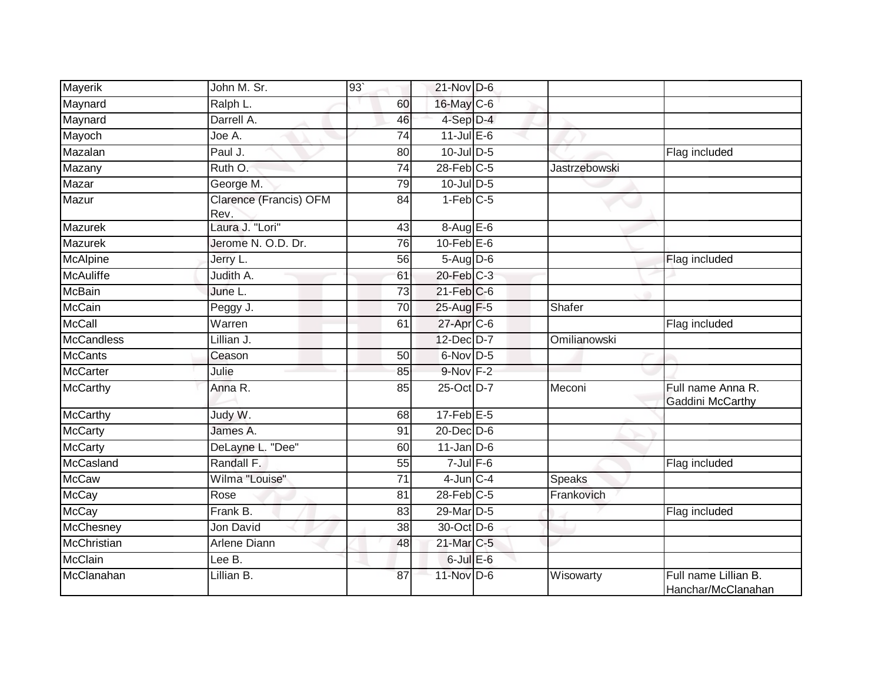| Mayerik            | John M. Sr.                    | 93'             | $21$ -Nov D-6     |                      |                                            |
|--------------------|--------------------------------|-----------------|-------------------|----------------------|--------------------------------------------|
| Maynard            | Ralph L.                       | 60              | 16-May C-6        |                      |                                            |
| Maynard            | Darrell A.                     | 46              | $4-Sep$ D-4       |                      |                                            |
| Mayoch             | Joe A.                         | 74              | $11$ -Jul E-6     |                      |                                            |
| Mazalan            | Paul J.                        | 80              | $10$ -Jul $D-5$   |                      | Flag included                              |
| Mazany             | Ruth O.                        | $\overline{74}$ | $28$ -Feb $C-5$   | <b>Jastrzebowski</b> |                                            |
| Mazar              | George M.                      | 79              | $10$ -Jul $D-5$   |                      |                                            |
| Mazur              | Clarence (Francis) OFM<br>Rev. | 84              | $1-Feb$ $C-5$     |                      |                                            |
| Mazurek            | Laura J. "Lori"                | 43              | $8-AugE-6$        |                      |                                            |
| <b>Mazurek</b>     | Jerome N. O.D. Dr.             | 76              | $10$ -Feb $E$ -6  |                      |                                            |
| <b>McAlpine</b>    | Jerry L.                       | 56              | 5-Aug D-6         |                      | Flag included                              |
| <b>McAuliffe</b>   | Judith A.                      | 61              | $20$ -Feb $C-3$   |                      |                                            |
| <b>McBain</b>      | June L.                        | $\overline{73}$ | $21$ -Feb $ C$ -6 |                      |                                            |
| <b>McCain</b>      | Peggy J.                       | 70              | 25-Aug F-5        | Shafer               |                                            |
| <b>McCall</b>      | Warren                         | 61              | 27-Apr C-6        |                      | Flag included                              |
| <b>McCandless</b>  | Lillian J.                     |                 | 12-Dec D-7        | Omilianowski         |                                            |
| <b>McCants</b>     | Ceason                         | 50              | $6$ -Nov D-5      |                      |                                            |
| <b>McCarter</b>    | Julie                          | 85              | $9-Nov$ F-2       |                      |                                            |
| <b>McCarthy</b>    | Anna R.                        | 85              | 25-Oct D-7        | Meconi               | Full name Anna R.<br>Gaddini McCarthy      |
| <b>McCarthy</b>    | Judy W.                        | 68              | $17$ -Feb $E-5$   |                      |                                            |
| <b>McCarty</b>     | James A.                       | 91              | 20-Dec D-6        |                      |                                            |
| <b>McCarty</b>     | DeLayne L. "Dee"               | 60              | $11$ -Jan D-6     |                      |                                            |
| McCasland          | Randall F.                     | 55              | $7 -$ Jul $F - 6$ |                      | Flag included                              |
| <b>McCaw</b>       | Wilma "Louise"                 | $\overline{71}$ | $4$ -Jun $C-4$    | Speaks               |                                            |
| <b>McCay</b>       | Rose                           | 81              | $28$ -Feb $C-5$   | Frankovich           |                                            |
| <b>McCay</b>       | Frank B.                       | 83              | 29-Mar D-5        |                      | Flag included                              |
| McChesney          | Jon David                      | 38              | 30-Oct D-6        |                      |                                            |
| <b>McChristian</b> | Arlene Diann                   | 48              | 21-Mar C-5        |                      |                                            |
| McClain            | Lee $\overline{B}$ .           |                 | $6$ -Jul $E$ -6   |                      |                                            |
| McClanahan         | Lillian B.                     | 87              | 11-Nov D-6        | Wisowarty            | Full name Lillian B.<br>Hanchar/McClanahan |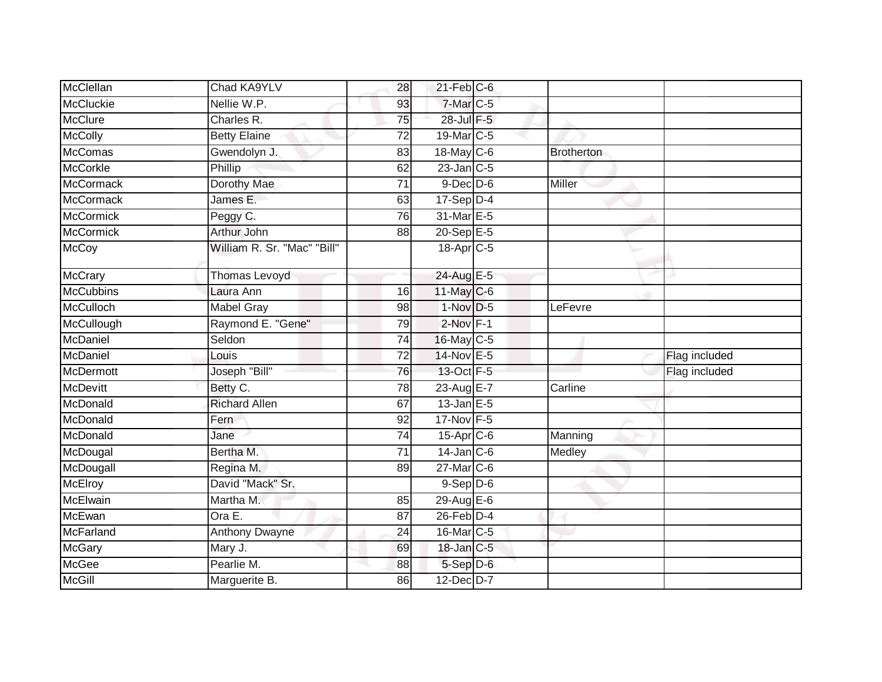| McClellan        | Chad KA9YLV                 | 28              | $21$ -Feb $C$ -6      |                   |               |
|------------------|-----------------------------|-----------------|-----------------------|-------------------|---------------|
| <b>McCluckie</b> | Nellie W.P.                 | 93              | 7-Mar C-5             |                   |               |
| <b>McClure</b>   | Charles R.                  | 75              | 28-Jul F-5            |                   |               |
| <b>McColly</b>   | <b>Betty Elaine</b>         | 72              | 19-Mar C-5            |                   |               |
| <b>McComas</b>   | Gwendolyn J.                | 83              | 18-May C-6            | <b>Brotherton</b> |               |
| <b>McCorkle</b>  | Phillip                     | 62              | $23$ -Jan $C-5$       |                   |               |
| <b>McCormack</b> | <b>Dorothy Mae</b>          | 71              | $9$ -Dec $D$ -6       | Miller            |               |
| McCormack        | James E.                    | 63              | $17-Sep$ D-4          |                   |               |
| <b>McCormick</b> | Peggy C.                    | 76              | 31-Mar E-5            |                   |               |
| <b>McCormick</b> | Arthur John                 | 88              | $20-Sep$ E-5          |                   |               |
| <b>McCoy</b>     | William R. Sr. "Mac" "Bill" |                 | 18-Apr <sub>C-5</sub> |                   |               |
| McCrary          | <b>Thomas Levoyd</b>        |                 | 24-Aug E-5            |                   |               |
| <b>McCubbins</b> | Laura Ann                   | 16              | $11$ -May C-6         |                   |               |
| <b>McCulloch</b> | <b>Mabel Gray</b>           | 98              | $1-Nov$ D-5           | LeFevre           |               |
| McCullough       | Raymond E. "Gene"           | 79              | $2$ -Nov $F-1$        |                   |               |
| McDaniel         | Seldon                      | 74              | $16$ -May C-5         |                   |               |
| McDaniel         | Louis                       | 72              | 14-Nov E-5            |                   | Flag included |
| McDermott        | Joseph "Bill"               | 76              | 13-Oct F-5            |                   | Flag included |
| <b>McDevitt</b>  | Betty C.                    | 78              | 23-Aug E-7            | Carline           |               |
| McDonald         | <b>Richard Allen</b>        | 67              | $13$ -Jan $E-5$       |                   |               |
| McDonald         | Fern                        | 92              | 17-Nov F-5            |                   |               |
| McDonald         | Jane                        | 74              | $15$ -Apr $C$ -6      | Manning           |               |
| McDougal         | Bertha M.                   | $\overline{71}$ | $14$ -Jan C-6         | Medley            |               |
| McDougall        | Regina M.                   | 89              | 27-Mar C-6            |                   |               |
| <b>McElroy</b>   | David "Mack" Sr.            |                 | $9-$ Sep $D-6$        |                   |               |
| <b>McElwain</b>  | Martha M.                   | 85              | 29-Aug E-6            |                   |               |
| McEwan           | Ora E.                      | 87              | $26$ -Feb $D-4$       |                   |               |
| <b>McFarland</b> | <b>Anthony Dwayne</b>       | 24              | 16-Mar C-5            |                   |               |
| <b>McGary</b>    | Mary J.                     | 69              | 18-Jan C-5            |                   |               |
| <b>McGee</b>     | Pearlie M.                  | 88              | 5-Sep D-6             |                   |               |
| <b>McGill</b>    | Marguerite B.               | 86              | 12-Dec D-7            |                   |               |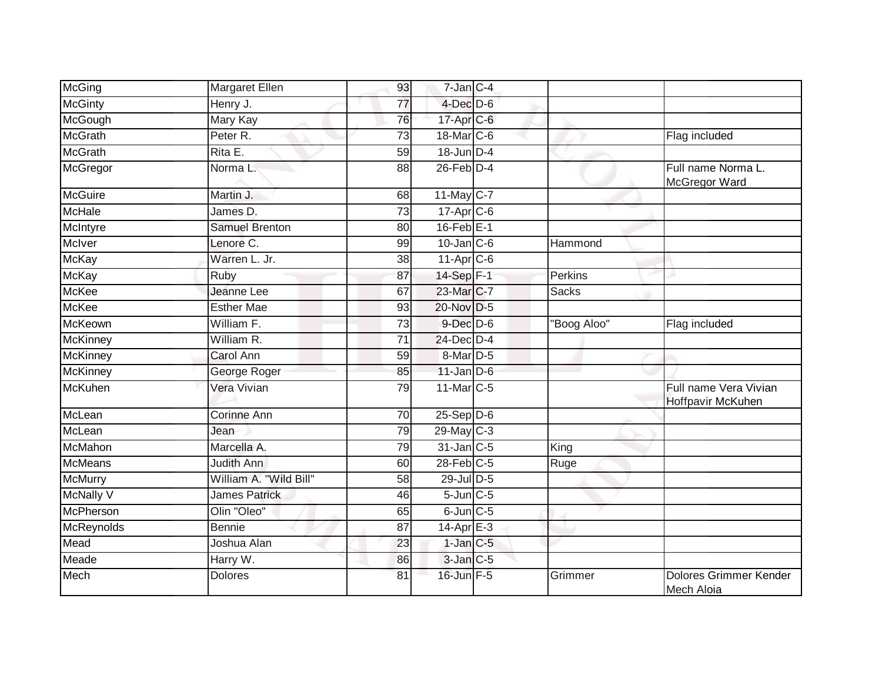| McGing          | Margaret Ellen         | 93              | $7$ -Jan $C-4$   |              |                                            |
|-----------------|------------------------|-----------------|------------------|--------------|--------------------------------------------|
| <b>McGinty</b>  | Henry J.               | 77              | $4$ -Dec $D-6$   |              |                                            |
| McGough         | <b>Mary Kay</b>        | 76              | $17$ -Apr $C$ -6 |              |                                            |
| <b>McGrath</b>  | Peter R.               | 73              | 18-Mar C-6       |              | Flag included                              |
| <b>McGrath</b>  | Rita E.                | 59              | 18-Jun D-4       |              |                                            |
| McGregor        | Norma L.               | 88              | $26$ -Feb $D-4$  |              | Full name Norma L.<br>McGregor Ward        |
| <b>McGuire</b>  | Martin J.              | 68              | $11$ -May C-7    |              |                                            |
| McHale          | James D.               | $\overline{73}$ | $17-Apr$ $C-6$   |              |                                            |
| McIntyre        | Samuel Brenton         | 80              | $16$ -Feb $E-1$  |              |                                            |
| McIver          | Lenore C.              | 99              | $10$ -Jan $C$ -6 | Hammond      |                                            |
| <b>McKay</b>    | Warren L. Jr.          | 38              | $11-AprC-6$      |              |                                            |
| <b>McKay</b>    | Ruby                   | 87              | 14-Sep F-1       | Perkins      |                                            |
| <b>McKee</b>    | Jeanne Lee             | 67              | 23-Mar C-7       | <b>Sacks</b> |                                            |
| <b>McKee</b>    | <b>Esther Mae</b>      | 93              | 20-Nov D-5       |              |                                            |
| <b>McKeown</b>  | William F.             | 73              | $9$ -Dec $D$ -6  | "Boog Aloo"  | Flag included                              |
| <b>McKinney</b> | William R.             | 71              | 24-Dec D-4       |              |                                            |
| <b>McKinney</b> | Carol Ann              | 59              | 8-Mar D-5        |              |                                            |
| <b>McKinney</b> | George Roger           | 85              | $11$ -Jan D-6    |              |                                            |
| <b>McKuhen</b>  | Vera Vivian            | 79              | 11-Mar C-5       |              | Full name Vera Vivian<br>Hoffpavir McKuhen |
| McLean          | <b>Corinne Ann</b>     | 70              | $25-Sep$ $D-6$   |              |                                            |
| McLean          | Jean                   | 79              | $29$ -May C-3    |              |                                            |
| <b>McMahon</b>  | Marcella A.            | $\overline{79}$ | $31$ -Jan $C-5$  | King         |                                            |
| <b>McMeans</b>  | Judith Ann             | 60              | $28$ -Feb $C-5$  | Ruge         |                                            |
| <b>McMurry</b>  | William A. "Wild Bill" | 58              | 29-Jul D-5       |              |                                            |
| McNally V       | <b>James Patrick</b>   | $\overline{46}$ | $5$ -Jun $C$ -5  |              |                                            |
| McPherson       | Olin "Oleo"            | 65              | $6$ -Jun $C$ -5  |              |                                            |
| McReynolds      | <b>Bennie</b>          | 87              | $14$ -Apr $E-3$  |              |                                            |
| Mead            | Joshua Alan            | 23              | $1$ -Jan $C$ -5  |              |                                            |
| Meade           | Harry W.               | 86              | 3-Jan C-5        |              |                                            |
| Mech            | <b>Dolores</b>         | 81              | 16-Jun F-5       | Grimmer      | Dolores Grimmer Kender<br>Mech Aloia       |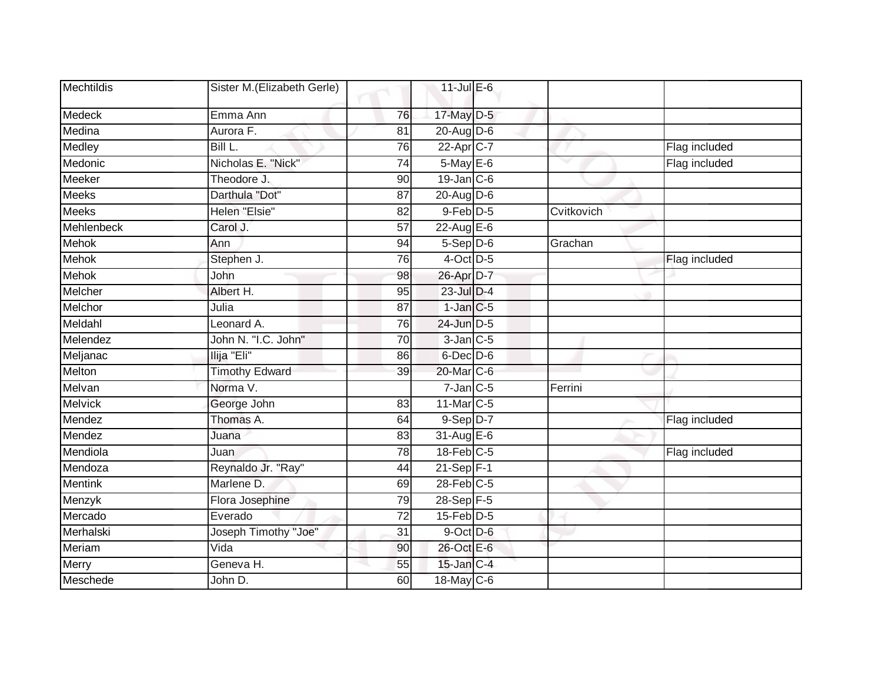| Mechtildis     | Sister M.(Elizabeth Gerle) |                 | $11$ -Jul $E-6$   |            |               |
|----------------|----------------------------|-----------------|-------------------|------------|---------------|
| Medeck         | Emma Ann                   | 76              | 17-May D-5        |            |               |
| Medina         | Aurora F.                  | 81              | $20$ -Aug D-6     |            |               |
| Medley         | Bill L.                    | 76              | 22-Apr C-7        |            | Flag included |
| Medonic        | Nicholas E. "Nick"         | 74              | 5-May E-6         |            | Flag included |
| Meeker         | Theodore J.                | 90              | $19$ -Jan $ C$ -6 |            |               |
| <b>Meeks</b>   | Darthula "Dot"             | 87              | $20$ -AugD-6      |            |               |
| <b>Meeks</b>   | Helen "Elsie"              | 82              | $9$ -Feb $D-5$    | Cvitkovich |               |
| Mehlenbeck     | Carol J.                   | $\overline{57}$ | 22-Aug E-6        |            |               |
| <b>Mehok</b>   | Ann                        | 94              | $5-$ Sep $D-6$    | Grachan    |               |
| <b>Mehok</b>   | Stephen J.                 | 76              | 4-Oct D-5         |            | Flag included |
| <b>Mehok</b>   | John                       | 98              | 26-Apr D-7        |            |               |
| Melcher        | Albert H.                  | 95              | 23-Jul D-4        |            |               |
| Melchor        | Julia                      | 87              | $1$ -Jan $C$ -5   |            |               |
| Meldahl        | Leonard A.                 | 76              | 24-Jun D-5        |            |               |
| Melendez       | John N. "I.C. John"        | 70              | $3$ -Jan $C$ -5   |            |               |
| Meljanac       | Ilija "Eli"                | 86              | $6$ -Dec $D$ -6   |            |               |
| Melton         | <b>Timothy Edward</b>      | 39              | 20-Mar C-6        |            |               |
| Melvan         | Norma V.                   |                 | $7$ -Jan $C$ -5   | Ferrini    |               |
| <b>Melvick</b> | George John                | 83              | 11-Mar C-5        |            |               |
| Mendez         | Thomas A.                  | 64              | 9-Sep D-7         |            | Flag included |
| Mendez         | Juana                      | 83              | 31-Aug E-6        |            |               |
| Mendiola       | Juan                       | $\overline{78}$ | $18$ -Feb $C-5$   |            | Flag included |
| Mendoza        | Reynaldo Jr. "Ray"         | 44              | $21-Sep$ F-1      |            |               |
| <b>Mentink</b> | Marlene D.                 | 69              | $28$ -Feb $C-5$   |            |               |
| Menzyk         | Flora Josephine            | 79              | 28-Sep F-5        |            |               |
| Mercado        | Everado                    | 72              | $15$ -Feb $D-5$   |            |               |
| Merhalski      | Joseph Timothy "Joe"       | 31              | 9-Oct D-6         |            |               |
| Meriam         | Vida                       | 90              | 26-Oct E-6        |            |               |
| Merry          | Geneva H.                  | 55              | 15-Jan C-4        |            |               |
| Meschede       | John D.                    | 60              | 18-May C-6        |            |               |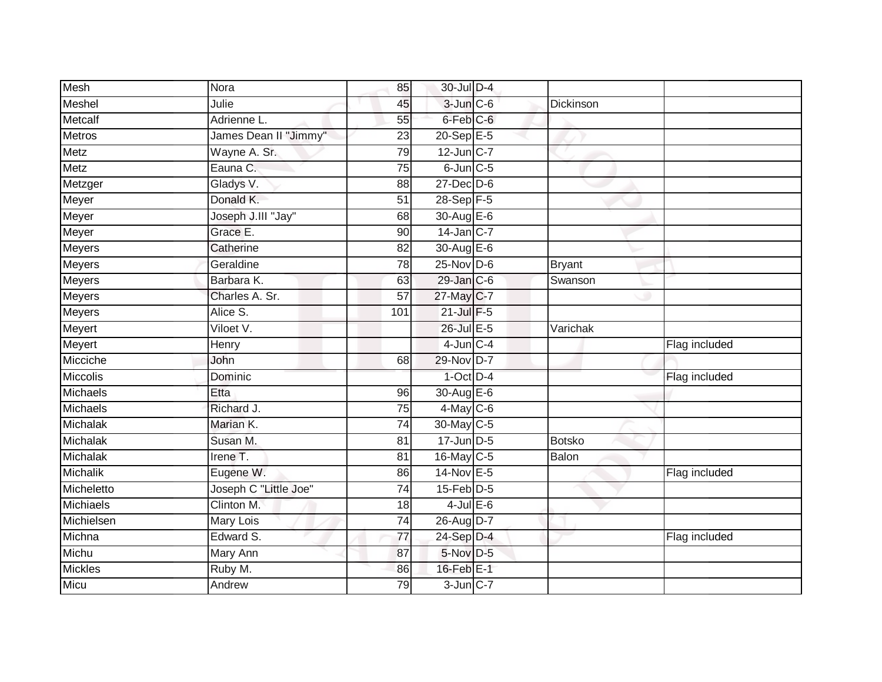| Mesh            | Nora                  | 85              | 30-Jul D-4           |               |               |
|-----------------|-----------------------|-----------------|----------------------|---------------|---------------|
| Meshel          | Julie                 | 45              | $3$ -Jun $C$ -6      | Dickinson     |               |
| Metcalf         | Adrienne L.           | 55              | 6-Feb <sup>C-6</sup> |               |               |
| Metros          | James Dean II "Jimmy" | 23              | $20 - SepE-5$        |               |               |
| Metz            | Wayne A. Sr.          | 79              | $12$ -Jun $C-7$      |               |               |
| Metz            | Eauna C.              | $\overline{75}$ | $6$ -Jun $C$ -5      |               |               |
| Metzger         | Gladys V.             | 88              | $27 - Dec$ $D-6$     |               |               |
| Meyer           | Donald K.             | $\overline{51}$ | 28-Sep F-5           |               |               |
| Meyer           | Joseph J.III "Jay"    | 68              | 30-Aug E-6           |               |               |
| Meyer           | Grace E.              | 90              | 14-Jan C-7           |               |               |
| Meyers          | Catherine             | 82              | 30-Aug E-6           |               |               |
| Meyers          | Geraldine             | $\overline{78}$ | $25$ -Nov D-6        | <b>Bryant</b> |               |
| <b>Meyers</b>   | Barbara K.            | 63              | 29-Jan C-6           | Swanson       |               |
| Meyers          | Charles A. Sr.        | $\overline{57}$ | 27-May C-7           |               |               |
| <b>Meyers</b>   | Alice S.              | 101             | 21-Jul F-5           |               |               |
| Meyert          | Viloet V.             |                 | 26-Jul E-5           | Varichak      |               |
| Meyert          | Henry                 |                 | $4$ -Jun $C - 4$     |               | Flag included |
| Micciche        | John                  | 68              | 29-Nov D-7           |               |               |
| Miccolis        | Dominic               |                 | $1$ -Oct D-4         |               | Flag included |
| Michaels        | Etta                  | $\overline{96}$ | 30-Aug E-6           |               |               |
| Michaels        | Richard J.            | 75              | $4$ -May C-6         |               |               |
| Michalak        | Marian K.             | 74              | 30-May C-5           |               |               |
| Michalak        | Susan M.              | 81              | $17$ -Jun D-5        | <b>Botsko</b> |               |
| <b>Michalak</b> | Irene T.              | 81              | 16-May C-5           | Balon         |               |
| Michalik        | Eugene W.             | 86              | 14-Nov E-5           |               | Flag included |
| Micheletto      | Joseph C "Little Joe" | 74              | $15$ -Feb $D-5$      |               |               |
| Michiaels       | Clinton M.            | 18              | $4$ -Jul $E$ -6      |               |               |
| Michielsen      | <b>Mary Lois</b>      | 74              | 26-Aug D-7           |               |               |
| Michna          | Edward S.             | $\overline{77}$ | 24-Sep D-4           |               | Flag included |
| Michu           | Mary Ann              | 87              | 5-Nov D-5            |               |               |
| <b>Mickles</b>  | Ruby M.               | 86              | 16-Feb E-1           |               |               |
| Micu            | Andrew                | 79              | $3$ -Jun $C-7$       |               |               |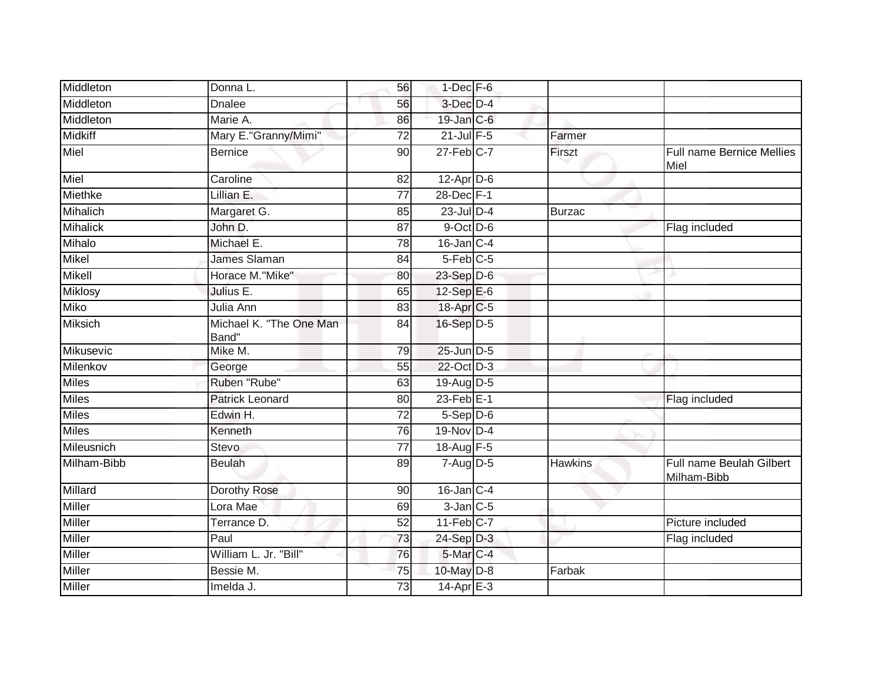| Middleton       | Donna L.                         | 56              | $1$ -Dec $F - 6$        |                |                                         |
|-----------------|----------------------------------|-----------------|-------------------------|----------------|-----------------------------------------|
| Middleton       | <b>Dnalee</b>                    | 56              | 3-Dec D-4               |                |                                         |
| Middleton       | Marie A.                         | 86              | $19$ -Jan $C$ -6        |                |                                         |
| <b>Midkiff</b>  | Mary E."Granny/Mimi"             | 72              | $21$ -Jul $F-5$         | Farmer         |                                         |
| Miel            | <b>Bernice</b>                   | 90              | $27 - Feb$ C-7          | Firszt         | Full name Bernice Mellies<br>Miel       |
| Miel            | Caroline                         | 82              | $12$ -Apr $D$ -6        |                |                                         |
| Miethke         | Lillian E.                       | $\overline{77}$ | 28-Dec F-1              |                |                                         |
| Mihalich        | Margaret G.                      | 85              | 23-Jul D-4              | <b>Burzac</b>  |                                         |
| <b>Mihalick</b> | John D.                          | 87              | $9$ -Oct $D$ -6         |                | Flag included                           |
| Mihalo          | Michael E.                       | 78              | $16$ -Jan $C-4$         |                |                                         |
| <b>Mikel</b>    | James Slaman                     | 84              | $5-Feb$ <sub>C-5</sub>  |                |                                         |
| Mikell          | Horace M."Mike"                  | 80              | 23-Sep D-6              |                |                                         |
| <b>Miklosy</b>  | Julius E.                        | 65              | $12-Sep$ $E-6$          |                |                                         |
| <b>Miko</b>     | Julia Ann                        | 83              | 18-Apr C-5              |                |                                         |
| <b>Miksich</b>  | Michael K. "The One Man<br>Band" | 84              | 16-Sep D-5              |                |                                         |
| Mikusevic       | Mike M.                          | 79              | 25-Jun D-5              |                |                                         |
| Milenkov        | George                           | 55              | 22-Oct D-3              |                |                                         |
| <b>Miles</b>    | Ruben "Rube"                     | 63              | 19-Aug D-5              |                |                                         |
| <b>Miles</b>    | <b>Patrick Leonard</b>           | 80              | $23$ -Feb $E-1$         |                | Flag included                           |
| <b>Miles</b>    | Edwin H.                         | $\overline{72}$ | $5-$ Sep $D-6$          |                |                                         |
| <b>Miles</b>    | Kenneth                          | 76              | 19-Nov D-4              |                |                                         |
| Mileusnich      | <b>Stevo</b>                     | $\overline{77}$ | 18-Aug F-5              |                |                                         |
| Milham-Bibb     | <b>Beulah</b>                    | 89              | 7-Aug D-5               | <b>Hawkins</b> | Full name Beulah Gilbert<br>Milham-Bibb |
| Millard         | Dorothy Rose                     | 90              | $16$ -Jan C-4           |                |                                         |
| Miller          | Lora Mae                         | 69              | $3$ -Jan $C$ -5         |                |                                         |
| Miller          | Terrance D.                      | 52              | $11-Feb$ <sub>C-7</sub> |                | Picture included                        |
| Miller          | Paul                             | 73              | 24-Sep D-3              |                | Flag included                           |
| <b>Miller</b>   | William L. Jr. "Bill"            | 76              | 5-Mar C-4               |                |                                         |
| <b>Miller</b>   | Bessie M.                        | 75              | 10-May D-8              | Farbak         |                                         |
| Miller          | Imelda J.                        | $\overline{73}$ | 14-Apr E-3              |                |                                         |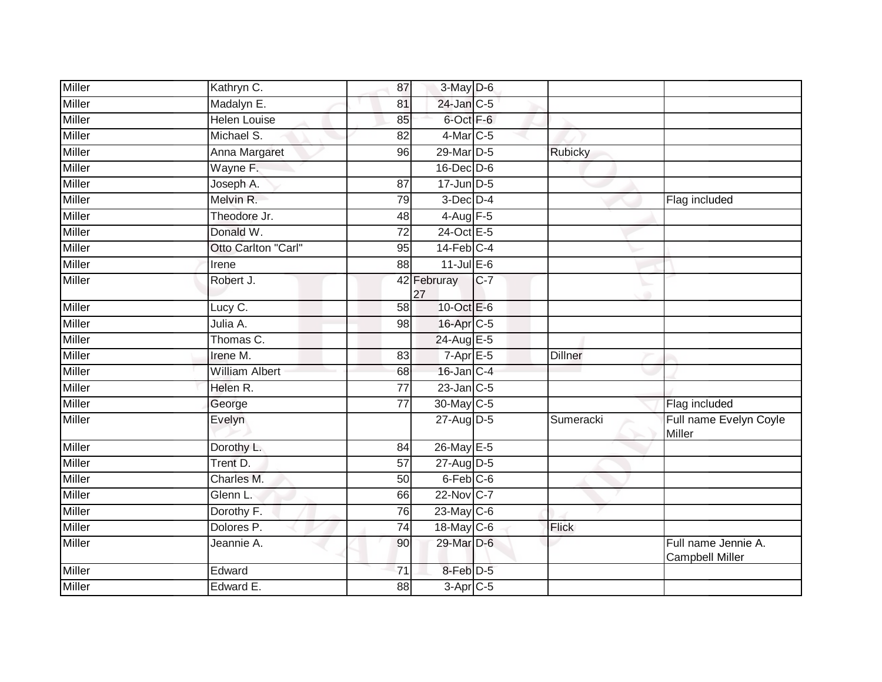| Miller        | Kathryn C.            | 87              | 3-May D-6              |       |                |                                               |
|---------------|-----------------------|-----------------|------------------------|-------|----------------|-----------------------------------------------|
| Miller        | Madalyn E.            | 81              | 24-Jan C-5             |       |                |                                               |
| <b>Miller</b> | <b>Helen Louise</b>   | 85              | 6-Oct F-6              |       |                |                                               |
| Miller        | Michael S.            | 82              | $4$ -Mar $C-5$         |       |                |                                               |
| <b>Miller</b> | Anna Margaret         | 96              | 29-Mar D-5             |       | <b>Rubicky</b> |                                               |
| <b>Miller</b> | Wayne F.              |                 | $16$ -Dec $D$ -6       |       |                |                                               |
| Miller        | Joseph A.             | 87              | $17$ -Jun $D-5$        |       |                |                                               |
| Miller        | Melvin R.             | 79              | $3$ -Dec $D-4$         |       |                | Flag included                                 |
| Miller        | Theodore Jr.          | 48              | $4-Aug$ F-5            |       |                |                                               |
| Miller        | Donald W.             | $\overline{72}$ | 24-Oct E-5             |       |                |                                               |
| Miller        | Otto Carlton "Carl"   | 95              | $14$ -Feb $C-4$        |       |                |                                               |
| <b>Miller</b> | Irene                 | 88              | $11$ -Jul $E-6$        |       |                |                                               |
| <b>Miller</b> | Robert J.             |                 | 42 Februray<br>27      | $C-7$ |                |                                               |
| Miller        | Lucy C.               | 58              | 10-Oct E-6             |       |                |                                               |
| Miller        | Julia A.              | 98              | 16-Apr C-5             |       |                |                                               |
| Miller        | Thomas C.             |                 | 24-Aug E-5             |       |                |                                               |
| <b>Miller</b> | Irene M.              | 83              | $7 - Apr$ E-5          |       | <b>Dillner</b> |                                               |
| Miller        | William Albert        | 68              | 16-Jan C-4             |       |                |                                               |
| <b>Miller</b> | Helen R.              | $\overline{77}$ | $23$ -Jan $C-5$        |       |                |                                               |
| <b>Miller</b> | George                | $\overline{77}$ | 30-May C-5             |       |                | Flag included                                 |
| Miller        | Evelyn                |                 | 27-Aug D-5             |       | Sumeracki      | Full name Evelyn Coyle<br>Miller              |
| Miller        | Dorothy L.            | 84              | 26-May E-5             |       |                |                                               |
| Miller        | Trent D.              | 57              | 27-Aug D-5             |       |                |                                               |
| Miller        | Charles M.            | 50              | 6-Feb <sup>C-6</sup>   |       |                |                                               |
| <b>Miller</b> | Glenn L.              | 66              | 22-Nov C-7             |       |                |                                               |
| Miller        | Dorothy <sub>F.</sub> | 76              | $23$ -May C-6          |       |                |                                               |
| Miller        | Dolores <sub>P.</sub> | 74              | 18-May C-6             |       | <b>Flick</b>   |                                               |
| Miller        | Jeannie A.            | 90              | 29-Mar D-6             |       |                | Full name Jennie A.<br><b>Campbell Miller</b> |
| <b>Miller</b> | Edward                | $\overline{71}$ | 8-Feb D-5              |       |                |                                               |
| <b>Miller</b> | Edward E.             | $\overline{88}$ | $3-Apr$ <sub>C-5</sub> |       |                |                                               |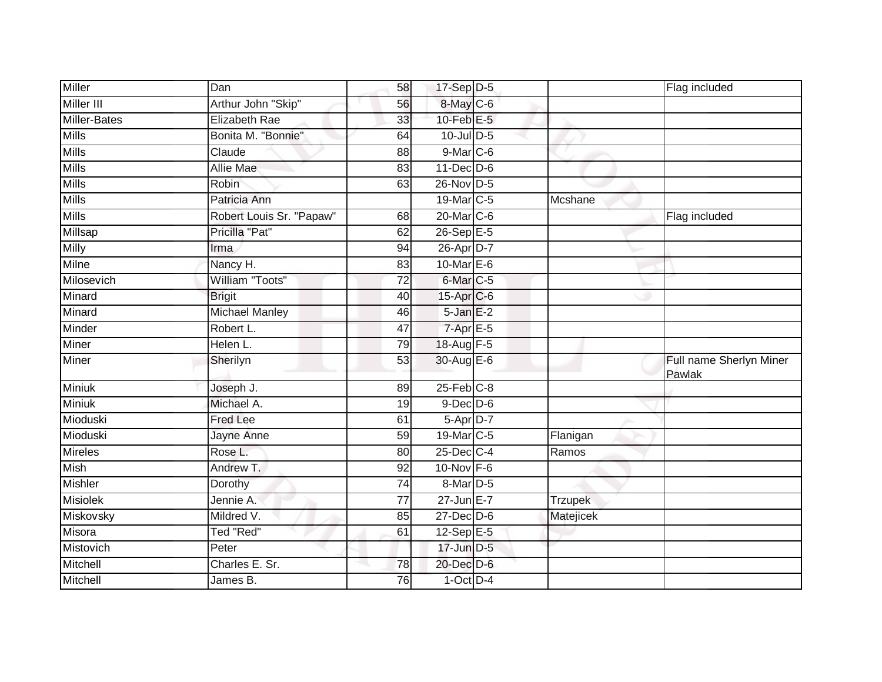| <b>Miller</b>       | Dan                      | 58              | 17-Sep D-5             |                | Flag included                     |
|---------------------|--------------------------|-----------------|------------------------|----------------|-----------------------------------|
| <b>Miller III</b>   | Arthur John "Skip"       | 56              | 8-May C-6              |                |                                   |
| <b>Miller-Bates</b> | Elizabeth Rae            | 33              | $10$ -Feb $E-5$        |                |                                   |
| <b>Mills</b>        | Bonita M. "Bonnie"       | 64              | $10$ -Jul $D-5$        |                |                                   |
| <b>Mills</b>        | Claude                   | 88              | 9-Mar C-6              |                |                                   |
| <b>Mills</b>        | <b>Allie Mae</b>         | 83              | $11$ -Dec $D-6$        |                |                                   |
| <b>Mills</b>        | Robin                    | 63              | 26-Nov D-5             |                |                                   |
| <b>Mills</b>        | Patricia Ann             |                 | 19-Mar C-5             | Mcshane        |                                   |
| <b>Mills</b>        | Robert Louis Sr. "Papaw" | 68              | 20-Mar C-6             |                | Flag included                     |
| Millsap             | Pricilla "Pat"           | 62              | $26-Sep$ E-5           |                |                                   |
| Milly               | Irma                     | 94              | 26-Apr D-7             |                |                                   |
| Milne               | Nancy H.                 | 83              | 10-Mar $E-6$           |                |                                   |
| Milosevich          | William "Toots"          | 72              | 6-Mar <sub>IC-5</sub>  |                |                                   |
| Minard              | <b>Brigit</b>            | 40              | 15-Apr C-6             |                |                                   |
| Minard              | <b>Michael Manley</b>    | 46              | $5 - Jan$ $E-2$        |                |                                   |
| Minder              | Robert L.                | 47              | $7-Apr$ E-5            |                |                                   |
| Miner               | Helen L.                 | 79              | 18-Aug F-5             |                |                                   |
| Miner               | Sherilyn                 | 53              | 30-Aug E-6             |                | Full name Sherlyn Miner<br>Pawlak |
| Miniuk              | Joseph J.                | 89              | $25$ -Feb $C-8$        |                |                                   |
| <b>Miniuk</b>       | Michael A.               | 19              | $9$ -Dec $D$ -6        |                |                                   |
| Mioduski            | <b>Fred Lee</b>          | 61              | $5 - Apr$ D-7          |                |                                   |
| Mioduski            | Jayne Anne               | 59              | 19-Mar <sub>IC-5</sub> | Flanigan       |                                   |
| <b>Mireles</b>      | Rose L.                  | 80              | 25-Dec C-4             | Ramos          |                                   |
| <b>Mish</b>         | Andrew T.                | 92              | $10$ -Nov F-6          |                |                                   |
| <b>Mishler</b>      | Dorothy                  | $\overline{74}$ | 8-Mar D-5              |                |                                   |
| <b>Misiolek</b>     | Jennie A.                | $\overline{77}$ | $27$ -Jun $E - 7$      | <b>Trzupek</b> |                                   |
| Miskovsky           | Mildred V.               | 85              | $27 - Dec$ $D-6$       | Matejicek      |                                   |
| Misora              | Ted "Red"                | 61              | 12-Sep E-5             |                |                                   |
| Mistovich           | Peter                    |                 | 17-Jun D-5             |                |                                   |
| Mitchell            | Charles E. Sr.           | 78              | 20-Dec D-6             |                |                                   |
| Mitchell            | James B.                 | 76              | $1$ -Oct $D-4$         |                |                                   |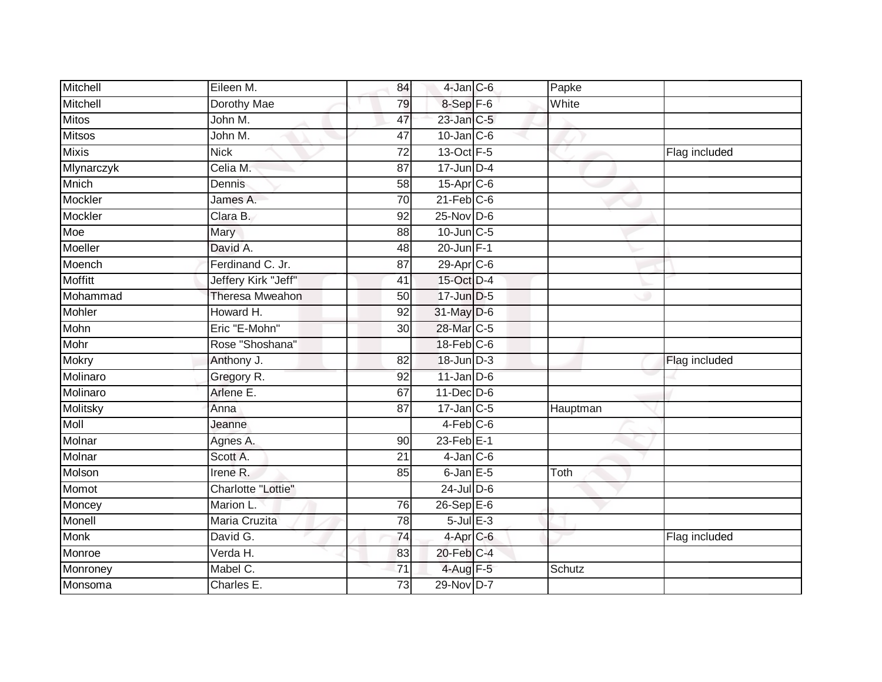| Mitchell       | Eileen M.              | 84              | $4$ -Jan $C$ -6        | Papke    |               |
|----------------|------------------------|-----------------|------------------------|----------|---------------|
| Mitchell       | Dorothy Mae            | 79              | 8-Sep F-6              | White    |               |
| <b>Mitos</b>   | John M.                | 47              | 23-Jan C-5             |          |               |
| <b>Mitsos</b>  | John M.                | 47              | $10$ -Jan $C$ -6       |          |               |
| <b>Mixis</b>   | <b>Nick</b>            | $\overline{72}$ | 13-Oct F-5             |          | Flag included |
| Mlynarczyk     | Celia M.               | 87              | $17$ -Jun $D-4$        |          |               |
| Mnich          | Dennis                 | 58              | 15-Apr <sub>IC-6</sub> |          |               |
| Mockler        | James A.               | $\overline{70}$ | $21$ -Feb $C-6$        |          |               |
| Mockler        | Clara B.               | 92              | $25$ -Nov D-6          |          |               |
| Moe            | Mary                   | 88              | 10-Jun C-5             |          |               |
| Moeller        | David A.               | 48              | 20-Jun F-1             |          |               |
| Moench         | Ferdinand C. Jr.       | $\overline{87}$ | 29-Apr C-6             |          |               |
| <b>Moffitt</b> | Jeffery Kirk "Jeff"    | 41              | 15-Oct D-4             |          |               |
| Mohammad       | <b>Theresa Mweahon</b> | 50              | 17-Jun D-5             |          |               |
| Mohler         | Howard H.              | 92              | 31-May D-6             |          |               |
| Mohn           | Eric "E-Mohn"          | 30              | 28-Mar <sub>C-5</sub>  |          |               |
| Mohr           | Rose "Shoshana"        |                 | $18$ -Feb $C$ -6       |          |               |
| Mokry          | Anthony J.             | 82              | 18-Jun D-3             |          | Flag included |
| Molinaro       | Gregory R.             | 92              | $11$ -Jan D-6          |          |               |
| Molinaro       | Arlene E.              | 67              | 11-Dec D-6             |          |               |
| Molitsky       | Anna                   | 87              | $17$ -Jan $C-5$        | Hauptman |               |
| Moll           | Jeanne                 |                 | $4-Feb$ $C-6$          |          |               |
| Molnar         | Agnes A.               | 90              | $23$ -Feb $E-1$        |          |               |
| Molnar         | Scott A.               | 21              | $4$ -Jan $C$ -6        |          |               |
| Molson         | Irene R.               | 85              | $6$ -Jan $E$ -5        | Toth     |               |
| Momot          | Charlotte "Lottie"     |                 | $24$ -Jul $D-6$        |          |               |
| Moncey         | Marion L.              | 76              | $26-Sep$ $E-6$         |          |               |
| Monell         | Maria Cruzita          | 78              | $5$ -Jul $E-3$         |          |               |
| <b>Monk</b>    | David G.               | 74              | $4-Apr$ C-6            |          | Flag included |
| Monroe         | Verda H.               | 83              | 20-Feb C-4             |          |               |
| Monroney       | Mabel C.               | 71              | 4-Aug F-5              | Schutz   |               |
| Monsoma        | Charles E.             | 73              | 29-Nov D-7             |          |               |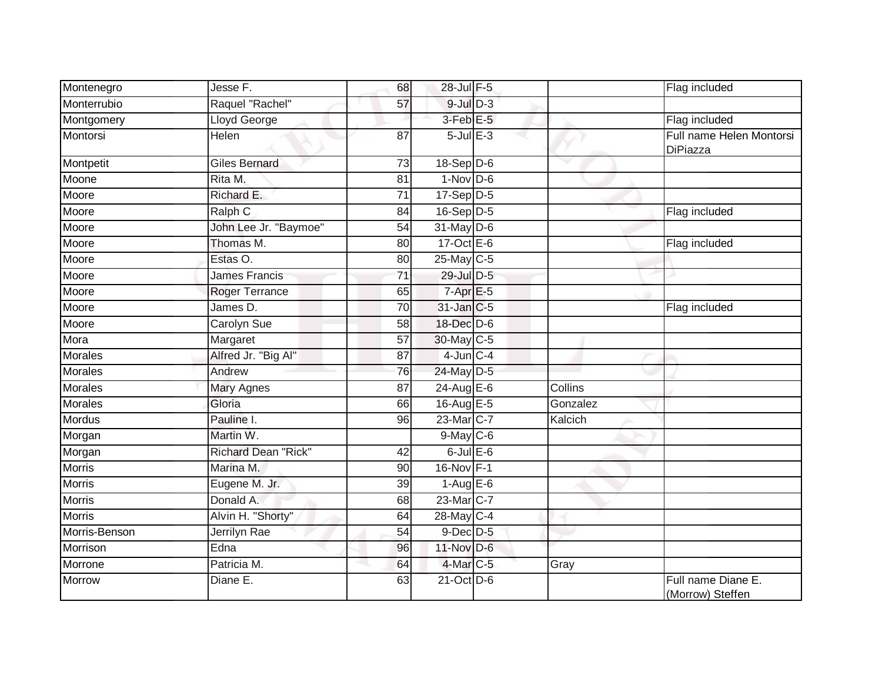| Montenegro     | Jesse F.                   | 68              | 28-Jul F-5             |          | Flag included                          |
|----------------|----------------------------|-----------------|------------------------|----------|----------------------------------------|
| Monterrubio    | Raquel "Rachel"            | 57              | $9$ -Jul $D-3$         |          |                                        |
| Montgomery     | Lloyd George               |                 | $3$ -Feb $E$ -5        |          | Flag included                          |
| Montorsi       | Helen                      | 87              | $5$ -Jul $E$ -3        |          | Full name Helen Montorsi<br>DiPiazza   |
| Montpetit      | Giles Bernard              | 73              | $18-Sep$ D-6           |          |                                        |
| Moone          | Rita M.                    | 81              | $1-Nov$ D-6            |          |                                        |
| Moore          | Richard E.                 | 71              | $17-Sep$ D-5           |          |                                        |
| Moore          | Ralph <sub>C</sub>         | 84              | $16-Sep$ D-5           |          | Flag included                          |
| Moore          | John Lee Jr. "Baymoe"      | 54              | $31$ -May D-6          |          |                                        |
| Moore          | Thomas M.                  | 80              | 17-Oct E-6             |          | Flag included                          |
| Moore          | Estas O.                   | 80              | 25-May C-5             |          |                                        |
| Moore          | <b>James Francis</b>       | $\overline{71}$ | 29-Jul D-5             |          |                                        |
| Moore          | Roger Terrance             | 65              | $7-AprE-5$             |          |                                        |
| Moore          | James D.                   | 70              | 31-Jan C-5             |          | Flag included                          |
| Moore          | <b>Carolyn Sue</b>         | 58              | 18-Dec D-6             |          |                                        |
| Mora           | Margaret                   | 57              | 30-May C-5             |          |                                        |
| Morales        | Alfred Jr. "Big Al"        | 87              | $4$ -Jun $C - 4$       |          |                                        |
| <b>Morales</b> | Andrew                     | 76              | 24-May D-5             |          |                                        |
| Morales        | Mary Agnes                 | 87              | 24-Aug $E-6$           | Collins  |                                        |
| <b>Morales</b> | Gloria                     | 66              | 16-Aug E-5             | Gonzalez |                                        |
| Mordus         | Pauline I.                 | 96              | 23-Mar C-7             | Kalcich  |                                        |
| Morgan         | Martin W.                  |                 | $9$ -May $C$ -6        |          |                                        |
| Morgan         | <b>Richard Dean "Rick"</b> | 42              | $6$ -Jul $E$ -6        |          |                                        |
| <b>Morris</b>  | Marina M.                  | 90              | 16-Nov F-1             |          |                                        |
| <b>Morris</b>  | Eugene M. Jr.              | 39              | $1-AugE-6$             |          |                                        |
| <b>Morris</b>  | Donald A.                  | 68              | 23-Mar <sub>IC-7</sub> |          |                                        |
| <b>Morris</b>  | Alvin H. "Shorty"          | 64              | 28-May C-4             |          |                                        |
| Morris-Benson  | Jerrilyn Rae               | 54              | $9$ -Dec $D$ -5        |          |                                        |
| Morrison       | Edna                       | 96              | 11-Nov D-6             |          |                                        |
| Morrone        | Patricia M.                | 64              | $4$ -Mar $C-5$         | Gray     |                                        |
| Morrow         | Diane E.                   | 63              | $21$ -Oct $D-6$        |          | Full name Diane E.<br>(Morrow) Steffen |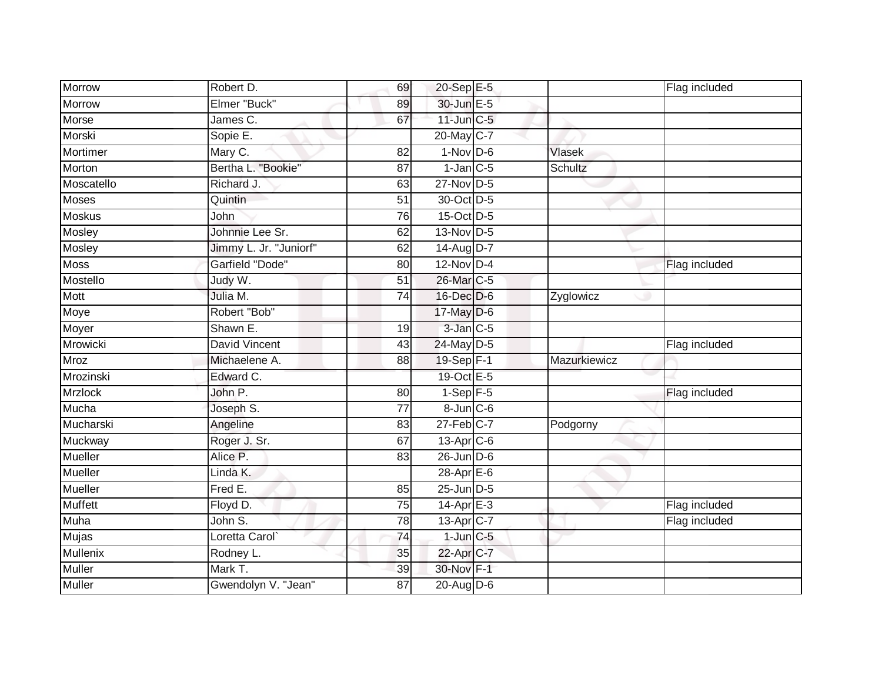| <b>Morrow</b>  | Robert D.              | 69              | 20-Sep E-5      |                | Flag included |
|----------------|------------------------|-----------------|-----------------|----------------|---------------|
| Morrow         | Elmer "Buck"           | 89              | 30-Jun E-5      |                |               |
| Morse          | James C.               | 67              | $11$ -Jun $C-5$ |                |               |
| Morski         | Sopie E.               |                 | 20-May C-7      |                |               |
| Mortimer       | Mary C.                | 82              | $1-Nov$ D-6     | <b>Vlasek</b>  |               |
| Morton         | Bertha L. "Bookie"     | 87              | $1$ -Jan $C$ -5 | <b>Schultz</b> |               |
| Moscatello     | Richard J.             | 63              | $27$ -Nov D-5   |                |               |
| <b>Moses</b>   | Quintin                | $\overline{51}$ | 30-Oct D-5      |                |               |
| <b>Moskus</b>  | John                   | 76              | 15-Oct D-5      |                |               |
| Mosley         | Johnnie Lee Sr.        | 62              | 13-Nov D-5      |                |               |
| Mosley         | Jimmy L. Jr. "Juniorf" | 62              | 14-Aug D-7      |                |               |
| <b>Moss</b>    | Garfield "Dode"        | 80              | $12$ -Nov D-4   |                | Flag included |
| Mostello       | Judy W.                | 51              | 26-Mar C-5      |                |               |
| Mott           | Julia M.               | 74              | 16-Dec D-6      | Zyglowicz      |               |
| Moye           | Robert "Bob"           |                 | 17-May D-6      |                |               |
| Moyer          | Shawn E.               | 19              | 3-Jan C-5       |                |               |
| Mrowicki       | <b>David Vincent</b>   | 43              | 24-May D-5      |                | Flag included |
| <b>Mroz</b>    | Michaelene A.          | 88              | 19-Sep F-1      | Mazurkiewicz   |               |
| Mrozinski      | Edward C.              |                 | 19-Oct E-5      |                |               |
| <b>Mrzlock</b> | John P.                | 80              | $1-Sep$ F-5     |                | Flag included |
| Mucha          | Joseph S.              | 77              | 8-Jun C-6       |                |               |
| Mucharski      | Angeline               | 83              | $27$ -Feb $C-7$ | Podgorny       |               |
| Muckway        | Roger J. Sr.           | 67              | 13-Apr C-6      |                |               |
| Mueller        | Alice P.               | 83              | $26$ -Jun $D-6$ |                |               |
| Mueller        | Linda K.               |                 | 28-Apr E-6      |                |               |
| <b>Mueller</b> | Fred E.                | 85              | $25$ -Jun $D-5$ |                |               |
| <b>Muffett</b> | Floyd D.               | 75              | $14-Apr$ $E-3$  |                | Flag included |
| <b>Muha</b>    | John S.                | 78              | 13-Apr C-7      |                | Flag included |
| <b>Mujas</b>   | Loretta Carol          | $\overline{74}$ | $1$ -Jun $C-5$  |                |               |
| Mullenix       | Rodney L.              | 35              | 22-Apr C-7      |                |               |
| Muller         | Mark T.                | 39              | 30-Nov F-1      |                |               |
| Muller         | Gwendolyn V. "Jean"    | 87              | 20-Aug D-6      |                |               |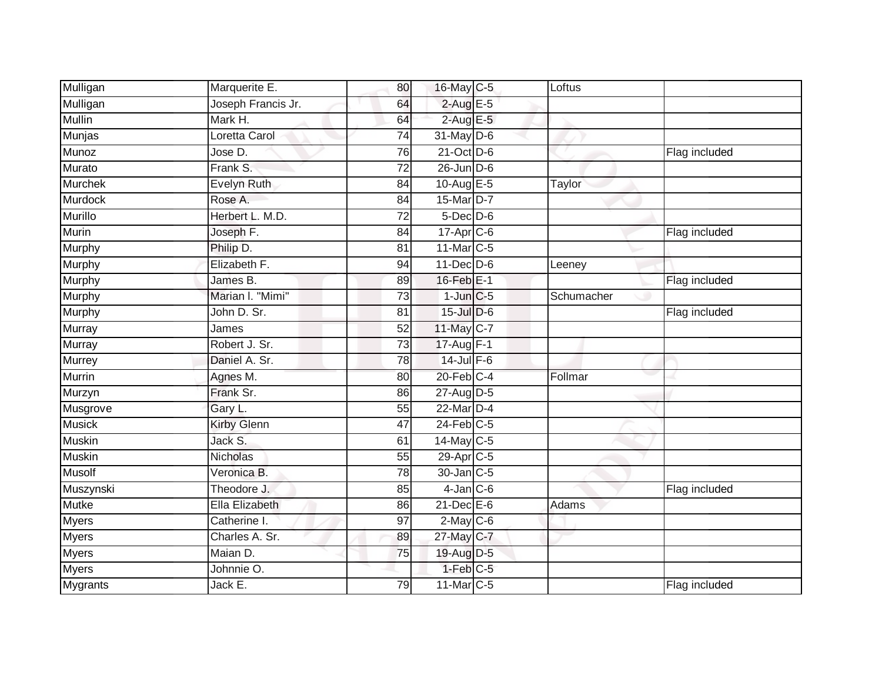| Mulligan       | Marquerite E.      | 80              | 16-May C-5      | Loftus     |               |
|----------------|--------------------|-----------------|-----------------|------------|---------------|
| Mulligan       | Joseph Francis Jr. | 64              | $2$ -Aug E-5    |            |               |
| <b>Mullin</b>  | Mark H.            | 64              | $2$ -Aug E-5    |            |               |
| Munjas         | Loretta Carol      | 74              | $31$ -May D-6   |            |               |
| Munoz          | Jose D.            | $\overline{76}$ | 21-Oct D-6      |            | Flag included |
| Murato         | Frank S.           | 72              | 26-Jun D-6      |            |               |
| Murchek        | Evelyn Ruth        | 84              | 10-Aug $E-5$    | Taylor     |               |
| Murdock        | Rose A.            | 84              | 15-Mar D-7      |            |               |
| <b>Murillo</b> | Herbert L. M.D.    | 72              | 5-Dec D-6       |            |               |
| Murin          | Joseph F.          | 84              | 17-Apr C-6      |            | Flag included |
| Murphy         | Philip D.          | 81              | 11-Mar C-5      |            |               |
| <b>Murphy</b>  | Elizabeth F.       | 94              | $11$ -Dec $D-6$ | Leeney     |               |
| Murphy         | James B.           | 89              | $16$ -Feb $E-1$ |            | Flag included |
| Murphy         | Marian I. "Mimi"   | 73              | $1$ -Jun $C$ -5 | Schumacher |               |
| <b>Murphy</b>  | John D. Sr.        | 81              | 15-Jul D-6      |            | Flag included |
| Murray         | James              | 52              | 11-May C-7      |            |               |
| <b>Murray</b>  | Robert J. Sr.      | 73              | 17-Aug F-1      |            |               |
| Murrey         | Daniel A. Sr.      | 78              | $14$ -Jul $F-6$ |            |               |
| Murrin         | Agnes M.           | 80              | $20$ -Feb $C-4$ | Follmar    |               |
| Murzyn         | Frank Sr.          | 86              | 27-Aug D-5      |            |               |
| Musgrove       | Gary L.            | 55              | 22-Mar D-4      |            |               |
| <b>Musick</b>  | Kirby Glenn        | 47              | $24$ -Feb $C-5$ |            |               |
| <b>Muskin</b>  | Jack S.            | 61              | $14$ -May C-5   |            |               |
| <b>Muskin</b>  | Nicholas           | 55              | 29-Apr C-5      |            |               |
| <b>Musolf</b>  | Veronica B.        | 78              | 30-Jan C-5      |            |               |
| Muszynski      | Theodore J.        | 85              | $4$ -Jan $C$ -6 |            | Flag included |
| <b>Mutke</b>   | Ella Elizabeth     | 86              | $21$ -Dec $E-6$ | Adams      |               |
| Myers          | Catherine I.       | 97              | $2$ -May C-6    |            |               |
| <b>Myers</b>   | Charles A. Sr.     | 89              | 27-May C-7      |            |               |
| <b>Myers</b>   | Maian D.           | 75              | 19-Aug D-5      |            |               |
| Myers          | Johnnie O.         |                 | $1-Feb$ $C-5$   |            |               |
| Mygrants       | Jack E.            | 79              | 11-Mar C-5      |            | Flag included |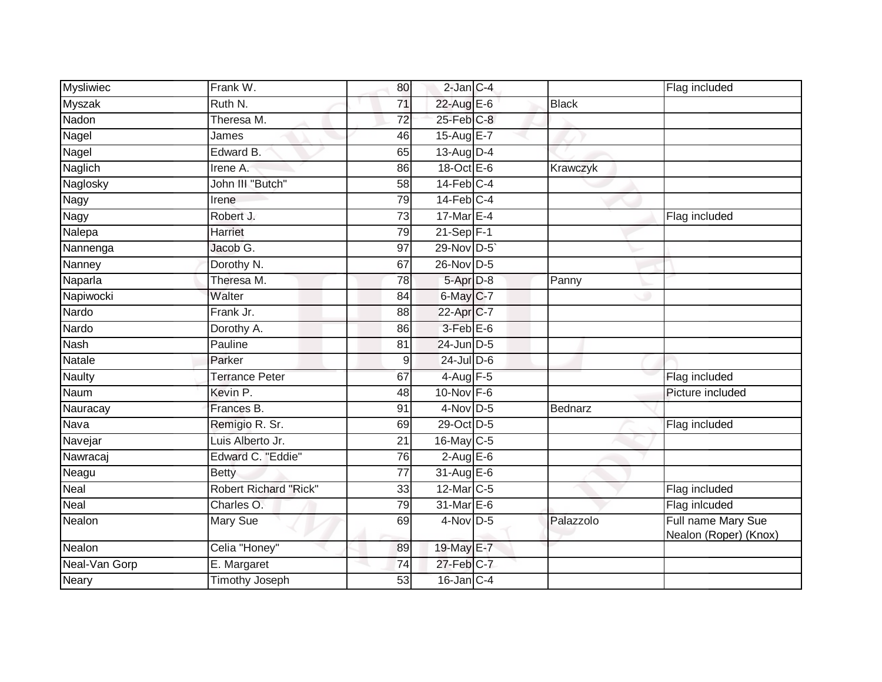| Mysliwiec     | Frank W.                     | 80              | 2-Jan C-4             |              | Flag included                               |
|---------------|------------------------------|-----------------|-----------------------|--------------|---------------------------------------------|
| <b>Myszak</b> | Ruth N.                      | 71              | 22-Aug E-6            | <b>Black</b> |                                             |
| Nadon         | Theresa M.                   | 72              | 25-Feb C-8            |              |                                             |
| Nagel         | James                        | 46              | 15-Aug $E-7$          |              |                                             |
| Nagel         | Edward B.                    | 65              | 13-Aug D-4            |              |                                             |
| Naglich       | Irene A.                     | 86              | $18$ -Oct $E - 6$     | Krawczyk     |                                             |
| Naglosky      | John III "Butch"             | 58              | $14$ -Feb $C-4$       |              |                                             |
| Nagy          | Irene                        | 79              | $14$ -Feb $C-4$       |              |                                             |
| Nagy          | Robert J.                    | 73              | 17-Mar E-4            |              | Flag included                               |
| Nalepa        | Harriet                      | 79              | $21-Sep$ F-1          |              |                                             |
| Nannenga      | Jacob G.                     | 97              | 29-Nov D-5            |              |                                             |
| Nanney        | Dorothy N.                   | 67              | 26-Nov D-5            |              |                                             |
| Naparla       | Theresa M.                   | 78              | $5-Apr$ D-8           | Panny        |                                             |
| Napiwocki     | Walter                       | 84              | 6-May C-7             |              |                                             |
| Nardo         | Frank Jr.                    | 88              | 22-Apr <sub>C-7</sub> |              |                                             |
| Nardo         | Dorothy A.                   | 86              | $3$ -Feb $E$ -6       |              |                                             |
| Nash          | Pauline                      | 81              | 24-Jun D-5            |              |                                             |
| Natale        | Parker                       | 9               | $24$ -Jul D-6         |              |                                             |
| <b>Naulty</b> | <b>Terrance Peter</b>        | 67              | $4$ -Aug $F-5$        |              | Flag included                               |
| Naum          | Kevin P.                     | 48              | 10-Nov F-6            |              | Picture included                            |
| Nauracay      | Frances B.                   | 91              | $4$ -Nov D-5          | Bednarz      |                                             |
| Nava          | Remigio R. Sr.               | 69              | 29-Oct D-5            |              | Flag included                               |
| Navejar       | Luis Alberto Jr.             | 21              | 16-May C-5            |              |                                             |
| Nawracaj      | Edward C. "Eddie"            | 76              | $2-AugE-6$            |              |                                             |
| Neagu         | <b>Betty</b>                 | $\overline{77}$ | $31-AugE-6$           |              |                                             |
| Neal          | <b>Robert Richard "Rick"</b> | 33              | 12-Mar C-5            |              | Flag included                               |
| Neal          | Charles O.                   | 79              | 31-Mar E-6            |              | Flag inlcuded                               |
| Nealon        | Mary Sue                     | 69              | $4$ -Nov D-5          | Palazzolo    | Full name Mary Sue<br>Nealon (Roper) (Knox) |
| Nealon        | Celia "Honey"                | 89              | 19-May E-7            |              |                                             |
| Neal-Van Gorp | E. Margaret                  | 74              | 27-Feb C-7            |              |                                             |
| <b>Neary</b>  | <b>Timothy Joseph</b>        | 53              | $16$ -Jan $C-4$       |              |                                             |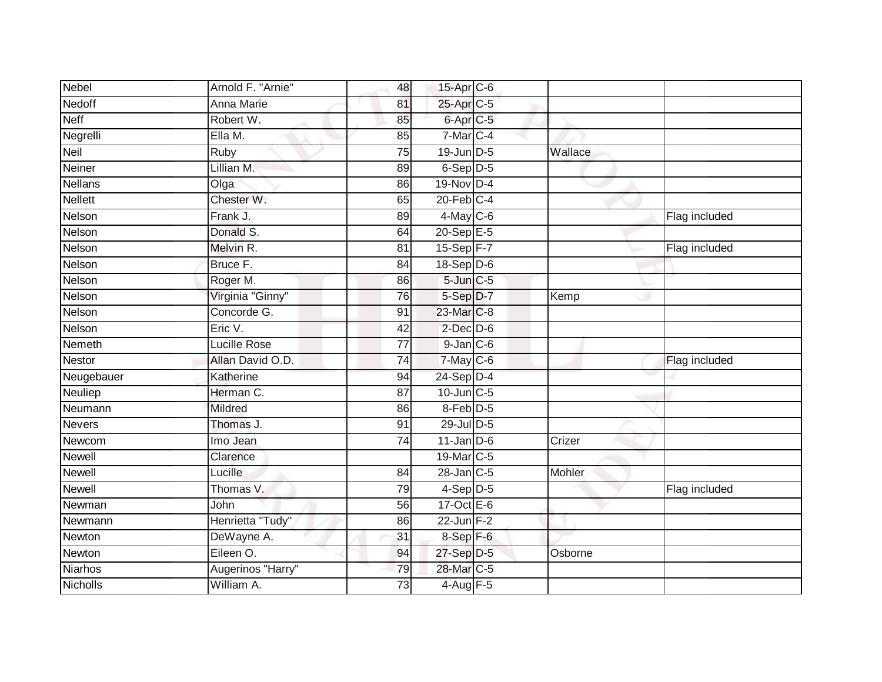| <b>Nebel</b>    | Arnold F. "Arnie"   | 48              | 15-Apr C-6       |         |               |
|-----------------|---------------------|-----------------|------------------|---------|---------------|
| Nedoff          | <b>Anna Marie</b>   | 81              | 25-Apr C-5       |         |               |
| <b>Neff</b>     | Robert W.           | 85              | $6$ -Apr $C$ -5  |         |               |
| Negrelli        | Ella M.             | 85              | 7-Mar C-4        |         |               |
| <b>Neil</b>     | <b>Ruby</b>         | 75              | 19-Jun D-5       | Wallace |               |
| Neiner          | Lillian M.          | 89              | 6-Sep D-5        |         |               |
| <b>Nellans</b>  | Olga                | 86              | 19-Nov D-4       |         |               |
| <b>Nellett</b>  | Chester W.          | 65              | $20$ -Feb $C-4$  |         |               |
| Nelson          | Frank J.            | 89              | 4-May C-6        |         | Flag included |
| Nelson          | Donald S.           | 64              | $20 - SepE-5$    |         |               |
| Nelson          | Melvin R.           | 81              | 15-Sep F-7       |         | Flag included |
| Nelson          | Bruce F.            | $\overline{84}$ | 18-Sep D-6       |         |               |
| Nelson          | Roger M.            | 86              | $5$ -Jun $C$ -5  |         |               |
| Nelson          | Virginia "Ginny"    | 76              | 5-Sep D-7        | Kemp    |               |
| Nelson          | Concorde G.         | $\overline{91}$ | 23-Mar C-8       |         |               |
| Nelson          | Eric V.             | 42              | $2$ -Dec $D$ -6  |         |               |
| Nemeth          | <b>Lucille Rose</b> | $\overline{77}$ | $9$ -Jan $C$ -6  |         |               |
| Nestor          | Allan David O.D.    | 74              | 7-May C-6        |         | Flag included |
| Neugebauer      | Katherine           | 94              | $24-Sep$ D-4     |         |               |
| Neuliep         | Herman C.           | 87              | 10-Jun C-5       |         |               |
| Neumann         | Mildred             | 86              | $8-Feb$ D-5      |         |               |
| <b>Nevers</b>   | Thomas J.           | 91              | 29-Jul D-5       |         |               |
| Newcom          | Imo Jean            | 74              | $11$ -Jan D-6    | Crizer  |               |
| Newell          | Clarence            |                 | 19-Mar C-5       |         |               |
| Newell          | Lucille             | 84              | $28$ -Jan $C$ -5 | Mohler  |               |
| <b>Newell</b>   | Thomas V.           | 79              | $4-Sep$ D-5      |         | Flag included |
| Newman          | <b>John</b>         | 56              | $17-Oct$ $E-6$   |         |               |
| Newmann         | Henrietta "Tudy"    | 86              | $22$ -Jun F-2    |         |               |
| Newton          | DeWayne A.          | 31              | 8-Sep F-6        |         |               |
| Newton          | Eileen O.           | 94              | 27-Sep D-5       | Osborne |               |
| Niarhos         | Augerinos "Harry"   | 79              | 28-Mar C-5       |         |               |
| <b>Nicholls</b> | William A.          | 73              | 4-Aug F-5        |         |               |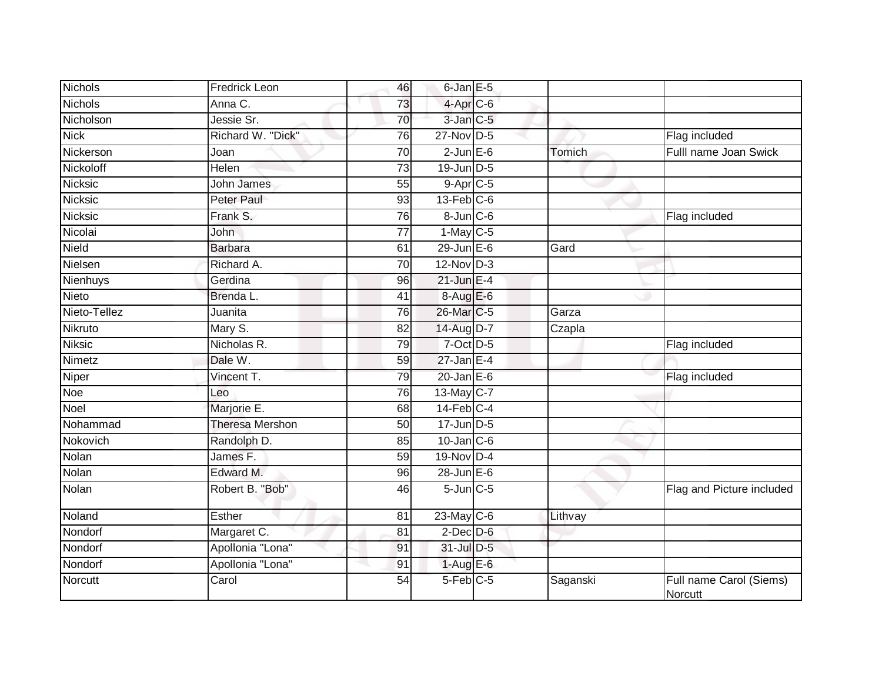| <b>Nichols</b> | Fredrick Leon          | 46              | $6$ -Jan $E$ -5   |          |                                    |
|----------------|------------------------|-----------------|-------------------|----------|------------------------------------|
| <b>Nichols</b> | Anna C.                | 73              | $4-AprC-6$        |          |                                    |
| Nicholson      | Jessie Sr.             | 70              | 3-Jan C-5         |          |                                    |
| <b>Nick</b>    | Richard W. "Dick"      | 76              | 27-Nov D-5        |          | Flag included                      |
| Nickerson      | Joan                   | 70              | $2$ -Jun $E$ -6   | Tomich   | Fulll name Joan Swick              |
| Nickoloff      | Helen                  | $\overline{73}$ | $19$ -Jun $D-5$   |          |                                    |
| Nicksic        | John James             | 55              | $9-Apr$ $C-5$     |          |                                    |
| Nicksic        | <b>Peter Paul</b>      | 93              | $13$ -Feb $C$ -6  |          |                                    |
| Nicksic        | Frank S.               | 76              | $8 - Jun$ $C - 6$ |          | Flag included                      |
| Nicolai        | John                   | 77              | $1-May$ C-5       |          |                                    |
| Nield          | <b>Barbara</b>         | 61              | $29$ -Jun $E-6$   | Gard     |                                    |
| Nielsen        | Richard A.             | 70              | $12$ -Nov $D-3$   |          |                                    |
| Nienhuys       | Gerdina                | 96              | $21$ -Jun E-4     |          |                                    |
| Nieto          | Brenda L.              | 41              | 8-Aug E-6         |          |                                    |
| Nieto-Tellez   | Juanita                | $\overline{76}$ | 26-Mar C-5        | Garza    |                                    |
| Nikruto        | Mary S.                | 82              | 14-Aug D-7        | Czapla   |                                    |
| <b>Niksic</b>  | Nicholas R.            | 79              | $7$ -Oct $D-5$    |          | Flag included                      |
| Nimetz         | Dale W.                | 59              | $27$ -Jan E-4     |          |                                    |
| Niper          | Vincent T.             | 79              | $20$ -Jan $E-6$   |          | Flag included                      |
| Noe            | Leo                    | 76              | 13-May C-7        |          |                                    |
| Noel           | Marjorie E.            | 68              | $14$ -Feb $C-4$   |          |                                    |
| Nohammad       | <b>Theresa Mershon</b> | 50              | $17$ -Jun $D-5$   |          |                                    |
| Nokovich       | Randolph D.            | 85              | $10$ -Jan $C$ -6  |          |                                    |
| Nolan          | James F.               | 59              | 19-Nov D-4        |          |                                    |
| Nolan          | Edward M.              | 96              | $28$ -Jun $E$ -6  |          |                                    |
| Nolan          | Robert B. "Bob"        | 46              | $5$ -Jun $C$ -5   |          | Flag and Picture included          |
| Noland         | Esther                 | 81              | $23$ -May C-6     | Lithvay  |                                    |
| Nondorf        | Margaret C.            | 81              | $2$ -Dec $D-6$    |          |                                    |
| Nondorf        | Apollonia "Lona"       | 91              | 31-Jul D-5        |          |                                    |
| Nondorf        | Apollonia "Lona"       | 91              | $1-AugE-6$        |          |                                    |
| <b>Norcutt</b> | Carol                  | 54              | 5-Feb C-5         | Saganski | Full name Carol (Siems)<br>Norcutt |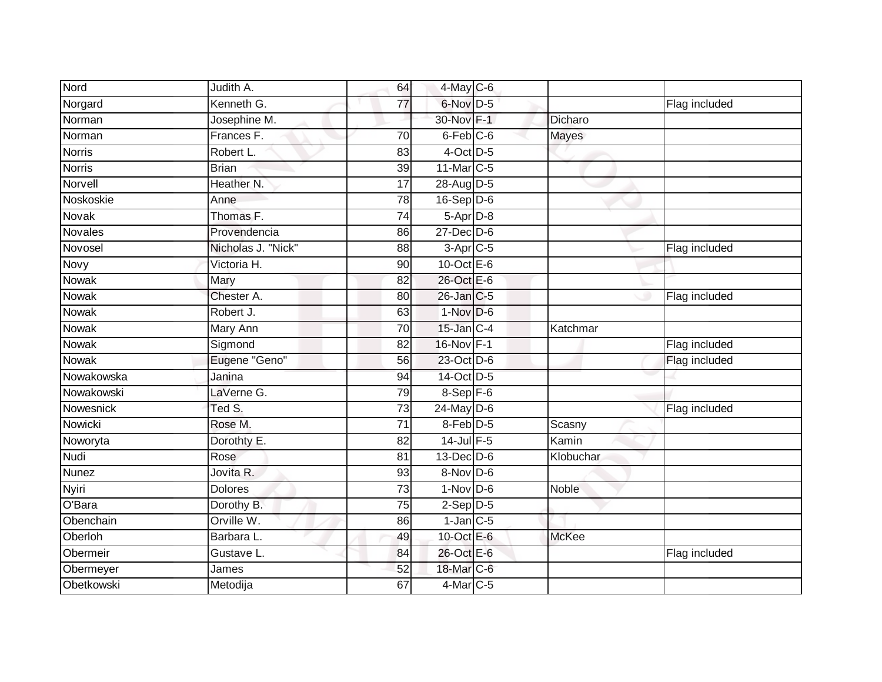| Nord          | Judith A.             | 64              | $4$ -May $C$ -6      |              |               |
|---------------|-----------------------|-----------------|----------------------|--------------|---------------|
| Norgard       | Kenneth G.            | 77              | 6-Nov D-5            |              | Flag included |
| Norman        | Josephine M.          |                 | 30-Nov F-1           | Dicharo      |               |
| Norman        | Frances F.            | 70              | $6$ -Feb $C$ -6      | Mayes        |               |
| <b>Norris</b> | Robert L.             | 83              | $4$ -Oct D-5         |              |               |
| <b>Norris</b> | <b>Brian</b>          | 39              | 11-Mar C-5           |              |               |
| Norvell       | Heather <sub>N.</sub> | 17              | 28-Aug D-5           |              |               |
| Noskoskie     | Anne                  | 78              | $16-Sep$ D-6         |              |               |
| Novak         | Thomas F.             | 74              | 5-Apr D-8            |              |               |
| Novales       | Provendencia          | 86              | $27$ -Dec $D-6$      |              |               |
| Novosel       | Nicholas J. "Nick"    | 88              | $3-Apr$ $C-5$        |              | Flag included |
| Novy          | Victoria H.           | 90              | 10-Oct $E-6$         |              |               |
| Nowak         | Mary                  | 82              | 26-Oct E-6           |              |               |
| Nowak         | Chester A.            | 80              | 26-Jan C-5           |              | Flag included |
| <b>Nowak</b>  | Robert J.             | 63              | $1-Nov$ D-6          |              |               |
| Nowak         | Mary Ann              | 70              | $15$ -Jan $C-4$      | Katchmar     |               |
| <b>Nowak</b>  | Sigmond               | 82              | 16-Nov F-1           |              | Flag included |
| Nowak         | Eugene "Geno"         | 56              | 23-Oct D-6           |              | Flag included |
| Nowakowska    | Janina                | 94              | 14-Oct D-5           |              |               |
| Nowakowski    | LaVerne G.            | 79              | $8-$ Sep $F-6$       |              |               |
| Nowesnick     | Ted S.                | 73              | 24-May D-6           |              | Flag included |
| Nowicki       | Rose M.               | $\overline{71}$ | $8$ -Feb $D-5$       | Scasny       |               |
| Noworyta      | Dorothty E.           | 82              | $14$ -Jul $F-5$      | Kamin        |               |
| <b>Nudi</b>   | Rose                  | 81              | $13$ -Dec $D-6$      | Klobuchar    |               |
| Nunez         | Jovita R.             | 93              | 8-Nov D-6            |              |               |
| Nyiri         | <b>Dolores</b>        | 73              | $1-Nov$ D-6          | Noble        |               |
| O'Bara        | Dorothy B.            | 75              | $2-Sep$ D-5          |              |               |
| Obenchain     | Orville W.            | 86              | $1$ -Jan $C$ -5      |              |               |
| Oberloh       | Barbara L.            | 49              | 10-Oct E-6           | <b>McKee</b> |               |
| Obermeir      | Gustave L.            | 84              | 26-Oct E-6           |              | Flag included |
| Obermeyer     | James                 | 52              | 18-Mar C-6           |              |               |
| Obetkowski    | Metodija              | 67              | 4-Mar <sub>C-5</sub> |              |               |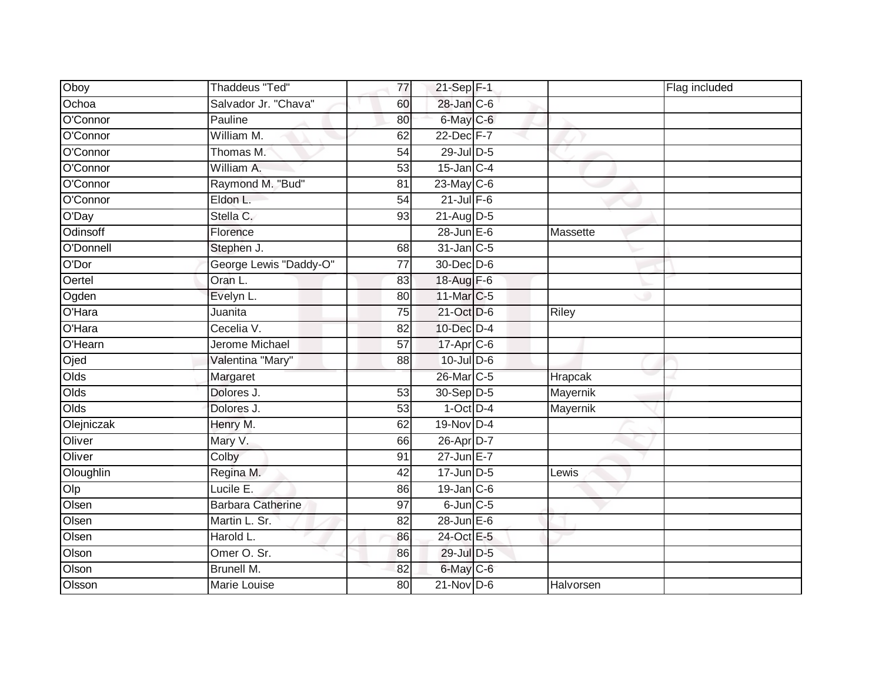| Oboy       | Thaddeus "Ted"           | 77              | 21-Sep F-1       | Flag included |  |
|------------|--------------------------|-----------------|------------------|---------------|--|
| Ochoa      | Salvador Jr. "Chava"     | 60              | 28-Jan C-6       |               |  |
| O'Connor   | Pauline                  | 80              | 6-May C-6        |               |  |
| O'Connor   | William M.               | 62              | 22-Dec F-7       |               |  |
| O'Connor   | Thomas M.                | $\overline{54}$ | 29-Jul D-5       |               |  |
| O'Connor   | William A.               | 53              | $15$ -Jan C-4    |               |  |
| O'Connor   | Raymond M. "Bud"         | 81              | 23-May C-6       |               |  |
| O'Connor   | Eldon L.                 | 54              | $21$ -Jul $F-6$  |               |  |
| O'Day      | Stella C.                | 93              | 21-Aug D-5       |               |  |
| Odinsoff   | Florence                 |                 | $28$ -Jun $E-6$  | Massette      |  |
| O'Donnell  | Stephen J.               | 68              | $31$ -Jan C-5    |               |  |
| O'Dor      | George Lewis "Daddy-O"   | $\overline{77}$ | 30-Dec D-6       |               |  |
| Oertel     | Oran L.                  | 83              | 18-Aug F-6       |               |  |
| Ogden      | Evelyn L.                | 80              | 11-Mar C-5       |               |  |
| O'Hara     | Juanita                  | 75              | 21-Oct D-6       | <b>Riley</b>  |  |
| O'Hara     | Cecelia V.               | 82              | 10-Dec D-4       |               |  |
| O'Hearn    | Jerome Michael           | $\overline{57}$ | 17-Apr C-6       |               |  |
| Ojed       | Valentina "Mary"         | 88              | $10$ -Jul $D-6$  |               |  |
| Olds       | Margaret                 |                 | 26-Mar C-5       | Hrapcak       |  |
| Olds       | Dolores J.               | 53              | 30-Sep D-5       | Mayernik      |  |
| Olds       | Dolores J.               | 53              | $1-Oct$ D-4      | Mayernik      |  |
| Olejniczak | Henry M.                 | 62              | 19-Nov D-4       |               |  |
| Oliver     | Mary V.                  | 66              | 26-Apr D-7       |               |  |
| Oliver     | Colby                    | 91              | $27$ -Jun $E-7$  |               |  |
| Oloughlin  | Regina M.                | 42              | $17$ -Jun D-5    | Lewis         |  |
| Olp        | Lucile E.                | 86              | $19$ -Jan $C$ -6 |               |  |
| Olsen      | <b>Barbara Catherine</b> | $\overline{97}$ | $6$ -Jun $C$ -5  |               |  |
| Olsen      | Martin L. Sr.            | 82              | $28$ -Jun $E-6$  |               |  |
| Olsen      | Harold L.                | 86              | 24-Oct E-5       |               |  |
| Olson      | Omer O. Sr.              | 86              | 29-Jul D-5       |               |  |
| Olson      | Brunell M.               | 82              | 6-May C-6        |               |  |
| Olsson     | Marie Louise             | 80              | $21-Nov$ D-6     | Halvorsen     |  |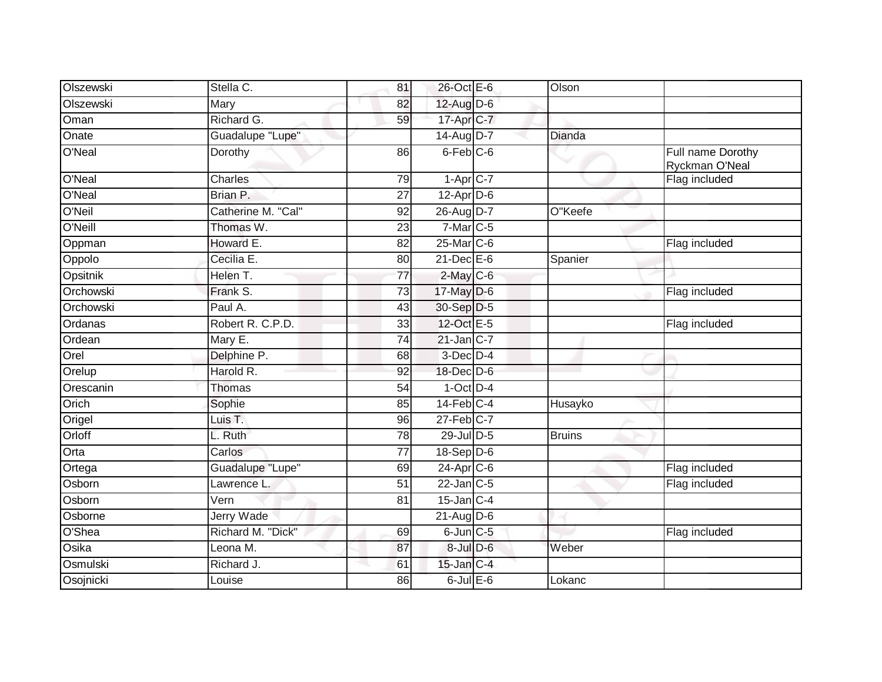| Olszewski | Stella C.          | 81              | 26-Oct E-6            | Olson         |                                     |
|-----------|--------------------|-----------------|-----------------------|---------------|-------------------------------------|
| Olszewski | Mary               | 82              | 12-Aug D-6            |               |                                     |
| Oman      | Richard G.         | 59              | 17-Apr C-7            |               |                                     |
| Onate     | Guadalupe "Lupe"   |                 | 14-Aug D-7            | Dianda        |                                     |
| O'Neal    | Dorothy            | 86              | 6-Feb C-6             |               | Full name Dorothy<br>Ryckman O'Neal |
| O'Neal    | Charles            | $\overline{79}$ | $1 -$ Apr $C - 7$     |               | Flag included                       |
| O'Neal    | Brian P.           | 27              | 12-Apr D-6            |               |                                     |
| O'Neil    | Catherine M. "Cal" | 92              | 26-Aug D-7            | O"Keefe       |                                     |
| O'Neill   | Thomas W.          | 23              | 7-Mar C-5             |               |                                     |
| Oppman    | Howard E.          | 82              | 25-Mar C-6            |               | Flag included                       |
| Oppolo    | Cecilia E.         | 80              | $21$ -Dec $E-6$       | Spanier       |                                     |
| Opsitnik  | Helen T.           | 77              | $2$ -May C-6          |               |                                     |
| Orchowski | Frank S.           | $\overline{73}$ | 17-May D-6            |               | Flag included                       |
| Orchowski | Paul A.            | 43              | 30-Sep D-5            |               |                                     |
| Ordanas   | Robert R. C.P.D.   | 33              | 12-Oct E-5            |               | Flag included                       |
| Ordean    | Mary E.            | 74              | $21$ -Jan $C-7$       |               |                                     |
| Orel      | Delphine P.        | 68              | $3$ -Dec $D-4$        |               |                                     |
| Orelup    | Harold R.          | 92              | 18-Dec D-6            |               |                                     |
| Orescanin | <b>Thomas</b>      | 54              | $1-Oct$ D-4           |               |                                     |
| Orich     | Sophie             | 85              | $14$ -Feb $C-4$       | Husayko       |                                     |
| Origel    | Luis T.            | 96              | $27$ -Feb $C-7$       |               |                                     |
| Orloff    | L. Ruth            | 78              | 29-Jul D-5            | <b>Bruins</b> |                                     |
| Orta      | Carlos             | 77              | $18-Sep$ D-6          |               |                                     |
| Ortega    | Guadalupe "Lupe"   | 69              | 24-Apr <sub>C-6</sub> |               | Flag included                       |
| Osborn    | Lawrence L.        | $\overline{51}$ | $22$ -Jan $C-5$       |               | Flag included                       |
| Osborn    | Vern               | 81              | $15$ -Jan $ C-4 $     |               |                                     |
| Osborne   | <b>Jerry Wade</b>  |                 | $21 - \text{Aug}$ D-6 |               |                                     |
| O'Shea    | Richard M. "Dick"  | 69              | $6$ -Jun $C$ -5       |               | Flag included                       |
| Osika     | Leona M.           | 87              | $8$ -Jul $D$ -6       | Weber         |                                     |
| Osmulski  | Richard J.         | 61              | $15$ -Jan $C-4$       |               |                                     |
| Osojnicki | Louise             | 86              | $6$ -Jul $E$ -6       | Lokanc        |                                     |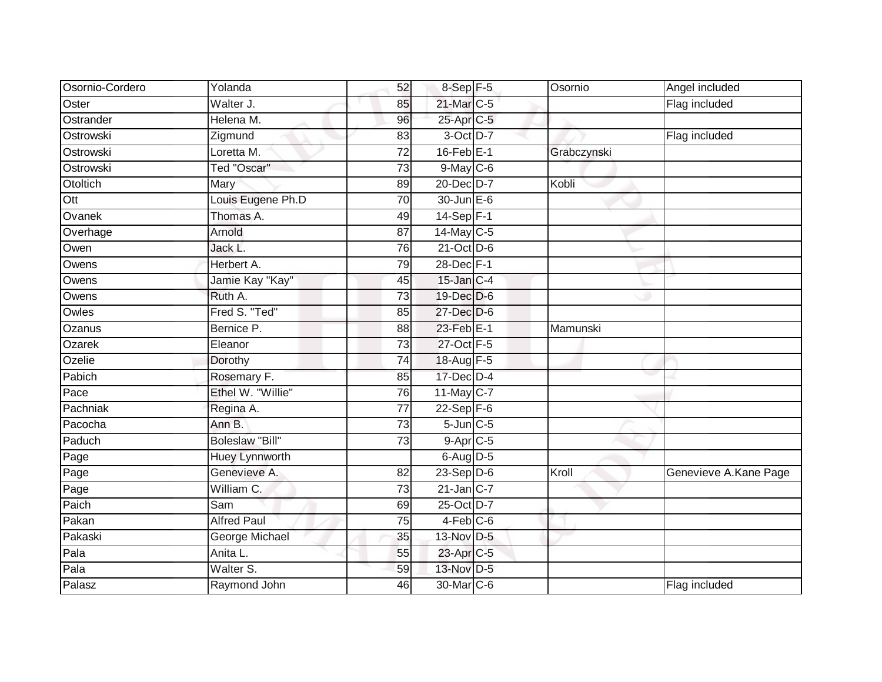| Osornio-Cordero  | Yolanda                | 52              | 8-Sep F-5          | Osornio     | Angel included        |
|------------------|------------------------|-----------------|--------------------|-------------|-----------------------|
| Oster            | Walter J.              | 85              | 21-Mar C-5         |             | Flag included         |
| Ostrander        | Helena M.              | 96              | 25-Apr C-5         |             |                       |
| Ostrowski        | Zigmund                | 83              | 3-Oct D-7          |             | Flag included         |
| Ostrowski        | Loretta M.             | $\overline{72}$ | $16$ -Feb $E-1$    | Grabczynski |                       |
| Ostrowski        | Ted "Oscar"            | 73              | $9$ -May $C$ -6    |             |                       |
| Otoltich         | Mary                   | 89              | 20-Dec D-7         | Kobli       |                       |
| $\overline{Ott}$ | Louis Eugene Ph.D      | 70              | $30 - Jun \tE - 6$ |             |                       |
| Ovanek           | Thomas A.              | 49              | $14-Sep$ F-1       |             |                       |
| Overhage         | Arnold                 | $\overline{87}$ | 14-May C-5         |             |                       |
| Owen             | Jack L.                | 76              | $21$ -Oct D-6      |             |                       |
| Owens            | Herbert A.             | 79              | 28-Dec F-1         |             |                       |
| Owens            | Jamie Kay "Kay"        | 45              | $15$ -Jan $C-4$    |             |                       |
| Owens            | Ruth A.                | $\overline{73}$ | 19-Dec D-6         |             |                       |
| Owles            | Fred S. "Ted"          | 85              | 27-Dec D-6         |             |                       |
| Ozanus           | Bernice P.             | 88              | 23-Feb E-1         | Mamunski    |                       |
| Ozarek           | Eleanor                | 73              | 27-Oct F-5         |             |                       |
| Ozelie           | Dorothy                | 74              | 18-Aug F-5         |             |                       |
| Pabich           | Rosemary F.            | 85              | 17-Dec D-4         |             |                       |
| Pace             | Ethel W. "Willie"      | 76              | 11-May C-7         |             |                       |
| Pachniak         | Regina A.              | 77              | $22-Sep$ F-6       |             |                       |
| Pacocha          | Ann B.                 | $\overline{73}$ | $5$ -Jun $C$ -5    |             |                       |
| Paduch           | <b>Boleslaw "Bill"</b> | 73              | $9-AprC-5$         |             |                       |
| Page             | <b>Huey Lynnworth</b>  |                 | $6$ -Aug $D-5$     |             |                       |
| Page             | Genevieve A.           | 82              | $23-Sep$ D-6       | Kroll       | Genevieve A.Kane Page |
| Page             | William C.             | 73              | $21$ -Jan $C-7$    |             |                       |
| Paich            | Sam                    | 69              | 25-Oct D-7         |             |                       |
| Pakan            | <b>Alfred Paul</b>     | 75              | $4-Feb$ $C-6$      |             |                       |
| Pakaski          | George Michael         | 35              | 13-Nov D-5         |             |                       |
| Pala             | Anita L.               | 55              | 23-Apr C-5         |             |                       |
| Pala             | Walter S.              | 59              | 13-Nov D-5         |             |                       |
| Palasz           | Raymond John           | 46              | 30-Mar C-6         |             | Flag included         |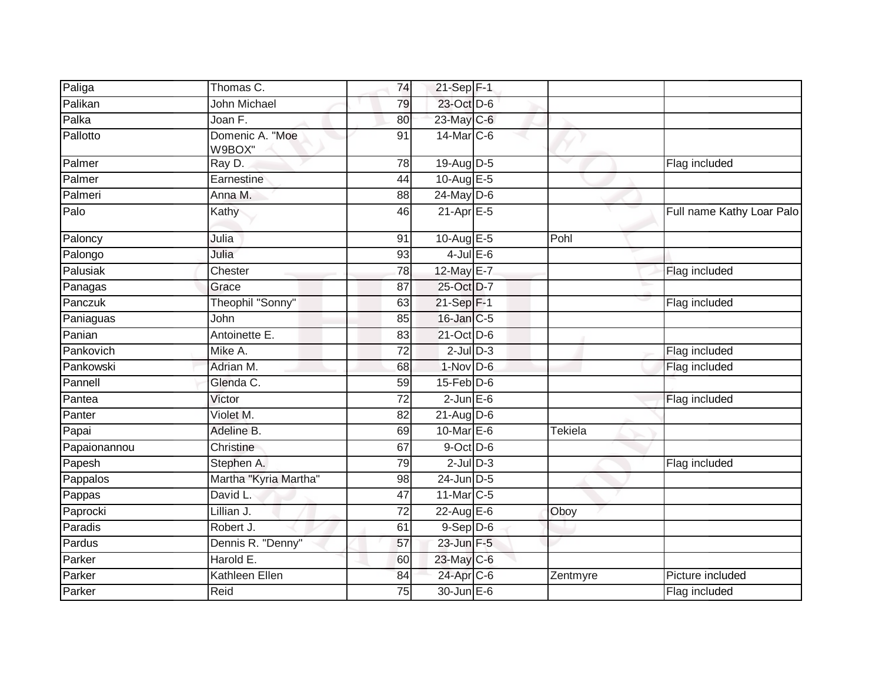| Paliga       | Thomas C.                 | 74 | $21-Sep$ F-1               |                                |                           |
|--------------|---------------------------|----|----------------------------|--------------------------------|---------------------------|
| Palikan      | John Michael              | 79 | 23-Oct D-6                 |                                |                           |
| Palka        | Joan F.                   | 80 | 23-May C-6                 |                                |                           |
| Pallotto     | Domenic A. "Moe<br>W9BOX" | 91 | $14$ -Mar $ C-6$           |                                |                           |
| Palmer       | Ray D.                    | 78 | 19-Aug D-5                 |                                | Flag included             |
| Palmer       | Earnestine                | 44 | 10-Aug E-5                 |                                |                           |
| Palmeri      | Anna M.                   | 88 | $24$ -May D-6              |                                |                           |
| Palo         | Kathy                     | 46 | $21-Apr \nightharpoonup 5$ |                                | Full name Kathy Loar Palo |
| Paloncy      | Julia                     | 91 | 10-Aug E-5                 | Pohl                           |                           |
| Palongo      | Julia                     | 93 | $4$ -Jul $E$ -6            |                                |                           |
| Palusiak     | Chester                   | 78 | 12-May E-7                 |                                | Flag included             |
| Panagas      | Grace                     | 87 | 25-Oct D-7                 |                                |                           |
| Panczuk      | Theophil "Sonny"          | 63 | $21-Sep$ F-1               |                                | Flag included             |
| Paniaguas    | John                      | 85 | $16$ -Jan $C-5$            |                                |                           |
| Panian       | Antoinette E.             | 83 | 21-Oct D-6                 |                                |                           |
| Pankovich    | Mike A.                   | 72 | $2$ -Jul $D-3$             |                                | Flag included             |
| Pankowski    | Adrian M.                 | 68 | $1-Nov$ D-6                |                                | Flag included             |
| Pannell      | Glenda C.                 | 59 | $15$ -Feb $D-6$            |                                |                           |
| Pantea       | Victor                    | 72 | $2$ -Jun $E$ -6            |                                | Flag included             |
| Panter       | Violet M.                 | 82 | $21$ -Aug D-6              |                                |                           |
| Papai        | Adeline B.                | 69 | 10-Mar $E-6$               | $\overline{\mathsf{T}}$ ekiela |                           |
| Papaionannou | Christine                 | 67 | $9$ -Oct $D$ -6            |                                |                           |
| Papesh       | Stephen A.                | 79 | $2$ -Jul $D-3$             |                                | Flag included             |
| Pappalos     | Martha "Kyria Martha"     | 98 | 24-Jun D-5                 |                                |                           |
| Pappas       | David L.                  | 47 | 11-Mar C-5                 |                                |                           |
| Paprocki     | Lillian J.                | 72 | 22-Aug E-6                 | Oboy                           |                           |
| Paradis      | Robert J.                 | 61 | $9-Sep D-6$                |                                |                           |
| Pardus       | Dennis R. "Denny"         | 57 | 23-Jun F-5                 |                                |                           |
| Parker       | Harold E.                 | 60 | $23$ -May C-6              |                                |                           |
| Parker       | <b>Kathleen Ellen</b>     | 84 | 24-Apr C-6                 | Zentmyre                       | Picture included          |
| Parker       | Reid                      | 75 | 30-Jun E-6                 |                                | Flag included             |
|              |                           |    |                            |                                |                           |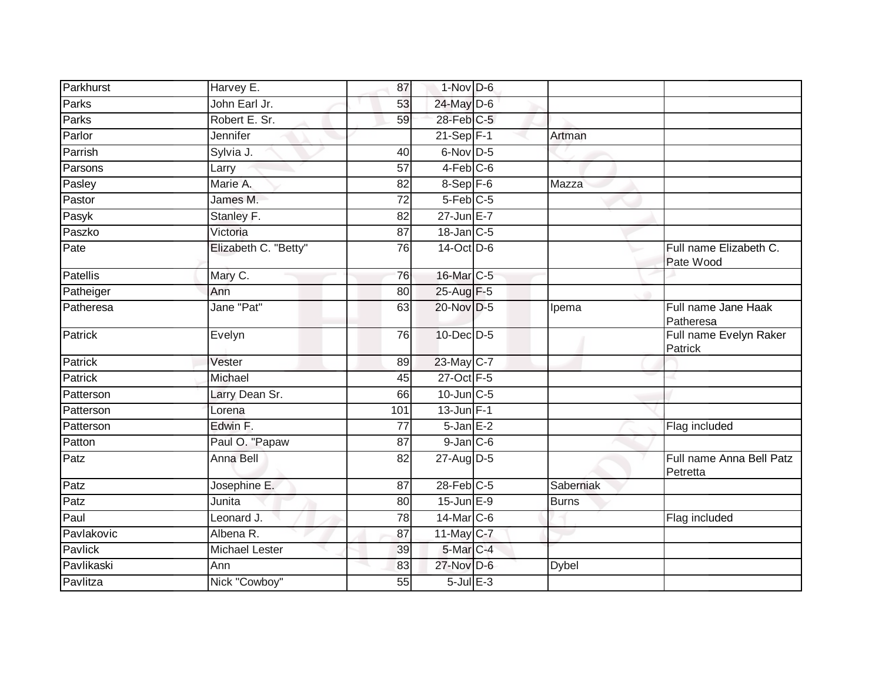| Parkhurst       | Harvey E.             | 87  | $1-Nov$ D-6     |              |                                      |
|-----------------|-----------------------|-----|-----------------|--------------|--------------------------------------|
| Parks           | John Earl Jr.         | 53  | 24-May D-6      |              |                                      |
| Parks           | Robert E. Sr.         | 59  | 28-Feb C-5      |              |                                      |
| Parlor          | Jennifer              |     | $21-Sep$ F-1    | Artman       |                                      |
| Parrish         | Sylvia J.             | 40  | 6-Nov D-5       |              |                                      |
| Parsons         | Larry                 | 57  | $4-Feb$ C-6     |              |                                      |
| Pasley          | Marie A.              | 82  | $8-Sep$ F-6     | Mazza        |                                      |
| Pastor          | James M.              | 72  | $5-Feb$ C-5     |              |                                      |
| Pasyk           | Stanley F.            | 82  | 27-Jun E-7      |              |                                      |
| Paszko          | Victoria              | 87  | 18-Jan C-5      |              |                                      |
| Pate            | Elizabeth C. "Betty"  | 76  | 14-Oct D-6      |              | Full name Elizabeth C.<br>Pate Wood  |
| <b>Patellis</b> | Mary C.               | 76  | 16-Mar C-5      |              |                                      |
| Patheiger       | Ann                   | 80  | 25-Aug F-5      |              |                                      |
| Patheresa       | Jane "Pat"            | 63  | 20-Nov D-5      | Ipema        | Full name Jane Haak<br>Patheresa     |
| Patrick         | Evelyn                | 76  | 10-Dec D-5      |              | Full name Evelyn Raker<br>Patrick    |
| Patrick         | Vester                | 89  | 23-May C-7      |              |                                      |
| <b>Patrick</b>  | Michael               | 45  | 27-Oct F-5      |              |                                      |
| Patterson       | Larry Dean Sr.        | 66  | $10$ -Jun $C-5$ |              |                                      |
| Patterson       | Lorena                | 101 | $13$ -Jun $F-1$ |              |                                      |
| Patterson       | Edwin F.              | 77  | $5 - JanE-2$    |              | Flag included                        |
| Patton          | Paul O. "Papaw        | 87  | $9$ -Jan $C$ -6 |              |                                      |
| Patz            | Anna Bell             | 82  | 27-Aug D-5      |              | Full name Anna Bell Patz<br>Petretta |
| Patz            | Josephine E.          | 87  | $28$ -Feb $C-5$ | Saberniak    |                                      |
| Patz            | Junita                | 80  | $15$ -Jun $E-9$ | <b>Burns</b> |                                      |
| Paul            | Leonard J.            | 78  | $14$ -Mar $C-6$ |              | Flag included                        |
| Pavlakovic      | Albena R.             | 87  | 11-May C-7      |              |                                      |
| Pavlick         | <b>Michael Lester</b> | 39  | 5-Mar C-4       |              |                                      |
| Pavlikaski      | Ann                   | 83  | 27-Nov D-6      | <b>Dybel</b> |                                      |
| Pavlitza        | Nick "Cowboy"         | 55  | $5$ -Jul $E-3$  |              |                                      |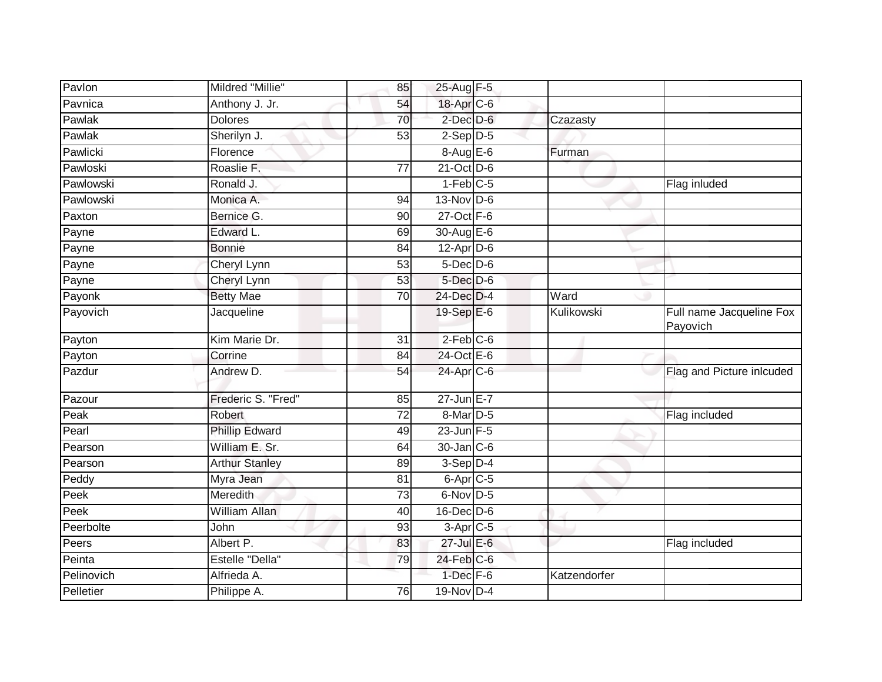| Pavlon     | Mildred "Millie"       | 85              | 25-Aug F-5           |                           |                                      |
|------------|------------------------|-----------------|----------------------|---------------------------|--------------------------------------|
| Pavnica    | Anthony J. Jr.         | 54              | 18-Apr C-6           |                           |                                      |
| Pawlak     | <b>Dolores</b>         | 70              | $2$ -Dec $D-6$       | Czazasty                  |                                      |
| Pawlak     | Sherilyn J.            | 53              | $2-Sep D-5$          |                           |                                      |
| Pawlicki   | Florence               |                 | $8-AugE-6$           | Furman                    |                                      |
| Pawloski   | Roaslie F.             | $\overline{77}$ | 21-Oct D-6           |                           |                                      |
| Pawlowski  | Ronald J.              |                 | 1-Feb C-5            |                           | Flag inluded                         |
| Pawlowski  | Monica A.              | 94              | 13-Nov D-6           |                           |                                      |
| Paxton     | Bernice G.             | 90              | $27$ -Oct $F-6$      |                           |                                      |
| Payne      | Edward L.              | 69              | 30-Aug E-6           |                           |                                      |
| Payne      | <b>Bonnie</b>          | 84              | $12$ -Apr $D$ -6     |                           |                                      |
| Payne      | Cheryl Lynn            | 53              | $5$ -Dec $D$ -6      |                           |                                      |
| Payne      | Cheryl Lynn            | 53              | 5-Dec D-6            |                           |                                      |
| Payonk     | <b>Betty Mae</b>       | 70              | 24-Dec D-4           | $\overline{\text{W}}$ ard |                                      |
| Payovich   | Jacqueline             |                 | 19-Sep E-6           | Kulikowski                | Full name Jacqueline Fox<br>Payovich |
| Payton     | Kim Marie Dr.          | 31              | $2$ -Feb $C$ -6      |                           |                                      |
| Payton     | Corrine                | 84              | 24-Oct E-6           |                           |                                      |
| Pazdur     | Andrew D.              | 54              | $24$ -Apr $C$ -6     |                           | Flag and Picture inlcuded            |
| Pazour     | Frederic S. "Fred"     | 85              | $27$ -Jun $E - 7$    |                           |                                      |
| Peak       | Robert                 | 72              | 8-Mar D-5            |                           | Flag included                        |
| Pearl      | <b>Phillip Edward</b>  | 49              | $23$ -Jun F-5        |                           |                                      |
| Pearson    | William E. Sr.         | 64              | $30$ -Jan $ C-6 $    |                           |                                      |
| Pearson    | <b>Arthur Stanley</b>  | 89              | $3-Sep D-4$          |                           |                                      |
| Peddy      | Myra Jean              | 81              | $6$ -Apr $C$ -5      |                           |                                      |
| Peek       | Meredith               | 73              | $6$ -Nov D-5         |                           |                                      |
| Peek       | <b>William Allan</b>   | 40              | $16$ -Dec $D$ -6     |                           |                                      |
| Peerbolte  | John                   | 93              | 3-Apr <sub>C-5</sub> |                           |                                      |
| Peers      | Albert P.              | 83              | $27$ -Jul $E-6$      |                           | Flag included                        |
| Peinta     | <b>Estelle "Della"</b> | 79              | $24$ -Feb $C-6$      |                           |                                      |
| Pelinovich | Alfrieda A.            |                 | $1$ -Dec $F-6$       | Katzendorfer              |                                      |
| Pelletier  | Philippe A.            | 76              | 19-Nov D-4           |                           |                                      |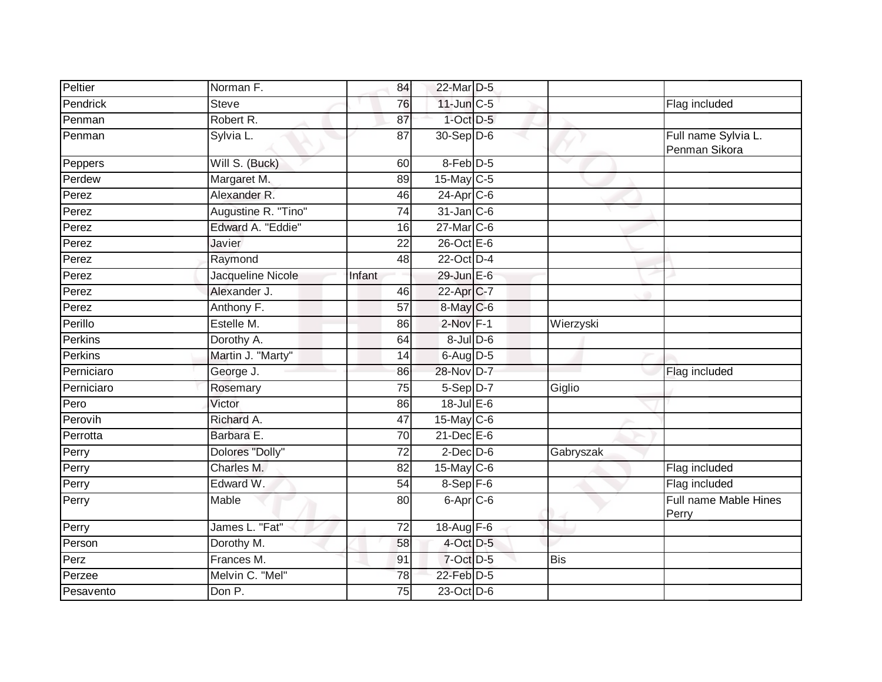| Peltier             | Norman F.           | 84     | 22-Mar D-5              |            |                                      |
|---------------------|---------------------|--------|-------------------------|------------|--------------------------------------|
| Pendrick            | <b>Steve</b>        | 76     | $11$ -Jun $C-5$         |            | Flag included                        |
| Penman              | Robert R.           | 87     | $1$ -Oct $D-5$          |            |                                      |
| Penman              | Sylvia L.           | 87     | 30-Sep D-6              |            | Full name Sylvia L.<br>Penman Sikora |
| Peppers             | Will S. (Buck)      | 60     | 8-Feb D-5               |            |                                      |
| Perdew              | Margaret M.         | 89     | 15-May C-5              |            |                                      |
| Perez               | Alexander R.        | 46     | $24-Apr$ <sub>C-6</sub> |            |                                      |
| Perez               | Augustine R. "Tino" | 74     | $31$ -Jan $C$ -6        |            |                                      |
| Perez               | Edward A. "Eddie"   | 16     | 27-Mar C-6              |            |                                      |
| Perez               | Javier              | 22     | $26$ -Oct $E - 6$       |            |                                      |
| $\overline{P}$ erez | Raymond             | 48     | 22-Oct D-4              |            |                                      |
| Perez               | Jacqueline Nicole   | Infant | 29-Jun E-6              |            |                                      |
| Perez               | Alexander J.        | 46     | 22-Apr C-7              |            |                                      |
| Perez               | Anthony F.          | 57     | 8-May C-6               |            |                                      |
| Perillo             | Estelle M.          | 86     | $2$ -Nov $F-1$          | Wierzyski  |                                      |
| Perkins             | Dorothy A.          | 64     | $8$ -Jul $D$ -6         |            |                                      |
| Perkins             | Martin J. "Marty"   | 14     | 6-Aug D-5               |            |                                      |
| Perniciaro          | George J.           | 86     | 28-Nov D-7              |            | Flag included                        |
| Perniciaro          | Rosemary            | 75     | 5-Sep D-7               | Giglio     |                                      |
| Pero                | Victor              | 86     | $18 -$ Jul E-6          |            |                                      |
| Perovih             | Richard A.          | 47     | 15-May C-6              |            |                                      |
| Perrotta            | Barbara E.          | 70     | $21$ -Dec $E-6$         |            |                                      |
| Perry               | Dolores "Dolly"     | 72     | $2$ -Dec $D-6$          | Gabryszak  |                                      |
| Perry               | Charles M.          | 82     | 15-May C-6              |            | Flag included                        |
| Perry               | Edward W.           | 54     | 8-Sep F-6               |            | Flag included                        |
| Perry               | Mable               | 80     | 6-Apr <sub>C-6</sub>    |            | Full name Mable Hines<br>Perry       |
| Perry               | James L. "Fat"      | 72     | 18-Aug F-6              |            |                                      |
| Person              | Dorothy M.          | 58     | 4-Oct D-5               |            |                                      |
| Perz                | Frances M.          | 91     | 7-Oct D-5               | <b>Bis</b> |                                      |
| Perzee              | Melvin C. "Mel"     | 78     | 22-Feb <sup>D-5</sup>   |            |                                      |
| Pesavento           | Don P.              | 75     | 23-Oct D-6              |            |                                      |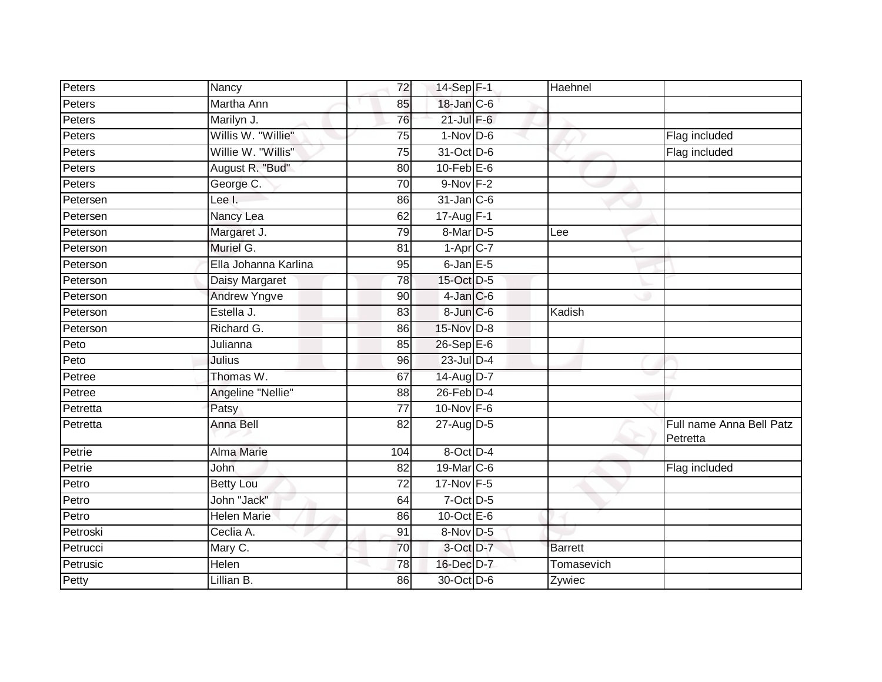| Peters   | Nancy                | 72              | 14-Sep F-1             | Haehnel        |                                      |
|----------|----------------------|-----------------|------------------------|----------------|--------------------------------------|
| Peters   | Martha Ann           | 85              | 18-Jan C-6             |                |                                      |
| Peters   | Marilyn J.           | 76              | $21$ -Jul $F-6$        |                |                                      |
| Peters   | Willis W. "Willie"   | 75              | $1-Nov$ D-6            |                | Flag included                        |
| Peters   | Willie W. "Willis"   | $\overline{75}$ | 31-Oct D-6             |                | Flag included                        |
| Peters   | August R. "Bud"      | 80              | $10$ -Feb $E$ -6       |                |                                      |
| Peters   | George C.            | 70              | $9-Nov$ F-2            |                |                                      |
| Petersen | Lee I.               | 86              | $31$ -Jan C-6          |                |                                      |
| Petersen | Nancy Lea            | 62              | 17-Aug F-1             |                |                                      |
| Peterson | Margaret J.          | 79              | $8$ -Mar $D-5$         | Lee            |                                      |
| Peterson | Muriel G.            | 81              | $1-Apr$ <sub>C-7</sub> |                |                                      |
| Peterson | Ella Johanna Karlina | 95              | $6$ -Jan $E$ -5        |                |                                      |
| Peterson | Daisy Margaret       | 78              | 15-Oct D-5             |                |                                      |
| Peterson | <b>Andrew Yngve</b>  | 90              | $4$ -Jan $C$ -6        |                |                                      |
| Peterson | Estella J.           | 83              | 8-Jun C-6              | Kadish         |                                      |
| Peterson | Richard G.           | 86              | 15-Nov D-8             |                |                                      |
| Peto     | Julianna             | 85              | 26-Sep E-6             |                |                                      |
| Peto     | Julius               | 96              | 23-Jul D-4             |                |                                      |
| Petree   | Thomas W.            | 67              | 14-Aug D-7             |                |                                      |
| Petree   | Angeline "Nellie"    | 88              | $26$ -Feb $D-4$        |                |                                      |
| Petretta | Patsy                | 77              | 10-Nov F-6             |                |                                      |
| Petretta | <b>Anna Bell</b>     | $\overline{82}$ | 27-Aug D-5             |                | Full name Anna Bell Patz<br>Petretta |
| Petrie   | <b>Alma Marie</b>    | 104             | 8-Oct D-4              |                |                                      |
| Petrie   | John                 | 82              | 19-Mar C-6             |                | Flag included                        |
| Petro    | <b>Betty Lou</b>     | $\overline{72}$ | 17-Nov F-5             |                |                                      |
| Petro    | John "Jack"          | 64              | 7-Oct D-5              |                |                                      |
| Petro    | <b>Helen Marie</b>   | 86              | 10-Oct $E-6$           |                |                                      |
| Petroski | Ceclia A.            | 91              | 8-Nov D-5              |                |                                      |
| Petrucci | Mary C.              | 70              | 3-Oct D-7              | <b>Barrett</b> |                                      |
| Petrusic | Helen                | 78              | 16-Dec D-7             | Tomasevich     |                                      |
| Petty    | Lillian B.           | 86              | 30-Oct D-6             | Zywiec         |                                      |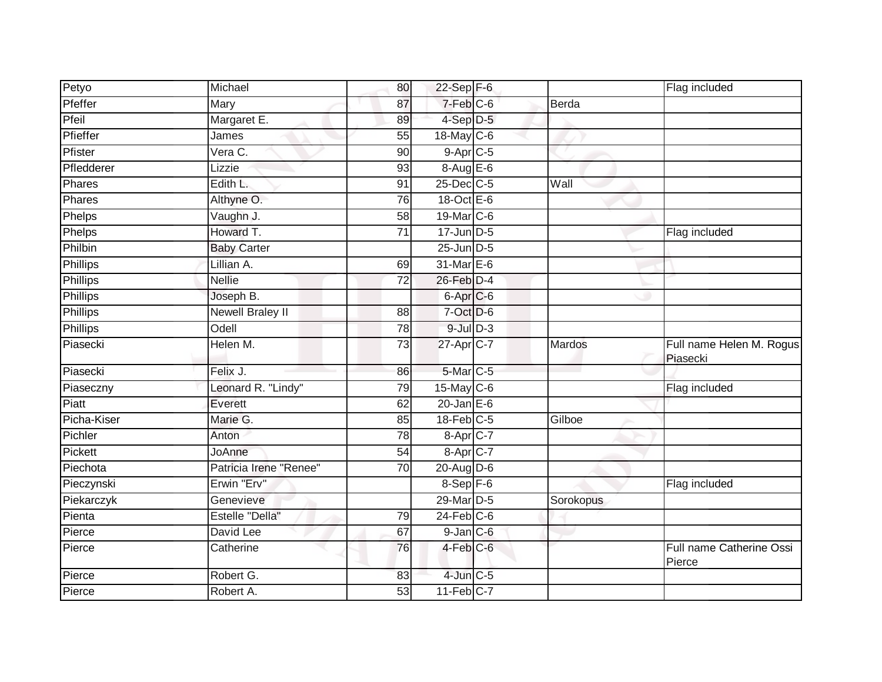| Petyo           | Michael                | 80              | $22-Sep$ F-6      |              | Flag included                        |
|-----------------|------------------------|-----------------|-------------------|--------------|--------------------------------------|
| Pfeffer         | Mary                   | 87              | $7-Feb$ $C-6$     | <b>Berda</b> |                                      |
| Pfeil           | Margaret E.            | 89              | 4-Sep D-5         |              |                                      |
| Pfieffer        | James                  | 55              | 18-May C-6        |              |                                      |
| Pfister         | Vera C.                | $\overline{90}$ | $9-AprC-5$        |              |                                      |
| Pfledderer      | Lizzie                 | 93              | $8-AugE-6$        |              |                                      |
| Phares          | Edith L.               | 91              | 25-Dec C-5        | Wall         |                                      |
| Phares          | Althyne O.             | 76              | $18$ -Oct $E - 6$ |              |                                      |
| Phelps          | Vaughn J.              | 58              | 19-Mar C-6        |              |                                      |
| Phelps          | Howard T.              | $\overline{71}$ | $17 - Jun$ $D-5$  |              | Flag included                        |
| Philbin         | <b>Baby Carter</b>     |                 | 25-Jun D-5        |              |                                      |
| Phillips        | Lillian A.             | 69              | 31-Mar E-6        |              |                                      |
| Phillips        | <b>Nellie</b>          | $\overline{72}$ | 26-Feb D-4        |              |                                      |
| Phillips        | Joseph B.              |                 | 6-Apr C-6         |              |                                      |
| <b>Phillips</b> | Newell Braley II       | $\overline{88}$ | 7-Oct D-6         |              |                                      |
| <b>Phillips</b> | Odell                  | 78              | $9$ -Jul $D-3$    |              |                                      |
| Piasecki        | Helen M.               | 73              | 27-Apr C-7        | Mardos       | Full name Helen M. Rogus<br>Piasecki |
| Piasecki        | Felix J.               | 86              | 5-Mar C-5         |              |                                      |
| Piaseczny       | Leonard R. "Lindy"     | 79              | 15-May $C-6$      |              | Flag included                        |
| Piatt           | Everett                | 62              | $20$ -Jan $E-6$   |              |                                      |
| Picha-Kiser     | Marie G.               | 85              | $18$ -Feb $C-5$   | Gilboe       |                                      |
| Pichler         | Anton                  | 78              | 8-Apr C-7         |              |                                      |
| Pickett         | JoAnne                 | 54              | 8-Apr C-7         |              |                                      |
| Piechota        | Patricia Irene "Renee" | 70              | 20-Aug D-6        |              |                                      |
| Pieczynski      | Erwin "Erv"            |                 | $8-Sep$ $F-6$     |              | Flag included                        |
| Piekarczyk      | Genevieve              |                 | 29-Mar D-5        | Sorokopus    |                                      |
| Pienta          | Estelle "Della"        | 79              | $24$ -Feb $C$ -6  |              |                                      |
| Pierce          | David Lee              | 67              | $9$ -Jan $C$ -6   |              |                                      |
| Pierce          | Catherine              | 76              | 4-Feb C-6         |              | Full name Catherine Ossi<br>Pierce   |
| Pierce          | Robert G.              | 83              | $4$ -Jun $C - 5$  |              |                                      |
| Pierce          | Robert A.              | 53              | $11-Feb$ C-7      |              |                                      |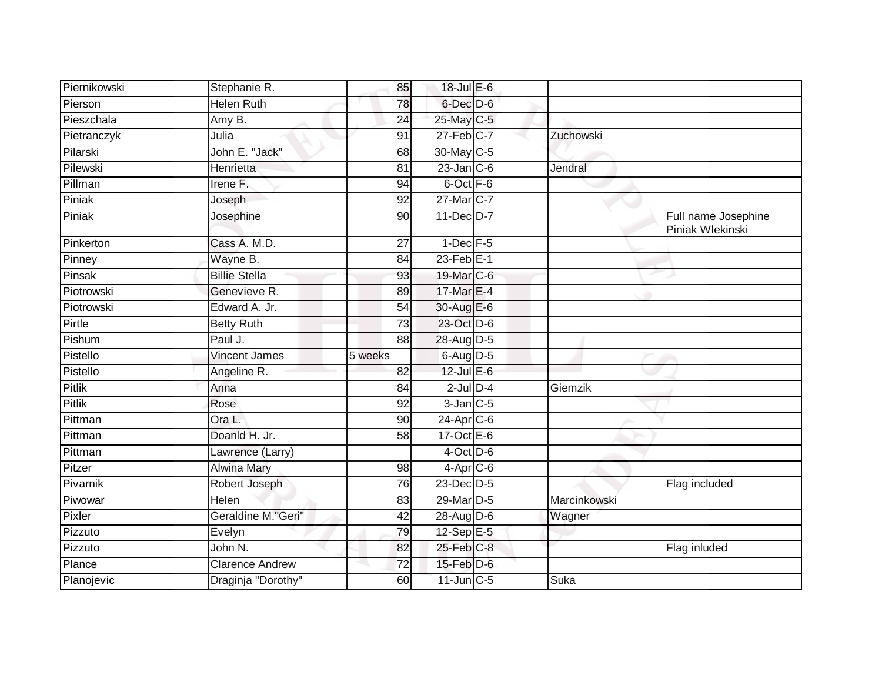| Piernikowski  | Stephanie R.           | 85      | 18-Jul E-6        |              |                                         |
|---------------|------------------------|---------|-------------------|--------------|-----------------------------------------|
| Pierson       | <b>Helen Ruth</b>      | 78      | 6-Dec D-6         |              |                                         |
| Pieszchala    | Amy B.                 | 24      | 25-May C-5        |              |                                         |
| Pietranczyk   | Julia                  | 91      | 27-Feb C-7        | Zuchowski    |                                         |
| Pilarski      | John E. "Jack"         | 68      | 30-May C-5        |              |                                         |
| Pilewski      | Henrietta              | 81      | $23$ -Jan C-6     | Jendral      |                                         |
| Pillman       | Irene F.               | 94      | 6-Oct F-6         |              |                                         |
| Piniak        | Joseph                 | 92      | 27-Mar C-7        |              |                                         |
| Piniak        | Josephine              | 90      | $11$ -Dec $D-7$   |              | Full name Josephine<br>Piniak Wlekinski |
| Pinkerton     | Cass A. M.D.           | 27      | $1$ -Dec $F-5$    |              |                                         |
| Pinney        | Wayne B.               | 84      | $23$ -Feb $E-1$   |              |                                         |
| Pinsak        | <b>Billie Stella</b>   | 93      | 19-Mar C-6        |              |                                         |
| Piotrowski    | Genevieve R.           | 89      | 17-Mar E-4        |              |                                         |
| Piotrowski    | Edward A. Jr.          | 54      | 30-Aug E-6        |              |                                         |
| Pirtle        | <b>Betty Ruth</b>      | 73      | 23-Oct D-6        |              |                                         |
| Pishum        | Paul J.                | 88      | 28-Aug D-5        |              |                                         |
| Pistello      | <b>Vincent James</b>   | 5 weeks | $6$ -Aug $D$ -5   |              |                                         |
| Pistello      | Angeline R.            | 82      | $12$ -Jul E-6     |              |                                         |
| <b>Pitlik</b> | Anna                   | 84      | $2$ -Jul $D-4$    | Giemzik      |                                         |
| <b>Pitlik</b> | Rose                   | 92      | $3$ -Jan $C$ -5   |              |                                         |
| Pittman       | Ora L.                 | 90      | $24-AprC-6$       |              |                                         |
| Pittman       | Doanld H. Jr.          | 58      | 17-Oct $E-6$      |              |                                         |
| Pittman       | Lawrence (Larry)       |         | $4$ -Oct D-6      |              |                                         |
| Pitzer        | <b>Alwina Mary</b>     | 98      | $4-Apr$ C-6       |              |                                         |
| Pivarnik      | Robert Joseph          | 76      | $23$ -Dec $D-5$   |              | Flag included                           |
| Piwowar       | <b>Helen</b>           | 83      | 29-Mar D-5        | Marcinkowski |                                         |
| Pixler        | Geraldine M."Geri"     | 42      | $28$ -AugD-6      | Wagner       |                                         |
| Pizzuto       | Evelyn                 | 79      | $12-Sep \tE-5$    |              |                                         |
| Pizzuto       | John N.                | 82      | 25-Feb C-8        |              | Flag inluded                            |
| Plance        | <b>Clarence Andrew</b> | 72      | $15$ -Feb $D$ -6  |              |                                         |
| Planojevic    | Draginja "Dorothy"     | 60      | $11$ -Jun $C - 5$ | Suka         |                                         |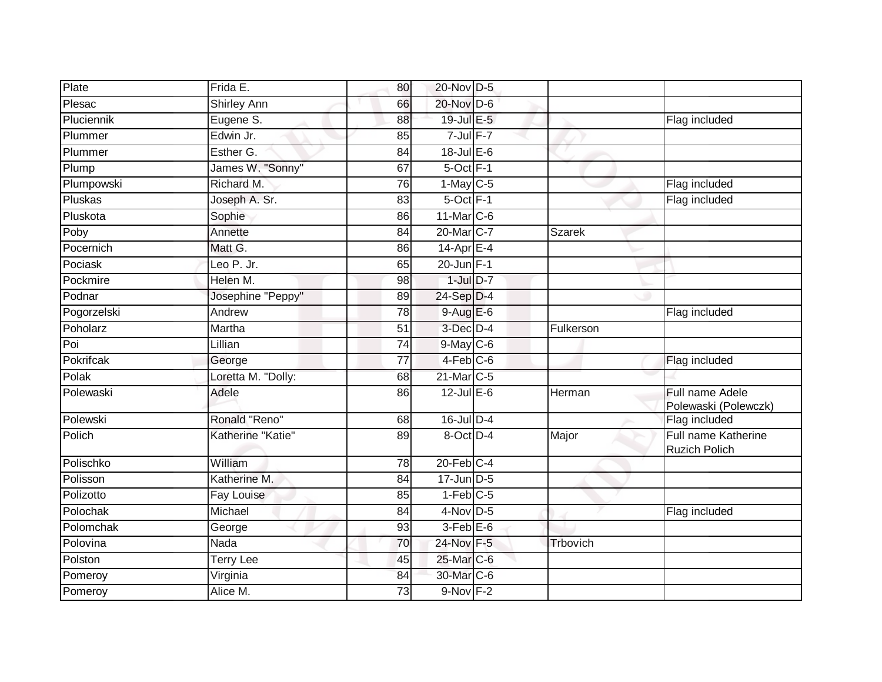| Plate       | Frida E.           | 80              | 20-Nov D-5             |           |                                             |
|-------------|--------------------|-----------------|------------------------|-----------|---------------------------------------------|
| Plesac      | <b>Shirley Ann</b> | 66              | 20-Nov D-6             |           |                                             |
| Pluciennik  | Eugene S.          | $\overline{88}$ | 19-Jul E-5             |           | Flag included                               |
| Plummer     | Edwin Jr.          | 85              | $7$ -Jul $F-7$         |           |                                             |
| Plummer     | Esther G.          | $\overline{84}$ | $18$ -Jul $E$ -6       |           |                                             |
| Plump       | James W. "Sonny"   | 67              | $5$ -Oct $F-1$         |           |                                             |
| Plumpowski  | Richard M.         | 76              | $1-May$ $C-5$          |           | Flag included                               |
| Pluskas     | Joseph A. Sr.      | 83              | 5-Oct F-1              |           | Flag included                               |
| Pluskota    | Sophie             | 86              | 11-Mar C-6             |           |                                             |
| Poby        | Annette            | 84              | 20-Mar <sub>IC-7</sub> | Szarek    |                                             |
| Pocernich   | Matt G.            | 86              | $14$ -Apr $E-4$        |           |                                             |
| Pociask     | Leo P. Jr.         | 65              | 20-Jun F-1             |           |                                             |
| Pockmire    | Helen M.           | 98              | $1$ -Jul $D-7$         |           |                                             |
| Podnar      | Josephine "Peppy"  | 89              | 24-Sep D-4             |           |                                             |
| Pogorzelski | Andrew             | 78              | $9-AugE-6$             |           | Flag included                               |
| Poholarz    | Martha             | 51              | 3-Dec D-4              | Fulkerson |                                             |
| Poi         | Lillian            | 74              | $9$ -May $C$ -6        |           |                                             |
| Pokrifcak   | George             | $\overline{77}$ | $4-Feb$ C-6            |           | Flag included                               |
| Polak       | Loretta M. "Dolly: | 68              | 21-Mar C-5             |           |                                             |
| Polewaski   | Adele              | 86              | $12$ -Jul E-6          | Herman    | Full name Adele<br>Polewaski (Polewczk)     |
| Polewski    | Ronald "Reno"      | 68              | $16$ -Jul $D-4$        |           | Flag included                               |
| Polich      | Katherine "Katie"  | 89              | 8-Oct D-4              | Major     | Full name Katherine<br><b>Ruzich Polich</b> |
| Polischko   | William            | 78              | $20$ -Feb $C-4$        |           |                                             |
| Polisson    | Katherine M.       | 84              | $17$ -Jun $D-5$        |           |                                             |
| Polizotto   | <b>Fay Louise</b>  | 85              | $1-Feb$ <sub>C-5</sub> |           |                                             |
| Polochak    | Michael            | 84              | $4$ -Nov D-5           |           | Flag included                               |
| Polomchak   | George             | 93              | $3-Feb$ $E-6$          |           |                                             |
| Polovina    | Nada               | 70              | 24-Nov F-5             | Trbovich  |                                             |
| Polston     | <b>Terry Lee</b>   | 45              | 25-Mar C-6             |           |                                             |
| Pomeroy     | Virginia           | 84              | 30-Mar C-6             |           |                                             |
| Pomeroy     | Alice M.           | 73              | $9-Nov$ F-2            |           |                                             |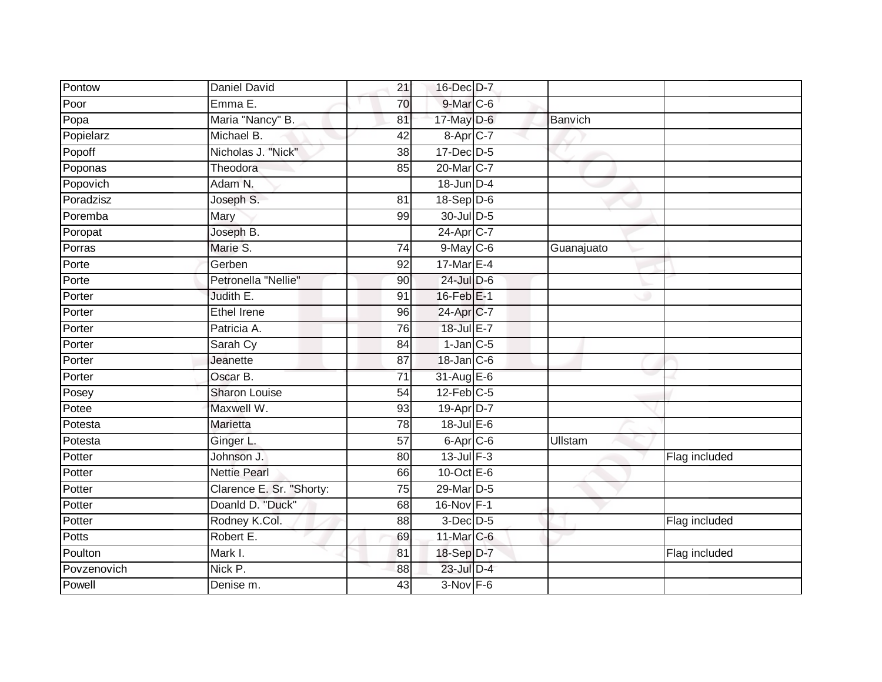| Nicholas J. "Nick"       | $\overline{38}$                                                                                    |                      |                                                                                                                                                                                                                                                                                                                                                                                                                                                                                                                                               |               |
|--------------------------|----------------------------------------------------------------------------------------------------|----------------------|-----------------------------------------------------------------------------------------------------------------------------------------------------------------------------------------------------------------------------------------------------------------------------------------------------------------------------------------------------------------------------------------------------------------------------------------------------------------------------------------------------------------------------------------------|---------------|
| Theodora                 | 85                                                                                                 |                      |                                                                                                                                                                                                                                                                                                                                                                                                                                                                                                                                               |               |
| Adam N.                  |                                                                                                    |                      |                                                                                                                                                                                                                                                                                                                                                                                                                                                                                                                                               |               |
|                          | 81                                                                                                 |                      |                                                                                                                                                                                                                                                                                                                                                                                                                                                                                                                                               |               |
|                          | 99                                                                                                 |                      |                                                                                                                                                                                                                                                                                                                                                                                                                                                                                                                                               |               |
| Joseph B.                |                                                                                                    |                      |                                                                                                                                                                                                                                                                                                                                                                                                                                                                                                                                               |               |
| Marie S.                 | 74                                                                                                 |                      | Guanajuato                                                                                                                                                                                                                                                                                                                                                                                                                                                                                                                                    |               |
| Gerben                   | 92                                                                                                 |                      |                                                                                                                                                                                                                                                                                                                                                                                                                                                                                                                                               |               |
| Petronella "Nellie"      | 90                                                                                                 |                      |                                                                                                                                                                                                                                                                                                                                                                                                                                                                                                                                               |               |
| Judith E.                | 91                                                                                                 |                      |                                                                                                                                                                                                                                                                                                                                                                                                                                                                                                                                               |               |
| <b>Ethel Irene</b>       | 96                                                                                                 |                      |                                                                                                                                                                                                                                                                                                                                                                                                                                                                                                                                               |               |
| Patricia A.              | 76                                                                                                 |                      |                                                                                                                                                                                                                                                                                                                                                                                                                                                                                                                                               |               |
| Sarah Cy                 | 84                                                                                                 |                      |                                                                                                                                                                                                                                                                                                                                                                                                                                                                                                                                               |               |
| Jeanette                 | 87                                                                                                 |                      |                                                                                                                                                                                                                                                                                                                                                                                                                                                                                                                                               |               |
| Oscar B.                 | $\overline{71}$                                                                                    |                      |                                                                                                                                                                                                                                                                                                                                                                                                                                                                                                                                               |               |
| <b>Sharon Louise</b>     | 54                                                                                                 |                      |                                                                                                                                                                                                                                                                                                                                                                                                                                                                                                                                               |               |
| Maxwell W.               | 93                                                                                                 |                      |                                                                                                                                                                                                                                                                                                                                                                                                                                                                                                                                               |               |
| Marietta                 | 78                                                                                                 |                      |                                                                                                                                                                                                                                                                                                                                                                                                                                                                                                                                               |               |
| Ginger L.                | 57                                                                                                 |                      | Ullstam                                                                                                                                                                                                                                                                                                                                                                                                                                                                                                                                       |               |
| Johnson J.               | 80                                                                                                 |                      |                                                                                                                                                                                                                                                                                                                                                                                                                                                                                                                                               | Flag included |
| <b>Nettie Pearl</b>      | 66                                                                                                 |                      |                                                                                                                                                                                                                                                                                                                                                                                                                                                                                                                                               |               |
| Clarence E. Sr. "Shorty: | 75                                                                                                 |                      |                                                                                                                                                                                                                                                                                                                                                                                                                                                                                                                                               |               |
|                          | 68                                                                                                 |                      |                                                                                                                                                                                                                                                                                                                                                                                                                                                                                                                                               |               |
| Rodney K.Col.            | 88                                                                                                 |                      |                                                                                                                                                                                                                                                                                                                                                                                                                                                                                                                                               | Flag included |
| Robert E.                | 69                                                                                                 |                      |                                                                                                                                                                                                                                                                                                                                                                                                                                                                                                                                               |               |
| Mark I.                  | 81                                                                                                 |                      |                                                                                                                                                                                                                                                                                                                                                                                                                                                                                                                                               | Flag included |
| Nick P.                  | 88                                                                                                 |                      |                                                                                                                                                                                                                                                                                                                                                                                                                                                                                                                                               |               |
| Denise m.                | 43                                                                                                 |                      |                                                                                                                                                                                                                                                                                                                                                                                                                                                                                                                                               |               |
|                          | Daniel David<br>Emma E.<br>Maria "Nancy" B.<br>Michael B.<br>Joseph S.<br>Mary<br>Doanld D. "Duck" | 21<br>70<br>81<br>42 | 16-Dec D-7<br>$9$ -Mar $C$ -6<br>17-May D-6<br>$8-Apr$ <sub>C-7</sub><br>$17 - Dec$ $D-5$<br>20-Mar <sub>IC-7</sub><br>$18$ -Jun $D-4$<br>$18-Sep D-6$<br>30-Jul D-5<br>24-Apr C-7<br>$9$ -May $C$ -6<br>17-Mar E-4<br>$24$ -Jul $D-6$<br>16-Feb E-1<br>24-Apr C-7<br>18-Jul E-7<br>$1$ -Jan $C$ -5<br>18-Jan C-6<br>31-Aug E-6<br>$12$ -Feb $C-5$<br>19-Apr D-7<br>$18$ -Jul $E$ -6<br>6-Apr C-6<br>$13$ -Jul $F-3$<br>$10$ -Oct $E - 6$<br>29-Mar D-5<br>16-Nov F-1<br>$3-Dec D-5$<br>11-Mar C-6<br>18-Sep D-7<br>23-Jul D-4<br>$3-Nov$ F-6 | Banvich       |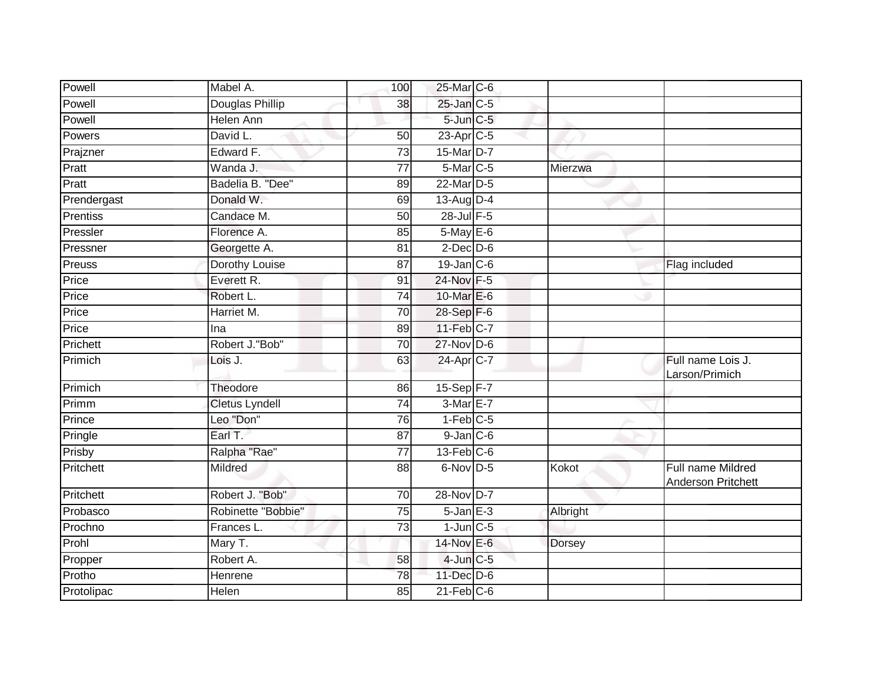| <b>Douglas Phillip</b><br>25-Jan C-5<br>38<br>5-Jun C-5<br><b>Helen Ann</b><br>23-Apr <sub>C-5</sub><br>David L.<br>50<br>Edward F.<br>$\overline{73}$<br>15-Mar D-7<br>Wanda J.<br>$\overline{77}$<br>5-Mar C-5<br>Mierzwa<br>22-Mar D-5<br>Badelia B. "Dee"<br>89<br>Donald W.<br>13-Aug D-4<br>69<br>28-Jul F-5<br>Candace M.<br>50<br>5-May E-6<br>Florence A.<br>85<br>Georgette A.<br>81<br>$2$ -Dec $D$ -6<br>Dorothy Louise<br>$19$ -Jan $ C$ -6<br>87<br>Flag included<br>Everett R.<br>24-Nov F-5<br>91<br>10-Mar E-6<br>Robert L.<br>74<br>Harriet M.<br>28-Sep F-6<br>70<br>11-Feb C-7<br>89<br>Ina<br>Robert J."Bob"<br>$27$ -Nov D-6<br>70<br>63<br>24-Apr C-7<br>Full name Lois J.<br>Lois J.<br>Larson/Primich<br>15-Sep F-7<br>Theodore<br>86<br>3-Mar E-7<br><b>Cletus Lyndell</b><br>$\overline{74}$<br>Leo "Don"<br>$1-Feb$ <sub>C-5</sub><br>76<br>$9$ -Jan $C$ -6<br>Earl T.<br>87<br>$13$ -Feb $C$ -6<br>Ralpha "Rae"<br>77<br>Mildred<br>$6$ -Nov D-5<br>Kokot<br>Full name Mildred<br>88<br>Anderson Pritchett<br>Robert J. "Bob"<br>28-Nov D-7<br>$\overline{70}$<br>Robinette "Bobbie"<br>$5$ -Jan $E-3$<br>Albright<br>75<br>$1$ -Jun $C$ -5<br>$\overline{73}$<br>Frances L.<br>14-Nov E-6<br>Mary T.<br><b>Dorsey</b><br>Robert A.<br>$4$ -Jun $C$ -5<br>58<br>78<br>$11$ -Dec $D-6$<br>Henrene<br>$21$ -Feb $C$ -6<br>Helen<br>85 | Powell      | Mabel A. | 100 | 25-Mar C-6 |  |  |
|------------------------------------------------------------------------------------------------------------------------------------------------------------------------------------------------------------------------------------------------------------------------------------------------------------------------------------------------------------------------------------------------------------------------------------------------------------------------------------------------------------------------------------------------------------------------------------------------------------------------------------------------------------------------------------------------------------------------------------------------------------------------------------------------------------------------------------------------------------------------------------------------------------------------------------------------------------------------------------------------------------------------------------------------------------------------------------------------------------------------------------------------------------------------------------------------------------------------------------------------------------------------------------------------------------------------------------------------------------------|-------------|----------|-----|------------|--|--|
|                                                                                                                                                                                                                                                                                                                                                                                                                                                                                                                                                                                                                                                                                                                                                                                                                                                                                                                                                                                                                                                                                                                                                                                                                                                                                                                                                                  | Powell      |          |     |            |  |  |
|                                                                                                                                                                                                                                                                                                                                                                                                                                                                                                                                                                                                                                                                                                                                                                                                                                                                                                                                                                                                                                                                                                                                                                                                                                                                                                                                                                  | Powell      |          |     |            |  |  |
|                                                                                                                                                                                                                                                                                                                                                                                                                                                                                                                                                                                                                                                                                                                                                                                                                                                                                                                                                                                                                                                                                                                                                                                                                                                                                                                                                                  | Powers      |          |     |            |  |  |
|                                                                                                                                                                                                                                                                                                                                                                                                                                                                                                                                                                                                                                                                                                                                                                                                                                                                                                                                                                                                                                                                                                                                                                                                                                                                                                                                                                  | Prajzner    |          |     |            |  |  |
|                                                                                                                                                                                                                                                                                                                                                                                                                                                                                                                                                                                                                                                                                                                                                                                                                                                                                                                                                                                                                                                                                                                                                                                                                                                                                                                                                                  | Pratt       |          |     |            |  |  |
|                                                                                                                                                                                                                                                                                                                                                                                                                                                                                                                                                                                                                                                                                                                                                                                                                                                                                                                                                                                                                                                                                                                                                                                                                                                                                                                                                                  | Pratt       |          |     |            |  |  |
|                                                                                                                                                                                                                                                                                                                                                                                                                                                                                                                                                                                                                                                                                                                                                                                                                                                                                                                                                                                                                                                                                                                                                                                                                                                                                                                                                                  | Prendergast |          |     |            |  |  |
|                                                                                                                                                                                                                                                                                                                                                                                                                                                                                                                                                                                                                                                                                                                                                                                                                                                                                                                                                                                                                                                                                                                                                                                                                                                                                                                                                                  | Prentiss    |          |     |            |  |  |
|                                                                                                                                                                                                                                                                                                                                                                                                                                                                                                                                                                                                                                                                                                                                                                                                                                                                                                                                                                                                                                                                                                                                                                                                                                                                                                                                                                  | Pressler    |          |     |            |  |  |
|                                                                                                                                                                                                                                                                                                                                                                                                                                                                                                                                                                                                                                                                                                                                                                                                                                                                                                                                                                                                                                                                                                                                                                                                                                                                                                                                                                  | Pressner    |          |     |            |  |  |
|                                                                                                                                                                                                                                                                                                                                                                                                                                                                                                                                                                                                                                                                                                                                                                                                                                                                                                                                                                                                                                                                                                                                                                                                                                                                                                                                                                  | Preuss      |          |     |            |  |  |
|                                                                                                                                                                                                                                                                                                                                                                                                                                                                                                                                                                                                                                                                                                                                                                                                                                                                                                                                                                                                                                                                                                                                                                                                                                                                                                                                                                  | Price       |          |     |            |  |  |
|                                                                                                                                                                                                                                                                                                                                                                                                                                                                                                                                                                                                                                                                                                                                                                                                                                                                                                                                                                                                                                                                                                                                                                                                                                                                                                                                                                  | Price       |          |     |            |  |  |
|                                                                                                                                                                                                                                                                                                                                                                                                                                                                                                                                                                                                                                                                                                                                                                                                                                                                                                                                                                                                                                                                                                                                                                                                                                                                                                                                                                  | Price       |          |     |            |  |  |
|                                                                                                                                                                                                                                                                                                                                                                                                                                                                                                                                                                                                                                                                                                                                                                                                                                                                                                                                                                                                                                                                                                                                                                                                                                                                                                                                                                  | Price       |          |     |            |  |  |
|                                                                                                                                                                                                                                                                                                                                                                                                                                                                                                                                                                                                                                                                                                                                                                                                                                                                                                                                                                                                                                                                                                                                                                                                                                                                                                                                                                  | Prichett    |          |     |            |  |  |
|                                                                                                                                                                                                                                                                                                                                                                                                                                                                                                                                                                                                                                                                                                                                                                                                                                                                                                                                                                                                                                                                                                                                                                                                                                                                                                                                                                  | Primich     |          |     |            |  |  |
|                                                                                                                                                                                                                                                                                                                                                                                                                                                                                                                                                                                                                                                                                                                                                                                                                                                                                                                                                                                                                                                                                                                                                                                                                                                                                                                                                                  | Primich     |          |     |            |  |  |
|                                                                                                                                                                                                                                                                                                                                                                                                                                                                                                                                                                                                                                                                                                                                                                                                                                                                                                                                                                                                                                                                                                                                                                                                                                                                                                                                                                  | Primm       |          |     |            |  |  |
|                                                                                                                                                                                                                                                                                                                                                                                                                                                                                                                                                                                                                                                                                                                                                                                                                                                                                                                                                                                                                                                                                                                                                                                                                                                                                                                                                                  | Prince      |          |     |            |  |  |
|                                                                                                                                                                                                                                                                                                                                                                                                                                                                                                                                                                                                                                                                                                                                                                                                                                                                                                                                                                                                                                                                                                                                                                                                                                                                                                                                                                  | Pringle     |          |     |            |  |  |
|                                                                                                                                                                                                                                                                                                                                                                                                                                                                                                                                                                                                                                                                                                                                                                                                                                                                                                                                                                                                                                                                                                                                                                                                                                                                                                                                                                  | Prisby      |          |     |            |  |  |
|                                                                                                                                                                                                                                                                                                                                                                                                                                                                                                                                                                                                                                                                                                                                                                                                                                                                                                                                                                                                                                                                                                                                                                                                                                                                                                                                                                  | Pritchett   |          |     |            |  |  |
|                                                                                                                                                                                                                                                                                                                                                                                                                                                                                                                                                                                                                                                                                                                                                                                                                                                                                                                                                                                                                                                                                                                                                                                                                                                                                                                                                                  | Pritchett   |          |     |            |  |  |
|                                                                                                                                                                                                                                                                                                                                                                                                                                                                                                                                                                                                                                                                                                                                                                                                                                                                                                                                                                                                                                                                                                                                                                                                                                                                                                                                                                  | Probasco    |          |     |            |  |  |
|                                                                                                                                                                                                                                                                                                                                                                                                                                                                                                                                                                                                                                                                                                                                                                                                                                                                                                                                                                                                                                                                                                                                                                                                                                                                                                                                                                  | Prochno     |          |     |            |  |  |
|                                                                                                                                                                                                                                                                                                                                                                                                                                                                                                                                                                                                                                                                                                                                                                                                                                                                                                                                                                                                                                                                                                                                                                                                                                                                                                                                                                  | Prohl       |          |     |            |  |  |
|                                                                                                                                                                                                                                                                                                                                                                                                                                                                                                                                                                                                                                                                                                                                                                                                                                                                                                                                                                                                                                                                                                                                                                                                                                                                                                                                                                  | Propper     |          |     |            |  |  |
|                                                                                                                                                                                                                                                                                                                                                                                                                                                                                                                                                                                                                                                                                                                                                                                                                                                                                                                                                                                                                                                                                                                                                                                                                                                                                                                                                                  | Protho      |          |     |            |  |  |
|                                                                                                                                                                                                                                                                                                                                                                                                                                                                                                                                                                                                                                                                                                                                                                                                                                                                                                                                                                                                                                                                                                                                                                                                                                                                                                                                                                  | Protolipac  |          |     |            |  |  |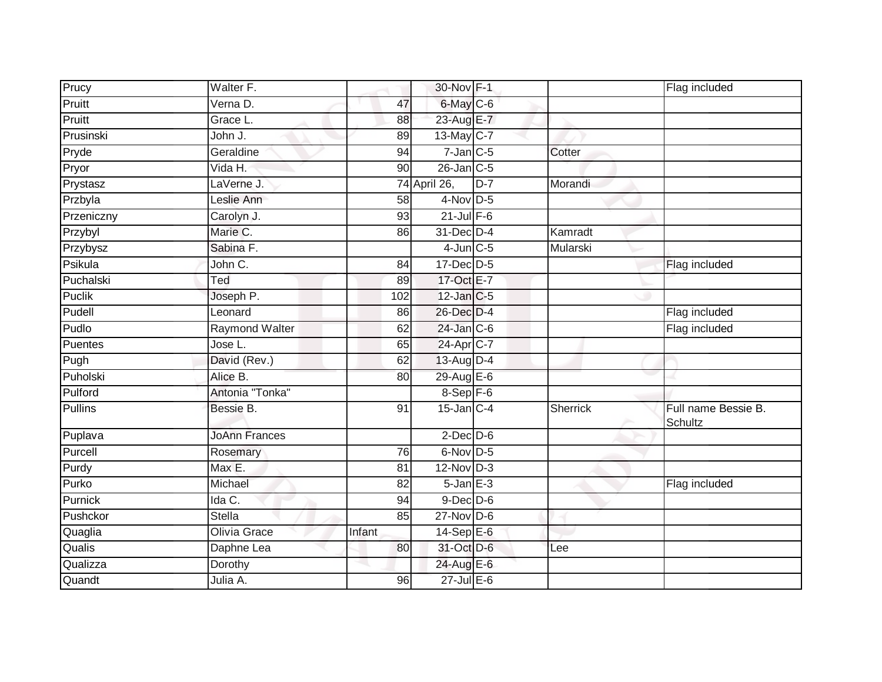| Prucy      | Walter F.             |                 | 30-Nov F-1        |       |          | Flag included                  |
|------------|-----------------------|-----------------|-------------------|-------|----------|--------------------------------|
| Pruitt     | Verna D.              | 47              | 6-May C-6         |       |          |                                |
| Pruitt     | Grace L.              | 88              | 23-Aug E-7        |       |          |                                |
| Prusinski  | John J.               | 89              | $13$ -May C-7     |       |          |                                |
| Pryde      | Geraldine             | 94              | $7$ -Jan $C$ -5   |       | Cotter   |                                |
| Pryor      | Vida H.               | 90              | $26$ -Jan $C-5$   |       |          |                                |
| Prystasz   | LaVerne J.            |                 | 74 April 26,      | $D-7$ | Morandi  |                                |
| Przbyla    | Leslie Ann            | 58              | $4$ -Nov D-5      |       |          |                                |
| Przeniczny | Carolyn J.            | 93              | $21$ -Jul $F-6$   |       |          |                                |
| Przybyl    | Marie C.              | 86              | 31-Dec D-4        |       | Kamradt  |                                |
| Przybysz   | Sabina F.             |                 | $4$ -Jun $C$ -5   |       | Mularski |                                |
| Psikula    | John C.               | 84              | $17$ -Dec $D-5$   |       |          | Flag included                  |
| Puchalski  | Ted                   | 89              | 17-Oct E-7        |       |          |                                |
| Puclik     | Joseph P.             | 102             | 12-Jan C-5        |       |          |                                |
| Pudell     | Leonard               | 86              | 26-Dec D-4        |       |          | Flag included                  |
| Pudlo      | <b>Raymond Walter</b> | 62              | $24$ -Jan $C-6$   |       |          | Flag included                  |
| Puentes    | Jose L.               | 65              | 24-Apr C-7        |       |          |                                |
| Pugh       | David (Rev.)          | 62              | 13-Aug D-4        |       |          |                                |
| Puholski   | Alice B.              | 80              | 29-Aug E-6        |       |          |                                |
| Pulford    | Antonia "Tonka"       |                 | $8-Sep$ $F-6$     |       |          |                                |
| Pullins    | Bessie B.             | 91              | $15$ -Jan $ C-4 $ |       | Sherrick | Full name Bessie B.<br>Schultz |
| Puplava    | <b>JoAnn Frances</b>  |                 | $2$ -Dec $D-6$    |       |          |                                |
| Purcell    | Rosemary              | 76              | 6-Nov D-5         |       |          |                                |
| Purdy      | Max E.                | 81              | $12$ -Nov D-3     |       |          |                                |
| Purko      | Michael               | $\overline{82}$ | $5 - Jan$ $E-3$   |       |          | Flag included                  |
| Purnick    | Ida C.                | 94              | $9$ -Dec $D$ -6   |       |          |                                |
| Pushckor   | <b>Stella</b>         | 85              | $27$ -Nov $D-6$   |       |          |                                |
| Quaglia    | Olivia Grace          | Infant          | 14-Sep $E-6$      |       |          |                                |
| Qualis     | Daphne Lea            | 80              | 31-Oct D-6        |       | Lee      |                                |
| Qualizza   | Dorothy               |                 | 24-Aug E-6        |       |          |                                |
| Quandt     | Julia A.              | 96              | $27$ -Jul E-6     |       |          |                                |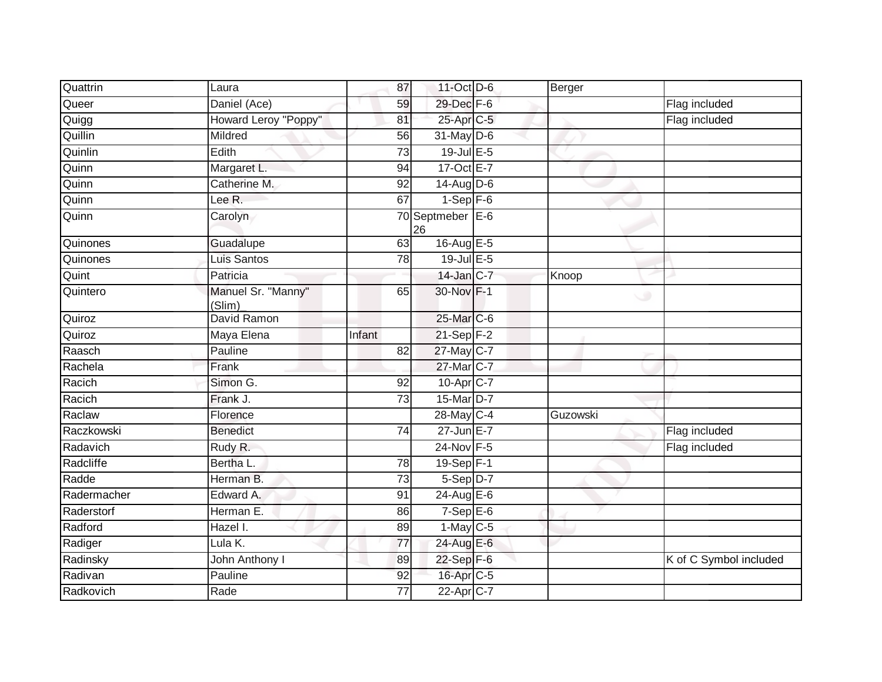| Quattrin    | Laura                        | 87              | 11-Oct D-6             | Berger   |                        |
|-------------|------------------------------|-----------------|------------------------|----------|------------------------|
| Queer       | Daniel (Ace)                 | 59              | 29-Dec F-6             |          | Flag included          |
| Quigg       | Howard Leroy "Poppy"         | 81              | 25-Apr C-5             |          | Flag included          |
| Quillin     | Mildred                      | 56              | $31$ -May D-6          |          |                        |
| Quinlin     | Edith                        | $\overline{73}$ | $19$ -Jul $E - 5$      |          |                        |
| Quinn       | Margaret L.                  | 94              | 17-Oct E-7             |          |                        |
| Quinn       | Catherine M.                 | 92              | $14$ -Aug $D-6$        |          |                        |
| Quinn       | Lee R.                       | 67              | $1-Sep$ F-6            |          |                        |
| Quinn       | Carolyn                      |                 | 70 Septmeber E-6<br>26 |          |                        |
| Quinones    | Guadalupe                    | 63              | 16-Aug $E-5$           |          |                        |
| Quinones    | Luis Santos                  | 78              | $19$ -Jul $E-5$        |          |                        |
| Quint       | Patricia                     |                 | $14$ -Jan C-7          | Knoop    |                        |
| Quintero    | Manuel Sr. "Manny"<br>(Slim) | 65              | 30-Nov F-1             | ی        |                        |
| Quiroz      | David Ramon                  |                 | 25-Mar C-6             |          |                        |
| Quiroz      | Maya Elena                   | Infant          | 21-Sep F-2             |          |                        |
| Raasch      | Pauline                      | 82              | 27-May C-7             |          |                        |
| Rachela     | Frank                        |                 | 27-Mar C-7             |          |                        |
| Racich      | Simon G.                     | 92              | 10-Apr C-7             |          |                        |
| Racich      | Frank J.                     | $\overline{73}$ | 15-Mar D-7             |          |                        |
| Raclaw      | Florence                     |                 | 28-May C-4             | Guzowski |                        |
| Raczkowski  | <b>Benedict</b>              | 74              | 27-Jun E-7             |          | Flag included          |
| Radavich    | Rudy R.                      |                 | 24-Nov F-5             |          | Flag included          |
| Radcliffe   | Bertha L.                    | 78              | $19-Sep$ F-1           |          |                        |
| Radde       | Herman B.                    | $\overline{73}$ | 5-Sep D-7              |          |                        |
| Radermacher | Edward A.                    | 91              | 24-Aug E-6             |          |                        |
| Raderstorf  | Herman E.                    | 86              | $7-SepE-6$             |          |                        |
| Radford     | Hazel I.                     | 89              | $1-May$ <sub>C-5</sub> |          |                        |
| Radiger     | Lula K.                      | 77              | 24-Aug E-6             |          |                        |
| Radinsky    | John Anthony I               | 89              | 22-Sep F-6             |          | K of C Symbol included |
| Radivan     | Pauline                      | 92              | 16-Apr C-5             |          |                        |
| Radkovich   | Rade                         | 77              | 22-Apr <sub>C-7</sub>  |          |                        |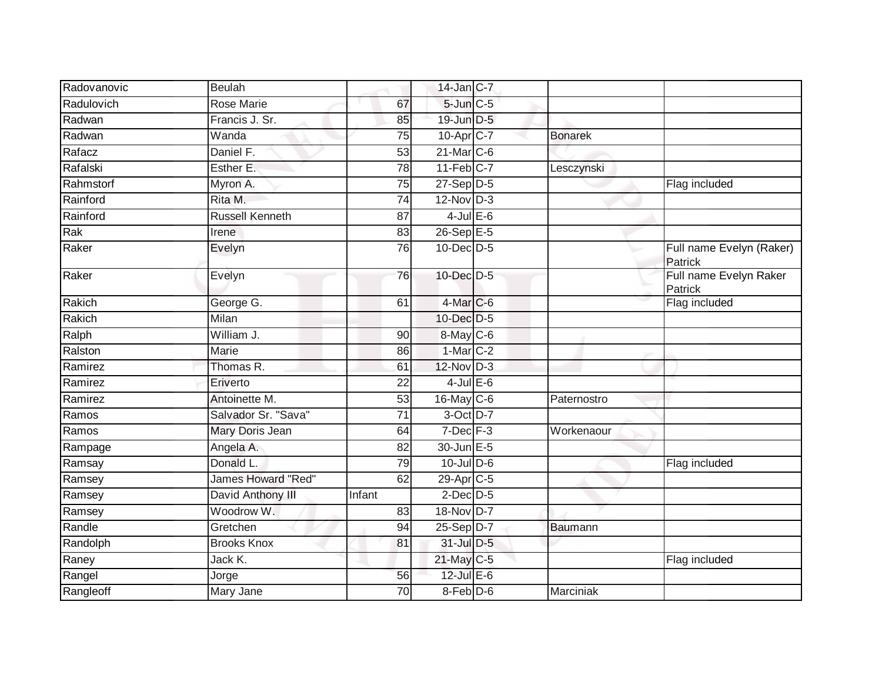| Rose Marie<br>5-Jun C-5<br>67<br>Francis J. Sr.<br>19-Jun D-5<br>85<br>$10$ -Apr $C$ -7<br>75<br>Wanda<br><b>Bonarek</b><br>Daniel F.<br>21-Mar C-6<br>53<br>$11-Feb$ C-7<br>Esther E.<br>$\overline{78}$<br>Lesczynski<br>$27-Sep D-5$<br>Flag included<br>Myron A.<br>75<br>Rita M.<br>$12-Nov$ D-3<br>74<br><b>Russell Kenneth</b><br>$4$ -Jul $E$ -6<br>87<br>$26 - SepE-5$<br>83<br>Irene<br>10-Dec D-5<br>76<br>Full name Evelyn (Raker)<br>Evelyn<br>Patrick<br>10-Dec D-5<br>Full name Evelyn Raker<br>76<br>Evelyn<br>Patrick<br>4-Mar C-6<br>George G.<br>Flag included<br>61<br>Milan<br>$10$ -Dec $D-5$<br>William J.<br>8-May C-6<br>90<br>$1-Mar$ C-2<br>Marie<br>86<br>Thomas R.<br>$12$ -Nov D-3<br>61<br>$4$ -Jul $E$ -6<br>Eriverto<br>$\overline{22}$<br>16-May C-6<br>Antoinette M.<br>53<br>Paternostro<br>Salvador Sr. "Sava"<br>$\overline{71}$<br>3-Oct D-7<br>$7$ -Dec $F-3$<br>Mary Doris Jean<br>Workenaour<br>64<br>30-Jun E-5<br>Angela A.<br>82<br>Donald L.<br>$10$ -Jul $D-6$<br>79<br>Flag included<br>James Howard "Red"<br>29-Apr <sub>C-5</sub><br>Ramsey<br>62<br>David Anthony III<br>$2$ -Dec $D-5$<br>Infant<br>Woodrow W.<br>18-Nov D-7<br>83<br>Gretchen<br>25-Sep D-7<br>94<br>Baumann<br>31-Jul D-5<br><b>Brooks Knox</b><br>81<br>21-May C-5<br>Jack K.<br>Flag included<br>12-Jul E-6<br>56<br>Jorge<br>$8-Feb$ D-6<br>Mary Jane<br>Marciniak<br>70 | Radovanovic | <b>Beulah</b> | $14$ -Jan $C-7$ |  |  |
|---------------------------------------------------------------------------------------------------------------------------------------------------------------------------------------------------------------------------------------------------------------------------------------------------------------------------------------------------------------------------------------------------------------------------------------------------------------------------------------------------------------------------------------------------------------------------------------------------------------------------------------------------------------------------------------------------------------------------------------------------------------------------------------------------------------------------------------------------------------------------------------------------------------------------------------------------------------------------------------------------------------------------------------------------------------------------------------------------------------------------------------------------------------------------------------------------------------------------------------------------------------------------------------------------------------------------------------------------------------------------------------------------|-------------|---------------|-----------------|--|--|
|                                                                                                                                                                                                                                                                                                                                                                                                                                                                                                                                                                                                                                                                                                                                                                                                                                                                                                                                                                                                                                                                                                                                                                                                                                                                                                                                                                                                   | Radulovich  |               |                 |  |  |
|                                                                                                                                                                                                                                                                                                                                                                                                                                                                                                                                                                                                                                                                                                                                                                                                                                                                                                                                                                                                                                                                                                                                                                                                                                                                                                                                                                                                   | Radwan      |               |                 |  |  |
|                                                                                                                                                                                                                                                                                                                                                                                                                                                                                                                                                                                                                                                                                                                                                                                                                                                                                                                                                                                                                                                                                                                                                                                                                                                                                                                                                                                                   | Radwan      |               |                 |  |  |
|                                                                                                                                                                                                                                                                                                                                                                                                                                                                                                                                                                                                                                                                                                                                                                                                                                                                                                                                                                                                                                                                                                                                                                                                                                                                                                                                                                                                   | Rafacz      |               |                 |  |  |
|                                                                                                                                                                                                                                                                                                                                                                                                                                                                                                                                                                                                                                                                                                                                                                                                                                                                                                                                                                                                                                                                                                                                                                                                                                                                                                                                                                                                   | Rafalski    |               |                 |  |  |
|                                                                                                                                                                                                                                                                                                                                                                                                                                                                                                                                                                                                                                                                                                                                                                                                                                                                                                                                                                                                                                                                                                                                                                                                                                                                                                                                                                                                   | Rahmstorf   |               |                 |  |  |
|                                                                                                                                                                                                                                                                                                                                                                                                                                                                                                                                                                                                                                                                                                                                                                                                                                                                                                                                                                                                                                                                                                                                                                                                                                                                                                                                                                                                   | Rainford    |               |                 |  |  |
|                                                                                                                                                                                                                                                                                                                                                                                                                                                                                                                                                                                                                                                                                                                                                                                                                                                                                                                                                                                                                                                                                                                                                                                                                                                                                                                                                                                                   | Rainford    |               |                 |  |  |
|                                                                                                                                                                                                                                                                                                                                                                                                                                                                                                                                                                                                                                                                                                                                                                                                                                                                                                                                                                                                                                                                                                                                                                                                                                                                                                                                                                                                   | Rak         |               |                 |  |  |
|                                                                                                                                                                                                                                                                                                                                                                                                                                                                                                                                                                                                                                                                                                                                                                                                                                                                                                                                                                                                                                                                                                                                                                                                                                                                                                                                                                                                   | Raker       |               |                 |  |  |
|                                                                                                                                                                                                                                                                                                                                                                                                                                                                                                                                                                                                                                                                                                                                                                                                                                                                                                                                                                                                                                                                                                                                                                                                                                                                                                                                                                                                   | Raker       |               |                 |  |  |
|                                                                                                                                                                                                                                                                                                                                                                                                                                                                                                                                                                                                                                                                                                                                                                                                                                                                                                                                                                                                                                                                                                                                                                                                                                                                                                                                                                                                   | Rakich      |               |                 |  |  |
|                                                                                                                                                                                                                                                                                                                                                                                                                                                                                                                                                                                                                                                                                                                                                                                                                                                                                                                                                                                                                                                                                                                                                                                                                                                                                                                                                                                                   | Rakich      |               |                 |  |  |
|                                                                                                                                                                                                                                                                                                                                                                                                                                                                                                                                                                                                                                                                                                                                                                                                                                                                                                                                                                                                                                                                                                                                                                                                                                                                                                                                                                                                   | Ralph       |               |                 |  |  |
|                                                                                                                                                                                                                                                                                                                                                                                                                                                                                                                                                                                                                                                                                                                                                                                                                                                                                                                                                                                                                                                                                                                                                                                                                                                                                                                                                                                                   | Ralston     |               |                 |  |  |
|                                                                                                                                                                                                                                                                                                                                                                                                                                                                                                                                                                                                                                                                                                                                                                                                                                                                                                                                                                                                                                                                                                                                                                                                                                                                                                                                                                                                   | Ramirez     |               |                 |  |  |
|                                                                                                                                                                                                                                                                                                                                                                                                                                                                                                                                                                                                                                                                                                                                                                                                                                                                                                                                                                                                                                                                                                                                                                                                                                                                                                                                                                                                   | Ramirez     |               |                 |  |  |
|                                                                                                                                                                                                                                                                                                                                                                                                                                                                                                                                                                                                                                                                                                                                                                                                                                                                                                                                                                                                                                                                                                                                                                                                                                                                                                                                                                                                   | Ramirez     |               |                 |  |  |
|                                                                                                                                                                                                                                                                                                                                                                                                                                                                                                                                                                                                                                                                                                                                                                                                                                                                                                                                                                                                                                                                                                                                                                                                                                                                                                                                                                                                   | Ramos       |               |                 |  |  |
|                                                                                                                                                                                                                                                                                                                                                                                                                                                                                                                                                                                                                                                                                                                                                                                                                                                                                                                                                                                                                                                                                                                                                                                                                                                                                                                                                                                                   | Ramos       |               |                 |  |  |
|                                                                                                                                                                                                                                                                                                                                                                                                                                                                                                                                                                                                                                                                                                                                                                                                                                                                                                                                                                                                                                                                                                                                                                                                                                                                                                                                                                                                   | Rampage     |               |                 |  |  |
|                                                                                                                                                                                                                                                                                                                                                                                                                                                                                                                                                                                                                                                                                                                                                                                                                                                                                                                                                                                                                                                                                                                                                                                                                                                                                                                                                                                                   | Ramsay      |               |                 |  |  |
|                                                                                                                                                                                                                                                                                                                                                                                                                                                                                                                                                                                                                                                                                                                                                                                                                                                                                                                                                                                                                                                                                                                                                                                                                                                                                                                                                                                                   |             |               |                 |  |  |
|                                                                                                                                                                                                                                                                                                                                                                                                                                                                                                                                                                                                                                                                                                                                                                                                                                                                                                                                                                                                                                                                                                                                                                                                                                                                                                                                                                                                   | Ramsey      |               |                 |  |  |
|                                                                                                                                                                                                                                                                                                                                                                                                                                                                                                                                                                                                                                                                                                                                                                                                                                                                                                                                                                                                                                                                                                                                                                                                                                                                                                                                                                                                   | Ramsey      |               |                 |  |  |
|                                                                                                                                                                                                                                                                                                                                                                                                                                                                                                                                                                                                                                                                                                                                                                                                                                                                                                                                                                                                                                                                                                                                                                                                                                                                                                                                                                                                   | Randle      |               |                 |  |  |
|                                                                                                                                                                                                                                                                                                                                                                                                                                                                                                                                                                                                                                                                                                                                                                                                                                                                                                                                                                                                                                                                                                                                                                                                                                                                                                                                                                                                   | Randolph    |               |                 |  |  |
|                                                                                                                                                                                                                                                                                                                                                                                                                                                                                                                                                                                                                                                                                                                                                                                                                                                                                                                                                                                                                                                                                                                                                                                                                                                                                                                                                                                                   | Raney       |               |                 |  |  |
|                                                                                                                                                                                                                                                                                                                                                                                                                                                                                                                                                                                                                                                                                                                                                                                                                                                                                                                                                                                                                                                                                                                                                                                                                                                                                                                                                                                                   | Rangel      |               |                 |  |  |
|                                                                                                                                                                                                                                                                                                                                                                                                                                                                                                                                                                                                                                                                                                                                                                                                                                                                                                                                                                                                                                                                                                                                                                                                                                                                                                                                                                                                   | Rangleoff   |               |                 |  |  |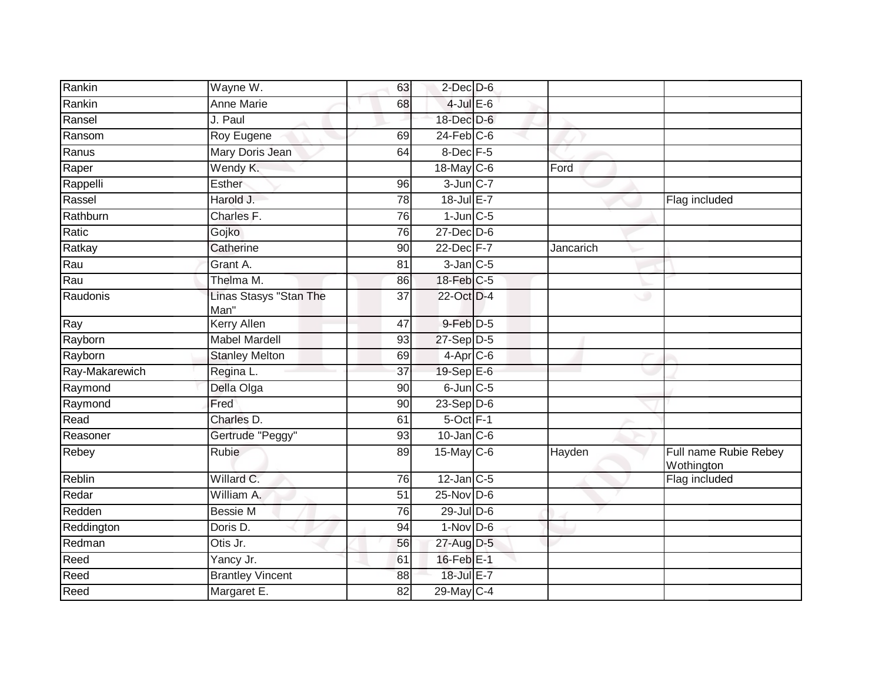| Rankin         | Wayne W.                       | 63 | $2$ -Dec $D-6$   |           |                                     |
|----------------|--------------------------------|----|------------------|-----------|-------------------------------------|
| Rankin         | <b>Anne Marie</b>              | 68 | $4$ -Jul $E$ -6  |           |                                     |
| Ransel         | J. Paul                        |    | 18-Dec D-6       |           |                                     |
| Ransom         | Roy Eugene                     | 69 | $24$ -Feb $C$ -6 |           |                                     |
| Ranus          | Mary Doris Jean                | 64 | 8-Dec F-5        |           |                                     |
| Raper          | Wendy K.                       |    | 18-May C-6       | Ford      |                                     |
| Rappelli       | Esther                         | 96 | $3$ -Jun $C-7$   |           |                                     |
| Rassel         | Harold J.                      | 78 | $18$ -Jul E-7    |           | Flag included                       |
| Rathburn       | Charles F.                     | 76 | $1$ -Jun $C$ -5  |           |                                     |
| Ratic          | Gojko                          | 76 | $27$ -Dec $D-6$  |           |                                     |
| Ratkay         | Catherine                      | 90 | 22-Dec F-7       | Jancarich |                                     |
| Rau            | Grant A.                       | 81 | $3$ -Jan $C$ -5  |           |                                     |
| Rau            | Thelma M.                      | 86 | 18-Feb C-5       |           |                                     |
| Raudonis       | Linas Stasys "Stan The<br>Man" | 37 | 22-Oct D-4       | w         |                                     |
| Ray            | <b>Kerry Allen</b>             | 47 | $9$ -Feb $D-5$   |           |                                     |
| Rayborn        | <b>Mabel Mardell</b>           | 93 | $27-Sep$ D-5     |           |                                     |
| Rayborn        | <b>Stanley Melton</b>          | 69 | $4-Apr$ C-6      |           |                                     |
| Ray-Makarewich | Regina L.                      | 37 | 19-Sep E-6       |           |                                     |
| Raymond        | Della Olga                     | 90 | $6$ -Jun $C$ -5  |           |                                     |
| Raymond        | Fred                           | 90 | $23-Sep$ D-6     |           |                                     |
| Read           | Charles D.                     | 61 | $5$ -Oct $F-1$   |           |                                     |
| Reasoner       | Gertrude "Peggy"               | 93 | $10$ -Jan C-6    |           |                                     |
| Rebey          | <b>Rubie</b>                   | 89 | $15$ -May C-6    | Hayden    | Full name Rubie Rebey<br>Wothington |
| <b>Reblin</b>  | Willard C.                     | 76 | $12$ -Jan C-5    |           | Flag included                       |
| Redar          | William A.                     | 51 | $25$ -Nov D-6    |           |                                     |
| Redden         | <b>Bessie M</b>                | 76 | $29$ -Jul $D$ -6 |           |                                     |
| Reddington     | Doris D.                       | 94 | $1-Nov$ D-6      |           |                                     |
| Redman         | $\overline{O}$ tis Jr.         | 56 | 27-Aug D-5       |           |                                     |
| Reed           | Yancy Jr.                      | 61 | $16$ -Feb $E-1$  |           |                                     |
| Reed           | <b>Brantley Vincent</b>        | 88 | 18-Jul E-7       |           |                                     |
| Reed           | Margaret E.                    | 82 | $29$ -May C-4    |           |                                     |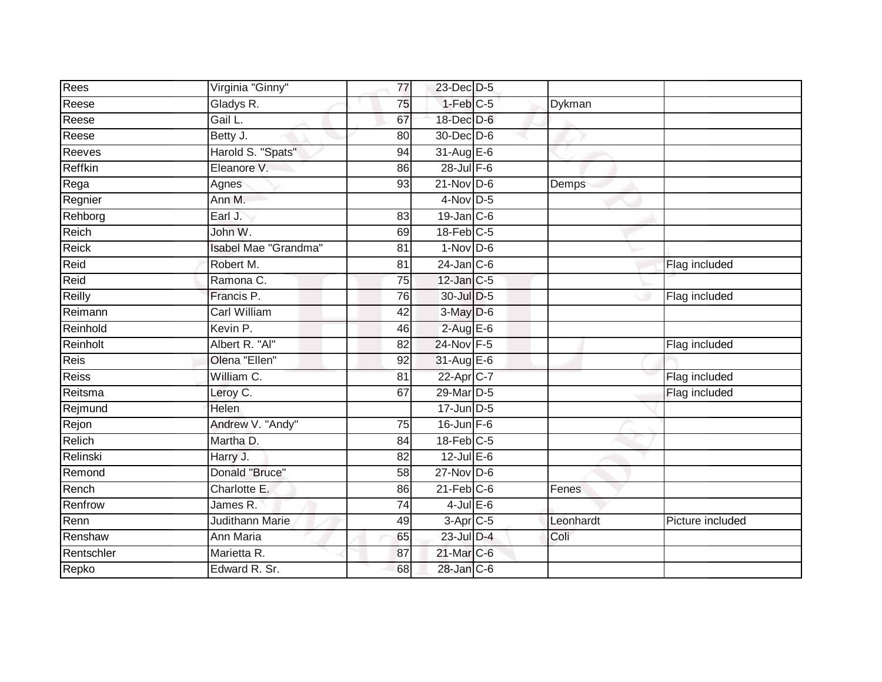| Rees         | Virginia "Ginny"       | 77              | 23-Dec D-5             |           |                  |
|--------------|------------------------|-----------------|------------------------|-----------|------------------|
| Reese        | Gladys R.              | 75              | $1-Feb$ <sub>C-5</sub> | Dykman    |                  |
| Reese        | Gail L.                | 67              | 18-Dec D-6             |           |                  |
| Reese        | Betty J.               | 80              | 30-Dec D-6             |           |                  |
| Reeves       | Harold S. "Spats"      | 94              | 31-Aug E-6             |           |                  |
| Reffkin      | Eleanore V.            | 86              | 28-Jul F-6             |           |                  |
| Rega         | Agnes                  | 93              | $21$ -Nov D-6          | Demps     |                  |
| Regnier      | Ann M.                 |                 | $4$ -Nov D-5           |           |                  |
| Rehborg      | Earl J.                | 83              | $19$ -Jan C-6          |           |                  |
| Reich        | John W.                | 69              | $18$ -Feb $C-5$        |           |                  |
| Reick        | Isabel Mae "Grandma"   | 81              | $1-Nov$ D-6            |           |                  |
| Reid         | Robert M.              | 81              | $24$ -Jan C-6          |           | Flag included    |
| Reid         | Ramona C.              | 75              | $12$ -Jan C-5          |           |                  |
| Reilly       | Francis P.             | 76              | 30-Jul D-5             |           | Flag included    |
| Reimann      | <b>Carl William</b>    | 42              | 3-May D-6              |           |                  |
| Reinhold     | Kevin P.               | 46              | $2$ -Aug E-6           |           |                  |
| Reinholt     | Albert R. "Al"         | 82              | 24-Nov F-5             |           | Flag included    |
| Reis         | Olena "Ellen"          | 92              | $31-Aug$ $E-6$         |           |                  |
| <b>Reiss</b> | William C.             | 81              | 22-Apr C-7             |           | Flag included    |
| Reitsma      | Leroy C.               | 67              | 29-Mar D-5             |           | Flag included    |
| Rejmund      | <b>Helen</b>           |                 | $17$ -Jun D-5          |           |                  |
| Rejon        | Andrew V. "Andy"       | $\overline{75}$ | $16$ -Jun $F-6$        |           |                  |
| Relich       | Martha D.              | 84              | $18$ -Feb $C-5$        |           |                  |
| Relinski     | Harry J.               | 82              | $12$ -Jul E-6          |           |                  |
| Remond       | Donald "Bruce"         | 58              | $27$ -Nov D-6          |           |                  |
| Rench        | Charlotte E.           | 86              | $21$ -Feb $C-6$        | Fenes     |                  |
| Renfrow      | James R.               | 74              | $4$ -Jul $E$ -6        |           |                  |
| Renn         | <b>Judithann Marie</b> | 49              | $3-Apr$ C-5            | Leonhardt | Picture included |
| Renshaw      | <b>Ann Maria</b>       | 65              | 23-Jul D-4             | Coli      |                  |
| Rentschler   | Marietta R.            | 87              | $21$ -Mar $C$ -6       |           |                  |
| Repko        | Edward R. Sr.          | 68              | 28-Jan C-6             |           |                  |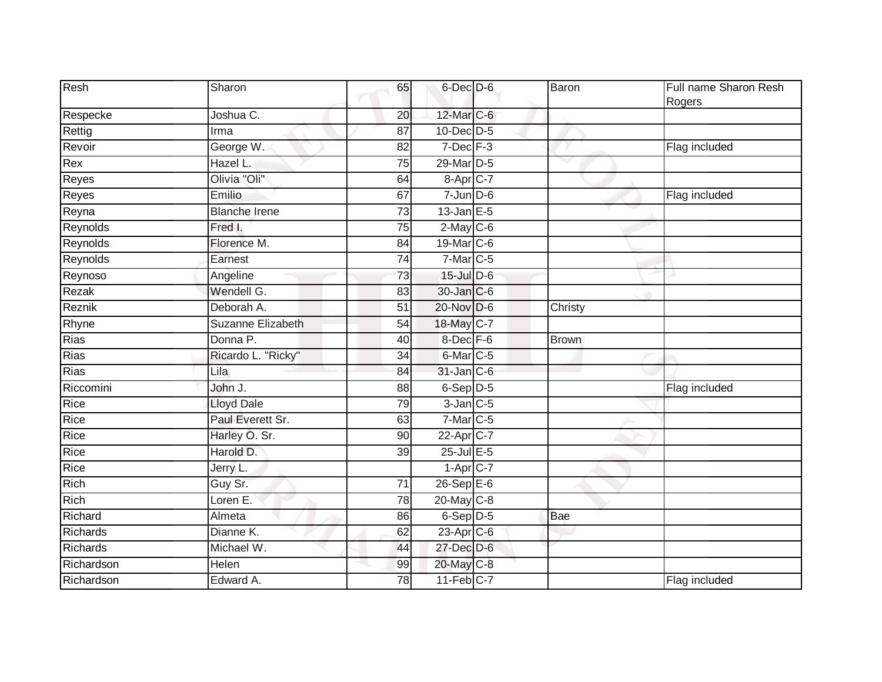| Resh            | Sharon                   | 65              | $6$ -Dec $D$ -6        | Baron        | Full name Sharon Resh<br>Rogers |
|-----------------|--------------------------|-----------------|------------------------|--------------|---------------------------------|
| Respecke        | Joshua C.                | 20              | 12-Mar C-6             |              |                                 |
| Rettig          | Irma                     | 87              | $10$ -Dec $D-5$        |              |                                 |
| Revoir          | George W.                | 82              | $7$ -Dec $F-3$         |              | Flag included                   |
| Rex             | Hazel L.                 | 75              | 29-Mar D-5             |              |                                 |
| Reyes           | Olivia "Oli"             | 64              | 8-Apr C-7              |              |                                 |
| Reyes           | Emilio                   | 67              | $7$ -Jun $D-6$         |              | Flag included                   |
| Reyna           | <b>Blanche Irene</b>     | $\overline{73}$ | $13$ -Jan $E-5$        |              |                                 |
| Reynolds        | Fred I.                  | 75              | $2$ -May $C$ -6        |              |                                 |
| Reynolds        | Florence M.              | 84              | 19-Mar C-6             |              |                                 |
| Reynolds        | Earnest                  | 74              | $7$ -Mar $ C-5 $       |              |                                 |
| Reynoso         | Angeline                 | $\overline{73}$ | $15$ -Jul $D$ -6       |              |                                 |
| Rezak           | Wendell G.               | 83              | 30-Jan C-6             |              |                                 |
| Reznik          | Deborah A.               | 51              | 20-Nov D-6             | Christy      |                                 |
| Rhyne           | <b>Suzanne Elizabeth</b> | $\overline{54}$ | 18-May C-7             |              |                                 |
| <b>Rias</b>     | Donna P.                 | 40              | 8-Dec F-6              | <b>Brown</b> |                                 |
| Rias            | Ricardo L. "Ricky"       | 34              | 6-Mar <sub>C-5</sub>   |              |                                 |
| Rias            | Lila                     | 84              | $31$ -Jan $C-6$        | a s          |                                 |
| Riccomini       | John J.                  | 88              | $6-Sep$ D-5            |              | Flag included                   |
| Rice            | <b>Lloyd Dale</b>        | 79              | $3$ -Jan $C$ -5        |              |                                 |
| Rice            | Paul Everett Sr.         | 63              | $7$ -Mar $C$ -5        |              |                                 |
| Rice            | Harley O. Sr.            | 90              | $22$ -Apr $C$ -7       |              |                                 |
| Rice            | Harold D.                | 39              | 25-Jul E-5             |              |                                 |
| Rice            | Jerry L.                 |                 | $1-Apr$ <sub>C-7</sub> |              |                                 |
| Rich            | Guy Sr.                  | $\overline{71}$ | $26-Sep \tE-6$         |              |                                 |
| Rich            | Loren E.                 | 78              | 20-May C-8             |              |                                 |
| Richard         | Almeta                   | 86              | $6-Sep$ D-5            | Bae          |                                 |
| Richards        | Dianne K.                | 62              | $23$ -Apr $C$ -6       |              |                                 |
| <b>Richards</b> | Michael W.               | 44              | 27-Dec D-6             |              |                                 |
| Richardson      | Helen                    | 99              | 20-May C-8             |              |                                 |
| Richardson      | Edward A.                | 78              | $11-Feb$ C-7           |              | Flag included                   |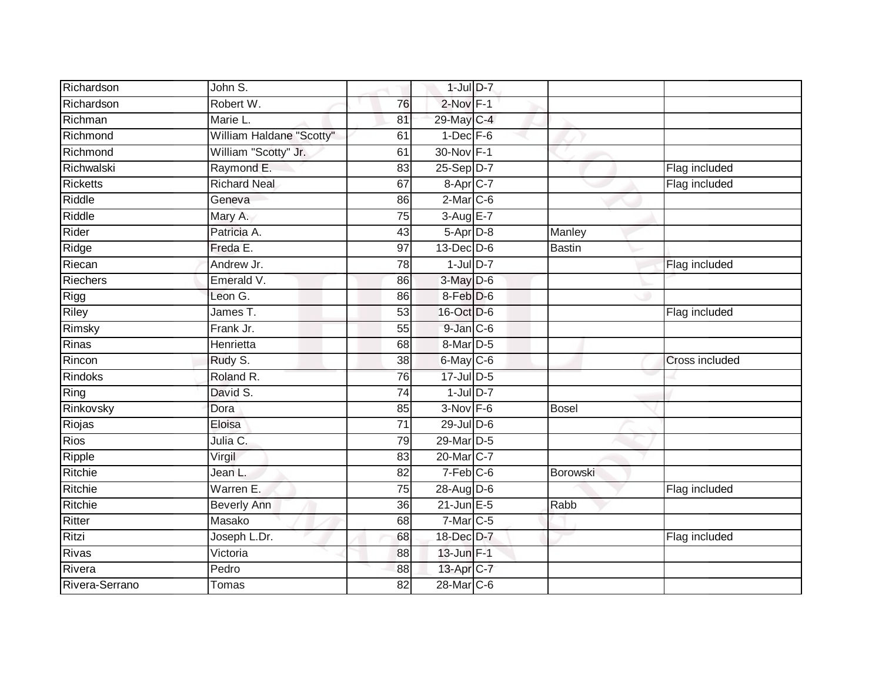| Richardson      | John S.                  |                 | $1$ -Jul $D-7$  |               |                |
|-----------------|--------------------------|-----------------|-----------------|---------------|----------------|
| Richardson      | Robert W.                | 76              | 2-Nov F-1       |               |                |
| Richman         | Marie L.                 | 81              | 29-May C-4      |               |                |
| Richmond        | William Haldane "Scotty" | 61              | $1-Dec$ F-6     |               |                |
| Richmond        | William "Scotty" Jr.     | 61              | 30-Nov F-1      |               |                |
| Richwalski      | Raymond E.               | 83              | $25-Sep D-7$    |               | Flag included  |
| <b>Ricketts</b> | <b>Richard Neal</b>      | 67              | 8-Apr C-7       |               | Flag included  |
| Riddle          | Geneva                   | 86              | $2-Mar$ C-6     |               |                |
| Riddle          | Mary A.                  | $\overline{75}$ | 3-Aug E-7       |               |                |
| Rider           | Patricia A.              | 43              | $5-Apr$ $D-8$   | Manley        |                |
| Ridge           | Freda E.                 | 97              | $13$ -Dec $D-6$ | <b>Bastin</b> |                |
| Riecan          | Andrew Jr.               | $\overline{78}$ | $1$ -Jul $D-7$  |               | Flag included  |
| <b>Riechers</b> | Emerald V.               | 86              | 3-May D-6       |               |                |
| Rigg            | Leon G.                  | 86              | 8-Feb D-6       |               |                |
| <b>Riley</b>    | James T.                 | $\overline{53}$ | 16-Oct D-6      |               | Flag included  |
| Rimsky          | Frank Jr.                | $\overline{55}$ | $9$ -Jan $C$ -6 |               |                |
| Rinas           | Henrietta                | 68              | 8-Mar D-5       |               |                |
| Rincon          | Rudy S.                  | 38              | $6$ -May $C$ -6 |               | Cross included |
| Rindoks         | Roland R.                | 76              | 17-Jul D-5      |               |                |
| Ring            | David S.                 | $\overline{74}$ | $1$ -Jul $D-7$  |               |                |
| Rinkovsky       | Dora                     | 85              | $3-Nov$ F-6     | <b>Bosel</b>  |                |
| Riojas          | Eloisa                   | $\overline{71}$ | 29-Jul D-6      |               |                |
| <b>Rios</b>     | Julia C.                 | 79              | 29-Mar D-5      |               |                |
| Ripple          | Virgil                   | 83              | 20-Mar C-7      |               |                |
| Ritchie         | Jean L.                  | 82              | $7-Feb$ C-6     | Borowski      |                |
| Ritchie         | Warren E.                | 75              | 28-Aug D-6      |               | Flag included  |
| Ritchie         | <b>Beverly Ann</b>       | 36              | $21$ -Jun $E-5$ | Rabb          |                |
| Ritter          | Masako                   | 68              | $7-Mar$ C-5     |               |                |
| Ritzi           | Joseph L.Dr.             | 68              | 18-Dec D-7      |               | Flag included  |
| <b>Rivas</b>    | Victoria                 | 88              | $13$ -Jun $F-1$ |               |                |
| Rivera          | Pedro                    | 88              | 13-Apr C-7      |               |                |
| Rivera-Serrano  | Tomas                    | 82              | 28-Mar C-6      |               |                |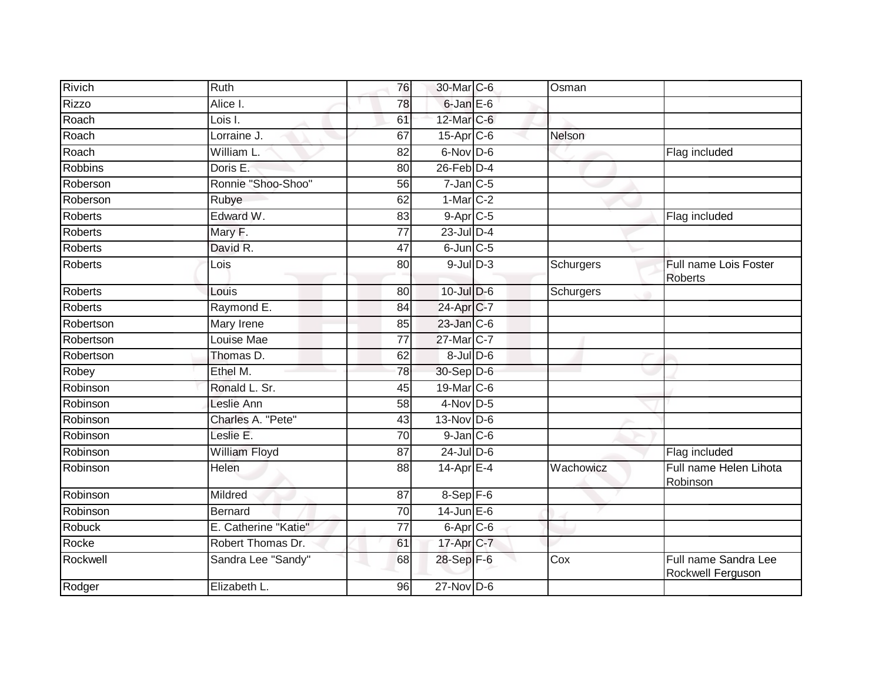| Rivich         | Ruth                 | 76              | 30-Mar C-6               | Osman     |                                           |
|----------------|----------------------|-----------------|--------------------------|-----------|-------------------------------------------|
| <b>Rizzo</b>   | Alice I.             | 78              | 6-Jan E-6                |           |                                           |
| Roach          | Lois I.              | 61              | 12-Mar C-6               |           |                                           |
| Roach          | Lorraine J.          | 67              | $15-Apr$ <sub>C-6</sub>  | Nelson    |                                           |
| Roach          | <b>William L</b>     | 82              | 6-Nov D-6                |           | Flag included                             |
| <b>Robbins</b> | Doris E:             | $\overline{80}$ | $26$ -Feb $D-4$          |           |                                           |
| Roberson       | Ronnie "Shoo-Shoo"   | 56              | $7$ -Jan $C$ -5          |           |                                           |
| Roberson       | Rubye                | 62              | $1-Mar$ C-2              |           |                                           |
| Roberts        | Edward W.            | 83              | $9-AprC-5$               |           | Flag included                             |
| <b>Roberts</b> | Mary F.              | $\overline{77}$ | $23$ -Jul $D-4$          |           |                                           |
| <b>Roberts</b> | David R.             | 47              | $6$ -Jun $C$ -5          |           |                                           |
| <b>Roberts</b> | Lois                 | 80              | $9$ -Jul $D-3$           | Schurgers | Full name Lois Foster<br><b>Roberts</b>   |
| <b>Roberts</b> | Louis                | 80              | $10$ -Jul $D-6$          | Schurgers |                                           |
| Roberts        | Raymond E.           | 84              | 24-Apr C-7               |           |                                           |
| Robertson      | Mary Irene           | 85              | 23-Jan C-6               |           |                                           |
| Robertson      | Louise Mae           | 77              | 27-Mar C-7               |           |                                           |
| Robertson      | Thomas D.            | 62              | $8 -$ Jul $D - 6$        |           |                                           |
| Robey          | Ethel M.             | 78              | 30-Sep D-6               |           |                                           |
| Robinson       | Ronald L. Sr.        | 45              | 19-Mar C-6               |           |                                           |
| Robinson       | Leslie Ann           | $\overline{58}$ | $4$ -Nov D-5             |           |                                           |
| Robinson       | Charles A. "Pete"    | 43              | $13-Nov$ D-6             |           |                                           |
| Robinson       | Leslie E.            | 70              | $9$ -Jan $C$ -6          |           |                                           |
| Robinson       | <b>William Floyd</b> | 87              | $24$ -Jul D-6            |           | Flag included                             |
| Robinson       | Helen                | 88              | $14$ -Apr $E-4$          | Wachowicz | Full name Helen Lihota<br>Robinson        |
| Robinson       | Mildred              | 87              | 8-Sep F-6                |           |                                           |
| Robinson       | Bernard              | $\overline{70}$ | 14-Jun E-6               |           |                                           |
| <b>Robuck</b>  | E. Catherine "Katie" | $\overline{77}$ | $6 - Apr$ <sub>C-6</sub> |           |                                           |
| Rocke          | Robert Thomas Dr.    | 61              | 17-Apr C-7               |           |                                           |
| Rockwell       | Sandra Lee "Sandy"   | 68              | 28-Sep F-6               | Cox       | Full name Sandra Lee<br>Rockwell Ferguson |
| Rodger         | Elizabeth L.         | 96              | $27$ -Nov D-6            |           |                                           |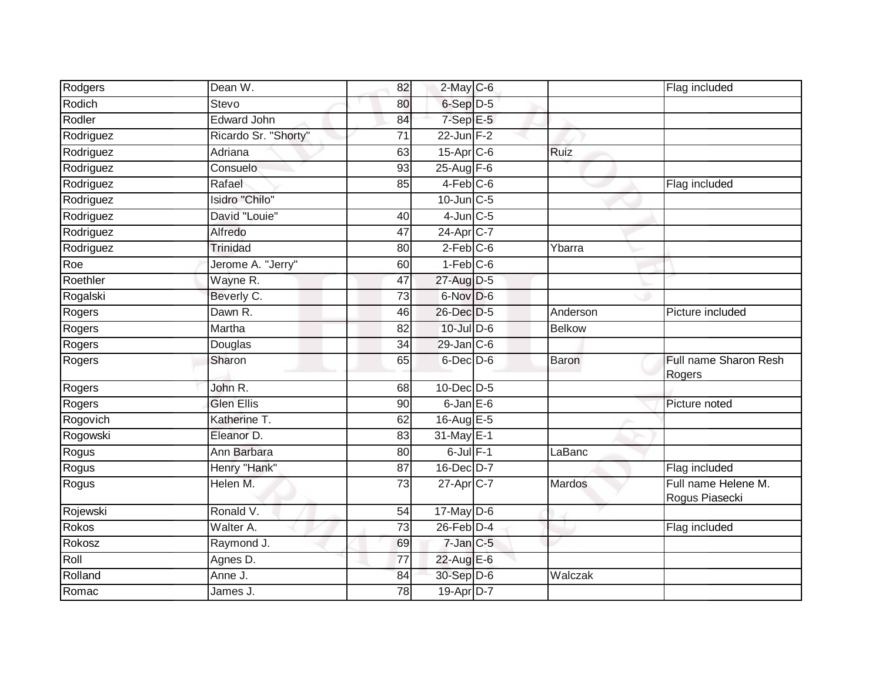| Rodgers   | Dean W.              | 82              | $2$ -May $C$ -6  |               | Flag included                         |
|-----------|----------------------|-----------------|------------------|---------------|---------------------------------------|
| Rodich    | Stevo                | 80              | 6-Sep D-5        |               |                                       |
| Rodler    | <b>Edward John</b>   | 84              | $7-SepE-5$       |               |                                       |
| Rodriguez | Ricardo Sr. "Shorty" | 71              | $22$ -Jun F-2    |               |                                       |
| Rodriguez | Adriana              | 63              | $15$ -Apr $C$ -6 | Ruiz          |                                       |
| Rodriguez | Consuelo             | 93              | 25-Aug F-6       |               |                                       |
| Rodriguez | Rafael               | 85              | $4$ -Feb $C$ -6  |               | Flag included                         |
| Rodriguez | Isidro "Chilo"       |                 | $10$ -Jun $C-5$  |               |                                       |
| Rodriguez | David "Louie"        | 40              | $4$ -Jun $C$ -5  |               |                                       |
| Rodriguez | Alfredo              | 47              | 24-Apr C-7       |               |                                       |
| Rodriguez | <b>Trinidad</b>      | 80              | $2-Feb$ $C-6$    | Ybarra        |                                       |
| Roe       | Jerome A. "Jerry"    | 60              | $1-Feb$ $C-6$    |               |                                       |
| Roethler  | Wayne R.             | 47              | 27-Aug D-5       |               |                                       |
| Rogalski  | Beverly C.           | 73              | 6-Nov D-6        |               |                                       |
| Rogers    | Dawn R.              | 46              | 26-Dec D-5       | Anderson      | Picture included                      |
| Rogers    | Martha               | 82              | 10-Jul D-6       | <b>Belkow</b> |                                       |
| Rogers    | Douglas              | 34              | $29$ -Jan $C$ -6 |               |                                       |
| Rogers    | Sharon               | 65              | $6$ -Dec $D$ -6  | Baron         | Full name Sharon Resh<br>Rogers       |
| Rogers    | John R.              | 68              | $10$ -Dec $D-5$  |               |                                       |
| Rogers    | <b>Glen Ellis</b>    | 90              | $6$ -Jan $E$ -6  |               | Picture noted                         |
| Rogovich  | Katherine T.         | 62              | 16-Aug E-5       |               |                                       |
| Rogowski  | Eleanor D.           | 83              | 31-May E-1       |               |                                       |
| Rogus     | Ann Barbara          | 80              | $6$ -Jul $F-1$   | LaBanc        |                                       |
| Rogus     | Henry "Hank"         | 87              | 16-Dec D-7       |               | Flag included                         |
| Rogus     | Helen M.             | $\overline{73}$ | 27-Apr C-7       | <b>Mardos</b> | Full name Helene M.<br>Rogus Piasecki |
| Rojewski  | Ronald V.            | 54              | $17$ -May $D-6$  |               |                                       |
| Rokos     | Walter A.            | 73              | $26$ -Feb $D-4$  |               | Flag included                         |
| Rokosz    | Raymond J.           | 69              | $7$ -Jan $C$ -5  |               |                                       |
| Roll      | Agnes D.             | 77              | 22-Aug E-6       |               |                                       |
| Rolland   | Anne J.              | 84              | 30-Sep D-6       | Walczak       |                                       |
| Romac     | James J.             | 78              | 19-Apr D-7       |               |                                       |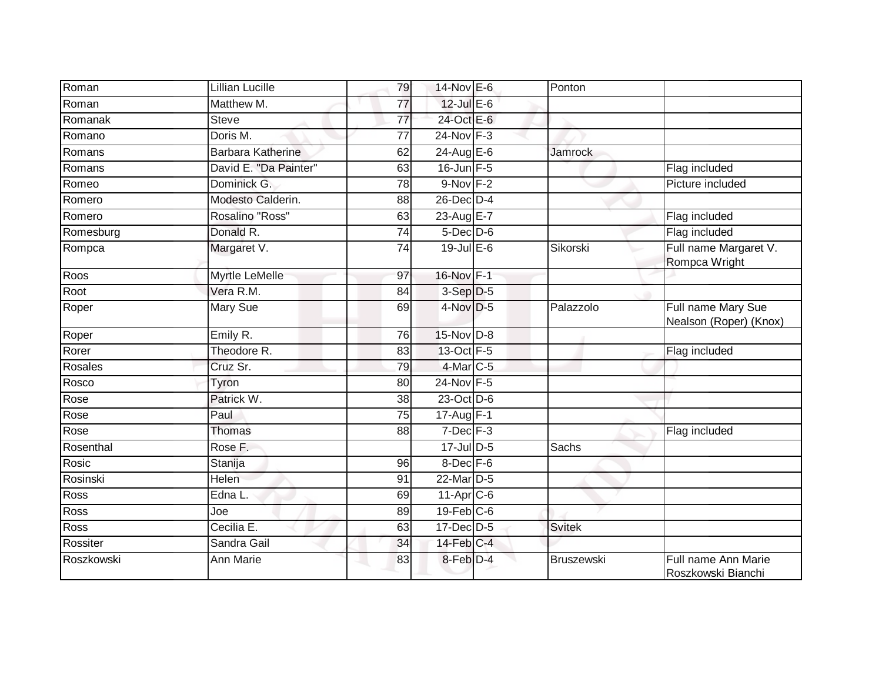| Roman      | Lillian Lucille          | 79              | 14-Nov E-6       | Ponton         |                                              |
|------------|--------------------------|-----------------|------------------|----------------|----------------------------------------------|
| Roman      | Matthew M.               | 77              | $12$ -Jul E-6    |                |                                              |
| Romanak    | <b>Steve</b>             | 77              | 24-Oct E-6       |                |                                              |
| Romano     | Doris M.                 | 77              | 24-Nov F-3       |                |                                              |
| Romans     | <b>Barbara Katherine</b> | 62              | $24$ -Aug E-6    | <b>Jamrock</b> |                                              |
| Romans     | David E. "Da Painter"    | 63              | $16$ -Jun $F-5$  |                | Flag included                                |
| Romeo      | Dominick G.              | 78              | $9-Nov$ F-2      |                | Picture included                             |
| Romero     | Modesto Calderin.        | 88              | 26-Dec D-4       |                |                                              |
| Romero     | Rosalino "Ross"          | 63              | 23-Aug E-7       |                | Flag included                                |
| Romesburg  | Donald R.                | $\overline{74}$ | $5$ -Dec $D$ -6  |                | Flag included                                |
| Rompca     | Margaret V.              | 74              | $19$ -Jul E-6    | Sikorski       | Full name Margaret V.<br>Rompca Wright       |
| Roos       | Myrtle LeMelle           | 97              | 16-Nov F-1       |                |                                              |
| Root       | Vera R.M.                | 84              | 3-Sep D-5        |                |                                              |
| Roper      | Mary Sue                 | 69              | 4-Nov D-5        | Palazzolo      | Full name Mary Sue<br>Nealson (Roper) (Knox) |
| Roper      | Emily R.                 | 76              | 15-Nov D-8       |                |                                              |
| Rorer      | Theodore R.              | 83              | 13-Oct F-5       |                | Flag included                                |
| Rosales    | Cruz Sr.                 | 79              | 4-Mar C-5        |                |                                              |
| Rosco      | Tyron                    | 80              | 24-Nov F-5       |                |                                              |
| Rose       | Patrick W.               | 38              | 23-Oct D-6       |                |                                              |
| Rose       | Paul                     | 75              | 17-Aug F-1       |                |                                              |
| Rose       | Thomas                   | 88              | $7$ -Dec $F-3$   |                | Flag included                                |
| Rosenthal  | Rose F.                  |                 | $17 -$ Jul D-5   | Sachs          |                                              |
| Rosic      | Stanija                  | 96              | 8-Dec F-6        |                |                                              |
| Rosinski   | Helen                    | 91              | 22-Mar D-5       |                |                                              |
| Ross       | Edna L.                  | 69              | $11$ -Apr $C$ -6 |                |                                              |
| Ross       | Joe                      | 89              | $19$ -Feb $C$ -6 |                |                                              |
| Ross       | Cecilia E.               | 63              | 17-Dec D-5       | <b>Svitek</b>  |                                              |
| Rossiter   | Sandra Gail              | $\overline{34}$ | 14-Feb C-4       |                |                                              |
| Roszkowski | <b>Ann Marie</b>         | 83              | 8-Feb D-4        | Bruszewski     | Full name Ann Marie<br>Roszkowski Bianchi    |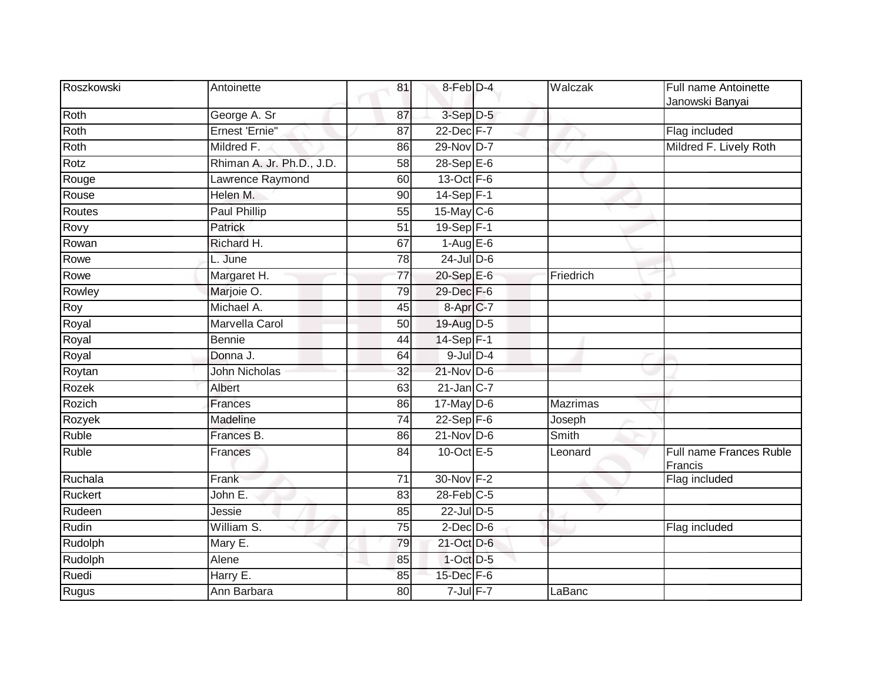| Roszkowski | Antoinette                | 81              | 8-Feb D-4         | Walczak         | Full name Antoinette<br>Janowski Banyai |
|------------|---------------------------|-----------------|-------------------|-----------------|-----------------------------------------|
| Roth       | George A. Sr              | 87              | 3-Sep D-5         |                 |                                         |
| Roth       | Ernest 'Ernie"            | $\overline{87}$ | 22-Dec F-7        |                 | Flag included                           |
| Roth       | Mildred F.                | 86              | 29-Nov D-7        |                 | Mildred F. Lively Roth                  |
| Rotz       | Rhiman A. Jr. Ph.D., J.D. | 58              | 28-Sep E-6        |                 |                                         |
| Rouge      | Lawrence Raymond          | 60              | $13-Oct$ F-6      |                 |                                         |
| Rouse      | Helen M.                  | 90              | 14-Sep F-1        |                 |                                         |
| Routes     | <b>Paul Phillip</b>       | $\overline{55}$ | 15-May C-6        |                 |                                         |
| Rovy       | Patrick                   | 51              | 19-Sep F-1        |                 |                                         |
| Rowan      | Richard H.                | 67              | $1-Aug$ E-6       |                 |                                         |
| Rowe       | L. June                   | 78              | $24$ -Jul $D-6$   |                 |                                         |
| Rowe       | Margaret H.               | 77              | 20-Sep E-6        | Friedrich       |                                         |
| Rowley     | Marjoie O.                | 79              | 29-Dec F-6        |                 |                                         |
| Roy        | Michael A.                | 45              | 8-Apr C-7         |                 |                                         |
| Royal      | Marvella Carol            | 50              | 19-Aug D-5        |                 |                                         |
| Royal      | Bennie                    | 44              | $14-Sep$ F-1      |                 |                                         |
| Royal      | Donna J.                  | 64              | $9$ -Jul $D-4$    |                 |                                         |
| Roytan     | <b>John Nicholas</b>      | 32              | 21-Nov D-6        |                 |                                         |
| Rozek      | Albert                    | 63              | $21$ -Jan $ C-7 $ |                 |                                         |
| Rozich     | <b>Frances</b>            | 86              | $17$ -May D-6     | <b>Mazrimas</b> |                                         |
| Rozyek     | Madeline                  | $\overline{74}$ | $22-Sep$ F-6      | Joseph          |                                         |
| Ruble      | Frances B.                | 86              | $21$ -Nov D-6     | Smith           |                                         |
| Ruble      | Frances                   | 84              | 10-Oct $E-5$      | Leonard         | Full name Frances Ruble<br>Francis      |
| Ruchala    | Frank                     | $\overline{71}$ | 30-Nov F-2        |                 | Flag included                           |
| Ruckert    | John E.                   | 83              | $28$ -Feb $C-5$   |                 |                                         |
| Rudeen     | Jessie                    | 85              | 22-Jul D-5        |                 |                                         |
| Rudin      | William S.                | 75              | $2$ -Dec $D$ -6   |                 | Flag included                           |
| Rudolph    | Mary E.                   | 79              | 21-Oct D-6        |                 |                                         |
| Rudolph    | Alene                     | 85              | $1$ -Oct $D-5$    |                 |                                         |
| Ruedi      | Harry E.                  | 85              | 15-Dec F-6        |                 |                                         |
| Rugus      | Ann Barbara               | 80              | $7$ -Jul $F-7$    | LaBanc          |                                         |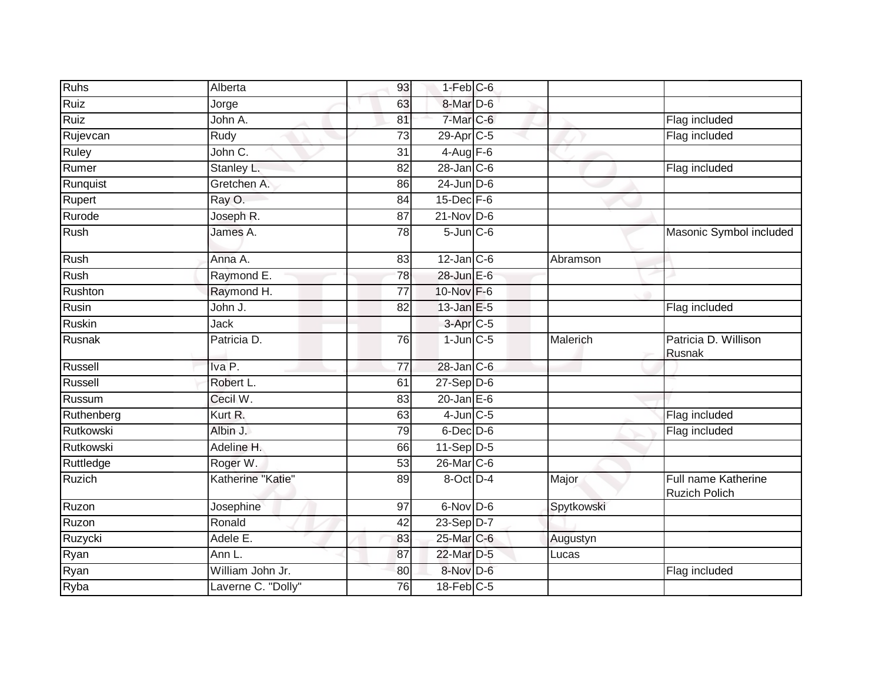| <b>Ruhs</b>   | Alberta            | 93              | $1-Feb$ $C-6$        |            |                                             |
|---------------|--------------------|-----------------|----------------------|------------|---------------------------------------------|
| Ruiz          | Jorge              | 63              | 8-Mar <sub>D-6</sub> |            |                                             |
| Ruiz          | John A.            | 81              | 7-Mar C-6            |            | Flag included                               |
| Rujevcan      | Rudy               | 73              | $29$ -Apr $C$ -5     |            | Flag included                               |
| Ruley         | John C.            | 31              | $4 - Aug$ F-6        |            |                                             |
| Rumer         | Stanley L.         | 82              | $28$ -Jan $C$ -6     |            | Flag included                               |
| Runquist      | Gretchen A.        | 86              | $24$ -Jun $D-6$      |            |                                             |
| Rupert        | Ray O.             | 84              | $15$ -Dec $F-6$      |            |                                             |
| Rurode        | Joseph R.          | 87              | $21$ -Nov D-6        |            |                                             |
| Rush          | James A.           | $\overline{78}$ | $5$ -Jun $C$ -6      |            | Masonic Symbol included                     |
| Rush          | Anna A.            | 83              | $12$ -Jan C-6        | Abramson   |                                             |
| Rush          | Raymond E.         | 78              | $28$ -Jun $E-6$      |            |                                             |
| Rushton       | Raymond H.         | $\overline{77}$ | 10-Nov F-6           |            |                                             |
| Rusin         | John J.            | 82              | $13$ -Jan $E-5$      |            | Flag included                               |
| <b>Ruskin</b> | Jack               |                 | 3-Apr <sub>C-5</sub> |            |                                             |
| Rusnak        | Patricia D.        | 76              | $1$ -Jun $C$ -5      | Malerich   | Patricia D. Willison<br>Rusnak              |
| Russell       | Iva <sub>P.</sub>  | 77              | 28-Jan C-6           |            |                                             |
| Russell       | Robert L.          | 61              | $27-Sep$ $D-6$       |            |                                             |
| Russum        | Cecil W.           | 83              | $20$ -Jan $E-6$      |            |                                             |
| Ruthenberg    | Kurt R.            | 63              | $4$ -Jun $C$ -5      |            | Flag included                               |
| Rutkowski     | Albin J.           | 79              | $6$ -Dec $D$ -6      |            | Flag included                               |
| Rutkowski     | Adeline H.         | 66              | $11-Sep D-5$         |            |                                             |
| Ruttledge     | Roger W.           | 53              | 26-Mar C-6           |            |                                             |
| Ruzich        | Katherine "Katie"  | 89              | 8-Oct D-4            | Major      | Full name Katherine<br><b>Ruzich Polich</b> |
| Ruzon         | Josephine          | 97              | 6-Nov D-6            | Spytkowski |                                             |
| Ruzon         | Ronald             | 42              | 23-Sep D-7           |            |                                             |
| Ruzycki       | Adele E.           | 83              | 25-Mar C-6           | Augustyn   |                                             |
| Ryan          | Ann L.             | 87              | 22-Mar D-5           | Lucas      |                                             |
| Ryan          | William John Jr.   | 80              | 8-Nov D-6            |            | Flag included                               |
| Ryba          | Laverne C. "Dolly" | $\overline{76}$ | $18$ -Feb $C-5$      |            |                                             |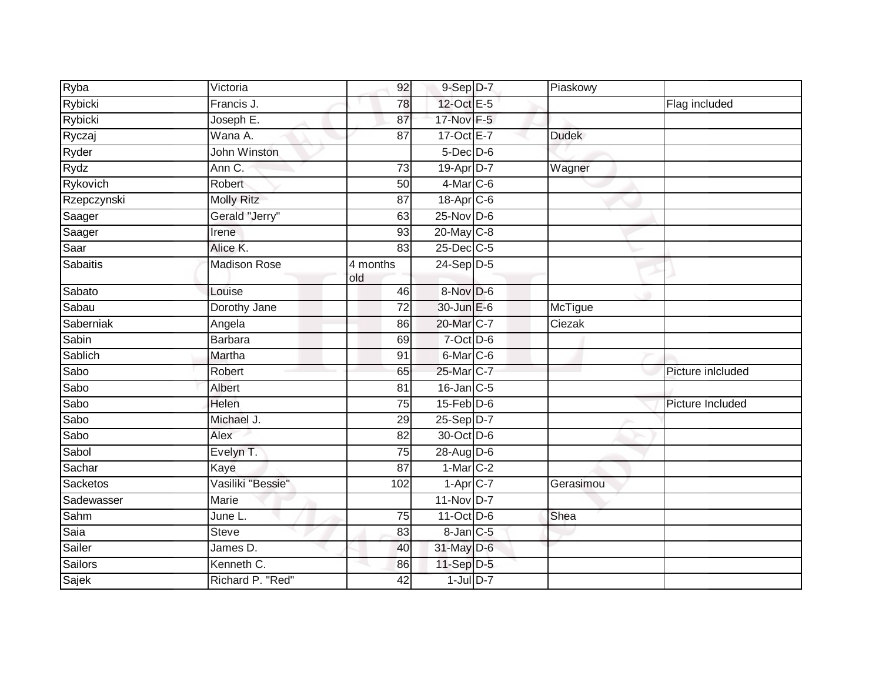| Ryba            | Victoria            | 92              | $9-Sep$ $D-7$        | Piaskowy     |                   |
|-----------------|---------------------|-----------------|----------------------|--------------|-------------------|
| Rybicki         | Francis J.          | 78              | 12-Oct E-5           |              | Flag included     |
| Rybicki         | Joseph E.           | 87              | 17-Nov F-5           |              |                   |
| Ryczaj          | Wana A.             | 87              | 17-Oct E-7           | <b>Dudek</b> |                   |
| Ryder           | John Winston        |                 | $5$ -Dec $D$ -6      |              |                   |
| Rydz            | Ann C.              | 73              | 19-Apr D-7           | Wagner       |                   |
| Rykovich        | Robert              | 50              | 4-Mar C-6            |              |                   |
| Rzepczynski     | <b>Molly Ritz</b>   | 87              | 18-Apr C-6           |              |                   |
| Saager          | Gerald "Jerry"      | 63              | $25$ -Nov $D-6$      |              |                   |
| Saager          | Irene               | 93              | 20-May C-8           |              |                   |
| Saar            | Alice K.            | 83              | 25-Dec C-5           |              |                   |
| <b>Sabaitis</b> | <b>Madison Rose</b> | 4 months<br>old | $24-Sep$ D-5         |              |                   |
| Sabato          | Louise              | 46              | 8-Nov D-6            |              |                   |
| Sabau           | Dorothy Jane        | 72              | 30-Jun E-6           | McTigue      |                   |
| Saberniak       | Angela              | 86              | 20-Mar C-7           | Ciezak       |                   |
| Sabin           | Barbara             | 69              | $7$ -Oct $D$ -6      |              |                   |
| Sablich         | Martha              | 91              | 6-Mar C-6            |              |                   |
| Sabo            | Robert              | 65              | 25-Mar C-7           |              | Picture inlcluded |
| Sabo            | Albert              | 81              | $16$ -Jan $C$ -5     |              |                   |
| Sabo            | Helen               | $\overline{75}$ | $15$ -Feb $D-6$      |              | Picture Included  |
| Sabo            | Michael J.          | 29              | $25-Sep$ $D-7$       |              |                   |
| Sabo            | Alex                | 82              | 30-Oct D-6           |              |                   |
| Sabol           | Evelyn T.           | 75              | 28-Aug D-6           |              |                   |
| Sachar          | Kaye                | 87              | $1-Mar$ C-2          |              |                   |
| Sacketos        | Vasiliki "Bessie"   | 102             | $1 - \text{Apr}$ C-7 | Gerasimou    |                   |
| Sadewasser      | Marie               |                 | 11-Nov D-7           |              |                   |
| Sahm            | June L.             | 75              | 11-Oct D-6           | Shea         |                   |
| Saia            | <b>Steve</b>        | 83              | 8-Jan C-5            |              |                   |
| Sailer          | James D.            | 40              | 31-May D-6           |              |                   |
| Sailors         | Kenneth C.          | 86              | 11-Sep D-5           |              |                   |
| Sajek           | Richard P. "Red"    | 42              | $1$ -Jul $D-7$       |              |                   |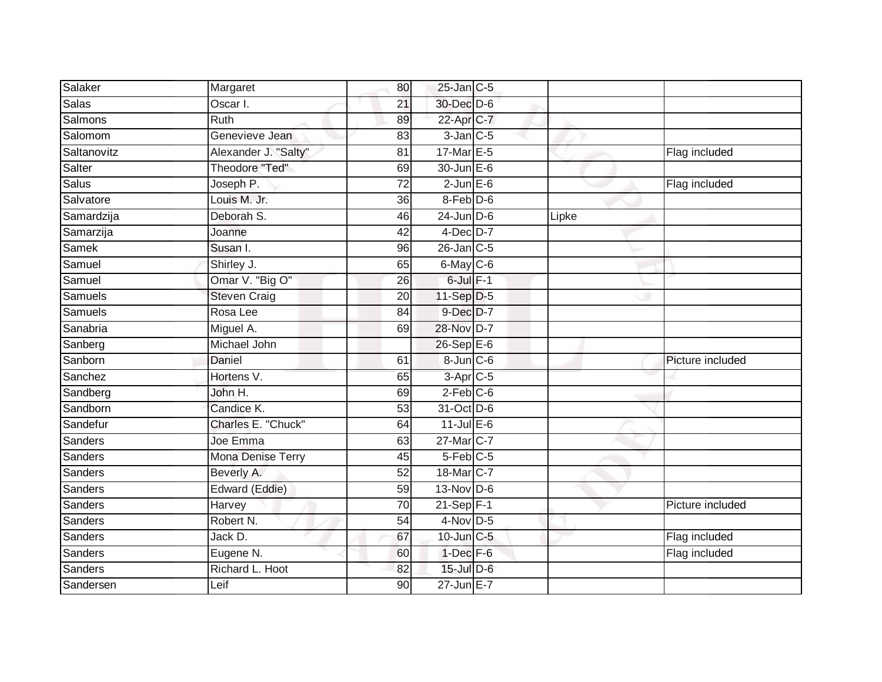| Salaker        | Margaret                 | 80              | $25$ -Jan C-5          |       |                  |
|----------------|--------------------------|-----------------|------------------------|-------|------------------|
| <b>Salas</b>   | Oscar I.                 | 21              | 30-Dec D-6             |       |                  |
| Salmons        | <b>Ruth</b>              | 89              | 22-Apr C-7             |       |                  |
| Salomom        | Genevieve Jean           | 83              | $3$ -Jan $C$ -5        |       |                  |
| Saltanovitz    | Alexander J. "Salty"     | $\overline{81}$ | 17-Mar E-5             |       | Flag included    |
| Salter         | Theodore "Ted"           | 69              | $30$ -Jun $E-6$        |       |                  |
| Salus          | Joseph P.                | 72              | $2$ -Jun $E$ -6        |       | Flag included    |
| Salvatore      | Louis M. Jr.             | 36              | 8-Feb D-6              |       |                  |
| Samardzija     | Deborah S.               | 46              | $24$ -Jun $D-6$        | Lipke |                  |
| Samarzija      | Joanne                   | $\overline{42}$ | $4$ -Dec $D-7$         |       |                  |
| Samek          | Susan I.                 | 96              | $26$ -Jan $C$ -5       |       |                  |
| Samuel         | Shirley J.               | 65              | $6$ -May $C$ -6        |       |                  |
| Samuel         | Omar V. "Big O"          | 26              | $6$ -Jul $F-1$         |       |                  |
| Samuels        | <b>Steven Craig</b>      | 20              | 11-Sep D-5             |       |                  |
| <b>Samuels</b> | Rosa Lee                 | 84              | $9$ -Dec $D$ -7        |       |                  |
| Sanabria       | Miguel A.                | 69              | 28-Nov D-7             |       |                  |
| Sanberg        | Michael John             |                 | $26$ -Sep $E-6$        |       |                  |
| Sanborn        | Daniel                   | 61              | 8-Jun C-6              |       | Picture included |
| Sanchez        | Hortens V.               | 65              | 3-Apr <sub>IC-5</sub>  |       |                  |
| Sandberg       | John H.                  | 69              | $2$ -Feb $C$ -6        |       |                  |
| Sandborn       | Candice K.               | 53              | 31-Oct D-6             |       |                  |
| Sandefur       | Charles E. "Chuck"       | 64              | $11$ -Jul $E-6$        |       |                  |
| Sanders        | Joe Emma                 | 63              | 27-Mar C-7             |       |                  |
| Sanders        | <b>Mona Denise Terry</b> | 45              | $5-Feb$ <sub>C-5</sub> |       |                  |
| Sanders        | Beverly A.               | 52              | 18-Mar C-7             |       |                  |
| Sanders        | Edward (Eddie)           | 59              | $13-Nov$ D-6           |       |                  |
| Sanders        | Harvey                   | 70              | $21-Sep$ F-1           |       | Picture included |
| Sanders        | Robert N.                | 54              | $4-Nov$ D-5            |       |                  |
| Sanders        | Jack D.                  | 67              | 10-Jun C-5             |       | Flag included    |
| Sanders        | Eugene N.                | 60              | $1-Dec$ F-6            |       | Flag included    |
| Sanders        | Richard L. Hoot          | 82              | 15-Jul D-6             |       |                  |
| Sandersen      | Leif                     | 90              | $27$ -Jun $E-7$        |       |                  |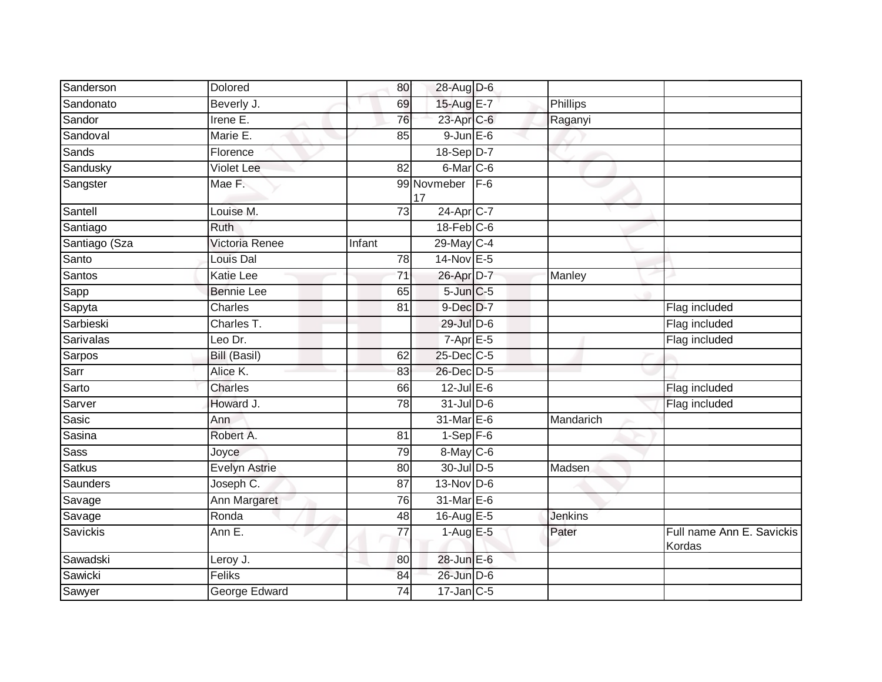| Sanderson        | Dolored              | 80              | 28-Aug D-6             |       |                |                                     |
|------------------|----------------------|-----------------|------------------------|-------|----------------|-------------------------------------|
| Sandonato        | Beverly J.           | 69              | 15-Aug E-7             |       | Phillips       |                                     |
| Sandor           | Irene $E$ .          | 76              | 23-Apr C-6             |       | Raganyi        |                                     |
| Sandoval         | Marie E.             | 85              | $9$ -Jun $E$ -6        |       |                |                                     |
| Sands            | Florence             |                 | 18-Sep D-7             |       |                |                                     |
| Sandusky         | <b>Violet Lee</b>    | $\overline{82}$ | $6$ -Mar $C$ -6        |       |                |                                     |
| Sangster         | Mae F.               |                 | 99 Novmeber<br>17      | $F-6$ |                |                                     |
| Santell          | Louise M.            | 73              | 24-Apr <sub>IC-7</sub> |       |                |                                     |
| Santiago         | <b>Ruth</b>          |                 | $18$ -Feb $C$ -6       |       |                |                                     |
| Santiago (Sza    | Victoria Renee       | Infant          | 29-May C-4             |       |                |                                     |
| Santo            | Louis Dal            | 78              | 14-Nov E-5             |       |                |                                     |
| Santos           | Katie Lee            | 71              | 26-Apr D-7             |       | Manley         |                                     |
| Sapp             | <b>Bennie Lee</b>    | 65              | $5$ -Jun $C$ -5        |       |                |                                     |
| Sapyta           | <b>Charles</b>       | 81              | 9-Dec D-7              |       |                | Flag included                       |
| Sarbieski        | Charles T.           |                 | 29-Jul D-6             |       |                | Flag included                       |
| <b>Sarivalas</b> | Leo Dr.              |                 | $7-Apr$ E-5            |       |                | Flag included                       |
| Sarpos           | <b>Bill (Basil)</b>  | 62              | 25-Dec C-5             |       |                |                                     |
| Sarr             | Alice K.             | 83              | 26-Dec D-5             |       |                |                                     |
| Sarto            | <b>Charles</b>       | 66              | $12$ -Jul E-6          |       |                | Flag included                       |
| Sarver           | Howard J.            | $\overline{78}$ | $31$ -Jul D-6          |       |                | Flag included                       |
| Sasic            | Ann                  |                 | 31-Mar E-6             |       | Mandarich      |                                     |
| Sasina           | Robert A.            | 81              | $1-Sep$ F-6            |       |                |                                     |
| <b>Sass</b>      | Joyce                | 79              | 8-May C-6              |       |                |                                     |
| <b>Satkus</b>    | <b>Evelyn Astrie</b> | 80              | 30-Jul D-5             |       | Madsen         |                                     |
| Saunders         | Joseph C.            | 87              | $13-Nov$ D-6           |       |                |                                     |
| Savage           | Ann Margaret         | $\overline{76}$ | 31-Mar E-6             |       |                |                                     |
| Savage           | Ronda                | 48              | 16-Aug E-5             |       | <b>Jenkins</b> |                                     |
| Savickis         | Ann E.               | 77              | $1-Aug$ E-5            |       | Pater          | Full name Ann E. Savickis<br>Kordas |
| Sawadski         | Leroy J.             | 80              | 28-Jun E-6             |       |                |                                     |
| Sawicki          | Feliks               | 84              | 26-Jun D-6             |       |                |                                     |
| Sawyer           | George Edward        | 74              | $17$ -Jan $ C-5 $      |       |                |                                     |
|                  |                      |                 |                        |       |                |                                     |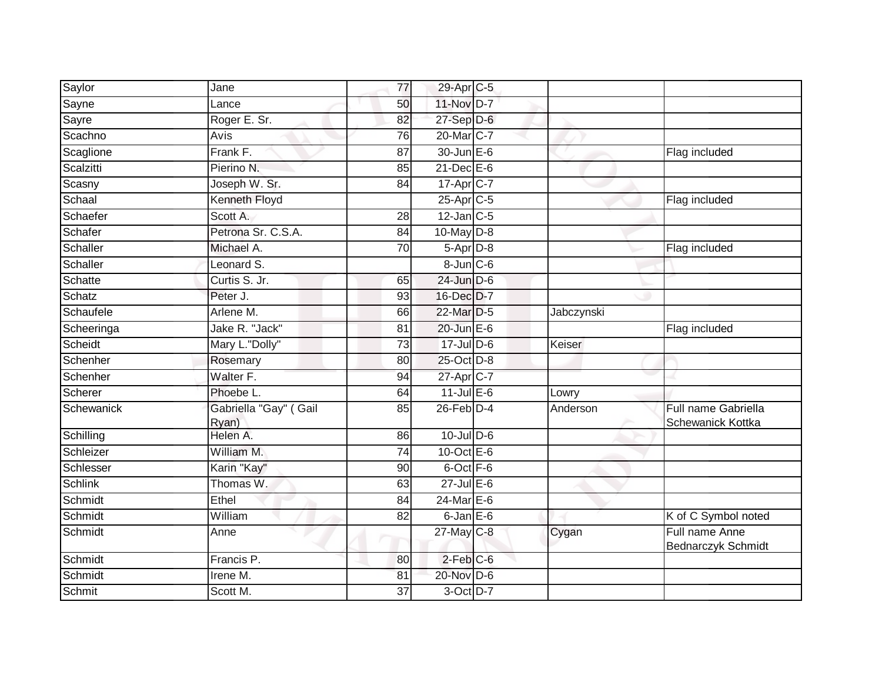| Saylor         | Jane                           | 77              | 29-Apr C-5            |            |                                          |
|----------------|--------------------------------|-----------------|-----------------------|------------|------------------------------------------|
| Sayne          | Lance                          | 50              | 11-Nov D-7            |            |                                          |
| Sayre          | Roger E. Sr.                   | 82              | $27-$ Sep $D-6$       |            |                                          |
| Scachno        | Avis                           | 76              | 20-Mar C-7            |            |                                          |
| Scaglione      | Frank F.                       | 87              | 30-Jun E-6            |            | Flag included                            |
| Scalzitti      | Pierino N.                     | 85              | $21$ -Dec $E-6$       |            |                                          |
| Scasny         | Joseph W. Sr.                  | 84              | 17-Apr C-7            |            |                                          |
| Schaal         | Kenneth Floyd                  |                 | 25-Apr <sub>C-5</sub> |            | Flag included                            |
| Schaefer       | Scott A.                       | 28              | $12$ -Jan C-5         |            |                                          |
| Schafer        | Petrona Sr. C.S.A.             | 84              | 10-May D-8            |            |                                          |
| Schaller       | Michael A.                     | 70              | 5-Apr D-8             |            | Flag included                            |
| Schaller       | Leonard S.                     |                 | $8 - Jun$ $C - 6$     |            |                                          |
| Schatte        | Curtis S. Jr.                  | 65              | $24$ -Jun $D-6$       |            |                                          |
| Schatz         | Peter J.                       | 93              | 16-Dec D-7            |            |                                          |
| Schaufele      | Arlene M.                      | 66              | 22-Mar D-5            | Jabczynski |                                          |
| Scheeringa     | Jake R. "Jack"                 | 81              | $20$ -Jun $E-6$       |            | Flag included                            |
| Scheidt        | Mary L."Dolly"                 | $\overline{73}$ | 17-Jul D-6            | Keiser     |                                          |
| Schenher       | Rosemary                       | 80              | 25-Oct D-8            |            |                                          |
| Schenher       | Walter F.                      | 94              | 27-Apr <sub>C-7</sub> |            |                                          |
| Scherer        | Phoebe L.                      | 64              | $11$ -Jul E-6         | Lowry      |                                          |
| Schewanick     | Gabriella "Gay" (Gail<br>Ryan) | 85              | $26$ -Feb $D-4$       | Anderson   | Full name Gabriella<br>Schewanick Kottka |
| Schilling      | Helen A.                       | 86              | $10$ -Jul $D-6$       |            |                                          |
| Schleizer      | William M.                     | 74              | 10-Oct $E-6$          |            |                                          |
| Schlesser      | Karin "Kay"                    | 90              | 6-Oct F-6             |            |                                          |
| <b>Schlink</b> | Thomas W.                      | 63              | $27$ -Jul $E-6$       |            |                                          |
| Schmidt        | Ethel                          | 84              | $24$ -Mar $E-6$       |            |                                          |
| Schmidt        | William                        | $\overline{82}$ | $6$ -Jan $E$ -6       |            | K of C Symbol noted                      |
| Schmidt        | Anne                           |                 | $27$ -May C-8         | Cygan      | Full name Anne<br>Bednarczyk Schmidt     |
| Schmidt        | Francis P.                     | 80              | $2$ -Feb $C$ -6       |            |                                          |
| Schmidt        | Irene $\overline{M}$ .         | 81              | 20-Nov D-6            |            |                                          |
| Schmit         | Scott M.                       | 37              | 3-Oct D-7             |            |                                          |
|                |                                |                 |                       |            |                                          |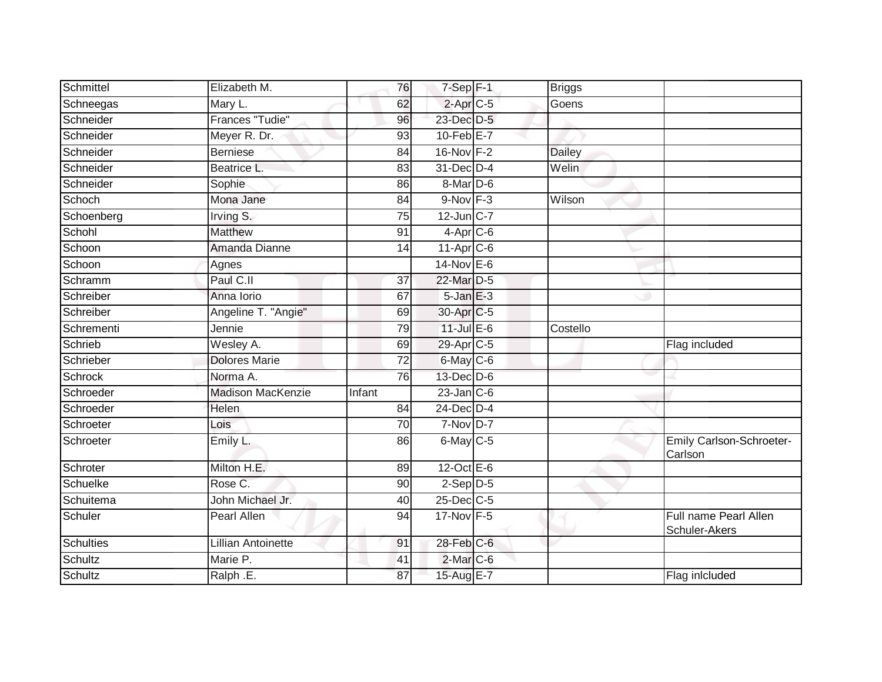| Schmittel        | Elizabeth M.             | 76              | $7-Sep$ F-1            | <b>Briggs</b> |                                        |
|------------------|--------------------------|-----------------|------------------------|---------------|----------------------------------------|
| Schneegas        | Mary L.                  | 62              | $2-AprC-5$             | Goens         |                                        |
| Schneider        | Frances "Tudie"          | 96              | 23-Dec D-5             |               |                                        |
| Schneider        | Meyer R. Dr.             | 93              | $10$ -Feb $E - 7$      |               |                                        |
| Schneider        | <b>Berniese</b>          | $\overline{84}$ | 16-Nov F-2             | <b>Dailey</b> |                                        |
| Schneider        | Beatrice L.              | 83              | 31-Dec D-4             | Welin         |                                        |
| Schneider        | Sophie                   | 86              | 8-Mar D-6              |               |                                        |
| Schoch           | Mona Jane                | 84              | $9-Nov$ $F-3$          | Wilson        |                                        |
| Schoenberg       | Irving S.                | 75              | $12$ -Jun $C-7$        |               |                                        |
| Schohl           | <b>Matthew</b>           | 91              | $4-AprC-6$             |               |                                        |
| Schoon           | Amanda Dianne            | 14              | $11-Apr$ $C-6$         |               |                                        |
| Schoon           | Agnes                    |                 | 14-Nov E-6             |               |                                        |
| Schramm          | Paul C.II                | 37              | 22-Mar D-5             |               |                                        |
| Schreiber        | Anna Iorio               | 67              | $5$ -Jan $E-3$         |               |                                        |
| Schreiber        | Angeline T. "Angie"      | 69              | 30-Apr C-5             |               |                                        |
| Schrementi       | Jennie                   | 79              | $11$ -Jul $E-6$        | Costello      |                                        |
| Schrieb          | Wesley A.                | 69              | 29-Apr <sub>IC-5</sub> |               | Flag included                          |
| Schrieber        | Dolores Marie            | 72              | 6-May C-6              |               |                                        |
| Schrock          | Norma A.                 | 76              | $13$ -Dec $D-6$        |               |                                        |
| Schroeder        | <b>Madison MacKenzie</b> | Infant          | $23$ -Jan $C$ -6       |               |                                        |
| Schroeder        | Helen                    | 84              | 24-Dec D-4             |               |                                        |
| Schroeter        | Lois                     | 70              | $7-Nov$ D-7            |               |                                        |
| Schroeter        | Emily L.                 | 86              | 6-May C-5              |               | Emily Carlson-Schroeter-<br>Carlson    |
| Schroter         | Milton H.E.              | 89              | 12-Oct $E-6$           |               |                                        |
| Schuelke         | Rose C.                  | 90              | $2-Sep$ $D-5$          |               |                                        |
| Schuitema        | John Michael Jr.         | 40              | $25$ -Dec $C$ -5       |               |                                        |
| Schuler          | <b>Pearl Allen</b>       | 94              | 17-Nov F-5             |               | Full name Pearl Allen<br>Schuler-Akers |
| <b>Schulties</b> | Lillian Antoinette       | 91              | 28-Feb C-6             |               |                                        |
| Schultz          | Marie P.                 | 41              | 2-Mar C-6              |               |                                        |
| Schultz          | Ralph .E.                | 87              | 15-Aug E-7             |               | Flag inlcluded                         |
|                  |                          |                 |                        |               |                                        |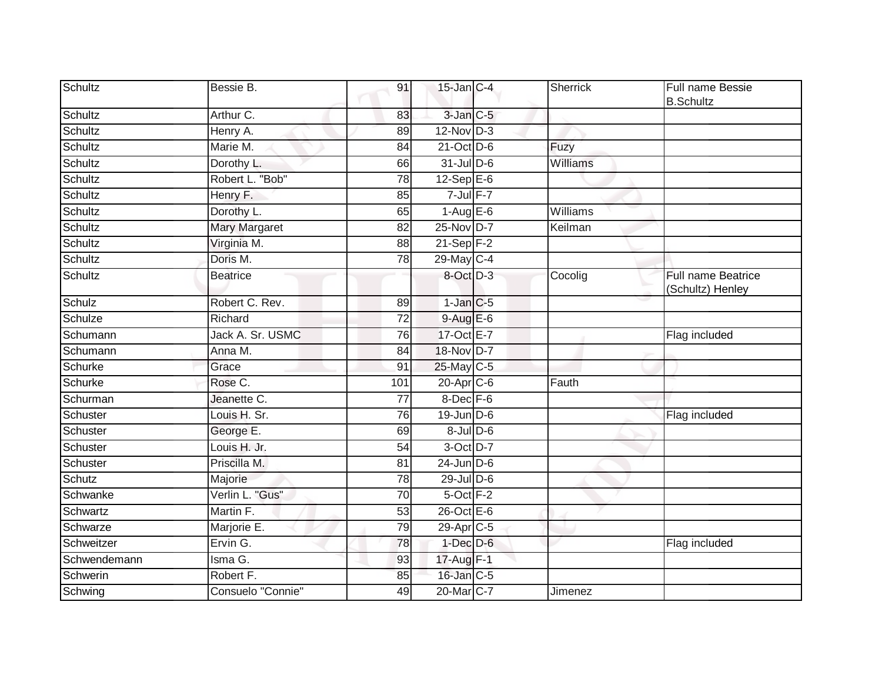| <b>Schultz</b> | Bessie B.            | 91              | $15$ -Jan $C-4$       | Sherrick | Full name Bessie<br><b>B.Schultz</b>          |
|----------------|----------------------|-----------------|-----------------------|----------|-----------------------------------------------|
| Schultz        | Arthur C.            | 83              | $3$ -Jan $C$ -5       |          |                                               |
| Schultz        | Henry A.             | 89              | $12-Nov$ D-3          |          |                                               |
| Schultz        | Marie M.             | 84              | $21$ -Oct $D-6$       | Fuzy     |                                               |
| Schultz        | Dorothy L.           | 66              | 31-Jul D-6            | Williams |                                               |
| Schultz        | Robert L. "Bob"      | 78              | $12-Sep$ E-6          |          |                                               |
| Schultz        | Henry F.             | 85              | $7$ -Jul $F-7$        |          |                                               |
| Schultz        | Dorothy L.           | 65              | $1-AugE-6$            | Williams |                                               |
| Schultz        | <b>Mary Margaret</b> | 82              | 25-Nov D-7            | Keilman  |                                               |
| Schultz        | Virginia M.          | 88              | $21 - Sep$ F-2        |          |                                               |
| Schultz        | Doris M.             | 78              | 29-May C-4            |          |                                               |
| Schultz        | <b>Beatrice</b>      |                 | 8-Oct D-3             | Cocolig  | <b>Full name Beatrice</b><br>(Schultz) Henley |
| Schulz         | Robert C. Rev.       | 89              | $1$ -Jan $C$ -5       |          |                                               |
| Schulze        | Richard              | $\overline{72}$ | $9-AugE-6$            |          |                                               |
| Schumann       | Jack A. Sr. USMC     | 76              | 17-Oct E-7            |          | Flag included                                 |
| Schumann       | Anna M.              | 84              | 18-Nov D-7            |          |                                               |
| Schurke        | Grace                | 91              | 25-May C-5            |          |                                               |
| Schurke        | Rose C.              | 101             | $20$ -Apr $C$ -6      | Fauth    |                                               |
| Schurman       | Jeanette C.          | $\overline{77}$ | 8-Dec F-6             |          |                                               |
| Schuster       | Louis H. Sr.         | 76              | $19$ -Jun $D-6$       |          | Flag included                                 |
| Schuster       | George E.            | 69              | $8$ -Jul $D$ -6       |          |                                               |
| Schuster       | Louis H. Jr.         | 54              | 3-Oct D-7             |          |                                               |
| Schuster       | Priscilla M.         | 81              | $24$ -Jun $D-6$       |          |                                               |
| Schutz         | Majorie              | 78              | 29-Jul D-6            |          |                                               |
| Schwanke       | Verlin L. "Gus"      | 70              | 5-Oct F-2             |          |                                               |
| Schwartz       | Martin F.            | 53              | 26-Oct E-6            |          |                                               |
| Schwarze       | Marjorie E.          | 79              | 29-Apr <sub>C-5</sub> |          |                                               |
| Schweitzer     | Ervin G.             | 78              | $1$ -Dec $D-6$        |          | Flag included                                 |
| Schwendemann   | Isma G.              | 93              | 17-Aug F-1            |          |                                               |
| Schwerin       | Robert F.            | 85              | 16-Jan C-5            |          |                                               |
| Schwing        | Consuelo "Connie"    | 49              | 20-Mar <sub>C-7</sub> | Jimenez  |                                               |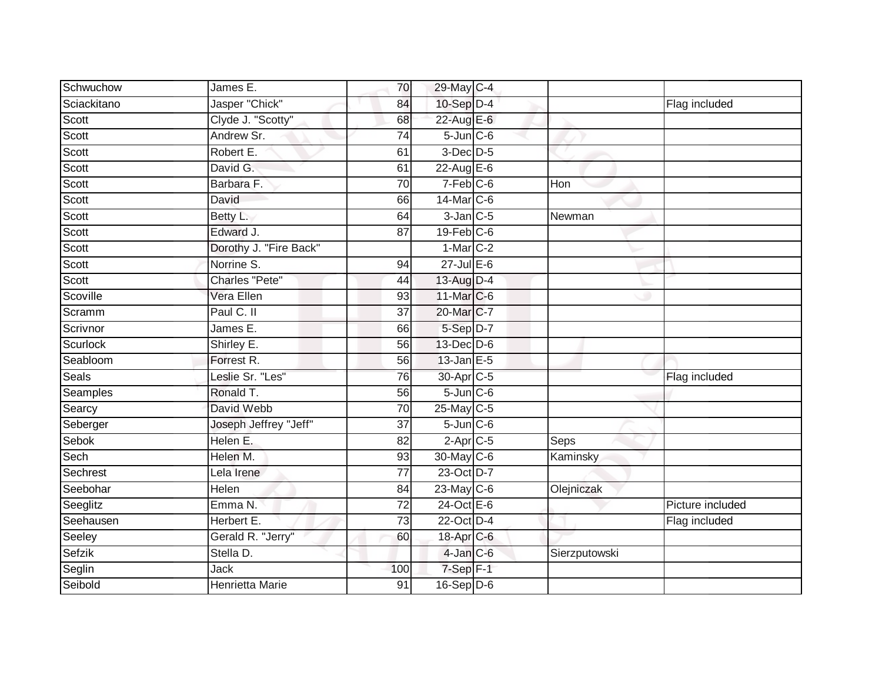| Schwuchow   | James E.               | 70              | 29-May C-4             |               |                  |
|-------------|------------------------|-----------------|------------------------|---------------|------------------|
| Sciackitano | Jasper "Chick"         | 84              | $10-Sep$ D-4           |               | Flag included    |
| Scott       | Clyde J. "Scotty"      | 68              | 22-Aug E-6             |               |                  |
| Scott       | Andrew Sr.             | 74              | $5$ -Jun $C$ -6        |               |                  |
| Scott       | Robert E.              | 61              | $3$ -Dec $D-5$         |               |                  |
| Scott       | David G.               | 61              | 22-Aug E-6             |               |                  |
| Scott       | Barbara F.             | 70              | $7-Feb$ <sub>C-6</sub> | Hon           |                  |
| Scott       | David                  | 66              | 14-Mar C-6             |               |                  |
| Scott       | Betty L.               | 64              | $3$ -Jan $C$ -5        | Newman        |                  |
| Scott       | Edward J.              | 87              | 19-Feb C-6             |               |                  |
| Scott       | Dorothy J. "Fire Back" |                 | $1-Mar$ C-2            |               |                  |
| Scott       | Norrine S.             | 94              | $27$ -Jul E-6          |               |                  |
| Scott       | <b>Charles "Pete"</b>  | 44              | 13-Aug D-4             |               |                  |
| Scoville    | Vera Ellen             | 93              | 11-Mar C-6             |               |                  |
| Scramm      | Paul C. II             | $\overline{37}$ | 20-Mar C-7             |               |                  |
| Scrivnor    | James E.               | 66              | $5-Sep D-7$            |               |                  |
| Scurlock    | Shirley E.             | 56              | 13-Dec D-6             |               |                  |
| Seabloom    | Forrest R.             | 56              | $13$ -Jan $E-5$        |               |                  |
| Seals       | Leslie Sr. "Les"       | 76              | 30-Apr <sub>C-5</sub>  |               | Flag included    |
| Seamples    | Ronald T.              | 56              | $5 - Jun$ $C - 6$      |               |                  |
| Searcy      | David Webb             | 70              | 25-May C-5             |               |                  |
| Seberger    | Joseph Jeffrey "Jeff"  | $\overline{37}$ | $5$ -Jun $C$ -6        |               |                  |
| Sebok       | Helen E.               | 82              | $2-Apr$ <sub>C-5</sub> | Seps          |                  |
| Sech        | Helen M.               | 93              | 30-May C-6             | Kaminsky      |                  |
| Sechrest    | Lela Irene             | 77              | 23-Oct D-7             |               |                  |
| Seebohar    | <b>Helen</b>           | 84              | $23$ -May C-6          | Olejniczak    |                  |
| Seeglitz    | Emma N.                | $\overline{72}$ | $24$ -Oct $E - 6$      |               | Picture included |
| Seehausen   | Herbert E.             | 73              | 22-Oct D-4             |               | Flag included    |
| Seeley      | Gerald R. "Jerry"      | 60              | $18$ -Apr $C$ -6       |               |                  |
| Sefzik      | Stella D.              |                 | $4$ -Jan $C$ -6        | Sierzputowski |                  |
| Seglin      | Jack                   | 100             | $7-Sep$ F-1            |               |                  |
| Seibold     | <b>Henrietta Marie</b> | $\overline{91}$ | $16-Sep$ D-6           |               |                  |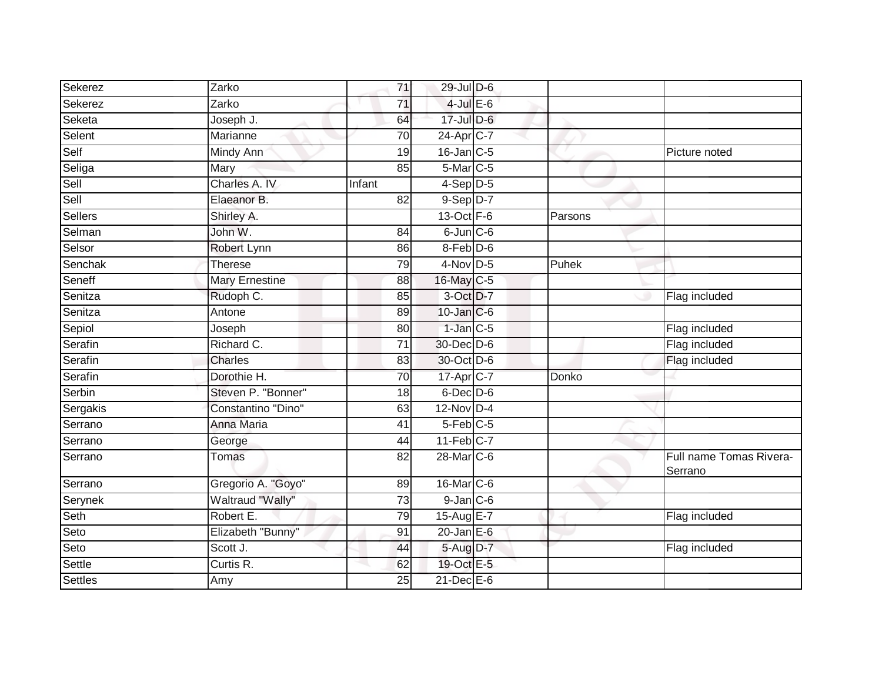| Sekerez  | Zarko                 | 71              | 29-Jul D-6              |         |                                    |
|----------|-----------------------|-----------------|-------------------------|---------|------------------------------------|
| Sekerez  | Zarko                 | 71              | $4$ -Jul $E$ -6         |         |                                    |
| Seketa   | Joseph J.             | 64              | 17-Jul D-6              |         |                                    |
| Selent   | Marianne              | 70              | 24-Apr C-7              |         |                                    |
| Self     | <b>Mindy Ann</b>      | 19              | $16$ -Jan $C$ -5        |         | Picture noted                      |
| Seliga   | Mary                  | 85              | 5-Mar <sub>C-5</sub>    |         |                                    |
| Sell     | Charles A. IV         | Infant          | $4-Sep$ D-5             |         |                                    |
| Sell     | Elaeanor B.           | 82              | $9-Sep$ $D-7$           |         |                                    |
| Sellers  | Shirley A.            |                 | $13$ -Oct $F-6$         | Parsons |                                    |
| Selman   | John W.               | 84              | $6$ -Jun $C$ -6         |         |                                    |
| Selsor   | Robert Lynn           | 86              | 8-Feb D-6               |         |                                    |
| Senchak  | <b>Therese</b>        | 79              | $4$ -Nov D-5            | Puhek   |                                    |
| Seneff   | <b>Mary Ernestine</b> | 88              | 16-May C-5              |         |                                    |
| Senitza  | Rudoph C.             | 85              | 3-Oct D-7               |         | Flag included                      |
| Senitza  | Antone                | 89              | 10-Jan C-6              |         |                                    |
| Sepiol   | Joseph                | 80              | $1$ -Jan $C-5$          |         | Flag included                      |
| Serafin  | Richard C.            | $\overline{71}$ | 30-Dec D-6              |         | Flag included                      |
| Serafin  | Charles               | 83              | 30-Oct D-6              |         | Flag included                      |
| Serafin  | Dorothie H.           | 70              | 17-Apr C-7              | Donko   |                                    |
| Serbin   | Steven P. "Bonner"    | 18              | $6$ -Dec $D$ -6         |         |                                    |
| Sergakis | Constantino "Dino"    | 63              | 12-Nov D-4              |         |                                    |
| Serrano  | Anna Maria            | $\overline{41}$ | $5-Feb$ $C-5$           |         |                                    |
| Serrano  | George                | 44              | $11-Feb$ <sub>C-7</sub> |         |                                    |
| Serrano  | <b>Tomas</b>          | 82              | 28-Mar C-6              |         | Full name Tomas Rivera-<br>Serrano |
| Serrano  | Gregorio A. "Goyo"    | 89              | 16-Mar C-6              |         |                                    |
| Serynek  | Waltraud "Wally"      | 73              | $9$ -Jan $C$ -6         |         |                                    |
| Seth     | Robert E.             | 79              | 15-Aug E-7              |         | Flag included                      |
| Seto     | Elizabeth "Bunny"     | 91              | $20$ -Jan $E-6$         |         |                                    |
| Seto     | Scott J.              | 44              | 5-Aug D-7               |         | Flag included                      |
| Settle   | Curtis R.             | 62              | 19-Oct E-5              |         |                                    |
| Settles  | Amy                   | 25              | $21$ -Dec $E-6$         |         |                                    |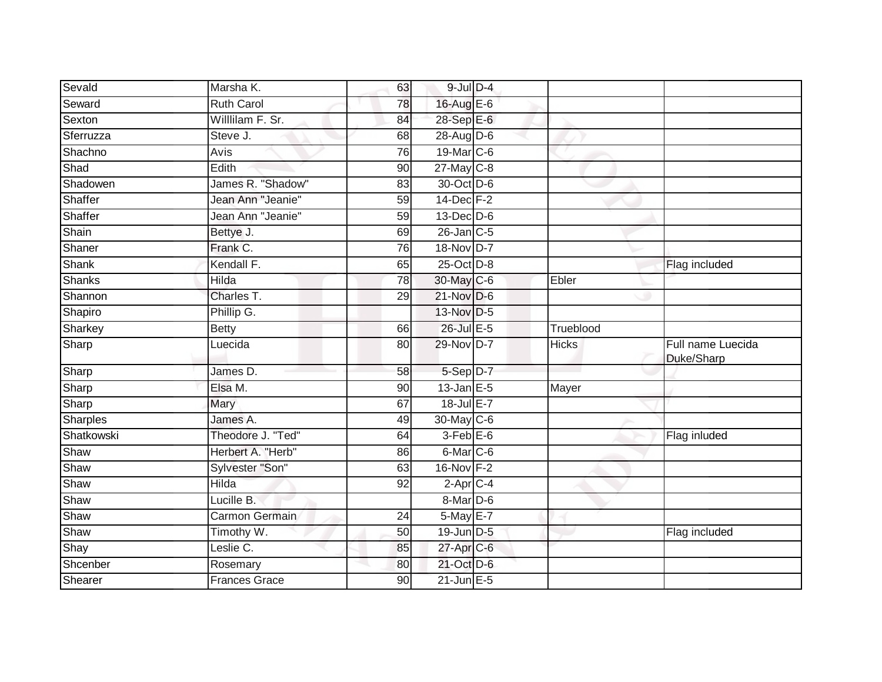| Sevald     | Marsha K.         | 63 | $9$ -Jul $D-4$    |              |                                 |
|------------|-------------------|----|-------------------|--------------|---------------------------------|
| Seward     | <b>Ruth Carol</b> | 78 | 16-Aug E-6        |              |                                 |
| Sexton     | Willlilam F. Sr.  | 84 | 28-Sep E-6        |              |                                 |
| Sferruzza  | Steve J.          | 68 | $28$ -AugD-6      |              |                                 |
| Shachno    | Avis              | 76 | 19-Mar C-6        |              |                                 |
| Shad       | Edith             | 90 | $27$ -May C-8     |              |                                 |
| Shadowen   | James R. "Shadow" | 83 | 30-Oct D-6        |              |                                 |
| Shaffer    | Jean Ann "Jeanie" | 59 | $14$ -Dec $F-2$   |              |                                 |
| Shaffer    | Jean Ann "Jeanie" | 59 | $13$ -Dec $D-6$   |              |                                 |
| Shain      | Bettye J.         | 69 | 26-Jan C-5        |              |                                 |
| Shaner     | Frank C.          | 76 | 18-Nov D-7        |              |                                 |
| Shank      | Kendall F.        | 65 | 25-Oct D-8        |              | Flag included                   |
| Shanks     | Hilda             | 78 | 30-May C-6        | Ebler        |                                 |
| Shannon    | Charles T.        | 29 | $21-Nov$ D-6      |              |                                 |
| Shapiro    | Phillip G.        |    | 13-Nov D-5        |              |                                 |
| Sharkey    | <b>Betty</b>      | 66 | 26-Jul E-5        | Trueblood    |                                 |
| Sharp      | Luecida           | 80 | 29-Nov D-7        | <b>Hicks</b> | Full name Luecida<br>Duke/Sharp |
| Sharp      | James D.          | 58 | 5-Sep D-7         |              |                                 |
| Sharp      | Elsa M.           | 90 | $13$ -Jan E-5     | Mayer        |                                 |
| Sharp      | Mary              | 67 | 18-Jul E-7        |              |                                 |
| Sharples   | James A.          | 49 | 30-May C-6        |              |                                 |
| Shatkowski | Theodore J. "Ted" | 64 | $3-Feb$ $E-6$     |              | Flag inluded                    |
| Shaw       | Herbert A. "Herb" | 86 | 6-Mar C-6         |              |                                 |
| Shaw       | Sylvester "Son"   | 63 | 16-Nov F-2        |              |                                 |
| Shaw       | <b>Hilda</b>      | 92 | $2$ -Apr $C$ -4   |              |                                 |
| Shaw       | Lucille B.        |    | 8-Mar D-6         |              |                                 |
| Shaw       | Carmon Germain    | 24 | $5$ -May $E-7$    |              |                                 |
| Shaw       | Timothy W.        | 50 | 19-Jun D-5        |              | Flag included                   |
| Shay       | Leslie C.         | 85 | 27-Apr C-6        |              |                                 |
| Shcenber   | Rosemary          | 80 | 21-Oct D-6        |              |                                 |
| Shearer    |                   |    | $21$ -Jun $E - 5$ |              |                                 |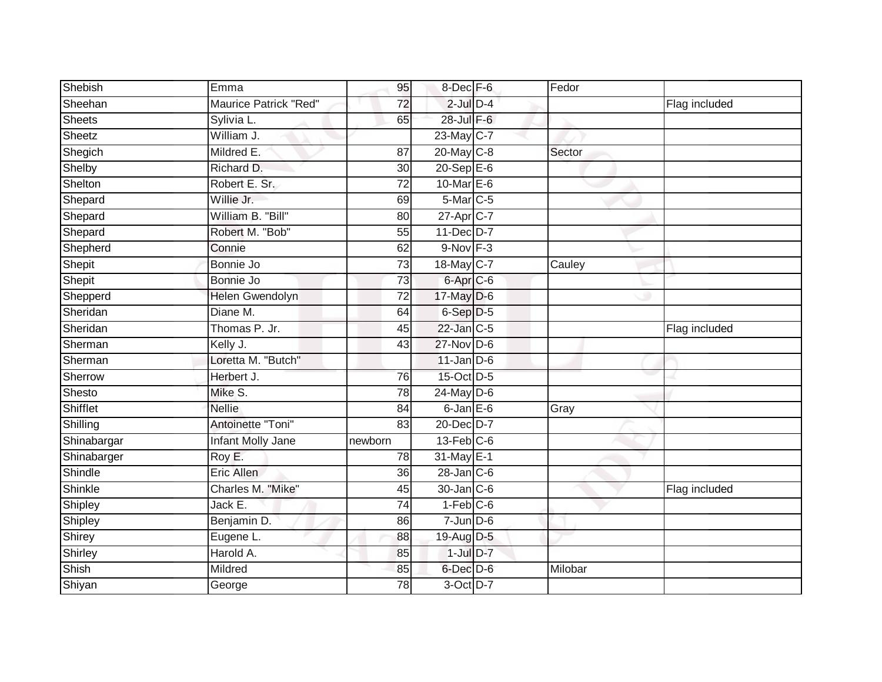| Shebish       | Emma                   | 95              | 8-Dec F-6         | Fedor   |               |
|---------------|------------------------|-----------------|-------------------|---------|---------------|
| Sheehan       | Maurice Patrick "Red"  | 72              | $2$ -Jul $D-4$    |         | Flag included |
| <b>Sheets</b> | Sylivia L.             | 65              | 28-Jul F-6        |         |               |
| Sheetz        | William J.             |                 | 23-May C-7        |         |               |
| Shegich       | Mildred E.             | 87              | 20-May C-8        | Sector  |               |
| Shelby        | Richard D.             | 30              | $20-$ Sep $E-6$   |         |               |
| Shelton       | Robert E. Sr.          | 72              | 10-Mar E-6        |         |               |
| Shepard       | Willie Jr.             | 69              | $5-Mar$ C-5       |         |               |
| Shepard       | William B. "Bill"      | 80              | 27-Apr C-7        |         |               |
| Shepard       | Robert M. "Bob"        | 55              | 11-Dec D-7        |         |               |
| Shepherd      | Connie                 | 62              | $9-Nov$ $F-3$     |         |               |
| Shepit        | Bonnie Jo              | $\overline{73}$ | 18-May C-7        | Cauley  |               |
| Shepit        | Bonnie Jo              | 73              | $6 - Apr$ $C - 6$ |         |               |
| Shepperd      | <b>Helen Gwendolyn</b> | $\overline{72}$ | 17-May D-6        |         |               |
| Sheridan      | Diane M.               | 64              | 6-Sep D-5         |         |               |
| Sheridan      | Thomas P. Jr.          | 45              | 22-Jan C-5        |         | Flag included |
| Sherman       | Kelly J.               | 43              | $27$ -Nov D-6     |         |               |
| Sherman       | Loretta M. "Butch"     |                 | $11$ -Jan D-6     |         |               |
| Sherrow       | Herbert J.             | 76              | 15-Oct D-5        |         |               |
| Shesto        | Mike S.                | $\overline{78}$ | $24$ -May D-6     |         |               |
| Shifflet      | <b>Nellie</b>          | 84              | $6$ -Jan $E$ -6   | Gray    |               |
| Shilling      | Antoinette "Toni"      | 83              | 20-Dec D-7        |         |               |
| Shinabargar   | Infant Molly Jane      | newborn         | $13$ -Feb $C$ -6  |         |               |
| Shinabarger   | Roy E.                 | 78              | 31-May E-1        |         |               |
| Shindle       | Eric Allen             | 36              | 28-Jan C-6        |         |               |
| Shinkle       | Charles M. "Mike"      | 45              | 30-Jan C-6        |         | Flag included |
| Shipley       | Jack E.                | 74              | $1-Feb$ C-6       |         |               |
| Shipley       | Benjamin D.            | 86              | $7$ -Jun $D-6$    |         |               |
| Shirey        | Eugene L.              | 88              | 19-Aug D-5        |         |               |
| Shirley       | Harold A.              | 85              | $1$ -Jul $D-7$    |         |               |
| Shish         | Mildred                | 85              | $6$ -Dec $D$ -6   | Milobar |               |
| Shiyan        | George                 | 78              | 3-Oct D-7         |         |               |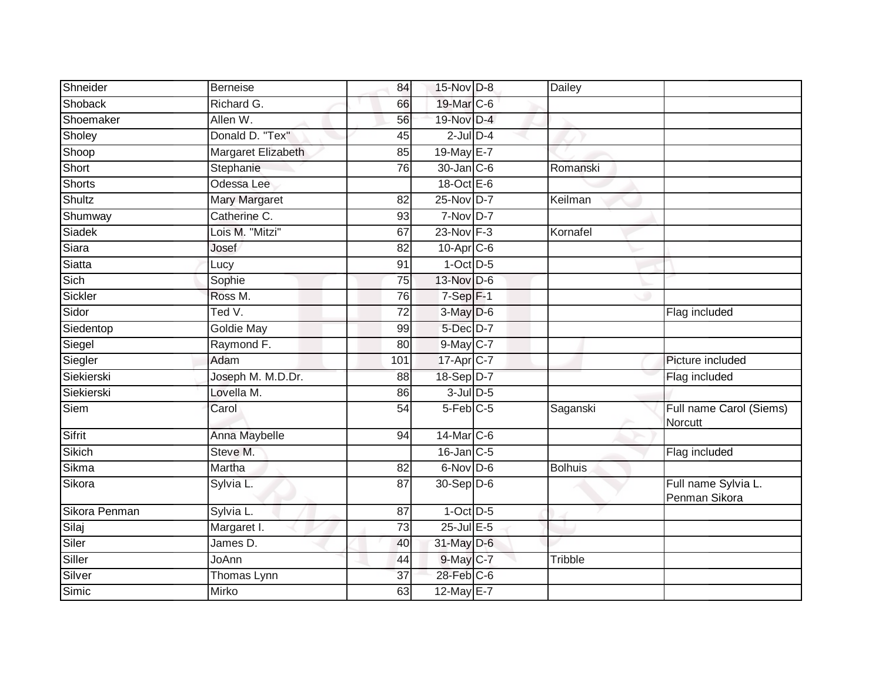| Shneider      | <b>Berneise</b>      | 84              | 15-Nov D-8             | Dailey         |                                      |
|---------------|----------------------|-----------------|------------------------|----------------|--------------------------------------|
| Shoback       | Richard G.           | 66              | 19-Mar C-6             |                |                                      |
| Shoemaker     | Allen W.             | 56              | 19-Nov D-4             |                |                                      |
| Sholey        | Donald D. "Tex"      | 45              | $2$ -Jul $D-4$         |                |                                      |
| Shoop         | Margaret Elizabeth   | 85              | 19-May E-7             |                |                                      |
| Short         | Stephanie            | 76              | $30$ -Jan $ C-6 $      | Romanski       |                                      |
| Shorts        | Odessa Lee           |                 | 18-Oct E-6             |                |                                      |
| Shultz        | <b>Mary Margaret</b> | 82              | 25-Nov D-7             | Keilman        |                                      |
| Shumway       | Catherine C.         | 93              | 7-Nov D-7              |                |                                      |
| Siadek        | Lois M. "Mitzi"      | 67              | 23-Nov F-3             | Kornafel       |                                      |
| Siara         | Josef                | 82              | $10$ -Apr $C$ -6       |                |                                      |
| Siatta        | Lucy                 | 91              | $1-Oct$ $D-5$          |                |                                      |
| Sich          | Sophie               | 75              | 13-Nov D-6             |                |                                      |
| Sickler       | Ross M.              | 76              | $7-Sep$ F-1            |                |                                      |
| Sidor         | Ted $V$ .            | $\overline{72}$ | 3-May D-6              |                | Flag included                        |
| Siedentop     | <b>Goldie May</b>    | 99              | 5-Dec D-7              |                |                                      |
| Siegel        | Raymond F.           | 80              | 9-May C-7              |                |                                      |
| Siegler       | Adam                 | 101             | 17-Apr C-7             |                | Picture included                     |
| Siekierski    | Joseph M. M.D.Dr.    | 88              | 18-Sep D-7             |                | Flag included                        |
| Siekierski    | Lovella M.           | 86              | $3$ -Jul $D$ -5        |                |                                      |
| Siem          | Carol                | 54              | $5-Feb$ <sub>C-5</sub> | Saganski       | Full name Carol (Siems)<br>Norcutt   |
| Sifrit        | Anna Maybelle        | 94              | 14-Mar C-6             |                |                                      |
| Sikich        | Steve M.             |                 | 16-Jan C-5             |                | Flag included                        |
| Sikma         | Martha               | 82              | $6$ -Nov D-6           | <b>Bolhuis</b> |                                      |
| Sikora        | Sylvia L.            | 87              | 30-Sep D-6             |                | Full name Sylvia L.<br>Penman Sikora |
| Sikora Penman | Sylvia L.            | 87              | $1-Oct$ $D-5$          |                |                                      |
| Silaj         | Margaret I.          | $\overline{73}$ | $25$ -Jul $E$ -5       |                |                                      |
| Siler         | James D.             | 40              | 31-May D-6             |                |                                      |
| Siller        | JoAnn                | 44              | 9-May C-7              | Tribble        |                                      |
| Silver        | Thomas Lynn          | $\overline{37}$ | 28-Feb C-6             |                |                                      |
| Simic         | Mirko                | 63              | 12-May E-7             |                |                                      |
|               |                      |                 |                        |                |                                      |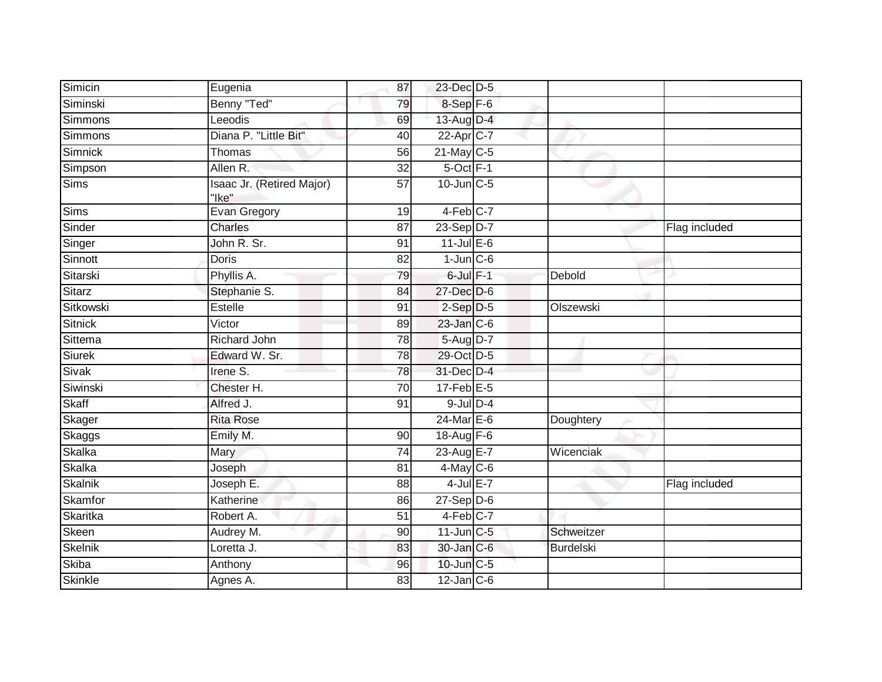| Simicin        |                                    |                 |                   |                  |               |
|----------------|------------------------------------|-----------------|-------------------|------------------|---------------|
|                | Eugenia                            | 87              | 23-Dec D-5        |                  |               |
| Siminski       | Benny "Ted"                        | 79              | 8-Sep F-6         |                  |               |
| Simmons        | Leeodis                            | 69              | 13-Aug D-4        |                  |               |
| Simmons        | Diana P. "Little Bit"              | 40              | 22-Apr C-7        |                  |               |
| Simnick        | Thomas                             | 56              | $21$ -May C-5     |                  |               |
| Simpson        | Allen R.                           | $\overline{32}$ | $5-Oct$ F-1       |                  |               |
| Sims           | Isaac Jr. (Retired Major)<br>"Ike" | 57              | $10$ -Jun $C - 5$ |                  |               |
| <b>Sims</b>    | <b>Evan Gregory</b>                | 19              | 4-Feb C-7         |                  |               |
| Sinder         | Charles                            | 87              | $23-Sep$ D-7      |                  | Flag included |
| Singer         | John R. Sr.                        | 91              | $11$ -Jul E-6     |                  |               |
| Sinnott        | Doris                              | 82              | $1$ -Jun $C - 6$  |                  |               |
| Sitarski       | Phyllis A.                         | 79              | $6$ -Jul $F-1$    | Debold           |               |
| Sitarz         | Stephanie S.                       | 84              | 27-Dec D-6        |                  |               |
| Sitkowski      | Estelle                            | 91              | $2-Sep$ $D-5$     | Olszewski        |               |
| <b>Sitnick</b> | Victor                             | 89              | 23-Jan C-6        |                  |               |
| Sittema        | Richard John                       | 78              | 5-Aug D-7         |                  |               |
| <b>Siurek</b>  | Edward W. Sr.                      | 78              | 29-Oct D-5        |                  |               |
| <b>Sivak</b>   | Irene S.                           | 78              | 31-Dec D-4        |                  |               |
| Siwinski       | Chester H.                         | 70              | $17$ -Feb $E - 5$ |                  |               |
| Skaff          | Alfred J.                          | 91              | $9$ -Jul $D-4$    |                  |               |
| Skager         | <b>Rita Rose</b>                   |                 | $24$ -Mar $E-6$   | Doughtery        |               |
| Skaggs         | Emily M.                           | 90              | 18-Aug $F-6$      |                  |               |
| Skalka         | Mary                               | 74              | 23-Aug E-7        | Wicenciak        |               |
| Skalka         | Joseph                             | 81              | $4$ -May C-6      |                  |               |
| Skalnik        | Joseph E.                          | 88              | $4$ -Jul $E-7$    |                  | Flag included |
| Skamfor        | Katherine                          | 86              | $27-Sep$ D-6      |                  |               |
| Skaritka       | Robert A.                          | 51              | 4-Feb C-7         |                  |               |
| Skeen          | Audrey M.                          | 90              | 11-Jun C-5        | Schweitzer       |               |
| Skelnik        | Loretta J.                         | 83              | 30-Jan C-6        | <b>Burdelski</b> |               |
| Skiba          | Anthony                            | 96              | 10-Jun C-5        |                  |               |
| Skinkle        | Agnes A.                           | 83              | $12$ -Jan $ C-6 $ |                  |               |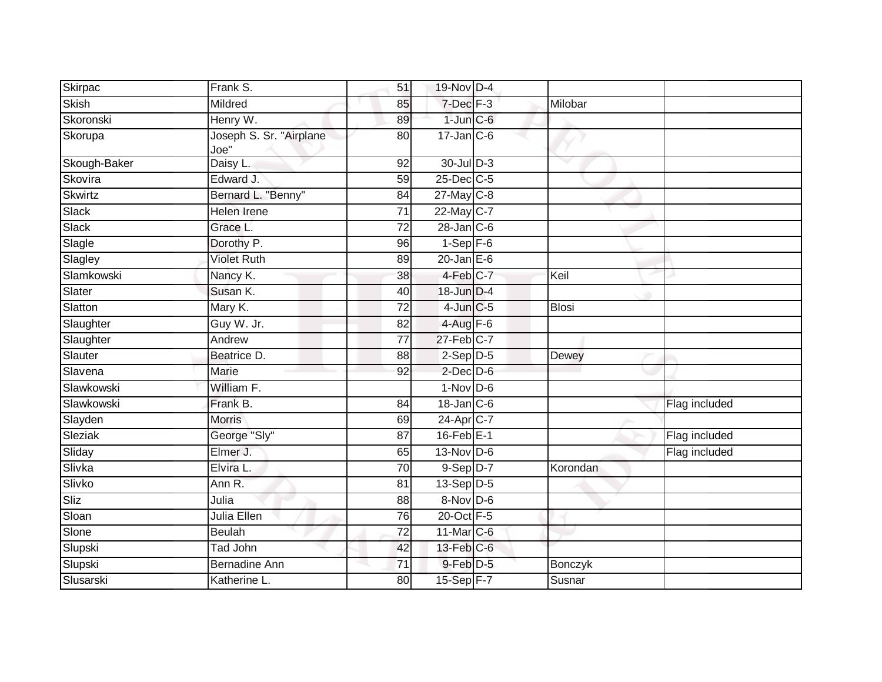| Mildred<br>7-Dec F-3<br>Milobar<br>85<br>$1$ -Jun $C$ -6<br>Henry W.<br>89<br>Joseph S. Sr. "Airplane<br>$17 - Jan$ <sub>C-6</sub><br>80<br>Joe"<br>Daisy L.<br>$30$ -JulD-3<br>92<br>25-Dec C-5<br>Edward J.<br>$\overline{59}$<br>$27$ -May C-8<br>Bernard L. "Benny"<br>84<br>22-May C-7<br>Helen Irene<br>$\overline{71}$<br>$28$ -Jan $C$ -6<br>Grace L.<br>72<br>Slagle<br>$1-Sep$ F-6<br>Dorothy P.<br>96<br><b>Violet Ruth</b><br>$20$ -Jan $E-6$<br>89<br>4-Feb C-7<br>Nancy K.<br>Keil<br>38<br>Susan K.<br>18-Jun D-4<br>40<br>Mary K.<br>$4$ -Jun $C$ -5<br><b>Blosi</b><br>72<br>Guy W. Jr.<br>$4-Aug$ F-6<br>82<br>$\overline{77}$<br>$27$ -Feb $C-7$<br>Andrew<br>$2-Sep$ $D-5$<br>Beatrice D.<br>88<br>Dewey<br>$2$ -Dec $D$ -6<br>Marie<br>92<br>William F.<br>$1-Nov$ D-6<br>$18$ -Jan $C$ -6<br>Frank B.<br>Flag included<br>84<br>24-Apr C-7<br><b>Morris</b><br>69<br>George "Sly"<br>$16$ -Feb $E-1$<br>87<br>Flag included<br>Elmer J.<br>$13-Nov$ D-6<br>65<br>Flag included<br>Elvira L.<br>9-Sep D-7<br>70<br>Korondan<br>$13-Sep$ D-5<br>Ann R.<br>81<br>$8-Nov$ D-6<br>Julia<br>88<br>Julia Ellen<br>20-Oct F-5<br>76<br>$\overline{72}$<br>11-Mar C-6<br><b>Beulah</b><br>$13$ -Feb $ C$ -6<br>Tad John<br>42<br>$9$ -Feb $D-5$<br><b>Bernadine Ann</b><br>71<br><b>Bonczyk</b><br>Katherine L.<br>15-Sep F-7<br>80<br>Susnar | Skirpac        | Frank S. | 51 | 19-Nov D-4 |  |  |
|------------------------------------------------------------------------------------------------------------------------------------------------------------------------------------------------------------------------------------------------------------------------------------------------------------------------------------------------------------------------------------------------------------------------------------------------------------------------------------------------------------------------------------------------------------------------------------------------------------------------------------------------------------------------------------------------------------------------------------------------------------------------------------------------------------------------------------------------------------------------------------------------------------------------------------------------------------------------------------------------------------------------------------------------------------------------------------------------------------------------------------------------------------------------------------------------------------------------------------------------------------------------------------------------------------------------------------------------------------|----------------|----------|----|------------|--|--|
|                                                                                                                                                                                                                                                                                                                                                                                                                                                                                                                                                                                                                                                                                                                                                                                                                                                                                                                                                                                                                                                                                                                                                                                                                                                                                                                                                            | <b>Skish</b>   |          |    |            |  |  |
|                                                                                                                                                                                                                                                                                                                                                                                                                                                                                                                                                                                                                                                                                                                                                                                                                                                                                                                                                                                                                                                                                                                                                                                                                                                                                                                                                            | Skoronski      |          |    |            |  |  |
|                                                                                                                                                                                                                                                                                                                                                                                                                                                                                                                                                                                                                                                                                                                                                                                                                                                                                                                                                                                                                                                                                                                                                                                                                                                                                                                                                            | Skorupa        |          |    |            |  |  |
|                                                                                                                                                                                                                                                                                                                                                                                                                                                                                                                                                                                                                                                                                                                                                                                                                                                                                                                                                                                                                                                                                                                                                                                                                                                                                                                                                            | Skough-Baker   |          |    |            |  |  |
|                                                                                                                                                                                                                                                                                                                                                                                                                                                                                                                                                                                                                                                                                                                                                                                                                                                                                                                                                                                                                                                                                                                                                                                                                                                                                                                                                            | Skovira        |          |    |            |  |  |
|                                                                                                                                                                                                                                                                                                                                                                                                                                                                                                                                                                                                                                                                                                                                                                                                                                                                                                                                                                                                                                                                                                                                                                                                                                                                                                                                                            | <b>Skwirtz</b> |          |    |            |  |  |
|                                                                                                                                                                                                                                                                                                                                                                                                                                                                                                                                                                                                                                                                                                                                                                                                                                                                                                                                                                                                                                                                                                                                                                                                                                                                                                                                                            | Slack          |          |    |            |  |  |
|                                                                                                                                                                                                                                                                                                                                                                                                                                                                                                                                                                                                                                                                                                                                                                                                                                                                                                                                                                                                                                                                                                                                                                                                                                                                                                                                                            | Slack          |          |    |            |  |  |
|                                                                                                                                                                                                                                                                                                                                                                                                                                                                                                                                                                                                                                                                                                                                                                                                                                                                                                                                                                                                                                                                                                                                                                                                                                                                                                                                                            |                |          |    |            |  |  |
|                                                                                                                                                                                                                                                                                                                                                                                                                                                                                                                                                                                                                                                                                                                                                                                                                                                                                                                                                                                                                                                                                                                                                                                                                                                                                                                                                            | Slagley        |          |    |            |  |  |
|                                                                                                                                                                                                                                                                                                                                                                                                                                                                                                                                                                                                                                                                                                                                                                                                                                                                                                                                                                                                                                                                                                                                                                                                                                                                                                                                                            | Slamkowski     |          |    |            |  |  |
|                                                                                                                                                                                                                                                                                                                                                                                                                                                                                                                                                                                                                                                                                                                                                                                                                                                                                                                                                                                                                                                                                                                                                                                                                                                                                                                                                            | Slater         |          |    |            |  |  |
|                                                                                                                                                                                                                                                                                                                                                                                                                                                                                                                                                                                                                                                                                                                                                                                                                                                                                                                                                                                                                                                                                                                                                                                                                                                                                                                                                            | Slatton        |          |    |            |  |  |
|                                                                                                                                                                                                                                                                                                                                                                                                                                                                                                                                                                                                                                                                                                                                                                                                                                                                                                                                                                                                                                                                                                                                                                                                                                                                                                                                                            | Slaughter      |          |    |            |  |  |
|                                                                                                                                                                                                                                                                                                                                                                                                                                                                                                                                                                                                                                                                                                                                                                                                                                                                                                                                                                                                                                                                                                                                                                                                                                                                                                                                                            | Slaughter      |          |    |            |  |  |
|                                                                                                                                                                                                                                                                                                                                                                                                                                                                                                                                                                                                                                                                                                                                                                                                                                                                                                                                                                                                                                                                                                                                                                                                                                                                                                                                                            | Slauter        |          |    |            |  |  |
|                                                                                                                                                                                                                                                                                                                                                                                                                                                                                                                                                                                                                                                                                                                                                                                                                                                                                                                                                                                                                                                                                                                                                                                                                                                                                                                                                            | Slavena        |          |    |            |  |  |
|                                                                                                                                                                                                                                                                                                                                                                                                                                                                                                                                                                                                                                                                                                                                                                                                                                                                                                                                                                                                                                                                                                                                                                                                                                                                                                                                                            | Slawkowski     |          |    |            |  |  |
|                                                                                                                                                                                                                                                                                                                                                                                                                                                                                                                                                                                                                                                                                                                                                                                                                                                                                                                                                                                                                                                                                                                                                                                                                                                                                                                                                            | Slawkowski     |          |    |            |  |  |
|                                                                                                                                                                                                                                                                                                                                                                                                                                                                                                                                                                                                                                                                                                                                                                                                                                                                                                                                                                                                                                                                                                                                                                                                                                                                                                                                                            | Slayden        |          |    |            |  |  |
|                                                                                                                                                                                                                                                                                                                                                                                                                                                                                                                                                                                                                                                                                                                                                                                                                                                                                                                                                                                                                                                                                                                                                                                                                                                                                                                                                            | Sleziak        |          |    |            |  |  |
|                                                                                                                                                                                                                                                                                                                                                                                                                                                                                                                                                                                                                                                                                                                                                                                                                                                                                                                                                                                                                                                                                                                                                                                                                                                                                                                                                            | Sliday         |          |    |            |  |  |
|                                                                                                                                                                                                                                                                                                                                                                                                                                                                                                                                                                                                                                                                                                                                                                                                                                                                                                                                                                                                                                                                                                                                                                                                                                                                                                                                                            | Slivka         |          |    |            |  |  |
|                                                                                                                                                                                                                                                                                                                                                                                                                                                                                                                                                                                                                                                                                                                                                                                                                                                                                                                                                                                                                                                                                                                                                                                                                                                                                                                                                            | Slivko         |          |    |            |  |  |
|                                                                                                                                                                                                                                                                                                                                                                                                                                                                                                                                                                                                                                                                                                                                                                                                                                                                                                                                                                                                                                                                                                                                                                                                                                                                                                                                                            | Sliz           |          |    |            |  |  |
|                                                                                                                                                                                                                                                                                                                                                                                                                                                                                                                                                                                                                                                                                                                                                                                                                                                                                                                                                                                                                                                                                                                                                                                                                                                                                                                                                            | Sloan          |          |    |            |  |  |
|                                                                                                                                                                                                                                                                                                                                                                                                                                                                                                                                                                                                                                                                                                                                                                                                                                                                                                                                                                                                                                                                                                                                                                                                                                                                                                                                                            | Slone          |          |    |            |  |  |
|                                                                                                                                                                                                                                                                                                                                                                                                                                                                                                                                                                                                                                                                                                                                                                                                                                                                                                                                                                                                                                                                                                                                                                                                                                                                                                                                                            | Slupski        |          |    |            |  |  |
|                                                                                                                                                                                                                                                                                                                                                                                                                                                                                                                                                                                                                                                                                                                                                                                                                                                                                                                                                                                                                                                                                                                                                                                                                                                                                                                                                            | Slupski        |          |    |            |  |  |
|                                                                                                                                                                                                                                                                                                                                                                                                                                                                                                                                                                                                                                                                                                                                                                                                                                                                                                                                                                                                                                                                                                                                                                                                                                                                                                                                                            | Slusarski      |          |    |            |  |  |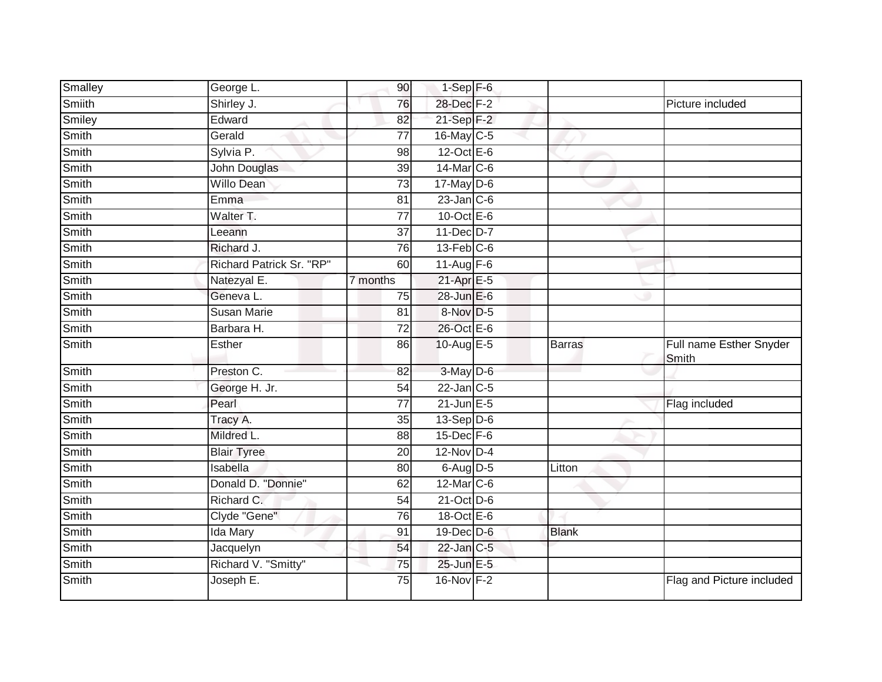| Smalley      | George L.                | 90              | $1-Sep$ F-6       |               |                                  |
|--------------|--------------------------|-----------------|-------------------|---------------|----------------------------------|
| Smiith       | Shirley J.               | 76              | 28-Dec F-2        |               | Picture included                 |
| Smiley       | Edward                   | $\overline{82}$ | $21-Sep$ F-2      |               |                                  |
| Smith        | Gerald                   | 77              | 16-May C-5        |               |                                  |
| <b>Smith</b> | Sylvia P.                | 98              | $12$ -Oct $E - 6$ |               |                                  |
| Smith        | John Douglas             | 39              | 14-Mar C-6        |               |                                  |
| Smith        | <b>Willo Dean</b>        | 73              | $17$ -May D-6     |               |                                  |
| Smith        | Emma                     | 81              | $23$ -Jan $C-6$   |               |                                  |
| Smith        | Walter T.                | 77              | 10-Oct $E-6$      |               |                                  |
| Smith        | Leeann                   | 37              | 11-Dec D-7        |               |                                  |
| Smith        | Richard J.               | 76              | $13$ -Feb $C$ -6  |               |                                  |
| Smith        | Richard Patrick Sr. "RP" | 60              | 11-Aug F-6        |               |                                  |
| Smith        | Natezyal E.              | 7 months        | $21-Apr$ E-5      |               |                                  |
| Smith        | Geneva L.                | 75              | 28-Jun E-6        |               |                                  |
| Smith        | <b>Susan Marie</b>       | 81              | 8-Nov D-5         |               |                                  |
| Smith        | Barbara H.               | 72              | 26-Oct E-6        |               |                                  |
| Smith        | Esther                   | 86              | 10-Aug E-5        | <b>Barras</b> | Full name Esther Snyder<br>Smith |
| Smith        | Preston C.               | 82              | 3-May D-6         |               |                                  |
| Smith        | George H. Jr.            | 54              | $22$ -Jan $C-5$   |               |                                  |
| <b>Smith</b> | Pearl                    | $\overline{77}$ | $21$ -Jun $E - 5$ |               | Flag included                    |
| Smith        | Tracy A.                 | 35              | $13-Sep D-6$      |               |                                  |
| Smith        | Mildred L.               | 88              | 15-Dec F-6        |               |                                  |
| Smith        | <b>Blair Tyree</b>       | 20              | $12-Nov$ D-4      |               |                                  |
| Smith        | Isabella                 | 80              | $6$ -Aug $D-5$    | Litton        |                                  |
| <b>Smith</b> | Donald D. "Donnie"       | 62              | 12-Mar C-6        |               |                                  |
| Smith        | Richard C.               | 54              | $21-Oct$ D-6      |               |                                  |
| Smith        | Clyde "Gene"             | 76              | 18-Oct E-6        |               |                                  |
| Smith        | <b>Ida Mary</b>          | 91              | 19-Dec D-6        | <b>Blank</b>  |                                  |
| Smith        | Jacquelyn                | 54              | 22-Jan C-5        |               |                                  |
| Smith        | Richard V. "Smitty"      | 75              | 25-Jun E-5        |               |                                  |
| Smith        | Joseph E.                | 75              | 16-Nov F-2        |               | Flag and Picture included        |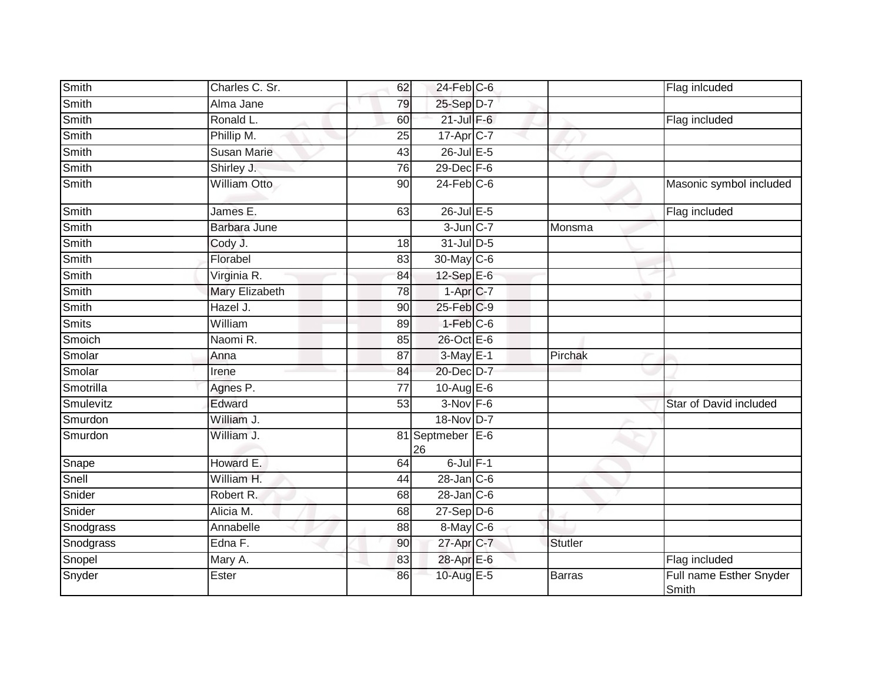| Smith        | Charles C. Sr.      | 62              | $24$ -Feb $C$ -6          |                | Flag inlcuded                    |
|--------------|---------------------|-----------------|---------------------------|----------------|----------------------------------|
| Smith        | Alma Jane           | 79              | 25-Sep D-7                |                |                                  |
| Smith        | Ronald L.           | 60              | $21$ -Jul $F-6$           |                | Flag included                    |
| Smith        | Phillip M.          | 25              | 17-Apr <sub>C-7</sub>     |                |                                  |
| <b>Smith</b> | <b>Susan Marie</b>  | 43              | $26$ -Jul $E-5$           |                |                                  |
| Smith        | Shirley J.          | 76              | $29$ -Dec $F-6$           |                |                                  |
| Smith        | William Otto        | 90              | $24$ -Feb $C$ -6          |                | Masonic symbol included          |
| Smith        | James E.            | 63              | 26-Jul E-5                |                | Flag included                    |
| Smith        | <b>Barbara June</b> |                 | $3$ -Jun $C-7$            | Monsma         |                                  |
| Smith        | Cody J.             | 18              | 31-Jul D-5                |                |                                  |
| Smith        | Florabel            | 83              | 30-May C-6                |                |                                  |
| Smith        | Virginia R.         | 84              | 12-Sep E-6                |                |                                  |
| Smith        | Mary Elizabeth      | $\overline{78}$ | $1-Apr$ <sub>C-7</sub>    |                |                                  |
| Smith        | Hazel J.            | 90              | 25-Feb C-9                |                |                                  |
| <b>Smits</b> | William             | 89              | $1-Feb$ $C-6$             |                |                                  |
| Smoich       | Naomi R.            | 85              | 26-Oct E-6                |                |                                  |
| Smolar       | Anna                | 87              | $3-May$ $E-1$             | Pirchak        |                                  |
| Smolar       | Irene               | 84              | 20-Dec D-7                |                |                                  |
| Smotrilla    | Agnes P.            | $\overline{77}$ | 10-Aug $E-6$              |                |                                  |
| Smulevitz    | Edward              | 53              | $3-Nov$ F-6               |                | Star of David included           |
| Smurdon      | William J.          |                 | 18-Nov D-7                |                |                                  |
| Smurdon      | William J.          |                 | 81 Septmeber E-6<br>26    |                |                                  |
| Snape        | Howard E.           | 64              | $6$ -Jul $F-1$            |                |                                  |
| Snell        | William H.          | 44              | $28 - Jan$ <sub>C-6</sub> |                |                                  |
| Snider       | Robert R.           | 68              | $28$ -Jan $C$ -6          |                |                                  |
| Snider       | Alicia M.           | 68              | $27 - Sep$ $D-6$          |                |                                  |
| Snodgrass    | Annabelle           | 88              | 8-May C-6                 |                |                                  |
| Snodgrass    | Edna F.             | 90              | 27-Apr C-7                | <b>Stutler</b> |                                  |
| Snopel       | Mary A.             | 83              | 28-Apr E-6                |                | Flag included                    |
| Snyder       | Ester               | 86              | 10-Aug E-5                | <b>Barras</b>  | Full name Esther Snyder<br>Smith |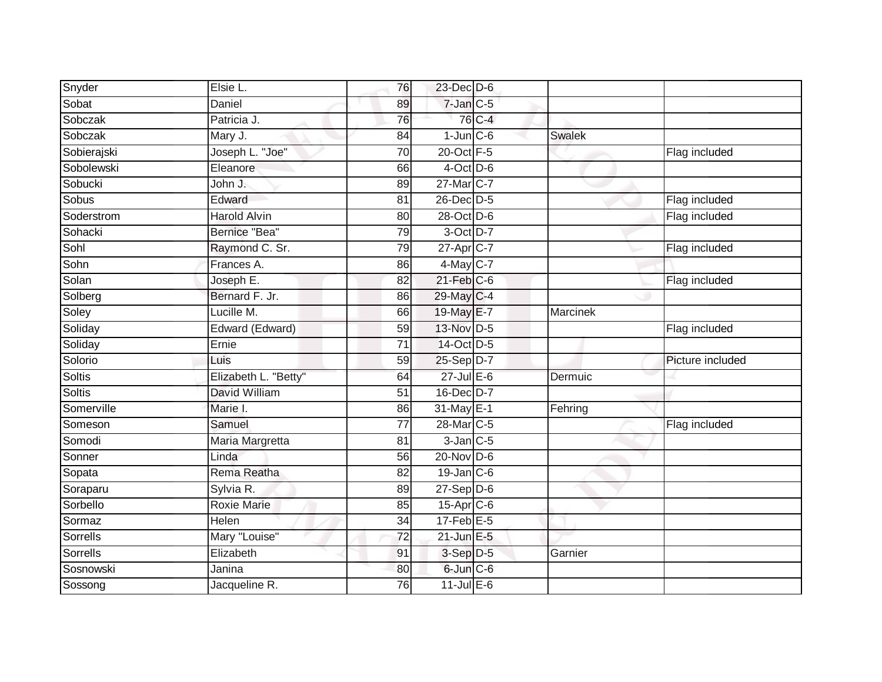| Snyder        | Elsie L.             | 76              | $23$ -Dec $D-6$        |        |          |                  |
|---------------|----------------------|-----------------|------------------------|--------|----------|------------------|
| Sobat         | Daniel               | 89              | $7$ -Jan $C$ -5        |        |          |                  |
| Sobczak       | Patricia J.          | 76              |                        | 76 C-4 |          |                  |
| Sobczak       | Mary J.              | 84              | $1$ -Jun $C$ -6        |        | Swalek   |                  |
| Sobierajski   | Joseph L. "Joe"      | $\overline{70}$ | 20-Oct F-5             |        |          | Flag included    |
| Sobolewski    | Eleanore             | 66              | $4$ -Oct D-6           |        |          |                  |
| Sobucki       | John J.              | 89              | 27-Mar <sub>IC-7</sub> |        |          |                  |
| Sobus         | Edward               | 81              | 26-Dec D-5             |        |          | Flag included    |
| Soderstrom    | <b>Harold Alvin</b>  | 80              | 28-Oct D-6             |        |          | Flag included    |
| Sohacki       | Bernice "Bea"        | 79              | 3-Oct D-7              |        |          |                  |
| Sohl          | Raymond C. Sr.       | 79              | $27$ -Apr $C-7$        |        |          | Flag included    |
| Sohn          | Frances A.           | 86              | 4-May C-7              |        |          |                  |
| Solan         | Joseph E.            | 82              | $21$ -Feb $C$ -6       |        |          | Flag included    |
| Solberg       | Bernard F. Jr.       | 86              | $29$ -May C-4          |        |          |                  |
| Soley         | Lucille M.           | 66              | 19-May E-7             |        | Marcinek |                  |
| Soliday       | Edward (Edward)      | 59              | 13-Nov D-5             |        |          | Flag included    |
| Soliday       | Ernie                | 71              | 14-Oct D-5             |        |          |                  |
| Solorio       | Luis                 | 59              | 25-Sep D-7             |        |          | Picture included |
| Soltis        | Elizabeth L. "Betty" | 64              | 27-Jul E-6             |        | Dermuic  |                  |
| <b>Soltis</b> | David William        | 51              | 16-Dec D-7             |        |          |                  |
| Somerville    | Marie I.             | 86              | 31-May E-1             |        | Fehring  |                  |
| Someson       | Samuel               | $\overline{77}$ | 28-Mar C-5             |        |          | Flag included    |
| Somodi        | Maria Margretta      | 81              | $3$ -Jan $C$ -5        |        |          |                  |
| Sonner        | Linda                | 56              | $20$ -Nov D-6          |        |          |                  |
| Sopata        | Rema Reatha          | 82              | $19$ -Jan $ C$ -6      |        |          |                  |
| Soraparu      | Sylvia R.            | 89              | $27-Sep D-6$           |        |          |                  |
| Sorbello      | <b>Roxie Marie</b>   | 85              | $15$ -Apr $C$ -6       |        |          |                  |
| Sormaz        | Helen                | 34              | 17-Feb E-5             |        |          |                  |
| Sorrells      | Mary "Louise"        | 72              | $21$ -Jun $E-5$        |        |          |                  |
| Sorrells      | Elizabeth            | 91              | $3-Sep$ $D-5$          |        | Garnier  |                  |
| Sosnowski     | Janina               | 80              | 6-Jun C-6              |        |          |                  |
| Sossong       | Jacqueline R.        | $\overline{76}$ | $11$ -Jul $E-6$        |        |          |                  |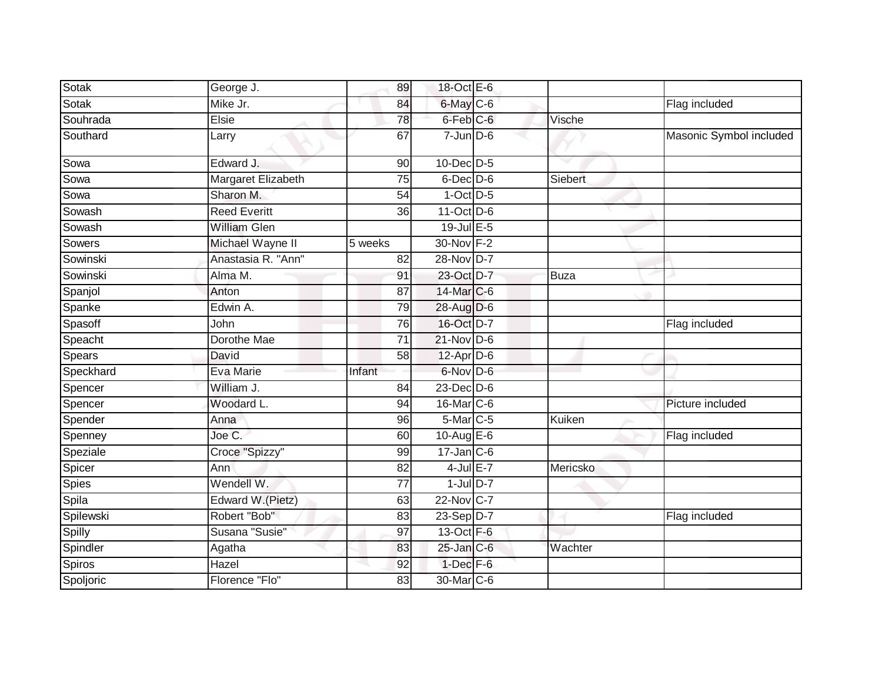| Sotak        | George J.           | 89              | 18-Oct E-6             |                |                         |
|--------------|---------------------|-----------------|------------------------|----------------|-------------------------|
| Sotak        | Mike Jr.            | 84              | 6-May C-6              |                | Flag included           |
| Souhrada     | Elsie               | 78              | 6-Feb <sup>C-6</sup>   | Vische         |                         |
| Southard     | Larry               | 67              | $7$ -Jun $D-6$         |                | Masonic Symbol included |
| Sowa         | Edward J.           | 90              | $10$ -Dec $D-5$        |                |                         |
| Sowa         | Margaret Elizabeth  | 75              | $6$ -Dec $D$ -6        | <b>Siebert</b> |                         |
| Sowa         | Sharon M.           | 54              | $1-Oct$ $D-5$          |                |                         |
| Sowash       | <b>Reed Everitt</b> | 36              | $11$ -Oct $D-6$        |                |                         |
| Sowash       | <b>William Glen</b> |                 | 19-Jul E-5             |                |                         |
| Sowers       | Michael Wayne II    | 5 weeks         | 30-Nov F-2             |                |                         |
| Sowinski     | Anastasia R. "Ann"  | 82              | 28-Nov D-7             |                |                         |
| Sowinski     | Alma M.             | 91              | 23-Oct D-7             | <b>Buza</b>    |                         |
| Spanjol      | Anton               | $\overline{87}$ | 14-Mar C-6             |                |                         |
| Spanke       | Edwin A.            | 79              | 28-Aug D-6             |                |                         |
| Spasoff      | John                | 76              | 16-Oct D-7             |                | Flag included           |
| Speacht      | Dorothe Mae         | $\overline{71}$ | $21$ -Nov D-6          |                |                         |
| Spears       | David               | 58              | $12$ -Apr $D-6$        |                |                         |
| Speckhard    | Eva Marie           | Infant          | 6-Nov D-6              |                |                         |
| Spencer      | William J.          | 84              | $23$ -Dec $D-6$        |                |                         |
| Spencer      | Woodard L.          | 94              | 16-Mar C-6             |                | Picture included        |
| Spender      | Anna                | 96              | 5-Mar C-5              | Kuiken         |                         |
| Spenney      | Joe C.              | 60              | 10-Aug E-6             |                | Flag included           |
| Speziale     | Croce "Spizzy"      | 99              | $17$ -Jan $C$ -6       |                |                         |
| Spicer       | Ann                 | 82              | $4$ -Jul $E-7$         | Mericsko       |                         |
| <b>Spies</b> | Wendell W.          | 77              | $1$ -Jul $D-7$         |                |                         |
| Spila        | Edward W.(Pietz)    | 63              | 22-Nov C-7             |                |                         |
| Spilewski    | Robert "Bob"        | 83              | 23-Sep D-7             |                | Flag included           |
| Spilly       | Susana "Susie"      | 97              | 13-Oct F-6             |                |                         |
| Spindler     | Agatha              | 83              | $25$ -Jan $C$ -6       | Wachter        |                         |
| Spiros       | Hazel               | 92              | $1$ -Dec $F-6$         |                |                         |
| Spoljoric    | Florence "Flo"      | 83              | 30-Mar <sub>IC-6</sub> |                |                         |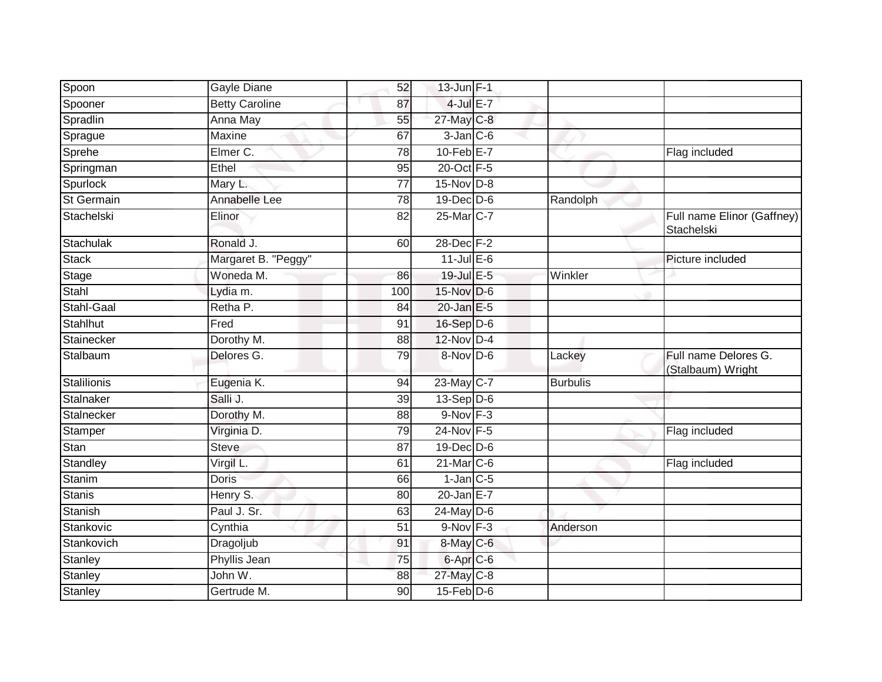| Spoon       | Gayle Diane           | 52  | 13-Jun F-1        |                 |                                           |
|-------------|-----------------------|-----|-------------------|-----------------|-------------------------------------------|
| Spooner     | <b>Betty Caroline</b> | 87  | $4$ -Jul $E-7$    |                 |                                           |
| Spradlin    | Anna May              | 55  | 27-May C-8        |                 |                                           |
| Sprague     | Maxine                | 67  | $3$ -Jan $ C$ -6  |                 |                                           |
| Sprehe      | Elmer C.              | 78  | $10$ -Feb $E - 7$ |                 | Flag included                             |
| Springman   | Ethel                 | 95  | 20-Oct F-5        |                 |                                           |
| Spurlock    | Mary L.               | 77  | 15-Nov D-8        |                 |                                           |
| St Germain  | Annabelle Lee         | 78  | $19$ -Dec $D$ -6  | Randolph        |                                           |
| Stachelski  | Elinor                | 82  | 25-Mar C-7        |                 | Full name Elinor (Gaffney)<br>Stachelski  |
| Stachulak   | Ronald J.             | 60  | 28-Dec F-2        |                 |                                           |
| Stack       | Margaret B. "Peggy"   |     | $11$ -Jul $E-6$   |                 | Picture included                          |
| Stage       | Woneda M.             | 86  | 19-Jul E-5        | Winkler         |                                           |
| Stahl       | Lydia m.              | 100 | 15-Nov D-6        |                 |                                           |
| Stahl-Gaal  | Retha P.              | 84  | $20$ -Jan $E-5$   |                 |                                           |
| Stahlhut    | Fred                  | 91  | 16-Sep D-6        |                 |                                           |
| Stainecker  | Dorothy M.            | 88  | 12-Nov D-4        |                 |                                           |
| Stalbaum    | Delores G.            | 79  | 8-Nov D-6         | Lackey          | Full name Delores G.<br>(Stalbaum) Wright |
| Stalilionis | Eugenia K.            | 94  | 23-May C-7        | <b>Burbulis</b> |                                           |
| Stalnaker   | Salli J.              | 39  | $13-Sep D-6$      |                 |                                           |
| Stalnecker  | Dorothy M.            | 88  | $9-Nov$ F-3       |                 |                                           |
| Stamper     | Virginia D.           | 79  | 24-Nov F-5        |                 | Flag included                             |
| Stan        | <b>Steve</b>          | 87  | $19$ -Dec $D$ -6  |                 |                                           |
| Standley    | Virgil L.             | 61  | 21-Mar C-6        |                 | Flag included                             |
| Stanim      | <b>Doris</b>          | 66  | $1$ -Jan $C$ -5   |                 |                                           |
| Stanis      | Henry S.              | 80  | $20$ -Jan E-7     |                 |                                           |
| Stanish     | Paul J. Sr.           | 63  | $24$ -May D-6     |                 |                                           |
| Stankovic   | Cynthia               | 51  | $9-Nov$ F-3       | Anderson        |                                           |
| Stankovich  | Dragoljub             | 91  | $8$ -May $C$ -6   |                 |                                           |
| Stanley     | Phyllis Jean          | 75  | 6-Apr C-6         |                 |                                           |
| Stanley     | John W.               | 88  | 27-May C-8        |                 |                                           |
| Stanley     | Gertrude M.           | 90  | $15$ -Feb $D-6$   |                 |                                           |
|             |                       |     |                   |                 |                                           |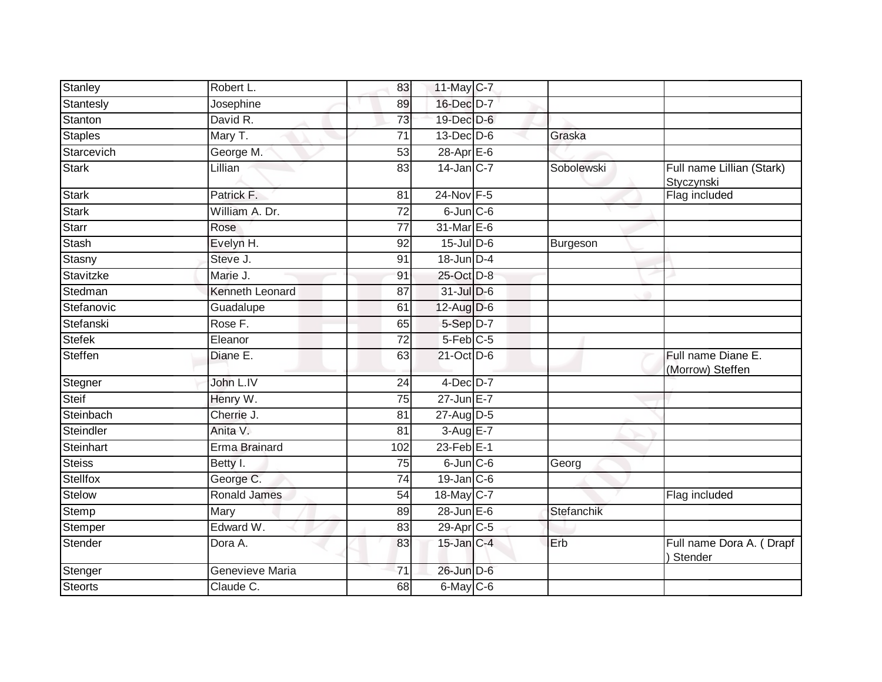| Stanley        | Robert L.              | 83              | 11-May C-7            |            |                                         |
|----------------|------------------------|-----------------|-----------------------|------------|-----------------------------------------|
| Stantesly      | Josephine              | 89              | 16-Dec D-7            |            |                                         |
| Stanton        | David R.               | 73              | 19-Dec D-6            |            |                                         |
| <b>Staples</b> | Mary T.                | 71              | $13$ -Dec $D$ -6      | Graska     |                                         |
| Starcevich     | George M.              | 53              | 28-Apr <sub>E-6</sub> |            |                                         |
| <b>Stark</b>   | Lillian                | 83              | $14$ -Jan $ C-7 $     | Sobolewski | Full name Lillian (Stark)<br>Styczynski |
| <b>Stark</b>   | Patrick F.             | 81              | 24-Nov F-5            |            | Flag included                           |
| <b>Stark</b>   | William A. Dr.         | $\overline{72}$ | $6$ -Jun $C$ -6       |            |                                         |
| <b>Starr</b>   | Rose                   | 77              | 31-Mar E-6            |            |                                         |
| <b>Stash</b>   | Evelyn H.              | 92              | $15$ -Jul $D-6$       | Burgeson   |                                         |
| Stasny         | Steve J.               | 91              | 18-Jun D-4            |            |                                         |
| Stavitzke      | Marie J.               | 91              | 25-Oct D-8            |            |                                         |
| Stedman        | <b>Kenneth Leonard</b> | 87              | 31-Jul D-6            |            |                                         |
| Stefanovic     | Guadalupe              | 61              | 12-Aug D-6            |            |                                         |
| Stefanski      | Rose F.                | 65              | 5-Sep D-7             |            |                                         |
| <b>Stefek</b>  | Eleanor                | 72              | $5-Feb$ $C-5$         |            |                                         |
| Steffen        | Diane E.               | 63              | 21-Oct D-6            |            | Full name Diane E.<br>(Morrow) Steffen  |
| Stegner        | John L.IV              | $\overline{24}$ | $4$ -Dec $D-7$        |            |                                         |
| Steif          | Henry W.               | 75              | $27$ -Jun $E - 7$     |            |                                         |
| Steinbach      | Cherrie J.             | $\overline{81}$ | 27-Aug D-5            |            |                                         |
| Steindler      | Anita V.               | 81              | 3-Aug E-7             |            |                                         |
| Steinhart      | Erma Brainard          | 102             | $23$ -Feb $E-1$       |            |                                         |
| <b>Steiss</b>  | Betty I.               | 75              | $6$ -Jun $C$ -6       | Georg      |                                         |
| Stellfox       | George C.              | 74              | $19$ -Jan $C$ -6      |            |                                         |
| <b>Stelow</b>  | <b>Ronald James</b>    | 54              | 18-May C-7            |            | Flag included                           |
| Stemp          | Mary                   | 89              | 28-Jun E-6            | Stefanchik |                                         |
| Stemper        | Edward W.              | 83              | 29-Apr <sub>C-5</sub> |            |                                         |
| Stender        | Dora A.                | 83              | $15$ -Jan $C-4$       | Erb        | Full name Dora A. (Drapf<br>Stender     |
| Stenger        | Genevieve Maria        | $\overline{71}$ | 26-Jun D-6            |            |                                         |
| <b>Steorts</b> | Claude C.              | 68              | 6-May C-6             |            |                                         |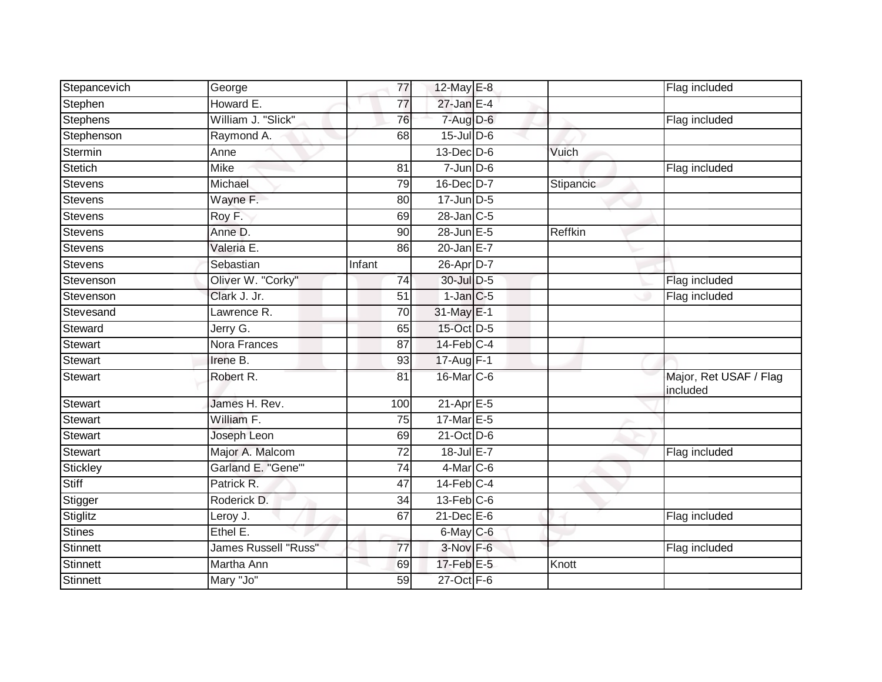| Stepancevich    | George                      | 77              | 12-May E-8                 |           | Flag included                      |
|-----------------|-----------------------------|-----------------|----------------------------|-----------|------------------------------------|
| Stephen         | Howard E.                   | 77              | $27$ -Jan E-4              |           |                                    |
| Stephens        | William J. "Slick"          | 76              | $7 - Aug$ $D-6$            |           | Flag included                      |
| Stephenson      | Raymond A.                  | 68              | $15$ -Jul $D$ -6           |           |                                    |
| Stermin         | Anne                        |                 | 13-Dec D-6                 | Vuich     |                                    |
| Stetich         | <b>Mike</b>                 | 81              | $7$ -Jun $D-6$             |           | Flag included                      |
| <b>Stevens</b>  | Michael                     | 79              | $16$ -Dec $D$ -7           | Stipancic |                                    |
| Stevens         | Wayne F.                    | 80              | $17$ -Jun $D-5$            |           |                                    |
| Stevens         | Roy F.                      | 69              | $28$ -Jan $C-5$            |           |                                    |
| <b>Stevens</b>  | Anne D.                     | $\overline{90}$ | 28-Jun E-5                 | Reffkin   |                                    |
| <b>Stevens</b>  | Valeria E.                  | 86              | $20$ -Jan $E-7$            |           |                                    |
| <b>Stevens</b>  | Sebastian                   | Infant          | 26-Apr D-7                 |           |                                    |
| Stevenson       | Oliver W. "Corky"           | 74              | 30-Jul D-5                 |           | Flag included                      |
| Stevenson       | Clark J. Jr.                | 51              | $1$ -Jan $C$ -5            |           | Flag included                      |
| Stevesand       | Lawrence R.                 | 70              | 31-May E-1                 |           |                                    |
| Steward         | Jerry G.                    | 65              | 15-Oct D-5                 |           |                                    |
| Stewart         | Nora Frances                | $\overline{87}$ | $14$ -Feb $C-4$            |           |                                    |
| <b>Stewart</b>  | Irene B.                    | 93              | $17$ -Aug $F-1$            |           |                                    |
| Stewart         | Robert R.                   | 81              | 16-Mar C-6                 |           | Major, Ret USAF / Flag<br>included |
| Stewart         | James H. Rev.               | 100             | $21-Apr \nightharpoonup 5$ |           |                                    |
| <b>Stewart</b>  | William F.                  | 75              | 17-Mar E-5                 |           |                                    |
| <b>Stewart</b>  | Joseph Leon                 | 69              | $21-Oct$ D-6               |           |                                    |
| Stewart         | Major A. Malcom             | 72              | 18-Jul E-7                 |           | Flag included                      |
| Stickley        | Garland E. "Gene"           | 74              | $4$ -Mar $C$ -6            |           |                                    |
| Stiff           | Patrick R.                  | 47              | $14$ -Feb $C-4$            |           |                                    |
| Stigger         | Roderick D.                 | 34              | $13$ -Feb $C$ -6           |           |                                    |
| Stiglitz        | Leroy J.                    | 67              | $21$ -Dec $E-6$            |           | Flag included                      |
| <b>Stines</b>   | Ethel E.                    |                 | $6$ -May $C$ -6            |           |                                    |
| <b>Stinnett</b> | <b>James Russell "Russ"</b> | 77              | 3-Nov F-6                  |           | Flag included                      |
| Stinnett        | Martha Ann                  | 69              | 17-Feb E-5                 | Knott     |                                    |
| Stinnett        | Mary "Jo"                   | 59              | 27-Oct F-6                 |           |                                    |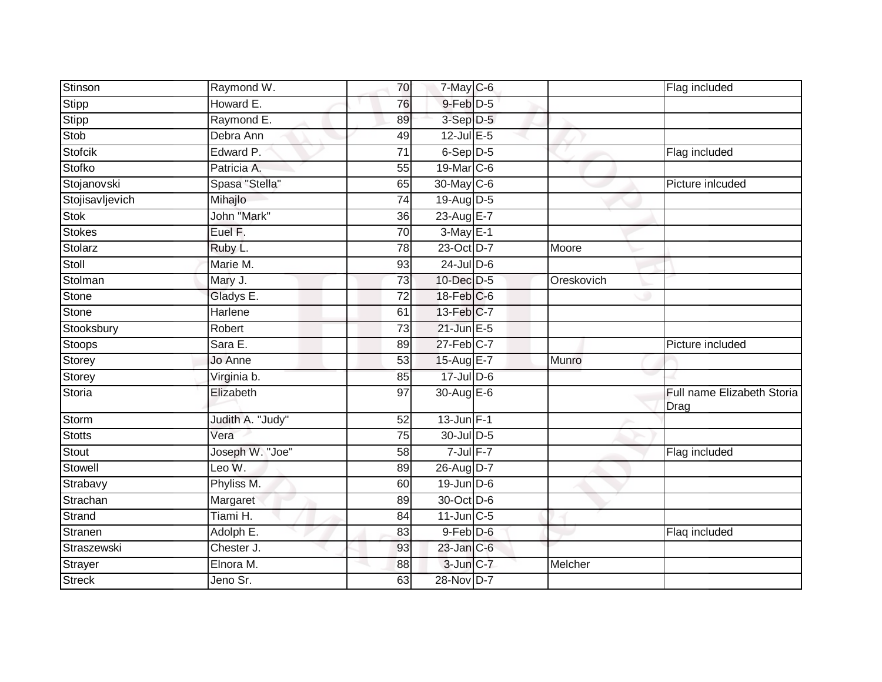| Stinson         | Raymond W.       | 70              | $7$ -May $C$ -6 |            | Flag included                      |
|-----------------|------------------|-----------------|-----------------|------------|------------------------------------|
| Stipp           | Howard E.        | 76              | 9-Feb D-5       |            |                                    |
| Stipp           | Raymond E.       | 89              | 3-Sep D-5       |            |                                    |
| Stob            | Debra Ann        | 49              | 12-Jul E-5      |            |                                    |
| Stofcik         | Edward P.        | $\overline{71}$ | $6-Sep$ D-5     |            | Flag included                      |
| Stofko          | Patricia A.      | 55              | 19-Mar C-6      |            |                                    |
| Stojanovski     | Spasa "Stella"   | 65              | 30-May C-6      |            | Picture inlcuded                   |
| Stojisavljevich | Mihajlo          | 74              | 19-Aug D-5      |            |                                    |
| Stok            | John "Mark"      | 36              | 23-Aug E-7      |            |                                    |
| <b>Stokes</b>   | Euel F.          | 70              | $3-May$ E-1     |            |                                    |
| Stolarz         | Ruby L.          | 78              | 23-Oct D-7      | Moore      |                                    |
| Stoll           | Marie M.         | 93              | $24$ -Jul $D-6$ |            |                                    |
| Stolman         | Mary J.          | 73              | 10-Dec D-5      | Oreskovich |                                    |
| <b>Stone</b>    | Gladys E.        | 72              | 18-Feb C-6      |            |                                    |
| Stone           | Harlene          | 61              | 13-Feb C-7      |            |                                    |
| Stooksbury      | Robert           | 73              | 21-Jun E-5      |            |                                    |
| <b>Stoops</b>   | Sara E.          | 89              | 27-Feb C-7      |            | Picture included                   |
| Storey          | Jo Anne          | 53              | 15-Aug E-7      | Munro      |                                    |
| Storey          | Virginia b.      | 85              | 17-Jul D-6      |            |                                    |
| <b>Storia</b>   | Elizabeth        | 97              | 30-Aug E-6      |            | Full name Elizabeth Storia<br>Drag |
| Storm           | Judith A. "Judy" | 52              | $13$ -Jun F-1   |            |                                    |
| <b>Stotts</b>   | Vera             | 75              | $30$ -Jul $D-5$ |            |                                    |
| Stout           | Joseph W. "Joe"  | 58              | $7$ -Jul $F-7$  |            | Flag included                      |
| Stowell         | Leo W.           | 89              | 26-Aug D-7      |            |                                    |
| Strabavy        | Phyliss M.       | 60              | $19$ -Jun $D-6$ |            |                                    |
| Strachan        | Margaret         | 89              | 30-Oct D-6      |            |                                    |
| Strand          | Tiami H.         | 84              | $11$ -Jun $C-5$ |            |                                    |
| Stranen         | Adolph E.        | 83              | 9-Feb D-6       |            | Flaq included                      |
| Straszewski     | Chester J.       | 93              | $23$ -Jan $C-6$ |            |                                    |
| Strayer         | Elnora M.        | 88              | 3-Jun C-7       | Melcher    |                                    |
| <b>Streck</b>   | Jeno Sr.         | 63              | 28-Nov D-7      |            |                                    |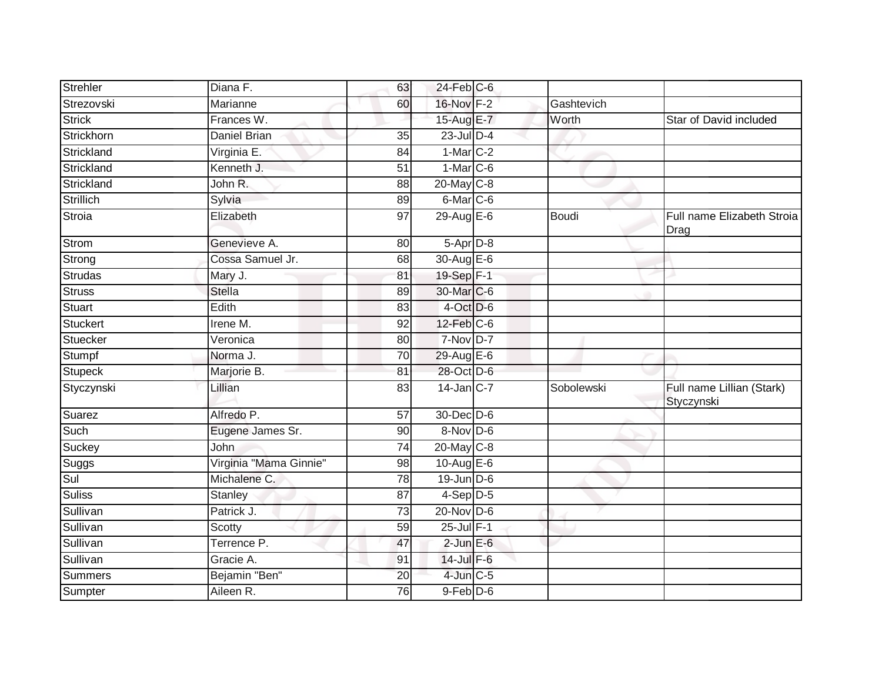| Strehler       | Diana F.               | 63              | $24$ -Feb $C$ -6       |            |                                         |
|----------------|------------------------|-----------------|------------------------|------------|-----------------------------------------|
| Strezovski     | Marianne               | 60              | 16-Nov F-2             | Gashtevich |                                         |
| <b>Strick</b>  | Frances W.             |                 | 15-Aug E-7             | Worth      | Star of David included                  |
| Strickhorn     | Daniel Brian           | 35              | $23$ -Jul $D-4$        |            |                                         |
| Strickland     | Virginia E.            | 84              | $1-Mar$ C-2            |            |                                         |
| Strickland     | Kenneth J.             | $\overline{51}$ | $1-Mar$ <sub>C-6</sub> |            |                                         |
| Strickland     | John R.                | 88              | 20-May C-8             |            |                                         |
| Strillich      | Sylvia                 | 89              | $6$ -Mar $C$ -6        |            |                                         |
| Stroia         | Elizabeth              | 97              | 29-Aug E-6             | Boudi      | Full name Elizabeth Stroia<br>Drag      |
| Strom          | Genevieve A.           | 80              | $5-Apr$ D-8            |            |                                         |
| Strong         | Cossa Samuel Jr.       | 68              | 30-Aug E-6             |            |                                         |
| Strudas        | Mary J.                | 81              | 19-Sep F-1             |            |                                         |
| <b>Struss</b>  | <b>Stella</b>          | 89              | 30-Mar C-6             |            |                                         |
| <b>Stuart</b>  | Edith                  | 83              | 4-Oct D-6              |            |                                         |
| Stuckert       | Irene $\overline{M}$ . | 92              | 12-Feb C-6             |            |                                         |
| Stuecker       | Veronica               | 80              | $7-Nov$ D-7            |            |                                         |
| Stumpf         | Norma J.               | 70              | 29-Aug E-6             |            |                                         |
| <b>Stupeck</b> | Marjorie B.            | 81              | 28-Oct D-6             |            |                                         |
| Styczynski     | Lillian                | 83              | $14$ -Jan $ C-7 $      | Sobolewski | Full name Lillian (Stark)<br>Styczynski |
| Suarez         | Alfredo P.             | $\overline{57}$ | 30-Dec D-6             |            |                                         |
| Such           | Eugene James Sr.       | 90              | 8-Nov D-6              |            |                                         |
| Suckey         | John                   | 74              | 20-May C-8             |            |                                         |
| Suggs          | Virginia "Mama Ginnie" | 98              | 10-Aug E-6             |            |                                         |
| Sul            | Michalene C.           | 78              | $19$ -Jun $D-6$        |            |                                         |
| <b>Suliss</b>  | Stanley                | 87              | $4-Sep$ D-5            |            |                                         |
| Sullivan       | Patrick J.             | $\overline{73}$ | $20$ -Nov D-6          |            |                                         |
| Sullivan       | Scotty                 | 59              | 25-Jul F-1             |            |                                         |
| Sullivan       | Terrence P.            | 47              | $2$ -Jun $E$ -6        |            |                                         |
| Sullivan       | Gracie A.              | 91              | $14$ -Jul $F-6$        |            |                                         |
| Summers        | Bejamin "Ben"          | $\overline{20}$ | $4$ -Jun $C - 5$       |            |                                         |
| Sumpter        | Aileen R.              | 76              | $9$ -Feb $D$ -6        |            |                                         |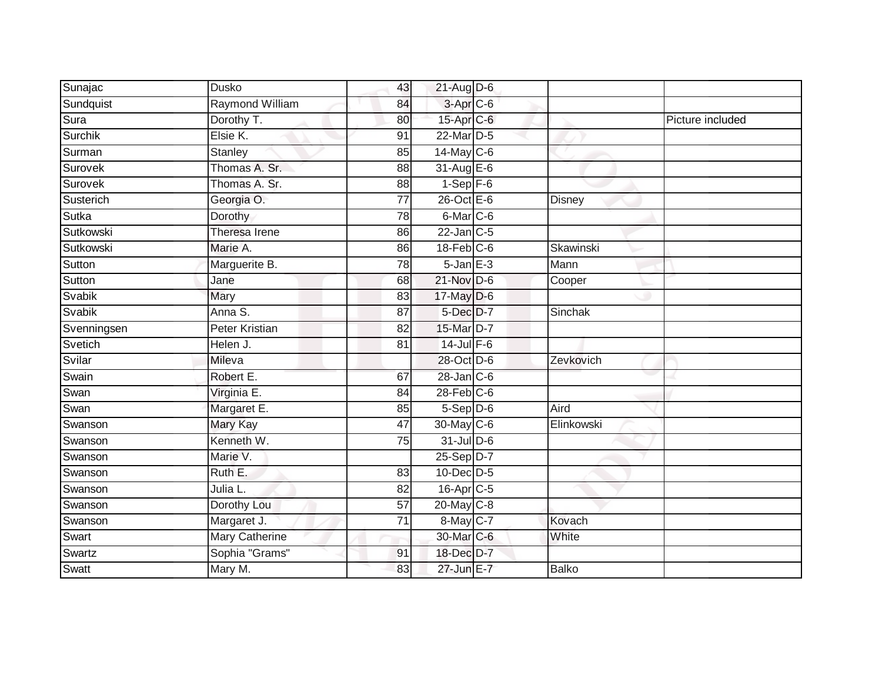| Sunajac     | Dusko                 | 43              | $21$ -Aug D-6         |            |                  |
|-------------|-----------------------|-----------------|-----------------------|------------|------------------|
| Sundquist   | Raymond William       | 84              | 3-Apr <sub>IC-6</sub> |            |                  |
| Sura        | Dorothy T.            | 80              | 15-Apr C-6            |            | Picture included |
| Surchik     | Elsie K.              | 91              | 22-Mar D-5            |            |                  |
| Surman      | <b>Stanley</b>        | 85              | $14$ -May C-6         |            |                  |
| Surovek     | Thomas A. Sr.         | 88              | $31$ -Aug E-6         |            |                  |
| Surovek     | Thomas A. Sr.         | 88              | $1-Sep$ F-6           |            |                  |
| Susterich   | Georgia O.            | $\overline{77}$ | 26-Oct E-6            | Disney     |                  |
| Sutka       | Dorothy               | 78              | 6-Mar C-6             |            |                  |
| Sutkowski   | Theresa Irene         | 86              | $22$ -Jan $C-5$       |            |                  |
| Sutkowski   | Marie A.              | 86              | $18$ -Feb $C$ -6      | Skawinski  |                  |
| Sutton      | Marguerite B.         | 78              | $5 - Jan$ $E-3$       | Mann       |                  |
| Sutton      | Jane                  | 68              | 21-Nov D-6            | Cooper     |                  |
| Svabik      | Mary                  | 83              | $17$ -May $D-6$       |            |                  |
| Svabik      | Anna S.               | $\overline{87}$ | 5-Dec D-7             | Sinchak    |                  |
| Svenningsen | Peter Kristian        | 82              | 15-Mar D-7            |            |                  |
| Svetich     | Helen J.              | 81              | $14$ -Jul $F-6$       |            |                  |
| Svilar      | Mileva                |                 | 28-Oct D-6            | Zevkovich  |                  |
| Swain       | Robert E.             | 67              | 28-Jan C-6            |            |                  |
| Swan        | Virginia E.           | 84              | $28$ -Feb $C$ -6      |            |                  |
| Swan        | Margaret E.           | 85              | $5-$ Sep $D-6$        | Aird       |                  |
| Swanson     | <b>Mary Kay</b>       | 47              | 30-May C-6            | Elinkowski |                  |
| Swanson     | Kenneth W.            | 75              | $31$ -Jul D-6         |            |                  |
| Swanson     | Marie V.              |                 | 25-Sep D-7            |            |                  |
| Swanson     | Ruth E.               | 83              | $10$ -Dec $D-5$       |            |                  |
| Swanson     | Julia L.              | 82              | 16-Apr C-5            |            |                  |
| Swanson     | Dorothy Lou           | 57              | 20-May C-8            |            |                  |
| Swanson     | Margaret J.           | 71              | 8-May C-7             | Kovach     |                  |
| Swart       | <b>Mary Catherine</b> |                 | 30-Mar C-6            | White      |                  |
| Swartz      | Sophia "Grams"        | 91              | 18-Dec D-7            |            |                  |
| Swatt       | Mary M.               | 83              | 27-Jun E-7            | Balko      |                  |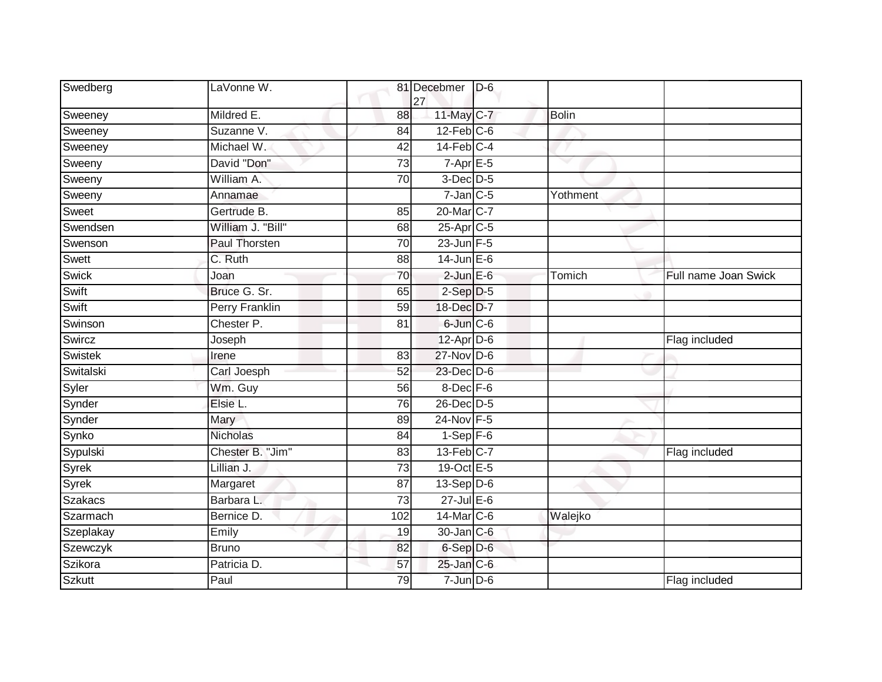| Swedberg       | LaVonne W.            |                 | 81 Decebmer<br>27     | $D-6$ |              |                      |
|----------------|-----------------------|-----------------|-----------------------|-------|--------------|----------------------|
| Sweeney        | Mildred E.            | 88              | 11-May C-7            |       | <b>Bolin</b> |                      |
| Sweeney        | Suzanne V.            | 84              | $12$ -Feb $C-6$       |       |              |                      |
| Sweeney        | Michael W.            | 42              | $14$ -Feb $C-4$       |       |              |                      |
| Sweeny         | David "Don"           | 73              | $7-Apr$ E-5           |       |              |                      |
| Sweeny         | William A.            | 70              | $3$ -Dec $D-5$        |       |              |                      |
| Sweeny         | Annamae               |                 | $7$ -Jan $C$ -5       |       | Yothment     |                      |
| Sweet          | Gertrude B.           | 85              | 20-Mar C-7            |       |              |                      |
| Swendsen       | William J. "Bill"     | 68              | 25-Apr <sub>C-5</sub> |       |              |                      |
| Swenson        | Paul Thorsten         | 70              | 23-Jun F-5            |       |              |                      |
| Swett          | $\overline{C}$ . Ruth | 88              | $14$ -Jun $E-6$       |       |              |                      |
| <b>Swick</b>   | Joan                  | 70              | $2$ -Jun $E$ -6       |       | Tomich       | Full name Joan Swick |
| Swift          | Bruce G. Sr.          | 65              | $2-Sep$ $D-5$         |       |              |                      |
| Swift          | Perry Franklin        | 59              | 18-Dec D-7            |       |              |                      |
| Swinson        | Chester P.            | $\overline{81}$ | 6-Jun C-6             |       |              |                      |
| Swircz         | Joseph                |                 | $12$ -Apr $D$ -6      |       |              | Flag included        |
| <b>Swistek</b> | Irene                 | 83              | $27$ -Nov D-6         |       |              |                      |
| Switalski      | Carl Joesph           | 52              | 23-Dec D-6            |       |              |                      |
| Syler          | Wm. Guy               | 56              | 8-Dec F-6             |       |              |                      |
| Synder         | Elsie L.              | 76              | 26-Dec D-5            |       |              |                      |
| Synder         | Mary                  | 89              | 24-Nov F-5            |       |              |                      |
| Synko          | <b>Nicholas</b>       | 84              | $1-Sep$ F-6           |       |              |                      |
| Sypulski       | Chester B. "Jim"      | 83              | $13$ -Feb $C-7$       |       |              | Flag included        |
| Syrek          | Lillian J.            | 73              | 19-Oct E-5            |       |              |                      |
| Syrek          | Margaret              | $\overline{87}$ | $13-Sep D-6$          |       |              |                      |
| <b>Szakacs</b> | Barbara L.            | 73              | $27$ -Jul $E-6$       |       |              |                      |
| Szarmach       | Bernice D.            | 102             | 14-Mar C-6            |       | Walejko      |                      |
| Szeplakay      | Emily                 | 19              | 30-Jan C-6            |       |              |                      |
| Szewczyk       | <b>Bruno</b>          | 82              | 6-Sep D-6             |       |              |                      |
| Szikora        | Patricia D.           | 57              | $25$ -Jan $C$ -6      |       |              |                      |
| <b>Szkutt</b>  | Paul                  | 79              | $7 - Jun$ $D-6$       |       |              | Flag included        |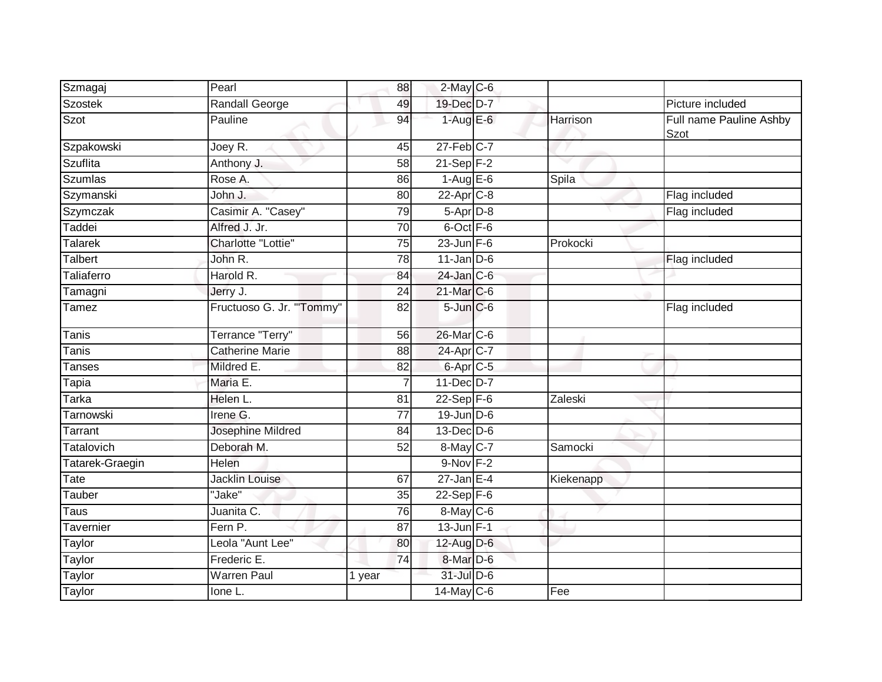| Szmagaj            | Pearl                    | 88              | $2$ -May C-6          |              |                                 |
|--------------------|--------------------------|-----------------|-----------------------|--------------|---------------------------------|
| Szostek            | Randall George           | 49              | 19-Dec D-7            |              | Picture included                |
| Szot               | Pauline                  | 94              | $1-AugE-6$            | Harrison     | Full name Pauline Ashby<br>Szot |
| Szpakowski         | Joey R.                  | 45              | $27$ -Feb $C-7$       |              |                                 |
| <b>Szuflita</b>    | Anthony J.               | 58              | $21-Sep$ F-2          | $\checkmark$ |                                 |
| <b>Szumlas</b>     | Rose A.                  | 86              | $1-Aug$ $E-6$         | Spila        |                                 |
| Szymanski          | John J.                  | 80              | $22$ -Apr $C-8$       |              | Flag included                   |
| Szymczak           | Casimir A. "Casey"       | 79              | $5-Apr$ D-8           |              | Flag included                   |
| Taddei             | Alfred J. Jr.            | 70              | 6-Oct F-6             |              |                                 |
| Talarek            | Charlotte "Lottie"       | 75              | $23$ -Jun F-6         | Prokocki     |                                 |
| <b>Talbert</b>     | John R.                  | 78              | $11$ -Jan $D-6$       |              | Flag included                   |
| Taliaferro         | Harold R.                | 84              | $24$ -Jan $C-6$       |              |                                 |
| Tamagni            | Jerry J.                 | 24              | 21-Mar C-6            |              |                                 |
| Tamez              | Fructuoso G. Jr. "Tommy" | 82              | $5$ -Jun $C$ -6       |              | Flag included                   |
| <b>Tanis</b>       | Terrance "Terry"         | 56              | 26-Mar C-6            |              |                                 |
| Tanis <sup>T</sup> | <b>Catherine Marie</b>   | 88              | 24-Apr <sub>C-7</sub> |              |                                 |
| <b>Tanses</b>      | Mildred E.               | 82              | 6-Apr <sub>C-5</sub>  |              |                                 |
| $Ta$ pia           | Maria E.                 | $\overline{7}$  | 11-Dec D-7            |              |                                 |
| Tarka              | Helen L.                 | 81              | $22-Sep$ F-6          | Zaleski      |                                 |
| Tarnowski          | Irene G.                 | $\overline{77}$ | $19$ -Jun $D-6$       |              |                                 |
| Tarrant            | Josephine Mildred        | 84              | $13$ -Dec $D-6$       |              |                                 |
| <b>Tatalovich</b>  | Deborah M.               | 52              | 8-May C-7             | Samocki      |                                 |
| Tatarek-Graegin    | Helen                    |                 | 9-Nov F-2             |              |                                 |
| Tate               | <b>Jacklin Louise</b>    | 67              | $27$ -Jan E-4         | Kiekenapp    |                                 |
| Tauber             | "Jake"                   | 35              | $22-Sep$ F-6          |              |                                 |
| Taus               | Juanita C.               | 76              | 8-May C-6             |              |                                 |
| Tavernier          | Fern P.                  | 87              | $13 - Jun$ $F-1$      |              |                                 |
| Taylor             | Leola "Aunt Lee"         | 80              | 12-Aug D-6            |              |                                 |
| Taylor             | Frederic E.              | 74              | 8-Mar D-6             |              |                                 |
| Taylor             | <b>Warren Paul</b>       | 1 year          | 31-Jul D-6            |              |                                 |
| Taylor             | Ione L.                  |                 | $14$ -May C-6         | Fee          |                                 |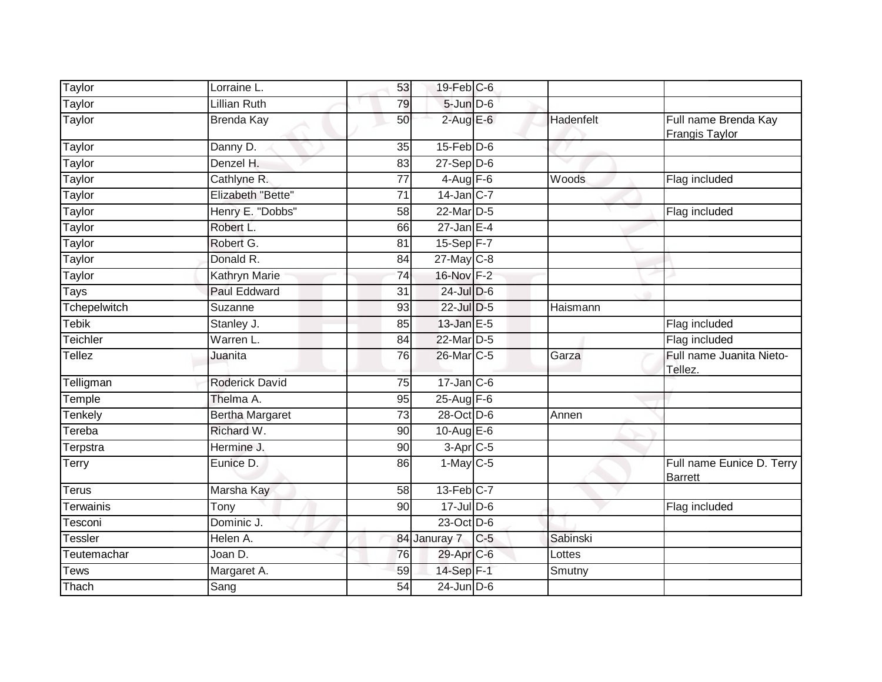| Taylor           | Lorraine L.            | 53              | 19-Feb C-6                         |       |           |                                        |
|------------------|------------------------|-----------------|------------------------------------|-------|-----------|----------------------------------------|
| Taylor           | Lillian Ruth           | 79              | 5-Jun D-6                          |       |           |                                        |
| Taylor           | <b>Brenda Kay</b>      | 50              | $2$ -Aug E-6                       |       | Hadenfelt | Full name Brenda Kay<br>Frangis Taylor |
| Taylor           | Danny D.               | 35              | $15$ -Feb $D-6$                    |       |           |                                        |
| Taylor           | Denzel H.              | 83              | $27 - \text{Sep}$ $\overline{D-6}$ |       |           |                                        |
| Taylor           | Cathlyne R.            | $\overline{77}$ | $4-Aug$ F-6                        |       | Woods     | Flag included                          |
| Taylor           | Elizabeth "Bette"      | 71              | $14$ -Jan $ C-7 $                  |       |           |                                        |
| Taylor           | Henry E. "Dobbs"       | $\overline{58}$ | $22$ -Mar $D-5$                    |       |           | Flag included                          |
| Taylor           | Robert L.              | 66              | $27 - Jan$ E-4                     |       |           |                                        |
| Taylor           | Robert G.              | 81              | $15-Sep$ F-7                       |       |           |                                        |
| Taylor           | Donald R.              | 84              | $27$ -May C-8                      |       |           |                                        |
| Taylor           | <b>Kathryn Marie</b>   | 74              | 16-Nov F-2                         |       |           |                                        |
| <b>Tays</b>      | <b>Paul Eddward</b>    | $\overline{31}$ | $24$ -Jul $D-6$                    |       |           |                                        |
| Tchepelwitch     | Suzanne                | 93              | 22-Jul D-5                         |       | Haismann  |                                        |
| <b>Tebik</b>     | Stanley J.             | 85              | 13-Jan E-5                         |       |           | Flag included                          |
| Teichler         | Warren L.              | 84              | 22-Mar D-5                         |       |           | Flag included                          |
| <b>Tellez</b>    | Juanita                | 76              | 26-Mar C-5                         |       | Garza     | Full name Juanita Nieto-<br>Tellez.    |
| Telligman        | <b>Roderick David</b>  | 75              | $17$ -Jan $C$ -6                   |       |           |                                        |
| Temple           | Thelma A.              | 95              | 25-Aug F-6                         |       |           |                                        |
| Tenkely          | <b>Bertha Margaret</b> | $\overline{73}$ | 28-Oct D-6                         |       | Annen     |                                        |
| Tereba           | Richard W.             | 90              | 10-Aug $E-6$                       |       |           |                                        |
| Terpstra         | Hermine J.             | 90              | $3-Apr$ C-5                        |       |           |                                        |
| Terry            | Eunice D.              | 86              | $1-May$ $C-5$                      |       |           | Full name Eunice D. Terry<br>Barrett   |
| <b>Terus</b>     | Marsha Kay             | 58              | $13$ -Feb $C-7$                    |       |           |                                        |
| <b>Terwainis</b> | Tony                   | 90              | 17-Jul D-6                         |       |           | Flag included                          |
| Tesconi          | Dominic J.             |                 | 23-Oct D-6                         |       |           |                                        |
| <b>Tessler</b>   | Helen A.               |                 | 84 Januray 7                       | $C-5$ | Sabinski  |                                        |
| Teutemachar      | Joan D.                | 76              | 29-Apr C-6                         |       | Lottes    |                                        |
| <b>Tews</b>      | Margaret A.            | 59              | 14-Sep F-1                         |       | Smutny    |                                        |
| Thach            | Sang                   | $\overline{54}$ | $24$ -Jun $D-6$                    |       |           |                                        |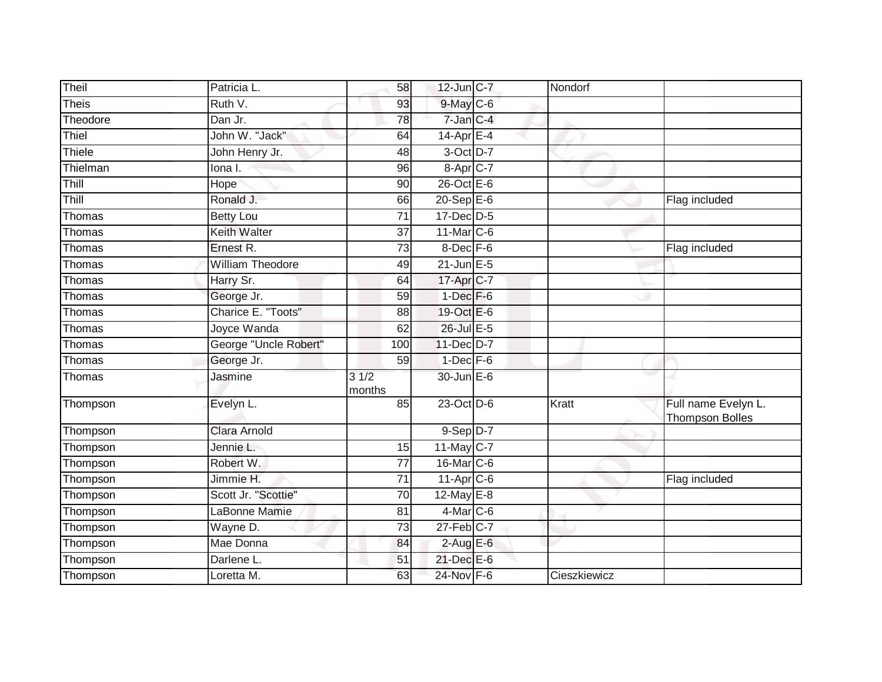| Theil        | Patricia L.             | 58              | 12-Jun C-7           | Nondorf      |                                               |
|--------------|-------------------------|-----------------|----------------------|--------------|-----------------------------------------------|
| <b>Theis</b> | Ruth V.                 | 93              | $9$ -May $C$ -6      |              |                                               |
| Theodore     | Dan Jr.                 | 78              | 7-Jan C-4            |              |                                               |
| Thiel        | John W. "Jack"          | 64              | $14$ -Apr $E-4$      |              |                                               |
| Thiele       | John Henry Jr.          | 48              | 3-Oct D-7            |              |                                               |
| Thielman     | lona I.                 | 96              | 8-Apr <sub>C-7</sub> |              |                                               |
| Thill        | <b>Hope</b>             | 90              | $26$ -Oct $E - 6$    |              |                                               |
| Thill        | Ronald J.               | 66              | $20-$ Sep $E-6$      |              | Flag included                                 |
| Thomas       | <b>Betty Lou</b>        | 71              | $17$ -Dec $D-5$      |              |                                               |
| Thomas       | <b>Keith Walter</b>     | $\overline{37}$ | 11-Mar C-6           |              |                                               |
| Thomas       | Ernest R.               | 73              | 8-Dec F-6            |              | Flag included                                 |
| Thomas       | <b>William Theodore</b> | 49              | $21$ -Jun $E - 5$    |              |                                               |
| Thomas       | Harry Sr.               | 64              | 17-Apr C-7           |              |                                               |
| Thomas       | George Jr.              | 59              | $1-Dec$ F-6          |              |                                               |
| Thomas       | Charice E. "Toots"      | 88              | 19-Oct E-6           |              |                                               |
| Thomas       | Joyce Wanda             | 62              | 26-Jul E-5           |              |                                               |
| Thomas       | George "Uncle Robert"   | 100             | 11-Dec D-7           |              |                                               |
| Thomas       | George Jr.              | 59              | $1-Dec$ F-6          |              |                                               |
| Thomas       | Jasmine                 | 31/2<br>months  | 30-Jun E-6           |              |                                               |
| Thompson     | Evelyn L.               | 85              | 23-Oct D-6           | Kratt        | Full name Evelyn L.<br><b>Thompson Bolles</b> |
| Thompson     | Clara Arnold            |                 | $9-Sep$ D-7          |              |                                               |
| Thompson     | Jennie L.               | 15              | 11-May $C-7$         |              |                                               |
| Thompson     | Robert W.               | $\overline{77}$ | 16-Mar C-6           |              |                                               |
| Thompson     | Jimmie H.               | 71              | $11-Apr$ $C-6$       |              | Flag included                                 |
| Thompson     | Scott Jr. "Scottie"     | 70              | $12$ -May $E-8$      |              |                                               |
| Thompson     | LaBonne Mamie           | 81              | $4$ -Mar $C$ -6      |              |                                               |
| Thompson     | Wayne D.                | 73              | $27$ -Feb $C-7$      |              |                                               |
| Thompson     | Mae Donna               | 84              | $2-AugE-6$           |              |                                               |
| Thompson     | Darlene L.              | 51              | 21-Dec E-6           |              |                                               |
| Thompson     | Loretta M.              | 63              | 24-Nov F-6           | Cieszkiewicz |                                               |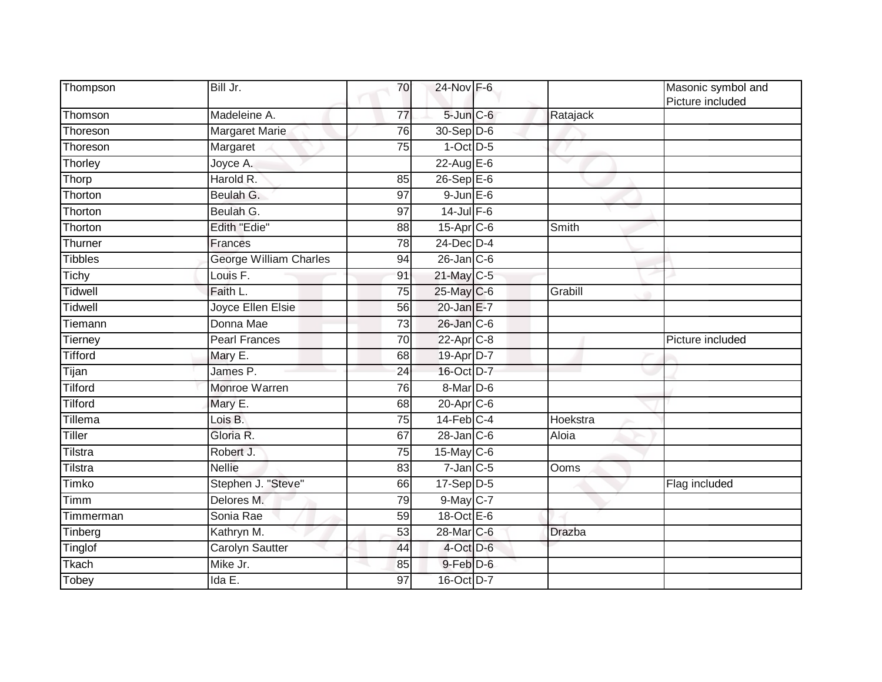| Thompson       | Bill Jr.                      | 70              | 24-Nov F-6       |               | Masonic symbol and<br>Picture included |
|----------------|-------------------------------|-----------------|------------------|---------------|----------------------------------------|
| Thomson        | Madeleine A.                  | 77              | $5$ -Jun $C$ -6  | Ratajack      |                                        |
| Thoreson       | <b>Margaret Marie</b>         | 76              | $30 - Sep$ $D-6$ |               |                                        |
| Thoreson       | Margaret                      | 75              | $1-Oct$ $D-5$    |               |                                        |
| Thorley        | Joyce A.                      |                 | $22$ -Aug E-6    |               |                                        |
| Thorp          | Harold R.                     | 85              | 26-Sep E-6       |               |                                        |
| Thorton        | Beulah G.                     | 97              | $9$ -Jun $E$ -6  |               |                                        |
| Thorton        | Beulah G.                     | 97              | $14$ -Jul $F-6$  |               |                                        |
| Thorton        | <b>Edith "Edie"</b>           | 88              | $15$ -Apr $C$ -6 | Smith         |                                        |
| Thurner        | Frances                       | 78              | $24$ -Dec $D-4$  |               |                                        |
| Tibbles        | <b>George William Charles</b> | 94              | $26$ -Jan $C$ -6 |               |                                        |
| Tichy          | Louis F.                      | 91              | 21-May C-5       |               |                                        |
| Tidwell        | Faith L.                      | 75              | 25-May C-6       | Grabill       |                                        |
| Tidwell        | Joyce Ellen Elsie             | 56              | 20-Jan E-7       |               |                                        |
| Tiemann        | Donna Mae                     | $\overline{73}$ | 26-Jan C-6       |               |                                        |
| Tierney        | <b>Pearl Frances</b>          | 70              | $22$ -Apr $C-8$  |               | Picture included                       |
| <b>Tifford</b> | Mary E.                       | 68              | 19-Apr D-7       |               |                                        |
| Tijan          | James P.                      | 24              | 16-Oct D-7       |               |                                        |
| Tilford        | Monroe Warren                 | 76              | $8$ -Mar $D$ -6  |               |                                        |
| Tilford        | Mary E.                       | 68              | 20-Apr C-6       |               |                                        |
| Tillema        | Lois B.                       | 75              | $14$ -Feb $C-4$  | Hoekstra      |                                        |
| <b>Tiller</b>  | Gloria R.                     | 67              | $28$ -Jan $C$ -6 | Aloia         |                                        |
| Tilstra        | Robert J.                     | 75              | 15-May C-6       |               |                                        |
| Tilstra        | <b>Nellie</b>                 | 83              | $7$ -Jan $C$ -5  | Ooms          |                                        |
| <b>Timko</b>   | Stephen J. "Steve"            | 66              | $17-Sep D-5$     |               | Flag included                          |
| Timm           | Delores M.                    | 79              | $9$ -May $C-7$   |               |                                        |
| Timmerman      | Sonia Rae                     | 59              | 18-Oct E-6       |               |                                        |
| Tinberg        | Kathryn M.                    | 53              | 28-Mar C-6       | <b>Drazba</b> |                                        |
| Tinglof        | Carolyn Sautter               | 44              | $4$ -Oct D-6     |               |                                        |
| Tkach          | Mike Jr.                      | 85              | 9-Feb D-6        |               |                                        |
| Tobey          | Ida E.                        | 97              | 16-Oct D-7       |               |                                        |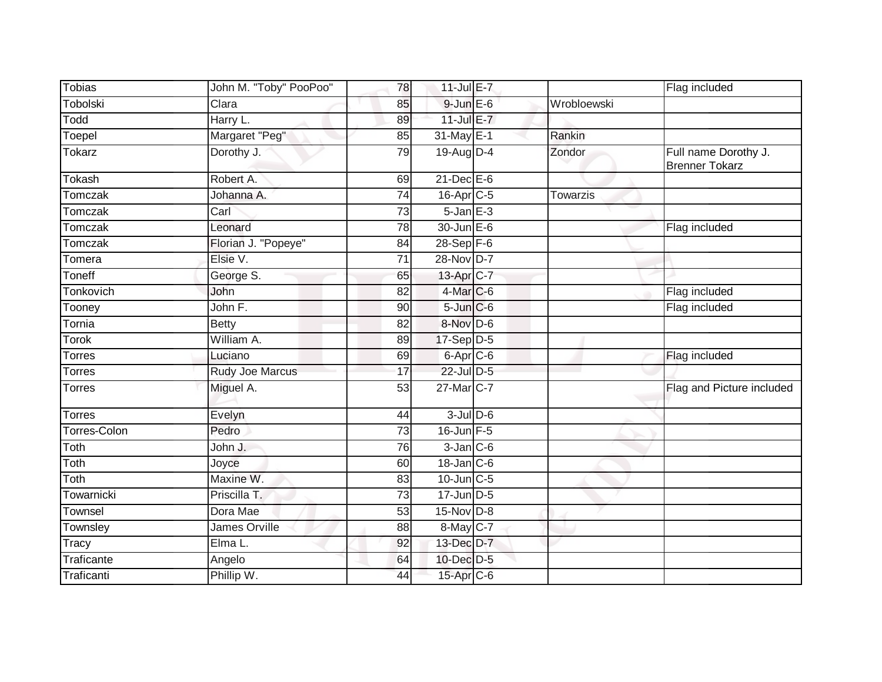| <b>Tobias</b>       | John M. "Toby" PooPoo" | 78              | 11-Jul E-7            |                 | Flag included                                 |
|---------------------|------------------------|-----------------|-----------------------|-----------------|-----------------------------------------------|
| Tobolski            | Clara                  | 85              | $9$ -Jun $E$ -6       | Wrobloewski     |                                               |
| Todd                | Harry L.               | 89              | $11$ -Jul E-7         |                 |                                               |
| Toepel              | Margaret "Peg"         | 85              | 31-May E-1            | Rankin          |                                               |
| Tokarz              | Dorothy J.             | 79              | 19-Aug D-4            | Zondor          | Full name Dorothy J.<br><b>Brenner Tokarz</b> |
| Tokash              | Robert A.              | 69              | $21$ -Dec $E-6$       |                 |                                               |
| Tomczak             | Johanna A.             | 74              | 16-Apr <sub>C-5</sub> | <b>Towarzis</b> |                                               |
| <b>Tomczak</b>      | Carl                   | 73              | $5 - Jan$ $E - 3$     |                 |                                               |
| Tomczak             | Leonard                | 78              | 30-Jun E-6            |                 | Flag included                                 |
| Tomczak             | Florian J. "Popeye"    | 84              | $28-Sep$ F-6          |                 |                                               |
| Tomera              | Elsie V.               | 71              | 28-Nov D-7            |                 |                                               |
| Toneff              | George S.              | 65              | 13-Apr C-7            |                 |                                               |
| Tonkovich           | John                   | 82              | $4$ -Mar $C$ -6       |                 | Flag included                                 |
| Tooney              | John F.                | 90              | $5 - Jun$ $C - 6$     |                 | Flag included                                 |
| Tornia              | <b>Betty</b>           | 82              | 8-Nov D-6             |                 |                                               |
| Torok               | William A.             | 89              | $17-Sep$ D-5          |                 |                                               |
| Torres              | Luciano                | 69              | 6-Apr C-6             |                 | Flag included                                 |
| Torres              | <b>Rudy Joe Marcus</b> | 17              | 22-Jul D-5            |                 |                                               |
| <b>Torres</b>       | Miguel A.              | $\overline{53}$ | 27-Mar C-7            |                 | Flag and Picture included                     |
| <b>Torres</b>       | Evelyn                 | 44              | $3$ -Jul $D$ -6       |                 |                                               |
| <b>Torres-Colon</b> | Pedro                  | 73              | $16$ -Jun $F-5$       |                 |                                               |
| Toth                | John J.                | 76              | $3$ -Jan $C$ -6       |                 |                                               |
| Toth                | Joyce                  | 60              | 18-Jan C-6            |                 |                                               |
| Toth                | Maxine W.              | 83              | $10$ -Jun $C - 5$     |                 |                                               |
| Towarnicki          | Priscilla T.           | 73              | $17$ -Jun $D-5$       |                 |                                               |
| Townsel             | Dora Mae               | 53              | $15-Nov$ D-8          |                 |                                               |
| Townsley            | James Orville          | 88              | 8-May C-7             |                 |                                               |
| <b>Tracy</b>        | Elma L.                | 92              | 13-Dec D-7            |                 |                                               |
| Traficante          | Angelo                 | 64              | 10-Dec D-5            |                 |                                               |
| Traficanti          | Phillip W.             | 44              | 15-Apr C-6            |                 |                                               |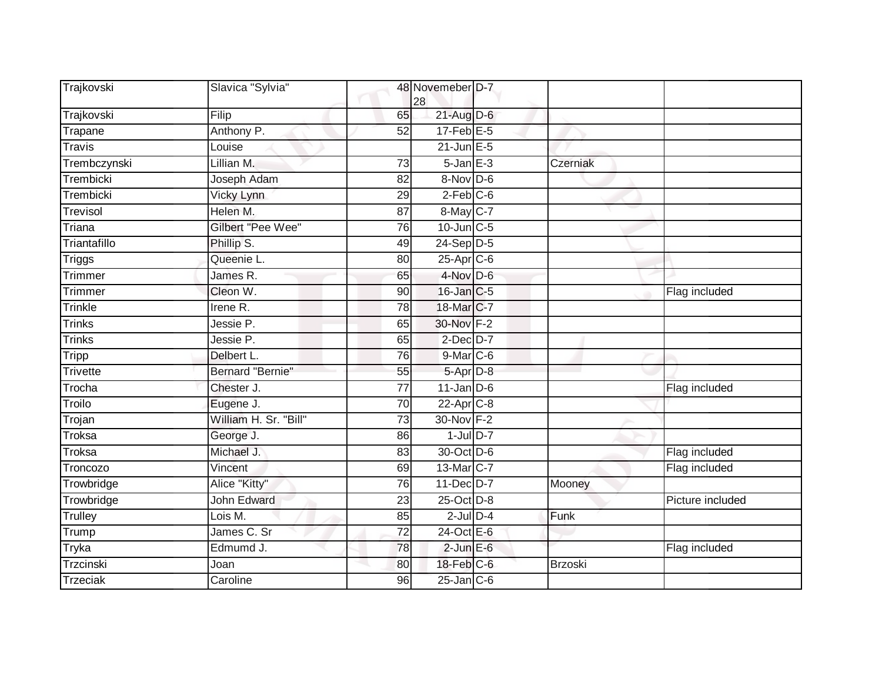| Trajkovski      | Slavica "Sylvia"         |                 | 48 Novemeber D-7<br>28      |                |                  |
|-----------------|--------------------------|-----------------|-----------------------------|----------------|------------------|
| Trajkovski      | Filip                    | 65              | $21$ -Aug D-6               |                |                  |
| Trapane         | Anthony P.               | $\overline{52}$ | $17$ -Feb $E-5$             |                |                  |
| <b>Travis</b>   | Louise                   |                 | $21$ -Jun $E - 5$           |                |                  |
| Trembczynski    | Lillian M.               | 73              | $5 - Jan$ $E-3$             | Czerniak       |                  |
| Trembicki       | Joseph Adam              | 82              | 8-Nov D-6                   |                |                  |
| Trembicki       | Vicky Lynn               | 29              | $2-Feb$ $C-6$               |                |                  |
| Trevisol        | Helen M.                 | $\overline{87}$ | 8-May C-7                   |                |                  |
| Triana          | <b>Gilbert "Pee Wee"</b> | 76              | $10$ -Jun $C - 5$           |                |                  |
| Triantafillo    | Phillip S.               | 49              | $24-Sep$ D-5                |                |                  |
| Triggs          | Queenie L.               | 80              | 25-Apr C-6                  |                |                  |
| Trimmer         | James R.                 | 65              | 4-Nov D-6                   |                |                  |
| Trimmer         | Cleon W.                 | 90              | 16-Jan C-5                  |                | Flag included    |
| Trinkle         | Irene R.                 | 78              | 18-Mar C-7                  |                |                  |
| <b>Trinks</b>   | Jessie P.                | 65              | 30-Nov F-2                  |                |                  |
| <b>Trinks</b>   | Jessie P.                | 65              | $2$ -Dec $D-7$              |                |                  |
| <b>Tripp</b>    | Delbert L.               | 76              | $9$ -Mar $C$ -6             |                |                  |
| <b>Trivette</b> | Bernard "Bernie"         | 55              | $5-Apr$ $D-8$               |                |                  |
| Trocha          | Chester J.               | $\overline{77}$ | $11$ -Jan $\overline{D}$ -6 |                | Flag included    |
| Troilo          | Eugene J.                | 70              | $22-Apr$ <sub>C-8</sub>     |                |                  |
| Trojan          | William H. Sr. "Bill"    | 73              | 30-Nov F-2                  |                |                  |
| Troksa          | George J.                | 86              | $1$ -Jul $D-7$              |                |                  |
| <b>Troksa</b>   | Michael J.               | 83              | 30-Oct D-6                  |                | Flag included    |
| Troncozo        | Vincent                  | 69              | 13-Mar C-7                  |                | Flag included    |
| Trowbridge      | Alice "Kitty"            | 76              | 11-Dec D-7                  | Mooney         |                  |
| Trowbridge      | <b>John Edward</b>       | 23              | 25-Oct D-8                  |                | Picture included |
| Trulley         | Lois M.                  | 85              | $2$ -Jul $D-4$              | Funk           |                  |
| Trump           | James C. Sr              | $\overline{72}$ | 24-Oct E-6                  |                |                  |
| Tryka           | Edmumd J.                | 78              | $2$ -Jun $E$ -6             |                | Flag included    |
| Trzcinski       | Joan                     | 80              | 18-Feb C-6                  | <b>Brzoski</b> |                  |
| <b>Trzeciak</b> | Caroline                 | 96              | $25$ -Jan $ C-6 $           |                |                  |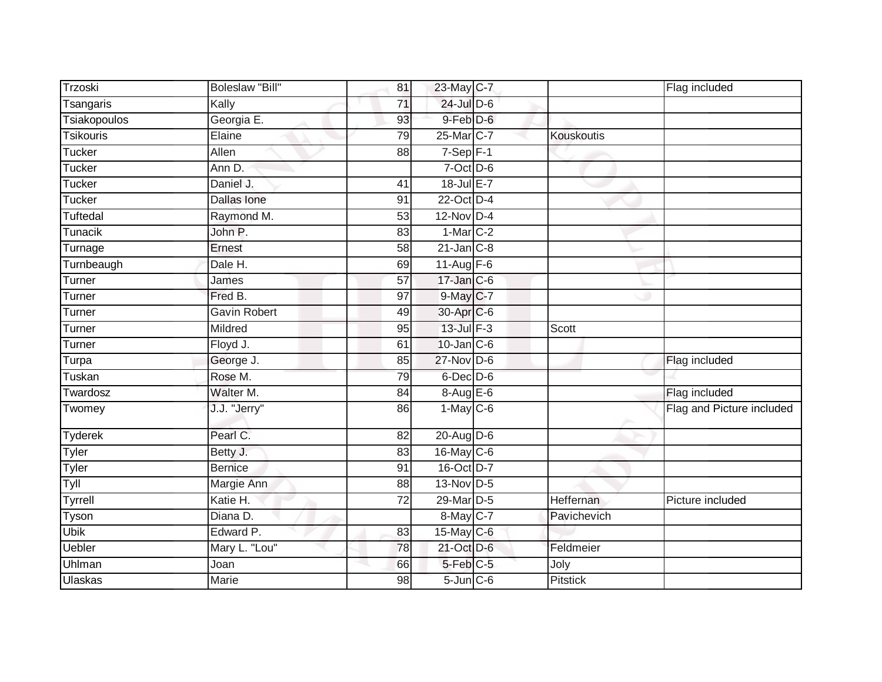| Trzoski             | <b>Boleslaw "Bill"</b> | 81              | 23-May C-7                |                   | Flag included             |
|---------------------|------------------------|-----------------|---------------------------|-------------------|---------------------------|
| Tsangaris           | Kally                  | 71              | 24-Jul D-6                |                   |                           |
| <b>Tsiakopoulos</b> | Georgia E.             | 93              | 9-Feb D-6                 |                   |                           |
| <b>Tsikouris</b>    | Elaine                 | 79              | 25-Mar <sub>IC-7</sub>    | <b>Kouskoutis</b> |                           |
| Tucker              | <b>Allen</b>           | 88              | $7-Sep$ F-1               |                   |                           |
| <b>Tucker</b>       | Ann D.                 |                 | 7-Oct D-6                 |                   |                           |
| Tucker              | Daniel J.              | 41              | $18$ -Jul E-7             |                   |                           |
| <b>Tucker</b>       | Dallas Ione            | 91              | 22-Oct D-4                |                   |                           |
| <b>Tuftedal</b>     | Raymond M.             | 53              | 12-Nov D-4                |                   |                           |
| <b>Tunacik</b>      | John P.                | 83              | $1-Mar$ C-2               |                   |                           |
| Turnage             | Ernest                 | 58              | $21$ -Jan $C-8$           |                   |                           |
| Turnbeaugh          | Dale H.                | 69              | 11-Aug $F-6$              |                   |                           |
| Turner              | James                  | 57              | $17 - Jan$ <sub>C-6</sub> |                   |                           |
| Turner              | Fred B.                | 97              | 9-May C-7                 |                   |                           |
| Turner              | Gavin Robert           | 49              | 30-Apr C-6                |                   |                           |
| Turner              | Mildred                | 95              | $13$ -Jul $F-3$           | Scott             |                           |
| Turner              | Floyd J.               | 61              | $10$ -Jan $C$ -6          |                   |                           |
| Turpa               | George J.              | 85              | $27$ -Nov D-6             |                   | Flag included             |
| Tuskan              | Rose M.                | 79              | 6-Dec D-6                 |                   |                           |
| Twardosz            | Walter M.              | 84              | $8-AugE-6$                |                   | Flag included             |
| Twomey              | J.J. "Jerry"           | 86              | $1-May$ <sub>C-6</sub>    |                   | Flag and Picture included |
| Tyderek             | Pearl C.               | 82              | 20-Aug D-6                |                   |                           |
| <b>Tyler</b>        | Betty J.               | 83              | 16-May C-6                |                   |                           |
| Tyler               | Bernice                | 91              | 16-Oct D-7                |                   |                           |
| Tyll                | Margie Ann             | 88              | 13-Nov D-5                |                   |                           |
| Tyrrell             | Katie H.               | $\overline{72}$ | 29-Mar D-5                | Heffernan         | Picture included          |
| Tyson               | Diana D.               |                 | 8-May C-7                 | Pavichevich       |                           |
| <b>Ubik</b>         | Edward P.              | 83              | $15$ -May C-6             |                   |                           |
| <b>Uebler</b>       | Mary L. "Lou"          | 78              | 21-Oct D-6                | Feldmeier         |                           |
| Uhlman              | Joan                   | 66              | 5-Feb C-5                 | Joly              |                           |
| <b>Ulaskas</b>      | Marie                  | 98              | $5$ -Jun $C$ -6           | <b>Pitstick</b>   |                           |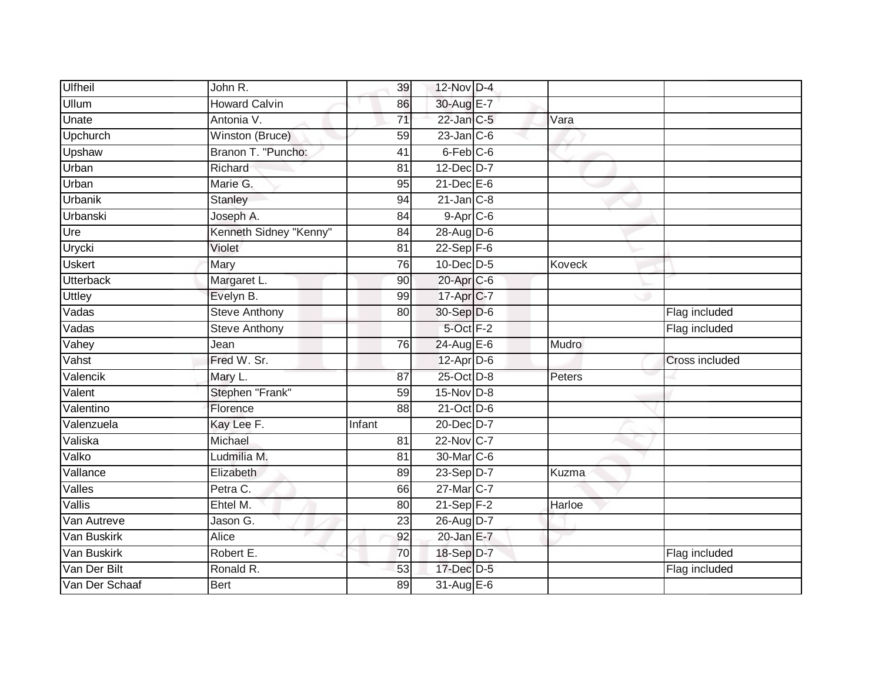| <b>Ulfheil</b>   | John R.                | 39              | $12$ -Nov $D-4$   |               |                |
|------------------|------------------------|-----------------|-------------------|---------------|----------------|
| <b>Ullum</b>     | <b>Howard Calvin</b>   | 86              | 30-Aug E-7        |               |                |
| Unate            | Antonia V.             | $\overline{71}$ | 22-Jan C-5        | Vara          |                |
| Upchurch         | Winston (Bruce)        | 59              | $23$ -Jan C-6     |               |                |
| Upshaw           | Branon T. "Puncho:     | $\overline{41}$ | $6$ -Feb $C$ -6   |               |                |
| Urban            | Richard                | 81              | 12-Dec D-7        |               |                |
| Urban            | Marie G.               | 95              | $21$ -Dec $E-6$   |               |                |
| Urbanik          | <b>Stanley</b>         | 94              | $21$ -Jan $C-8$   |               |                |
| Urbanski         | Joseph A.              | 84              | $9 - Apr$ $C - 6$ |               |                |
| Ure              | Kenneth Sidney "Kenny" | 84              | 28-Aug D-6        |               |                |
| Urycki           | Violet                 | 81              | $22-Sep$ F-6      |               |                |
| <b>Uskert</b>    | Mary                   | 76              | $10$ -Dec $D-5$   | <b>Koveck</b> |                |
| <b>Utterback</b> | Margaret L.            | 90              | $20$ -Apr $C$ -6  |               |                |
| <b>Uttley</b>    | Evelyn B.              | 99              | 17-Apr C-7        |               |                |
| Vadas            | <b>Steve Anthony</b>   | 80              | 30-Sep D-6        |               | Flag included  |
| Vadas            | <b>Steve Anthony</b>   |                 | 5-Oct F-2         |               | Flag included  |
| Vahey            | Jean                   | 76              | 24-Aug E-6        | Mudro         |                |
| Vahst            | Fred W. Sr.            |                 | $12$ -Apr $D-6$   |               | Cross included |
| Valencik         | Mary L.                | 87              | 25-Oct D-8        | Peters        |                |
| Valent           | Stephen "Frank"        | 59              | $15-Nov$ D-8      |               |                |
| Valentino        | Florence               | 88              | $21$ -Oct D-6     |               |                |
| Valenzuela       | Kay Lee F.             | Infant          | 20-Dec D-7        |               |                |
| Valiska          | Michael                | 81              | 22-Nov C-7        |               |                |
| Valko            | Ludmilia M.            | 81              | 30-Mar C-6        |               |                |
| Vallance         | Elizabeth              | 89              | 23-Sep D-7        | Kuzma         |                |
| Valles           | Petra C.               | 66              | 27-Mar C-7        |               |                |
| Vallis           | Ehtel M.               | 80              | $21-Sep$ F-2      | Harloe        |                |
| Van Autreve      | Jason G.               | 23              | 26-Aug D-7        |               |                |
| Van Buskirk      | <b>Alice</b>           | 92              | $20$ -Jan E-7     |               |                |
| Van Buskirk      | Robert E.              | 70              | 18-Sep D-7        |               | Flag included  |
| Van Der Bilt     | Ronald R.              | $\overline{53}$ | 17-Dec D-5        |               | Flag included  |
| Van Der Schaaf   | <b>Bert</b>            | 89              | 31-Aug E-6        |               |                |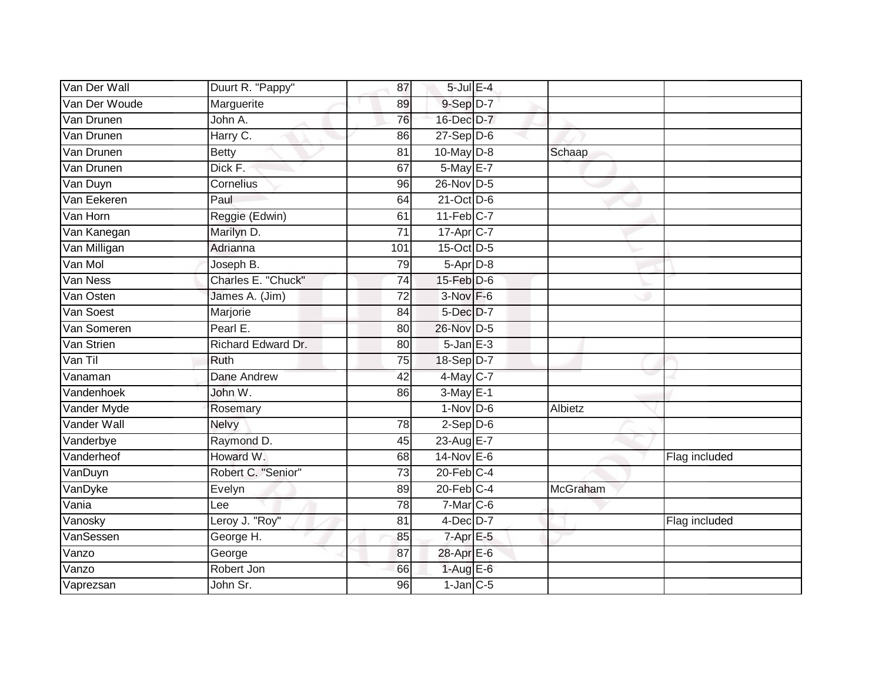| Van Der Wall  | Duurt R. "Pappy"   | 87              | $5$ -Jul $E-4$    |          |               |
|---------------|--------------------|-----------------|-------------------|----------|---------------|
| Van Der Woude | Marguerite         | 89              | 9-Sep D-7         |          |               |
| Van Drunen    | John A.            | 76              | 16-Dec D-7        |          |               |
| Van Drunen    | Harry C.           | 86              | $27-Sep$ $D-6$    |          |               |
| Van Drunen    | <b>Betty</b>       | $\overline{81}$ | $10$ -May $D-8$   | Schaap   |               |
| Van Drunen    | Dick F.            | 67              | 5-May E-7         |          |               |
| Van Duyn      | Cornelius          | 96              | 26-Nov D-5        |          |               |
| Van Eekeren   | Paul               | 64              | $21$ -Oct D-6     |          |               |
| Van Horn      | Reggie (Edwin)     | 61              | $11-Feb$ C-7      |          |               |
| Van Kanegan   | Marilyn D.         | $\overline{71}$ | 17-Apr C-7        |          |               |
| Van Milligan  | Adrianna           | 101             | 15-Oct D-5        |          |               |
| Van Mol       | Joseph B.          | 79              | $5-AprD-8$        |          |               |
| Van Ness      | Charles E. "Chuck" | 74              | $15$ -Feb $D-6$   |          |               |
| Van Osten     | James A. (Jim)     | 72              | $3-Nov$ $F-6$     |          |               |
| Van Soest     | Marjorie           | 84              | 5-Dec D-7         |          |               |
| Van Someren   | Pearl E.           | 80              | 26-Nov D-5        |          |               |
| Van Strien    | Richard Edward Dr. | 80              | $5 - Jan$ $E - 3$ |          |               |
| Van Til       | <b>Ruth</b>        | 75              | 18-Sep D-7        |          |               |
| Vanaman       | Dane Andrew        | 42              | 4-May C-7         |          |               |
| Vandenhoek    | John W.            | 86              | $3-May$ $E-1$     |          |               |
| Vander Myde   | Rosemary           |                 | $1-Nov$ D-6       | Albietz  |               |
| Vander Wall   | Nelvy              | 78              | $2-Sep D-6$       |          |               |
| Vanderbye     | Raymond D.         | 45              | 23-Aug E-7        |          |               |
| Vanderheof    | Howard W.          | 68              | $14$ -Nov $E-6$   |          | Flag included |
| VanDuyn       | Robert C. "Senior" | 73              | $20$ -Feb $C-4$   |          |               |
| VanDyke       | Evelyn             | 89              | $20$ -Feb $C-4$   | McGraham |               |
| Vania         | Lee                | 78              | $7-Mar$ C-6       |          |               |
| Vanosky       | Leroy J. "Roy"     | 81              | $4$ -Dec $D-7$    |          | Flag included |
| VanSessen     | George H.          | 85              | $7$ -Apr $E$ -5   |          |               |
| Vanzo         | George             | 87              | 28-Apr E-6        |          |               |
| Vanzo         | Robert Jon         | 66              | $1-Aug$ E-6       |          |               |
| Vaprezsan     | John Sr.           | 96              | $1$ -Jan $C$ -5   |          |               |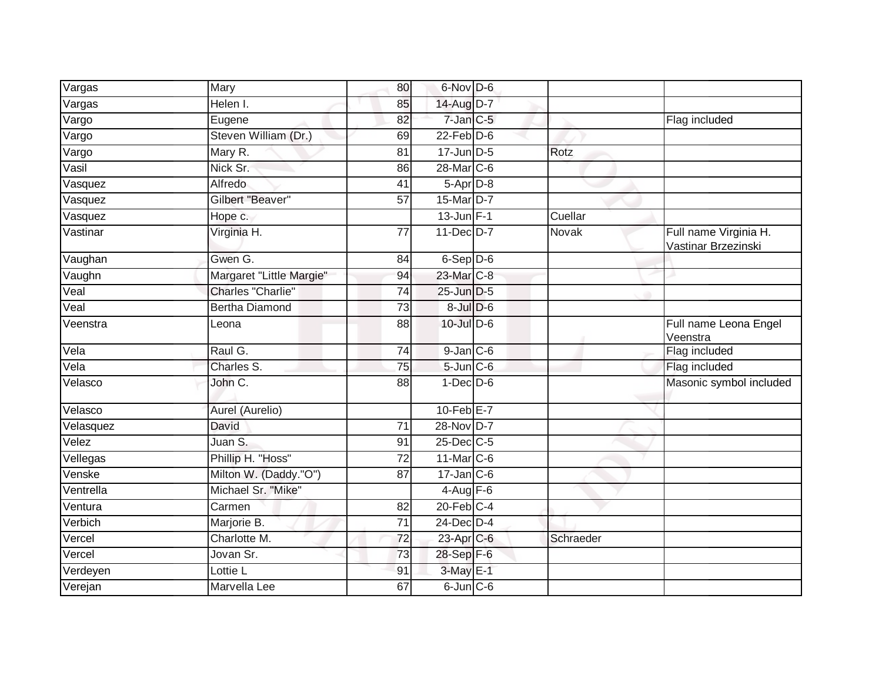| Vargas                      | Mary                     | 80              | 6-Nov D-6         |           |                                              |
|-----------------------------|--------------------------|-----------------|-------------------|-----------|----------------------------------------------|
| Vargas                      | Helen I.                 | 85              | 14-Aug D-7        |           |                                              |
| Vargo                       | Eugene                   | 82              | $7$ -Jan $C$ -5   |           | Flag included                                |
| Vargo                       | Steven William (Dr.)     | 69              | $22$ -Feb $D-6$   |           |                                              |
| Vargo                       | Mary R.                  | 81              | $17 - Jun$ $D-5$  | Rotz      |                                              |
| Vasil                       | Nick Sr.                 | 86              | 28-Mar C-6        |           |                                              |
| Vasquez                     | Alfredo                  | 41              | $5-Apr$ D-8       |           |                                              |
| Vasquez                     | Gilbert "Beaver"         | $\overline{57}$ | 15-Mar D-7        |           |                                              |
| Vasquez                     | Hope c.                  |                 | $13$ -Jun $F-1$   | Cuellar   |                                              |
| Vastinar                    | Virginia H.              | $\overline{77}$ | 11-Dec D-7        | Novak     | Full name Virginia H.<br>Vastinar Brzezinski |
| Vaughan                     | Gwen G.                  | 84              | $6-Sep$ D-6       |           |                                              |
| Vaughn                      | Margaret "Little Margie" | 94              | 23-Mar C-8        |           |                                              |
| $\overline{\text{Vcal}}$    | Charles "Charlie"        | $\overline{74}$ | 25-Jun D-5        |           |                                              |
| Veal                        | <b>Bertha Diamond</b>    | 73              | $8$ -Jul $D$ -6   |           |                                              |
| Veenstra                    | Leona                    | 88              | 10-Jul D-6        |           | Full name Leona Engel<br>Veenstra            |
| Vela                        | Raul G.                  | 74              | $9$ -Jan $C$ -6   |           | Flag included                                |
| $\overline{\mathsf{V}}$ ela | Charles S.               | $\overline{75}$ | $5$ -Jun $C$ -6   |           | Flag included                                |
| Velasco                     | John C.                  | 88              | $1-Dec$ $D-6$     |           | Masonic symbol included                      |
| Velasco                     | Aurel (Aurelio)          |                 | $10$ -Feb $E - 7$ |           |                                              |
| Velasquez                   | David                    | 71              | 28-Nov D-7        |           |                                              |
| Velez                       | Juan S.                  | 91              | 25-Dec C-5        |           |                                              |
| Vellegas                    | Phillip H. "Hoss"        | 72              | 11-Mar C-6        |           |                                              |
| Venske                      | Milton W. (Daddy."O")    | 87              | $17$ -Jan $C$ -6  |           |                                              |
| Ventrella                   | Michael Sr. "Mike"       |                 | $4-Aug$ F-6       |           |                                              |
| Ventura                     | Carmen                   | 82              | $20$ -Feb $C-4$   |           |                                              |
| Verbich                     | Marjorie B.              | 71              | 24-Dec D-4        |           |                                              |
| Vercel                      | Charlotte M.             | 72              | 23-Apr C-6        | Schraeder |                                              |
| Vercel                      | Jovan Sr.                | 73              | 28-Sep F-6        |           |                                              |
| Verdeyen                    | Lottie L                 | 91              | $3-May$ E-1       |           |                                              |
| Verejan                     | Marvella Lee             | 67              | $6$ -Jun $C$ -6   |           |                                              |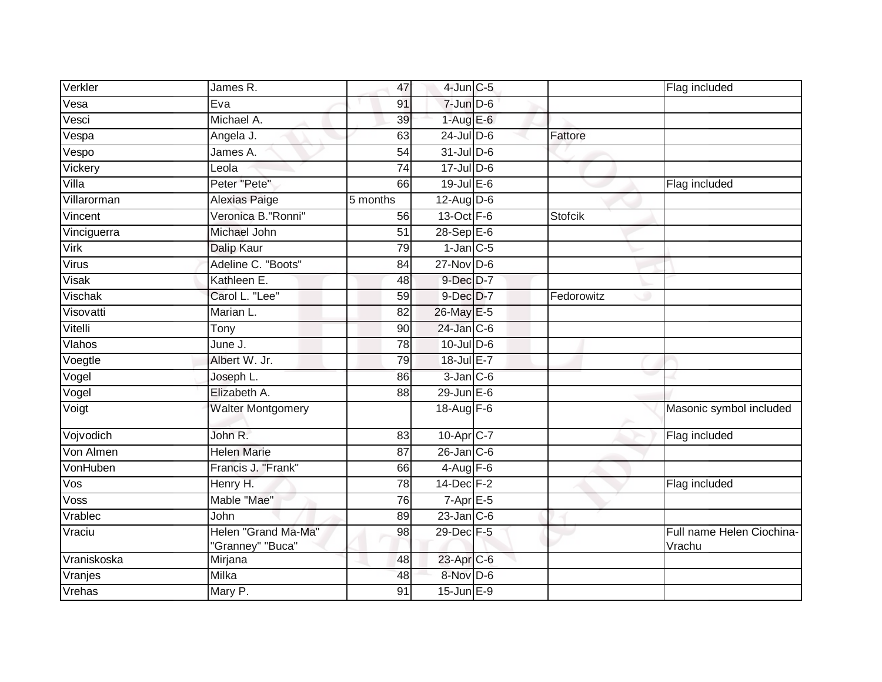| Verkler                      | James R.                                | 47              | $4$ -Jun $C$ -5        |            | Flag included                       |
|------------------------------|-----------------------------------------|-----------------|------------------------|------------|-------------------------------------|
| Vesa                         | Eva                                     | 91              | $7$ -Jun $D-6$         |            |                                     |
| Vesci                        | Michael A.                              | 39              | $1-AugE-6$             |            |                                     |
| Vespa                        | Angela J.                               | 63              | $24$ -Jul D-6          | Fattore    |                                     |
| $\overline{\mathsf{V}}$ espo | James A.                                | $\overline{54}$ | $31$ -Jul D-6          |            |                                     |
| Vickery                      | Leola                                   | 74              | $17 -$ Jul D-6         |            |                                     |
| Villa                        | Peter "Pete"                            | 66              | $19$ -Jul E-6          |            | Flag included                       |
| Villarorman                  | Alexias Paige                           | 5 months        | $12$ -Aug D-6          |            |                                     |
| Vincent                      | Veronica B. "Ronni"                     | 56              | 13-Oct F-6             | Stofcik    |                                     |
| Vinciguerra                  | Michael John                            | $\overline{51}$ | $28-SepE-6$            |            |                                     |
| Virk                         | Dalip Kaur                              | 79              | $1$ -Jan $C$ -5        |            |                                     |
| Virus                        | Adeline C. "Boots"                      | 84              | $27$ -Nov D-6          |            |                                     |
| Visak                        | Kathleen E.                             | 48              | 9-Dec D-7              |            |                                     |
| Vischak                      | Carol L. "Lee"                          | 59              | $9$ -Dec $D$ -7        | Fedorowitz |                                     |
| Visovatti                    | Marian L.                               | 82              | 26-May E-5             |            |                                     |
| Vitelli                      | Tony                                    | 90              | $24$ -Jan C-6          |            |                                     |
| Vlahos                       | June J.                                 | 78              | $10$ -Jul $D-6$        |            |                                     |
| Voegtle                      | Albert W. Jr.                           | 79              | 18-Jul E-7             |            |                                     |
| Vogel                        | Joseph L.                               | 86              | $3$ -Jan $C$ -6        |            |                                     |
| Vogel                        | Elizabeth A.                            | 88              | $29$ -Jun $E-6$        |            |                                     |
| Voigt                        | <b>Walter Montgomery</b>                |                 | 18-Aug F-6             |            | Masonic symbol included             |
| Vojvodich                    | John R.                                 | 83              | 10-Apr <sub>IC-7</sub> |            | Flag included                       |
| Von Almen                    | <b>Helen Marie</b>                      | 87              | $26$ -Jan $C$ -6       |            |                                     |
| VonHuben                     | Francis J. "Frank"                      | 66              | $4-\overline{Aug}$ F-6 |            |                                     |
| $\overline{\text{Vos}}$      | Henry H.                                | 78              | 14-Dec F-2             |            | Flag included                       |
| Voss                         | Mable "Mae"                             | 76              | $7-Apr$ $E-5$          |            |                                     |
| Vrablec                      | John                                    | 89              | $23$ -Jan $C-6$        |            |                                     |
| Vraciu                       | Helen "Grand Ma-Ma"<br>'Granney" "Buca" | 98              | 29-Dec F-5             |            | Full name Helen Ciochina-<br>Vrachu |
| Vraniskoska                  | Mirjana                                 | 48              | 23-Apr C-6             |            |                                     |
| Vranjes                      | Milka                                   | 48              | 8-Nov D-6              |            |                                     |
| Vrehas                       | Mary P.                                 | 91              | $15$ -Jun $E-9$        |            |                                     |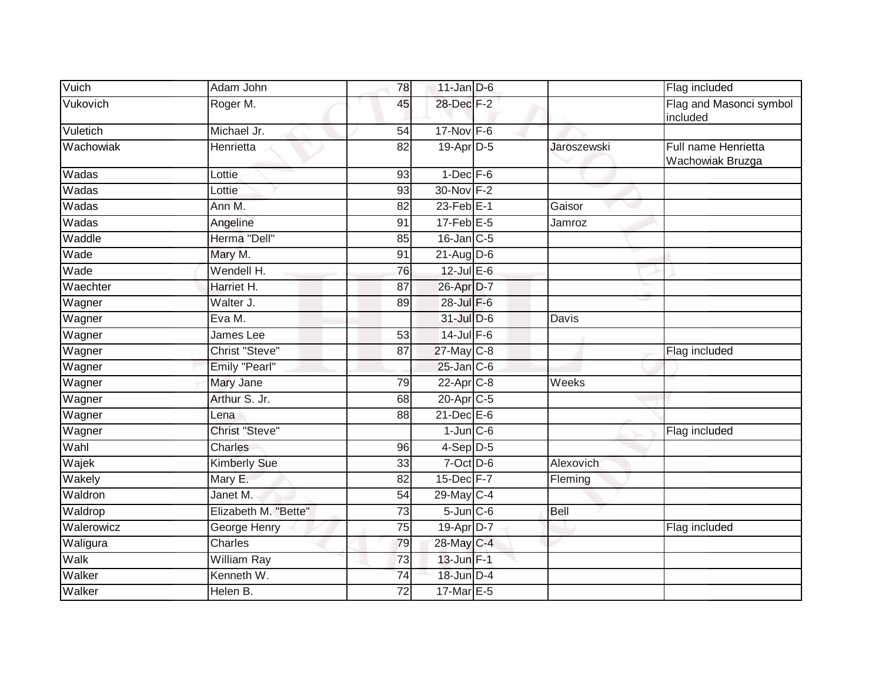| Vuich      | Adam John            | 78              | $11$ -Jan D-6         |             | Flag included                           |
|------------|----------------------|-----------------|-----------------------|-------------|-----------------------------------------|
| Vukovich   | Roger M.             | 45              | 28-Dec F-2            |             | Flag and Masonci symbol<br>included     |
| Vuletich   | Michael Jr.          | 54              | $17-Nov$ F-6          |             |                                         |
| Wachowiak  | Henrietta            | 82              | 19-Apr D-5            | Jaroszewski | Full name Henrietta<br>Wachowiak Bruzga |
| Wadas      | Lottie               | 93              | $1$ -Dec $F-6$        |             |                                         |
| Wadas      | Lottie               | 93              | 30-Nov F-2            |             |                                         |
| Wadas      | Ann M.               | 82              | $23$ -Feb $E-1$       | Gaisor      |                                         |
| Wadas      | Angeline             | 91              | $17$ -Feb $E-5$       | Jamroz      |                                         |
| Waddle     | Herma "Dell"         | 85              | $16$ -Jan $C$ -5      |             |                                         |
| Wade       | Mary M.              | 91              | $21$ -AugD-6          |             |                                         |
| Wade       | Wendell H.           | 76              | 12-Jul E-6            |             |                                         |
| Waechter   | Harriet H.           | 87              | 26-Apr D-7            |             |                                         |
| Wagner     | Walter J.            | 89              | 28-Jul F-6            |             |                                         |
| Wagner     | Eva M.               |                 | 31-Jul D-6            | Davis       |                                         |
| Wagner     | James Lee            | 53              | $14$ -Jul F-6         |             |                                         |
| Wagner     | Christ "Steve"       | 87              | 27-May C-8            |             | Flag included                           |
| Wagner     | Emily "Pearl"        |                 | $25$ -Jan $C$ -6      |             |                                         |
| Wagner     | Mary Jane            | 79              | $22$ -Apr $C-8$       | Weeks       |                                         |
| Wagner     | Arthur S. Jr.        | 68              | 20-Apr <sub>C-5</sub> |             |                                         |
| Wagner     | Lena                 | 88              | $21$ -Dec $E-6$       |             |                                         |
| Wagner     | Christ "Steve"       |                 | $1$ -Jun $C$ -6       |             | Flag included                           |
| Wahl       | <b>Charles</b>       | 96              | $4-Sep$ D-5           |             |                                         |
| Wajek      | Kimberly Sue         | 33              | $7$ -Oct $D$ -6       | Alexovich   |                                         |
| Wakely     | Mary E.              | 82              | $15$ -Dec $F-7$       | Fleming     |                                         |
| Waldron    | Janet M.             | 54              | 29-May C-4            |             |                                         |
| Waldrop    | Elizabeth M. "Bette" | 73              | $5 - Jun$ $C - 6$     | Bell        |                                         |
| Walerowicz | George Henry         | $\overline{75}$ | 19-Apr D-7            |             | Flag included                           |
| Waligura   | Charles              | 79              | 28-May C-4            |             |                                         |
| Walk       | William Ray          | 73              | 13-Jun F-1            |             |                                         |
| Walker     | Kenneth W.           | $\overline{74}$ | 18-Jun D-4            |             |                                         |
| Walker     | Helen B.             | 72              | 17-Mar E-5            |             |                                         |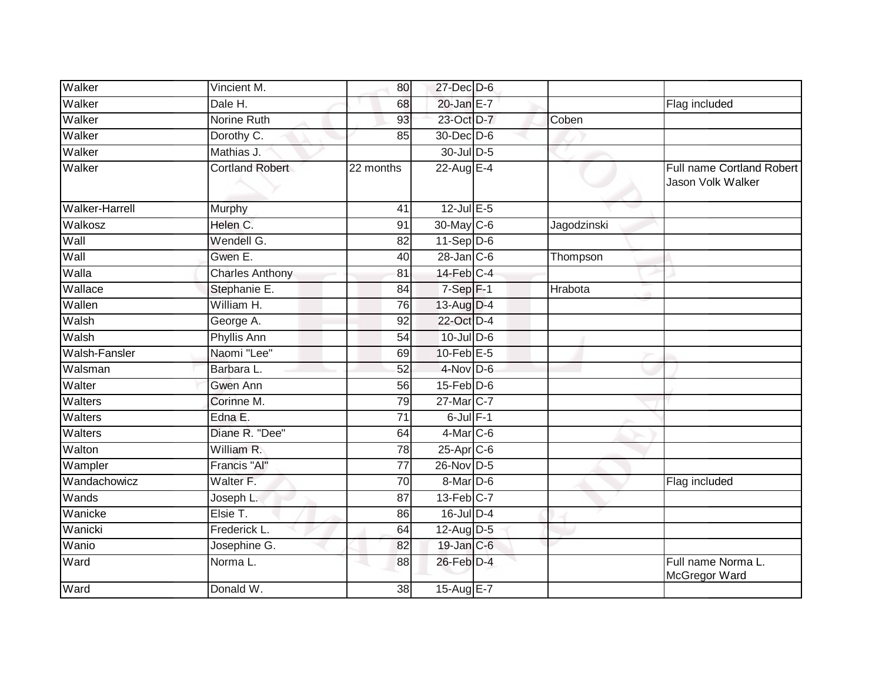| Walker                | Vincient M.            | 80              | 27-Dec D-6        |             |                                                |
|-----------------------|------------------------|-----------------|-------------------|-------------|------------------------------------------------|
| Walker                | Dale H.                | 68              | 20-Jan E-7        |             | Flag included                                  |
| Walker                | Norine Ruth            | 93              | 23-Oct D-7        | Coben       |                                                |
| Walker                | Dorothy C.             | 85              | 30-Dec D-6        |             |                                                |
| Walker                | Mathias J.             |                 | 30-Jul D-5        |             |                                                |
| Walker                | <b>Cortland Robert</b> | 22 months       | 22-Aug E-4        |             | Full name Cortland Robert<br>Jason Volk Walker |
| <b>Walker-Harrell</b> | Murphy                 | 41              | $12$ -Jul $E-5$   |             |                                                |
| Walkosz               | Helen C.               | 91              | 30-May C-6        | Jagodzinski |                                                |
| Wall                  | Wendell G.             | 82              | $11-Sep$ D-6      |             |                                                |
| Wall                  | Gwen E.                | 40              | $28$ -Jan $C$ -6  | Thompson    |                                                |
| Walla                 | <b>Charles Anthony</b> | 81              | $14$ -Feb $C-4$   |             |                                                |
| Wallace               | Stephanie E.           | 84              | $7-Sep$ F-1       | Hrabota     |                                                |
| Wallen                | William H.             | 76              | 13-Aug D-4        |             |                                                |
| Walsh                 | George A.              | 92              | 22-Oct D-4        |             |                                                |
| Walsh                 | <b>Phyllis Ann</b>     | 54              | $10$ -Jul $D-6$   |             |                                                |
| <b>Walsh-Fansler</b>  | Naomi "Lee"            | 69              | $10$ -Feb $E-5$   |             |                                                |
| Walsman               | Barbara L.             | 52              | 4-Nov D-6         |             |                                                |
| Walter                | Gwen Ann               | 56              | $15$ -Feb $ D$ -6 |             |                                                |
| Walters               | Corinne M.             | 79              | 27-Mar C-7        |             |                                                |
| Walters               | Edna E.                | 71              | $6$ -Jul $F-1$    |             |                                                |
| Walters               | Diane R. "Dee"         | 64              | $4$ -Mar $C$ -6   |             |                                                |
| Walton                | William R.             | 78              | $25$ -Apr $C$ -6  |             |                                                |
| Wampler               | Francis "Al"           | $\overline{77}$ | 26-Nov D-5        |             |                                                |
| Wandachowicz          | Walter F.              | 70              | 8-Mar D-6         |             | Flag included                                  |
| Wands                 | Joseph L.              | 87              | $13$ -Feb $ C-7 $ |             |                                                |
| Wanicke               | Elsie T.               | 86              | $16$ -Jul D-4     |             |                                                |
| Wanicki               | Frederick L.           | 64              | $12$ -Aug $D-5$   |             |                                                |
| Wanio                 | Josephine G.           | 82              | 19-Jan C-6        |             |                                                |
| Ward                  | Norma L.               | 88              | 26-Feb D-4        |             | Full name Norma L.<br>McGregor Ward            |
| Ward                  | Donald W.              | 38              | 15-Aug E-7        |             |                                                |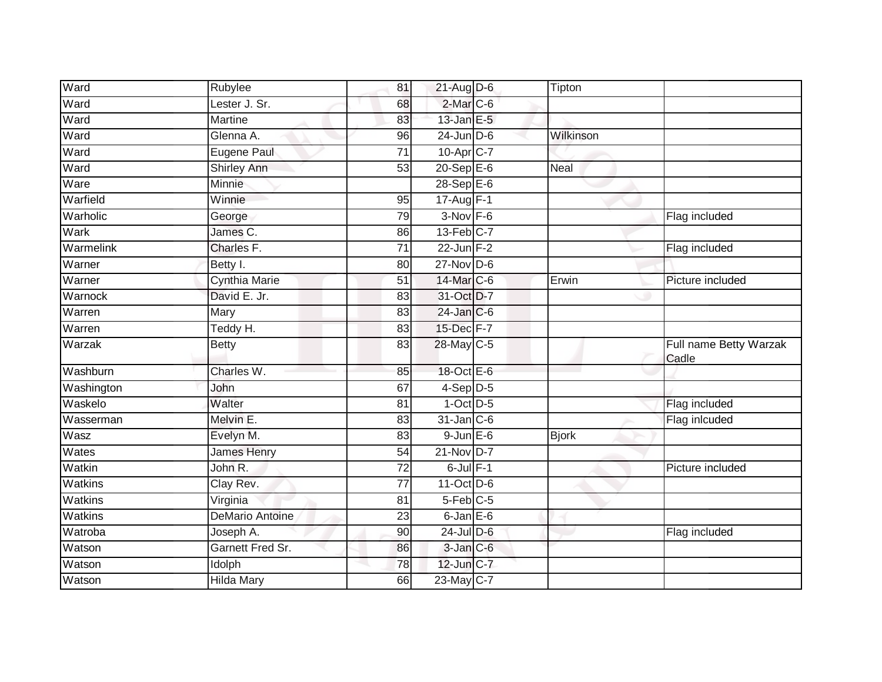| Ward           | Rubylee                | 81              | 21-Aug D-6             | Tipton       |                                 |
|----------------|------------------------|-----------------|------------------------|--------------|---------------------------------|
| Ward           | Lester J. Sr.          | 68              | $2$ -Mar $C$ -6        |              |                                 |
| Ward           | <b>Martine</b>         | 83              | $13$ -Jan E-5          |              |                                 |
| Ward           | Glenna A.              | 96              | $24$ -Jun D-6          | Wilkinson    |                                 |
| Ward           | <b>Eugene Paul</b>     | 71              | 10-Apr <sub>IC-7</sub> |              |                                 |
| Ward           | <b>Shirley Ann</b>     | 53              | $20 - Sep$ E-6         | Neal         |                                 |
| Ware           | Minnie                 |                 | $28-SepE-6$            |              |                                 |
| Warfield       | Winnie                 | 95              | 17-Aug F-1             |              |                                 |
| Warholic       | George                 | 79              | $3-Nov$ F-6            |              | Flag included                   |
| Wark           | James C.               | 86              | 13-Feb C-7             |              |                                 |
| Warmelink      | Charles F.             | $\overline{71}$ | $22$ -Jun $F-2$        |              | Flag included                   |
| Warner         | Betty I.               | 80              | $27$ -Nov D-6          |              |                                 |
| Warner         | <b>Cynthia Marie</b>   | 51              | 14-Mar C-6             | Erwin        | Picture included                |
| Warnock        | David E. Jr.           | 83              | 31-Oct D-7             |              |                                 |
| Warren         | Mary                   | 83              | 24-Jan C-6             |              |                                 |
| Warren         | Teddy H.               | 83              | 15-Dec F-7             |              |                                 |
| Warzak         | <b>Betty</b>           | 83              | 28-May C-5             |              | Full name Betty Warzak<br>Cadle |
| Washburn       | Charles W.             | 85              | 18-Oct E-6             |              |                                 |
| Washington     | John                   | 67              | 4-Sep D-5              |              |                                 |
| Waskelo        | Walter                 | 81              | $1$ -Oct $D-5$         |              | Flag included                   |
| Wasserman      | Melvin E.              | 83              | $31$ -Jan $C-6$        |              | Flag inlcuded                   |
| Wasz           | Evelyn M.              | 83              | $9$ -Jun $E$ -6        | <b>Bjork</b> |                                 |
| Wates          | James Henry            | 54              | 21-Nov D-7             |              |                                 |
| Watkin         | John R.                | 72              | $6$ -Jul $F-1$         |              | Picture included                |
| <b>Watkins</b> | Clay Rev.              | $\overline{77}$ | 11-Oct D-6             |              |                                 |
| Watkins        | Virginia               | 81              | $5-Feb$ $C-5$          |              |                                 |
| <b>Watkins</b> | <b>DeMario Antoine</b> | 23              | $6$ -Jan $E$ -6        |              |                                 |
| Watroba        | Joseph A.              | 90              | $24$ -Jul $D-6$        |              | Flag included                   |
| Watson         | Garnett Fred Sr.       | 86              | 3-Jan C-6              |              |                                 |
| Watson         | Idolph                 | 78              | 12-Jun C-7             |              |                                 |
| Watson         | <b>Hilda Mary</b>      | 66              | 23-May C-7             |              |                                 |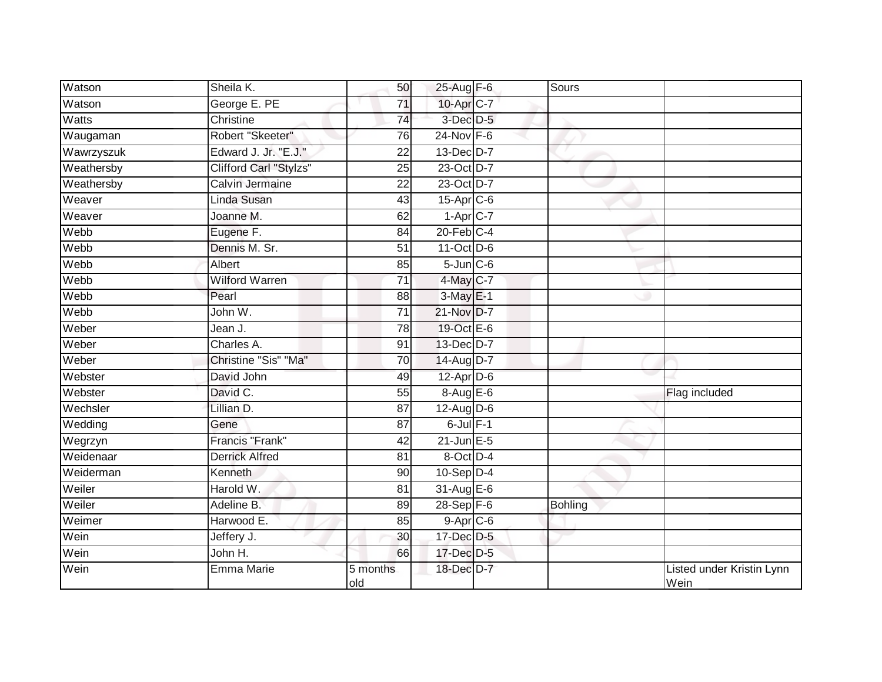| Watson     | Sheila K.              | 50              | 25-Aug F-6             | Sours          |                                   |
|------------|------------------------|-----------------|------------------------|----------------|-----------------------------------|
| Watson     | George E. PE           | $\overline{71}$ | 10-Apr C-7             |                |                                   |
| Watts      | Christine              | 74              | 3-Dec D-5              |                |                                   |
| Waugaman   | Robert "Skeeter"       | 76              | 24-Nov F-6             |                |                                   |
| Wawrzyszuk | Edward J. Jr. "E.J."   | $\overline{22}$ | 13-Dec D-7             |                |                                   |
| Weathersby | Clifford Carl "Stylzs" | 25              | 23-Oct D-7             |                |                                   |
| Weathersby | Calvin Jermaine        | 22              | 23-Oct D-7             |                |                                   |
| Weaver     | Linda Susan            | 43              | 15-Apr C-6             |                |                                   |
| Weaver     | Joanne M.              | 62              | $1-Apr$ <sub>C-7</sub> |                |                                   |
| Webb       | Eugene F.              | 84              | $20$ -Feb $C-4$        |                |                                   |
| Webb       | Dennis M. Sr.          | 51              | 11-Oct D-6             |                |                                   |
| Webb       | Albert                 | 85              | $5$ -Jun $C$ -6        |                |                                   |
| Webb       | Wilford Warren         | 71              | 4-May C-7              |                |                                   |
| Webb       | Pearl                  | 88              | 3-May E-1              |                |                                   |
| Webb       | John W.                | $\overline{71}$ | 21-Nov D-7             |                |                                   |
| Weber      | Jean J.                | 78              | 19-Oct E-6             |                |                                   |
| Weber      | Charles A.             | 91              | 13-Dec D-7             |                |                                   |
| Weber      | Christine "Sis" "Ma"   | 70              | 14-Aug D-7             |                |                                   |
| Webster    | David John             | 49              | 12-Apr D-6             |                |                                   |
| Webster    | David C.               | 55              | 8-Aug E-6              |                | Flag included                     |
| Wechsler   | Lillian D.             | 87              | $12$ -Aug $D-6$        |                |                                   |
| Wedding    | Gene                   | $\overline{87}$ | $6$ -Jul $F-1$         |                |                                   |
| Wegrzyn    | <b>Francis "Frank"</b> | 42              | $21$ -Jun $E - 5$      |                |                                   |
| Weidenaar  | <b>Derrick Alfred</b>  | 81              | 8-Oct D-4              |                |                                   |
| Weiderman  | Kenneth                | 90              | $10-Sep$ D-4           |                |                                   |
| Weiler     | Harold W.              | 81              | 31-Aug E-6             |                |                                   |
| Weiler     | Adeline B.             | 89              | $28-Sep$ F-6           | <b>Bohling</b> |                                   |
| Weimer     | Harwood E.             | 85              | $9-Apr$ C-6            |                |                                   |
| Wein       | Jeffery J.             | 30              | 17-Dec D-5             |                |                                   |
| Wein       | John H.                | 66              | 17-Dec D-5             |                |                                   |
| Wein       | Emma Marie             | 5 months<br>old | 18-Dec D-7             |                | Listed under Kristin Lynn<br>Wein |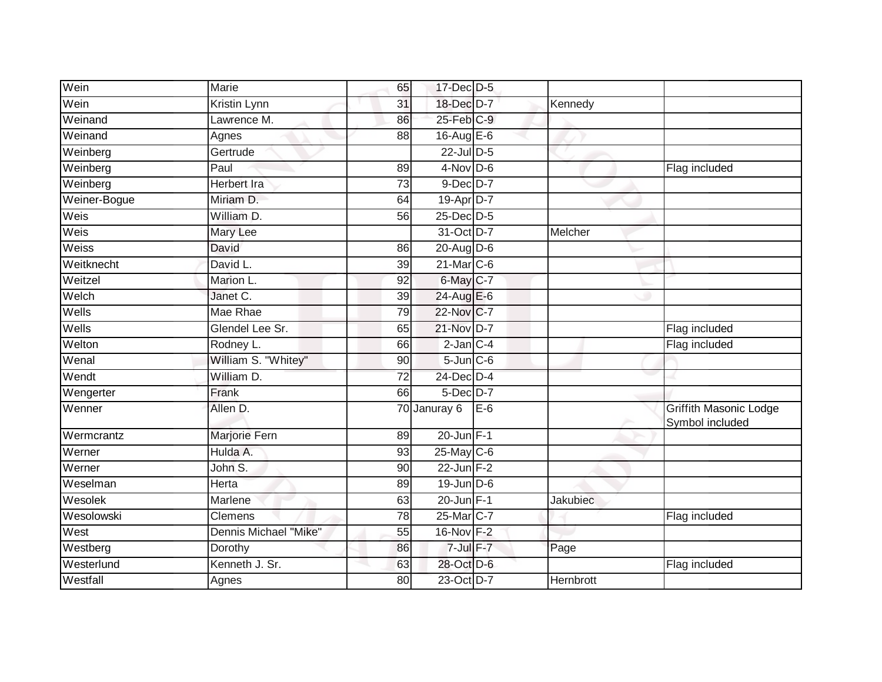| Wein         | Marie                 | 65              | 17-Dec D-5       |       |           |                                           |
|--------------|-----------------------|-----------------|------------------|-------|-----------|-------------------------------------------|
| Wein         | Kristin Lynn          | 31              | 18-Dec D-7       |       | Kennedy   |                                           |
| Weinand      | Lawrence M.           | 86              | 25-Feb C-9       |       |           |                                           |
| Weinand      | Agnes                 | 88              | 16-Aug $E-6$     |       |           |                                           |
| Weinberg     | Gertrude              |                 | $22$ -Jul $D-5$  |       |           |                                           |
| Weinberg     | Paul                  | 89              | $4$ -Nov D-6     |       |           | Flag included                             |
| Weinberg     | <b>Herbert Ira</b>    | 73              | $9-Dec$ D-7      |       |           |                                           |
| Weiner-Bogue | Miriam D.             | 64              | 19-Apr D-7       |       |           |                                           |
| Weis         | William D.            | 56              | 25-Dec D-5       |       |           |                                           |
| Weis         | Mary Lee              |                 | 31-Oct D-7       |       | Melcher   |                                           |
| Weiss        | David                 | 86              | 20-Aug D-6       |       |           |                                           |
| Weitknecht   | David L.              | 39              | 21-Mar C-6       |       |           |                                           |
| Weitzel      | Marion L.             | 92              | 6-May C-7        |       |           |                                           |
| Welch        | Janet C.              | 39              | 24-Aug E-6       |       |           |                                           |
| Wells        | Mae Rhae              | 79              | 22-Nov C-7       |       |           |                                           |
| Wells        | Glendel Lee Sr.       | 65              | 21-Nov D-7       |       |           | Flag included                             |
| Welton       | Rodney L.             | 66              | $2$ -Jan $C-4$   |       |           | Flag included                             |
| Wenal        | William S. "Whitey"   | 90              | $5$ -Jun $C$ -6  |       |           |                                           |
| Wendt        | William D.            | 72              | 24-Dec D-4       |       |           |                                           |
| Wengerter    | Frank                 | 66              | $5$ -Dec $D-7$   |       |           |                                           |
| Wenner       | Allen D.              |                 | 70 Januray 6     | $E-6$ |           | Griffith Masonic Lodge<br>Symbol included |
| Wermcrantz   | Marjorie Fern         | 89              | $20$ -Jun $F-1$  |       |           |                                           |
| Werner       | Hulda A.              | 93              | $25$ -May C-6    |       |           |                                           |
| Werner       | John S.               | 90              | $22$ -Jun F-2    |       |           |                                           |
| Weselman     | Herta                 | 89              | $19$ -Jun $D-6$  |       |           |                                           |
| Wesolek      | Marlene               | 63              | 20-Jun F-1       |       | Jakubiec  |                                           |
| Wesolowski   | Clemens               | 78              | 25-Mar C-7       |       |           | Flag included                             |
| West         | Dennis Michael "Mike" | $\overline{55}$ | 16-Nov F-2       |       |           |                                           |
| Westberg     | Dorothy               | 86              | $7$ -Jul $F - 7$ |       | Page      |                                           |
| Westerlund   | Kenneth J. Sr.        | 63              | 28-Oct D-6       |       |           | Flag included                             |
| Westfall     | Agnes                 | 80              | 23-Oct D-7       |       | Hernbrott |                                           |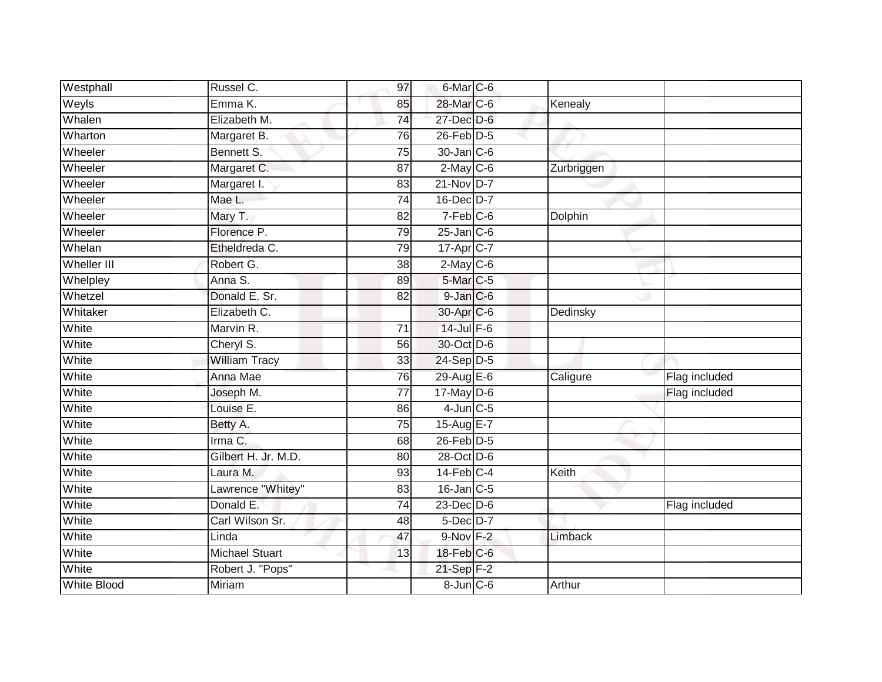| Westphall          | Russel C.             | 97              | 6-Mar C-6              |            |               |
|--------------------|-----------------------|-----------------|------------------------|------------|---------------|
| Weyls              | Emma K.               | 85              | 28-Mar C-6             | Kenealy    |               |
| Whalen             | Elizabeth M.          | 74              | 27-Dec D-6             |            |               |
| Wharton            | Margaret B.           | 76              | $26$ -Feb $D-5$        |            |               |
| Wheeler            | Bennett S.            | $\overline{75}$ | 30-Jan C-6             |            |               |
| Wheeler            | Margaret C.           | 87              | $2$ -May C-6           | Zurbriggen |               |
| Wheeler            | Margaret I.           | 83              | $21-NovD-7$            |            |               |
| Wheeler            | Mae L.                | $\overline{74}$ | 16-Dec D-7             |            |               |
| Wheeler            | Mary T.               | 82              | $7-Feb$ <sub>C-6</sub> | Dolphin    |               |
| Wheeler            | Florence P.           | 79              | $25$ -Jan C-6          |            |               |
| Whelan             | Etheldreda C.         | 79              | 17-Apr C-7             |            |               |
| Wheller III        | Robert G.             | 38              | $2$ -May C-6           |            |               |
| Whelpley           | Anna S.               | 89              | 5-Mar C-5              |            |               |
| Whetzel            | Donald E. Sr.         | 82              | $9$ -Jan $C$ -6        |            |               |
| Whitaker           | Elizabeth C.          |                 | 30-Apr C-6             | Dedinsky   |               |
| White              | Marvin R.             | $\overline{71}$ | $14$ -Jul $F-6$        |            |               |
| White              | Cheryl S.             | 56              | 30-Oct D-6             |            |               |
| White              | <b>William Tracy</b>  | 33              | 24-Sep D-5             |            |               |
| White              | Anna Mae              | 76              | 29-Aug E-6             | Caligure   | Flag included |
| White              | Joseph M.             | $\overline{77}$ | $17$ -May $D-6$        |            | Flag included |
| White              | Louise E.             | 86              | $4$ -Jun $C$ -5        |            |               |
| White              | Betty A.              | 75              | 15-Aug E-7             |            |               |
| White              | Irma C.               | 68              | 26-Feb D-5             |            |               |
| White              | Gilbert H. Jr. M.D.   | 80              | 28-Oct D-6             |            |               |
| White              | Laura M.              | 93              | $14$ -Feb $C-4$        | Keith      |               |
| White              | Lawrence "Whitey"     | 83              | $16$ -Jan C-5          |            |               |
| White              | Donald E.             | 74              | $23$ -Dec $D-6$        |            | Flag included |
| White              | Carl Wilson Sr.       | 48              | 5-Dec D-7              |            |               |
| White              | Linda                 | 47              | 9-Nov F-2              | Limback    |               |
| White              | <b>Michael Stuart</b> | 13              | $18$ -Feb $C$ -6       |            |               |
| White              | Robert J. "Pops"      |                 | $21-Sep$ F-2           |            |               |
| <b>White Blood</b> | <b>Miriam</b>         |                 | $8$ -Jun $C$ -6        | Arthur     |               |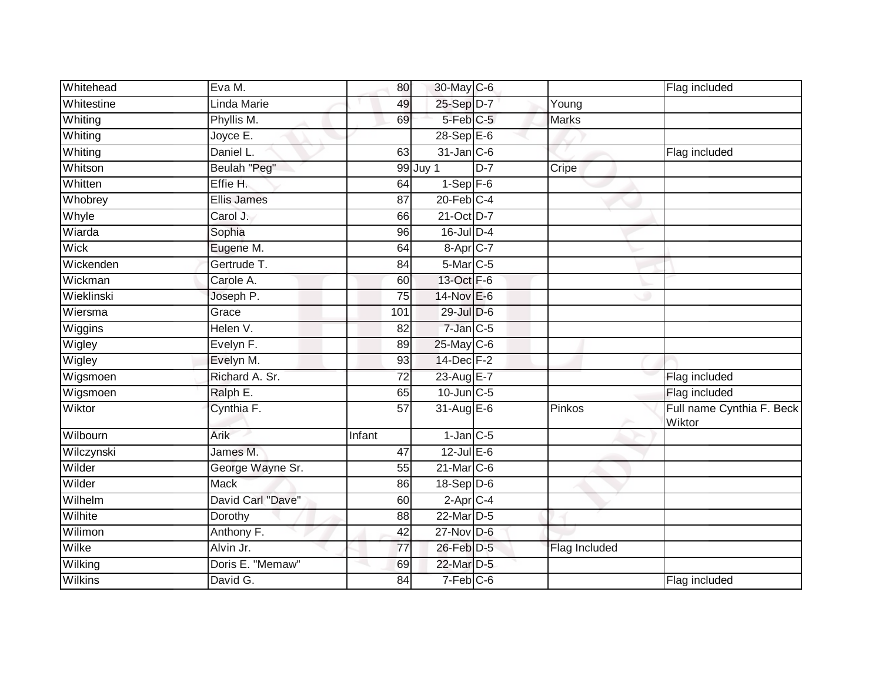| Whitehead  | Eva M.             | 80              | 30-May C-6             |       |               | Flag included                       |
|------------|--------------------|-----------------|------------------------|-------|---------------|-------------------------------------|
| Whitestine | Linda Marie        | 49              | 25-Sep D-7             |       | Young         |                                     |
| Whiting    | Phyllis M.         | 69              | 5-Feb <sup>C-5</sup>   |       | <b>Marks</b>  |                                     |
| Whiting    | Joyce E.           |                 | $28-Sep$ $E-6$         |       |               |                                     |
| Whiting    | Daniel L.          | 63              | $31$ -Jan $C-6$        |       |               | Flag included                       |
| Whitson    | Beulah "Peg"       |                 | 99 Juy 1               | $D-7$ | Cripe         |                                     |
| Whitten    | Effie H.           | 64              | $1-Sep$ $F-6$          |       |               |                                     |
| Whobrey    | <b>Ellis James</b> | 87              | $20$ -Feb $C-4$        |       |               |                                     |
| Whyle      | Carol J.           | 66              | 21-Oct D-7             |       |               |                                     |
| Wiarda     | Sophia             | 96              | $16$ -Jul D-4          |       |               |                                     |
| Wick       | Eugene M.          | 64              | $8-AprC-7$             |       |               |                                     |
| Wickenden  | Gertrude T.        | 84              | 5-Mar C-5              |       |               |                                     |
| Wickman    | Carole A.          | 60              | 13-Oct F-6             |       |               |                                     |
| Wieklinski | Joseph P.          | 75              | 14-Nov E-6             |       |               |                                     |
| Wiersma    | Grace              | 101             | 29-Jul D-6             |       |               |                                     |
| Wiggins    | Helen V.           | 82              | $7$ -Jan $C$ -5        |       |               |                                     |
| Wigley     | Evelyn F.          | 89              | 25-May C-6             |       |               |                                     |
| Wigley     | Evelyn M.          | 93              | 14-Dec F-2             |       |               |                                     |
| Wigsmoen   | Richard A. Sr.     | $\overline{72}$ | 23-Aug E-7             |       |               | Flag included                       |
| Wigsmoen   | Ralph E.           | 65              | 10-Jun C-5             |       |               | Flag included                       |
| Wiktor     | Cynthia F.         | $\overline{57}$ | 31-Aug E-6             |       | Pinkos        | Full name Cynthia F. Beck<br>Wiktor |
| Wilbourn   | Arik               | Infant          | $1$ -Jan $C$ -5        |       |               |                                     |
| Wilczynski | James M.           | 47              | $12$ -Jul E-6          |       |               |                                     |
| Wilder     | George Wayne Sr.   | 55              | $21$ -Mar $C-6$        |       |               |                                     |
| Wilder     | <b>Mack</b>        | 86              | $18-Sep$ D-6           |       |               |                                     |
| Wilhelm    | David Carl "Dave"  | 60              | $2-Apr$ <sub>C-4</sub> |       |               |                                     |
| Wilhite    | Dorothy            | $\overline{88}$ | 22-Mar D-5             |       |               |                                     |
| Wilimon    | Anthony F.         | 42              | $27$ -Nov D-6          |       |               |                                     |
| Wilke      | Alvin Jr.          | 77              | 26-Feb D-5             |       | Flag Included |                                     |
| Wilking    | Doris E. "Memaw"   | 69              | 22-Mar D-5             |       |               |                                     |
| Wilkins    | David G.           | 84              | 7-Feb C-6              |       |               | Flag included                       |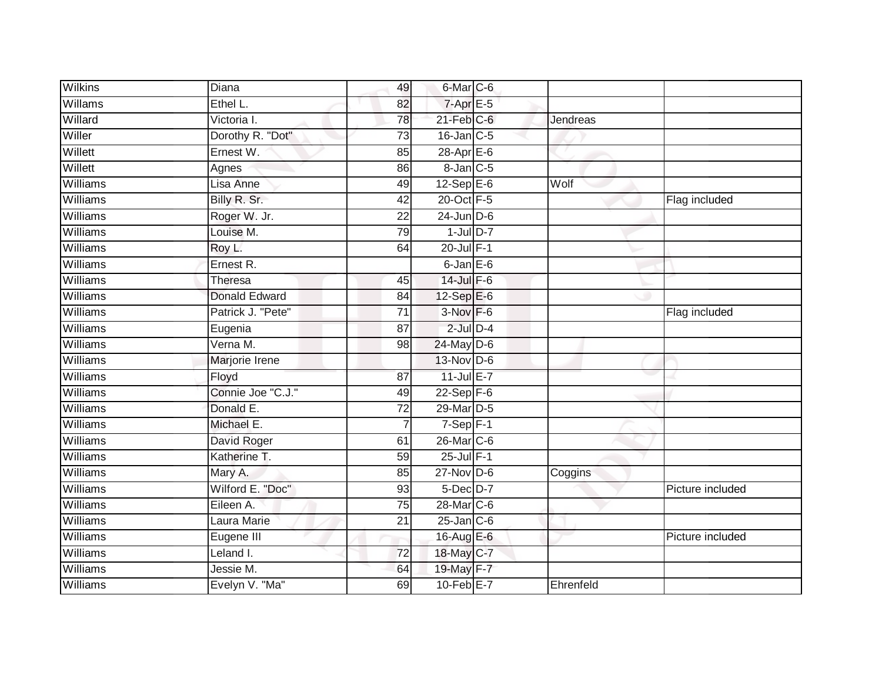| <b>Wilkins</b> | Diana                   | 49              | 6-Mar C-6         |           |                  |
|----------------|-------------------------|-----------------|-------------------|-----------|------------------|
| Willams        | Ethel L.                | 82              | $7 - Apr$ $E - 5$ |           |                  |
| Willard        | Victoria I.             | $\overline{78}$ | $21$ -Feb $C$ -6  | Jendreas  |                  |
| Willer         | Dorothy R. "Dot"        | 73              | $16$ -Jan $C$ -5  |           |                  |
| Willett        | Ernest W.               | 85              | 28-Apr E-6        |           |                  |
| Willett        | Agnes                   | 86              | $8$ -Jan $C$ -5   |           |                  |
| Williams       | Lisa Anne               | 49              | $12-SepE-6$       | Wolf      |                  |
| Williams       | Billy R. Sr.            | 42              | 20-Oct F-5        |           | Flag included    |
| Williams       | Roger W. Jr.            | 22              | $24$ -Jun $D-6$   |           |                  |
| Williams       | Louise M.               | 79              | $1$ -Jul $D-7$    |           |                  |
| Williams       | Roy L.                  | 64              | $20$ -Jul $F-1$   |           |                  |
| Williams       | Ernest R.               |                 | $6$ -Jan $E$ -6   |           |                  |
| Williams       | Theresa                 | 45              | 14-Jul F-6        |           |                  |
| Williams       | <b>Donald Edward</b>    | 84              | 12-Sep E-6        |           |                  |
| Williams       | Patrick J. "Pete"       | $\overline{71}$ | 3-Nov F-6         |           | Flag included    |
| Williams       | Eugenia                 | 87              | $2$ -Jul $D-4$    |           |                  |
| Williams       | Verna M.                | 98              | $24$ -May D-6     |           |                  |
| Williams       | Marjorie Irene          |                 | $13-Nov$ D-6      |           |                  |
| Williams       | Floyd                   | 87              | 11-Jul E-7        |           |                  |
| Williams       | Connie Joe "C.J."       | 49              | $22-Sep$ F-6      |           |                  |
| Williams       | Donald E.               | 72              | 29-Mar D-5        |           |                  |
| Williams       | Michael E.              | $\overline{7}$  | $7-Sep$ F-1       |           |                  |
| Williams       | David Roger             | 61              | 26-Mar C-6        |           |                  |
| Williams       | Katherine T.            | 59              | 25-Jul F-1        |           |                  |
| Williams       | Mary A.                 | 85              | $27$ -Nov D-6     | Coggins   |                  |
| Williams       | Wilford E. "Doc"        | 93              | 5-Dec D-7         |           | Picture included |
| Williams       | Eileen A.               | 75              | 28-Mar C-6        |           |                  |
| Williams       | Laura Marie             | 21              | $25$ -Jan $C$ -6  |           |                  |
| Williams       | Eugene III              |                 | 16-Aug E-6        |           | Picture included |
| Williams       | Leland $\overline{I}$ . | 72              | 18-May C-7        |           |                  |
| Williams       | Jessie M.               | 64              | 19-May F-7        |           |                  |
| Williams       | Evelyn V. "Ma"          | 69              | 10-Feb E-7        | Ehrenfeld |                  |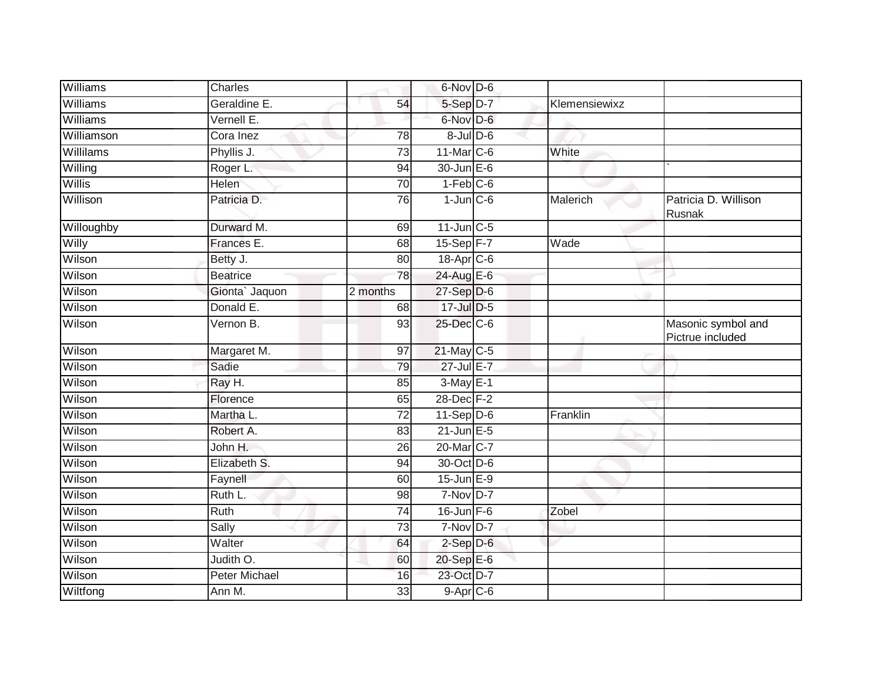| Williams         | Charles              |                 | 6-Nov D-6         |               |                                        |
|------------------|----------------------|-----------------|-------------------|---------------|----------------------------------------|
| Williams         | Geraldine E.         | 54              | 5-Sep D-7         | Klemensiewixz |                                        |
| Williams         | Vernell E.           |                 | 6-Nov D-6         |               |                                        |
| Williamson       | Cora Inez            | 78              | $8 -$ Jul $D - 6$ |               |                                        |
| <b>Willilams</b> | Phyllis J.           | $\overline{73}$ | $11$ -Mar $C$ -6  | White         |                                        |
| Willing          | Roger L.             | 94              | 30-Jun E-6        |               |                                        |
| Willis           | <b>Helen</b>         | 70              | $1-Feb$ $C-6$     |               |                                        |
| Willison         | Patricia D.          | 76              | $1$ -Jun $C$ -6   | Malerich      | Patricia D. Willison<br>Rusnak         |
| Willoughby       | Durward M.           | 69              | $11$ -Jun $C-5$   |               |                                        |
| Willy            | Frances E.           | 68              | 15-Sep F-7        | Wade          |                                        |
| Wilson           | Betty J.             | 80              | 18-Apr C-6        |               |                                        |
| Wilson           | <b>Beatrice</b>      | 78              | 24-Aug E-6        |               |                                        |
| Wilson           | Gionta' Jaquon       | 2 months        | $27-Sep$ D-6      |               |                                        |
| Wilson           | Donald E.            | 68              | 17-Jul D-5        |               |                                        |
| Wilson           | Vernon B.            | 93              | 25-Dec C-6        |               | Masonic symbol and<br>Pictrue included |
| Wilson           | Margaret M.          | 97              | $21$ -May C-5     |               |                                        |
| Wilson           | Sadie                | 79              | 27-Jul E-7        |               |                                        |
| Wilson           | Ray H.               | 85              | $3-May$ $E-1$     |               |                                        |
| Wilson           | Florence             | 65              | 28-Dec F-2        |               |                                        |
| Wilson           | Martha L.            | 72              | $11-Sep$ D-6      | Franklin      |                                        |
| Wilson           | Robert A.            | 83              | $21$ -Jun $E - 5$ |               |                                        |
| Wilson           | John H.              | 26              | 20-Mar C-7        |               |                                        |
| Wilson           | Elizabeth S.         | 94              | 30-Oct D-6        |               |                                        |
| Wilson           | Faynell              | 60              | $15$ -Jun $E-9$   |               |                                        |
| Wilson           | Ruth L.              | 98              | $7-Nov$ D-7       |               |                                        |
| Wilson           | Ruth                 | 74              | 16-Jun F-6        | Zobel         |                                        |
| Wilson           | Sally                | 73              | $7-Nov$ D-7       |               |                                        |
| Wilson           | Walter               | 64              | $2-Sep$ D-6       |               |                                        |
| Wilson           | Judith O.            | 60              | 20-Sep E-6        |               |                                        |
| Wilson           | <b>Peter Michael</b> | 16              | 23-Oct D-7        |               |                                        |
| Wiltfong         | Ann M.               | 33              | $9-Apr$ C-6       |               |                                        |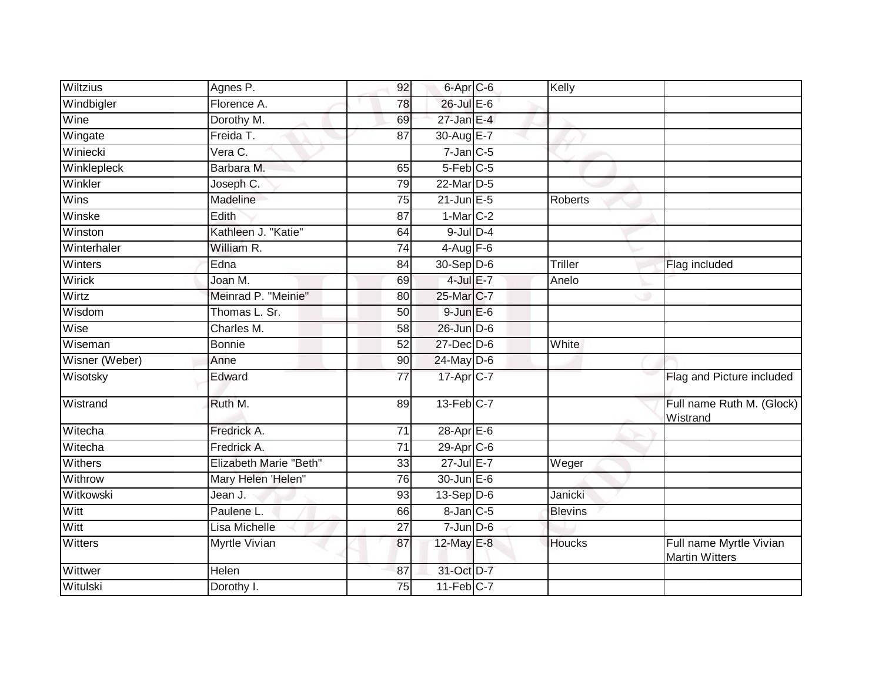| <b>Wiltzius</b> | Agnes P.               | 92              | 6-Apr C-6              | Kelly          |                                                  |
|-----------------|------------------------|-----------------|------------------------|----------------|--------------------------------------------------|
| Windbigler      | Florence A.            | 78              | 26-Jul E-6             |                |                                                  |
| Wine            | Dorothy M.             | 69              | $27$ -Jan E-4          |                |                                                  |
| Wingate         | Freida T.              | 87              | 30-Aug E-7             |                |                                                  |
| Winiecki        | Vera C.                |                 | $7$ -Jan $C$ -5        |                |                                                  |
| Winklepleck     | Barbara M.             | 65              | $5-Feb$ <sub>C-5</sub> |                |                                                  |
| Winkler         | Joseph C.              | 79              | 22-Mar D-5             |                |                                                  |
| <b>Wins</b>     | Madeline               | 75              | $21$ -Jun $E - 5$      | <b>Roberts</b> |                                                  |
| Winske          | Edith                  | $\overline{87}$ | $1-Mar$ C-2            |                |                                                  |
| Winston         | Kathleen J. "Katie"    | 64              | $9$ -Jul $D-4$         |                |                                                  |
| Winterhaler     | William R.             | $\overline{74}$ | $4-Aug$ F-6            |                |                                                  |
| Winters         | Edna                   | 84              | $30 - Sep$ $D-6$       | <b>Triller</b> | Flag included                                    |
| Wirick          | Joan M.                | 69              | $4$ -Jul $E-7$         | Anelo          |                                                  |
| Wirtz           | Meinrad P. "Meinie"    | 80              | 25-Mar C-7             |                |                                                  |
| Wisdom          | Thomas L. Sr.          | $\overline{50}$ | $9$ -Jun $E$ -6        |                |                                                  |
| Wise            | Charles M.             | 58              | 26-Jun D-6             |                |                                                  |
| Wiseman         | <b>Bonnie</b>          | 52              | $27$ -Dec $D-6$        | White          |                                                  |
| Wisner (Weber)  | Anne                   | 90              | 24-May D-6             |                |                                                  |
| Wisotsky        | Edward                 | 77              | 17-Apr <sub>C-7</sub>  |                | Flag and Picture included                        |
| Wistrand        | Ruth M.                | 89              | 13-Feb C-7             |                | Full name Ruth M. (Glock)<br>Wistrand            |
| Witecha         | Fredrick A.            | 71              | 28-Apr E-6             |                |                                                  |
| Witecha         | Fredrick A.            | 71              | 29-Apr C-6             |                |                                                  |
| <b>Withers</b>  | Elizabeth Marie "Beth" | 33              | 27-Jul E-7             | Weger          |                                                  |
| Withrow         | Mary Helen 'Helen"     | 76              | 30-Jun E-6             |                |                                                  |
| Witkowski       | Jean J.                | 93              | $13-Sep$ D-6           | Janicki        |                                                  |
| Witt            | Paulene L.             | 66              | $8$ -Jan $C$ -5        | <b>Blevins</b> |                                                  |
| Witt            | Lisa Michelle          | $\overline{27}$ | $7 - Jun$ $D-6$        |                |                                                  |
| <b>Witters</b>  | Myrtle Vivian          | 87              | 12-May E-8             | <b>Houcks</b>  | Full name Myrtle Vivian<br><b>Martin Witters</b> |
| Wittwer         | Helen                  | 87              | 31-Oct D-7             |                |                                                  |
| Witulski        | Dorothy I.             | 75              | 11-Feb C-7             |                |                                                  |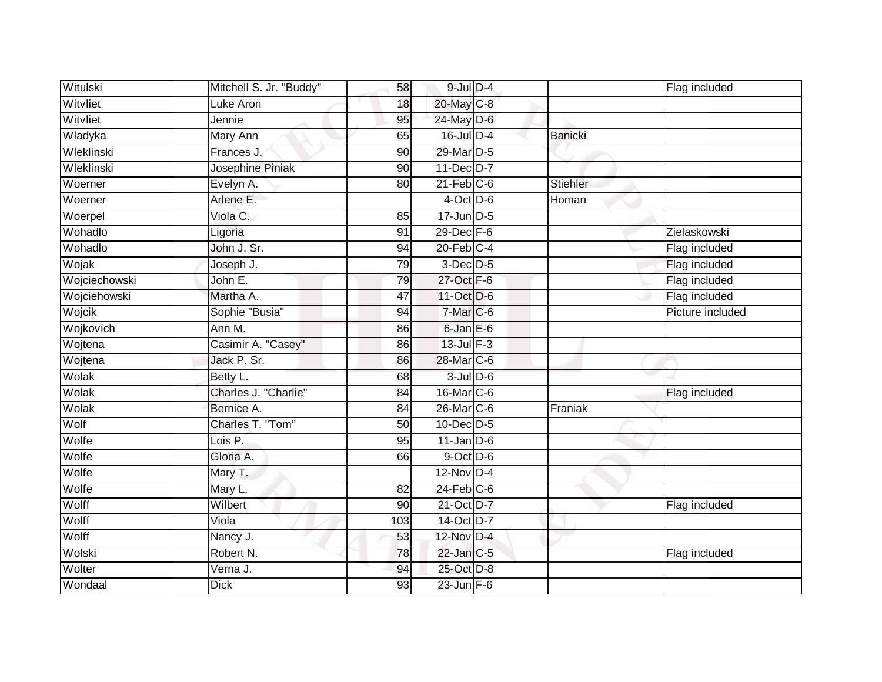| Witulski      | Mitchell S. Jr. "Buddy" | 58              | $9$ -Jul $D-4$   |                | Flag included    |
|---------------|-------------------------|-----------------|------------------|----------------|------------------|
| Witvliet      | Luke Aron               | 18              | 20-May C-8       |                |                  |
| Witvliet      | Jennie                  | 95              | $24$ -May D-6    |                |                  |
| Wladyka       | Mary Ann                | 65              | $16$ -Jul $D-4$  | <b>Banicki</b> |                  |
| Wleklinski    | Frances J.              | 90              | 29-Mar D-5       |                |                  |
| Wleklinski    | Josephine Piniak        | 90              | 11-Dec D-7       |                |                  |
| Woerner       | Evelyn A.               | 80              | $21$ -Feb $C-6$  | Stiehler       |                  |
| Woerner       | Arlene E.               |                 | $4$ -Oct D-6     | Homan          |                  |
| Woerpel       | Viola C.                | 85              | $17$ -Jun $D-5$  |                |                  |
| Wohadlo       | Ligoria                 | 91              | $29$ -Dec $F-6$  |                | Zielaskowski     |
| Wohadlo       | John J. Sr.             | 94              | $20$ -Feb $C-4$  |                | Flag included    |
| Wojak         | Joseph J.               | 79              | $3-Dec$ D-5      |                | Flag included    |
| Wojciechowski | John E.                 | 79              | 27-Oct F-6       |                | Flag included    |
| Wojciehowski  | Martha A.               | 47              | 11-Oct D-6       |                | Flag included    |
| Wojcik        | Sophie "Busia"          | 94              | 7-Mar C-6        |                | Picture included |
| Wojkovich     | Ann M.                  | 86              | 6-Jan E-6        |                |                  |
| Wojtena       | Casimir A. "Casey"      | 86              | $13$ -Jul $F-3$  |                |                  |
| Wojtena       | Jack P. Sr.             | 86              | 28-Mar C-6       |                |                  |
| Wolak         | Betty L.                | 68              | $3$ -Jul $D$ -6  |                |                  |
| Wolak         | Charles J. "Charlie"    | 84              | 16-Mar C-6       |                | Flag included    |
| Wolak         | Bernice A.              | 84              | 26-Mar C-6       | Franiak        |                  |
| Wolf          | Charles T. "Tom"        | 50              | 10-Dec D-5       |                |                  |
| Wolfe         | Lois P.                 | 95              | $11$ -Jan D-6    |                |                  |
| Wolfe         | Gloria A.               | 66              | 9-Oct D-6        |                |                  |
| Wolfe         | Mary T.                 |                 | 12-Nov D-4       |                |                  |
| Wolfe         | Mary L.                 | 82              | $24$ -Feb $C$ -6 |                |                  |
| Wolff         | Wilbert                 | 90              | 21-Oct D-7       |                | Flag included    |
| Wolff         | Viola                   | 103             | 14-Oct D-7       |                |                  |
| Wolff         | Nancy J.                | 53              | 12-Nov D-4       |                |                  |
| Wolski        | Robert N.               | 78              | 22-Jan C-5       |                | Flag included    |
| Wolter        | Verna J.                | 94              | 25-Oct D-8       |                |                  |
| Wondaal       | <b>Dick</b>             | $\overline{93}$ | $23$ -Jun F-6    |                |                  |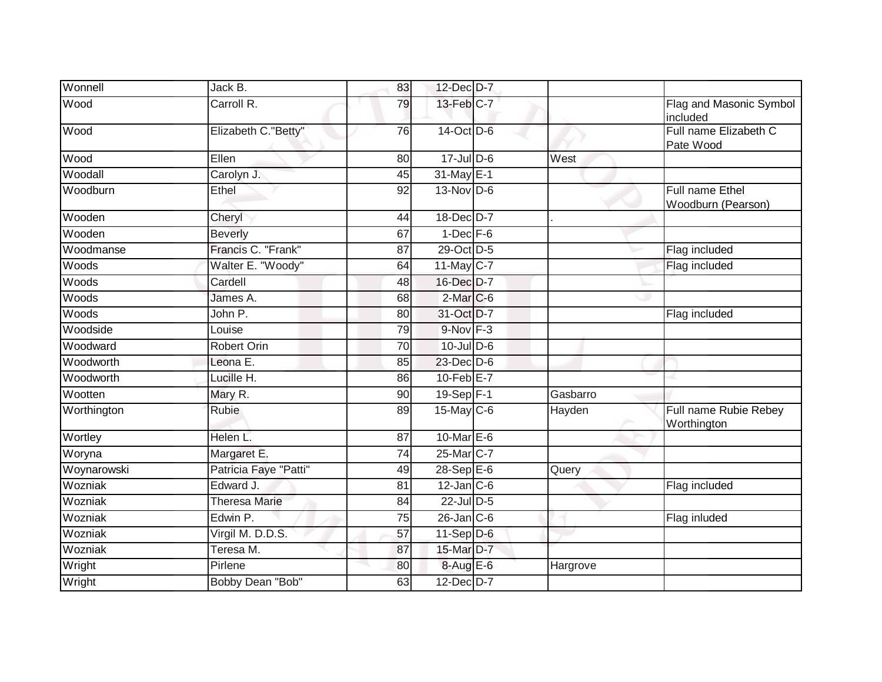| Wonnell     | Jack B.               | 83              | 12-Dec D-7       |          |                                       |
|-------------|-----------------------|-----------------|------------------|----------|---------------------------------------|
| Wood        | Carroll R.            | 79              | 13-Feb C-7       |          | Flag and Masonic Symbol<br>included   |
| Wood        | Elizabeth C."Betty"   | 76              | 14-Oct D-6       |          | Full name Elizabeth C<br>Pate Wood    |
| Wood        | Ellen                 | 80              | 17-Jul D-6       | West     |                                       |
| Woodall     | Carolyn J.            | 45              | 31-May E-1       |          |                                       |
| Woodburn    | Ethel                 | $\overline{92}$ | $13-Nov$ D-6     |          | Full name Ethel<br>Woodburn (Pearson) |
| Wooden      | Cheryl                | 44              | 18-Dec D-7       |          |                                       |
| Wooden      | <b>Beverly</b>        | 67              | $1$ -Dec $F-6$   |          |                                       |
| Woodmanse   | Francis C. "Frank"    | 87              | 29-Oct D-5       |          | Flag included                         |
| Woods       | Walter E. "Woody"     | 64              | 11-May C-7       |          | Flag included                         |
| Woods       | Cardell               | 48              | 16-Dec D-7       |          |                                       |
| Woods       | James A.              | 68              | $2$ -Mar $C$ -6  |          |                                       |
| Woods       | John P.               | 80              | 31-Oct D-7       |          | Flag included                         |
| Woodside    | Louise                | 79              | $9-Nov$ $F-3$    |          |                                       |
| Woodward    | Robert Orin           | 70              | $10$ -Jul $D-6$  |          |                                       |
| Woodworth   | Leona E.              | 85              | 23-Dec D-6       |          |                                       |
| Woodworth   | Lucille H.            | 86              | 10-Feb E-7       |          |                                       |
| Wootten     | Mary R.               | 90              | 19-Sep F-1       | Gasbarro |                                       |
| Worthington | <b>Rubie</b>          | 89              | 15-May C-6       | Hayden   | Full name Rubie Rebey<br>Worthington  |
| Wortley     | Helen L.              | 87              | 10-Mar $E-6$     |          |                                       |
| Woryna      | Margaret E.           | $\overline{74}$ | 25-Mar C-7       |          |                                       |
| Woynarowski | Patricia Faye "Patti" | 49              | 28-Sep E-6       | Query    |                                       |
| Wozniak     | Edward J.             | 81              | $12$ -Jan $C$ -6 |          | Flag included                         |
| Wozniak     | <b>Theresa Marie</b>  | 84              | 22-Jul D-5       |          |                                       |
| Wozniak     | Edwin P.              | 75              | $26$ -Jan $C$ -6 |          | Flag inluded                          |
| Wozniak     | Virgil M. D.D.S.      | $\overline{57}$ | $11-Sep$ D-6     |          |                                       |
| Wozniak     | Teresa M.             | 87              | 15-Mar D-7       |          |                                       |
| Wright      | Pirlene               | 80              | 8-Aug E-6        | Hargrove |                                       |
| Wright      | Bobby Dean "Bob"      | 63              | $12$ -Dec $D-7$  |          |                                       |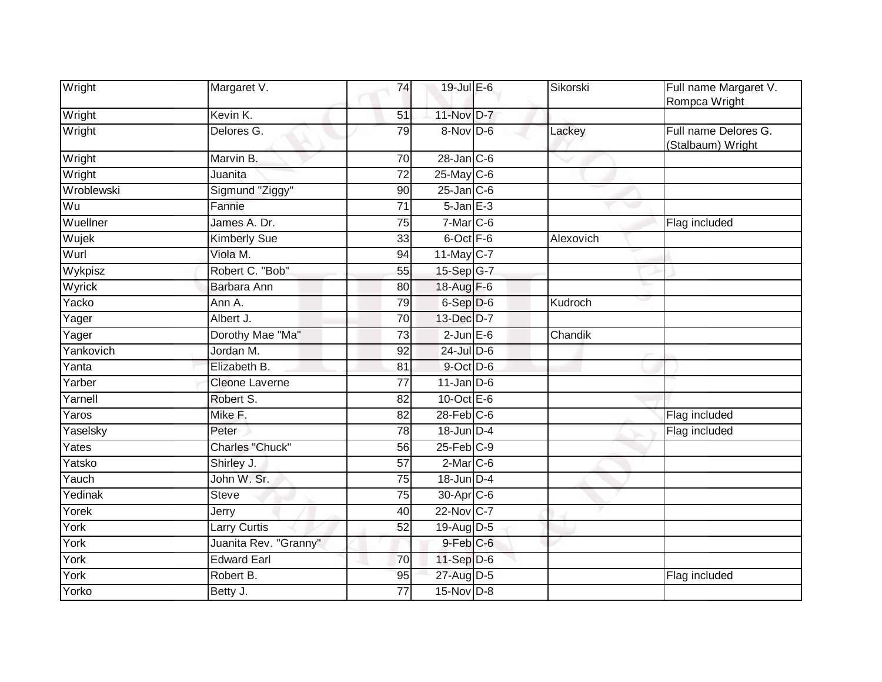| Wright              | Margaret V.            | 74              | 19-Jul E-6       | Sikorski  | Full name Margaret V.<br>Rompca Wright    |
|---------------------|------------------------|-----------------|------------------|-----------|-------------------------------------------|
| Wright              | Kevin K.               | 51              | 11-Nov D-7       |           |                                           |
| Wright              | Delores G.             | 79              | 8-Nov D-6        | Lackey    | Full name Delores G.<br>(Stalbaum) Wright |
| Wright              | Marvin B.              | 70              | $28$ -Jan $C$ -6 |           |                                           |
| Wright              | Juanita                | 72              | $25$ -May C-6    |           |                                           |
| Wroblewski          | Sigmund "Ziggy"        | 90              | $25$ -Jan $C$ -6 |           |                                           |
| Wu                  | Fannie                 | 71              | $5 - Jan$ $E-3$  |           |                                           |
| Wuellner            | James A. Dr.           | $\overline{75}$ | $7$ -Mar $C$ -6  |           | Flag included                             |
| Wujek               | <b>Kimberly Sue</b>    | 33              | 6-Oct F-6        | Alexovich |                                           |
| Wurl                | Viola M.               | 94              | $11$ -May C-7    |           |                                           |
| Wykpisz             | Robert C. "Bob"        | 55              | 15-Sep G-7       |           |                                           |
| Wyrick              | Barbara Ann            | 80              | 18-Aug F-6       |           |                                           |
| Yacko               | Ann A.                 | 79              | 6-Sep D-6        | Kudroch   |                                           |
| Yager               | Albert J.              | 70              | 13-Dec D-7       |           |                                           |
| Yager               | Dorothy Mae "Ma"       | 73              | $2$ -Jun $E$ -6  | Chandik   |                                           |
| Yankovich           | Jordan M.              | 92              | $24$ -Jul D-6    |           |                                           |
| Yanta               | Elizabeth B.           | 81              | 9-Oct D-6        |           |                                           |
| Yarber              | <b>Cleone Laverne</b>  | $\overline{77}$ | $11$ -Jan D-6    |           |                                           |
| Yarnell             | Robert S.              | 82              | 10-Oct $E-6$     |           |                                           |
| Yaros               | Mike F.                | 82              | $28$ -Feb $C$ -6 |           | Flag included                             |
| Yaselsky            | Peter                  | 78              | $18$ -Jun $D-4$  |           | Flag included                             |
| Yates               | <b>Charles "Chuck"</b> | 56              | $25$ -Feb $C-9$  |           |                                           |
| Yatsko              | Shirley J.             | 57              | $2$ -Mar $C$ -6  |           |                                           |
| $\overline{Y}$ auch | John W. Sr.            | $\overline{75}$ | 18-Jun D-4       |           |                                           |
| Yedinak             | <b>Steve</b>           | 75              | 30-Apr C-6       |           |                                           |
| Yorek               | Jerry                  | 40              | 22-Nov C-7       |           |                                           |
| York                | <b>Larry Curtis</b>    | 52              | 19-Aug D-5       |           |                                           |
| York                | Juanita Rev. "Granny"  |                 | $9$ -Feb $C$ -6  |           |                                           |
| York                | <b>Edward Earl</b>     | 70              | 11-Sep D-6       |           |                                           |
| York                | Robert B.              | 95              | 27-Aug D-5       |           | Flag included                             |
| Yorko               | Betty J.               | 77              | $15$ -Nov D-8    |           |                                           |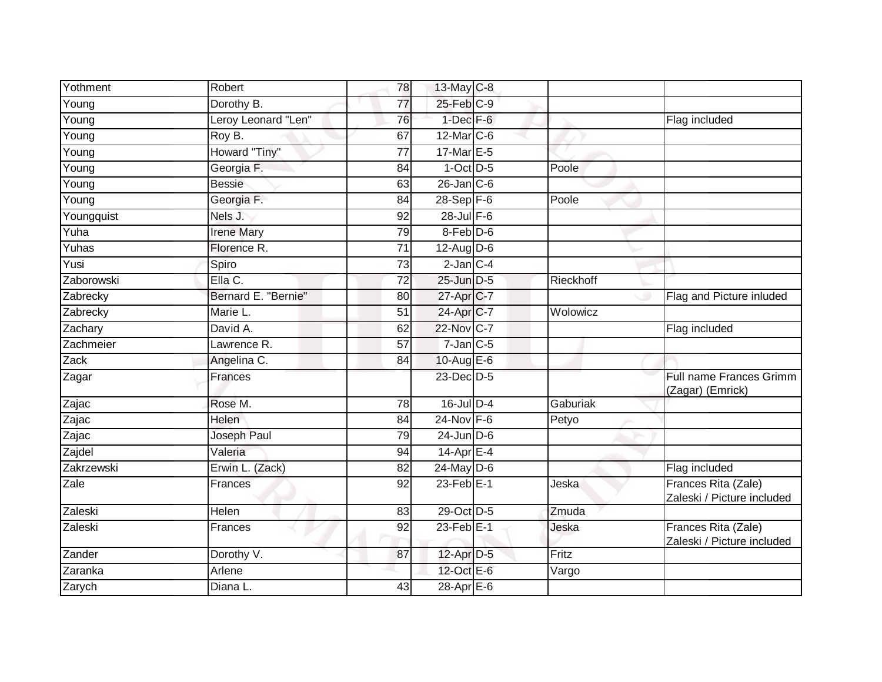| Yothment            | Robert              | 78              | 13-May C-8             |           |                                                   |
|---------------------|---------------------|-----------------|------------------------|-----------|---------------------------------------------------|
| Young               | Dorothy B.          | 77              | 25-Feb C-9             |           |                                                   |
| Young               | Leroy Leonard "Len" | 76              | $1$ -Dec $F-6$         |           | Flag included                                     |
| Young               | Roy B.              | 67              | $12$ -Mar $ C-6$       |           |                                                   |
| $\overline{Y}$ oung | Howard "Tiny"       | 77              | 17-Mar E-5             |           |                                                   |
| Young               | Georgia F.          | 84              | $1-Oct$ $D-5$          | Poole     |                                                   |
| Young               | <b>Bessie</b>       | 63              | $26$ -Jan $C$ -6       |           |                                                   |
| Young               | Georgia F.          | 84              | $28 - Sep$ F-6         | Poole     |                                                   |
| Youngquist          | Nels J.             | 92              | $28$ -Jul $F-6$        |           |                                                   |
| Yuha                | <b>Irene Mary</b>   | 79              | $8$ -Feb $D$ -6        |           |                                                   |
| Yuhas               | Florence R.         | 71              | $12-AugD-6$            |           |                                                   |
| Yusi                | Spiro               | $\overline{73}$ | $2$ -Jan $C-4$         |           |                                                   |
| Zaborowski          | Ella C.             | 72              | 25-Jun D-5             | Rieckhoff |                                                   |
| Zabrecky            | Bernard E. "Bernie" | 80              | 27-Apr <sub>IC-7</sub> |           | Flag and Picture inluded                          |
| Zabrecky            | Marie L.            | $\overline{51}$ | 24-Apr C-7             | Wolowicz  |                                                   |
| Zachary             | David A.            | 62              | 22-Nov C-7             |           | Flag included                                     |
| Zachmeier           | Lawrence R.         | 57              | $7$ -Jan $C$ -5        |           |                                                   |
| Zack                | Angelina C.         | 84              | 10-Aug $E-6$           |           |                                                   |
| Zagar               | Frances             |                 | 23-Dec D-5             |           | Full name Frances Grimm<br>(Zagar) (Emrick)       |
| Zajac               | Rose M.             | 78              | $16$ -Jul $D-4$        | Gaburiak  |                                                   |
| Zajac               | Helen               | 84              | 24-Nov F-6             | Petyo     |                                                   |
| Zajac               | Joseph Paul         | 79              | $24$ -Jun $D-6$        |           |                                                   |
| Zajdel              | Valeria             | 94              | $14$ -Apr $E-4$        |           |                                                   |
| Zakrzewski          | Erwin L. (Zack)     | 82              | 24-May D-6             |           | Flag included                                     |
| Zale                | Frances             | $\overline{92}$ | $23$ -Feb $E-1$        | Jeska     | Frances Rita (Zale)<br>Zaleski / Picture included |
| Zaleski             | Helen               | 83              | 29-Oct D-5             | Zmuda     |                                                   |
| Zaleski             | Frances             | 92              | $23$ -Feb $E-1$        | Jeska     | Frances Rita (Zale)<br>Zaleski / Picture included |
| Zander              | Dorothy V.          | 87              | 12-Apr D-5             | Fritz     |                                                   |
| Zaranka             | Arlene              |                 | 12-Oct E-6             | Vargo     |                                                   |
| Zarych              | Diana L.            | $\overline{43}$ | $28$ -Apr $E$ -6       |           |                                                   |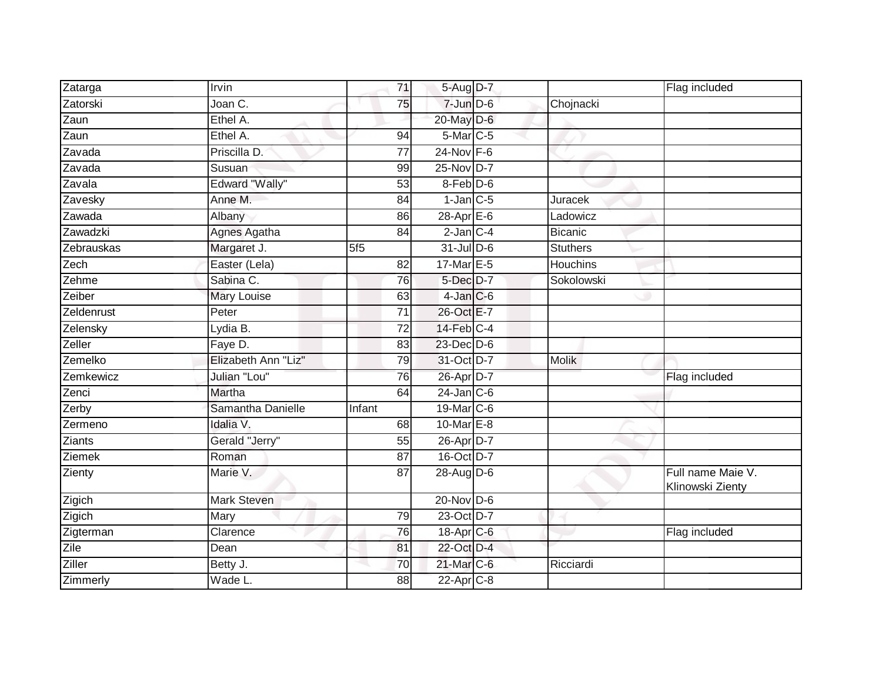| Zatarga       | Irvin                 | 71              | 5-Aug D-7               |                 | Flag included                         |
|---------------|-----------------------|-----------------|-------------------------|-----------------|---------------------------------------|
| Zatorski      | Joan C.               | 75              | $7$ -Jun $D-6$          | Chojnacki       |                                       |
| Zaun          | Ethel A.              |                 | 20-May D-6              |                 |                                       |
| Zaun          | Ethel A.              | 94              | 5-Mar C-5               |                 |                                       |
| Zavada        | Priscilla D.          | $\overline{77}$ | $24$ -Nov F-6           |                 |                                       |
| Zavada        | Susuan                | 99              | 25-Nov D-7              |                 |                                       |
| Zavala        | <b>Edward "Wally"</b> | 53              | 8-Feb D-6               |                 |                                       |
| Zavesky       | Anne M.               | 84              | $1$ -Jan $C$ -5         | Juracek         |                                       |
| Zawada        | Albany                | 86              | $28-Apr \n\mathsf{E-6}$ | Ladowicz        |                                       |
| Zawadzki      | Agnes Agatha          | 84              | $2$ -Jan $C-4$          | <b>Bicanic</b>  |                                       |
| Zebrauskas    | Margaret J.           | 5f <sub>5</sub> | $31$ -Jul D-6           | <b>Stuthers</b> |                                       |
| Zech          | Easter (Lela)         | $\overline{82}$ | 17-Mar E-5              | Houchins        |                                       |
| Zehme         | Sabina C.             | 76              | 5-Dec D-7               | Sokolowski      |                                       |
| Zeiber        | Mary Louise           | 63              | $4$ -Jan $C$ -6         |                 |                                       |
| Zeldenrust    | Peter                 | 71              | 26-Oct E-7              |                 |                                       |
| Zelensky      | Lydia B.              | 72              | 14-Feb C-4              |                 |                                       |
| Zeller        | Faye D.               | 83              | $23$ -Dec $D-6$         |                 |                                       |
| Zemelko       | Elizabeth Ann "Liz"   | 79              | 31-Oct D-7              | <b>Molik</b>    |                                       |
| Zemkewicz     | Julian "Lou"          | 76              | 26-Apr D-7              |                 | Flag included                         |
| Zenci         | Martha                | 64              | $24$ -Jan $C-6$         |                 |                                       |
| Zerby         | Samantha Danielle     | Infant          | 19-Mar C-6              |                 |                                       |
| Zermeno       | Idalia V.             | 68              | 10-Mar E-8              |                 |                                       |
| <b>Ziants</b> | Gerald "Jerry"        | 55              | 26-Apr D-7              |                 |                                       |
| Ziemek        | Roman                 | 87              | 16-Oct D-7              |                 |                                       |
| Zienty        | Marie V.              | 87              | 28-Aug D-6              |                 | Full name Maie V.<br>Klinowski Zienty |
| Zigich        | <b>Mark Steven</b>    |                 | $20$ -Nov D-6           |                 |                                       |
| Zigich        | Mary                  | 79              | 23-Oct D-7              |                 |                                       |
| Zigterman     | Clarence              | 76              | 18-Apr C-6              |                 | Flag included                         |
| Zile          | Dean                  | 81              | 22-Oct D-4              |                 |                                       |
| Ziller        | Betty J.              | 70              | 21-Mar C-6              | Ricciardi       |                                       |
| Zimmerly      | Wade L.               | 88              | $22$ -Apr $C-8$         |                 |                                       |